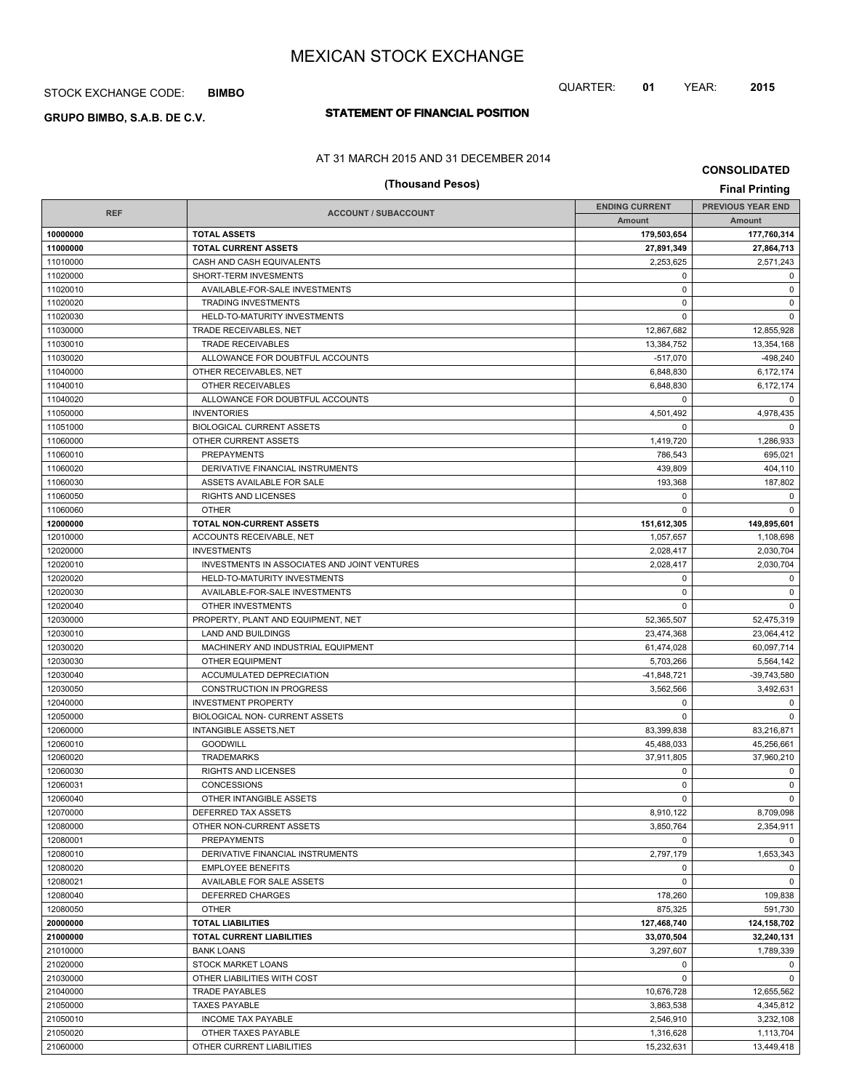# STOCK EXCHANGE CODE: **BIMBO**

# **STATEMENT OF FINANCIAL POSITION GRUPO BIMBO, S.A.B. DE C.V.**

# AT 31 MARCH 2015 AND 31 DECEMBER 2014

# **(Thousand Pesos) Final Printing**

**CONSOLIDATED**

QUARTER: **01** YEAR: **2015**

| <b>REF</b> | <b>ACCOUNT / SUBACCOUNT</b>                  | <b>ENDING CURRENT</b> | <b>PREVIOUS YEAR END</b> |
|------------|----------------------------------------------|-----------------------|--------------------------|
|            |                                              | Amount                | Amount                   |
| 10000000   | <b>TOTAL ASSETS</b>                          | 179,503,654           | 177,760,314              |
| 11000000   | <b>TOTAL CURRENT ASSETS</b>                  | 27,891,349            | 27,864,713               |
| 11010000   | CASH AND CASH EQUIVALENTS                    | 2,253,625             | 2,571,243                |
| 11020000   | SHORT-TERM INVESMENTS                        | $\mathbf 0$           | $\mathbf 0$              |
| 11020010   | AVAILABLE-FOR-SALE INVESTMENTS               | $\mathbf 0$           | $\mathbf 0$              |
| 11020020   | <b>TRADING INVESTMENTS</b>                   | $\mathbf 0$           | $\mathbf 0$              |
| 11020030   | HELD-TO-MATURITY INVESTMENTS                 | $\mathbf 0$           | $\mathbf 0$              |
| 11030000   | TRADE RECEIVABLES, NET                       | 12,867,682            | 12,855,928               |
| 11030010   | <b>TRADE RECEIVABLES</b>                     | 13,384,752            | 13,354,168               |
| 11030020   | ALLOWANCE FOR DOUBTFUL ACCOUNTS              | $-517,070$            | $-498,240$               |
| 11040000   | OTHER RECEIVABLES, NET                       | 6,848,830             | 6,172,174                |
| 11040010   | OTHER RECEIVABLES                            | 6.848.830             | 6,172,174                |
| 11040020   | ALLOWANCE FOR DOUBTFUL ACCOUNTS              | 0                     | $\Omega$                 |
| 11050000   | <b>INVENTORIES</b>                           | 4,501,492             | 4,978,435                |
| 11051000   | <b>BIOLOGICAL CURRENT ASSETS</b>             | $\mathbf 0$           | $\mathbf 0$              |
| 11060000   | OTHER CURRENT ASSETS                         | 1,419,720             | 1,286,933                |
| 11060010   | <b>PREPAYMENTS</b>                           | 786,543               | 695,021                  |
| 11060020   | DERIVATIVE FINANCIAL INSTRUMENTS             | 439,809               | 404,110                  |
| 11060030   | ASSETS AVAILABLE FOR SALE                    | 193,368               | 187,802                  |
| 11060050   | <b>RIGHTS AND LICENSES</b>                   | $\mathbf 0$           | 0                        |
| 11060060   | <b>OTHER</b>                                 | $\Omega$              | $\Omega$                 |
| 12000000   | TOTAL NON-CURRENT ASSETS                     | 151,612,305           | 149,895,601              |
| 12010000   | ACCOUNTS RECEIVABLE, NET                     | 1,057,657             | 1,108,698                |
| 12020000   | <b>INVESTMENTS</b>                           | 2,028,417             | 2,030,704                |
| 12020010   | INVESTMENTS IN ASSOCIATES AND JOINT VENTURES | 2,028,417             | 2,030,704                |
| 12020020   | HELD-TO-MATURITY INVESTMENTS                 | 0                     | $\mathbf 0$              |
| 12020030   | AVAILABLE-FOR-SALE INVESTMENTS               | $\mathbf 0$           | $\mathbf 0$              |
| 12020040   | OTHER INVESTMENTS                            | $\mathbf 0$           | $\mathbf 0$              |
| 12030000   | PROPERTY, PLANT AND EQUIPMENT, NET           | 52,365,507            | 52,475,319               |
| 12030010   | LAND AND BUILDINGS                           | 23,474,368            | 23,064,412               |
| 12030020   | MACHINERY AND INDUSTRIAL EQUIPMENT           | 61,474,028            | 60,097,714               |
| 12030030   | <b>OTHER EQUIPMENT</b>                       | 5,703,266             | 5,564,142                |
| 12030040   | ACCUMULATED DEPRECIATION                     | $-41,848,721$         | -39,743,580              |
| 12030050   | CONSTRUCTION IN PROGRESS                     | 3,562,566             | 3,492,631                |
| 12040000   | <b>INVESTMENT PROPERTY</b>                   | 0                     | $\mathbf 0$              |
| 12050000   | <b>BIOLOGICAL NON- CURRENT ASSETS</b>        | $\Omega$              | $\mathbf 0$              |
| 12060000   | <b>INTANGIBLE ASSETS, NET</b>                | 83,399,838            | 83,216,871               |
| 12060010   | <b>GOODWILL</b>                              | 45,488,033            | 45,256,661               |
| 12060020   | <b>TRADEMARKS</b>                            | 37,911,805            | 37,960,210               |
| 12060030   | RIGHTS AND LICENSES                          | $\mathbf 0$           | $\mathbf 0$              |
| 12060031   | CONCESSIONS                                  | 0                     | $\mathbf 0$              |
| 12060040   | OTHER INTANGIBLE ASSETS                      | $\mathbf 0$           | $\mathbf 0$              |
| 12070000   | DEFERRED TAX ASSETS                          | 8,910,122             | 8,709,098                |
| 12080000   | OTHER NON-CURRENT ASSETS                     | 3,850,764             | 2,354,911                |
| 12080001   | <b>PREPAYMENTS</b>                           | $\Omega$              | $\Omega$                 |
| 12080010   | DERIVATIVE FINANCIAL INSTRUMENTS             | 2,797,179             | 1,653,343                |
| 12080020   | <b>EMPLOYEE BENEFITS</b>                     | 0                     | $\mathbf 0$              |
| 12080021   | AVAILABLE FOR SALE ASSETS                    | $\mathbf 0$           | $\mathbf 0$              |
| 12080040   | DEFERRED CHARGES                             | 178,260               | 109,838                  |
| 12080050   | <b>OTHER</b>                                 | 875,325               | 591,730                  |
| 20000000   | <b>TOTAL LIABILITIES</b>                     | 127,468,740           | 124,158,702              |
| 21000000   | <b>TOTAL CURRENT LIABILITIES</b>             | 33,070,504            | 32,240,131               |
| 21010000   | <b>BANK LOANS</b>                            | 3,297,607             | 1,789,339                |
| 21020000   | <b>STOCK MARKET LOANS</b>                    | 0                     | $\mathbf 0$              |
| 21030000   | OTHER LIABILITIES WITH COST                  | $\mathbf 0$           | $\mathbf 0$              |
| 21040000   | <b>TRADE PAYABLES</b>                        | 10,676,728            | 12,655,562               |
| 21050000   | <b>TAXES PAYABLE</b>                         | 3,863,538             | 4,345,812                |
| 21050010   | <b>INCOME TAX PAYABLE</b>                    | 2,546,910             | 3,232,108                |
| 21050020   | OTHER TAXES PAYABLE                          | 1,316,628             | 1,113,704                |
| 21060000   | OTHER CURRENT LIABILITIES                    | 15,232,631            | 13,449,418               |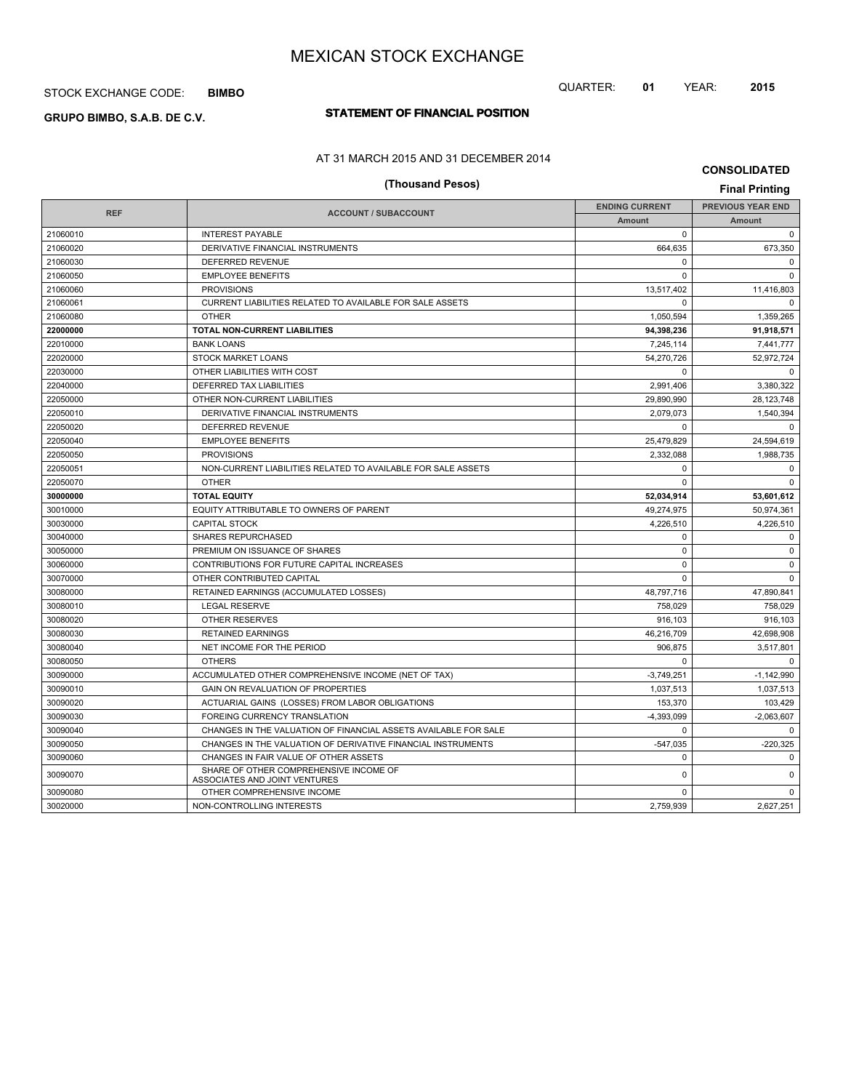# STOCK EXCHANGE CODE: **BIMBO**

# **STATEMENT OF FINANCIAL POSITION GRUPO BIMBO, S.A.B. DE C.V.**

# AT 31 MARCH 2015 AND 31 DECEMBER 2014

**CONSOLIDATED**

|            | (Thousand Pesos)                                                        |                       | <b>Final Printing</b>    |
|------------|-------------------------------------------------------------------------|-----------------------|--------------------------|
|            |                                                                         | <b>ENDING CURRENT</b> | <b>PREVIOUS YEAR END</b> |
| <b>REF</b> | <b>ACCOUNT / SUBACCOUNT</b>                                             | <b>Amount</b>         | Amount                   |
| 21060010   | <b>INTEREST PAYABLE</b>                                                 | $\Omega$              | $\mathbf 0$              |
| 21060020   | DERIVATIVE FINANCIAL INSTRUMENTS                                        | 664.635               | 673.350                  |
| 21060030   | DEFERRED REVENUE                                                        | 0                     | $\Omega$                 |
| 21060050   | <b>EMPLOYEE BENEFITS</b>                                                | $\mathbf 0$           | $\mathbf 0$              |
| 21060060   | <b>PROVISIONS</b>                                                       | 13,517,402            | 11,416,803               |
| 21060061   | CURRENT LIABILITIES RELATED TO AVAILABLE FOR SALE ASSETS                | $\Omega$              | $\mathbf 0$              |
| 21060080   | <b>OTHER</b>                                                            | 1,050,594             | 1,359,265                |
| 22000000   | <b>TOTAL NON-CURRENT LIABILITIES</b>                                    | 94,398,236            | 91.918.571               |
| 22010000   | <b>BANK LOANS</b>                                                       | 7,245,114             | 7,441,777                |
| 22020000   | <b>STOCK MARKET LOANS</b>                                               | 54,270,726            | 52,972,724               |
| 22030000   | OTHER LIABILITIES WITH COST                                             | $\Omega$              | $\Omega$                 |
| 22040000   | DEFERRED TAX LIABILITIES                                                | 2,991,406             | 3,380,322                |
| 22050000   | OTHER NON-CURRENT LIABILITIES                                           | 29,890,990            | 28,123,748               |
| 22050010   | DERIVATIVE FINANCIAL INSTRUMENTS                                        | 2,079,073             | 1,540,394                |
| 22050020   | DEFERRED REVENUE                                                        | $\Omega$              | $\Omega$                 |
| 22050040   | <b>EMPLOYEE BENEFITS</b>                                                | 25,479,829            | 24,594,619               |
| 22050050   | <b>PROVISIONS</b>                                                       | 2,332,088             | 1,988,735                |
| 22050051   | NON-CURRENT LIABILITIES RELATED TO AVAILABLE FOR SALE ASSETS            | $\Omega$              | $\Omega$                 |
| 22050070   | <b>OTHER</b>                                                            | $\Omega$              | $\Omega$                 |
| 30000000   | <b>TOTAL EQUITY</b>                                                     | 52,034,914            | 53,601,612               |
| 30010000   | EQUITY ATTRIBUTABLE TO OWNERS OF PARENT                                 | 49,274,975            | 50,974,361               |
| 30030000   | <b>CAPITAL STOCK</b>                                                    | 4.226.510             | 4.226.510                |
| 30040000   | <b>SHARES REPURCHASED</b>                                               | 0                     | $\mathbf 0$              |
| 30050000   | PREMIUM ON ISSUANCE OF SHARES                                           | $\Omega$              | $\mathbf 0$              |
| 30060000   | CONTRIBUTIONS FOR FUTURE CAPITAL INCREASES                              | 0                     | $\Omega$                 |
| 30070000   | OTHER CONTRIBUTED CAPITAL                                               | $\mathbf 0$           | $\mathbf 0$              |
| 30080000   | RETAINED EARNINGS (ACCUMULATED LOSSES)                                  | 48,797,716            | 47,890,841               |
| 30080010   | <b>LEGAL RESERVE</b>                                                    | 758,029               | 758,029                  |
| 30080020   | OTHER RESERVES                                                          | 916.103               | 916,103                  |
| 30080030   | <b>RETAINED EARNINGS</b>                                                | 46,216,709            | 42,698,908               |
| 30080040   | NET INCOME FOR THE PERIOD                                               | 906.875               | 3,517,801                |
| 30080050   | <b>OTHERS</b>                                                           | $\Omega$              | $\Omega$                 |
| 30090000   | ACCUMULATED OTHER COMPREHENSIVE INCOME (NET OF TAX)                     | $-3.749.251$          | $-1.142.990$             |
| 30090010   | GAIN ON REVALUATION OF PROPERTIES                                       | 1,037,513             | 1,037,513                |
| 30090020   | ACTUARIAL GAINS (LOSSES) FROM LABOR OBLIGATIONS                         | 153,370               | 103,429                  |
| 30090030   | FOREING CURRENCY TRANSLATION                                            | $-4,393,099$          | $-2,063,607$             |
| 30090040   | CHANGES IN THE VALUATION OF FINANCIAL ASSETS AVAILABLE FOR SALE         | $\Omega$              | $\Omega$                 |
| 30090050   | CHANGES IN THE VALUATION OF DERIVATIVE FINANCIAL INSTRUMENTS            | $-547,035$            | $-220,325$               |
| 30090060   | CHANGES IN FAIR VALUE OF OTHER ASSETS                                   | $\mathbf 0$           | $\Omega$                 |
| 30090070   | SHARE OF OTHER COMPREHENSIVE INCOME OF<br>ASSOCIATES AND JOINT VENTURES | 0                     | $\mathbf 0$              |
| 30090080   | OTHER COMPREHENSIVE INCOME                                              | $\Omega$              | $\Omega$                 |
| 30020000   | NON-CONTROLLING INTERESTS                                               | 2,759,939             | 2,627,251                |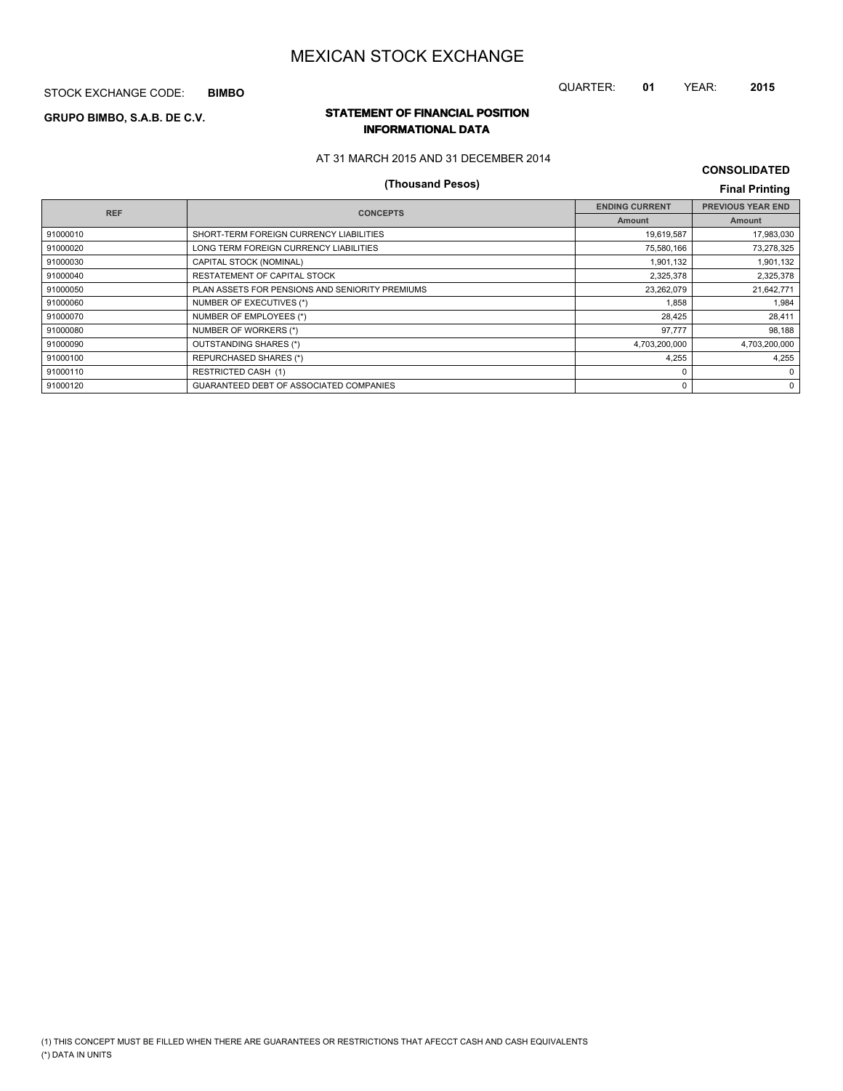STOCK EXCHANGE CODE: **BIMBO**

# QUARTER: **01** YEAR: **2015**

# **STATEMENT OF FINANCIAL POSITION GRUPO BIMBO, S.A.B. DE C.V. INFORMATIONAL DATA**

# AT 31 MARCH 2015 AND 31 DECEMBER 2014

# **(Thousand Pesos) Final Printing**

**CONSOLIDATED**

| <b>REF</b> | <b>CONCEPTS</b>                                 | <b>ENDING CURRENT</b> | <b>PREVIOUS YEAR END</b> |
|------------|-------------------------------------------------|-----------------------|--------------------------|
|            |                                                 | Amount                | Amount                   |
| 91000010   | SHORT-TERM FOREIGN CURRENCY LIABILITIES         | 19,619,587            | 17,983,030               |
| 91000020   | LONG TERM FOREIGN CURRENCY LIABILITIES          | 75,580,166            | 73,278,325               |
| 91000030   | CAPITAL STOCK (NOMINAL)                         | 1,901,132             | 1,901,132                |
| 91000040   | RESTATEMENT OF CAPITAL STOCK                    | 2,325,378             | 2,325,378                |
| 91000050   | PLAN ASSETS FOR PENSIONS AND SENIORITY PREMIUMS | 23,262,079            | 21,642,771               |
| 91000060   | NUMBER OF EXECUTIVES (*)                        | 1,858                 | 1,984                    |
| 91000070   | NUMBER OF EMPLOYEES (*)                         | 28,425                | 28,411                   |
| 91000080   | NUMBER OF WORKERS (*)                           | 97,777                | 98,188                   |
| 91000090   | OUTSTANDING SHARES (*)                          | 4,703,200,000         | 4,703,200,000            |
| 91000100   | <b>REPURCHASED SHARES (*)</b>                   | 4,255                 | 4.255                    |
| 91000110   | <b>RESTRICTED CASH (1)</b>                      | $\Omega$              | $\Omega$                 |
| 91000120   | GUARANTEED DEBT OF ASSOCIATED COMPANIES         | 0                     | $\Omega$                 |
|            |                                                 |                       |                          |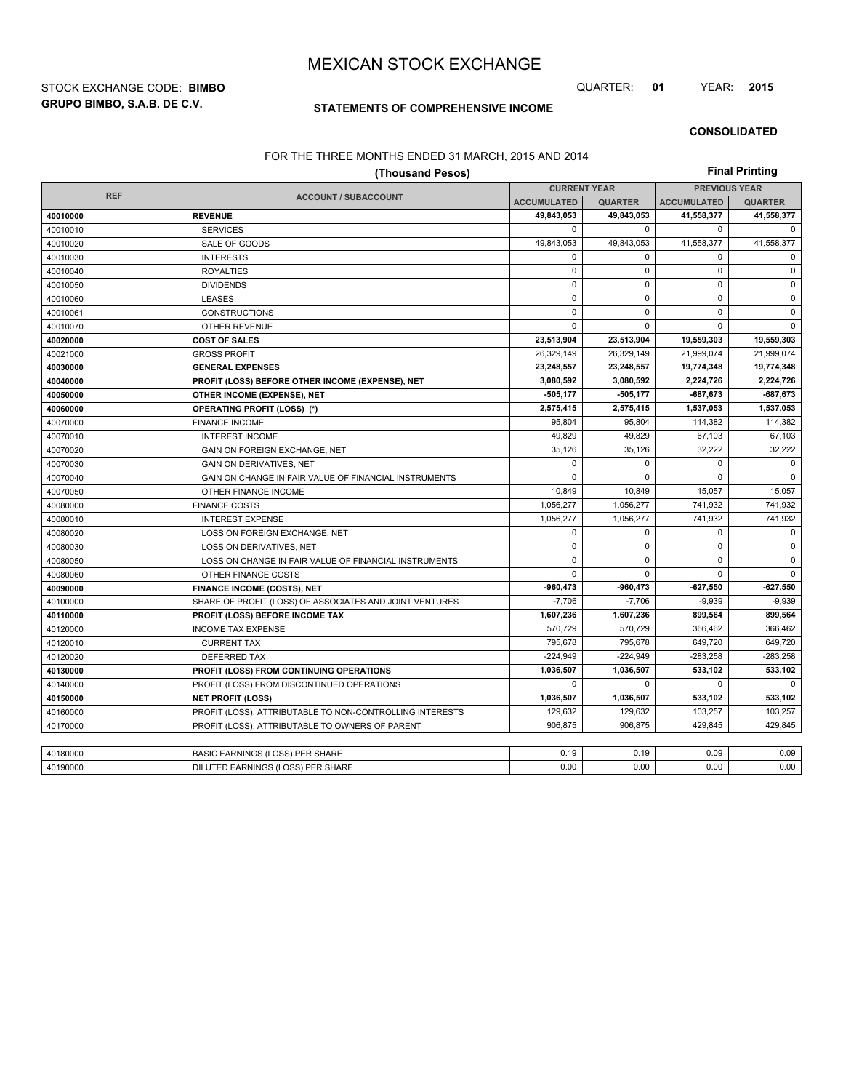**GRUPO BIMBO, S.A.B. DE C.V.** STOCK EXCHANGE CODE: **BIMBO** QUARTER: **01** YEAR: **2015**

# **STATEMENTS OF COMPREHENSIVE INCOME**

**CONSOLIDATED**

## FOR THE THREE MONTHS ENDED 31 MARCH, 2015 AND 2014

|            | (Thousand Pesos)                                         |                     |                |                      | <b>Final Printing</b> |  |
|------------|----------------------------------------------------------|---------------------|----------------|----------------------|-----------------------|--|
|            |                                                          | <b>CURRENT YEAR</b> |                | <b>PREVIOUS YEAR</b> |                       |  |
| <b>REF</b> | <b>ACCOUNT / SUBACCOUNT</b>                              | <b>ACCUMULATED</b>  | <b>QUARTER</b> | <b>ACCUMULATED</b>   | <b>QUARTER</b>        |  |
| 40010000   | <b>REVENUE</b>                                           | 49,843,053          | 49,843,053     | 41,558,377           | 41,558,377            |  |
| 40010010   | <b>SERVICES</b>                                          | $\mathbf 0$         | 0              | 0                    | 0                     |  |
| 40010020   | SALE OF GOODS                                            | 49,843,053          | 49,843,053     | 41,558,377           | 41,558,377            |  |
| 40010030   | <b>INTERESTS</b>                                         | $\mathbf 0$         | $\Omega$       | 0                    | $\mathbf 0$           |  |
| 40010040   | <b>ROYALTIES</b>                                         | $\mathsf 0$         | $\mathbf 0$    | $\mathbf 0$          | $\mathsf 0$           |  |
| 40010050   | <b>DIVIDENDS</b>                                         | $\mathsf 0$         | 0              | 0                    | $\pmb{0}$             |  |
| 40010060   | <b>LEASES</b>                                            | $\mathbf 0$         | $\Omega$       | $\mathbf 0$          | $\pmb{0}$             |  |
| 40010061   | <b>CONSTRUCTIONS</b>                                     | $\mathbf 0$         | $\mathbf 0$    | $\mathbf 0$          | 0                     |  |
| 40010070   | OTHER REVENUE                                            | $\mathsf 0$         | $\mathbf 0$    | 0                    | $\mathsf 0$           |  |
| 40020000   | <b>COST OF SALES</b>                                     | 23,513,904          | 23,513,904     | 19,559,303           | 19,559,303            |  |
| 40021000   | <b>GROSS PROFIT</b>                                      | 26.329.149          | 26,329,149     | 21,999,074           | 21,999,074            |  |
| 40030000   | <b>GENERAL EXPENSES</b>                                  | 23,248,557          | 23,248,557     | 19,774,348           | 19,774,348            |  |
| 40040000   | PROFIT (LOSS) BEFORE OTHER INCOME (EXPENSE), NET         | 3,080,592           | 3,080,592      | 2,224,726            | 2,224,726             |  |
| 40050000   | OTHER INCOME (EXPENSE), NET                              | $-505,177$          | 505,177        | $-687,673$           | $-687,673$            |  |
| 40060000   | <b>OPERATING PROFIT (LOSS) (*)</b>                       | 2,575,415           | 2,575,415      | 1,537,053            | 1,537,053             |  |
| 40070000   | <b>FINANCE INCOME</b>                                    | 95,804              | 95,804         | 114,382              | 114,382               |  |
| 40070010   | <b>INTEREST INCOME</b>                                   | 49,829              | 49,829         | 67,103               | 67,103                |  |
| 40070020   | GAIN ON FOREIGN EXCHANGE, NET                            | 35,126              | 35,126         | 32,222               | 32,222                |  |
| 40070030   | <b>GAIN ON DERIVATIVES, NET</b>                          | $\mathbf 0$         | 0              | $\mathbf 0$          | $\mathbf 0$           |  |
| 40070040   | GAIN ON CHANGE IN FAIR VALUE OF FINANCIAL INSTRUMENTS    | $\mathbf 0$         | $\Omega$       | $\Omega$             | $\mathbf 0$           |  |
| 40070050   | OTHER FINANCE INCOME                                     | 10,849              | 10,849         | 15,057               | 15,057                |  |
| 40080000   | <b>FINANCE COSTS</b>                                     | 1,056,277           | 1,056,277      | 741,932              | 741,932               |  |
| 40080010   | <b>INTEREST EXPENSE</b>                                  | 1,056,277           | 1,056,277      | 741,932              | 741,932               |  |
| 40080020   | LOSS ON FOREIGN EXCHANGE, NET                            | $\mathbf 0$         | $\mathbf 0$    | $\mathbf 0$          | 0                     |  |
| 40080030   | LOSS ON DERIVATIVES, NET                                 | $\mathsf 0$         | 0              | 0                    | $\mathsf 0$           |  |
| 40080050   | LOSS ON CHANGE IN FAIR VALUE OF FINANCIAL INSTRUMENTS    | $\mathbf 0$         | $\mathbf 0$    | 0                    | $\mathbf 0$           |  |
| 40080060   | OTHER FINANCE COSTS                                      | $\mathbf 0$         | $\mathbf 0$    | $\Omega$             | 0                     |  |
| 40090000   | <b>FINANCE INCOME (COSTS), NET</b>                       | $-960,473$          | $-960,473$     | $-627,550$           | $-627,550$            |  |
| 40100000   | SHARE OF PROFIT (LOSS) OF ASSOCIATES AND JOINT VENTURES  | $-7,706$            | $-7,706$       | $-9,939$             | $-9,939$              |  |
| 40110000   | PROFIT (LOSS) BEFORE INCOME TAX                          | 1,607,236           | 1,607,236      | 899,564              | 899,564               |  |
| 40120000   | <b>INCOME TAX EXPENSE</b>                                | 570,729             | 570,729        | 366,462              | 366,462               |  |
| 40120010   | <b>CURRENT TAX</b>                                       | 795,678             | 795,678        | 649,720              | 649,720               |  |
| 40120020   | <b>DEFERRED TAX</b>                                      | $-224,949$          | $-224,949$     | $-283,258$           | $-283,258$            |  |
| 40130000   | PROFIT (LOSS) FROM CONTINUING OPERATIONS                 | 1,036,507           | 1,036,507      | 533,102              | 533,102               |  |
| 40140000   | PROFIT (LOSS) FROM DISCONTINUED OPERATIONS               | $\mathbf 0$         | $\Omega$       | $\Omega$             | $\mathbf 0$           |  |
| 40150000   | <b>NET PROFIT (LOSS)</b>                                 | 1,036,507           | 1,036,507      | 533,102              | 533,102               |  |
| 40160000   | PROFIT (LOSS), ATTRIBUTABLE TO NON-CONTROLLING INTERESTS | 129,632             | 129,632        | 103,257              | 103,257               |  |
| 40170000   | PROFIT (LOSS), ATTRIBUTABLE TO OWNERS OF PARENT          | 906.875             | 906.875        | 429.845              | 429.845               |  |
|            |                                                          |                     |                |                      |                       |  |
| 40180000   | BASIC EARNINGS (LOSS) PER SHARE                          | 0.19                | 0.19           | 0.09                 | 0.09                  |  |
| 40190000   | DILUTED EARNINGS (LOSS) PER SHARE                        | 0.00                | 0.00           | 0.00                 | 0.00                  |  |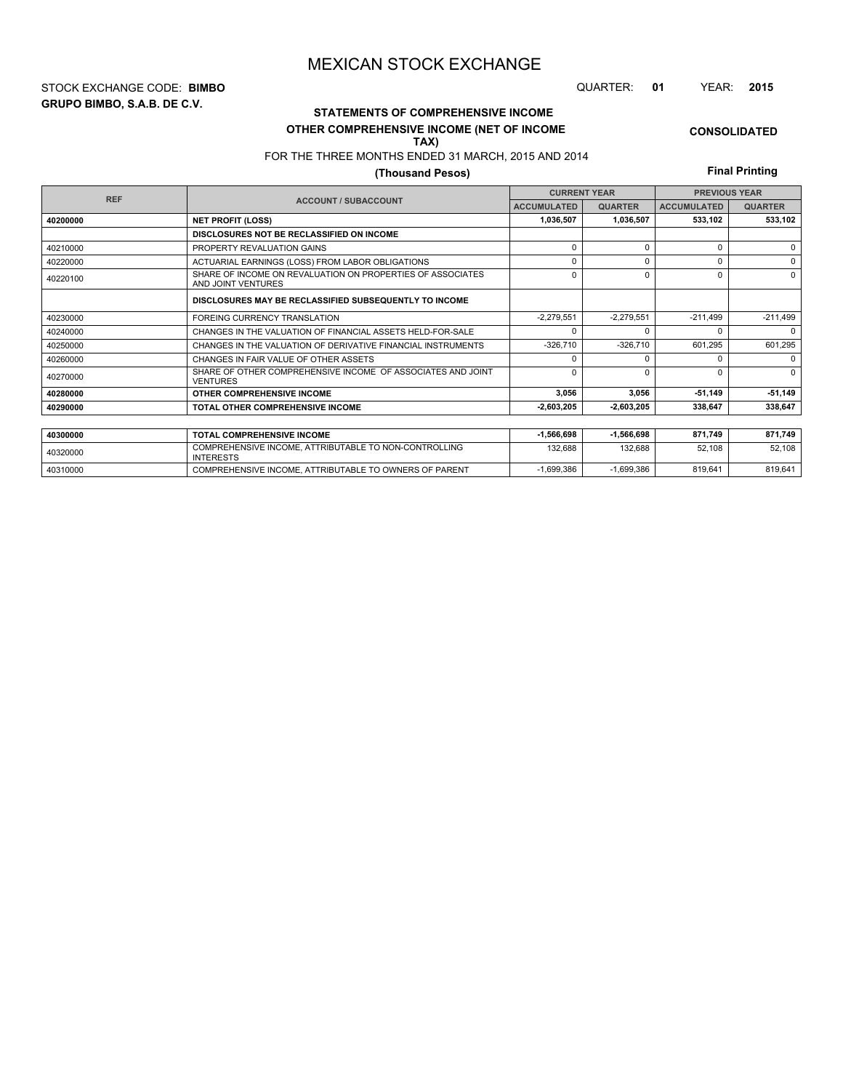**GRUPO BIMBO, S.A.B. DE C.V.** STOCK EXCHANGE CODE: **BIMBO** QUARTER: **01** YEAR: **2015**

# **CONSOLIDATED**

**OTHER COMPREHENSIVE INCOME (NET OF INCOME TAX)**

FOR THE THREE MONTHS ENDED 31 MARCH, 2015 AND 2014

**STATEMENTS OF COMPREHENSIVE INCOME**

# **(Thousand Pesos)**

**Final Printing**

|            |                                                                                  | <b>CURRENT YEAR</b> |                | <b>PREVIOUS YEAR</b> |                |  |
|------------|----------------------------------------------------------------------------------|---------------------|----------------|----------------------|----------------|--|
| <b>REF</b> | <b>ACCOUNT / SUBACCOUNT</b>                                                      | <b>ACCUMULATED</b>  | <b>QUARTER</b> | <b>ACCUMULATED</b>   | <b>QUARTER</b> |  |
| 40200000   | <b>NET PROFIT (LOSS)</b>                                                         | 1,036,507           | 1,036,507      | 533,102              | 533,102        |  |
|            | DISCLOSURES NOT BE RECLASSIFIED ON INCOME                                        |                     |                |                      |                |  |
| 40210000   | PROPERTY REVALUATION GAINS                                                       | $\Omega$            | 0              | U                    | $\Omega$       |  |
| 40220000   | ACTUARIAL EARNINGS (LOSS) FROM LABOR OBLIGATIONS                                 | $\Omega$            | 0              | U                    | $\Omega$       |  |
| 40220100   | SHARE OF INCOME ON REVALUATION ON PROPERTIES OF ASSOCIATES<br>AND JOINT VENTURES | $\Omega$            | 0              | U                    | $\Omega$       |  |
|            | DISCLOSURES MAY BE RECLASSIFIED SUBSEQUENTLY TO INCOME                           |                     |                |                      |                |  |
| 40230000   | <b>FOREING CURRENCY TRANSLATION</b>                                              | $-2.279.551$        | $-2.279.551$   | $-211.499$           | $-211,499$     |  |
| 40240000   | CHANGES IN THE VALUATION OF FINANCIAL ASSETS HELD-FOR-SALE                       | $\Omega$            |                |                      | $\Omega$       |  |
| 40250000   | CHANGES IN THE VALUATION OF DERIVATIVE FINANCIAL INSTRUMENTS                     | $-326,710$          | $-326,710$     | 601,295              | 601,295        |  |
| 40260000   | CHANGES IN FAIR VALUE OF OTHER ASSETS                                            | $\Omega$            | $\Omega$       | U                    | $\Omega$       |  |
| 40270000   | SHARE OF OTHER COMPREHENSIVE INCOME OF ASSOCIATES AND JOINT<br><b>VENTURES</b>   | $\Omega$            | 0              | U                    | $\Omega$       |  |
| 40280000   | OTHER COMPREHENSIVE INCOME                                                       | 3,056               | 3,056          | $-51,149$            | $-51,149$      |  |
| 40290000   | <b>TOTAL OTHER COMPREHENSIVE INCOME</b>                                          | 2,603,205           | $-2,603,205$   | 338,647              | 338,647        |  |
|            |                                                                                  |                     |                |                      |                |  |
| 40300000   | <b>TOTAL COMPREHENSIVE INCOME</b>                                                | $-1,566,698$        | $-1,566,698$   | 871,749              | 871,749        |  |
| 40320000   | COMPREHENSIVE INCOME, ATTRIBUTABLE TO NON-CONTROLLING<br><b>INTERESTS</b>        | 132,688             | 132,688        | 52,108               | 52,108         |  |

40310000 COMPREHENSIVE INCOME, ATTRIBUTABLE TO OWNERS OF PARENT -1,699,386 -1,699,386 819,641 819,641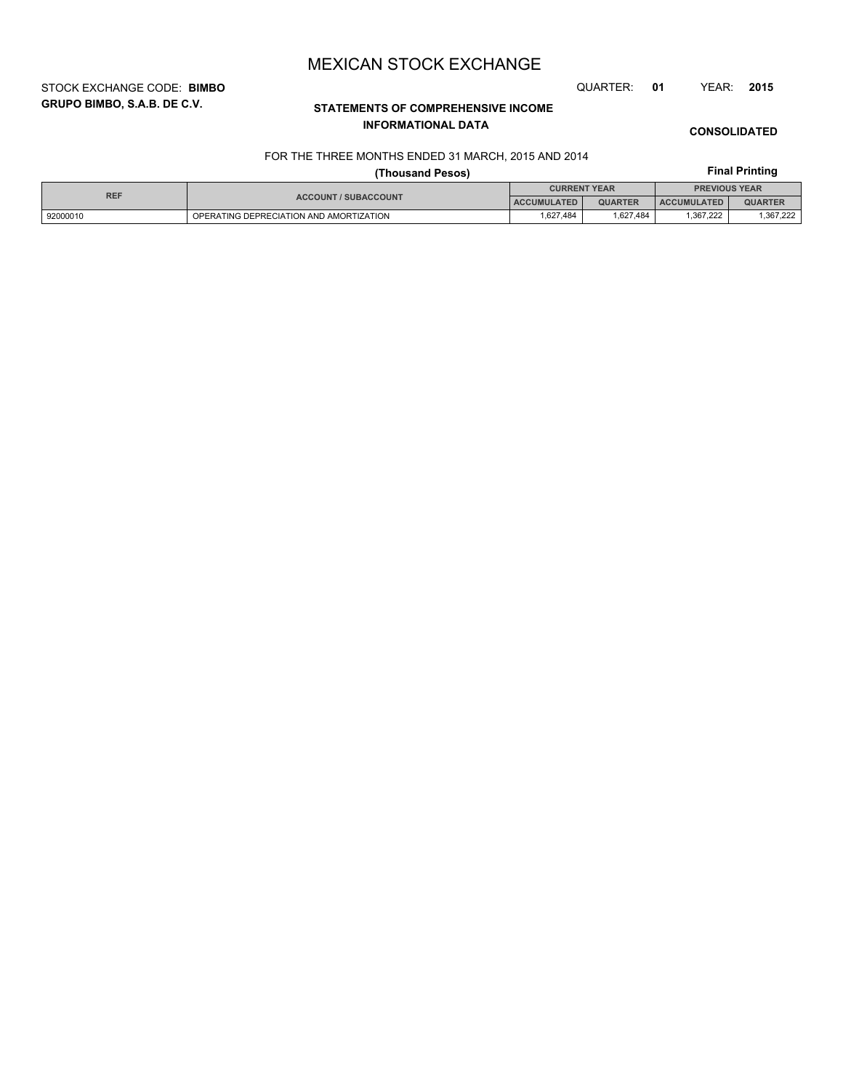STOCK EXCHANGE CODE: **BIMBO** QUARTER: **01** YEAR: **2015**

# **STATEMENTS OF COMPREHENSIVE INCOME INFORMATIONAL DATA**

# **CONSOLIDATED**

# FOR THE THREE MONTHS ENDED 31 MARCH, 2015 AND 2014

# **Final Printing**

|            |                                         | <b>Final Printing</b> |                |                      |                |  |
|------------|-----------------------------------------|-----------------------|----------------|----------------------|----------------|--|
|            |                                         | <b>CURRENT YEAR</b>   |                | <b>PREVIOUS YEAR</b> |                |  |
| <b>REF</b> | <b>ACCOUNT / SUBACCOUNT</b>             | <b>ACCUMULATED</b>    | <b>QUARTER</b> | <b>ACCUMULATED</b>   | <b>QUARTER</b> |  |
| 92000010   | OPERATING DEPRECIATION AND AMORTIZATION | 1.627.484             | 1.627.484      | 1.367.222            | ,367,222       |  |

# **GRUPO BIMBO, S.A.B. DE C.V.**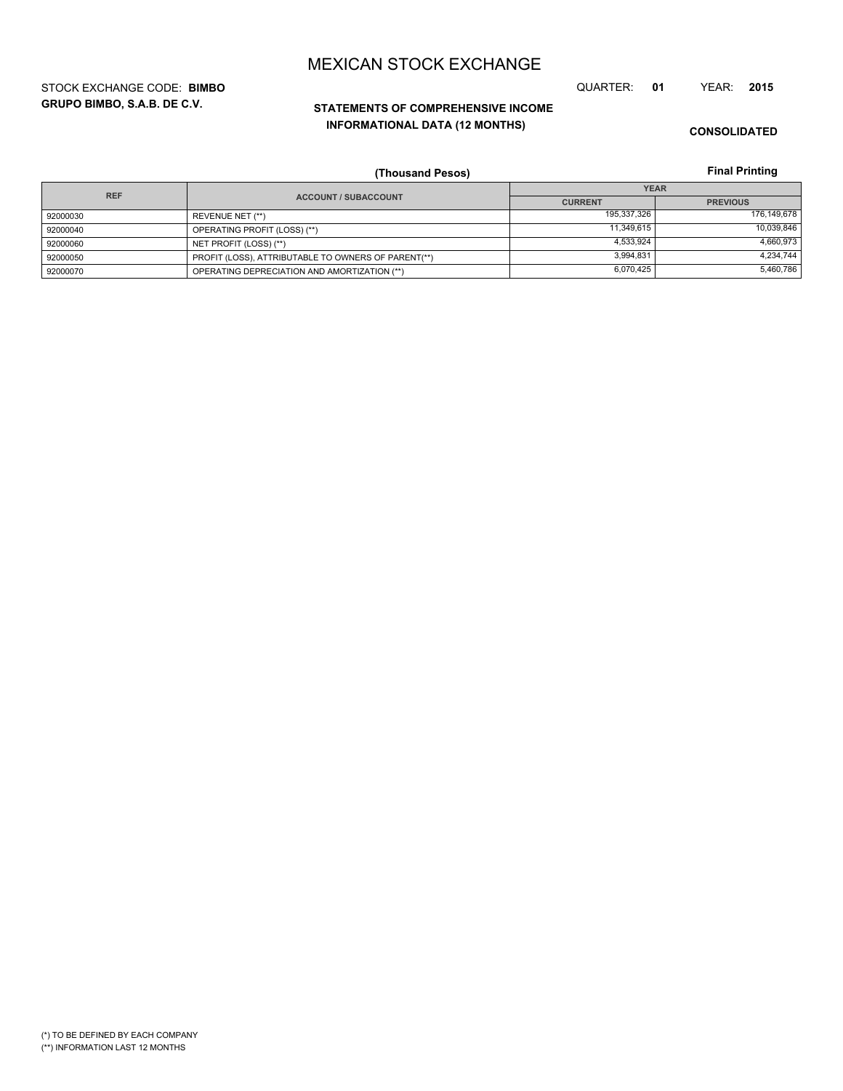**GRUPO BIMBO, S.A.B. DE C.V.** STOCK EXCHANGE CODE: **BIMBO** QUARTER: **01** YEAR: **2015**

# **STATEMENTS OF COMPREHENSIVE INCOME INFORMATIONAL DATA (12 MONTHS)**

**CONSOLIDATED**

**Final Printing**

|            | (Thousand Pesos)                                    |                | <b>Final Printing</b> |
|------------|-----------------------------------------------------|----------------|-----------------------|
| <b>REF</b> |                                                     |                | <b>YEAR</b>           |
|            | <b>ACCOUNT / SUBACCOUNT</b>                         | <b>CURRENT</b> | <b>PREVIOUS</b>       |
| 92000030   | REVENUE NET (**)                                    | 195,337,326    | 176,149,678           |
| 92000040   | OPERATING PROFIT (LOSS) (**)                        | 11.349.615     | 10,039,846            |
| 92000060   | NET PROFIT (LOSS) (**)                              | 4,533,924      | 4,660,973             |
| 92000050   | PROFIT (LOSS), ATTRIBUTABLE TO OWNERS OF PARENT(**) | 3,994,831      | 4,234,744             |
| 92000070   | OPERATING DEPRECIATION AND AMORTIZATION (**)        | 6,070,425      | 5,460,786             |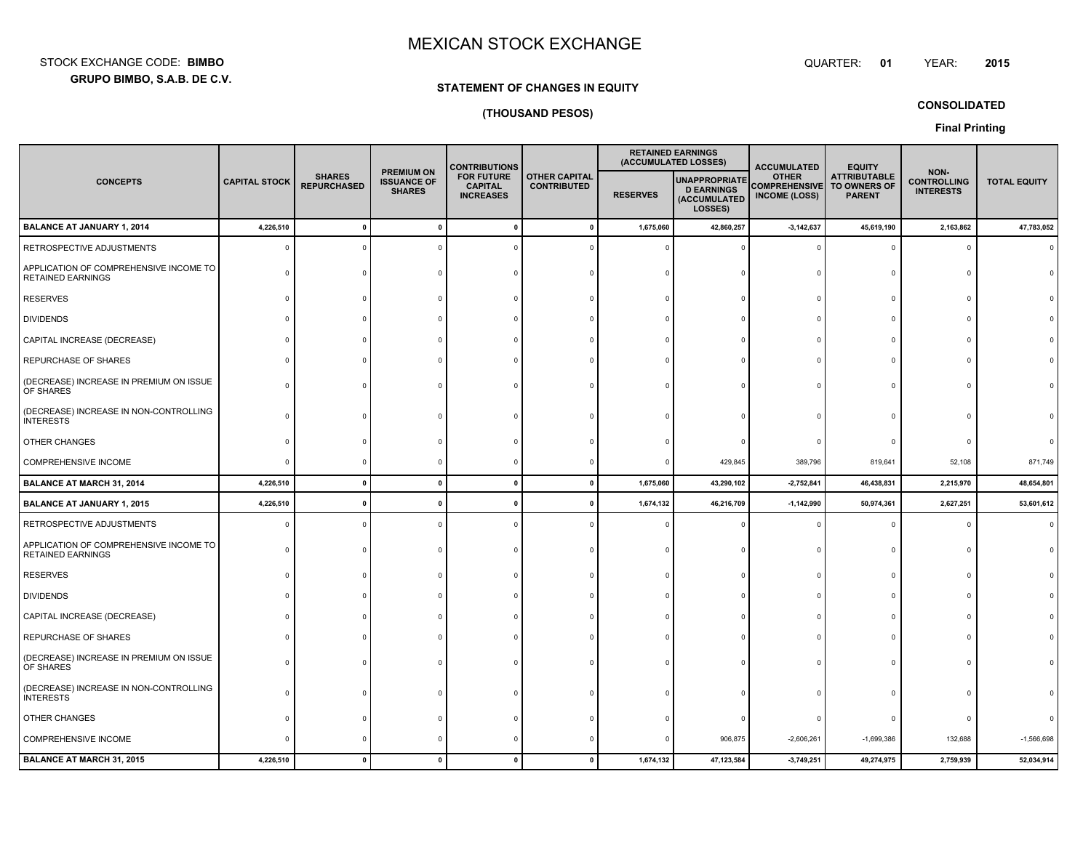**GRUPO BIMBO, S.A.B. DE C.V.** STOCK EXCHANGE CODE:**BIMBO**

#### : BIMBO QUARTER: **01**

**CONSOLIDATED**

# **STATEMENT OF CHANGES IN EQUITY**

# **(THOUSAND PESOS)**

# **Final Printing**

|                                                                    |                      |                                     |                                                          | <b>CONTRIBUTIONS</b>                                    |                                            |                 | <b>RETAINED EARNINGS</b><br>(ACCUMULATED LOSSES)                     | <b>ACCUMULATED</b>                                           | <b>EQUITY</b>                                        |                                                |                     |
|--------------------------------------------------------------------|----------------------|-------------------------------------|----------------------------------------------------------|---------------------------------------------------------|--------------------------------------------|-----------------|----------------------------------------------------------------------|--------------------------------------------------------------|------------------------------------------------------|------------------------------------------------|---------------------|
| <b>CONCEPTS</b>                                                    | <b>CAPITAL STOCK</b> | <b>SHARES</b><br><b>REPURCHASED</b> | <b>PREMIUM ON</b><br><b>ISSUANCE OF</b><br><b>SHARES</b> | <b>FOR FUTURE</b><br><b>CAPITAL</b><br><b>INCREASES</b> | <b>OTHER CAPITAL</b><br><b>CONTRIBUTED</b> | <b>RESERVES</b> | <b>UNAPPROPRIATE</b><br><b>D EARNINGS</b><br>(ACCUMULATED<br>LOSSES) | <b>OTHER</b><br><b>COMPREHENSIVE</b><br><b>INCOME (LOSS)</b> | <b>ATTRIBUTABLE</b><br>TO OWNERS OF<br><b>PARENT</b> | NON-<br><b>CONTROLLING</b><br><b>INTERESTS</b> | <b>TOTAL EQUITY</b> |
| <b>BALANCE AT JANUARY 1, 2014</b>                                  | 4,226,510            | $\Omega$                            | $\mathbf{0}$                                             | $\mathbf{r}$                                            | $\mathbf{0}$                               | 1,675,060       | 42,860,257                                                           | $-3, 142, 637$                                               | 45,619,190                                           | 2,163,862                                      | 47,783,052          |
| RETROSPECTIVE ADJUSTMENTS                                          | $\Omega$             |                                     |                                                          |                                                         |                                            |                 |                                                                      |                                                              |                                                      |                                                |                     |
| APPLICATION OF COMPREHENSIVE INCOME TO<br><b>RETAINED EARNINGS</b> |                      |                                     |                                                          |                                                         |                                            |                 |                                                                      |                                                              |                                                      |                                                |                     |
| <b>RESERVES</b>                                                    |                      |                                     |                                                          |                                                         |                                            |                 |                                                                      |                                                              |                                                      |                                                |                     |
| <b>DIVIDENDS</b>                                                   |                      |                                     |                                                          |                                                         |                                            |                 |                                                                      |                                                              |                                                      |                                                |                     |
| CAPITAL INCREASE (DECREASE)                                        |                      |                                     |                                                          |                                                         |                                            |                 |                                                                      |                                                              |                                                      |                                                |                     |
| REPURCHASE OF SHARES                                               |                      |                                     |                                                          |                                                         |                                            |                 |                                                                      |                                                              |                                                      |                                                |                     |
| (DECREASE) INCREASE IN PREMIUM ON ISSUE<br>OF SHARES               |                      |                                     |                                                          |                                                         |                                            |                 |                                                                      |                                                              |                                                      |                                                |                     |
| (DECREASE) INCREASE IN NON-CONTROLLING<br><b>INTERESTS</b>         |                      |                                     |                                                          |                                                         |                                            |                 |                                                                      |                                                              |                                                      |                                                |                     |
| OTHER CHANGES                                                      |                      |                                     |                                                          |                                                         |                                            |                 |                                                                      |                                                              |                                                      |                                                |                     |
| COMPREHENSIVE INCOME                                               |                      |                                     |                                                          |                                                         |                                            |                 | 429,845                                                              | 389,796                                                      | 819,641                                              | 52,108                                         | 871,749             |
| <b>BALANCE AT MARCH 31, 2014</b>                                   | 4,226,510            | $\mathbf{0}$                        | $\mathbf{0}$                                             | $\mathbf{0}$                                            | $\mathbf{0}$                               | 1,675,060       | 43,290,102                                                           | $-2,752,841$                                                 | 46,438,831                                           | 2,215,970                                      | 48,654,801          |
| <b>BALANCE AT JANUARY 1, 2015</b>                                  | 4,226,510            |                                     | $\mathbf{0}$                                             |                                                         | $\mathbf{0}$                               | 1,674,132       | 46,216,709                                                           | $-1,142,990$                                                 | 50,974,361                                           | 2,627,251                                      | 53,601,612          |
| RETROSPECTIVE ADJUSTMENTS                                          |                      |                                     |                                                          |                                                         |                                            |                 |                                                                      |                                                              |                                                      |                                                |                     |
| APPLICATION OF COMPREHENSIVE INCOME TO<br><b>RETAINED EARNINGS</b> |                      |                                     |                                                          |                                                         |                                            |                 |                                                                      |                                                              |                                                      |                                                |                     |
| <b>RESERVES</b>                                                    |                      |                                     |                                                          |                                                         |                                            |                 |                                                                      |                                                              |                                                      |                                                |                     |
| <b>DIVIDENDS</b>                                                   |                      |                                     |                                                          |                                                         |                                            |                 |                                                                      |                                                              |                                                      |                                                |                     |
| CAPITAL INCREASE (DECREASE)                                        |                      |                                     |                                                          |                                                         |                                            |                 |                                                                      |                                                              |                                                      |                                                |                     |
| REPURCHASE OF SHARES                                               |                      |                                     |                                                          |                                                         |                                            |                 |                                                                      |                                                              |                                                      |                                                |                     |
| (DECREASE) INCREASE IN PREMIUM ON ISSUE<br>OF SHARES               |                      |                                     |                                                          |                                                         |                                            |                 |                                                                      |                                                              |                                                      |                                                |                     |
| (DECREASE) INCREASE IN NON-CONTROLLING<br><b>INTERESTS</b>         |                      |                                     |                                                          |                                                         |                                            |                 |                                                                      |                                                              |                                                      |                                                |                     |
| OTHER CHANGES                                                      |                      |                                     |                                                          |                                                         |                                            |                 |                                                                      |                                                              |                                                      |                                                |                     |
| COMPREHENSIVE INCOME                                               |                      |                                     |                                                          |                                                         |                                            |                 | 906,875                                                              | $-2,606,261$                                                 | $-1,699,386$                                         | 132,688                                        | $-1,566,698$        |
| <b>BALANCE AT MARCH 31, 2015</b>                                   | 4,226,510            | $\mathbf{0}$                        | $\overline{\mathbf{0}}$                                  | $\overline{0}$                                          | $\mathbf 0$                                | 1,674,132       | 47,123,584                                                           | $-3,749,251$                                                 | 49,274,975                                           | 2,759,939                                      | 52,034,914          |

YEAR: **<sup>2015</sup>**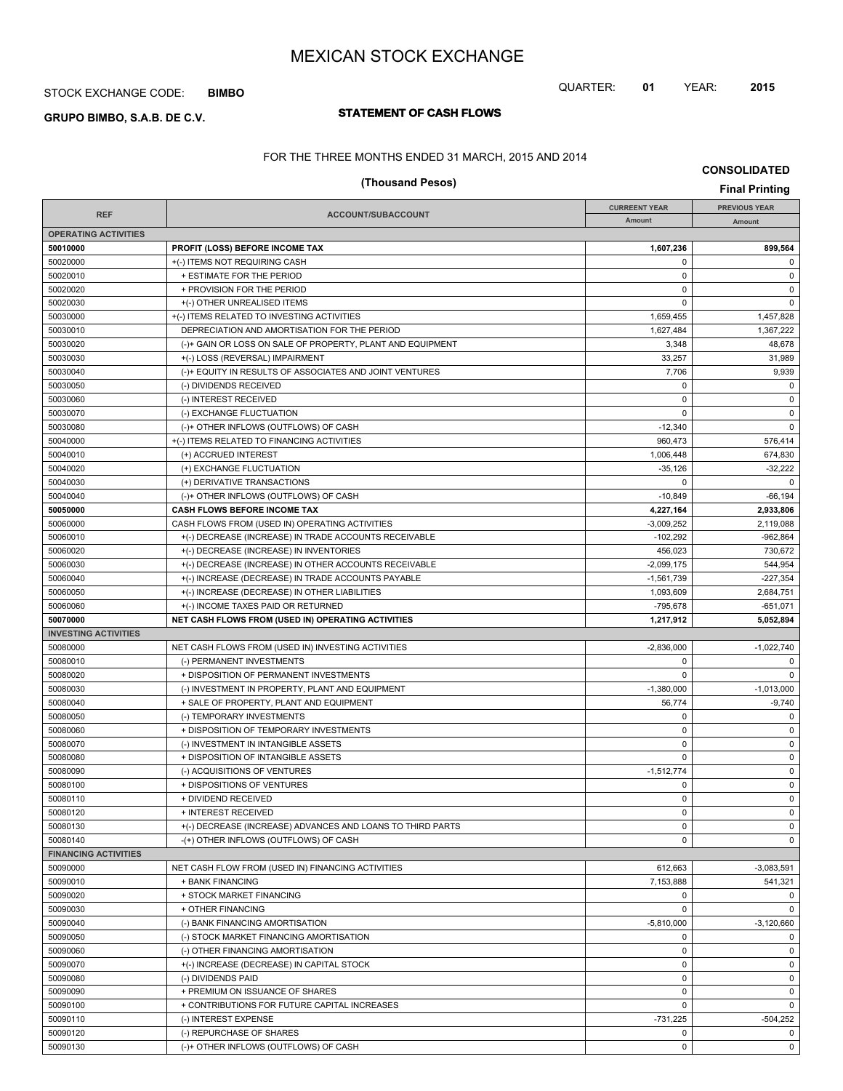# STOCK EXCHANGE CODE: **BIMBO**

# **STATEMENT OF CASH FLOWS GRUPO BIMBO, S.A.B. DE C.V.**

# QUARTER: **01** YEAR: **2015**

FOR THE THREE MONTHS ENDED 31 MARCH, 2015 AND 2014

**CONSOLIDATED (Thousand Pesos) Final Printing**

|                             |                                                            | <b>CURREENT YEAR</b> | <b>PREVIOUS YEAR</b> |
|-----------------------------|------------------------------------------------------------|----------------------|----------------------|
| <b>REF</b>                  | <b>ACCOUNT/SUBACCOUNT</b>                                  | Amount               | Amount               |
| <b>OPERATING ACTIVITIES</b> |                                                            |                      |                      |
| 50010000                    | <b>PROFIT (LOSS) BEFORE INCOME TAX</b>                     | 1,607,236            | 899,564              |
| 50020000                    | +(-) ITEMS NOT REQUIRING CASH                              | 0                    | $\mathbf 0$          |
| 50020010                    | + ESTIMATE FOR THE PERIOD                                  | 0                    | 0                    |
| 50020020                    | + PROVISION FOR THE PERIOD                                 | 0                    | $\mathbf 0$          |
| 50020030                    | +(-) OTHER UNREALISED ITEMS                                | $\mathbf 0$          | $\mathbf 0$          |
| 50030000                    | +(-) ITEMS RELATED TO INVESTING ACTIVITIES                 | 1,659,455            | 1,457,828            |
| 50030010                    | DEPRECIATION AND AMORTISATION FOR THE PERIOD               | 1,627,484            | 1,367,222            |
| 50030020                    | (-)+ GAIN OR LOSS ON SALE OF PROPERTY, PLANT AND EQUIPMENT | 3,348                | 48,678               |
| 50030030                    |                                                            | 33,257               | 31,989               |
|                             | +(-) LOSS (REVERSAL) IMPAIRMENT                            |                      |                      |
| 50030040                    | (-)+ EQUITY IN RESULTS OF ASSOCIATES AND JOINT VENTURES    | 7,706                | 9,939                |
| 50030050                    | (-) DIVIDENDS RECEIVED                                     | 0                    | $\mathbf 0$          |
| 50030060                    | (-) INTEREST RECEIVED                                      | 0                    | $\mathbf 0$          |
| 50030070                    | (-) EXCHANGE FLUCTUATION                                   | $\Omega$             | $\mathbf 0$          |
| 50030080                    | (-)+ OTHER INFLOWS (OUTFLOWS) OF CASH                      | $-12,340$            | $\mathbf 0$          |
| 50040000                    | +(-) ITEMS RELATED TO FINANCING ACTIVITIES                 | 960,473              | 576,414              |
| 50040010                    | (+) ACCRUED INTEREST                                       | 1,006,448            | 674,830              |
| 50040020                    | (+) EXCHANGE FLUCTUATION                                   | $-35,126$            | $-32,222$            |
| 50040030                    | (+) DERIVATIVE TRANSACTIONS                                | $\Omega$             | $\mathbf 0$          |
| 50040040                    | (-)+ OTHER INFLOWS (OUTFLOWS) OF CASH                      | $-10.849$            | $-66, 194$           |
| 50050000                    | <b>CASH FLOWS BEFORE INCOME TAX</b>                        | 4,227,164            | 2,933,806            |
| 50060000                    | CASH FLOWS FROM (USED IN) OPERATING ACTIVITIES             | $-3,009,252$         | 2,119,088            |
| 50060010                    | +(-) DECREASE (INCREASE) IN TRADE ACCOUNTS RECEIVABLE      | $-102,292$           | $-962.864$           |
| 50060020                    | +(-) DECREASE (INCREASE) IN INVENTORIES                    | 456.023              | 730,672              |
| 50060030                    | +(-) DECREASE (INCREASE) IN OTHER ACCOUNTS RECEIVABLE      | $-2,099,175$         | 544.954              |
| 50060040                    | +(-) INCREASE (DECREASE) IN TRADE ACCOUNTS PAYABLE         | $-1,561,739$         | $-227,354$           |
| 50060050                    | +(-) INCREASE (DECREASE) IN OTHER LIABILITIES              | 1,093,609            | 2,684,751            |
| 50060060                    | +(-) INCOME TAXES PAID OR RETURNED                         | $-795,678$           | $-651,071$           |
| 50070000                    | NET CASH FLOWS FROM (USED IN) OPERATING ACTIVITIES         | 1,217,912            | 5,052,894            |
| <b>INVESTING ACTIVITIES</b> |                                                            |                      |                      |
| 50080000                    | NET CASH FLOWS FROM (USED IN) INVESTING ACTIVITIES         | $-2,836,000$         | $-1,022,740$         |
| 50080010                    | (-) PERMANENT INVESTMENTS                                  | $\Omega$             | 0                    |
| 50080020                    | + DISPOSITION OF PERMANENT INVESTMENTS                     | $\Omega$             | $\mathbf 0$          |
| 50080030                    | (-) INVESTMENT IN PROPERTY, PLANT AND EQUIPMENT            | $-1,380,000$         | $-1,013,000$         |
| 50080040                    | + SALE OF PROPERTY, PLANT AND EQUIPMENT                    | 56,774               | $-9,740$             |
| 50080050                    | (-) TEMPORARY INVESTMENTS                                  | 0                    | $\mathbf 0$          |
| 50080060                    | + DISPOSITION OF TEMPORARY INVESTMENTS                     | 0                    | 0                    |
| 50080070                    | (-) INVESTMENT IN INTANGIBLE ASSETS                        | 0                    | $\mathbf 0$          |
| 50080080                    | + DISPOSITION OF INTANGIBLE ASSETS                         | $\mathbf 0$          | $\mathsf 0$          |
| 50080090                    | (-) ACQUISITIONS OF VENTURES                               | $-1,512,774$         | 0                    |
| 50080100                    | + DISPOSITIONS OF VENTURES                                 | 0                    | 0                    |
| 50080110                    | + DIVIDEND RECEIVED                                        | $\mathbf 0$          | $\mathbf 0$          |
| 50080120                    | + INTEREST RECEIVED                                        | 0                    | $\mathbf 0$          |
| 50080130                    | +(-) DECREASE (INCREASE) ADVANCES AND LOANS TO THIRD PARTS | 0                    | $\mathbf 0$          |
| 50080140                    | -(+) OTHER INFLOWS (OUTFLOWS) OF CASH                      | 0                    | $\mathbf 0$          |
| <b>FINANCING ACTIVITIES</b> |                                                            |                      |                      |
| 50090000                    |                                                            |                      |                      |
|                             | NET CASH FLOW FROM (USED IN) FINANCING ACTIVITIES          | 612,663              | $-3,083,591$         |
| 50090010                    | + BANK FINANCING                                           | 7,153,888            | 541,321              |
| 50090020                    | + STOCK MARKET FINANCING                                   | 0                    | 0                    |
| 50090030                    | + OTHER FINANCING                                          | 0                    | $\mathbf 0$          |
| 50090040                    | (-) BANK FINANCING AMORTISATION                            | $-5,810,000$         | $-3,120,660$         |
| 50090050                    | (-) STOCK MARKET FINANCING AMORTISATION                    | 0                    | 0                    |
| 50090060                    | (-) OTHER FINANCING AMORTISATION                           | 0                    | $\mathbf 0$          |
| 50090070                    | +(-) INCREASE (DECREASE) IN CAPITAL STOCK                  | $\pmb{0}$            | $\mathbf 0$          |
| 50090080                    | (-) DIVIDENDS PAID                                         | 0                    | 0                    |
| 50090090                    | + PREMIUM ON ISSUANCE OF SHARES                            | $\pmb{0}$            | $\mathbf 0$          |
| 50090100                    | + CONTRIBUTIONS FOR FUTURE CAPITAL INCREASES               | $\mathbf 0$          | $\mathbf 0$          |
| 50090110                    | (-) INTEREST EXPENSE                                       | $-731,225$           | $-504,252$           |
| 50090120                    | (-) REPURCHASE OF SHARES                                   | 0                    | 0                    |
| 50090130                    | (-)+ OTHER INFLOWS (OUTFLOWS) OF CASH                      | 0                    | 0                    |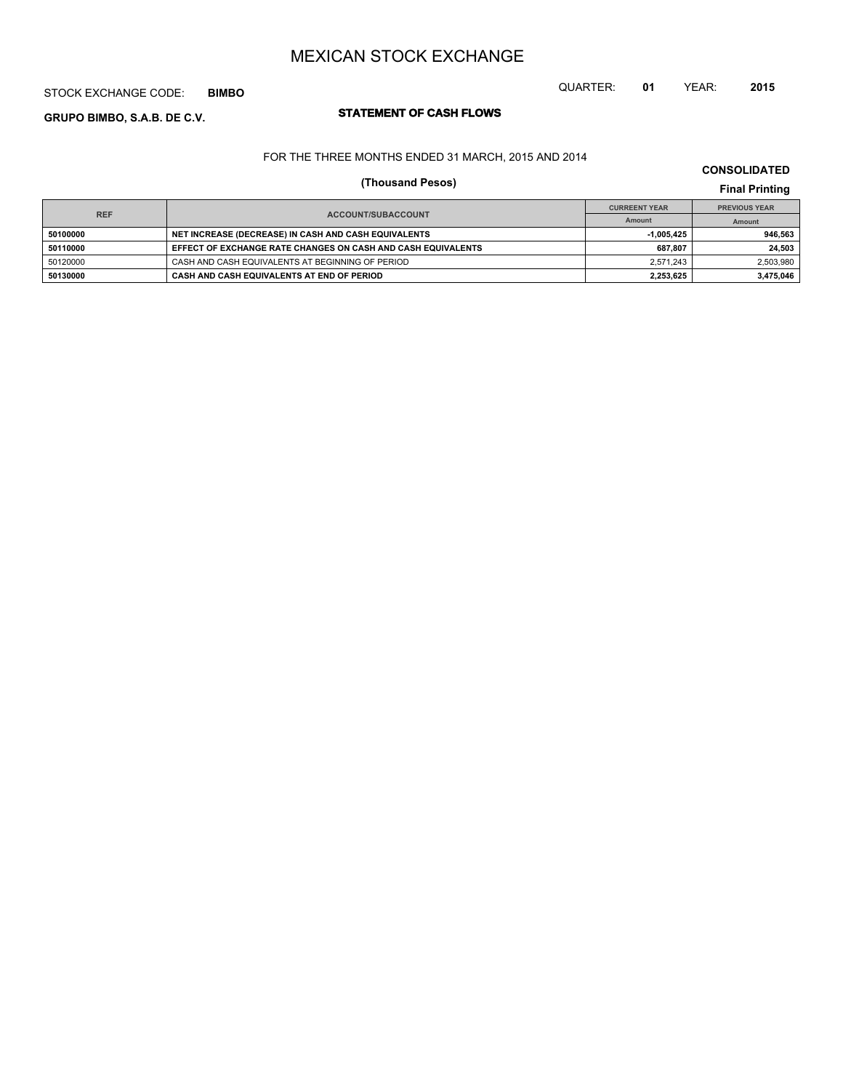# STOCK EXCHANGE CODE: **BIMBO**

# **STATEMENT OF CASH FLOWS GRUPO BIMBO, S.A.B. DE C.V.**

FOR THE THREE MONTHS ENDED 31 MARCH, 2015 AND 2014

# **(Thousand Pesos) Final Printing**

|            |                                                              | <b>CURREENT YEAR</b> | <b>PREVIOUS YEAR</b> |
|------------|--------------------------------------------------------------|----------------------|----------------------|
| <b>REF</b> | <b>ACCOUNT/SUBACCOUNT</b>                                    | Amount               | Amount               |
| 50100000   | NET INCREASE (DECREASE) IN CASH AND CASH EQUIVALENTS         | $-1.005.425$         | 946.563              |
| 50110000   | EFFECT OF EXCHANGE RATE CHANGES ON CASH AND CASH EQUIVALENTS | 687.807              | 24.503               |
| 50120000   | CASH AND CASH EQUIVALENTS AT BEGINNING OF PERIOD             | 2.571.243            | 2,503,980            |
| 50130000   | CASH AND CASH EQUIVALENTS AT END OF PERIOD                   | 2.253.625            | 3.475.046            |

QUARTER: **01** YEAR: **2015**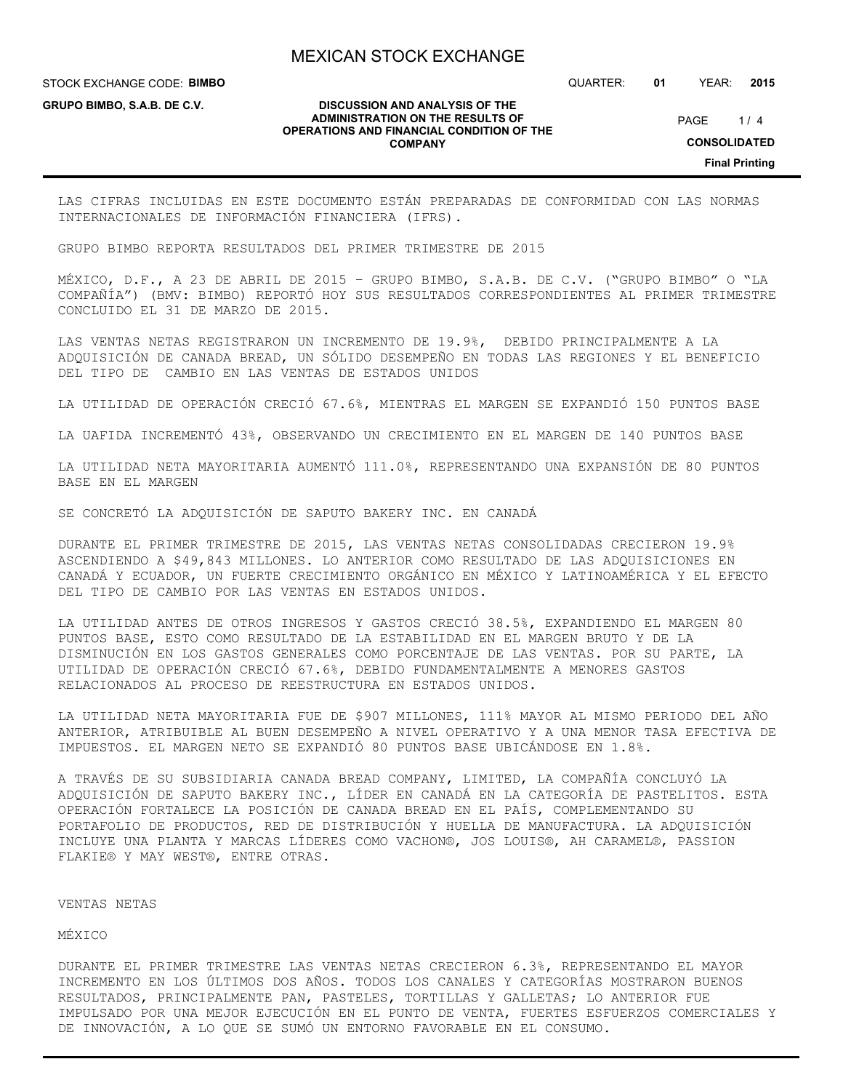STOCK EXCHANGE CODE: **BIMBO**

**GRUPO BIMBO, S.A.B. DE C.V.**

QUARTER: **01** YEAR: **2015**

 $1/4$ PAGE

#### **DISCUSSION AND ANALYSIS OF THE ADMINISTRATION ON THE RESULTS OF OPERATIONS AND FINANCIAL CONDITION OF THE COMPANY**

**CONSOLIDATED**

**Final Printing**

LAS CIFRAS INCLUIDAS EN ESTE DOCUMENTO ESTÁN PREPARADAS DE CONFORMIDAD CON LAS NORMAS INTERNACIONALES DE INFORMACIÓN FINANCIERA (IFRS).

GRUPO BIMBO REPORTA RESULTADOS DEL PRIMER TRIMESTRE DE 2015

MÉXICO, D.F., A 23 DE ABRIL DE 2015 – GRUPO BIMBO, S.A.B. DE C.V. ("GRUPO BIMBO" O "LA COMPAÑÍA") (BMV: BIMBO) REPORTÓ HOY SUS RESULTADOS CORRESPONDIENTES AL PRIMER TRIMESTRE CONCLUIDO EL 31 DE MARZO DE 2015.

LAS VENTAS NETAS REGISTRARON UN INCREMENTO DE 19.9%, DEBIDO PRINCIPALMENTE A LA ADQUISICIÓN DE CANADA BREAD, UN SÓLIDO DESEMPEÑO EN TODAS LAS REGIONES Y EL BENEFICIO DEL TIPO DE CAMBIO EN LAS VENTAS DE ESTADOS UNIDOS

LA UTILIDAD DE OPERACIÓN CRECIÓ 67.6%, MIENTRAS EL MARGEN SE EXPANDIÓ 150 PUNTOS BASE

LA UAFIDA INCREMENTÓ 43%, OBSERVANDO UN CRECIMIENTO EN EL MARGEN DE 140 PUNTOS BASE

LA UTILIDAD NETA MAYORITARIA AUMENTÓ 111.0%, REPRESENTANDO UNA EXPANSIÓN DE 80 PUNTOS BASE EN EL MARGEN

SE CONCRETÓ LA ADQUISICIÓN DE SAPUTO BAKERY INC. EN CANADÁ

DURANTE EL PRIMER TRIMESTRE DE 2015, LAS VENTAS NETAS CONSOLIDADAS CRECIERON 19.9% ASCENDIENDO A \$49,843 MILLONES. LO ANTERIOR COMO RESULTADO DE LAS ADQUISICIONES EN CANADÁ Y ECUADOR, UN FUERTE CRECIMIENTO ORGÁNICO EN MÉXICO Y LATINOAMÉRICA Y EL EFECTO DEL TIPO DE CAMBIO POR LAS VENTAS EN ESTADOS UNIDOS.

LA UTILIDAD ANTES DE OTROS INGRESOS Y GASTOS CRECIÓ 38.5%, EXPANDIENDO EL MARGEN 80 PUNTOS BASE, ESTO COMO RESULTADO DE LA ESTABILIDAD EN EL MARGEN BRUTO Y DE LA DISMINUCIÓN EN LOS GASTOS GENERALES COMO PORCENTAJE DE LAS VENTAS. POR SU PARTE, LA UTILIDAD DE OPERACIÓN CRECIÓ 67.6%, DEBIDO FUNDAMENTALMENTE A MENORES GASTOS RELACIONADOS AL PROCESO DE REESTRUCTURA EN ESTADOS UNIDOS.

LA UTILIDAD NETA MAYORITARIA FUE DE \$907 MILLONES, 111% MAYOR AL MISMO PERIODO DEL AÑO ANTERIOR, ATRIBUIBLE AL BUEN DESEMPEÑO A NIVEL OPERATIVO Y A UNA MENOR TASA EFECTIVA DE IMPUESTOS. EL MARGEN NETO SE EXPANDIÓ 80 PUNTOS BASE UBICÁNDOSE EN 1.8%.

A TRAVÉS DE SU SUBSIDIARIA CANADA BREAD COMPANY, LIMITED, LA COMPAÑÍA CONCLUYÓ LA ADQUISICIÓN DE SAPUTO BAKERY INC., LÍDER EN CANADÁ EN LA CATEGORÍA DE PASTELITOS. ESTA OPERACIÓN FORTALECE LA POSICIÓN DE CANADA BREAD EN EL PAÍS, COMPLEMENTANDO SU PORTAFOLIO DE PRODUCTOS, RED DE DISTRIBUCIÓN Y HUELLA DE MANUFACTURA. LA ADQUISICIÓN INCLUYE UNA PLANTA Y MARCAS LÍDERES COMO VACHON®, JOS LOUIS®, AH CARAMEL®, PASSION FLAKIE® Y MAY WEST®, ENTRE OTRAS.

#### VENTAS NETAS

MÉXICO

DURANTE EL PRIMER TRIMESTRE LAS VENTAS NETAS CRECIERON 6.3%, REPRESENTANDO EL MAYOR INCREMENTO EN LOS ÚLTIMOS DOS AÑOS. TODOS LOS CANALES Y CATEGORÍAS MOSTRARON BUENOS RESULTADOS, PRINCIPALMENTE PAN, PASTELES, TORTILLAS Y GALLETAS; LO ANTERIOR FUE IMPULSADO POR UNA MEJOR EJECUCIÓN EN EL PUNTO DE VENTA, FUERTES ESFUERZOS COMERCIALES Y DE INNOVACIÓN, A LO QUE SE SUMÓ UN ENTORNO FAVORABLE EN EL CONSUMO.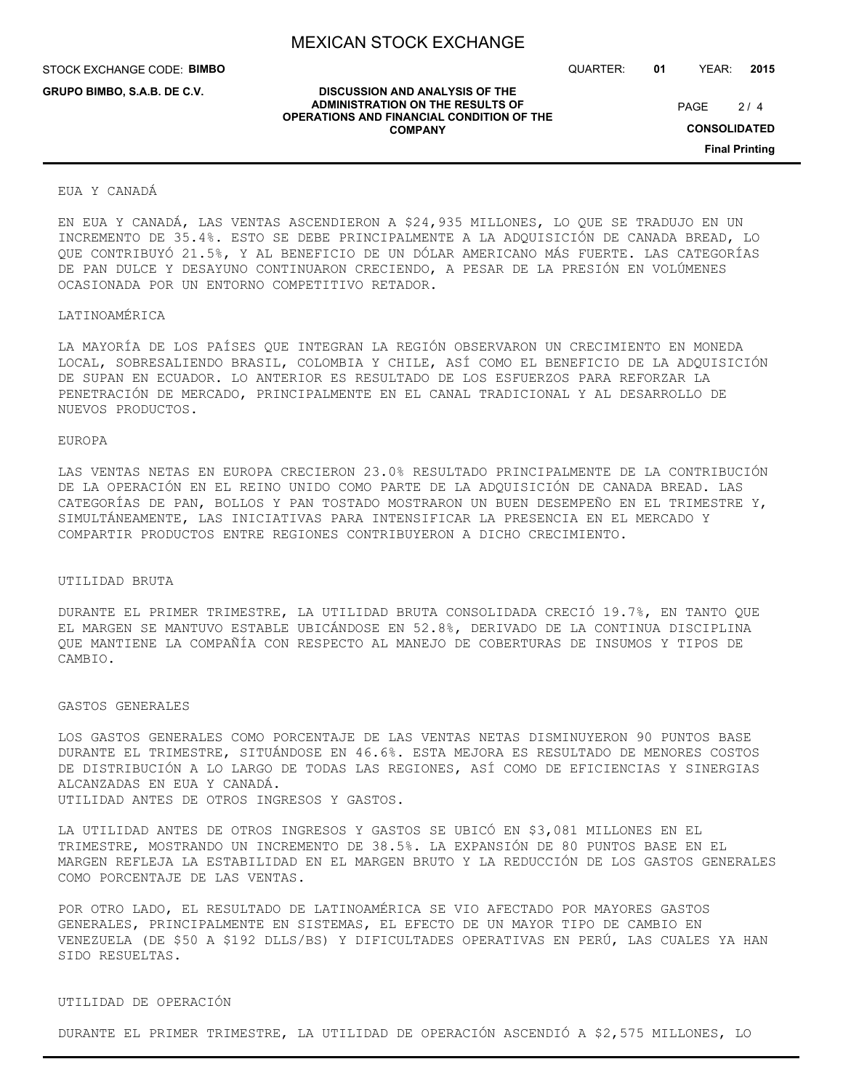**DISCUSSION AND ANALYSIS OF THE ADMINISTRATION ON THE RESULTS OF OPERATIONS AND FINANCIAL CONDITION OF THE COMPANY**

STOCK EXCHANGE CODE: **BIMBO**

**GRUPO BIMBO, S.A.B. DE C.V.**

QUARTER: **01** YEAR: **2015**

 $2/4$ PAGE

**CONSOLIDATED**

**Final Printing**

#### EUA Y CANADÁ

EN EUA Y CANADÁ, LAS VENTAS ASCENDIERON A \$24,935 MILLONES, LO QUE SE TRADUJO EN UN INCREMENTO DE 35.4%. ESTO SE DEBE PRINCIPALMENTE A LA ADQUISICIÓN DE CANADA BREAD, LO QUE CONTRIBUYÓ 21.5%, Y AL BENEFICIO DE UN DÓLAR AMERICANO MÁS FUERTE. LAS CATEGORÍAS DE PAN DULCE Y DESAYUNO CONTINUARON CRECIENDO, A PESAR DE LA PRESIÓN EN VOLÚMENES OCASIONADA POR UN ENTORNO COMPETITIVO RETADOR.

## LATINOAMÉRICA

LA MAYORÍA DE LOS PAÍSES QUE INTEGRAN LA REGIÓN OBSERVARON UN CRECIMIENTO EN MONEDA LOCAL, SOBRESALIENDO BRASIL, COLOMBIA Y CHILE, ASÍ COMO EL BENEFICIO DE LA ADQUISICIÓN DE SUPAN EN ECUADOR. LO ANTERIOR ES RESULTADO DE LOS ESFUERZOS PARA REFORZAR LA PENETRACIÓN DE MERCADO, PRINCIPALMENTE EN EL CANAL TRADICIONAL Y AL DESARROLLO DE NUEVOS PRODUCTOS.

## EUROPA

LAS VENTAS NETAS EN EUROPA CRECIERON 23.0% RESULTADO PRINCIPALMENTE DE LA CONTRIBUCIÓN DE LA OPERACIÓN EN EL REINO UNIDO COMO PARTE DE LA ADQUISICIÓN DE CANADA BREAD. LAS CATEGORÍAS DE PAN, BOLLOS Y PAN TOSTADO MOSTRARON UN BUEN DESEMPEÑO EN EL TRIMESTRE Y, SIMULTÁNEAMENTE, LAS INICIATIVAS PARA INTENSIFICAR LA PRESENCIA EN EL MERCADO Y COMPARTIR PRODUCTOS ENTRE REGIONES CONTRIBUYERON A DICHO CRECIMIENTO.

#### UTILIDAD BRUTA

DURANTE EL PRIMER TRIMESTRE, LA UTILIDAD BRUTA CONSOLIDADA CRECIÓ 19.7%, EN TANTO QUE EL MARGEN SE MANTUVO ESTABLE UBICÁNDOSE EN 52.8%, DERIVADO DE LA CONTINUA DISCIPLINA QUE MANTIENE LA COMPAÑÍA CON RESPECTO AL MANEJO DE COBERTURAS DE INSUMOS Y TIPOS DE CAMBIO.

#### GASTOS GENERALES

LOS GASTOS GENERALES COMO PORCENTAJE DE LAS VENTAS NETAS DISMINUYERON 90 PUNTOS BASE DURANTE EL TRIMESTRE, SITUÁNDOSE EN 46.6%. ESTA MEJORA ES RESULTADO DE MENORES COSTOS DE DISTRIBUCIÓN A LO LARGO DE TODAS LAS REGIONES, ASÍ COMO DE EFICIENCIAS Y SINERGIAS ALCANZADAS EN EUA Y CANADÁ. UTILIDAD ANTES DE OTROS INGRESOS Y GASTOS.

LA UTILIDAD ANTES DE OTROS INGRESOS Y GASTOS SE UBICÓ EN \$3,081 MILLONES EN EL TRIMESTRE, MOSTRANDO UN INCREMENTO DE 38.5%. LA EXPANSIÓN DE 80 PUNTOS BASE EN EL MARGEN REFLEJA LA ESTABILIDAD EN EL MARGEN BRUTO Y LA REDUCCIÓN DE LOS GASTOS GENERALES COMO PORCENTAJE DE LAS VENTAS.

POR OTRO LADO, EL RESULTADO DE LATINOAMÉRICA SE VIO AFECTADO POR MAYORES GASTOS GENERALES, PRINCIPALMENTE EN SISTEMAS, EL EFECTO DE UN MAYOR TIPO DE CAMBIO EN VENEZUELA (DE \$50 A \$192 DLLS/BS) Y DIFICULTADES OPERATIVAS EN PERÚ, LAS CUALES YA HAN SIDO RESUELTAS.

#### UTILIDAD DE OPERACIÓN

DURANTE EL PRIMER TRIMESTRE, LA UTILIDAD DE OPERACIÓN ASCENDIÓ A \$2,575 MILLONES, LO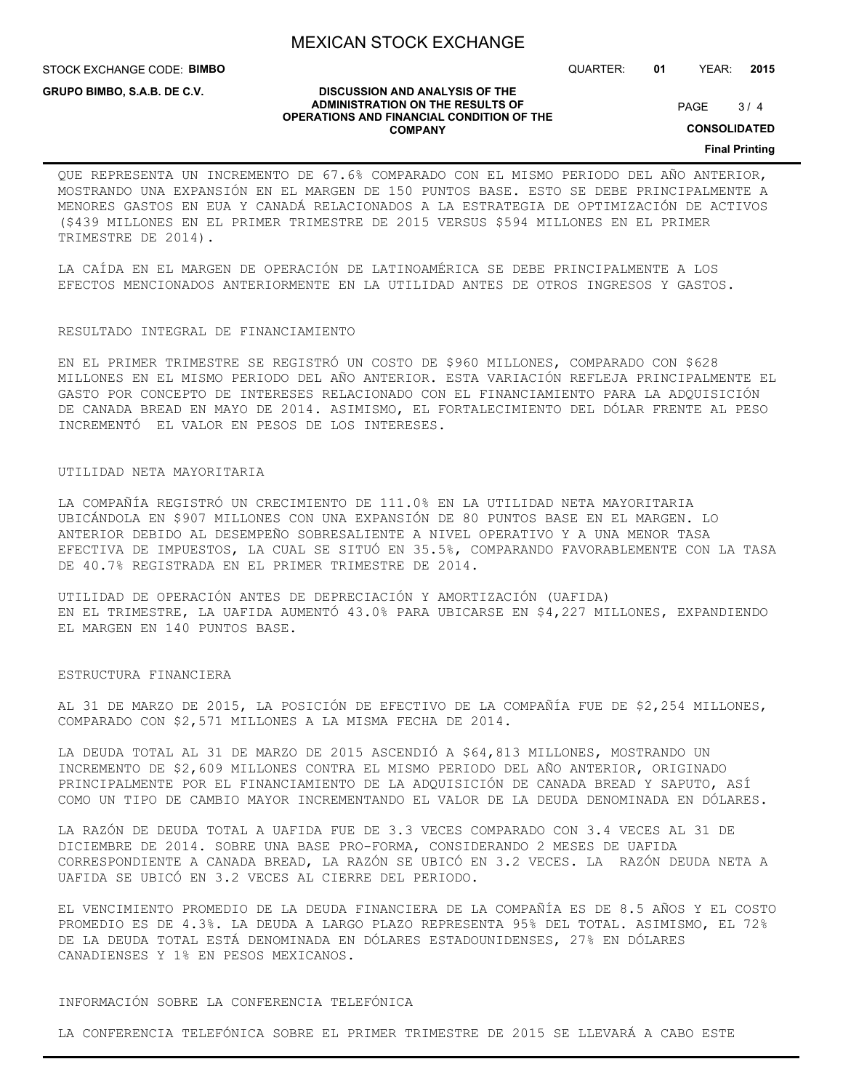STOCK EXCHANGE CODE: **BIMBO**

**GRUPO BIMBO, S.A.B. DE C.V.**

QUARTER: **01** YEAR: **2015**

 $3/4$ PAGE

**CONSOLIDATED**

**Final Printing**

#### **DISCUSSION AND ANALYSIS OF THE ADMINISTRATION ON THE RESULTS OF OPERATIONS AND FINANCIAL CONDITION OF THE COMPANY**

QUE REPRESENTA UN INCREMENTO DE 67.6% COMPARADO CON EL MISMO PERIODO DEL AÑO ANTERIOR, MOSTRANDO UNA EXPANSIÓN EN EL MARGEN DE 150 PUNTOS BASE. ESTO SE DEBE PRINCIPALMENTE A MENORES GASTOS EN EUA Y CANADÁ RELACIONADOS A LA ESTRATEGIA DE OPTIMIZACIÓN DE ACTIVOS (\$439 MILLONES EN EL PRIMER TRIMESTRE DE 2015 VERSUS \$594 MILLONES EN EL PRIMER TRIMESTRE DE 2014).

LA CAÍDA EN EL MARGEN DE OPERACIÓN DE LATINOAMÉRICA SE DEBE PRINCIPALMENTE A LOS EFECTOS MENCIONADOS ANTERIORMENTE EN LA UTILIDAD ANTES DE OTROS INGRESOS Y GASTOS.

#### RESULTADO INTEGRAL DE FINANCIAMIENTO

EN EL PRIMER TRIMESTRE SE REGISTRÓ UN COSTO DE \$960 MILLONES, COMPARADO CON \$628 MILLONES EN EL MISMO PERIODO DEL AÑO ANTERIOR. ESTA VARIACIÓN REFLEJA PRINCIPALMENTE EL GASTO POR CONCEPTO DE INTERESES RELACIONADO CON EL FINANCIAMIENTO PARA LA ADQUISICIÓN DE CANADA BREAD EN MAYO DE 2014. ASIMISMO, EL FORTALECIMIENTO DEL DÓLAR FRENTE AL PESO INCREMENTÓ EL VALOR EN PESOS DE LOS INTERESES.

#### UTILIDAD NETA MAYORITARIA

LA COMPAÑÍA REGISTRÓ UN CRECIMIENTO DE 111.0% EN LA UTILIDAD NETA MAYORITARIA UBICÁNDOLA EN \$907 MILLONES CON UNA EXPANSIÓN DE 80 PUNTOS BASE EN EL MARGEN. LO ANTERIOR DEBIDO AL DESEMPEÑO SOBRESALIENTE A NIVEL OPERATIVO Y A UNA MENOR TASA EFECTIVA DE IMPUESTOS, LA CUAL SE SITUÓ EN 35.5%, COMPARANDO FAVORABLEMENTE CON LA TASA DE 40.7% REGISTRADA EN EL PRIMER TRIMESTRE DE 2014.

UTILIDAD DE OPERACIÓN ANTES DE DEPRECIACIÓN Y AMORTIZACIÓN (UAFIDA) EN EL TRIMESTRE, LA UAFIDA AUMENTÓ 43.0% PARA UBICARSE EN \$4,227 MILLONES, EXPANDIENDO EL MARGEN EN 140 PUNTOS BASE.

## ESTRUCTURA FINANCIERA

AL 31 DE MARZO DE 2015, LA POSICIÓN DE EFECTIVO DE LA COMPAÑÍA FUE DE \$2,254 MILLONES, COMPARADO CON \$2,571 MILLONES A LA MISMA FECHA DE 2014.

LA DEUDA TOTAL AL 31 DE MARZO DE 2015 ASCENDIÓ A \$64,813 MILLONES, MOSTRANDO UN INCREMENTO DE \$2,609 MILLONES CONTRA EL MISMO PERIODO DEL AÑO ANTERIOR, ORIGINADO PRINCIPALMENTE POR EL FINANCIAMIENTO DE LA ADQUISICIÓN DE CANADA BREAD Y SAPUTO, ASÍ COMO UN TIPO DE CAMBIO MAYOR INCREMENTANDO EL VALOR DE LA DEUDA DENOMINADA EN DÓLARES.

LA RAZÓN DE DEUDA TOTAL A UAFIDA FUE DE 3.3 VECES COMPARADO CON 3.4 VECES AL 31 DE DICIEMBRE DE 2014. SOBRE UNA BASE PRO-FORMA, CONSIDERANDO 2 MESES DE UAFIDA CORRESPONDIENTE A CANADA BREAD, LA RAZÓN SE UBICÓ EN 3.2 VECES. LA RAZÓN DEUDA NETA A UAFIDA SE UBICÓ EN 3.2 VECES AL CIERRE DEL PERIODO.

EL VENCIMIENTO PROMEDIO DE LA DEUDA FINANCIERA DE LA COMPAÑÍA ES DE 8.5 AÑOS Y EL COSTO PROMEDIO ES DE 4.3%. LA DEUDA A LARGO PLAZO REPRESENTA 95% DEL TOTAL. ASIMISMO, EL 72% DE LA DEUDA TOTAL ESTÁ DENOMINADA EN DÓLARES ESTADOUNIDENSES, 27% EN DÓLARES CANADIENSES Y 1% EN PESOS MEXICANOS.

# INFORMACIÓN SOBRE LA CONFERENCIA TELEFÓNICA

LA CONFERENCIA TELEFÓNICA SOBRE EL PRIMER TRIMESTRE DE 2015 SE LLEVARÁ A CABO ESTE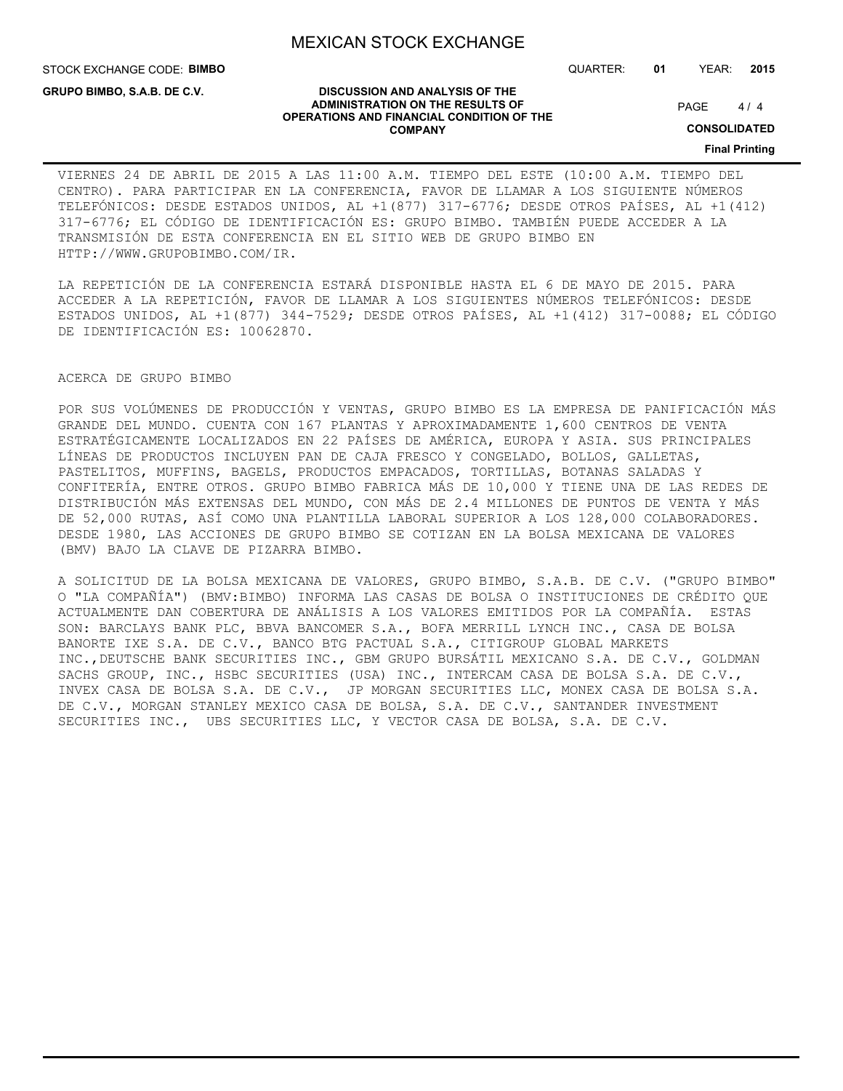STOCK EXCHANGE CODE: **BIMBO**

**GRUPO BIMBO, S.A.B. DE C.V.**

QUARTER: **01** YEAR: **2015**

#### **DISCUSSION AND ANALYSIS OF THE ADMINISTRATION ON THE RESULTS OF OPERATIONS AND FINANCIAL CONDITION OF THE COMPANY**

 $4/4$ PAGE

**CONSOLIDATED**

**Final Printing**

# VIERNES 24 DE ABRIL DE 2015 A LAS 11:00 A.M. TIEMPO DEL ESTE (10:00 A.M. TIEMPO DEL CENTRO). PARA PARTICIPAR EN LA CONFERENCIA, FAVOR DE LLAMAR A LOS SIGUIENTE NÚMEROS TELEFÓNICOS: DESDE ESTADOS UNIDOS, AL +1(877) 317-6776; DESDE OTROS PAÍSES, AL +1(412) 317-6776; EL CÓDIGO DE IDENTIFICACIÓN ES: GRUPO BIMBO. TAMBIÉN PUEDE ACCEDER A LA TRANSMISIÓN DE ESTA CONFERENCIA EN EL SITIO WEB DE GRUPO BIMBO EN HTTP://WWW.GRUPOBIMBO.COM/IR.

LA REPETICIÓN DE LA CONFERENCIA ESTARÁ DISPONIBLE HASTA EL 6 DE MAYO DE 2015. PARA ACCEDER A LA REPETICIÓN, FAVOR DE LLAMAR A LOS SIGUIENTES NÚMEROS TELEFÓNICOS: DESDE ESTADOS UNIDOS, AL +1(877) 344-7529; DESDE OTROS PAÍSES, AL +1(412) 317-0088; EL CÓDIGO DE IDENTIFICACIÓN ES: 10062870.

## ACERCA DE GRUPO BIMBO

POR SUS VOLÚMENES DE PRODUCCIÓN Y VENTAS, GRUPO BIMBO ES LA EMPRESA DE PANIFICACIÓN MÁS GRANDE DEL MUNDO. CUENTA CON 167 PLANTAS Y APROXIMADAMENTE 1,600 CENTROS DE VENTA ESTRATÉGICAMENTE LOCALIZADOS EN 22 PAÍSES DE AMÉRICA, EUROPA Y ASIA. SUS PRINCIPALES LÍNEAS DE PRODUCTOS INCLUYEN PAN DE CAJA FRESCO Y CONGELADO, BOLLOS, GALLETAS, PASTELITOS, MUFFINS, BAGELS, PRODUCTOS EMPACADOS, TORTILLAS, BOTANAS SALADAS Y CONFITERÍA, ENTRE OTROS. GRUPO BIMBO FABRICA MÁS DE 10,000 Y TIENE UNA DE LAS REDES DE DISTRIBUCIÓN MÁS EXTENSAS DEL MUNDO, CON MÁS DE 2.4 MILLONES DE PUNTOS DE VENTA Y MÁS DE 52,000 RUTAS, ASÍ COMO UNA PLANTILLA LABORAL SUPERIOR A LOS 128,000 COLABORADORES. DESDE 1980, LAS ACCIONES DE GRUPO BIMBO SE COTIZAN EN LA BOLSA MEXICANA DE VALORES (BMV) BAJO LA CLAVE DE PIZARRA BIMBO.

A SOLICITUD DE LA BOLSA MEXICANA DE VALORES, GRUPO BIMBO, S.A.B. DE C.V. ("GRUPO BIMBO" O "LA COMPAÑÍA") (BMV:BIMBO) INFORMA LAS CASAS DE BOLSA O INSTITUCIONES DE CRÉDITO QUE ACTUALMENTE DAN COBERTURA DE ANÁLISIS A LOS VALORES EMITIDOS POR LA COMPAÑÍA. ESTAS SON: BARCLAYS BANK PLC, BBVA BANCOMER S.A., BOFA MERRILL LYNCH INC., CASA DE BOLSA BANORTE IXE S.A. DE C.V., BANCO BTG PACTUAL S.A., CITIGROUP GLOBAL MARKETS INC.,DEUTSCHE BANK SECURITIES INC., GBM GRUPO BURSÁTIL MEXICANO S.A. DE C.V., GOLDMAN SACHS GROUP, INC., HSBC SECURITIES (USA) INC., INTERCAM CASA DE BOLSA S.A. DE C.V., INVEX CASA DE BOLSA S.A. DE C.V., JP MORGAN SECURITIES LLC, MONEX CASA DE BOLSA S.A. DE C.V., MORGAN STANLEY MEXICO CASA DE BOLSA, S.A. DE C.V., SANTANDER INVESTMENT SECURITIES INC., UBS SECURITIES LLC, Y VECTOR CASA DE BOLSA, S.A. DE C.V.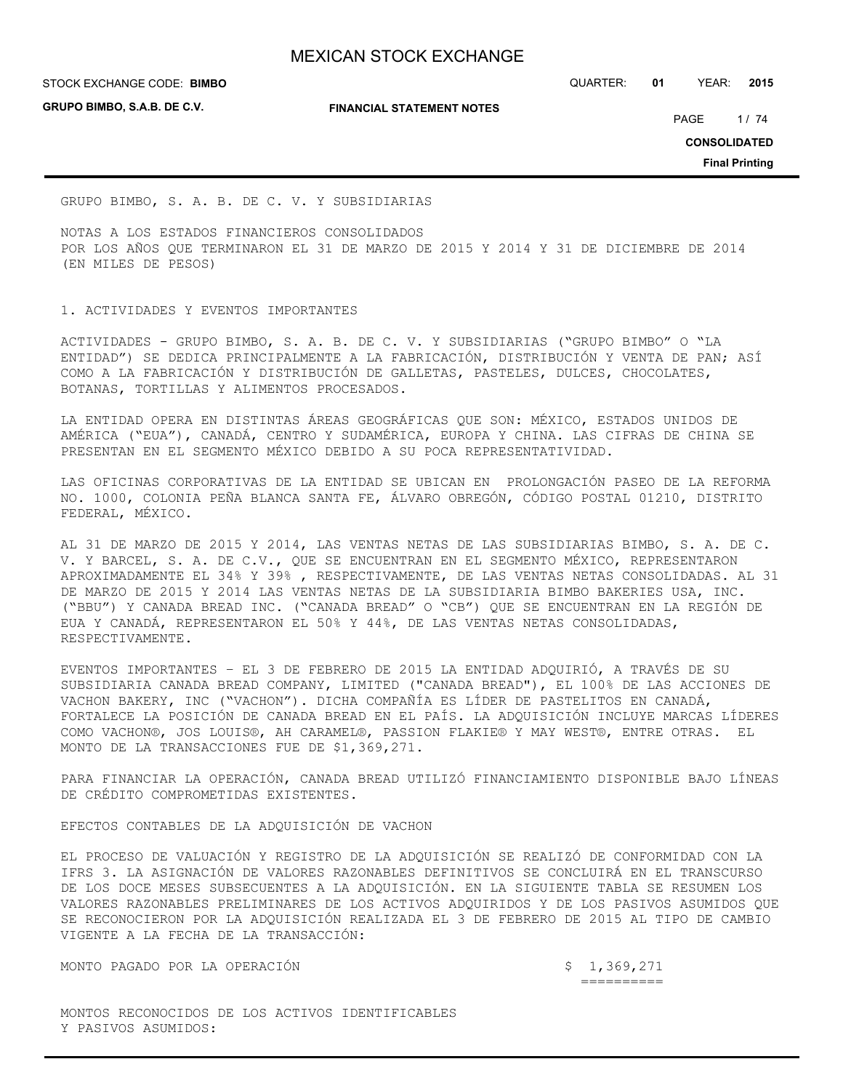**GRUPO BIMBO, S.A.B. DE C.V.**

**FINANCIAL STATEMENT NOTES**

STOCK EXCHANGE CODE: QUARTER: **01** YEAR: **2015 BIMBO**

PAGE 1/74

**CONSOLIDATED**

**Final Printing**

GRUPO BIMBO, S. A. B. DE C. V. Y SUBSIDIARIAS

NOTAS A LOS ESTADOS FINANCIEROS CONSOLIDADOS POR LOS AÑOS QUE TERMINARON EL 31 DE MARZO DE 2015 Y 2014 Y 31 DE DICIEMBRE DE 2014 (EN MILES DE PESOS)

# 1. ACTIVIDADES Y EVENTOS IMPORTANTES

ACTIVIDADES - GRUPO BIMBO, S. A. B. DE C. V. Y SUBSIDIARIAS ("GRUPO BIMBO" O "LA ENTIDAD") SE DEDICA PRINCIPALMENTE A LA FABRICACIÓN, DISTRIBUCIÓN Y VENTA DE PAN; ASÍ COMO A LA FABRICACIÓN Y DISTRIBUCIÓN DE GALLETAS, PASTELES, DULCES, CHOCOLATES, BOTANAS, TORTILLAS Y ALIMENTOS PROCESADOS.

LA ENTIDAD OPERA EN DISTINTAS ÁREAS GEOGRÁFICAS QUE SON: MÉXICO, ESTADOS UNIDOS DE AMÉRICA ("EUA"), CANADÁ, CENTRO Y SUDAMÉRICA, EUROPA Y CHINA. LAS CIFRAS DE CHINA SE PRESENTAN EN EL SEGMENTO MÉXICO DEBIDO A SU POCA REPRESENTATIVIDAD.

LAS OFICINAS CORPORATIVAS DE LA ENTIDAD SE UBICAN EN PROLONGACIÓN PASEO DE LA REFORMA NO. 1000, COLONIA PEÑA BLANCA SANTA FE, ÁLVARO OBREGÓN, CÓDIGO POSTAL 01210, DISTRITO FEDERAL, MÉXICO.

AL 31 DE MARZO DE 2015 Y 2014, LAS VENTAS NETAS DE LAS SUBSIDIARIAS BIMBO, S. A. DE C. V. Y BARCEL, S. A. DE C.V., QUE SE ENCUENTRAN EN EL SEGMENTO MÉXICO, REPRESENTARON APROXIMADAMENTE EL 34% Y 39% , RESPECTIVAMENTE, DE LAS VENTAS NETAS CONSOLIDADAS. AL 31 DE MARZO DE 2015 Y 2014 LAS VENTAS NETAS DE LA SUBSIDIARIA BIMBO BAKERIES USA, INC. ("BBU") Y CANADA BREAD INC. ("CANADA BREAD" O "CB") QUE SE ENCUENTRAN EN LA REGIÓN DE EUA Y CANADÁ, REPRESENTARON EL 50% Y 44%, DE LAS VENTAS NETAS CONSOLIDADAS, RESPECTIVAMENTE.

EVENTOS IMPORTANTES – EL 3 DE FEBRERO DE 2015 LA ENTIDAD ADQUIRIÓ, A TRAVÉS DE SU SUBSIDIARIA CANADA BREAD COMPANY, LIMITED ("CANADA BREAD"), EL 100% DE LAS ACCIONES DE VACHON BAKERY, INC ("VACHON"). DICHA COMPAÑÍA ES LÍDER DE PASTELITOS EN CANADÁ, FORTALECE LA POSICIÓN DE CANADA BREAD EN EL PAÍS. LA ADQUISICIÓN INCLUYE MARCAS LÍDERES COMO VACHON®, JOS LOUIS®, AH CARAMEL®, PASSION FLAKIE® Y MAY WEST®, ENTRE OTRAS. EL MONTO DE LA TRANSACCIONES FUE DE \$1,369,271.

PARA FINANCIAR LA OPERACIÓN, CANADA BREAD UTILIZÓ FINANCIAMIENTO DISPONIBLE BAJO LÍNEAS DE CRÉDITO COMPROMETIDAS EXISTENTES.

EFECTOS CONTABLES DE LA ADQUISICIÓN DE VACHON

EL PROCESO DE VALUACIÓN Y REGISTRO DE LA ADQUISICIÓN SE REALIZÓ DE CONFORMIDAD CON LA IFRS 3. LA ASIGNACIÓN DE VALORES RAZONABLES DEFINITIVOS SE CONCLUIRÁ EN EL TRANSCURSO DE LOS DOCE MESES SUBSECUENTES A LA ADQUISICIÓN. EN LA SIGUIENTE TABLA SE RESUMEN LOS VALORES RAZONABLES PRELIMINARES DE LOS ACTIVOS ADQUIRIDOS Y DE LOS PASIVOS ASUMIDOS QUE SE RECONOCIERON POR LA ADQUISICIÓN REALIZADA EL 3 DE FEBRERO DE 2015 AL TIPO DE CAMBIO VIGENTE A LA FECHA DE LA TRANSACCIÓN:

MONTO PAGADO POR LA OPERACIÓN  $\zeta$  1,369,271

==========

MONTOS RECONOCIDOS DE LOS ACTIVOS IDENTIFICABLES Y PASIVOS ASUMIDOS: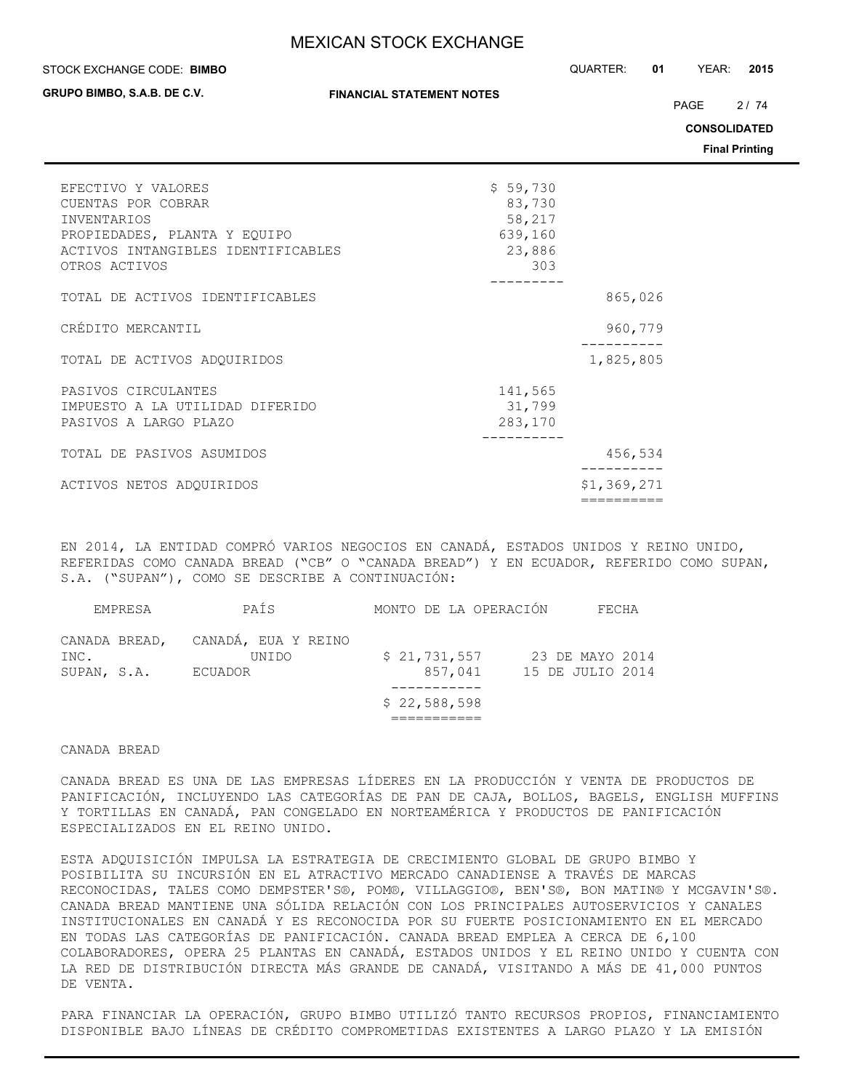#### STOCK EXCHANGE CODE: QUARTER: **01** YEAR: **2015 BIMBO**

**GRUPO BIMBO, S.A.B. DE C.V.**

PAGE 2/74

**CONSOLIDATED**

**Final Printing**

| EFECTIVO Y VALORES<br>CUENTAS POR COBRAR<br><b>INVENTARIOS</b><br>PROPIEDADES, PLANTA Y EQUIPO<br>ACTIVOS INTANGIBLES IDENTIFICABLES<br>OTROS ACTIVOS | \$59,730<br>83,730<br>58,217<br>639,160<br>23,886<br>303 |             |
|-------------------------------------------------------------------------------------------------------------------------------------------------------|----------------------------------------------------------|-------------|
| TOTAL DE ACTIVOS IDENTIFICABLES                                                                                                                       |                                                          | 865,026     |
| CRÉDITO MERCANTIL                                                                                                                                     |                                                          | 960,779     |
| TOTAL DE ACTIVOS ADQUIRIDOS                                                                                                                           |                                                          | 1,825,805   |
| PASIVOS CIRCULANTES<br>IMPUESTO A LA UTILIDAD DIFERIDO<br>PASIVOS A LARGO PLAZO                                                                       | 141,565<br>31,799<br>283,170                             |             |
| TOTAL DE PASIVOS ASUMIDOS                                                                                                                             |                                                          | 456,534     |
| ACTIVOS NETOS ADQUIRIDOS                                                                                                                              |                                                          | \$1,369,271 |
|                                                                                                                                                       |                                                          | ==========  |

EN 2014, LA ENTIDAD COMPRÓ VARIOS NEGOCIOS EN CANADÁ, ESTADOS UNIDOS Y REINO UNIDO, REFERIDAS COMO CANADA BREAD ("CB" O "CANADA BREAD") Y EN ECUADOR, REFERIDO COMO SUPAN, S.A. ("SUPAN"), COMO SE DESCRIBE A CONTINUACIÓN:

|                     | EMPRESA | PAÍS                                                  |              |         | MONTO DE LA OPERACIÓN |                                     | FECHA |  |
|---------------------|---------|-------------------------------------------------------|--------------|---------|-----------------------|-------------------------------------|-------|--|
| INC.<br>SUPAN, S.A. |         | CANADA BREAD, CANADÁ, EUA Y REINO<br>UNIDO<br>ECUADOR | \$21,731,557 | 857,041 |                       | 23 DE MAYO 2014<br>15 DE JULIO 2014 |       |  |
|                     |         |                                                       |              |         |                       |                                     |       |  |
|                     |         |                                                       | \$22,588,598 |         |                       |                                     |       |  |
|                     |         |                                                       |              |         |                       |                                     |       |  |

#### CANADA BREAD

CANADA BREAD ES UNA DE LAS EMPRESAS LÍDERES EN LA PRODUCCIÓN Y VENTA DE PRODUCTOS DE PANIFICACIÓN, INCLUYENDO LAS CATEGORÍAS DE PAN DE CAJA, BOLLOS, BAGELS, ENGLISH MUFFINS Y TORTILLAS EN CANADÁ, PAN CONGELADO EN NORTEAMÉRICA Y PRODUCTOS DE PANIFICACIÓN ESPECIALIZADOS EN EL REINO UNIDO.

ESTA ADQUISICIÓN IMPULSA LA ESTRATEGIA DE CRECIMIENTO GLOBAL DE GRUPO BIMBO Y POSIBILITA SU INCURSIÓN EN EL ATRACTIVO MERCADO CANADIENSE A TRAVÉS DE MARCAS RECONOCIDAS, TALES COMO DEMPSTER'S®, POM®, VILLAGGIO®, BEN'S®, BON MATIN® Y MCGAVIN'S®. CANADA BREAD MANTIENE UNA SÓLIDA RELACIÓN CON LOS PRINCIPALES AUTOSERVICIOS Y CANALES INSTITUCIONALES EN CANADÁ Y ES RECONOCIDA POR SU FUERTE POSICIONAMIENTO EN EL MERCADO EN TODAS LAS CATEGORÍAS DE PANIFICACIÓN. CANADA BREAD EMPLEA A CERCA DE 6,100 COLABORADORES, OPERA 25 PLANTAS EN CANADÁ, ESTADOS UNIDOS Y EL REINO UNIDO Y CUENTA CON LA RED DE DISTRIBUCIÓN DIRECTA MÁS GRANDE DE CANADÁ, VISITANDO A MÁS DE 41,000 PUNTOS DE VENTA.

PARA FINANCIAR LA OPERACIÓN, GRUPO BIMBO UTILIZÓ TANTO RECURSOS PROPIOS, FINANCIAMIENTO DISPONIBLE BAJO LÍNEAS DE CRÉDITO COMPROMETIDAS EXISTENTES A LARGO PLAZO Y LA EMISIÓN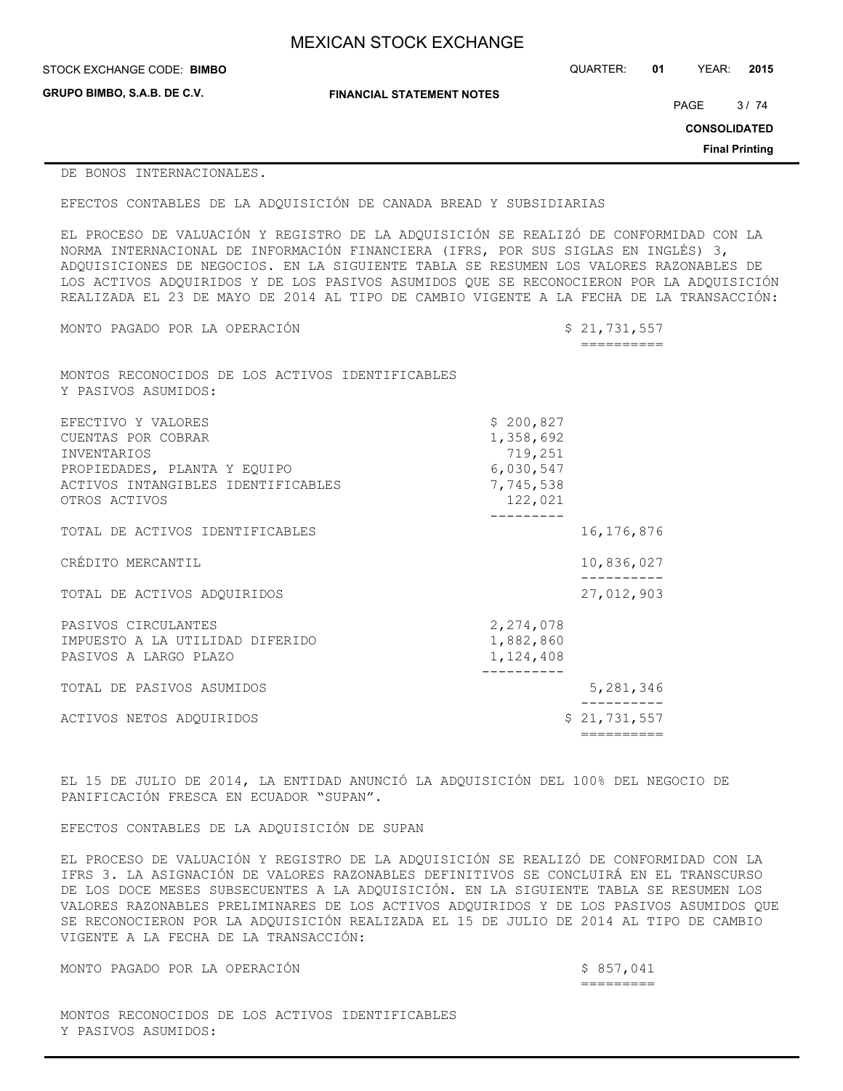| <b>MEXICAN STOCK EXCHANGE</b> |  |
|-------------------------------|--|
|-------------------------------|--|

STOCK EXCHANGE CODE: QUARTER: **01** YEAR: **2015 BIMBO**

**GRUPO BIMBO, S.A.B. DE C.V.**

**FINANCIAL STATEMENT NOTES**

PAGE 3/74

**CONSOLIDATED**

**Final Printing**

## DE BONOS INTERNACIONALES.

EFECTOS CONTABLES DE LA ADQUISICIÓN DE CANADA BREAD Y SUBSIDIARIAS

EL PROCESO DE VALUACIÓN Y REGISTRO DE LA ADQUISICIÓN SE REALIZÓ DE CONFORMIDAD CON LA NORMA INTERNACIONAL DE INFORMACIÓN FINANCIERA (IFRS, POR SUS SIGLAS EN INGLÉS) 3, ADQUISICIONES DE NEGOCIOS. EN LA SIGUIENTE TABLA SE RESUMEN LOS VALORES RAZONABLES DE LOS ACTIVOS ADQUIRIDOS Y DE LOS PASIVOS ASUMIDOS QUE SE RECONOCIERON POR LA ADQUISICIÓN REALIZADA EL 23 DE MAYO DE 2014 AL TIPO DE CAMBIO VIGENTE A LA FECHA DE LA TRANSACCIÓN:

MONTO PAGADO POR LA OPERACIÓN  $$21,731,557$ 

==========

MONTOS RECONOCIDOS DE LOS ACTIVOS IDENTIFICABLES Y PASIVOS ASUMIDOS:

| ACTIVOS NETOS ADQUIRIDOS                                                                                                                              |                                                                        | \$21,731,557 |
|-------------------------------------------------------------------------------------------------------------------------------------------------------|------------------------------------------------------------------------|--------------|
| TOTAL DE PASIVOS ASUMIDOS                                                                                                                             |                                                                        | 5,281,346    |
| PASIVOS CIRCULANTES<br>IMPUESTO A LA UTILIDAD DIFERIDO<br>PASIVOS A LARGO PLAZO                                                                       | 2,274,078<br>1,882,860<br>1,124,408                                    |              |
| TOTAL DE ACTIVOS ADOUIRIDOS                                                                                                                           |                                                                        | 27,012,903   |
| CRÉDITO MERCANTIL                                                                                                                                     |                                                                        | 10,836,027   |
| TOTAL DE ACTIVOS IDENTIFICABLES                                                                                                                       |                                                                        | 16,176,876   |
| EFECTIVO Y VALORES<br>CUENTAS POR COBRAR<br><b>INVENTARIOS</b><br>PROPIEDADES, PLANTA Y EQUIPO<br>ACTIVOS INTANGIBLES IDENTIFICABLES<br>OTROS ACTIVOS | \$200,827<br>1,358,692<br>719,251<br>6,030,547<br>7,745,538<br>122,021 |              |

EL 15 DE JULIO DE 2014, LA ENTIDAD ANUNCIÓ LA ADQUISICIÓN DEL 100% DEL NEGOCIO DE PANIFICACIÓN FRESCA EN ECUADOR "SUPAN".

EFECTOS CONTABLES DE LA ADQUISICIÓN DE SUPAN

EL PROCESO DE VALUACIÓN Y REGISTRO DE LA ADQUISICIÓN SE REALIZÓ DE CONFORMIDAD CON LA IFRS 3. LA ASIGNACIÓN DE VALORES RAZONABLES DEFINITIVOS SE CONCLUIRÁ EN EL TRANSCURSO DE LOS DOCE MESES SUBSECUENTES A LA ADQUISICIÓN. EN LA SIGUIENTE TABLA SE RESUMEN LOS VALORES RAZONABLES PRELIMINARES DE LOS ACTIVOS ADQUIRIDOS Y DE LOS PASIVOS ASUMIDOS QUE SE RECONOCIERON POR LA ADQUISICIÓN REALIZADA EL 15 DE JULIO DE 2014 AL TIPO DE CAMBIO VIGENTE A LA FECHA DE LA TRANSACCIÓN:

MONTO PAGADO POR LA OPERACIÓN \$ 857,041

=========

MONTOS RECONOCIDOS DE LOS ACTIVOS IDENTIFICABLES Y PASIVOS ASUMIDOS: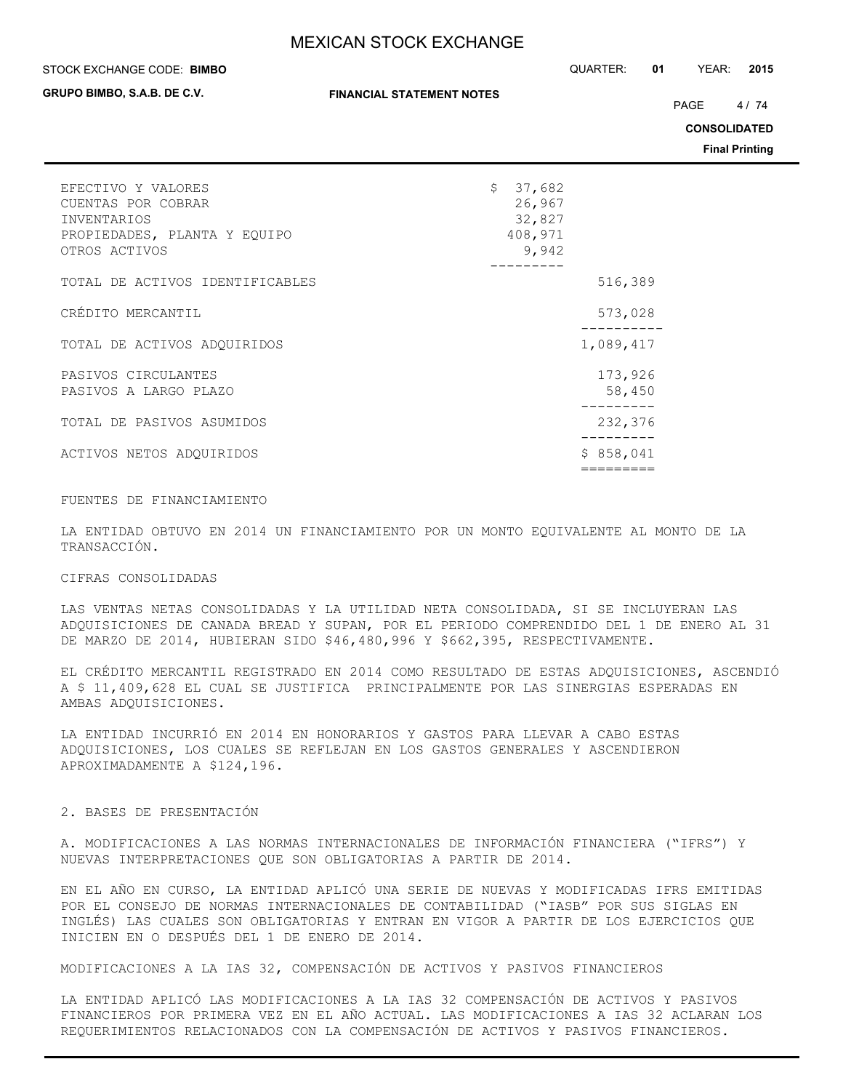#### STOCK EXCHANGE CODE: QUARTER: **01** YEAR: **2015 BIMBO**

**GRUPO BIMBO, S.A.B. DE C.V.**

PAGE 4/74

**CONSOLIDATED**

**Final Printing**

| EFECTIVO Y VALORES<br>CUENTAS POR COBRAR<br>INVENTARIOS<br>PROPIEDADES, PLANTA Y EQUIPO<br>OTROS ACTIVOS | $\mathsf{S}^-$ | 37,682<br>26,967<br>32,827<br>408,971<br>9,942 |                   |
|----------------------------------------------------------------------------------------------------------|----------------|------------------------------------------------|-------------------|
| TOTAL DE ACTIVOS IDENTIFICABLES                                                                          |                |                                                | 516,389           |
| CRÉDITO MERCANTIL                                                                                        |                |                                                | 573,028           |
| TOTAL DE ACTIVOS ADOUIRIDOS                                                                              |                |                                                | 1,089,417         |
| PASIVOS CIRCULANTES<br>PASIVOS A LARGO PLAZO                                                             |                |                                                | 173,926<br>58,450 |
| TOTAL DE PASIVOS ASUMIDOS                                                                                |                |                                                | 232,376           |
| ACTIVOS NETOS ADOUIRIDOS                                                                                 |                |                                                | \$858,041         |
|                                                                                                          |                |                                                |                   |

# FUENTES DE FINANCIAMIENTO

LA ENTIDAD OBTUVO EN 2014 UN FINANCIAMIENTO POR UN MONTO EQUIVALENTE AL MONTO DE LA TRANSACCIÓN.

#### CIFRAS CONSOLIDADAS

LAS VENTAS NETAS CONSOLIDADAS Y LA UTILIDAD NETA CONSOLIDADA, SI SE INCLUYERAN LAS ADQUISICIONES DE CANADA BREAD Y SUPAN, POR EL PERIODO COMPRENDIDO DEL 1 DE ENERO AL 31 DE MARZO DE 2014, HUBIERAN SIDO \$46,480,996 Y \$662,395, RESPECTIVAMENTE.

EL CRÉDITO MERCANTIL REGISTRADO EN 2014 COMO RESULTADO DE ESTAS ADQUISICIONES, ASCENDIÓ A \$ 11,409,628 EL CUAL SE JUSTIFICA PRINCIPALMENTE POR LAS SINERGIAS ESPERADAS EN AMBAS ADQUISICIONES.

LA ENTIDAD INCURRIÓ EN 2014 EN HONORARIOS Y GASTOS PARA LLEVAR A CABO ESTAS ADQUISICIONES, LOS CUALES SE REFLEJAN EN LOS GASTOS GENERALES Y ASCENDIERON APROXIMADAMENTE A \$124,196.

## 2. BASES DE PRESENTACIÓN

A. MODIFICACIONES A LAS NORMAS INTERNACIONALES DE INFORMACIÓN FINANCIERA ("IFRS") Y NUEVAS INTERPRETACIONES QUE SON OBLIGATORIAS A PARTIR DE 2014.

EN EL AÑO EN CURSO, LA ENTIDAD APLICÓ UNA SERIE DE NUEVAS Y MODIFICADAS IFRS EMITIDAS POR EL CONSEJO DE NORMAS INTERNACIONALES DE CONTABILIDAD ("IASB" POR SUS SIGLAS EN INGLÉS) LAS CUALES SON OBLIGATORIAS Y ENTRAN EN VIGOR A PARTIR DE LOS EJERCICIOS QUE INICIEN EN O DESPUÉS DEL 1 DE ENERO DE 2014.

MODIFICACIONES A LA IAS 32, COMPENSACIÓN DE ACTIVOS Y PASIVOS FINANCIEROS

LA ENTIDAD APLICÓ LAS MODIFICACIONES A LA IAS 32 COMPENSACIÓN DE ACTIVOS Y PASIVOS FINANCIEROS POR PRIMERA VEZ EN EL AÑO ACTUAL. LAS MODIFICACIONES A IAS 32 ACLARAN LOS REQUERIMIENTOS RELACIONADOS CON LA COMPENSACIÓN DE ACTIVOS Y PASIVOS FINANCIEROS.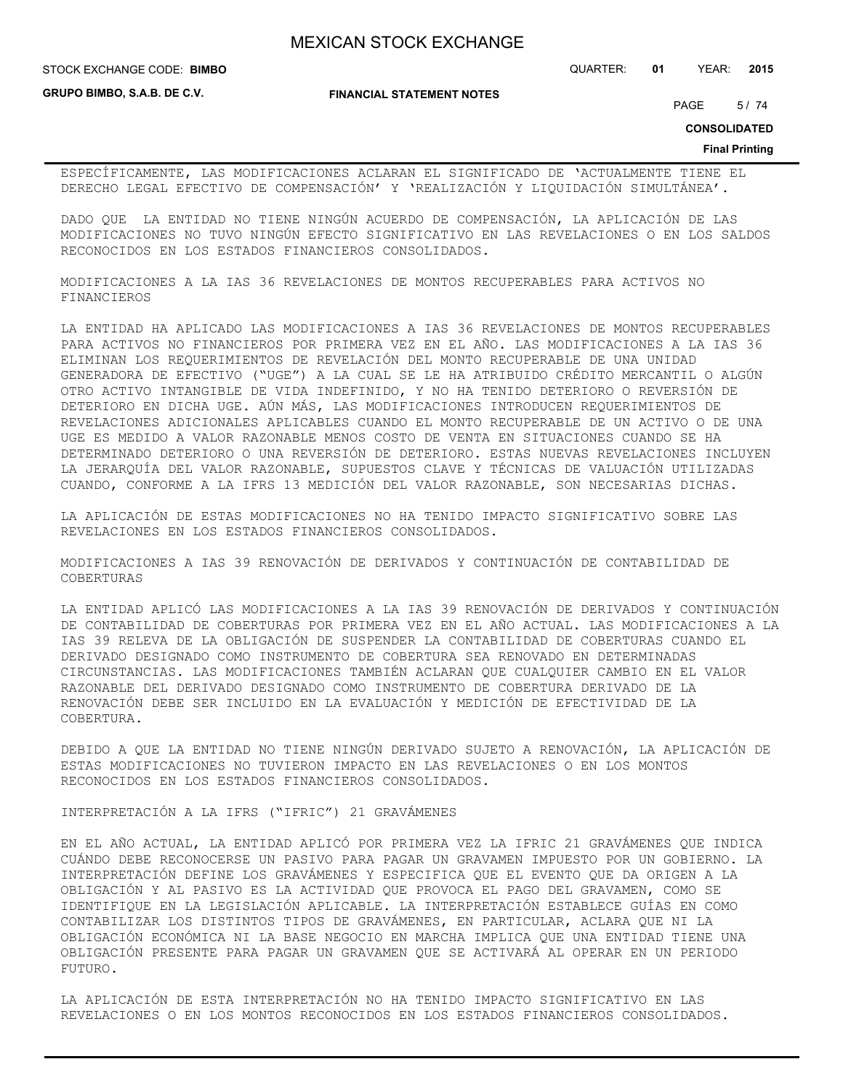**FINANCIAL STATEMENT NOTES**

STOCK EXCHANGE CODE: QUARTER: **01** YEAR: **2015 BIMBO**

**GRUPO BIMBO, S.A.B. DE C.V.**

PAGE 5/74

**CONSOLIDATED**

**Final Printing**

ESPECÍFICAMENTE, LAS MODIFICACIONES ACLARAN EL SIGNIFICADO DE 'ACTUALMENTE TIENE EL DERECHO LEGAL EFECTIVO DE COMPENSACIÓN' Y 'REALIZACIÓN Y LIQUIDACIÓN SIMULTÁNEA'.

DADO QUE LA ENTIDAD NO TIENE NINGÚN ACUERDO DE COMPENSACIÓN, LA APLICACIÓN DE LAS MODIFICACIONES NO TUVO NINGÚN EFECTO SIGNIFICATIVO EN LAS REVELACIONES O EN LOS SALDOS RECONOCIDOS EN LOS ESTADOS FINANCIEROS CONSOLIDADOS.

MODIFICACIONES A LA IAS 36 REVELACIONES DE MONTOS RECUPERABLES PARA ACTIVOS NO FINANCIEROS

LA ENTIDAD HA APLICADO LAS MODIFICACIONES A IAS 36 REVELACIONES DE MONTOS RECUPERABLES PARA ACTIVOS NO FINANCIEROS POR PRIMERA VEZ EN EL AÑO. LAS MODIFICACIONES A LA IAS 36 ELIMINAN LOS REQUERIMIENTOS DE REVELACIÓN DEL MONTO RECUPERABLE DE UNA UNIDAD GENERADORA DE EFECTIVO ("UGE") A LA CUAL SE LE HA ATRIBUIDO CRÉDITO MERCANTIL O ALGÚN OTRO ACTIVO INTANGIBLE DE VIDA INDEFINIDO, Y NO HA TENIDO DETERIORO O REVERSIÓN DE DETERIORO EN DICHA UGE. AÚN MÁS, LAS MODIFICACIONES INTRODUCEN REQUERIMIENTOS DE REVELACIONES ADICIONALES APLICABLES CUANDO EL MONTO RECUPERABLE DE UN ACTIVO O DE UNA UGE ES MEDIDO A VALOR RAZONABLE MENOS COSTO DE VENTA EN SITUACIONES CUANDO SE HA DETERMINADO DETERIORO O UNA REVERSIÓN DE DETERIORO. ESTAS NUEVAS REVELACIONES INCLUYEN LA JERARQUÍA DEL VALOR RAZONABLE, SUPUESTOS CLAVE Y TÉCNICAS DE VALUACIÓN UTILIZADAS CUANDO, CONFORME A LA IFRS 13 MEDICIÓN DEL VALOR RAZONABLE, SON NECESARIAS DICHAS.

LA APLICACIÓN DE ESTAS MODIFICACIONES NO HA TENIDO IMPACTO SIGNIFICATIVO SOBRE LAS REVELACIONES EN LOS ESTADOS FINANCIEROS CONSOLIDADOS.

MODIFICACIONES A IAS 39 RENOVACIÓN DE DERIVADOS Y CONTINUACIÓN DE CONTABILIDAD DE COBERTURAS

LA ENTIDAD APLICÓ LAS MODIFICACIONES A LA IAS 39 RENOVACIÓN DE DERIVADOS Y CONTINUACIÓN DE CONTABILIDAD DE COBERTURAS POR PRIMERA VEZ EN EL AÑO ACTUAL. LAS MODIFICACIONES A LA IAS 39 RELEVA DE LA OBLIGACIÓN DE SUSPENDER LA CONTABILIDAD DE COBERTURAS CUANDO EL DERIVADO DESIGNADO COMO INSTRUMENTO DE COBERTURA SEA RENOVADO EN DETERMINADAS CIRCUNSTANCIAS. LAS MODIFICACIONES TAMBIÉN ACLARAN QUE CUALQUIER CAMBIO EN EL VALOR RAZONABLE DEL DERIVADO DESIGNADO COMO INSTRUMENTO DE COBERTURA DERIVADO DE LA RENOVACIÓN DEBE SER INCLUIDO EN LA EVALUACIÓN Y MEDICIÓN DE EFECTIVIDAD DE LA COBERTURA.

DEBIDO A QUE LA ENTIDAD NO TIENE NINGÚN DERIVADO SUJETO A RENOVACIÓN, LA APLICACIÓN DE ESTAS MODIFICACIONES NO TUVIERON IMPACTO EN LAS REVELACIONES O EN LOS MONTOS RECONOCIDOS EN LOS ESTADOS FINANCIEROS CONSOLIDADOS.

INTERPRETACIÓN A LA IFRS ("IFRIC") 21 GRAVÁMENES

EN EL AÑO ACTUAL, LA ENTIDAD APLICÓ POR PRIMERA VEZ LA IFRIC 21 GRAVÁMENES QUE INDICA CUÁNDO DEBE RECONOCERSE UN PASIVO PARA PAGAR UN GRAVAMEN IMPUESTO POR UN GOBIERNO. LA INTERPRETACIÓN DEFINE LOS GRAVÁMENES Y ESPECIFICA QUE EL EVENTO QUE DA ORIGEN A LA OBLIGACIÓN Y AL PASIVO ES LA ACTIVIDAD QUE PROVOCA EL PAGO DEL GRAVAMEN, COMO SE IDENTIFIQUE EN LA LEGISLACIÓN APLICABLE. LA INTERPRETACIÓN ESTABLECE GUÍAS EN COMO CONTABILIZAR LOS DISTINTOS TIPOS DE GRAVÁMENES, EN PARTICULAR, ACLARA QUE NI LA OBLIGACIÓN ECONÓMICA NI LA BASE NEGOCIO EN MARCHA IMPLICA QUE UNA ENTIDAD TIENE UNA OBLIGACIÓN PRESENTE PARA PAGAR UN GRAVAMEN QUE SE ACTIVARÁ AL OPERAR EN UN PERIODO FUTURO.

LA APLICACIÓN DE ESTA INTERPRETACIÓN NO HA TENIDO IMPACTO SIGNIFICATIVO EN LAS REVELACIONES O EN LOS MONTOS RECONOCIDOS EN LOS ESTADOS FINANCIEROS CONSOLIDADOS.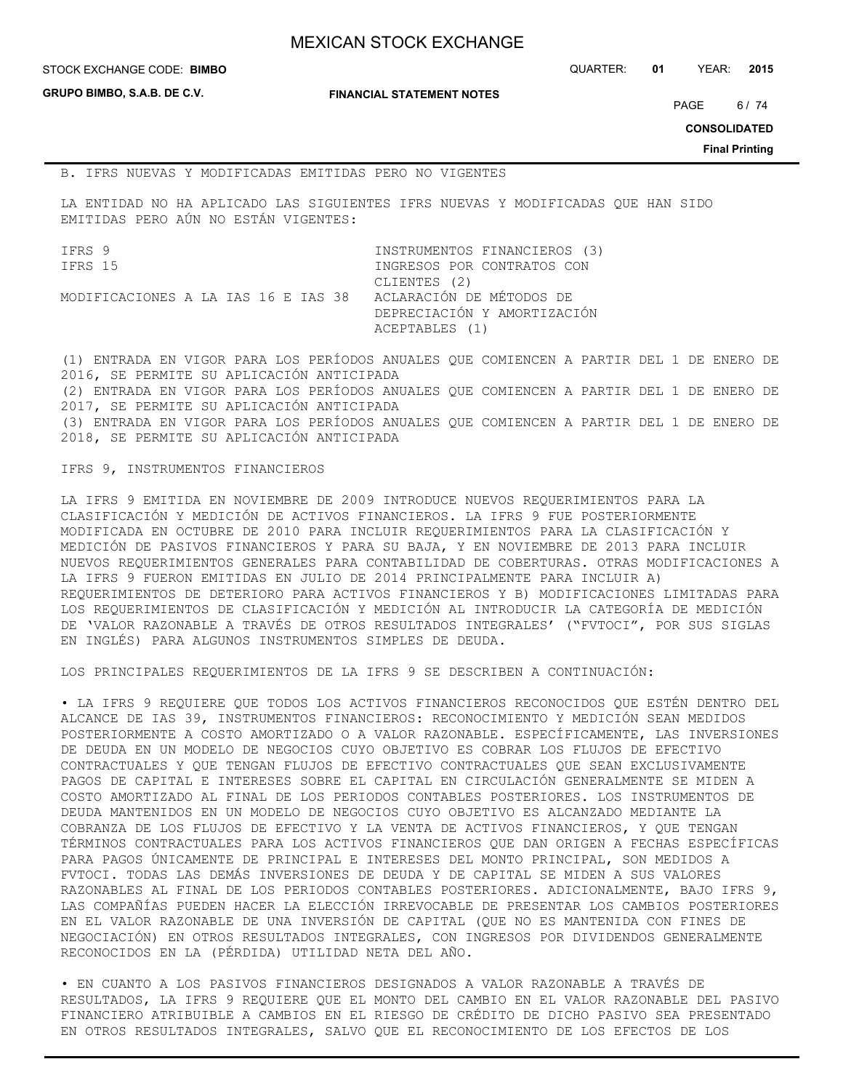**GRUPO BIMBO, S.A.B. DE C.V.**

**FINANCIAL STATEMENT NOTES**

STOCK EXCHANGE CODE: QUARTER: **01** YEAR: **2015 BIMBO**

PAGE 6/74

**CONSOLIDATED**

**Final Printing**

#### B. IFRS NUEVAS Y MODIFICADAS EMITIDAS PERO NO VIGENTES

LA ENTIDAD NO HA APLICADO LAS SIGUIENTES IFRS NUEVAS Y MODIFICADAS QUE HAN SIDO EMITIDAS PERO AÚN NO ESTÁN VIGENTES:

IFRS 9 INSTRUMENTOS FINANCIEROS (3) IFRS 15 **INGRESOS POR CONTRATOS CON**  CLIENTES (2) MODIFICACIONES A LA IAS 16 E IAS 38 ACLARACIÓN DE MÉTODOS DE DEPRECIACIÓN Y AMORTIZACIÓN ACEPTABLES (1)

(1) ENTRADA EN VIGOR PARA LOS PERÍODOS ANUALES QUE COMIENCEN A PARTIR DEL 1 DE ENERO DE 2016, SE PERMITE SU APLICACIÓN ANTICIPADA (2) ENTRADA EN VIGOR PARA LOS PERÍODOS ANUALES QUE COMIENCEN A PARTIR DEL 1 DE ENERO DE 2017, SE PERMITE SU APLICACIÓN ANTICIPADA (3) ENTRADA EN VIGOR PARA LOS PERÍODOS ANUALES QUE COMIENCEN A PARTIR DEL 1 DE ENERO DE 2018, SE PERMITE SU APLICACIÓN ANTICIPADA

## IFRS 9, INSTRUMENTOS FINANCIEROS

LA IFRS 9 EMITIDA EN NOVIEMBRE DE 2009 INTRODUCE NUEVOS REQUERIMIENTOS PARA LA CLASIFICACIÓN Y MEDICIÓN DE ACTIVOS FINANCIEROS. LA IFRS 9 FUE POSTERIORMENTE MODIFICADA EN OCTUBRE DE 2010 PARA INCLUIR REQUERIMIENTOS PARA LA CLASIFICACIÓN Y MEDICIÓN DE PASIVOS FINANCIEROS Y PARA SU BAJA, Y EN NOVIEMBRE DE 2013 PARA INCLUIR NUEVOS REQUERIMIENTOS GENERALES PARA CONTABILIDAD DE COBERTURAS. OTRAS MODIFICACIONES A LA IFRS 9 FUERON EMITIDAS EN JULIO DE 2014 PRINCIPALMENTE PARA INCLUIR A) REQUERIMIENTOS DE DETERIORO PARA ACTIVOS FINANCIEROS Y B) MODIFICACIONES LIMITADAS PARA LOS REQUERIMIENTOS DE CLASIFICACIÓN Y MEDICIÓN AL INTRODUCIR LA CATEGORÍA DE MEDICIÓN DE 'VALOR RAZONABLE A TRAVÉS DE OTROS RESULTADOS INTEGRALES' ("FVTOCI", POR SUS SIGLAS EN INGLÉS) PARA ALGUNOS INSTRUMENTOS SIMPLES DE DEUDA.

LOS PRINCIPALES REQUERIMIENTOS DE LA IFRS 9 SE DESCRIBEN A CONTINUACIÓN:

• LA IFRS 9 REQUIERE QUE TODOS LOS ACTIVOS FINANCIEROS RECONOCIDOS QUE ESTÉN DENTRO DEL ALCANCE DE IAS 39, INSTRUMENTOS FINANCIEROS: RECONOCIMIENTO Y MEDICIÓN SEAN MEDIDOS POSTERIORMENTE A COSTO AMORTIZADO O A VALOR RAZONABLE. ESPECÍFICAMENTE, LAS INVERSIONES DE DEUDA EN UN MODELO DE NEGOCIOS CUYO OBJETIVO ES COBRAR LOS FLUJOS DE EFECTIVO CONTRACTUALES Y QUE TENGAN FLUJOS DE EFECTIVO CONTRACTUALES QUE SEAN EXCLUSIVAMENTE PAGOS DE CAPITAL E INTERESES SOBRE EL CAPITAL EN CIRCULACIÓN GENERALMENTE SE MIDEN A COSTO AMORTIZADO AL FINAL DE LOS PERIODOS CONTABLES POSTERIORES. LOS INSTRUMENTOS DE DEUDA MANTENIDOS EN UN MODELO DE NEGOCIOS CUYO OBJETIVO ES ALCANZADO MEDIANTE LA COBRANZA DE LOS FLUJOS DE EFECTIVO Y LA VENTA DE ACTIVOS FINANCIEROS, Y QUE TENGAN TÉRMINOS CONTRACTUALES PARA LOS ACTIVOS FINANCIEROS QUE DAN ORIGEN A FECHAS ESPECÍFICAS PARA PAGOS ÚNICAMENTE DE PRINCIPAL E INTERESES DEL MONTO PRINCIPAL, SON MEDIDOS A FVTOCI. TODAS LAS DEMÁS INVERSIONES DE DEUDA Y DE CAPITAL SE MIDEN A SUS VALORES RAZONABLES AL FINAL DE LOS PERIODOS CONTABLES POSTERIORES. ADICIONALMENTE, BAJO IFRS 9, LAS COMPAÑÍAS PUEDEN HACER LA ELECCIÓN IRREVOCABLE DE PRESENTAR LOS CAMBIOS POSTERIORES EN EL VALOR RAZONABLE DE UNA INVERSIÓN DE CAPITAL (QUE NO ES MANTENIDA CON FINES DE NEGOCIACIÓN) EN OTROS RESULTADOS INTEGRALES, CON INGRESOS POR DIVIDENDOS GENERALMENTE RECONOCIDOS EN LA (PÉRDIDA) UTILIDAD NETA DEL AÑO.

• EN CUANTO A LOS PASIVOS FINANCIEROS DESIGNADOS A VALOR RAZONABLE A TRAVÉS DE RESULTADOS, LA IFRS 9 REQUIERE QUE EL MONTO DEL CAMBIO EN EL VALOR RAZONABLE DEL PASIVO FINANCIERO ATRIBUIBLE A CAMBIOS EN EL RIESGO DE CRÉDITO DE DICHO PASIVO SEA PRESENTADO EN OTROS RESULTADOS INTEGRALES, SALVO QUE EL RECONOCIMIENTO DE LOS EFECTOS DE LOS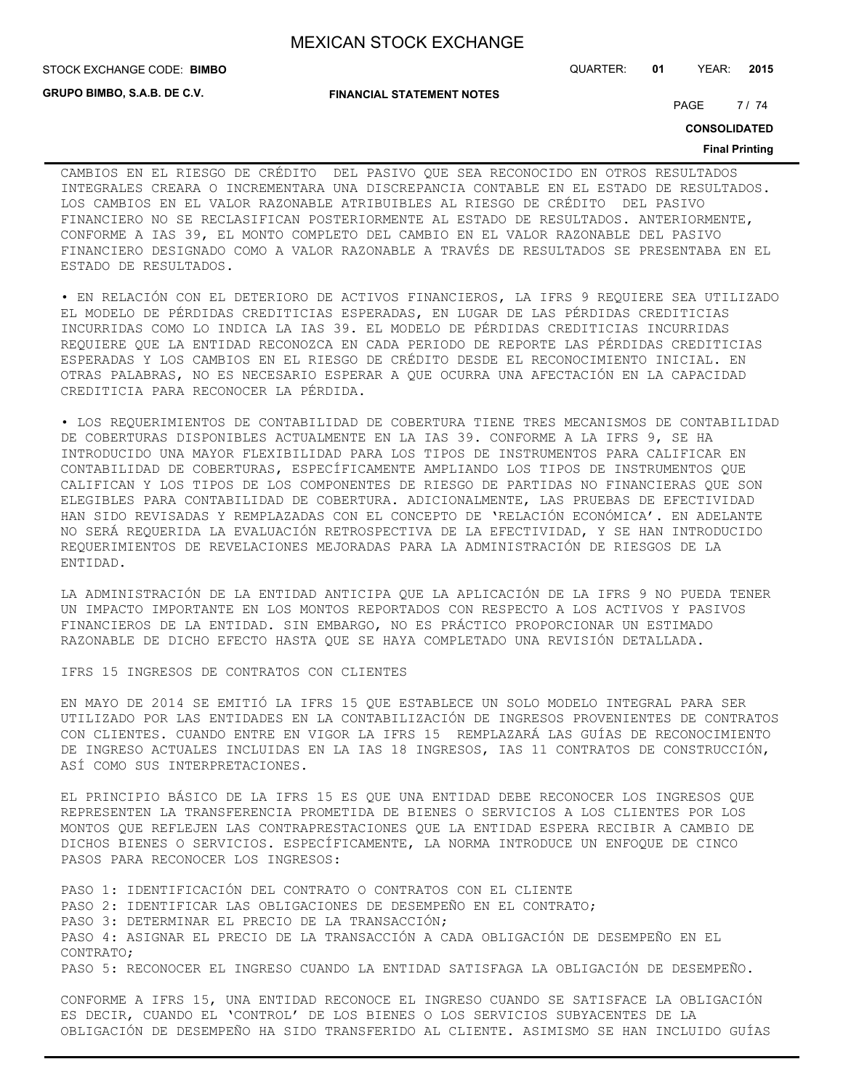STOCK EXCHANGE CODE: QUARTER: **01** YEAR: **2015 BIMBO**

**GRUPO BIMBO, S.A.B. DE C.V.**

**FINANCIAL STATEMENT NOTES**

PAGE 7/74

**CONSOLIDATED**

#### **Final Printing**

CAMBIOS EN EL RIESGO DE CRÉDITO DEL PASIVO QUE SEA RECONOCIDO EN OTROS RESULTADOS INTEGRALES CREARA O INCREMENTARA UNA DISCREPANCIA CONTABLE EN EL ESTADO DE RESULTADOS. LOS CAMBIOS EN EL VALOR RAZONABLE ATRIBUIBLES AL RIESGO DE CRÉDITO DEL PASIVO FINANCIERO NO SE RECLASIFICAN POSTERIORMENTE AL ESTADO DE RESULTADOS. ANTERIORMENTE, CONFORME A IAS 39, EL MONTO COMPLETO DEL CAMBIO EN EL VALOR RAZONABLE DEL PASIVO FINANCIERO DESIGNADO COMO A VALOR RAZONABLE A TRAVÉS DE RESULTADOS SE PRESENTABA EN EL ESTADO DE RESULTADOS.

• EN RELACIÓN CON EL DETERIORO DE ACTIVOS FINANCIEROS, LA IFRS 9 REQUIERE SEA UTILIZADO EL MODELO DE PÉRDIDAS CREDITICIAS ESPERADAS, EN LUGAR DE LAS PÉRDIDAS CREDITICIAS INCURRIDAS COMO LO INDICA LA IAS 39. EL MODELO DE PÉRDIDAS CREDITICIAS INCURRIDAS REQUIERE QUE LA ENTIDAD RECONOZCA EN CADA PERIODO DE REPORTE LAS PÉRDIDAS CREDITICIAS ESPERADAS Y LOS CAMBIOS EN EL RIESGO DE CRÉDITO DESDE EL RECONOCIMIENTO INICIAL. EN OTRAS PALABRAS, NO ES NECESARIO ESPERAR A QUE OCURRA UNA AFECTACIÓN EN LA CAPACIDAD CREDITICIA PARA RECONOCER LA PÉRDIDA.

• LOS REQUERIMIENTOS DE CONTABILIDAD DE COBERTURA TIENE TRES MECANISMOS DE CONTABILIDAD DE COBERTURAS DISPONIBLES ACTUALMENTE EN LA IAS 39. CONFORME A LA IFRS 9, SE HA INTRODUCIDO UNA MAYOR FLEXIBILIDAD PARA LOS TIPOS DE INSTRUMENTOS PARA CALIFICAR EN CONTABILIDAD DE COBERTURAS, ESPECÍFICAMENTE AMPLIANDO LOS TIPOS DE INSTRUMENTOS QUE CALIFICAN Y LOS TIPOS DE LOS COMPONENTES DE RIESGO DE PARTIDAS NO FINANCIERAS QUE SON ELEGIBLES PARA CONTABILIDAD DE COBERTURA. ADICIONALMENTE, LAS PRUEBAS DE EFECTIVIDAD HAN SIDO REVISADAS Y REMPLAZADAS CON EL CONCEPTO DE 'RELACIÓN ECONÓMICA'. EN ADELANTE NO SERÁ REQUERIDA LA EVALUACIÓN RETROSPECTIVA DE LA EFECTIVIDAD, Y SE HAN INTRODUCIDO REQUERIMIENTOS DE REVELACIONES MEJORADAS PARA LA ADMINISTRACIÓN DE RIESGOS DE LA ENTIDAD.

LA ADMINISTRACIÓN DE LA ENTIDAD ANTICIPA QUE LA APLICACIÓN DE LA IFRS 9 NO PUEDA TENER UN IMPACTO IMPORTANTE EN LOS MONTOS REPORTADOS CON RESPECTO A LOS ACTIVOS Y PASIVOS FINANCIEROS DE LA ENTIDAD. SIN EMBARGO, NO ES PRÁCTICO PROPORCIONAR UN ESTIMADO RAZONABLE DE DICHO EFECTO HASTA QUE SE HAYA COMPLETADO UNA REVISIÓN DETALLADA.

IFRS 15 INGRESOS DE CONTRATOS CON CLIENTES

EN MAYO DE 2014 SE EMITIÓ LA IFRS 15 QUE ESTABLECE UN SOLO MODELO INTEGRAL PARA SER UTILIZADO POR LAS ENTIDADES EN LA CONTABILIZACIÓN DE INGRESOS PROVENIENTES DE CONTRATOS CON CLIENTES. CUANDO ENTRE EN VIGOR LA IFRS 15 REMPLAZARÁ LAS GUÍAS DE RECONOCIMIENTO DE INGRESO ACTUALES INCLUIDAS EN LA IAS 18 INGRESOS, IAS 11 CONTRATOS DE CONSTRUCCIÓN, ASÍ COMO SUS INTERPRETACIONES.

EL PRINCIPIO BÁSICO DE LA IFRS 15 ES QUE UNA ENTIDAD DEBE RECONOCER LOS INGRESOS QUE REPRESENTEN LA TRANSFERENCIA PROMETIDA DE BIENES O SERVICIOS A LOS CLIENTES POR LOS MONTOS QUE REFLEJEN LAS CONTRAPRESTACIONES QUE LA ENTIDAD ESPERA RECIBIR A CAMBIO DE DICHOS BIENES O SERVICIOS. ESPECÍFICAMENTE, LA NORMA INTRODUCE UN ENFOQUE DE CINCO PASOS PARA RECONOCER LOS INGRESOS:

PASO 1: IDENTIFICACIÓN DEL CONTRATO O CONTRATOS CON EL CLIENTE PASO 2: IDENTIFICAR LAS OBLIGACIONES DE DESEMPEÑO EN EL CONTRATO; PASO 3: DETERMINAR EL PRECIO DE LA TRANSACCIÓN; PASO 4: ASIGNAR EL PRECIO DE LA TRANSACCIÓN A CADA OBLIGACIÓN DE DESEMPEÑO EN EL CONTRATO; PASO 5: RECONOCER EL INGRESO CUANDO LA ENTIDAD SATISFAGA LA OBLIGACIÓN DE DESEMPEÑO.

CONFORME A IFRS 15, UNA ENTIDAD RECONOCE EL INGRESO CUANDO SE SATISFACE LA OBLIGACIÓN ES DECIR, CUANDO EL 'CONTROL' DE LOS BIENES O LOS SERVICIOS SUBYACENTES DE LA OBLIGACIÓN DE DESEMPEÑO HA SIDO TRANSFERIDO AL CLIENTE. ASIMISMO SE HAN INCLUIDO GUÍAS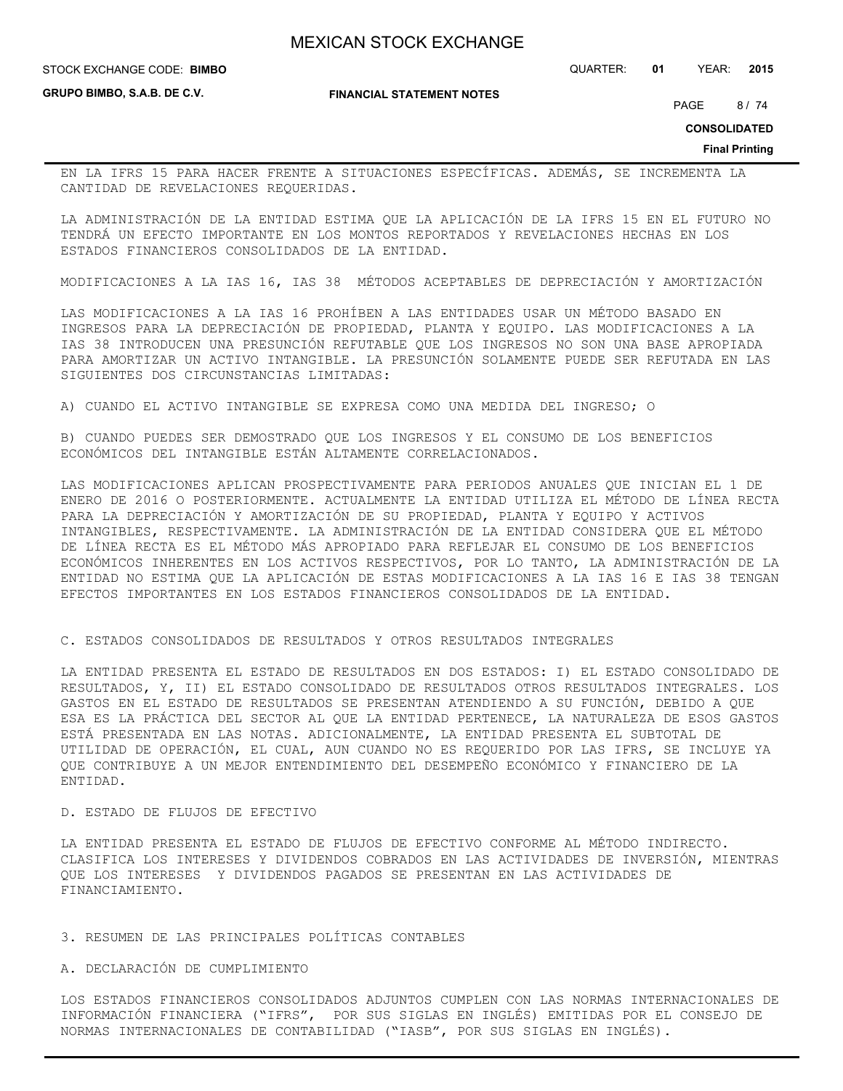STOCK EXCHANGE CODE: QUARTER: **01** YEAR: **2015 BIMBO**

**GRUPO BIMBO, S.A.B. DE C.V.**

**FINANCIAL STATEMENT NOTES**

PAGE 8/74

**CONSOLIDATED**

**Final Printing**

EN LA IFRS 15 PARA HACER FRENTE A SITUACIONES ESPECÍFICAS. ADEMÁS, SE INCREMENTA LA CANTIDAD DE REVELACIONES REQUERIDAS.

LA ADMINISTRACIÓN DE LA ENTIDAD ESTIMA QUE LA APLICACIÓN DE LA IFRS 15 EN EL FUTURO NO TENDRÁ UN EFECTO IMPORTANTE EN LOS MONTOS REPORTADOS Y REVELACIONES HECHAS EN LOS ESTADOS FINANCIEROS CONSOLIDADOS DE LA ENTIDAD.

MODIFICACIONES A LA IAS 16, IAS 38 MÉTODOS ACEPTABLES DE DEPRECIACIÓN Y AMORTIZACIÓN

LAS MODIFICACIONES A LA IAS 16 PROHÍBEN A LAS ENTIDADES USAR UN MÉTODO BASADO EN INGRESOS PARA LA DEPRECIACIÓN DE PROPIEDAD, PLANTA Y EQUIPO. LAS MODIFICACIONES A LA IAS 38 INTRODUCEN UNA PRESUNCIÓN REFUTABLE QUE LOS INGRESOS NO SON UNA BASE APROPIADA PARA AMORTIZAR UN ACTIVO INTANGIBLE. LA PRESUNCIÓN SOLAMENTE PUEDE SER REFUTADA EN LAS SIGUIENTES DOS CIRCUNSTANCIAS LIMITADAS:

A) CUANDO EL ACTIVO INTANGIBLE SE EXPRESA COMO UNA MEDIDA DEL INGRESO; O

B) CUANDO PUEDES SER DEMOSTRADO QUE LOS INGRESOS Y EL CONSUMO DE LOS BENEFICIOS ECONÓMICOS DEL INTANGIBLE ESTÁN ALTAMENTE CORRELACIONADOS.

LAS MODIFICACIONES APLICAN PROSPECTIVAMENTE PARA PERIODOS ANUALES QUE INICIAN EL 1 DE ENERO DE 2016 O POSTERIORMENTE. ACTUALMENTE LA ENTIDAD UTILIZA EL MÉTODO DE LÍNEA RECTA PARA LA DEPRECIACIÓN Y AMORTIZACIÓN DE SU PROPIEDAD, PLANTA Y EQUIPO Y ACTIVOS INTANGIBLES, RESPECTIVAMENTE. LA ADMINISTRACIÓN DE LA ENTIDAD CONSIDERA QUE EL MÉTODO DE LÍNEA RECTA ES EL MÉTODO MÁS APROPIADO PARA REFLEJAR EL CONSUMO DE LOS BENEFICIOS ECONÓMICOS INHERENTES EN LOS ACTIVOS RESPECTIVOS, POR LO TANTO, LA ADMINISTRACIÓN DE LA ENTIDAD NO ESTIMA QUE LA APLICACIÓN DE ESTAS MODIFICACIONES A LA IAS 16 E IAS 38 TENGAN EFECTOS IMPORTANTES EN LOS ESTADOS FINANCIEROS CONSOLIDADOS DE LA ENTIDAD.

C. ESTADOS CONSOLIDADOS DE RESULTADOS Y OTROS RESULTADOS INTEGRALES

LA ENTIDAD PRESENTA EL ESTADO DE RESULTADOS EN DOS ESTADOS: I) EL ESTADO CONSOLIDADO DE RESULTADOS, Y, II) EL ESTADO CONSOLIDADO DE RESULTADOS OTROS RESULTADOS INTEGRALES. LOS GASTOS EN EL ESTADO DE RESULTADOS SE PRESENTAN ATENDIENDO A SU FUNCIÓN, DEBIDO A QUE ESA ES LA PRÁCTICA DEL SECTOR AL QUE LA ENTIDAD PERTENECE, LA NATURALEZA DE ESOS GASTOS ESTÁ PRESENTADA EN LAS NOTAS. ADICIONALMENTE, LA ENTIDAD PRESENTA EL SUBTOTAL DE UTILIDAD DE OPERACIÓN, EL CUAL, AUN CUANDO NO ES REQUERIDO POR LAS IFRS, SE INCLUYE YA QUE CONTRIBUYE A UN MEJOR ENTENDIMIENTO DEL DESEMPEÑO ECONÓMICO Y FINANCIERO DE LA ENTIDAD.

# D. ESTADO DE FLUJOS DE EFECTIVO

LA ENTIDAD PRESENTA EL ESTADO DE FLUJOS DE EFECTIVO CONFORME AL MÉTODO INDIRECTO. CLASIFICA LOS INTERESES Y DIVIDENDOS COBRADOS EN LAS ACTIVIDADES DE INVERSIÓN, MIENTRAS QUE LOS INTERESES Y DIVIDENDOS PAGADOS SE PRESENTAN EN LAS ACTIVIDADES DE FINANCIAMIENTO.

#### 3. RESUMEN DE LAS PRINCIPALES POLÍTICAS CONTABLES

# A. DECLARACIÓN DE CUMPLIMIENTO

LOS ESTADOS FINANCIEROS CONSOLIDADOS ADJUNTOS CUMPLEN CON LAS NORMAS INTERNACIONALES DE INFORMACIÓN FINANCIERA ("IFRS", POR SUS SIGLAS EN INGLÉS) EMITIDAS POR EL CONSEJO DE NORMAS INTERNACIONALES DE CONTABILIDAD ("IASB", POR SUS SIGLAS EN INGLÉS).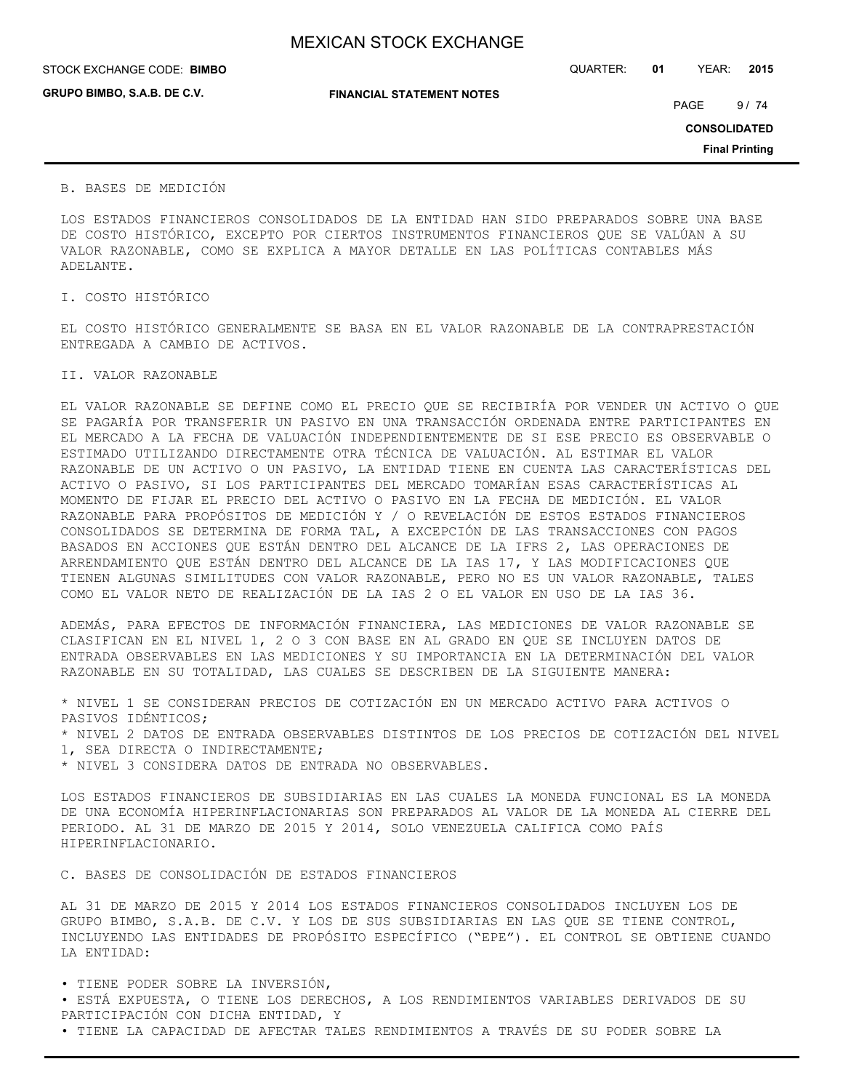## STOCK EXCHANGE CODE: QUARTER: **01** YEAR: **2015 BIMBO**

**GRUPO BIMBO, S.A.B. DE C.V.**

**FINANCIAL STATEMENT NOTES**

PAGE 9/74

**CONSOLIDATED**

**Final Printing**

## B. BASES DE MEDICIÓN

LOS ESTADOS FINANCIEROS CONSOLIDADOS DE LA ENTIDAD HAN SIDO PREPARADOS SOBRE UNA BASE DE COSTO HISTÓRICO, EXCEPTO POR CIERTOS INSTRUMENTOS FINANCIEROS QUE SE VALÚAN A SU VALOR RAZONABLE, COMO SE EXPLICA A MAYOR DETALLE EN LAS POLÍTICAS CONTABLES MÁS ADELANTE.

I. COSTO HISTÓRICO

EL COSTO HISTÓRICO GENERALMENTE SE BASA EN EL VALOR RAZONABLE DE LA CONTRAPRESTACIÓN ENTREGADA A CAMBIO DE ACTIVOS.

## II. VALOR RAZONABLE

EL VALOR RAZONABLE SE DEFINE COMO EL PRECIO QUE SE RECIBIRÍA POR VENDER UN ACTIVO O QUE SE PAGARÍA POR TRANSFERIR UN PASIVO EN UNA TRANSACCIÓN ORDENADA ENTRE PARTICIPANTES EN EL MERCADO A LA FECHA DE VALUACIÓN INDEPENDIENTEMENTE DE SI ESE PRECIO ES OBSERVABLE O ESTIMADO UTILIZANDO DIRECTAMENTE OTRA TÉCNICA DE VALUACIÓN. AL ESTIMAR EL VALOR RAZONABLE DE UN ACTIVO O UN PASIVO, LA ENTIDAD TIENE EN CUENTA LAS CARACTERÍSTICAS DEL ACTIVO O PASIVO, SI LOS PARTICIPANTES DEL MERCADO TOMARÍAN ESAS CARACTERÍSTICAS AL MOMENTO DE FIJAR EL PRECIO DEL ACTIVO O PASIVO EN LA FECHA DE MEDICIÓN. EL VALOR RAZONABLE PARA PROPÓSITOS DE MEDICIÓN Y / O REVELACIÓN DE ESTOS ESTADOS FINANCIEROS CONSOLIDADOS SE DETERMINA DE FORMA TAL, A EXCEPCIÓN DE LAS TRANSACCIONES CON PAGOS BASADOS EN ACCIONES QUE ESTÁN DENTRO DEL ALCANCE DE LA IFRS 2, LAS OPERACIONES DE ARRENDAMIENTO QUE ESTÁN DENTRO DEL ALCANCE DE LA IAS 17, Y LAS MODIFICACIONES QUE TIENEN ALGUNAS SIMILITUDES CON VALOR RAZONABLE, PERO NO ES UN VALOR RAZONABLE, TALES COMO EL VALOR NETO DE REALIZACIÓN DE LA IAS 2 O EL VALOR EN USO DE LA IAS 36.

ADEMÁS, PARA EFECTOS DE INFORMACIÓN FINANCIERA, LAS MEDICIONES DE VALOR RAZONABLE SE CLASIFICAN EN EL NIVEL 1, 2 O 3 CON BASE EN AL GRADO EN QUE SE INCLUYEN DATOS DE ENTRADA OBSERVABLES EN LAS MEDICIONES Y SU IMPORTANCIA EN LA DETERMINACIÓN DEL VALOR RAZONABLE EN SU TOTALIDAD, LAS CUALES SE DESCRIBEN DE LA SIGUIENTE MANERA:

\* NIVEL 1 SE CONSIDERAN PRECIOS DE COTIZACIÓN EN UN MERCADO ACTIVO PARA ACTIVOS O PASIVOS IDÉNTICOS;

\* NIVEL 2 DATOS DE ENTRADA OBSERVABLES DISTINTOS DE LOS PRECIOS DE COTIZACIÓN DEL NIVEL 1, SEA DIRECTA O INDIRECTAMENTE;

\* NIVEL 3 CONSIDERA DATOS DE ENTRADA NO OBSERVABLES.

LOS ESTADOS FINANCIEROS DE SUBSIDIARIAS EN LAS CUALES LA MONEDA FUNCIONAL ES LA MONEDA DE UNA ECONOMÍA HIPERINFLACIONARIAS SON PREPARADOS AL VALOR DE LA MONEDA AL CIERRE DEL PERIODO. AL 31 DE MARZO DE 2015 Y 2014, SOLO VENEZUELA CALIFICA COMO PAÍS HIPERINFLACIONARIO.

C. BASES DE CONSOLIDACIÓN DE ESTADOS FINANCIEROS

AL 31 DE MARZO DE 2015 Y 2014 LOS ESTADOS FINANCIEROS CONSOLIDADOS INCLUYEN LOS DE GRUPO BIMBO, S.A.B. DE C.V. Y LOS DE SUS SUBSIDIARIAS EN LAS QUE SE TIENE CONTROL, INCLUYENDO LAS ENTIDADES DE PROPÓSITO ESPECÍFICO ("EPE"). EL CONTROL SE OBTIENE CUANDO LA ENTIDAD:

• TIENE PODER SOBRE LA INVERSIÓN,

• ESTÁ EXPUESTA, O TIENE LOS DERECHOS, A LOS RENDIMIENTOS VARIABLES DERIVADOS DE SU PARTICIPACIÓN CON DICHA ENTIDAD, Y

• TIENE LA CAPACIDAD DE AFECTAR TALES RENDIMIENTOS A TRAVÉS DE SU PODER SOBRE LA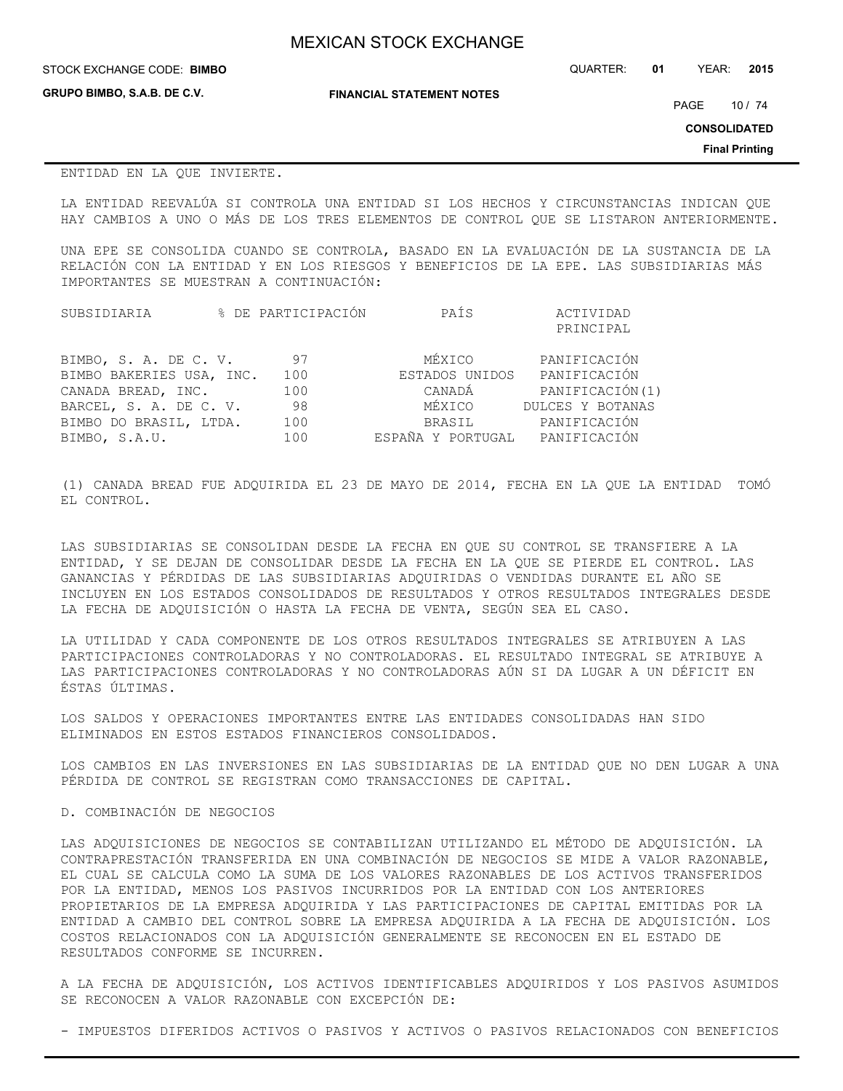| <b>MEXICAN STOCK EXCHANGE</b> |
|-------------------------------|
|-------------------------------|

STOCK EXCHANGE CODE: QUARTER: **01** YEAR: **2015 BIMBO**

**GRUPO BIMBO, S.A.B. DE C.V.**

**FINANCIAL STATEMENT NOTES**

PAGE 10 / 74

**CONSOLIDATED**

**Final Printing**

### ENTIDAD EN LA QUE INVIERTE.

LA ENTIDAD REEVALÚA SI CONTROLA UNA ENTIDAD SI LOS HECHOS Y CIRCUNSTANCIAS INDICAN QUE HAY CAMBIOS A UNO O MÁS DE LOS TRES ELEMENTOS DE CONTROL QUE SE LISTARON ANTERIORMENTE.

UNA EPE SE CONSOLIDA CUANDO SE CONTROLA, BASADO EN LA EVALUACIÓN DE LA SUSTANCIA DE LA RELACIÓN CON LA ENTIDAD Y EN LOS RIESGOS Y BENEFICIOS DE LA EPE. LAS SUBSIDIARIAS MÁS IMPORTANTES SE MUESTRAN A CONTINUACIÓN:

| SUBSIDIARIA              |     | % DE PARTICIPACIÓN | PAÍS           | ACTIVIDAD        |
|--------------------------|-----|--------------------|----------------|------------------|
|                          |     |                    |                | PRINCIPAL        |
| BIMBO, S. A. DE C. V.    |     | 97                 | MÉXICO         | PANIFICACIÓN     |
| BIMBO BAKERIES USA, INC. | 100 |                    | ESTADOS UNIDOS | PANIFICACIÓN     |
| CANADA BREAD, INC.       | 100 |                    | CANADÁ         | PANIFICACIÓN(1)  |
| BARCEL, S. A. DE C. V.   |     | 98                 | MÉXICO         | DULCES Y BOTANAS |
| BIMBO DO BRASIL, LTDA.   | 100 |                    | BRASIL         | PANIFICACIÓN     |

BIMBO, S.A.U. 100 ESPAÑA Y PORTUGAL PANIFICACIÓN

(1) CANADA BREAD FUE ADQUIRIDA EL 23 DE MAYO DE 2014, FECHA EN LA QUE LA ENTIDAD TOMÓ EL CONTROL.

LAS SUBSIDIARIAS SE CONSOLIDAN DESDE LA FECHA EN QUE SU CONTROL SE TRANSFIERE A LA ENTIDAD, Y SE DEJAN DE CONSOLIDAR DESDE LA FECHA EN LA QUE SE PIERDE EL CONTROL. LAS GANANCIAS Y PÉRDIDAS DE LAS SUBSIDIARIAS ADQUIRIDAS O VENDIDAS DURANTE EL AÑO SE INCLUYEN EN LOS ESTADOS CONSOLIDADOS DE RESULTADOS Y OTROS RESULTADOS INTEGRALES DESDE LA FECHA DE ADQUISICIÓN O HASTA LA FECHA DE VENTA, SEGÚN SEA EL CASO.

LA UTILIDAD Y CADA COMPONENTE DE LOS OTROS RESULTADOS INTEGRALES SE ATRIBUYEN A LAS PARTICIPACIONES CONTROLADORAS Y NO CONTROLADORAS. EL RESULTADO INTEGRAL SE ATRIBUYE A LAS PARTICIPACIONES CONTROLADORAS Y NO CONTROLADORAS AÚN SI DA LUGAR A UN DÉFICIT EN ÉSTAS ÚLTIMAS.

LOS SALDOS Y OPERACIONES IMPORTANTES ENTRE LAS ENTIDADES CONSOLIDADAS HAN SIDO ELIMINADOS EN ESTOS ESTADOS FINANCIEROS CONSOLIDADOS.

LOS CAMBIOS EN LAS INVERSIONES EN LAS SUBSIDIARIAS DE LA ENTIDAD QUE NO DEN LUGAR A UNA PÉRDIDA DE CONTROL SE REGISTRAN COMO TRANSACCIONES DE CAPITAL.

# D. COMBINACIÓN DE NEGOCIOS

LAS ADQUISICIONES DE NEGOCIOS SE CONTABILIZAN UTILIZANDO EL MÉTODO DE ADQUISICIÓN. LA CONTRAPRESTACIÓN TRANSFERIDA EN UNA COMBINACIÓN DE NEGOCIOS SE MIDE A VALOR RAZONABLE, EL CUAL SE CALCULA COMO LA SUMA DE LOS VALORES RAZONABLES DE LOS ACTIVOS TRANSFERIDOS POR LA ENTIDAD, MENOS LOS PASIVOS INCURRIDOS POR LA ENTIDAD CON LOS ANTERIORES PROPIETARIOS DE LA EMPRESA ADQUIRIDA Y LAS PARTICIPACIONES DE CAPITAL EMITIDAS POR LA ENTIDAD A CAMBIO DEL CONTROL SOBRE LA EMPRESA ADQUIRIDA A LA FECHA DE ADQUISICIÓN. LOS COSTOS RELACIONADOS CON LA ADQUISICIÓN GENERALMENTE SE RECONOCEN EN EL ESTADO DE RESULTADOS CONFORME SE INCURREN.

A LA FECHA DE ADQUISICIÓN, LOS ACTIVOS IDENTIFICABLES ADQUIRIDOS Y LOS PASIVOS ASUMIDOS SE RECONOCEN A VALOR RAZONABLE CON EXCEPCIÓN DE:

- IMPUESTOS DIFERIDOS ACTIVOS O PASIVOS Y ACTIVOS O PASIVOS RELACIONADOS CON BENEFICIOS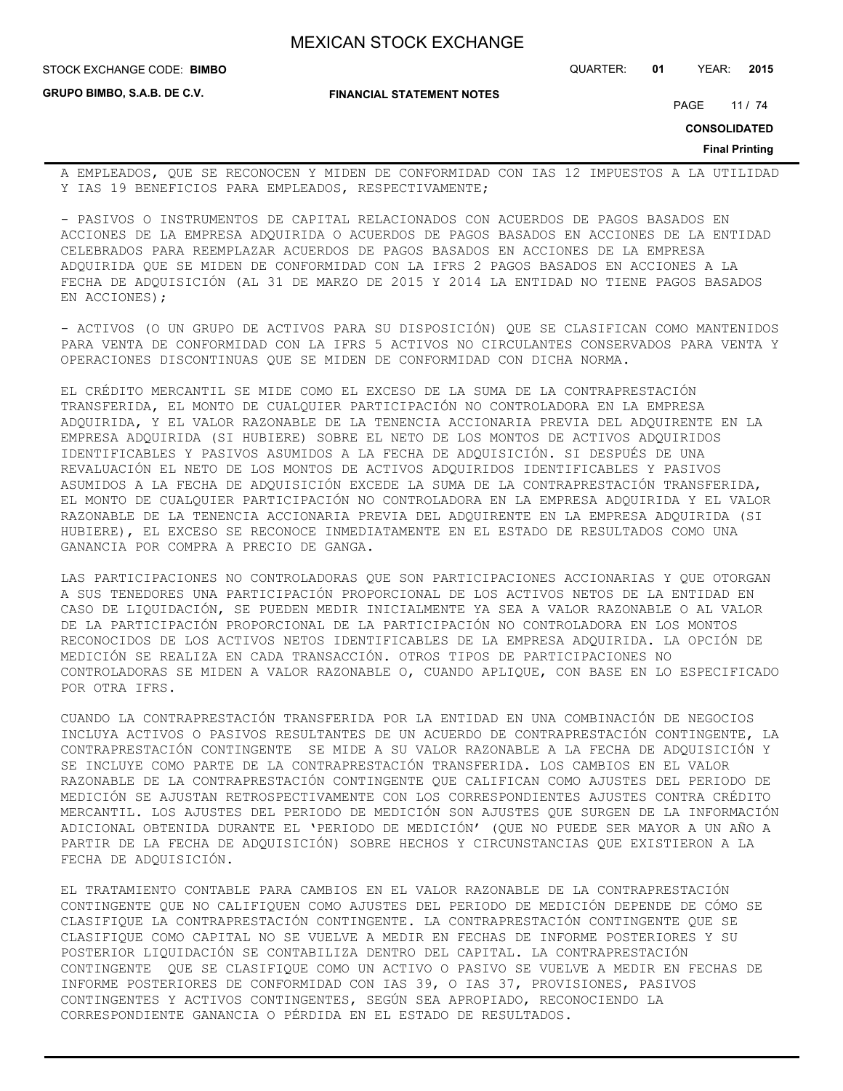**FINANCIAL STATEMENT NOTES**

STOCK EXCHANGE CODE: QUARTER: **01** YEAR: **2015 BIMBO**

**GRUPO BIMBO, S.A.B. DE C.V.**

PAGE 11 / 74

**CONSOLIDATED**

**Final Printing**

A EMPLEADOS, QUE SE RECONOCEN Y MIDEN DE CONFORMIDAD CON IAS 12 IMPUESTOS A LA UTILIDAD Y IAS 19 BENEFICIOS PARA EMPLEADOS, RESPECTIVAMENTE;

- PASIVOS O INSTRUMENTOS DE CAPITAL RELACIONADOS CON ACUERDOS DE PAGOS BASADOS EN ACCIONES DE LA EMPRESA ADQUIRIDA O ACUERDOS DE PAGOS BASADOS EN ACCIONES DE LA ENTIDAD CELEBRADOS PARA REEMPLAZAR ACUERDOS DE PAGOS BASADOS EN ACCIONES DE LA EMPRESA ADQUIRIDA QUE SE MIDEN DE CONFORMIDAD CON LA IFRS 2 PAGOS BASADOS EN ACCIONES A LA FECHA DE ADQUISICIÓN (AL 31 DE MARZO DE 2015 Y 2014 LA ENTIDAD NO TIENE PAGOS BASADOS EN ACCIONES);

- ACTIVOS (O UN GRUPO DE ACTIVOS PARA SU DISPOSICIÓN) QUE SE CLASIFICAN COMO MANTENIDOS PARA VENTA DE CONFORMIDAD CON LA IFRS 5 ACTIVOS NO CIRCULANTES CONSERVADOS PARA VENTA Y OPERACIONES DISCONTINUAS QUE SE MIDEN DE CONFORMIDAD CON DICHA NORMA.

EL CRÉDITO MERCANTIL SE MIDE COMO EL EXCESO DE LA SUMA DE LA CONTRAPRESTACIÓN TRANSFERIDA, EL MONTO DE CUALQUIER PARTICIPACIÓN NO CONTROLADORA EN LA EMPRESA ADQUIRIDA, Y EL VALOR RAZONABLE DE LA TENENCIA ACCIONARIA PREVIA DEL ADQUIRENTE EN LA EMPRESA ADQUIRIDA (SI HUBIERE) SOBRE EL NETO DE LOS MONTOS DE ACTIVOS ADQUIRIDOS IDENTIFICABLES Y PASIVOS ASUMIDOS A LA FECHA DE ADQUISICIÓN. SI DESPUÉS DE UNA REVALUACIÓN EL NETO DE LOS MONTOS DE ACTIVOS ADQUIRIDOS IDENTIFICABLES Y PASIVOS ASUMIDOS A LA FECHA DE ADQUISICIÓN EXCEDE LA SUMA DE LA CONTRAPRESTACIÓN TRANSFERIDA, EL MONTO DE CUALQUIER PARTICIPACIÓN NO CONTROLADORA EN LA EMPRESA ADQUIRIDA Y EL VALOR RAZONABLE DE LA TENENCIA ACCIONARIA PREVIA DEL ADQUIRENTE EN LA EMPRESA ADQUIRIDA (SI HUBIERE), EL EXCESO SE RECONOCE INMEDIATAMENTE EN EL ESTADO DE RESULTADOS COMO UNA GANANCIA POR COMPRA A PRECIO DE GANGA.

LAS PARTICIPACIONES NO CONTROLADORAS QUE SON PARTICIPACIONES ACCIONARIAS Y QUE OTORGAN A SUS TENEDORES UNA PARTICIPACIÓN PROPORCIONAL DE LOS ACTIVOS NETOS DE LA ENTIDAD EN CASO DE LIQUIDACIÓN, SE PUEDEN MEDIR INICIALMENTE YA SEA A VALOR RAZONABLE O AL VALOR DE LA PARTICIPACIÓN PROPORCIONAL DE LA PARTICIPACIÓN NO CONTROLADORA EN LOS MONTOS RECONOCIDOS DE LOS ACTIVOS NETOS IDENTIFICABLES DE LA EMPRESA ADQUIRIDA. LA OPCIÓN DE MEDICIÓN SE REALIZA EN CADA TRANSACCIÓN. OTROS TIPOS DE PARTICIPACIONES NO CONTROLADORAS SE MIDEN A VALOR RAZONABLE O, CUANDO APLIQUE, CON BASE EN LO ESPECIFICADO POR OTRA IFRS.

CUANDO LA CONTRAPRESTACIÓN TRANSFERIDA POR LA ENTIDAD EN UNA COMBINACIÓN DE NEGOCIOS INCLUYA ACTIVOS O PASIVOS RESULTANTES DE UN ACUERDO DE CONTRAPRESTACIÓN CONTINGENTE, LA CONTRAPRESTACIÓN CONTINGENTE SE MIDE A SU VALOR RAZONABLE A LA FECHA DE ADQUISICIÓN Y SE INCLUYE COMO PARTE DE LA CONTRAPRESTACIÓN TRANSFERIDA. LOS CAMBIOS EN EL VALOR RAZONABLE DE LA CONTRAPRESTACIÓN CONTINGENTE QUE CALIFICAN COMO AJUSTES DEL PERIODO DE MEDICIÓN SE AJUSTAN RETROSPECTIVAMENTE CON LOS CORRESPONDIENTES AJUSTES CONTRA CRÉDITO MERCANTIL. LOS AJUSTES DEL PERIODO DE MEDICIÓN SON AJUSTES QUE SURGEN DE LA INFORMACIÓN ADICIONAL OBTENIDA DURANTE EL 'PERIODO DE MEDICIÓN' (QUE NO PUEDE SER MAYOR A UN AÑO A PARTIR DE LA FECHA DE ADQUISICIÓN) SOBRE HECHOS Y CIRCUNSTANCIAS QUE EXISTIERON A LA FECHA DE ADQUISICIÓN.

EL TRATAMIENTO CONTABLE PARA CAMBIOS EN EL VALOR RAZONABLE DE LA CONTRAPRESTACIÓN CONTINGENTE QUE NO CALIFIQUEN COMO AJUSTES DEL PERIODO DE MEDICIÓN DEPENDE DE CÓMO SE CLASIFIQUE LA CONTRAPRESTACIÓN CONTINGENTE. LA CONTRAPRESTACIÓN CONTINGENTE QUE SE CLASIFIQUE COMO CAPITAL NO SE VUELVE A MEDIR EN FECHAS DE INFORME POSTERIORES Y SU POSTERIOR LIQUIDACIÓN SE CONTABILIZA DENTRO DEL CAPITAL. LA CONTRAPRESTACIÓN CONTINGENTE QUE SE CLASIFIQUE COMO UN ACTIVO O PASIVO SE VUELVE A MEDIR EN FECHAS DE INFORME POSTERIORES DE CONFORMIDAD CON IAS 39, O IAS 37, PROVISIONES, PASIVOS CONTINGENTES Y ACTIVOS CONTINGENTES, SEGÚN SEA APROPIADO, RECONOCIENDO LA CORRESPONDIENTE GANANCIA O PÉRDIDA EN EL ESTADO DE RESULTADOS.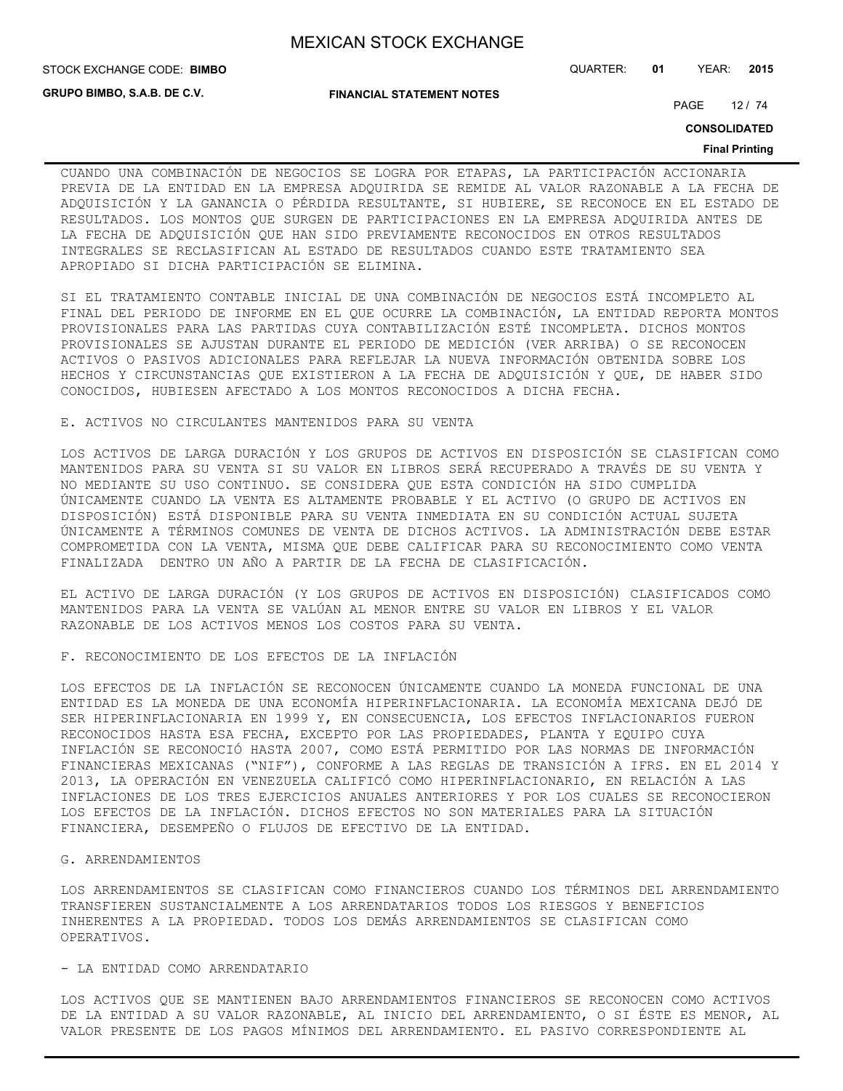**GRUPO BIMBO, S.A.B. DE C.V.**

**FINANCIAL STATEMENT NOTES**

STOCK EXCHANGE CODE: QUARTER: **01** YEAR: **2015 BIMBO**

PAGE 12 / 74

**CONSOLIDATED**

#### **Final Printing**

CUANDO UNA COMBINACIÓN DE NEGOCIOS SE LOGRA POR ETAPAS, LA PARTICIPACIÓN ACCIONARIA PREVIA DE LA ENTIDAD EN LA EMPRESA ADQUIRIDA SE REMIDE AL VALOR RAZONABLE A LA FECHA DE ADQUISICIÓN Y LA GANANCIA O PÉRDIDA RESULTANTE, SI HUBIERE, SE RECONOCE EN EL ESTADO DE RESULTADOS. LOS MONTOS QUE SURGEN DE PARTICIPACIONES EN LA EMPRESA ADQUIRIDA ANTES DE LA FECHA DE ADQUISICIÓN QUE HAN SIDO PREVIAMENTE RECONOCIDOS EN OTROS RESULTADOS INTEGRALES SE RECLASIFICAN AL ESTADO DE RESULTADOS CUANDO ESTE TRATAMIENTO SEA APROPIADO SI DICHA PARTICIPACIÓN SE ELIMINA.

SI EL TRATAMIENTO CONTABLE INICIAL DE UNA COMBINACIÓN DE NEGOCIOS ESTÁ INCOMPLETO AL FINAL DEL PERIODO DE INFORME EN EL QUE OCURRE LA COMBINACIÓN, LA ENTIDAD REPORTA MONTOS PROVISIONALES PARA LAS PARTIDAS CUYA CONTABILIZACIÓN ESTÉ INCOMPLETA. DICHOS MONTOS PROVISIONALES SE AJUSTAN DURANTE EL PERIODO DE MEDICIÓN (VER ARRIBA) O SE RECONOCEN ACTIVOS O PASIVOS ADICIONALES PARA REFLEJAR LA NUEVA INFORMACIÓN OBTENIDA SOBRE LOS HECHOS Y CIRCUNSTANCIAS QUE EXISTIERON A LA FECHA DE ADQUISICIÓN Y QUE, DE HABER SIDO CONOCIDOS, HUBIESEN AFECTADO A LOS MONTOS RECONOCIDOS A DICHA FECHA.

## E. ACTIVOS NO CIRCULANTES MANTENIDOS PARA SU VENTA

LOS ACTIVOS DE LARGA DURACIÓN Y LOS GRUPOS DE ACTIVOS EN DISPOSICIÓN SE CLASIFICAN COMO MANTENIDOS PARA SU VENTA SI SU VALOR EN LIBROS SERÁ RECUPERADO A TRAVÉS DE SU VENTA Y NO MEDIANTE SU USO CONTINUO. SE CONSIDERA QUE ESTA CONDICIÓN HA SIDO CUMPLIDA ÚNICAMENTE CUANDO LA VENTA ES ALTAMENTE PROBABLE Y EL ACTIVO (O GRUPO DE ACTIVOS EN DISPOSICIÓN) ESTÁ DISPONIBLE PARA SU VENTA INMEDIATA EN SU CONDICIÓN ACTUAL SUJETA ÚNICAMENTE A TÉRMINOS COMUNES DE VENTA DE DICHOS ACTIVOS. LA ADMINISTRACIÓN DEBE ESTAR COMPROMETIDA CON LA VENTA, MISMA QUE DEBE CALIFICAR PARA SU RECONOCIMIENTO COMO VENTA FINALIZADA DENTRO UN AÑO A PARTIR DE LA FECHA DE CLASIFICACIÓN.

EL ACTIVO DE LARGA DURACIÓN (Y LOS GRUPOS DE ACTIVOS EN DISPOSICIÓN) CLASIFICADOS COMO MANTENIDOS PARA LA VENTA SE VALÚAN AL MENOR ENTRE SU VALOR EN LIBROS Y EL VALOR RAZONABLE DE LOS ACTIVOS MENOS LOS COSTOS PARA SU VENTA.

F. RECONOCIMIENTO DE LOS EFECTOS DE LA INFLACIÓN

LOS EFECTOS DE LA INFLACIÓN SE RECONOCEN ÚNICAMENTE CUANDO LA MONEDA FUNCIONAL DE UNA ENTIDAD ES LA MONEDA DE UNA ECONOMÍA HIPERINFLACIONARIA. LA ECONOMÍA MEXICANA DEJÓ DE SER HIPERINFLACIONARIA EN 1999 Y, EN CONSECUENCIA, LOS EFECTOS INFLACIONARIOS FUERON RECONOCIDOS HASTA ESA FECHA, EXCEPTO POR LAS PROPIEDADES, PLANTA Y EQUIPO CUYA INFLACIÓN SE RECONOCIÓ HASTA 2007, COMO ESTÁ PERMITIDO POR LAS NORMAS DE INFORMACIÓN FINANCIERAS MEXICANAS ("NIF"), CONFORME A LAS REGLAS DE TRANSICIÓN A IFRS. EN EL 2014 Y 2013, LA OPERACIÓN EN VENEZUELA CALIFICÓ COMO HIPERINFLACIONARIO, EN RELACIÓN A LAS INFLACIONES DE LOS TRES EJERCICIOS ANUALES ANTERIORES Y POR LOS CUALES SE RECONOCIERON LOS EFECTOS DE LA INFLACIÓN. DICHOS EFECTOS NO SON MATERIALES PARA LA SITUACIÓN FINANCIERA, DESEMPEÑO O FLUJOS DE EFECTIVO DE LA ENTIDAD.

#### G. ARRENDAMIENTOS

LOS ARRENDAMIENTOS SE CLASIFICAN COMO FINANCIEROS CUANDO LOS TÉRMINOS DEL ARRENDAMIENTO TRANSFIEREN SUSTANCIALMENTE A LOS ARRENDATARIOS TODOS LOS RIESGOS Y BENEFICIOS INHERENTES A LA PROPIEDAD. TODOS LOS DEMÁS ARRENDAMIENTOS SE CLASIFICAN COMO OPERATIVOS.

## - LA ENTIDAD COMO ARRENDATARIO

LOS ACTIVOS QUE SE MANTIENEN BAJO ARRENDAMIENTOS FINANCIEROS SE RECONOCEN COMO ACTIVOS DE LA ENTIDAD A SU VALOR RAZONABLE, AL INICIO DEL ARRENDAMIENTO, O SI ÉSTE ES MENOR, AL VALOR PRESENTE DE LOS PAGOS MÍNIMOS DEL ARRENDAMIENTO. EL PASIVO CORRESPONDIENTE AL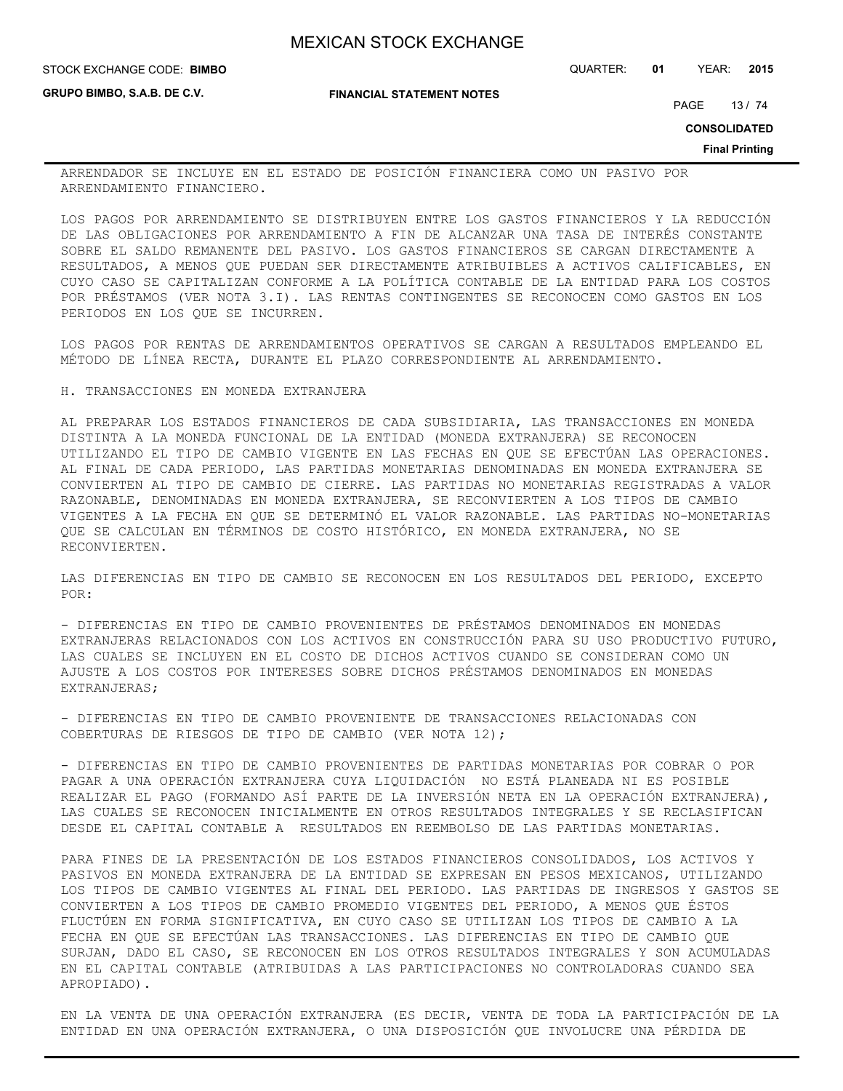**STOCK EXCHANGE CODE: BIMBO** 

**GRUPO BIMBO, S.A.B. DE C.V.**

**FINANCIAL STATEMENT NOTES**

STOCK EXCHANGE CODE: QUARTER: **01** YEAR: **2015**

PAGE 13 / 74

**CONSOLIDATED**

**Final Printing**

ARRENDADOR SE INCLUYE EN EL ESTADO DE POSICIÓN FINANCIERA COMO UN PASIVO POR ARRENDAMIENTO FINANCIERO.

LOS PAGOS POR ARRENDAMIENTO SE DISTRIBUYEN ENTRE LOS GASTOS FINANCIEROS Y LA REDUCCIÓN DE LAS OBLIGACIONES POR ARRENDAMIENTO A FIN DE ALCANZAR UNA TASA DE INTERÉS CONSTANTE SOBRE EL SALDO REMANENTE DEL PASIVO. LOS GASTOS FINANCIEROS SE CARGAN DIRECTAMENTE A RESULTADOS, A MENOS QUE PUEDAN SER DIRECTAMENTE ATRIBUIBLES A ACTIVOS CALIFICABLES, EN CUYO CASO SE CAPITALIZAN CONFORME A LA POLÍTICA CONTABLE DE LA ENTIDAD PARA LOS COSTOS POR PRÉSTAMOS (VER NOTA 3.I). LAS RENTAS CONTINGENTES SE RECONOCEN COMO GASTOS EN LOS PERIODOS EN LOS QUE SE INCURREN.

LOS PAGOS POR RENTAS DE ARRENDAMIENTOS OPERATIVOS SE CARGAN A RESULTADOS EMPLEANDO EL MÉTODO DE LÍNEA RECTA, DURANTE EL PLAZO CORRESPONDIENTE AL ARRENDAMIENTO.

H. TRANSACCIONES EN MONEDA EXTRANJERA

AL PREPARAR LOS ESTADOS FINANCIEROS DE CADA SUBSIDIARIA, LAS TRANSACCIONES EN MONEDA DISTINTA A LA MONEDA FUNCIONAL DE LA ENTIDAD (MONEDA EXTRANJERA) SE RECONOCEN UTILIZANDO EL TIPO DE CAMBIO VIGENTE EN LAS FECHAS EN QUE SE EFECTÚAN LAS OPERACIONES. AL FINAL DE CADA PERIODO, LAS PARTIDAS MONETARIAS DENOMINADAS EN MONEDA EXTRANJERA SE CONVIERTEN AL TIPO DE CAMBIO DE CIERRE. LAS PARTIDAS NO MONETARIAS REGISTRADAS A VALOR RAZONABLE, DENOMINADAS EN MONEDA EXTRANJERA, SE RECONVIERTEN A LOS TIPOS DE CAMBIO VIGENTES A LA FECHA EN QUE SE DETERMINÓ EL VALOR RAZONABLE. LAS PARTIDAS NO-MONETARIAS QUE SE CALCULAN EN TÉRMINOS DE COSTO HISTÓRICO, EN MONEDA EXTRANJERA, NO SE RECONVIERTEN.

LAS DIFERENCIAS EN TIPO DE CAMBIO SE RECONOCEN EN LOS RESULTADOS DEL PERIODO, EXCEPTO POR:

- DIFERENCIAS EN TIPO DE CAMBIO PROVENIENTES DE PRÉSTAMOS DENOMINADOS EN MONEDAS EXTRANJERAS RELACIONADOS CON LOS ACTIVOS EN CONSTRUCCIÓN PARA SU USO PRODUCTIVO FUTURO, LAS CUALES SE INCLUYEN EN EL COSTO DE DICHOS ACTIVOS CUANDO SE CONSIDERAN COMO UN AJUSTE A LOS COSTOS POR INTERESES SOBRE DICHOS PRÉSTAMOS DENOMINADOS EN MONEDAS EXTRANJERAS;

- DIFERENCIAS EN TIPO DE CAMBIO PROVENIENTE DE TRANSACCIONES RELACIONADAS CON COBERTURAS DE RIESGOS DE TIPO DE CAMBIO (VER NOTA 12);

- DIFERENCIAS EN TIPO DE CAMBIO PROVENIENTES DE PARTIDAS MONETARIAS POR COBRAR O POR PAGAR A UNA OPERACIÓN EXTRANJERA CUYA LIQUIDACIÓN NO ESTÁ PLANEADA NI ES POSIBLE REALIZAR EL PAGO (FORMANDO ASÍ PARTE DE LA INVERSIÓN NETA EN LA OPERACIÓN EXTRANJERA), LAS CUALES SE RECONOCEN INICIALMENTE EN OTROS RESULTADOS INTEGRALES Y SE RECLASIFICAN DESDE EL CAPITAL CONTABLE A RESULTADOS EN REEMBOLSO DE LAS PARTIDAS MONETARIAS.

PARA FINES DE LA PRESENTACIÓN DE LOS ESTADOS FINANCIEROS CONSOLIDADOS, LOS ACTIVOS Y PASIVOS EN MONEDA EXTRANJERA DE LA ENTIDAD SE EXPRESAN EN PESOS MEXICANOS, UTILIZANDO LOS TIPOS DE CAMBIO VIGENTES AL FINAL DEL PERIODO. LAS PARTIDAS DE INGRESOS Y GASTOS SE CONVIERTEN A LOS TIPOS DE CAMBIO PROMEDIO VIGENTES DEL PERIODO, A MENOS QUE ÉSTOS FLUCTÚEN EN FORMA SIGNIFICATIVA, EN CUYO CASO SE UTILIZAN LOS TIPOS DE CAMBIO A LA FECHA EN QUE SE EFECTÚAN LAS TRANSACCIONES. LAS DIFERENCIAS EN TIPO DE CAMBIO QUE SURJAN, DADO EL CASO, SE RECONOCEN EN LOS OTROS RESULTADOS INTEGRALES Y SON ACUMULADAS EN EL CAPITAL CONTABLE (ATRIBUIDAS A LAS PARTICIPACIONES NO CONTROLADORAS CUANDO SEA APROPIADO).

EN LA VENTA DE UNA OPERACIÓN EXTRANJERA (ES DECIR, VENTA DE TODA LA PARTICIPACIÓN DE LA ENTIDAD EN UNA OPERACIÓN EXTRANJERA, O UNA DISPOSICIÓN QUE INVOLUCRE UNA PÉRDIDA DE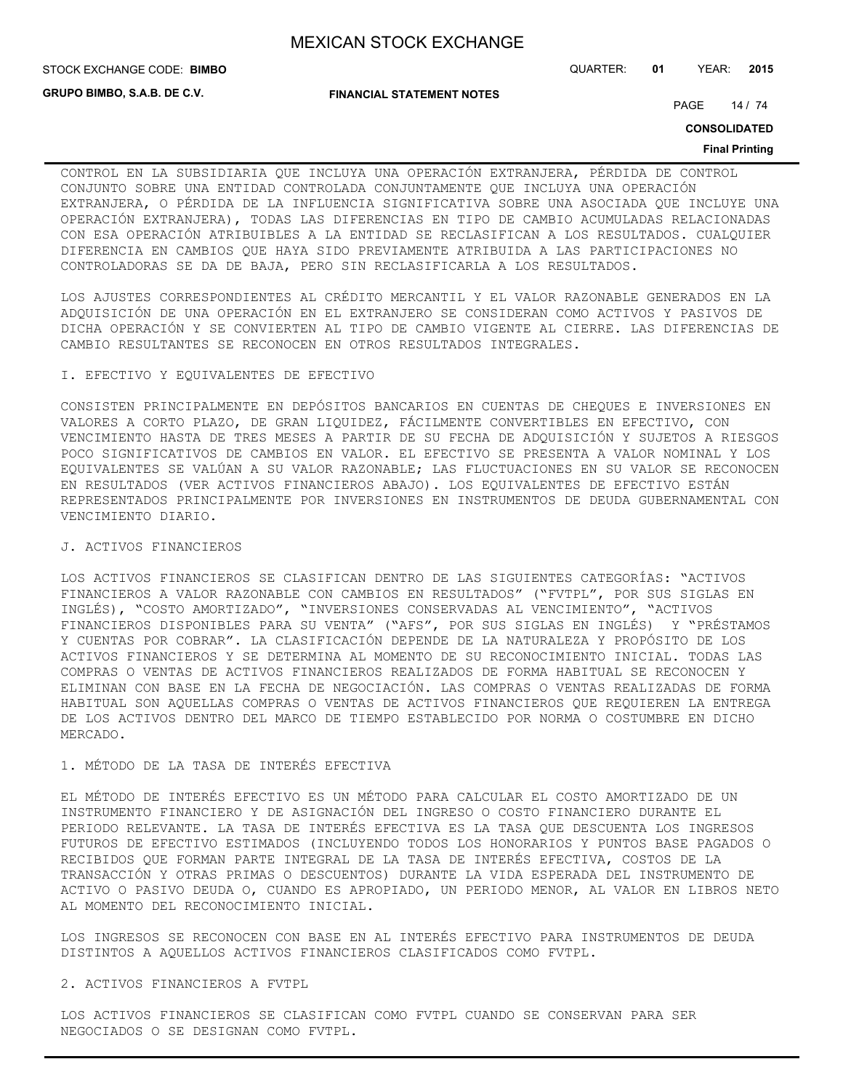STOCK EXCHANGE CODE: QUARTER: **01** YEAR: **2015 BIMBO**

**GRUPO BIMBO, S.A.B. DE C.V.**

**FINANCIAL STATEMENT NOTES**

PAGE 14 / 74

**CONSOLIDATED**

#### **Final Printing**

CONTROL EN LA SUBSIDIARIA QUE INCLUYA UNA OPERACIÓN EXTRANJERA, PÉRDIDA DE CONTROL CONJUNTO SOBRE UNA ENTIDAD CONTROLADA CONJUNTAMENTE QUE INCLUYA UNA OPERACIÓN EXTRANJERA, O PÉRDIDA DE LA INFLUENCIA SIGNIFICATIVA SOBRE UNA ASOCIADA QUE INCLUYE UNA OPERACIÓN EXTRANJERA), TODAS LAS DIFERENCIAS EN TIPO DE CAMBIO ACUMULADAS RELACIONADAS CON ESA OPERACIÓN ATRIBUIBLES A LA ENTIDAD SE RECLASIFICAN A LOS RESULTADOS. CUALQUIER DIFERENCIA EN CAMBIOS QUE HAYA SIDO PREVIAMENTE ATRIBUIDA A LAS PARTICIPACIONES NO CONTROLADORAS SE DA DE BAJA, PERO SIN RECLASIFICARLA A LOS RESULTADOS.

LOS AJUSTES CORRESPONDIENTES AL CRÉDITO MERCANTIL Y EL VALOR RAZONABLE GENERADOS EN LA ADQUISICIÓN DE UNA OPERACIÓN EN EL EXTRANJERO SE CONSIDERAN COMO ACTIVOS Y PASIVOS DE DICHA OPERACIÓN Y SE CONVIERTEN AL TIPO DE CAMBIO VIGENTE AL CIERRE. LAS DIFERENCIAS DE CAMBIO RESULTANTES SE RECONOCEN EN OTROS RESULTADOS INTEGRALES.

## I. EFECTIVO Y EQUIVALENTES DE EFECTIVO

CONSISTEN PRINCIPALMENTE EN DEPÓSITOS BANCARIOS EN CUENTAS DE CHEQUES E INVERSIONES EN VALORES A CORTO PLAZO, DE GRAN LIQUIDEZ, FÁCILMENTE CONVERTIBLES EN EFECTIVO, CON VENCIMIENTO HASTA DE TRES MESES A PARTIR DE SU FECHA DE ADQUISICIÓN Y SUJETOS A RIESGOS POCO SIGNIFICATIVOS DE CAMBIOS EN VALOR. EL EFECTIVO SE PRESENTA A VALOR NOMINAL Y LOS EQUIVALENTES SE VALÚAN A SU VALOR RAZONABLE; LAS FLUCTUACIONES EN SU VALOR SE RECONOCEN EN RESULTADOS (VER ACTIVOS FINANCIEROS ABAJO). LOS EQUIVALENTES DE EFECTIVO ESTÁN REPRESENTADOS PRINCIPALMENTE POR INVERSIONES EN INSTRUMENTOS DE DEUDA GUBERNAMENTAL CON VENCIMIENTO DIARIO.

## J. ACTIVOS FINANCIEROS

LOS ACTIVOS FINANCIEROS SE CLASIFICAN DENTRO DE LAS SIGUIENTES CATEGORÍAS: "ACTIVOS FINANCIEROS A VALOR RAZONABLE CON CAMBIOS EN RESULTADOS" ("FVTPL", POR SUS SIGLAS EN INGLÉS), "COSTO AMORTIZADO", "INVERSIONES CONSERVADAS AL VENCIMIENTO", "ACTIVOS FINANCIEROS DISPONIBLES PARA SU VENTA" ("AFS", POR SUS SIGLAS EN INGLÉS) Y "PRÉSTAMOS Y CUENTAS POR COBRAR". LA CLASIFICACIÓN DEPENDE DE LA NATURALEZA Y PROPÓSITO DE LOS ACTIVOS FINANCIEROS Y SE DETERMINA AL MOMENTO DE SU RECONOCIMIENTO INICIAL. TODAS LAS COMPRAS O VENTAS DE ACTIVOS FINANCIEROS REALIZADOS DE FORMA HABITUAL SE RECONOCEN Y ELIMINAN CON BASE EN LA FECHA DE NEGOCIACIÓN. LAS COMPRAS O VENTAS REALIZADAS DE FORMA HABITUAL SON AQUELLAS COMPRAS O VENTAS DE ACTIVOS FINANCIEROS QUE REQUIEREN LA ENTREGA DE LOS ACTIVOS DENTRO DEL MARCO DE TIEMPO ESTABLECIDO POR NORMA O COSTUMBRE EN DICHO MERCADO.

# 1. MÉTODO DE LA TASA DE INTERÉS EFECTIVA

EL MÉTODO DE INTERÉS EFECTIVO ES UN MÉTODO PARA CALCULAR EL COSTO AMORTIZADO DE UN INSTRUMENTO FINANCIERO Y DE ASIGNACIÓN DEL INGRESO O COSTO FINANCIERO DURANTE EL PERIODO RELEVANTE. LA TASA DE INTERÉS EFECTIVA ES LA TASA QUE DESCUENTA LOS INGRESOS FUTUROS DE EFECTIVO ESTIMADOS (INCLUYENDO TODOS LOS HONORARIOS Y PUNTOS BASE PAGADOS O RECIBIDOS QUE FORMAN PARTE INTEGRAL DE LA TASA DE INTERÉS EFECTIVA, COSTOS DE LA TRANSACCIÓN Y OTRAS PRIMAS O DESCUENTOS) DURANTE LA VIDA ESPERADA DEL INSTRUMENTO DE ACTIVO O PASIVO DEUDA O, CUANDO ES APROPIADO, UN PERIODO MENOR, AL VALOR EN LIBROS NETO AL MOMENTO DEL RECONOCIMIENTO INICIAL.

LOS INGRESOS SE RECONOCEN CON BASE EN AL INTERÉS EFECTIVO PARA INSTRUMENTOS DE DEUDA DISTINTOS A AQUELLOS ACTIVOS FINANCIEROS CLASIFICADOS COMO FVTPL.

## 2. ACTIVOS FINANCIEROS A FVTPL

LOS ACTIVOS FINANCIEROS SE CLASIFICAN COMO FVTPL CUANDO SE CONSERVAN PARA SER NEGOCIADOS O SE DESIGNAN COMO FVTPL.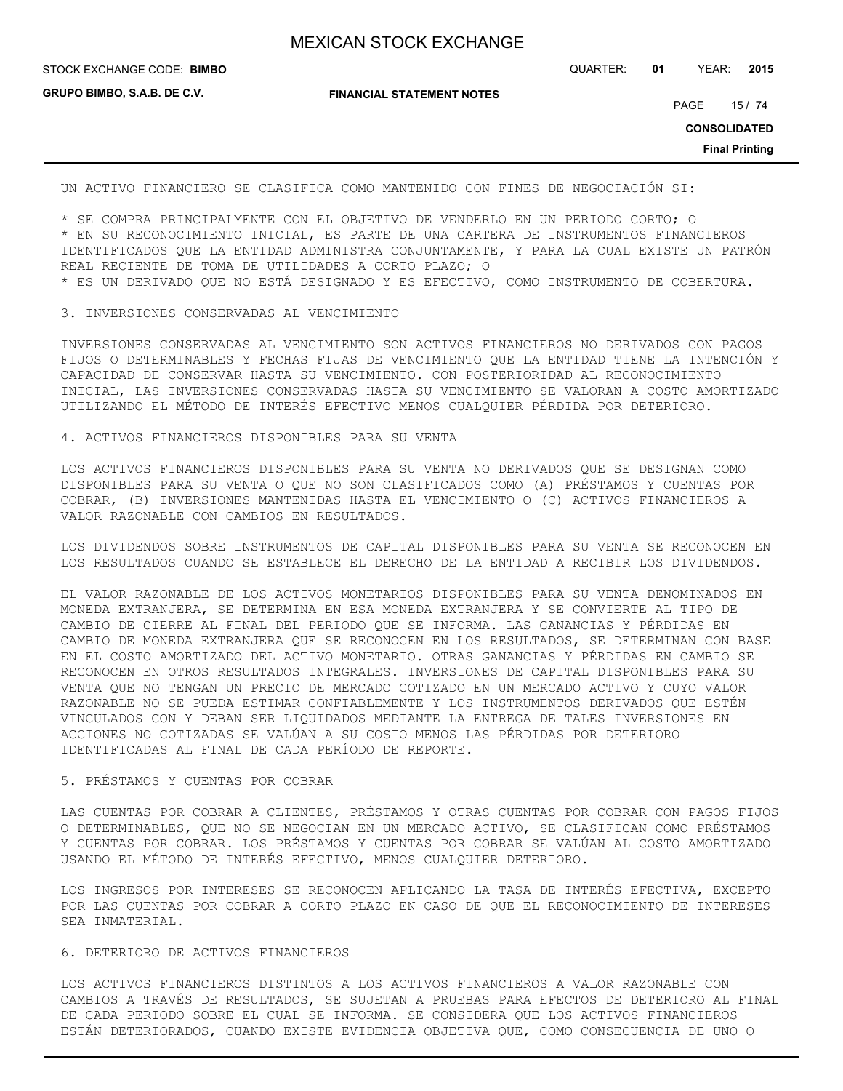STOCK EXCHANGE CODE: QUARTER: **01** YEAR: **2015 BIMBO**

**GRUPO BIMBO, S.A.B. DE C.V.**

**FINANCIAL STATEMENT NOTES**

PAGE 15 / 74

**CONSOLIDATED**

**Final Printing**

UN ACTIVO FINANCIERO SE CLASIFICA COMO MANTENIDO CON FINES DE NEGOCIACIÓN SI:

\* SE COMPRA PRINCIPALMENTE CON EL OBJETIVO DE VENDERLO EN UN PERIODO CORTO; O \* EN SU RECONOCIMIENTO INICIAL, ES PARTE DE UNA CARTERA DE INSTRUMENTOS FINANCIEROS IDENTIFICADOS QUE LA ENTIDAD ADMINISTRA CONJUNTAMENTE, Y PARA LA CUAL EXISTE UN PATRÓN REAL RECIENTE DE TOMA DE UTILIDADES A CORTO PLAZO; O

\* ES UN DERIVADO QUE NO ESTÁ DESIGNADO Y ES EFECTIVO, COMO INSTRUMENTO DE COBERTURA.

#### 3. INVERSIONES CONSERVADAS AL VENCIMIENTO

INVERSIONES CONSERVADAS AL VENCIMIENTO SON ACTIVOS FINANCIEROS NO DERIVADOS CON PAGOS FIJOS O DETERMINABLES Y FECHAS FIJAS DE VENCIMIENTO QUE LA ENTIDAD TIENE LA INTENCIÓN Y CAPACIDAD DE CONSERVAR HASTA SU VENCIMIENTO. CON POSTERIORIDAD AL RECONOCIMIENTO INICIAL, LAS INVERSIONES CONSERVADAS HASTA SU VENCIMIENTO SE VALORAN A COSTO AMORTIZADO UTILIZANDO EL MÉTODO DE INTERÉS EFECTIVO MENOS CUALQUIER PÉRDIDA POR DETERIORO.

4. ACTIVOS FINANCIEROS DISPONIBLES PARA SU VENTA

LOS ACTIVOS FINANCIEROS DISPONIBLES PARA SU VENTA NO DERIVADOS QUE SE DESIGNAN COMO DISPONIBLES PARA SU VENTA O QUE NO SON CLASIFICADOS COMO (A) PRÉSTAMOS Y CUENTAS POR COBRAR, (B) INVERSIONES MANTENIDAS HASTA EL VENCIMIENTO O (C) ACTIVOS FINANCIEROS A VALOR RAZONABLE CON CAMBIOS EN RESULTADOS.

LOS DIVIDENDOS SOBRE INSTRUMENTOS DE CAPITAL DISPONIBLES PARA SU VENTA SE RECONOCEN EN LOS RESULTADOS CUANDO SE ESTABLECE EL DERECHO DE LA ENTIDAD A RECIBIR LOS DIVIDENDOS.

EL VALOR RAZONABLE DE LOS ACTIVOS MONETARIOS DISPONIBLES PARA SU VENTA DENOMINADOS EN MONEDA EXTRANJERA, SE DETERMINA EN ESA MONEDA EXTRANJERA Y SE CONVIERTE AL TIPO DE CAMBIO DE CIERRE AL FINAL DEL PERIODO QUE SE INFORMA. LAS GANANCIAS Y PÉRDIDAS EN CAMBIO DE MONEDA EXTRANJERA QUE SE RECONOCEN EN LOS RESULTADOS, SE DETERMINAN CON BASE EN EL COSTO AMORTIZADO DEL ACTIVO MONETARIO. OTRAS GANANCIAS Y PÉRDIDAS EN CAMBIO SE RECONOCEN EN OTROS RESULTADOS INTEGRALES. INVERSIONES DE CAPITAL DISPONIBLES PARA SU VENTA QUE NO TENGAN UN PRECIO DE MERCADO COTIZADO EN UN MERCADO ACTIVO Y CUYO VALOR RAZONABLE NO SE PUEDA ESTIMAR CONFIABLEMENTE Y LOS INSTRUMENTOS DERIVADOS QUE ESTÉN VINCULADOS CON Y DEBAN SER LIQUIDADOS MEDIANTE LA ENTREGA DE TALES INVERSIONES EN ACCIONES NO COTIZADAS SE VALÚAN A SU COSTO MENOS LAS PÉRDIDAS POR DETERIORO IDENTIFICADAS AL FINAL DE CADA PERÍODO DE REPORTE.

# 5. PRÉSTAMOS Y CUENTAS POR COBRAR

LAS CUENTAS POR COBRAR A CLIENTES, PRÉSTAMOS Y OTRAS CUENTAS POR COBRAR CON PAGOS FIJOS O DETERMINABLES, QUE NO SE NEGOCIAN EN UN MERCADO ACTIVO, SE CLASIFICAN COMO PRÉSTAMOS Y CUENTAS POR COBRAR. LOS PRÉSTAMOS Y CUENTAS POR COBRAR SE VALÚAN AL COSTO AMORTIZADO USANDO EL MÉTODO DE INTERÉS EFECTIVO, MENOS CUALQUIER DETERIORO.

LOS INGRESOS POR INTERESES SE RECONOCEN APLICANDO LA TASA DE INTERÉS EFECTIVA, EXCEPTO POR LAS CUENTAS POR COBRAR A CORTO PLAZO EN CASO DE QUE EL RECONOCIMIENTO DE INTERESES SEA INMATERIAL.

## 6. DETERIORO DE ACTIVOS FINANCIEROS

LOS ACTIVOS FINANCIEROS DISTINTOS A LOS ACTIVOS FINANCIEROS A VALOR RAZONABLE CON CAMBIOS A TRAVÉS DE RESULTADOS, SE SUJETAN A PRUEBAS PARA EFECTOS DE DETERIORO AL FINAL DE CADA PERIODO SOBRE EL CUAL SE INFORMA. SE CONSIDERA QUE LOS ACTIVOS FINANCIEROS ESTÁN DETERIORADOS, CUANDO EXISTE EVIDENCIA OBJETIVA QUE, COMO CONSECUENCIA DE UNO O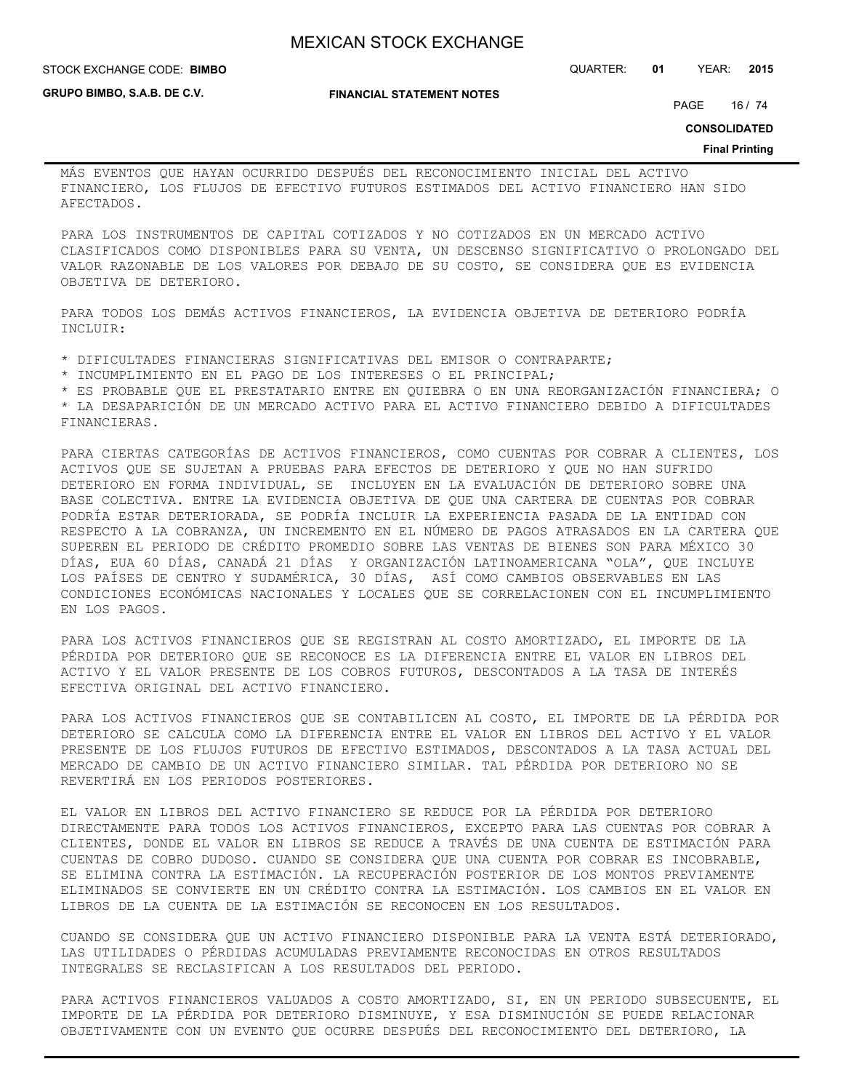**FINANCIAL STATEMENT NOTES**

**GRUPO BIMBO, S.A.B. DE C.V.**

STOCK EXCHANGE CODE: QUARTER: **01** YEAR: **2015 BIMBO**

PAGE 16 / 74

**CONSOLIDATED**

#### **Final Printing**

MÁS EVENTOS QUE HAYAN OCURRIDO DESPUÉS DEL RECONOCIMIENTO INICIAL DEL ACTIVO FINANCIERO, LOS FLUJOS DE EFECTIVO FUTUROS ESTIMADOS DEL ACTIVO FINANCIERO HAN SIDO AFECTADOS.

PARA LOS INSTRUMENTOS DE CAPITAL COTIZADOS Y NO COTIZADOS EN UN MERCADO ACTIVO CLASIFICADOS COMO DISPONIBLES PARA SU VENTA, UN DESCENSO SIGNIFICATIVO O PROLONGADO DEL VALOR RAZONABLE DE LOS VALORES POR DEBAJO DE SU COSTO, SE CONSIDERA QUE ES EVIDENCIA OBJETIVA DE DETERIORO.

PARA TODOS LOS DEMÁS ACTIVOS FINANCIEROS, LA EVIDENCIA OBJETIVA DE DETERIORO PODRÍA INCLUIR:

\* DIFICULTADES FINANCIERAS SIGNIFICATIVAS DEL EMISOR O CONTRAPARTE;

\* INCUMPLIMIENTO EN EL PAGO DE LOS INTERESES O EL PRINCIPAL;

\* ES PROBABLE QUE EL PRESTATARIO ENTRE EN QUIEBRA O EN UNA REORGANIZACIÓN FINANCIERA; O

\* LA DESAPARICIÓN DE UN MERCADO ACTIVO PARA EL ACTIVO FINANCIERO DEBIDO A DIFICULTADES FINANCIERAS.

PARA CIERTAS CATEGORÍAS DE ACTIVOS FINANCIEROS, COMO CUENTAS POR COBRAR A CLIENTES, LOS ACTIVOS QUE SE SUJETAN A PRUEBAS PARA EFECTOS DE DETERIORO Y QUE NO HAN SUFRIDO DETERIORO EN FORMA INDIVIDUAL, SE INCLUYEN EN LA EVALUACIÓN DE DETERIORO SOBRE UNA BASE COLECTIVA. ENTRE LA EVIDENCIA OBJETIVA DE QUE UNA CARTERA DE CUENTAS POR COBRAR PODRÍA ESTAR DETERIORADA, SE PODRÍA INCLUIR LA EXPERIENCIA PASADA DE LA ENTIDAD CON RESPECTO A LA COBRANZA, UN INCREMENTO EN EL NÚMERO DE PAGOS ATRASADOS EN LA CARTERA QUE SUPEREN EL PERIODO DE CRÉDITO PROMEDIO SOBRE LAS VENTAS DE BIENES SON PARA MÉXICO 30 DÍAS, EUA 60 DÍAS, CANADÁ 21 DÍAS Y ORGANIZACIÓN LATINOAMERICANA "OLA", QUE INCLUYE LOS PAÍSES DE CENTRO Y SUDAMÉRICA, 30 DÍAS, ASÍ COMO CAMBIOS OBSERVABLES EN LAS CONDICIONES ECONÓMICAS NACIONALES Y LOCALES QUE SE CORRELACIONEN CON EL INCUMPLIMIENTO EN LOS PAGOS.

PARA LOS ACTIVOS FINANCIEROS QUE SE REGISTRAN AL COSTO AMORTIZADO, EL IMPORTE DE LA PÉRDIDA POR DETERIORO QUE SE RECONOCE ES LA DIFERENCIA ENTRE EL VALOR EN LIBROS DEL ACTIVO Y EL VALOR PRESENTE DE LOS COBROS FUTUROS, DESCONTADOS A LA TASA DE INTERÉS EFECTIVA ORIGINAL DEL ACTIVO FINANCIERO.

PARA LOS ACTIVOS FINANCIEROS QUE SE CONTABILICEN AL COSTO, EL IMPORTE DE LA PÉRDIDA POR DETERIORO SE CALCULA COMO LA DIFERENCIA ENTRE EL VALOR EN LIBROS DEL ACTIVO Y EL VALOR PRESENTE DE LOS FLUJOS FUTUROS DE EFECTIVO ESTIMADOS, DESCONTADOS A LA TASA ACTUAL DEL MERCADO DE CAMBIO DE UN ACTIVO FINANCIERO SIMILAR. TAL PÉRDIDA POR DETERIORO NO SE REVERTIRÁ EN LOS PERIODOS POSTERIORES.

EL VALOR EN LIBROS DEL ACTIVO FINANCIERO SE REDUCE POR LA PÉRDIDA POR DETERIORO DIRECTAMENTE PARA TODOS LOS ACTIVOS FINANCIEROS, EXCEPTO PARA LAS CUENTAS POR COBRAR A CLIENTES, DONDE EL VALOR EN LIBROS SE REDUCE A TRAVÉS DE UNA CUENTA DE ESTIMACIÓN PARA CUENTAS DE COBRO DUDOSO. CUANDO SE CONSIDERA QUE UNA CUENTA POR COBRAR ES INCOBRABLE, SE ELIMINA CONTRA LA ESTIMACIÓN. LA RECUPERACIÓN POSTERIOR DE LOS MONTOS PREVIAMENTE ELIMINADOS SE CONVIERTE EN UN CRÉDITO CONTRA LA ESTIMACIÓN. LOS CAMBIOS EN EL VALOR EN LIBROS DE LA CUENTA DE LA ESTIMACIÓN SE RECONOCEN EN LOS RESULTADOS.

CUANDO SE CONSIDERA QUE UN ACTIVO FINANCIERO DISPONIBLE PARA LA VENTA ESTÁ DETERIORADO, LAS UTILIDADES O PÉRDIDAS ACUMULADAS PREVIAMENTE RECONOCIDAS EN OTROS RESULTADOS INTEGRALES SE RECLASIFICAN A LOS RESULTADOS DEL PERIODO.

PARA ACTIVOS FINANCIEROS VALUADOS A COSTO AMORTIZADO, SI, EN UN PERIODO SUBSECUENTE, EL IMPORTE DE LA PÉRDIDA POR DETERIORO DISMINUYE, Y ESA DISMINUCIÓN SE PUEDE RELACIONAR OBJETIVAMENTE CON UN EVENTO QUE OCURRE DESPUÉS DEL RECONOCIMIENTO DEL DETERIORO, LA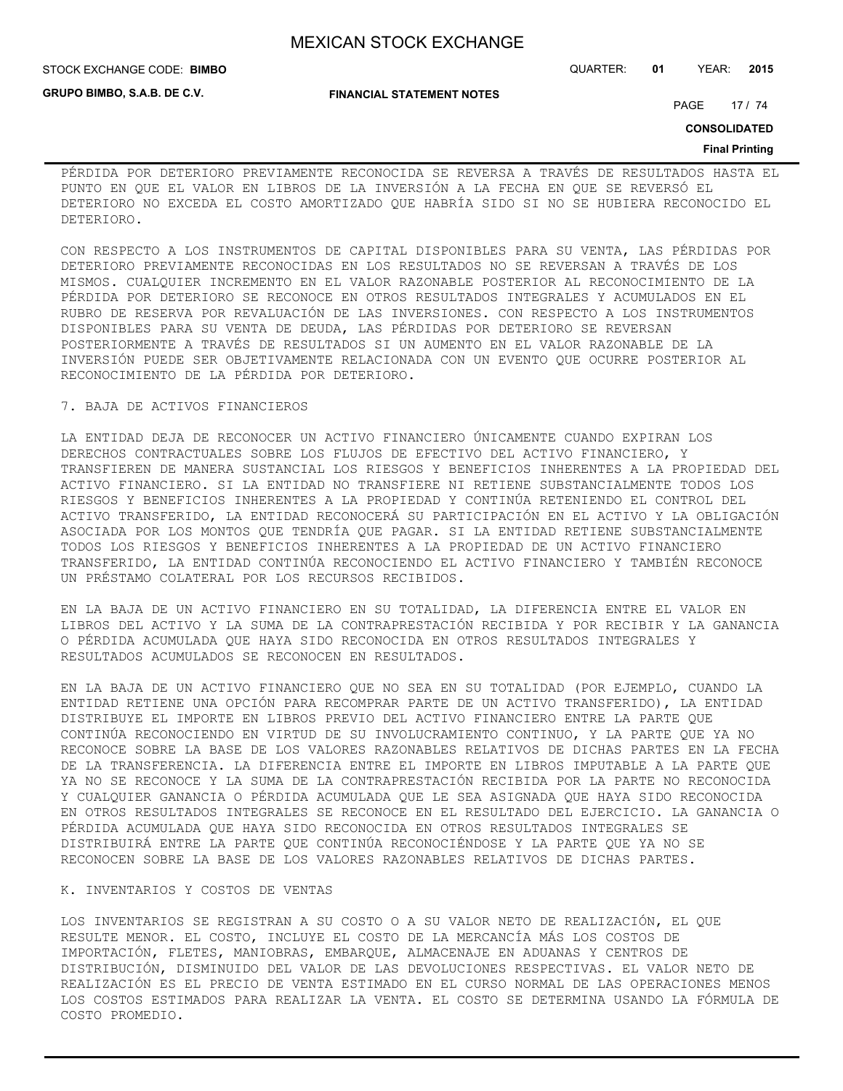**FINANCIAL STATEMENT NOTES**

**GRUPO BIMBO, S.A.B. DE C.V.**

#### STOCK EXCHANGE CODE: QUARTER: **01** YEAR: **2015 BIMBO**

PAGE 17 / 74

**CONSOLIDATED**

#### **Final Printing**

PÉRDIDA POR DETERIORO PREVIAMENTE RECONOCIDA SE REVERSA A TRAVÉS DE RESULTADOS HASTA EL PUNTO EN QUE EL VALOR EN LIBROS DE LA INVERSIÓN A LA FECHA EN QUE SE REVERSÓ EL DETERIORO NO EXCEDA EL COSTO AMORTIZADO QUE HABRÍA SIDO SI NO SE HUBIERA RECONOCIDO EL DETERIORO.

CON RESPECTO A LOS INSTRUMENTOS DE CAPITAL DISPONIBLES PARA SU VENTA, LAS PÉRDIDAS POR DETERIORO PREVIAMENTE RECONOCIDAS EN LOS RESULTADOS NO SE REVERSAN A TRAVÉS DE LOS MISMOS. CUALQUIER INCREMENTO EN EL VALOR RAZONABLE POSTERIOR AL RECONOCIMIENTO DE LA PÉRDIDA POR DETERIORO SE RECONOCE EN OTROS RESULTADOS INTEGRALES Y ACUMULADOS EN EL RUBRO DE RESERVA POR REVALUACIÓN DE LAS INVERSIONES. CON RESPECTO A LOS INSTRUMENTOS DISPONIBLES PARA SU VENTA DE DEUDA, LAS PÉRDIDAS POR DETERIORO SE REVERSAN POSTERIORMENTE A TRAVÉS DE RESULTADOS SI UN AUMENTO EN EL VALOR RAZONABLE DE LA INVERSIÓN PUEDE SER OBJETIVAMENTE RELACIONADA CON UN EVENTO QUE OCURRE POSTERIOR AL RECONOCIMIENTO DE LA PÉRDIDA POR DETERIORO.

## 7. BAJA DE ACTIVOS FINANCIEROS

LA ENTIDAD DEJA DE RECONOCER UN ACTIVO FINANCIERO ÚNICAMENTE CUANDO EXPIRAN LOS DERECHOS CONTRACTUALES SOBRE LOS FLUJOS DE EFECTIVO DEL ACTIVO FINANCIERO, Y TRANSFIEREN DE MANERA SUSTANCIAL LOS RIESGOS Y BENEFICIOS INHERENTES A LA PROPIEDAD DEL ACTIVO FINANCIERO. SI LA ENTIDAD NO TRANSFIERE NI RETIENE SUBSTANCIALMENTE TODOS LOS RIESGOS Y BENEFICIOS INHERENTES A LA PROPIEDAD Y CONTINÚA RETENIENDO EL CONTROL DEL ACTIVO TRANSFERIDO, LA ENTIDAD RECONOCERÁ SU PARTICIPACIÓN EN EL ACTIVO Y LA OBLIGACIÓN ASOCIADA POR LOS MONTOS QUE TENDRÍA QUE PAGAR. SI LA ENTIDAD RETIENE SUBSTANCIALMENTE TODOS LOS RIESGOS Y BENEFICIOS INHERENTES A LA PROPIEDAD DE UN ACTIVO FINANCIERO TRANSFERIDO, LA ENTIDAD CONTINÚA RECONOCIENDO EL ACTIVO FINANCIERO Y TAMBIÉN RECONOCE UN PRÉSTAMO COLATERAL POR LOS RECURSOS RECIBIDOS.

EN LA BAJA DE UN ACTIVO FINANCIERO EN SU TOTALIDAD, LA DIFERENCIA ENTRE EL VALOR EN LIBROS DEL ACTIVO Y LA SUMA DE LA CONTRAPRESTACIÓN RECIBIDA Y POR RECIBIR Y LA GANANCIA O PÉRDIDA ACUMULADA QUE HAYA SIDO RECONOCIDA EN OTROS RESULTADOS INTEGRALES Y RESULTADOS ACUMULADOS SE RECONOCEN EN RESULTADOS.

EN LA BAJA DE UN ACTIVO FINANCIERO QUE NO SEA EN SU TOTALIDAD (POR EJEMPLO, CUANDO LA ENTIDAD RETIENE UNA OPCIÓN PARA RECOMPRAR PARTE DE UN ACTIVO TRANSFERIDO), LA ENTIDAD DISTRIBUYE EL IMPORTE EN LIBROS PREVIO DEL ACTIVO FINANCIERO ENTRE LA PARTE QUE CONTINÚA RECONOCIENDO EN VIRTUD DE SU INVOLUCRAMIENTO CONTINUO, Y LA PARTE QUE YA NO RECONOCE SOBRE LA BASE DE LOS VALORES RAZONABLES RELATIVOS DE DICHAS PARTES EN LA FECHA DE LA TRANSFERENCIA. LA DIFERENCIA ENTRE EL IMPORTE EN LIBROS IMPUTABLE A LA PARTE QUE YA NO SE RECONOCE Y LA SUMA DE LA CONTRAPRESTACIÓN RECIBIDA POR LA PARTE NO RECONOCIDA Y CUALQUIER GANANCIA O PÉRDIDA ACUMULADA QUE LE SEA ASIGNADA QUE HAYA SIDO RECONOCIDA EN OTROS RESULTADOS INTEGRALES SE RECONOCE EN EL RESULTADO DEL EJERCICIO. LA GANANCIA O PÉRDIDA ACUMULADA QUE HAYA SIDO RECONOCIDA EN OTROS RESULTADOS INTEGRALES SE DISTRIBUIRÁ ENTRE LA PARTE QUE CONTINÚA RECONOCIÉNDOSE Y LA PARTE QUE YA NO SE RECONOCEN SOBRE LA BASE DE LOS VALORES RAZONABLES RELATIVOS DE DICHAS PARTES.

#### K. INVENTARIOS Y COSTOS DE VENTAS

LOS INVENTARIOS SE REGISTRAN A SU COSTO O A SU VALOR NETO DE REALIZACIÓN, EL QUE RESULTE MENOR. EL COSTO, INCLUYE EL COSTO DE LA MERCANCÍA MÁS LOS COSTOS DE IMPORTACIÓN, FLETES, MANIOBRAS, EMBARQUE, ALMACENAJE EN ADUANAS Y CENTROS DE DISTRIBUCIÓN, DISMINUIDO DEL VALOR DE LAS DEVOLUCIONES RESPECTIVAS. EL VALOR NETO DE REALIZACIÓN ES EL PRECIO DE VENTA ESTIMADO EN EL CURSO NORMAL DE LAS OPERACIONES MENOS LOS COSTOS ESTIMADOS PARA REALIZAR LA VENTA. EL COSTO SE DETERMINA USANDO LA FÓRMULA DE COSTO PROMEDIO.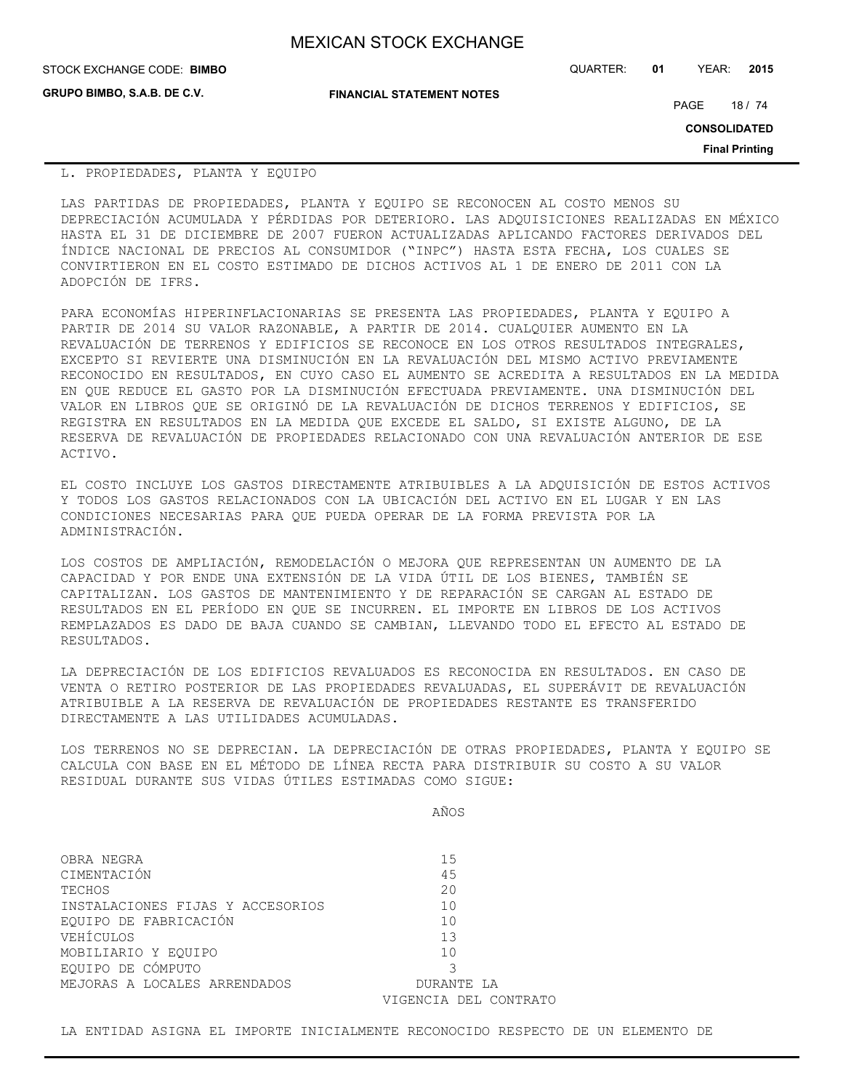**GRUPO BIMBO, S.A.B. DE C.V.**

STOCK EXCHANGE CODE: QUARTER: **01** YEAR: **2015 BIMBO**

**FINANCIAL STATEMENT NOTES**

PAGE 18 / 74

**CONSOLIDATED**

**Final Printing**

## L. PROPIEDADES, PLANTA Y EQUIPO

LAS PARTIDAS DE PROPIEDADES, PLANTA Y EQUIPO SE RECONOCEN AL COSTO MENOS SU DEPRECIACIÓN ACUMULADA Y PÉRDIDAS POR DETERIORO. LAS ADQUISICIONES REALIZADAS EN MÉXICO HASTA EL 31 DE DICIEMBRE DE 2007 FUERON ACTUALIZADAS APLICANDO FACTORES DERIVADOS DEL ÍNDICE NACIONAL DE PRECIOS AL CONSUMIDOR ("INPC") HASTA ESTA FECHA, LOS CUALES SE CONVIRTIERON EN EL COSTO ESTIMADO DE DICHOS ACTIVOS AL 1 DE ENERO DE 2011 CON LA ADOPCIÓN DE IFRS.

PARA ECONOMÍAS HIPERINFLACIONARIAS SE PRESENTA LAS PROPIEDADES, PLANTA Y EQUIPO A PARTIR DE 2014 SU VALOR RAZONABLE, A PARTIR DE 2014. CUALQUIER AUMENTO EN LA REVALUACIÓN DE TERRENOS Y EDIFICIOS SE RECONOCE EN LOS OTROS RESULTADOS INTEGRALES, EXCEPTO SI REVIERTE UNA DISMINUCIÓN EN LA REVALUACIÓN DEL MISMO ACTIVO PREVIAMENTE RECONOCIDO EN RESULTADOS, EN CUYO CASO EL AUMENTO SE ACREDITA A RESULTADOS EN LA MEDIDA EN QUE REDUCE EL GASTO POR LA DISMINUCIÓN EFECTUADA PREVIAMENTE. UNA DISMINUCIÓN DEL VALOR EN LIBROS QUE SE ORIGINÓ DE LA REVALUACIÓN DE DICHOS TERRENOS Y EDIFICIOS, SE REGISTRA EN RESULTADOS EN LA MEDIDA QUE EXCEDE EL SALDO, SI EXISTE ALGUNO, DE LA RESERVA DE REVALUACIÓN DE PROPIEDADES RELACIONADO CON UNA REVALUACIÓN ANTERIOR DE ESE ACTIVO.

EL COSTO INCLUYE LOS GASTOS DIRECTAMENTE ATRIBUIBLES A LA ADQUISICIÓN DE ESTOS ACTIVOS Y TODOS LOS GASTOS RELACIONADOS CON LA UBICACIÓN DEL ACTIVO EN EL LUGAR Y EN LAS CONDICIONES NECESARIAS PARA QUE PUEDA OPERAR DE LA FORMA PREVISTA POR LA ADMINISTRACIÓN.

LOS COSTOS DE AMPLIACIÓN, REMODELACIÓN O MEJORA QUE REPRESENTAN UN AUMENTO DE LA CAPACIDAD Y POR ENDE UNA EXTENSIÓN DE LA VIDA ÚTIL DE LOS BIENES, TAMBIÉN SE CAPITALIZAN. LOS GASTOS DE MANTENIMIENTO Y DE REPARACIÓN SE CARGAN AL ESTADO DE RESULTADOS EN EL PERÍODO EN QUE SE INCURREN. EL IMPORTE EN LIBROS DE LOS ACTIVOS REMPLAZADOS ES DADO DE BAJA CUANDO SE CAMBIAN, LLEVANDO TODO EL EFECTO AL ESTADO DE RESULTADOS.

LA DEPRECIACIÓN DE LOS EDIFICIOS REVALUADOS ES RECONOCIDA EN RESULTADOS. EN CASO DE VENTA O RETIRO POSTERIOR DE LAS PROPIEDADES REVALUADAS, EL SUPERÁVIT DE REVALUACIÓN ATRIBUIBLE A LA RESERVA DE REVALUACIÓN DE PROPIEDADES RESTANTE ES TRANSFERIDO DIRECTAMENTE A LAS UTILIDADES ACUMULADAS.

LOS TERRENOS NO SE DEPRECIAN. LA DEPRECIACIÓN DE OTRAS PROPIEDADES, PLANTA Y EQUIPO SE CALCULA CON BASE EN EL MÉTODO DE LÍNEA RECTA PARA DISTRIBUIR SU COSTO A SU VALOR RESIDUAL DURANTE SUS VIDAS ÚTILES ESTIMADAS COMO SIGUE:

AÑOS

| OBRA NEGRA                       | 15                    |
|----------------------------------|-----------------------|
| CIMENTACIÓN                      | 45                    |
| TECHOS                           | 20                    |
| INSTALACIONES FIJAS Y ACCESORIOS | 10                    |
| EOUIPO DE FABRICACIÓN            | 10                    |
| VEHÍCULOS                        | 13                    |
| MOBILIARIO Y EOUIPO              | 10                    |
| EQUIPO DE CÓMPUTO                | २                     |
| MEJORAS A LOCALES ARRENDADOS     | DURANTE LA            |
|                                  | VIGENCIA DEL CONTRATO |

LA ENTIDAD ASIGNA EL IMPORTE INICIALMENTE RECONOCIDO RESPECTO DE UN ELEMENTO DE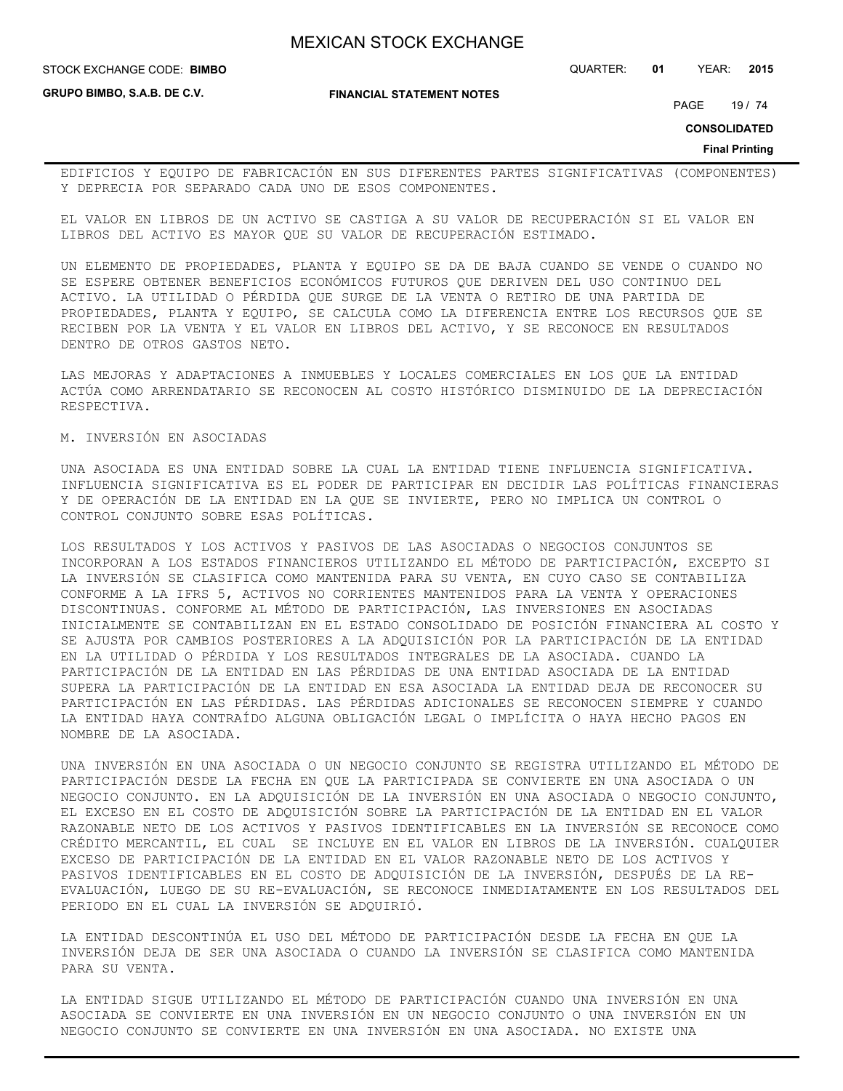STOCK EXCHANGE CODE: QUARTER: **01** YEAR: **2015 BIMBO**

**GRUPO BIMBO, S.A.B. DE C.V.**

**FINANCIAL STATEMENT NOTES**

PAGE 19 / 74

**CONSOLIDATED**

**Final Printing**

EDIFICIOS Y EQUIPO DE FABRICACIÓN EN SUS DIFERENTES PARTES SIGNIFICATIVAS (COMPONENTES) Y DEPRECIA POR SEPARADO CADA UNO DE ESOS COMPONENTES.

EL VALOR EN LIBROS DE UN ACTIVO SE CASTIGA A SU VALOR DE RECUPERACIÓN SI EL VALOR EN LIBROS DEL ACTIVO ES MAYOR QUE SU VALOR DE RECUPERACIÓN ESTIMADO.

UN ELEMENTO DE PROPIEDADES, PLANTA Y EQUIPO SE DA DE BAJA CUANDO SE VENDE O CUANDO NO SE ESPERE OBTENER BENEFICIOS ECONÓMICOS FUTUROS QUE DERIVEN DEL USO CONTINUO DEL ACTIVO. LA UTILIDAD O PÉRDIDA QUE SURGE DE LA VENTA O RETIRO DE UNA PARTIDA DE PROPIEDADES, PLANTA Y EQUIPO, SE CALCULA COMO LA DIFERENCIA ENTRE LOS RECURSOS QUE SE RECIBEN POR LA VENTA Y EL VALOR EN LIBROS DEL ACTIVO, Y SE RECONOCE EN RESULTADOS DENTRO DE OTROS GASTOS NETO.

LAS MEJORAS Y ADAPTACIONES A INMUEBLES Y LOCALES COMERCIALES EN LOS QUE LA ENTIDAD ACTÚA COMO ARRENDATARIO SE RECONOCEN AL COSTO HISTÓRICO DISMINUIDO DE LA DEPRECIACIÓN RESPECTIVA.

## M. INVERSIÓN EN ASOCIADAS

UNA ASOCIADA ES UNA ENTIDAD SOBRE LA CUAL LA ENTIDAD TIENE INFLUENCIA SIGNIFICATIVA. INFLUENCIA SIGNIFICATIVA ES EL PODER DE PARTICIPAR EN DECIDIR LAS POLÍTICAS FINANCIERAS Y DE OPERACIÓN DE LA ENTIDAD EN LA QUE SE INVIERTE, PERO NO IMPLICA UN CONTROL O CONTROL CONJUNTO SOBRE ESAS POLÍTICAS.

LOS RESULTADOS Y LOS ACTIVOS Y PASIVOS DE LAS ASOCIADAS O NEGOCIOS CONJUNTOS SE INCORPORAN A LOS ESTADOS FINANCIEROS UTILIZANDO EL MÉTODO DE PARTICIPACIÓN, EXCEPTO SI LA INVERSIÓN SE CLASIFICA COMO MANTENIDA PARA SU VENTA, EN CUYO CASO SE CONTABILIZA CONFORME A LA IFRS 5, ACTIVOS NO CORRIENTES MANTENIDOS PARA LA VENTA Y OPERACIONES DISCONTINUAS. CONFORME AL MÉTODO DE PARTICIPACIÓN, LAS INVERSIONES EN ASOCIADAS INICIALMENTE SE CONTABILIZAN EN EL ESTADO CONSOLIDADO DE POSICIÓN FINANCIERA AL COSTO Y SE AJUSTA POR CAMBIOS POSTERIORES A LA ADQUISICIÓN POR LA PARTICIPACIÓN DE LA ENTIDAD EN LA UTILIDAD O PÉRDIDA Y LOS RESULTADOS INTEGRALES DE LA ASOCIADA. CUANDO LA PARTICIPACIÓN DE LA ENTIDAD EN LAS PÉRDIDAS DE UNA ENTIDAD ASOCIADA DE LA ENTIDAD SUPERA LA PARTICIPACIÓN DE LA ENTIDAD EN ESA ASOCIADA LA ENTIDAD DEJA DE RECONOCER SU PARTICIPACIÓN EN LAS PÉRDIDAS. LAS PÉRDIDAS ADICIONALES SE RECONOCEN SIEMPRE Y CUANDO LA ENTIDAD HAYA CONTRAÍDO ALGUNA OBLIGACIÓN LEGAL O IMPLÍCITA O HAYA HECHO PAGOS EN NOMBRE DE LA ASOCIADA.

UNA INVERSIÓN EN UNA ASOCIADA O UN NEGOCIO CONJUNTO SE REGISTRA UTILIZANDO EL MÉTODO DE PARTICIPACIÓN DESDE LA FECHA EN QUE LA PARTICIPADA SE CONVIERTE EN UNA ASOCIADA O UN NEGOCIO CONJUNTO. EN LA ADQUISICIÓN DE LA INVERSIÓN EN UNA ASOCIADA O NEGOCIO CONJUNTO, EL EXCESO EN EL COSTO DE ADQUISICIÓN SOBRE LA PARTICIPACIÓN DE LA ENTIDAD EN EL VALOR RAZONABLE NETO DE LOS ACTIVOS Y PASIVOS IDENTIFICABLES EN LA INVERSIÓN SE RECONOCE COMO CRÉDITO MERCANTIL, EL CUAL SE INCLUYE EN EL VALOR EN LIBROS DE LA INVERSIÓN. CUALQUIER EXCESO DE PARTICIPACIÓN DE LA ENTIDAD EN EL VALOR RAZONABLE NETO DE LOS ACTIVOS Y PASIVOS IDENTIFICABLES EN EL COSTO DE ADQUISICIÓN DE LA INVERSIÓN, DESPUÉS DE LA RE-EVALUACIÓN, LUEGO DE SU RE-EVALUACIÓN, SE RECONOCE INMEDIATAMENTE EN LOS RESULTADOS DEL PERIODO EN EL CUAL LA INVERSIÓN SE ADQUIRIÓ.

LA ENTIDAD DESCONTINÚA EL USO DEL MÉTODO DE PARTICIPACIÓN DESDE LA FECHA EN QUE LA INVERSIÓN DEJA DE SER UNA ASOCIADA O CUANDO LA INVERSIÓN SE CLASIFICA COMO MANTENIDA PARA SU VENTA.

LA ENTIDAD SIGUE UTILIZANDO EL MÉTODO DE PARTICIPACIÓN CUANDO UNA INVERSIÓN EN UNA ASOCIADA SE CONVIERTE EN UNA INVERSIÓN EN UN NEGOCIO CONJUNTO O UNA INVERSIÓN EN UN NEGOCIO CONJUNTO SE CONVIERTE EN UNA INVERSIÓN EN UNA ASOCIADA. NO EXISTE UNA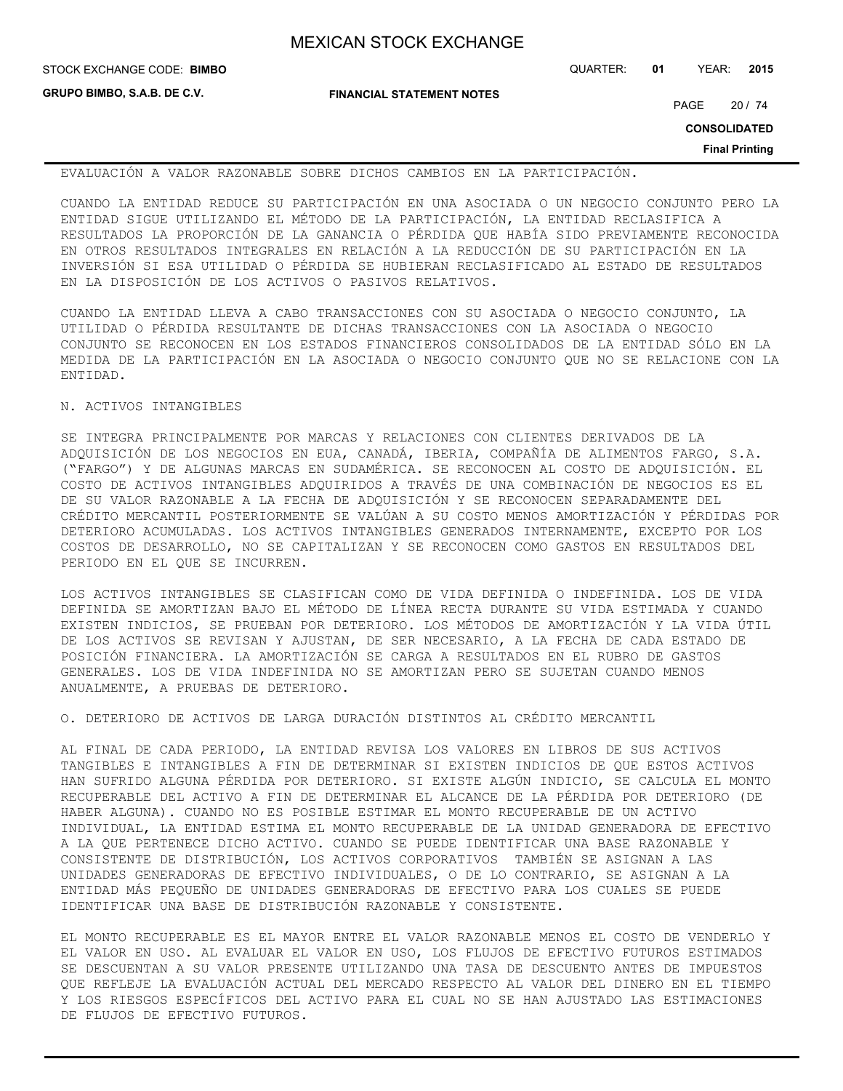| <b>MEXICAN STOCK EXCHANGE</b> |  |  |  |
|-------------------------------|--|--|--|
|-------------------------------|--|--|--|

**GRUPO BIMBO, S.A.B. DE C.V.**

**FINANCIAL STATEMENT NOTES**

STOCK EXCHANGE CODE: QUARTER: **01** YEAR: **2015 BIMBO**

PAGE 20 / 74

**CONSOLIDATED**

**Final Printing**

EVALUACIÓN A VALOR RAZONABLE SOBRE DICHOS CAMBIOS EN LA PARTICIPACIÓN.

CUANDO LA ENTIDAD REDUCE SU PARTICIPACIÓN EN UNA ASOCIADA O UN NEGOCIO CONJUNTO PERO LA ENTIDAD SIGUE UTILIZANDO EL MÉTODO DE LA PARTICIPACIÓN, LA ENTIDAD RECLASIFICA A RESULTADOS LA PROPORCIÓN DE LA GANANCIA O PÉRDIDA QUE HABÍA SIDO PREVIAMENTE RECONOCIDA EN OTROS RESULTADOS INTEGRALES EN RELACIÓN A LA REDUCCIÓN DE SU PARTICIPACIÓN EN LA INVERSIÓN SI ESA UTILIDAD O PÉRDIDA SE HUBIERAN RECLASIFICADO AL ESTADO DE RESULTADOS EN LA DISPOSICIÓN DE LOS ACTIVOS O PASIVOS RELATIVOS.

CUANDO LA ENTIDAD LLEVA A CABO TRANSACCIONES CON SU ASOCIADA O NEGOCIO CONJUNTO, LA UTILIDAD O PÉRDIDA RESULTANTE DE DICHAS TRANSACCIONES CON LA ASOCIADA O NEGOCIO CONJUNTO SE RECONOCEN EN LOS ESTADOS FINANCIEROS CONSOLIDADOS DE LA ENTIDAD SÓLO EN LA MEDIDA DE LA PARTICIPACIÓN EN LA ASOCIADA O NEGOCIO CONJUNTO QUE NO SE RELACIONE CON LA ENTIDAD.

## N. ACTIVOS INTANGIBLES

SE INTEGRA PRINCIPALMENTE POR MARCAS Y RELACIONES CON CLIENTES DERIVADOS DE LA ADQUISICIÓN DE LOS NEGOCIOS EN EUA, CANADÁ, IBERIA, COMPAÑÍA DE ALIMENTOS FARGO, S.A. ("FARGO") Y DE ALGUNAS MARCAS EN SUDAMÉRICA. SE RECONOCEN AL COSTO DE ADQUISICIÓN. EL COSTO DE ACTIVOS INTANGIBLES ADQUIRIDOS A TRAVÉS DE UNA COMBINACIÓN DE NEGOCIOS ES EL DE SU VALOR RAZONABLE A LA FECHA DE ADQUISICIÓN Y SE RECONOCEN SEPARADAMENTE DEL CRÉDITO MERCANTIL POSTERIORMENTE SE VALÚAN A SU COSTO MENOS AMORTIZACIÓN Y PÉRDIDAS POR DETERIORO ACUMULADAS. LOS ACTIVOS INTANGIBLES GENERADOS INTERNAMENTE, EXCEPTO POR LOS COSTOS DE DESARROLLO, NO SE CAPITALIZAN Y SE RECONOCEN COMO GASTOS EN RESULTADOS DEL PERIODO EN EL QUE SE INCURREN.

LOS ACTIVOS INTANGIBLES SE CLASIFICAN COMO DE VIDA DEFINIDA O INDEFINIDA. LOS DE VIDA DEFINIDA SE AMORTIZAN BAJO EL MÉTODO DE LÍNEA RECTA DURANTE SU VIDA ESTIMADA Y CUANDO EXISTEN INDICIOS, SE PRUEBAN POR DETERIORO. LOS MÉTODOS DE AMORTIZACIÓN Y LA VIDA ÚTIL DE LOS ACTIVOS SE REVISAN Y AJUSTAN, DE SER NECESARIO, A LA FECHA DE CADA ESTADO DE POSICIÓN FINANCIERA. LA AMORTIZACIÓN SE CARGA A RESULTADOS EN EL RUBRO DE GASTOS GENERALES. LOS DE VIDA INDEFINIDA NO SE AMORTIZAN PERO SE SUJETAN CUANDO MENOS ANUALMENTE, A PRUEBAS DE DETERIORO.

O. DETERIORO DE ACTIVOS DE LARGA DURACIÓN DISTINTOS AL CRÉDITO MERCANTIL

AL FINAL DE CADA PERIODO, LA ENTIDAD REVISA LOS VALORES EN LIBROS DE SUS ACTIVOS TANGIBLES E INTANGIBLES A FIN DE DETERMINAR SI EXISTEN INDICIOS DE QUE ESTOS ACTIVOS HAN SUFRIDO ALGUNA PÉRDIDA POR DETERIORO. SI EXISTE ALGÚN INDICIO, SE CALCULA EL MONTO RECUPERABLE DEL ACTIVO A FIN DE DETERMINAR EL ALCANCE DE LA PÉRDIDA POR DETERIORO (DE HABER ALGUNA). CUANDO NO ES POSIBLE ESTIMAR EL MONTO RECUPERABLE DE UN ACTIVO INDIVIDUAL, LA ENTIDAD ESTIMA EL MONTO RECUPERABLE DE LA UNIDAD GENERADORA DE EFECTIVO A LA QUE PERTENECE DICHO ACTIVO. CUANDO SE PUEDE IDENTIFICAR UNA BASE RAZONABLE Y CONSISTENTE DE DISTRIBUCIÓN, LOS ACTIVOS CORPORATIVOS TAMBIÉN SE ASIGNAN A LAS UNIDADES GENERADORAS DE EFECTIVO INDIVIDUALES, O DE LO CONTRARIO, SE ASIGNAN A LA ENTIDAD MÁS PEQUEÑO DE UNIDADES GENERADORAS DE EFECTIVO PARA LOS CUALES SE PUEDE IDENTIFICAR UNA BASE DE DISTRIBUCIÓN RAZONABLE Y CONSISTENTE.

EL MONTO RECUPERABLE ES EL MAYOR ENTRE EL VALOR RAZONABLE MENOS EL COSTO DE VENDERLO Y EL VALOR EN USO. AL EVALUAR EL VALOR EN USO, LOS FLUJOS DE EFECTIVO FUTUROS ESTIMADOS SE DESCUENTAN A SU VALOR PRESENTE UTILIZANDO UNA TASA DE DESCUENTO ANTES DE IMPUESTOS QUE REFLEJE LA EVALUACIÓN ACTUAL DEL MERCADO RESPECTO AL VALOR DEL DINERO EN EL TIEMPO Y LOS RIESGOS ESPECÍFICOS DEL ACTIVO PARA EL CUAL NO SE HAN AJUSTADO LAS ESTIMACIONES DE FLUJOS DE EFECTIVO FUTUROS.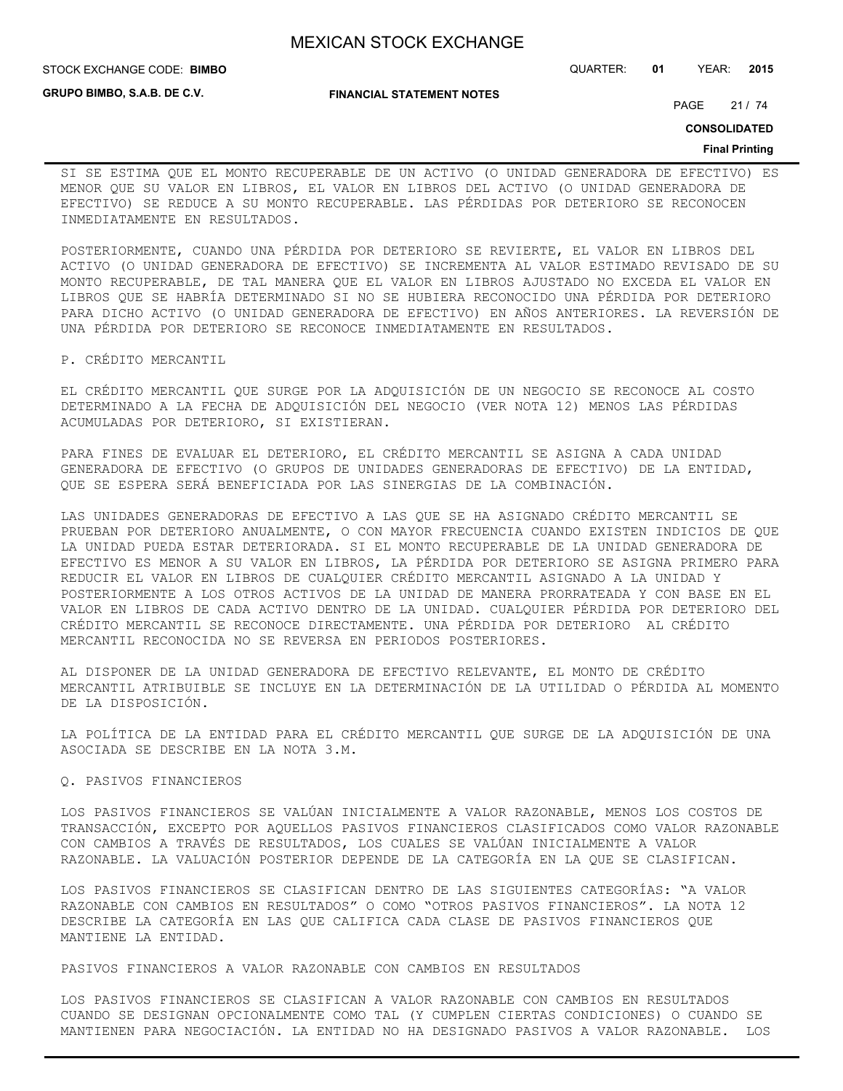**GRUPO BIMBO, S.A.B. DE C.V.**

#### **FINANCIAL STATEMENT NOTES**

STOCK EXCHANGE CODE: QUARTER: **01** YEAR: **2015 BIMBO**

PAGE 21 / 74

**CONSOLIDATED**

#### **Final Printing**

SI SE ESTIMA QUE EL MONTO RECUPERABLE DE UN ACTIVO (O UNIDAD GENERADORA DE EFECTIVO) ES MENOR QUE SU VALOR EN LIBROS, EL VALOR EN LIBROS DEL ACTIVO (O UNIDAD GENERADORA DE EFECTIVO) SE REDUCE A SU MONTO RECUPERABLE. LAS PÉRDIDAS POR DETERIORO SE RECONOCEN INMEDIATAMENTE EN RESULTADOS.

POSTERIORMENTE, CUANDO UNA PÉRDIDA POR DETERIORO SE REVIERTE, EL VALOR EN LIBROS DEL ACTIVO (O UNIDAD GENERADORA DE EFECTIVO) SE INCREMENTA AL VALOR ESTIMADO REVISADO DE SU MONTO RECUPERABLE, DE TAL MANERA QUE EL VALOR EN LIBROS AJUSTADO NO EXCEDA EL VALOR EN LIBROS QUE SE HABRÍA DETERMINADO SI NO SE HUBIERA RECONOCIDO UNA PÉRDIDA POR DETERIORO PARA DICHO ACTIVO (O UNIDAD GENERADORA DE EFECTIVO) EN AÑOS ANTERIORES. LA REVERSIÓN DE UNA PÉRDIDA POR DETERIORO SE RECONOCE INMEDIATAMENTE EN RESULTADOS.

P. CRÉDITO MERCANTIL

EL CRÉDITO MERCANTIL QUE SURGE POR LA ADQUISICIÓN DE UN NEGOCIO SE RECONOCE AL COSTO DETERMINADO A LA FECHA DE ADQUISICIÓN DEL NEGOCIO (VER NOTA 12) MENOS LAS PÉRDIDAS ACUMULADAS POR DETERIORO, SI EXISTIERAN.

PARA FINES DE EVALUAR EL DETERIORO, EL CRÉDITO MERCANTIL SE ASIGNA A CADA UNIDAD GENERADORA DE EFECTIVO (O GRUPOS DE UNIDADES GENERADORAS DE EFECTIVO) DE LA ENTIDAD, QUE SE ESPERA SERÁ BENEFICIADA POR LAS SINERGIAS DE LA COMBINACIÓN.

LAS UNIDADES GENERADORAS DE EFECTIVO A LAS QUE SE HA ASIGNADO CRÉDITO MERCANTIL SE PRUEBAN POR DETERIORO ANUALMENTE, O CON MAYOR FRECUENCIA CUANDO EXISTEN INDICIOS DE QUE LA UNIDAD PUEDA ESTAR DETERIORADA. SI EL MONTO RECUPERABLE DE LA UNIDAD GENERADORA DE EFECTIVO ES MENOR A SU VALOR EN LIBROS, LA PÉRDIDA POR DETERIORO SE ASIGNA PRIMERO PARA REDUCIR EL VALOR EN LIBROS DE CUALQUIER CRÉDITO MERCANTIL ASIGNADO A LA UNIDAD Y POSTERIORMENTE A LOS OTROS ACTIVOS DE LA UNIDAD DE MANERA PRORRATEADA Y CON BASE EN EL VALOR EN LIBROS DE CADA ACTIVO DENTRO DE LA UNIDAD. CUALQUIER PÉRDIDA POR DETERIORO DEL CRÉDITO MERCANTIL SE RECONOCE DIRECTAMENTE. UNA PÉRDIDA POR DETERIORO AL CRÉDITO MERCANTIL RECONOCIDA NO SE REVERSA EN PERIODOS POSTERIORES.

AL DISPONER DE LA UNIDAD GENERADORA DE EFECTIVO RELEVANTE, EL MONTO DE CRÉDITO MERCANTIL ATRIBUIBLE SE INCLUYE EN LA DETERMINACIÓN DE LA UTILIDAD O PÉRDIDA AL MOMENTO DE LA DISPOSICIÓN.

LA POLÍTICA DE LA ENTIDAD PARA EL CRÉDITO MERCANTIL QUE SURGE DE LA ADQUISICIÓN DE UNA ASOCIADA SE DESCRIBE EN LA NOTA 3.M.

# Q. PASIVOS FINANCIEROS

LOS PASIVOS FINANCIEROS SE VALÚAN INICIALMENTE A VALOR RAZONABLE, MENOS LOS COSTOS DE TRANSACCIÓN, EXCEPTO POR AQUELLOS PASIVOS FINANCIEROS CLASIFICADOS COMO VALOR RAZONABLE CON CAMBIOS A TRAVÉS DE RESULTADOS, LOS CUALES SE VALÚAN INICIALMENTE A VALOR RAZONABLE. LA VALUACIÓN POSTERIOR DEPENDE DE LA CATEGORÍA EN LA QUE SE CLASIFICAN.

LOS PASIVOS FINANCIEROS SE CLASIFICAN DENTRO DE LAS SIGUIENTES CATEGORÍAS: "A VALOR RAZONABLE CON CAMBIOS EN RESULTADOS" O COMO "OTROS PASIVOS FINANCIEROS". LA NOTA 12 DESCRIBE LA CATEGORÍA EN LAS QUE CALIFICA CADA CLASE DE PASIVOS FINANCIEROS QUE MANTIENE LA ENTIDAD.

PASIVOS FINANCIEROS A VALOR RAZONABLE CON CAMBIOS EN RESULTADOS

LOS PASIVOS FINANCIEROS SE CLASIFICAN A VALOR RAZONABLE CON CAMBIOS EN RESULTADOS CUANDO SE DESIGNAN OPCIONALMENTE COMO TAL (Y CUMPLEN CIERTAS CONDICIONES) O CUANDO SE MANTIENEN PARA NEGOCIACIÓN. LA ENTIDAD NO HA DESIGNADO PASIVOS A VALOR RAZONABLE. LOS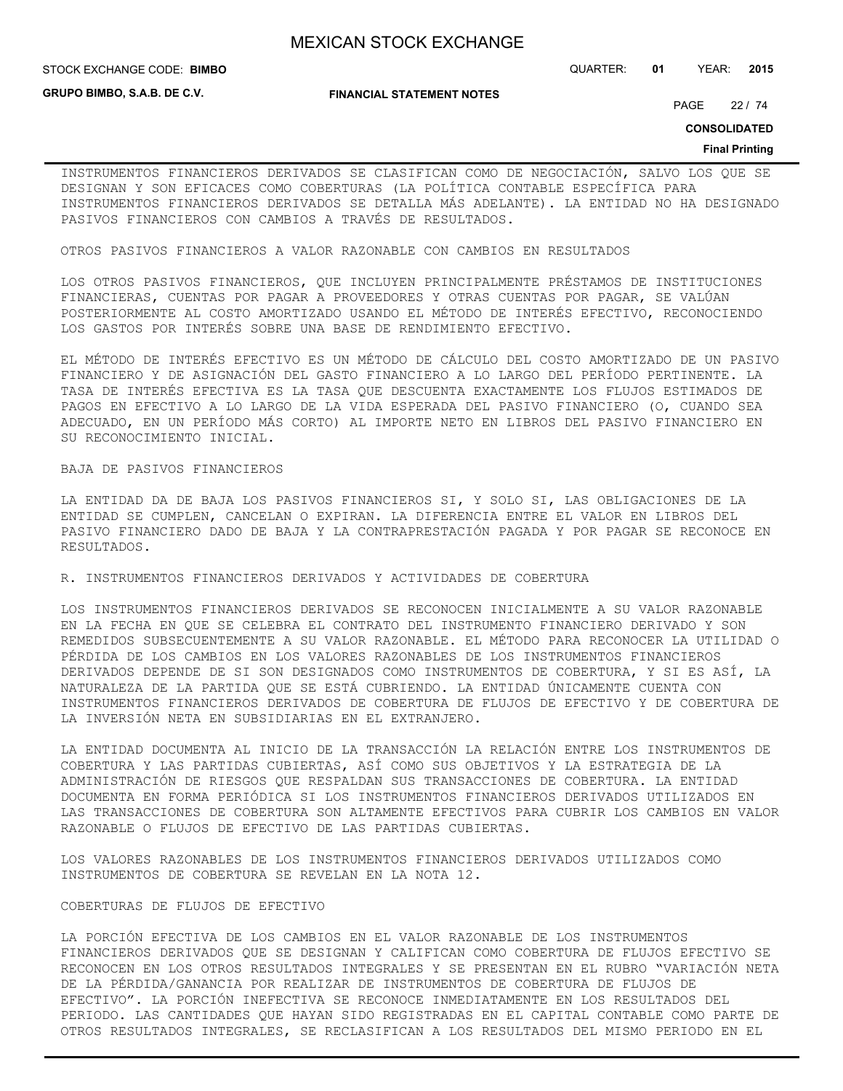**GRUPO BIMBO, S.A.B. DE C.V.**

**FINANCIAL STATEMENT NOTES**

STOCK EXCHANGE CODE: QUARTER: **01** YEAR: **2015 BIMBO**

PAGE 22 / 74

**CONSOLIDATED**

#### **Final Printing**

INSTRUMENTOS FINANCIEROS DERIVADOS SE CLASIFICAN COMO DE NEGOCIACIÓN, SALVO LOS QUE SE DESIGNAN Y SON EFICACES COMO COBERTURAS (LA POLÍTICA CONTABLE ESPECÍFICA PARA INSTRUMENTOS FINANCIEROS DERIVADOS SE DETALLA MÁS ADELANTE). LA ENTIDAD NO HA DESIGNADO PASIVOS FINANCIEROS CON CAMBIOS A TRAVÉS DE RESULTADOS.

OTROS PASIVOS FINANCIEROS A VALOR RAZONABLE CON CAMBIOS EN RESULTADOS

LOS OTROS PASIVOS FINANCIEROS, QUE INCLUYEN PRINCIPALMENTE PRÉSTAMOS DE INSTITUCIONES FINANCIERAS, CUENTAS POR PAGAR A PROVEEDORES Y OTRAS CUENTAS POR PAGAR, SE VALÚAN POSTERIORMENTE AL COSTO AMORTIZADO USANDO EL MÉTODO DE INTERÉS EFECTIVO, RECONOCIENDO LOS GASTOS POR INTERÉS SOBRE UNA BASE DE RENDIMIENTO EFECTIVO.

EL MÉTODO DE INTERÉS EFECTIVO ES UN MÉTODO DE CÁLCULO DEL COSTO AMORTIZADO DE UN PASIVO FINANCIERO Y DE ASIGNACIÓN DEL GASTO FINANCIERO A LO LARGO DEL PERÍODO PERTINENTE. LA TASA DE INTERÉS EFECTIVA ES LA TASA QUE DESCUENTA EXACTAMENTE LOS FLUJOS ESTIMADOS DE PAGOS EN EFECTIVO A LO LARGO DE LA VIDA ESPERADA DEL PASIVO FINANCIERO (O, CUANDO SEA ADECUADO, EN UN PERÍODO MÁS CORTO) AL IMPORTE NETO EN LIBROS DEL PASIVO FINANCIERO EN SU RECONOCIMIENTO INICIAL.

#### BAJA DE PASIVOS FINANCIEROS

LA ENTIDAD DA DE BAJA LOS PASIVOS FINANCIEROS SI, Y SOLO SI, LAS OBLIGACIONES DE LA ENTIDAD SE CUMPLEN, CANCELAN O EXPIRAN. LA DIFERENCIA ENTRE EL VALOR EN LIBROS DEL PASIVO FINANCIERO DADO DE BAJA Y LA CONTRAPRESTACIÓN PAGADA Y POR PAGAR SE RECONOCE EN RESULTADOS.

R. INSTRUMENTOS FINANCIEROS DERIVADOS Y ACTIVIDADES DE COBERTURA

LOS INSTRUMENTOS FINANCIEROS DERIVADOS SE RECONOCEN INICIALMENTE A SU VALOR RAZONABLE EN LA FECHA EN QUE SE CELEBRA EL CONTRATO DEL INSTRUMENTO FINANCIERO DERIVADO Y SON REMEDIDOS SUBSECUENTEMENTE A SU VALOR RAZONABLE. EL MÉTODO PARA RECONOCER LA UTILIDAD O PÉRDIDA DE LOS CAMBIOS EN LOS VALORES RAZONABLES DE LOS INSTRUMENTOS FINANCIEROS DERIVADOS DEPENDE DE SI SON DESIGNADOS COMO INSTRUMENTOS DE COBERTURA, Y SI ES ASÍ, LA NATURALEZA DE LA PARTIDA QUE SE ESTÁ CUBRIENDO. LA ENTIDAD ÚNICAMENTE CUENTA CON INSTRUMENTOS FINANCIEROS DERIVADOS DE COBERTURA DE FLUJOS DE EFECTIVO Y DE COBERTURA DE LA INVERSIÓN NETA EN SUBSIDIARIAS EN EL EXTRANJERO.

LA ENTIDAD DOCUMENTA AL INICIO DE LA TRANSACCIÓN LA RELACIÓN ENTRE LOS INSTRUMENTOS DE COBERTURA Y LAS PARTIDAS CUBIERTAS, ASÍ COMO SUS OBJETIVOS Y LA ESTRATEGIA DE LA ADMINISTRACIÓN DE RIESGOS QUE RESPALDAN SUS TRANSACCIONES DE COBERTURA. LA ENTIDAD DOCUMENTA EN FORMA PERIÓDICA SI LOS INSTRUMENTOS FINANCIEROS DERIVADOS UTILIZADOS EN LAS TRANSACCIONES DE COBERTURA SON ALTAMENTE EFECTIVOS PARA CUBRIR LOS CAMBIOS EN VALOR RAZONABLE O FLUJOS DE EFECTIVO DE LAS PARTIDAS CUBIERTAS.

LOS VALORES RAZONABLES DE LOS INSTRUMENTOS FINANCIEROS DERIVADOS UTILIZADOS COMO INSTRUMENTOS DE COBERTURA SE REVELAN EN LA NOTA 12.

### COBERTURAS DE FLUJOS DE EFECTIVO

LA PORCIÓN EFECTIVA DE LOS CAMBIOS EN EL VALOR RAZONABLE DE LOS INSTRUMENTOS FINANCIEROS DERIVADOS QUE SE DESIGNAN Y CALIFICAN COMO COBERTURA DE FLUJOS EFECTIVO SE RECONOCEN EN LOS OTROS RESULTADOS INTEGRALES Y SE PRESENTAN EN EL RUBRO "VARIACIÓN NETA DE LA PÉRDIDA/GANANCIA POR REALIZAR DE INSTRUMENTOS DE COBERTURA DE FLUJOS DE EFECTIVO". LA PORCIÓN INEFECTIVA SE RECONOCE INMEDIATAMENTE EN LOS RESULTADOS DEL PERIODO. LAS CANTIDADES QUE HAYAN SIDO REGISTRADAS EN EL CAPITAL CONTABLE COMO PARTE DE OTROS RESULTADOS INTEGRALES, SE RECLASIFICAN A LOS RESULTADOS DEL MISMO PERIODO EN EL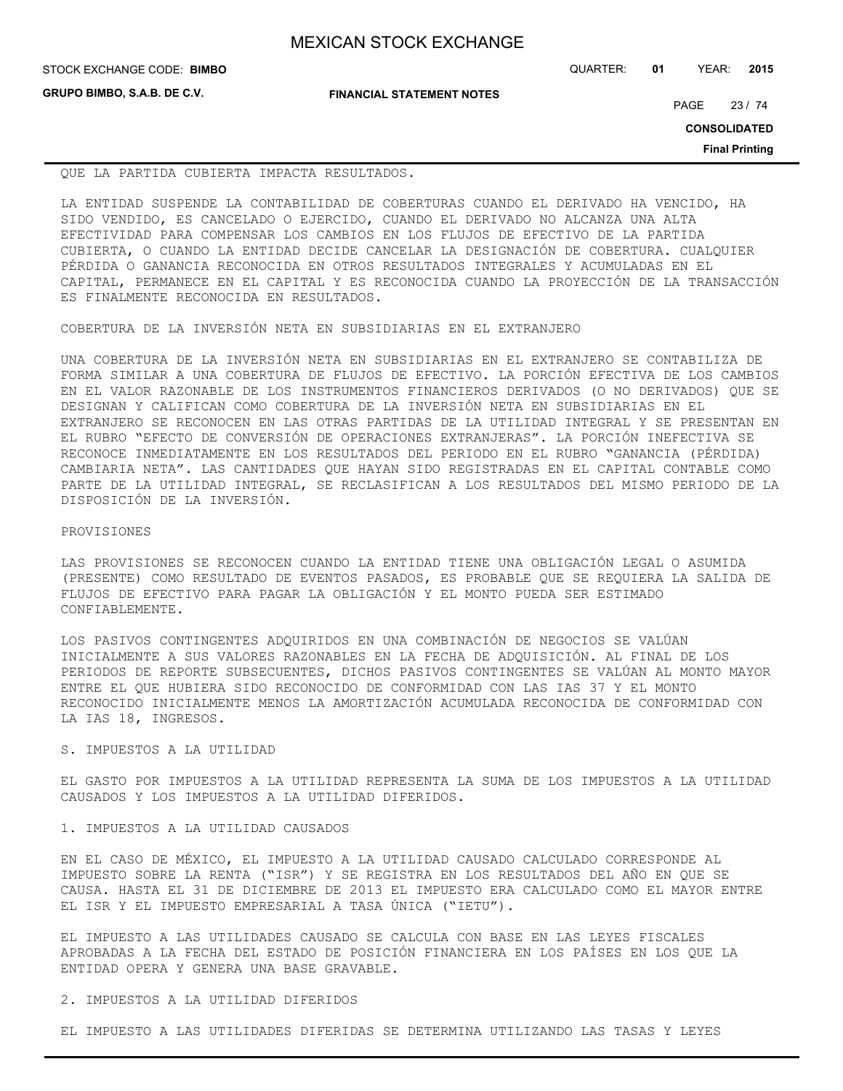| <b>MEXICAN STOCK EXCHANGE</b> |  |  |  |
|-------------------------------|--|--|--|
|-------------------------------|--|--|--|

STOCK EXCHANGE CODE: QUARTER: **01** YEAR: **2015 BIMBO**

**GRUPO BIMBO, S.A.B. DE C.V.**

**FINANCIAL STATEMENT NOTES**

PAGE 23 / 74

**CONSOLIDATED**

**Final Printing**

QUE LA PARTIDA CUBIERTA IMPACTA RESULTADOS.

LA ENTIDAD SUSPENDE LA CONTABILIDAD DE COBERTURAS CUANDO EL DERIVADO HA VENCIDO, HA SIDO VENDIDO, ES CANCELADO O EJERCIDO, CUANDO EL DERIVADO NO ALCANZA UNA ALTA EFECTIVIDAD PARA COMPENSAR LOS CAMBIOS EN LOS FLUJOS DE EFECTIVO DE LA PARTIDA CUBIERTA, O CUANDO LA ENTIDAD DECIDE CANCELAR LA DESIGNACIÓN DE COBERTURA. CUALQUIER PÉRDIDA O GANANCIA RECONOCIDA EN OTROS RESULTADOS INTEGRALES Y ACUMULADAS EN EL CAPITAL, PERMANECE EN EL CAPITAL Y ES RECONOCIDA CUANDO LA PROYECCIÓN DE LA TRANSACCIÓN ES FINALMENTE RECONOCIDA EN RESULTADOS.

COBERTURA DE LA INVERSIÓN NETA EN SUBSIDIARIAS EN EL EXTRANJERO

UNA COBERTURA DE LA INVERSIÓN NETA EN SUBSIDIARIAS EN EL EXTRANJERO SE CONTABILIZA DE FORMA SIMILAR A UNA COBERTURA DE FLUJOS DE EFECTIVO. LA PORCIÓN EFECTIVA DE LOS CAMBIOS EN EL VALOR RAZONABLE DE LOS INSTRUMENTOS FINANCIEROS DERIVADOS (O NO DERIVADOS) QUE SE DESIGNAN Y CALIFICAN COMO COBERTURA DE LA INVERSIÓN NETA EN SUBSIDIARIAS EN EL EXTRANJERO SE RECONOCEN EN LAS OTRAS PARTIDAS DE LA UTILIDAD INTEGRAL Y SE PRESENTAN EN EL RUBRO "EFECTO DE CONVERSIÓN DE OPERACIONES EXTRANJERAS". LA PORCIÓN INEFECTIVA SE RECONOCE INMEDIATAMENTE EN LOS RESULTADOS DEL PERIODO EN EL RUBRO "GANANCIA (PÉRDIDA) CAMBIARIA NETA". LAS CANTIDADES QUE HAYAN SIDO REGISTRADAS EN EL CAPITAL CONTABLE COMO PARTE DE LA UTILIDAD INTEGRAL, SE RECLASIFICAN A LOS RESULTADOS DEL MISMO PERIODO DE LA DISPOSICIÓN DE LA INVERSIÓN.

### PROVISIONES

LAS PROVISIONES SE RECONOCEN CUANDO LA ENTIDAD TIENE UNA OBLIGACIÓN LEGAL O ASUMIDA (PRESENTE) COMO RESULTADO DE EVENTOS PASADOS, ES PROBABLE QUE SE REQUIERA LA SALIDA DE FLUJOS DE EFECTIVO PARA PAGAR LA OBLIGACIÓN Y EL MONTO PUEDA SER ESTIMADO CONFIABLEMENTE.

LOS PASIVOS CONTINGENTES ADQUIRIDOS EN UNA COMBINACIÓN DE NEGOCIOS SE VALÚAN INICIALMENTE A SUS VALORES RAZONABLES EN LA FECHA DE ADQUISICIÓN. AL FINAL DE LOS PERIODOS DE REPORTE SUBSECUENTES, DICHOS PASIVOS CONTINGENTES SE VALÚAN AL MONTO MAYOR ENTRE EL QUE HUBIERA SIDO RECONOCIDO DE CONFORMIDAD CON LAS IAS 37 Y EL MONTO RECONOCIDO INICIALMENTE MENOS LA AMORTIZACIÓN ACUMULADA RECONOCIDA DE CONFORMIDAD CON LA IAS 18, INGRESOS.

## S. IMPUESTOS A LA UTILIDAD

EL GASTO POR IMPUESTOS A LA UTILIDAD REPRESENTA LA SUMA DE LOS IMPUESTOS A LA UTILIDAD CAUSADOS Y LOS IMPUESTOS A LA UTILIDAD DIFERIDOS.

## 1. IMPUESTOS A LA UTILIDAD CAUSADOS

EN EL CASO DE MÉXICO, EL IMPUESTO A LA UTILIDAD CAUSADO CALCULADO CORRESPONDE AL IMPUESTO SOBRE LA RENTA ("ISR") Y SE REGISTRA EN LOS RESULTADOS DEL AÑO EN QUE SE CAUSA. HASTA EL 31 DE DICIEMBRE DE 2013 EL IMPUESTO ERA CALCULADO COMO EL MAYOR ENTRE EL ISR Y EL IMPUESTO EMPRESARIAL A TASA ÚNICA ("IETU").

EL IMPUESTO A LAS UTILIDADES CAUSADO SE CALCULA CON BASE EN LAS LEYES FISCALES APROBADAS A LA FECHA DEL ESTADO DE POSICIÓN FINANCIERA EN LOS PAÍSES EN LOS QUE LA ENTIDAD OPERA Y GENERA UNA BASE GRAVABLE.

## 2. IMPUESTOS A LA UTILIDAD DIFERIDOS

EL IMPUESTO A LAS UTILIDADES DIFERIDAS SE DETERMINA UTILIZANDO LAS TASAS Y LEYES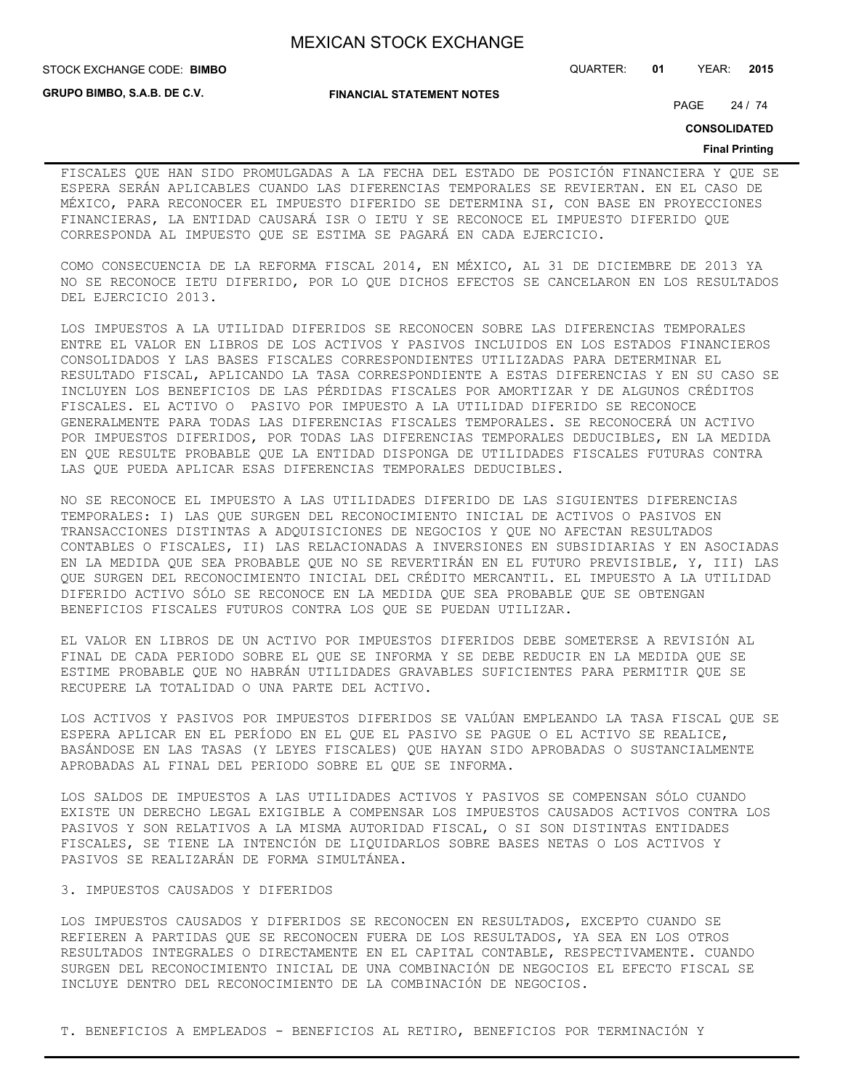STOCK EXCHANGE CODE: QUARTER: **01** YEAR: **2015 BIMBO**

**GRUPO BIMBO, S.A.B. DE C.V.**

**FINANCIAL STATEMENT NOTES**

PAGE 24 / 74

**CONSOLIDATED**

#### **Final Printing**

FISCALES QUE HAN SIDO PROMULGADAS A LA FECHA DEL ESTADO DE POSICIÓN FINANCIERA Y QUE SE ESPERA SERÁN APLICABLES CUANDO LAS DIFERENCIAS TEMPORALES SE REVIERTAN. EN EL CASO DE MÉXICO, PARA RECONOCER EL IMPUESTO DIFERIDO SE DETERMINA SI, CON BASE EN PROYECCIONES FINANCIERAS, LA ENTIDAD CAUSARÁ ISR O IETU Y SE RECONOCE EL IMPUESTO DIFERIDO QUE CORRESPONDA AL IMPUESTO QUE SE ESTIMA SE PAGARÁ EN CADA EJERCICIO.

COMO CONSECUENCIA DE LA REFORMA FISCAL 2014, EN MÉXICO, AL 31 DE DICIEMBRE DE 2013 YA NO SE RECONOCE IETU DIFERIDO, POR LO QUE DICHOS EFECTOS SE CANCELARON EN LOS RESULTADOS DEL EJERCICIO 2013.

LOS IMPUESTOS A LA UTILIDAD DIFERIDOS SE RECONOCEN SOBRE LAS DIFERENCIAS TEMPORALES ENTRE EL VALOR EN LIBROS DE LOS ACTIVOS Y PASIVOS INCLUIDOS EN LOS ESTADOS FINANCIEROS CONSOLIDADOS Y LAS BASES FISCALES CORRESPONDIENTES UTILIZADAS PARA DETERMINAR EL RESULTADO FISCAL, APLICANDO LA TASA CORRESPONDIENTE A ESTAS DIFERENCIAS Y EN SU CASO SE INCLUYEN LOS BENEFICIOS DE LAS PÉRDIDAS FISCALES POR AMORTIZAR Y DE ALGUNOS CRÉDITOS FISCALES. EL ACTIVO O PASIVO POR IMPUESTO A LA UTILIDAD DIFERIDO SE RECONOCE GENERALMENTE PARA TODAS LAS DIFERENCIAS FISCALES TEMPORALES. SE RECONOCERÁ UN ACTIVO POR IMPUESTOS DIFERIDOS, POR TODAS LAS DIFERENCIAS TEMPORALES DEDUCIBLES, EN LA MEDIDA EN QUE RESULTE PROBABLE QUE LA ENTIDAD DISPONGA DE UTILIDADES FISCALES FUTURAS CONTRA LAS QUE PUEDA APLICAR ESAS DIFERENCIAS TEMPORALES DEDUCIBLES.

NO SE RECONOCE EL IMPUESTO A LAS UTILIDADES DIFERIDO DE LAS SIGUIENTES DIFERENCIAS TEMPORALES: I) LAS QUE SURGEN DEL RECONOCIMIENTO INICIAL DE ACTIVOS O PASIVOS EN TRANSACCIONES DISTINTAS A ADQUISICIONES DE NEGOCIOS Y QUE NO AFECTAN RESULTADOS CONTABLES O FISCALES, II) LAS RELACIONADAS A INVERSIONES EN SUBSIDIARIAS Y EN ASOCIADAS EN LA MEDIDA QUE SEA PROBABLE QUE NO SE REVERTIRÁN EN EL FUTURO PREVISIBLE, Y, III) LAS QUE SURGEN DEL RECONOCIMIENTO INICIAL DEL CRÉDITO MERCANTIL. EL IMPUESTO A LA UTILIDAD DIFERIDO ACTIVO SÓLO SE RECONOCE EN LA MEDIDA QUE SEA PROBABLE QUE SE OBTENGAN BENEFICIOS FISCALES FUTUROS CONTRA LOS QUE SE PUEDAN UTILIZAR.

EL VALOR EN LIBROS DE UN ACTIVO POR IMPUESTOS DIFERIDOS DEBE SOMETERSE A REVISIÓN AL FINAL DE CADA PERIODO SOBRE EL QUE SE INFORMA Y SE DEBE REDUCIR EN LA MEDIDA QUE SE ESTIME PROBABLE QUE NO HABRÁN UTILIDADES GRAVABLES SUFICIENTES PARA PERMITIR QUE SE RECUPERE LA TOTALIDAD O UNA PARTE DEL ACTIVO.

LOS ACTIVOS Y PASIVOS POR IMPUESTOS DIFERIDOS SE VALÚAN EMPLEANDO LA TASA FISCAL QUE SE ESPERA APLICAR EN EL PERÍODO EN EL QUE EL PASIVO SE PAGUE O EL ACTIVO SE REALICE, BASÁNDOSE EN LAS TASAS (Y LEYES FISCALES) QUE HAYAN SIDO APROBADAS O SUSTANCIALMENTE APROBADAS AL FINAL DEL PERIODO SOBRE EL QUE SE INFORMA.

LOS SALDOS DE IMPUESTOS A LAS UTILIDADES ACTIVOS Y PASIVOS SE COMPENSAN SÓLO CUANDO EXISTE UN DERECHO LEGAL EXIGIBLE A COMPENSAR LOS IMPUESTOS CAUSADOS ACTIVOS CONTRA LOS PASIVOS Y SON RELATIVOS A LA MISMA AUTORIDAD FISCAL, O SI SON DISTINTAS ENTIDADES FISCALES, SE TIENE LA INTENCIÓN DE LIQUIDARLOS SOBRE BASES NETAS O LOS ACTIVOS Y PASIVOS SE REALIZARÁN DE FORMA SIMULTÁNEA.

#### 3. IMPUESTOS CAUSADOS Y DIFERIDOS

LOS IMPUESTOS CAUSADOS Y DIFERIDOS SE RECONOCEN EN RESULTADOS, EXCEPTO CUANDO SE REFIEREN A PARTIDAS QUE SE RECONOCEN FUERA DE LOS RESULTADOS, YA SEA EN LOS OTROS RESULTADOS INTEGRALES O DIRECTAMENTE EN EL CAPITAL CONTABLE, RESPECTIVAMENTE. CUANDO SURGEN DEL RECONOCIMIENTO INICIAL DE UNA COMBINACIÓN DE NEGOCIOS EL EFECTO FISCAL SE INCLUYE DENTRO DEL RECONOCIMIENTO DE LA COMBINACIÓN DE NEGOCIOS.

T. BENEFICIOS A EMPLEADOS - BENEFICIOS AL RETIRO, BENEFICIOS POR TERMINACIÓN Y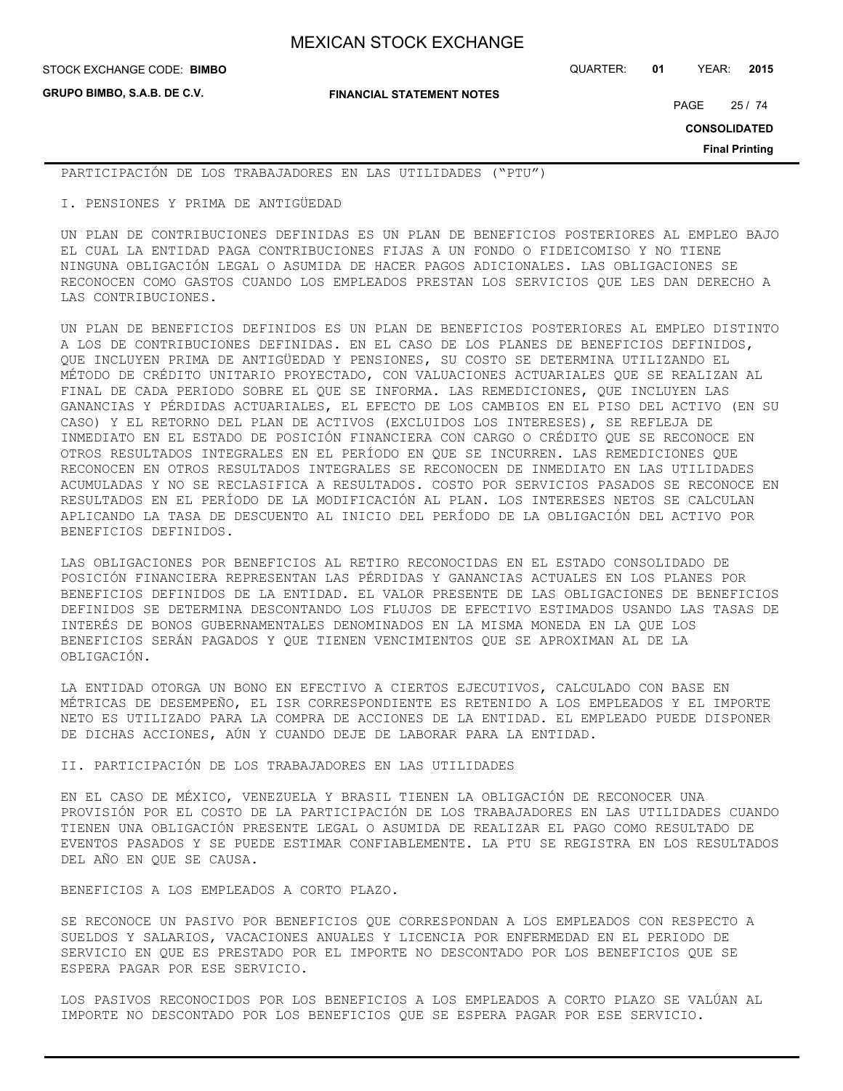**GRUPO BIMBO, S.A.B. DE C.V.**

STOCK EXCHANGE CODE: QUARTER: **01** YEAR: **2015 BIMBO**

**FINANCIAL STATEMENT NOTES**

PAGE 25 / 74

**CONSOLIDATED**

**Final Printing**

PARTICIPACIÓN DE LOS TRABAJADORES EN LAS UTILIDADES ("PTU")

I. PENSIONES Y PRIMA DE ANTIGÜEDAD

UN PLAN DE CONTRIBUCIONES DEFINIDAS ES UN PLAN DE BENEFICIOS POSTERIORES AL EMPLEO BAJO EL CUAL LA ENTIDAD PAGA CONTRIBUCIONES FIJAS A UN FONDO O FIDEICOMISO Y NO TIENE NINGUNA OBLIGACIÓN LEGAL O ASUMIDA DE HACER PAGOS ADICIONALES. LAS OBLIGACIONES SE RECONOCEN COMO GASTOS CUANDO LOS EMPLEADOS PRESTAN LOS SERVICIOS QUE LES DAN DERECHO A LAS CONTRIBUCIONES.

UN PLAN DE BENEFICIOS DEFINIDOS ES UN PLAN DE BENEFICIOS POSTERIORES AL EMPLEO DISTINTO A LOS DE CONTRIBUCIONES DEFINIDAS. EN EL CASO DE LOS PLANES DE BENEFICIOS DEFINIDOS, QUE INCLUYEN PRIMA DE ANTIGÜEDAD Y PENSIONES, SU COSTO SE DETERMINA UTILIZANDO EL MÉTODO DE CRÉDITO UNITARIO PROYECTADO, CON VALUACIONES ACTUARIALES QUE SE REALIZAN AL FINAL DE CADA PERIODO SOBRE EL QUE SE INFORMA. LAS REMEDICIONES, QUE INCLUYEN LAS GANANCIAS Y PÉRDIDAS ACTUARIALES, EL EFECTO DE LOS CAMBIOS EN EL PISO DEL ACTIVO (EN SU CASO) Y EL RETORNO DEL PLAN DE ACTIVOS (EXCLUIDOS LOS INTERESES), SE REFLEJA DE INMEDIATO EN EL ESTADO DE POSICIÓN FINANCIERA CON CARGO O CRÉDITO QUE SE RECONOCE EN OTROS RESULTADOS INTEGRALES EN EL PERÍODO EN QUE SE INCURREN. LAS REMEDICIONES QUE RECONOCEN EN OTROS RESULTADOS INTEGRALES SE RECONOCEN DE INMEDIATO EN LAS UTILIDADES ACUMULADAS Y NO SE RECLASIFICA A RESULTADOS. COSTO POR SERVICIOS PASADOS SE RECONOCE EN RESULTADOS EN EL PERÍODO DE LA MODIFICACIÓN AL PLAN. LOS INTERESES NETOS SE CALCULAN APLICANDO LA TASA DE DESCUENTO AL INICIO DEL PERÍODO DE LA OBLIGACIÓN DEL ACTIVO POR BENEFICIOS DEFINIDOS.

LAS OBLIGACIONES POR BENEFICIOS AL RETIRO RECONOCIDAS EN EL ESTADO CONSOLIDADO DE POSICIÓN FINANCIERA REPRESENTAN LAS PÉRDIDAS Y GANANCIAS ACTUALES EN LOS PLANES POR BENEFICIOS DEFINIDOS DE LA ENTIDAD. EL VALOR PRESENTE DE LAS OBLIGACIONES DE BENEFICIOS DEFINIDOS SE DETERMINA DESCONTANDO LOS FLUJOS DE EFECTIVO ESTIMADOS USANDO LAS TASAS DE INTERÉS DE BONOS GUBERNAMENTALES DENOMINADOS EN LA MISMA MONEDA EN LA QUE LOS BENEFICIOS SERÁN PAGADOS Y QUE TIENEN VENCIMIENTOS QUE SE APROXIMAN AL DE LA OBLIGACIÓN.

LA ENTIDAD OTORGA UN BONO EN EFECTIVO A CIERTOS EJECUTIVOS, CALCULADO CON BASE EN MÉTRICAS DE DESEMPEÑO, EL ISR CORRESPONDIENTE ES RETENIDO A LOS EMPLEADOS Y EL IMPORTE NETO ES UTILIZADO PARA LA COMPRA DE ACCIONES DE LA ENTIDAD. EL EMPLEADO PUEDE DISPONER DE DICHAS ACCIONES, AÚN Y CUANDO DEJE DE LABORAR PARA LA ENTIDAD.

## II. PARTICIPACIÓN DE LOS TRABAJADORES EN LAS UTILIDADES

EN EL CASO DE MÉXICO, VENEZUELA Y BRASIL TIENEN LA OBLIGACIÓN DE RECONOCER UNA PROVISIÓN POR EL COSTO DE LA PARTICIPACIÓN DE LOS TRABAJADORES EN LAS UTILIDADES CUANDO TIENEN UNA OBLIGACIÓN PRESENTE LEGAL O ASUMIDA DE REALIZAR EL PAGO COMO RESULTADO DE EVENTOS PASADOS Y SE PUEDE ESTIMAR CONFIABLEMENTE. LA PTU SE REGISTRA EN LOS RESULTADOS DEL AÑO EN QUE SE CAUSA.

BENEFICIOS A LOS EMPLEADOS A CORTO PLAZO.

SE RECONOCE UN PASIVO POR BENEFICIOS QUE CORRESPONDAN A LOS EMPLEADOS CON RESPECTO A SUELDOS Y SALARIOS, VACACIONES ANUALES Y LICENCIA POR ENFERMEDAD EN EL PERIODO DE SERVICIO EN QUE ES PRESTADO POR EL IMPORTE NO DESCONTADO POR LOS BENEFICIOS QUE SE ESPERA PAGAR POR ESE SERVICIO.

LOS PASIVOS RECONOCIDOS POR LOS BENEFICIOS A LOS EMPLEADOS A CORTO PLAZO SE VALÚAN AL IMPORTE NO DESCONTADO POR LOS BENEFICIOS QUE SE ESPERA PAGAR POR ESE SERVICIO.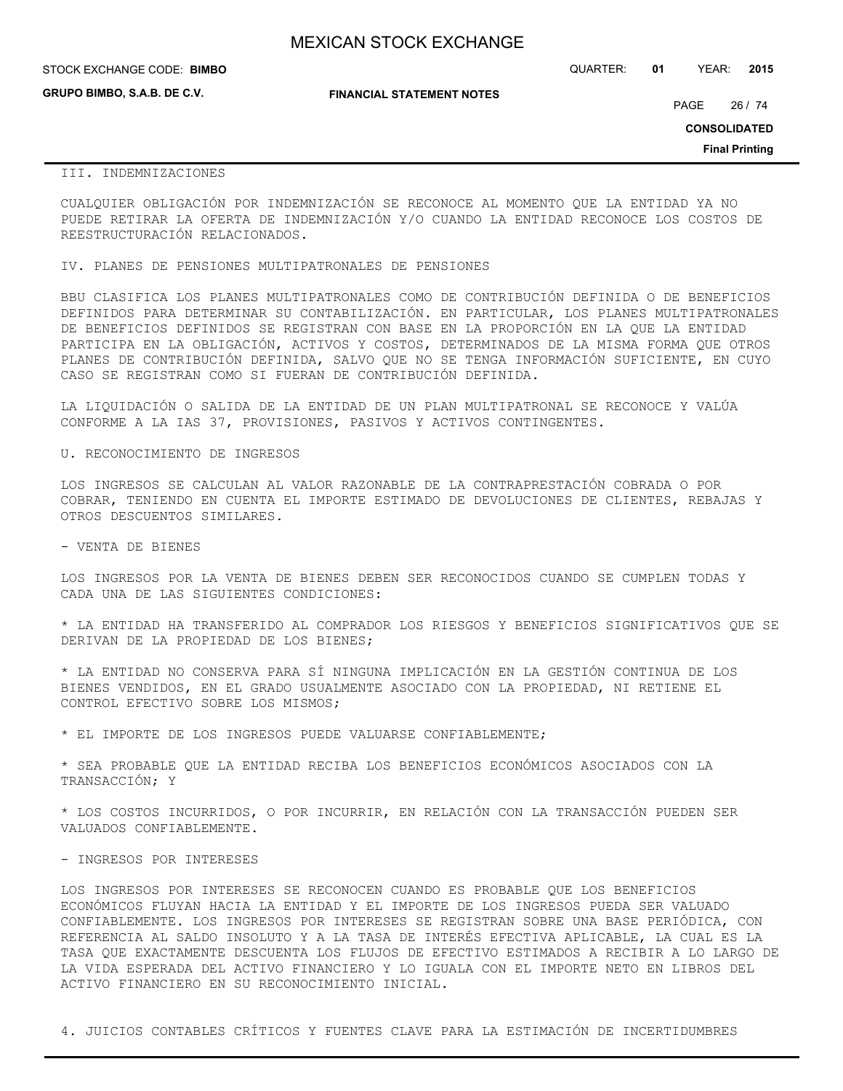| <b>MEXICAN STOCK EXCHANGE</b> |
|-------------------------------|
|-------------------------------|

| STOCK EXCHANGE CODE: BIMBO         |                                  | QUARTER: | 01 | YEAR: | 2015 |
|------------------------------------|----------------------------------|----------|----|-------|------|
| <b>GRUPO BIMBO, S.A.B. DE C.V.</b> | <b>FINANCIAL STATEMENT NOTES</b> |          |    |       |      |

PAGE 26 / 74

**CONSOLIDATED**

**Final Printing**

## III. INDEMNIZACIONES

CUALQUIER OBLIGACIÓN POR INDEMNIZACIÓN SE RECONOCE AL MOMENTO QUE LA ENTIDAD YA NO PUEDE RETIRAR LA OFERTA DE INDEMNIZACIÓN Y/O CUANDO LA ENTIDAD RECONOCE LOS COSTOS DE REESTRUCTURACIÓN RELACIONADOS.

IV. PLANES DE PENSIONES MULTIPATRONALES DE PENSIONES

BBU CLASIFICA LOS PLANES MULTIPATRONALES COMO DE CONTRIBUCIÓN DEFINIDA O DE BENEFICIOS DEFINIDOS PARA DETERMINAR SU CONTABILIZACIÓN. EN PARTICULAR, LOS PLANES MULTIPATRONALES DE BENEFICIOS DEFINIDOS SE REGISTRAN CON BASE EN LA PROPORCIÓN EN LA QUE LA ENTIDAD PARTICIPA EN LA OBLIGACIÓN, ACTIVOS Y COSTOS, DETERMINADOS DE LA MISMA FORMA QUE OTROS PLANES DE CONTRIBUCIÓN DEFINIDA, SALVO QUE NO SE TENGA INFORMACIÓN SUFICIENTE, EN CUYO CASO SE REGISTRAN COMO SI FUERAN DE CONTRIBUCIÓN DEFINIDA.

LA LIQUIDACIÓN O SALIDA DE LA ENTIDAD DE UN PLAN MULTIPATRONAL SE RECONOCE Y VALÚA CONFORME A LA IAS 37, PROVISIONES, PASIVOS Y ACTIVOS CONTINGENTES.

U. RECONOCIMIENTO DE INGRESOS

LOS INGRESOS SE CALCULAN AL VALOR RAZONABLE DE LA CONTRAPRESTACIÓN COBRADA O POR COBRAR, TENIENDO EN CUENTA EL IMPORTE ESTIMADO DE DEVOLUCIONES DE CLIENTES, REBAJAS Y OTROS DESCUENTOS SIMILARES.

- VENTA DE BIENES

LOS INGRESOS POR LA VENTA DE BIENES DEBEN SER RECONOCIDOS CUANDO SE CUMPLEN TODAS Y CADA UNA DE LAS SIGUIENTES CONDICIONES:

\* LA ENTIDAD HA TRANSFERIDO AL COMPRADOR LOS RIESGOS Y BENEFICIOS SIGNIFICATIVOS QUE SE DERIVAN DE LA PROPIEDAD DE LOS BIENES;

\* LA ENTIDAD NO CONSERVA PARA SÍ NINGUNA IMPLICACIÓN EN LA GESTIÓN CONTINUA DE LOS BIENES VENDIDOS, EN EL GRADO USUALMENTE ASOCIADO CON LA PROPIEDAD, NI RETIENE EL CONTROL EFECTIVO SOBRE LOS MISMOS;

\* EL IMPORTE DE LOS INGRESOS PUEDE VALUARSE CONFIABLEMENTE;

\* SEA PROBABLE QUE LA ENTIDAD RECIBA LOS BENEFICIOS ECONÓMICOS ASOCIADOS CON LA TRANSACCIÓN; Y

\* LOS COSTOS INCURRIDOS, O POR INCURRIR, EN RELACIÓN CON LA TRANSACCIÓN PUEDEN SER VALUADOS CONFIABLEMENTE.

- INGRESOS POR INTERESES

LOS INGRESOS POR INTERESES SE RECONOCEN CUANDO ES PROBABLE QUE LOS BENEFICIOS ECONÓMICOS FLUYAN HACIA LA ENTIDAD Y EL IMPORTE DE LOS INGRESOS PUEDA SER VALUADO CONFIABLEMENTE. LOS INGRESOS POR INTERESES SE REGISTRAN SOBRE UNA BASE PERIÓDICA, CON REFERENCIA AL SALDO INSOLUTO Y A LA TASA DE INTERÉS EFECTIVA APLICABLE, LA CUAL ES LA TASA QUE EXACTAMENTE DESCUENTA LOS FLUJOS DE EFECTIVO ESTIMADOS A RECIBIR A LO LARGO DE LA VIDA ESPERADA DEL ACTIVO FINANCIERO Y LO IGUALA CON EL IMPORTE NETO EN LIBROS DEL ACTIVO FINANCIERO EN SU RECONOCIMIENTO INICIAL.

4. JUICIOS CONTABLES CRÍTICOS Y FUENTES CLAVE PARA LA ESTIMACIÓN DE INCERTIDUMBRES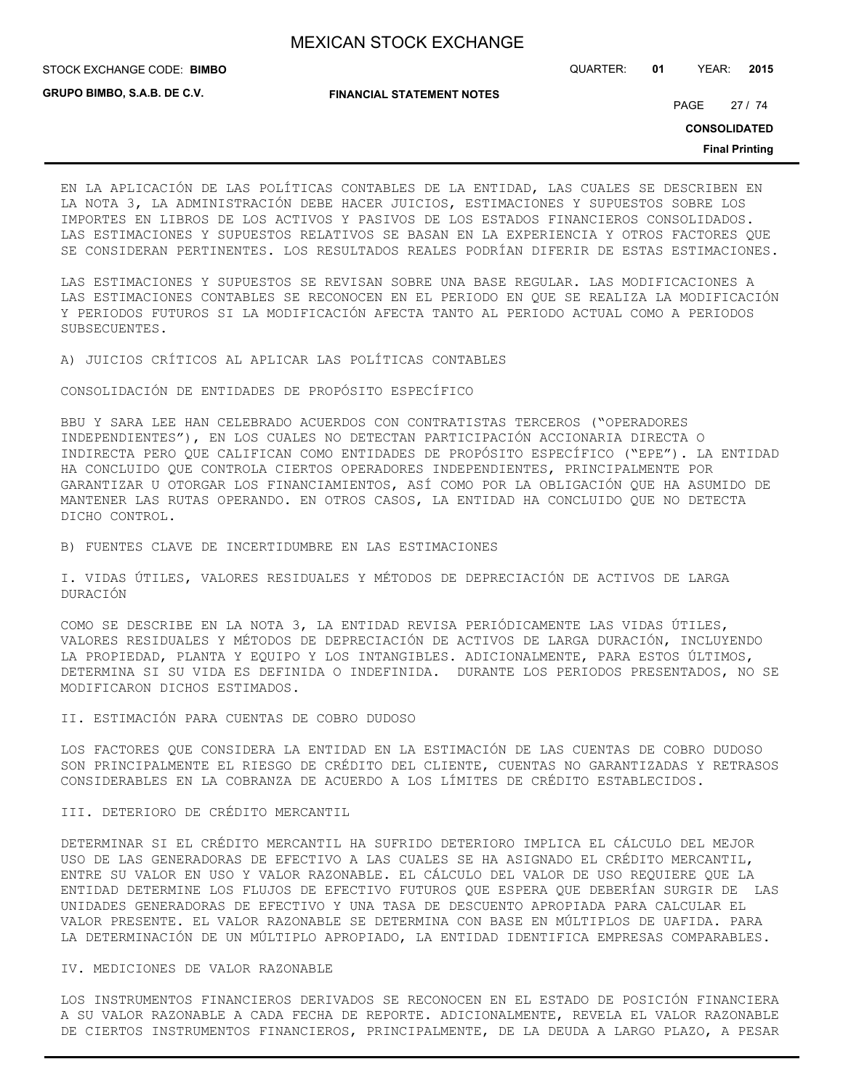STOCK EXCHANGE CODE: QUARTER: **01** YEAR: **2015 BIMBO**

**GRUPO BIMBO, S.A.B. DE C.V.**

**FINANCIAL STATEMENT NOTES**

PAGE 27 / 74

**CONSOLIDATED**

**Final Printing**

EN LA APLICACIÓN DE LAS POLÍTICAS CONTABLES DE LA ENTIDAD, LAS CUALES SE DESCRIBEN EN LA NOTA 3, LA ADMINISTRACIÓN DEBE HACER JUICIOS, ESTIMACIONES Y SUPUESTOS SOBRE LOS IMPORTES EN LIBROS DE LOS ACTIVOS Y PASIVOS DE LOS ESTADOS FINANCIEROS CONSOLIDADOS. LAS ESTIMACIONES Y SUPUESTOS RELATIVOS SE BASAN EN LA EXPERIENCIA Y OTROS FACTORES QUE SE CONSIDERAN PERTINENTES. LOS RESULTADOS REALES PODRÍAN DIFERIR DE ESTAS ESTIMACIONES.

LAS ESTIMACIONES Y SUPUESTOS SE REVISAN SOBRE UNA BASE REGULAR. LAS MODIFICACIONES A LAS ESTIMACIONES CONTABLES SE RECONOCEN EN EL PERIODO EN QUE SE REALIZA LA MODIFICACIÓN Y PERIODOS FUTUROS SI LA MODIFICACIÓN AFECTA TANTO AL PERIODO ACTUAL COMO A PERIODOS SUBSECUENTES.

A) JUICIOS CRÍTICOS AL APLICAR LAS POLÍTICAS CONTABLES

CONSOLIDACIÓN DE ENTIDADES DE PROPÓSITO ESPECÍFICO

BBU Y SARA LEE HAN CELEBRADO ACUERDOS CON CONTRATISTAS TERCEROS ("OPERADORES INDEPENDIENTES"), EN LOS CUALES NO DETECTAN PARTICIPACIÓN ACCIONARIA DIRECTA O INDIRECTA PERO QUE CALIFICAN COMO ENTIDADES DE PROPÓSITO ESPECÍFICO ("EPE"). LA ENTIDAD HA CONCLUIDO QUE CONTROLA CIERTOS OPERADORES INDEPENDIENTES, PRINCIPALMENTE POR GARANTIZAR U OTORGAR LOS FINANCIAMIENTOS, ASÍ COMO POR LA OBLIGACIÓN QUE HA ASUMIDO DE MANTENER LAS RUTAS OPERANDO. EN OTROS CASOS, LA ENTIDAD HA CONCLUIDO QUE NO DETECTA DICHO CONTROL.

B) FUENTES CLAVE DE INCERTIDUMBRE EN LAS ESTIMACIONES

I. VIDAS ÚTILES, VALORES RESIDUALES Y MÉTODOS DE DEPRECIACIÓN DE ACTIVOS DE LARGA DURACIÓN

COMO SE DESCRIBE EN LA NOTA 3, LA ENTIDAD REVISA PERIÓDICAMENTE LAS VIDAS ÚTILES, VALORES RESIDUALES Y MÉTODOS DE DEPRECIACIÓN DE ACTIVOS DE LARGA DURACIÓN, INCLUYENDO LA PROPIEDAD, PLANTA Y EQUIPO Y LOS INTANGIBLES. ADICIONALMENTE, PARA ESTOS ÚLTIMOS, DETERMINA SI SU VIDA ES DEFINIDA O INDEFINIDA. DURANTE LOS PERIODOS PRESENTADOS, NO SE MODIFICARON DICHOS ESTIMADOS.

II. ESTIMACIÓN PARA CUENTAS DE COBRO DUDOSO

LOS FACTORES QUE CONSIDERA LA ENTIDAD EN LA ESTIMACIÓN DE LAS CUENTAS DE COBRO DUDOSO SON PRINCIPALMENTE EL RIESGO DE CRÉDITO DEL CLIENTE, CUENTAS NO GARANTIZADAS Y RETRASOS CONSIDERABLES EN LA COBRANZA DE ACUERDO A LOS LÍMITES DE CRÉDITO ESTABLECIDOS.

III. DETERIORO DE CRÉDITO MERCANTIL

DETERMINAR SI EL CRÉDITO MERCANTIL HA SUFRIDO DETERIORO IMPLICA EL CÁLCULO DEL MEJOR USO DE LAS GENERADORAS DE EFECTIVO A LAS CUALES SE HA ASIGNADO EL CRÉDITO MERCANTIL, ENTRE SU VALOR EN USO Y VALOR RAZONABLE. EL CÁLCULO DEL VALOR DE USO REQUIERE QUE LA ENTIDAD DETERMINE LOS FLUJOS DE EFECTIVO FUTUROS QUE ESPERA QUE DEBERÍAN SURGIR DE LAS UNIDADES GENERADORAS DE EFECTIVO Y UNA TASA DE DESCUENTO APROPIADA PARA CALCULAR EL VALOR PRESENTE. EL VALOR RAZONABLE SE DETERMINA CON BASE EN MÚLTIPLOS DE UAFIDA. PARA LA DETERMINACIÓN DE UN MÚLTIPLO APROPIADO, LA ENTIDAD IDENTIFICA EMPRESAS COMPARABLES.

## IV. MEDICIONES DE VALOR RAZONABLE

LOS INSTRUMENTOS FINANCIEROS DERIVADOS SE RECONOCEN EN EL ESTADO DE POSICIÓN FINANCIERA A SU VALOR RAZONABLE A CADA FECHA DE REPORTE. ADICIONALMENTE, REVELA EL VALOR RAZONABLE DE CIERTOS INSTRUMENTOS FINANCIEROS, PRINCIPALMENTE, DE LA DEUDA A LARGO PLAZO, A PESAR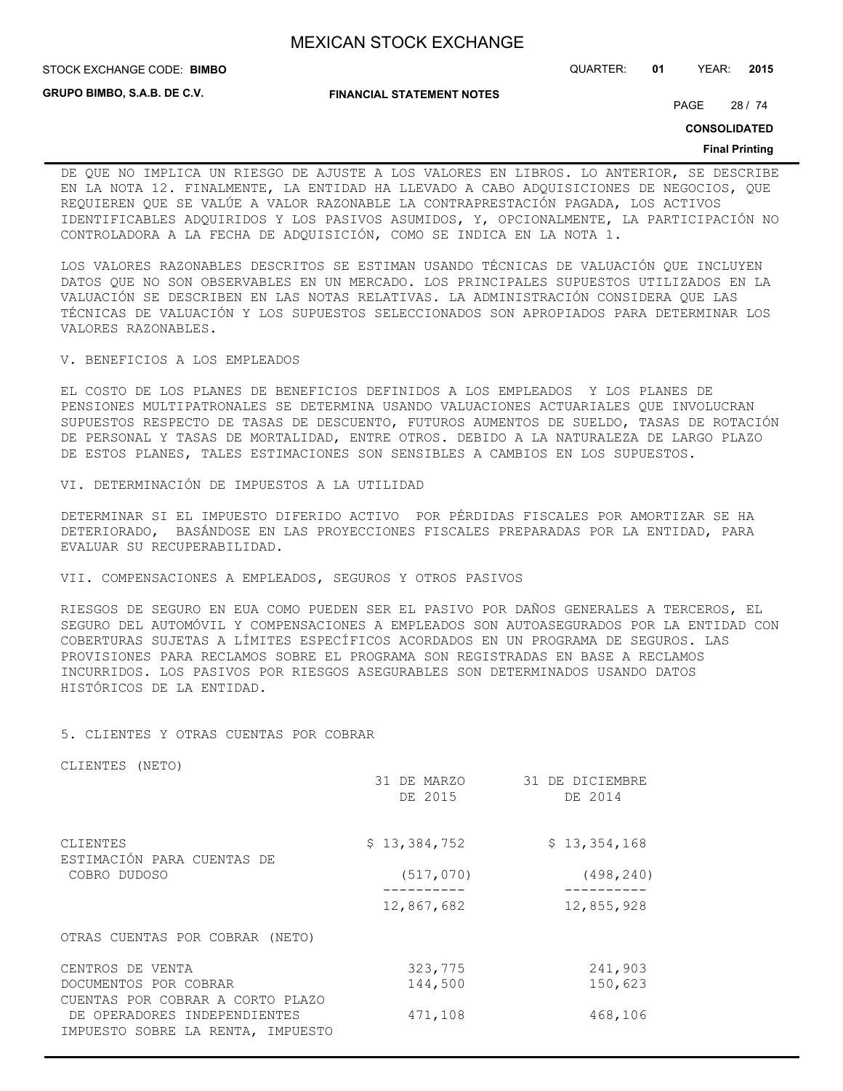**GRUPO BIMBO, S.A.B. DE C.V.**

**FINANCIAL STATEMENT NOTES**

STOCK EXCHANGE CODE: QUARTER: **01** YEAR: **2015 BIMBO**

PAGE 28 / 74

**CONSOLIDATED**

#### **Final Printing**

DE QUE NO IMPLICA UN RIESGO DE AJUSTE A LOS VALORES EN LIBROS. LO ANTERIOR, SE DESCRIBE EN LA NOTA 12. FINALMENTE, LA ENTIDAD HA LLEVADO A CABO ADQUISICIONES DE NEGOCIOS, QUE REQUIEREN QUE SE VALÚE A VALOR RAZONABLE LA CONTRAPRESTACIÓN PAGADA, LOS ACTIVOS IDENTIFICABLES ADQUIRIDOS Y LOS PASIVOS ASUMIDOS, Y, OPCIONALMENTE, LA PARTICIPACIÓN NO CONTROLADORA A LA FECHA DE ADQUISICIÓN, COMO SE INDICA EN LA NOTA 1.

LOS VALORES RAZONABLES DESCRITOS SE ESTIMAN USANDO TÉCNICAS DE VALUACIÓN QUE INCLUYEN DATOS QUE NO SON OBSERVABLES EN UN MERCADO. LOS PRINCIPALES SUPUESTOS UTILIZADOS EN LA VALUACIÓN SE DESCRIBEN EN LAS NOTAS RELATIVAS. LA ADMINISTRACIÓN CONSIDERA QUE LAS TÉCNICAS DE VALUACIÓN Y LOS SUPUESTOS SELECCIONADOS SON APROPIADOS PARA DETERMINAR LOS VALORES RAZONABLES.

V. BENEFICIOS A LOS EMPLEADOS

EL COSTO DE LOS PLANES DE BENEFICIOS DEFINIDOS A LOS EMPLEADOS Y LOS PLANES DE PENSIONES MULTIPATRONALES SE DETERMINA USANDO VALUACIONES ACTUARIALES QUE INVOLUCRAN SUPUESTOS RESPECTO DE TASAS DE DESCUENTO, FUTUROS AUMENTOS DE SUELDO, TASAS DE ROTACIÓN DE PERSONAL Y TASAS DE MORTALIDAD, ENTRE OTROS. DEBIDO A LA NATURALEZA DE LARGO PLAZO DE ESTOS PLANES, TALES ESTIMACIONES SON SENSIBLES A CAMBIOS EN LOS SUPUESTOS.

VI. DETERMINACIÓN DE IMPUESTOS A LA UTILIDAD

DETERMINAR SI EL IMPUESTO DIFERIDO ACTIVO POR PÉRDIDAS FISCALES POR AMORTIZAR SE HA DETERIORADO, BASÁNDOSE EN LAS PROYECCIONES FISCALES PREPARADAS POR LA ENTIDAD, PARA EVALUAR SU RECUPERABILIDAD.

VII. COMPENSACIONES A EMPLEADOS, SEGUROS Y OTROS PASIVOS

RIESGOS DE SEGURO EN EUA COMO PUEDEN SER EL PASIVO POR DAÑOS GENERALES A TERCEROS, EL SEGURO DEL AUTOMÓVIL Y COMPENSACIONES A EMPLEADOS SON AUTOASEGURADOS POR LA ENTIDAD CON COBERTURAS SUJETAS A LÍMITES ESPECÍFICOS ACORDADOS EN UN PROGRAMA DE SEGUROS. LAS PROVISIONES PARA RECLAMOS SOBRE EL PROGRAMA SON REGISTRADAS EN BASE A RECLAMOS INCURRIDOS. LOS PASIVOS POR RIESGOS ASEGURABLES SON DETERMINADOS USANDO DATOS HISTÓRICOS DE LA ENTIDAD.

### 5. CLIENTES Y OTRAS CUENTAS POR COBRAR

CLIENTES (NETO)

|                                                                   | 31 DE MARZO<br>DE 2015 | 31 DE DICIEMBRE<br>DE 2014 |
|-------------------------------------------------------------------|------------------------|----------------------------|
| CLIENTES<br>ESTIMACIÓN PARA CUENTAS DE                            | \$13,384,752           | \$13,354,168               |
| COBRO DUDOSO                                                      | (517, 070)             | (498, 240)                 |
|                                                                   | 12,867,682             | 12,855,928                 |
| OTRAS CUENTAS POR COBRAR (NETO)                                   |                        |                            |
| CENTROS DE VENTA                                                  | 323,775                | 241,903                    |
| DOCUMENTOS POR COBRAR                                             | 144,500                | 150,623                    |
| CUENTAS POR COBRAR A CORTO PLAZO                                  |                        |                            |
| DE OPERADORES INDEPENDIENTES<br>IMPUESTO SOBRE LA RENTA, IMPUESTO | 471,108                | 468,106                    |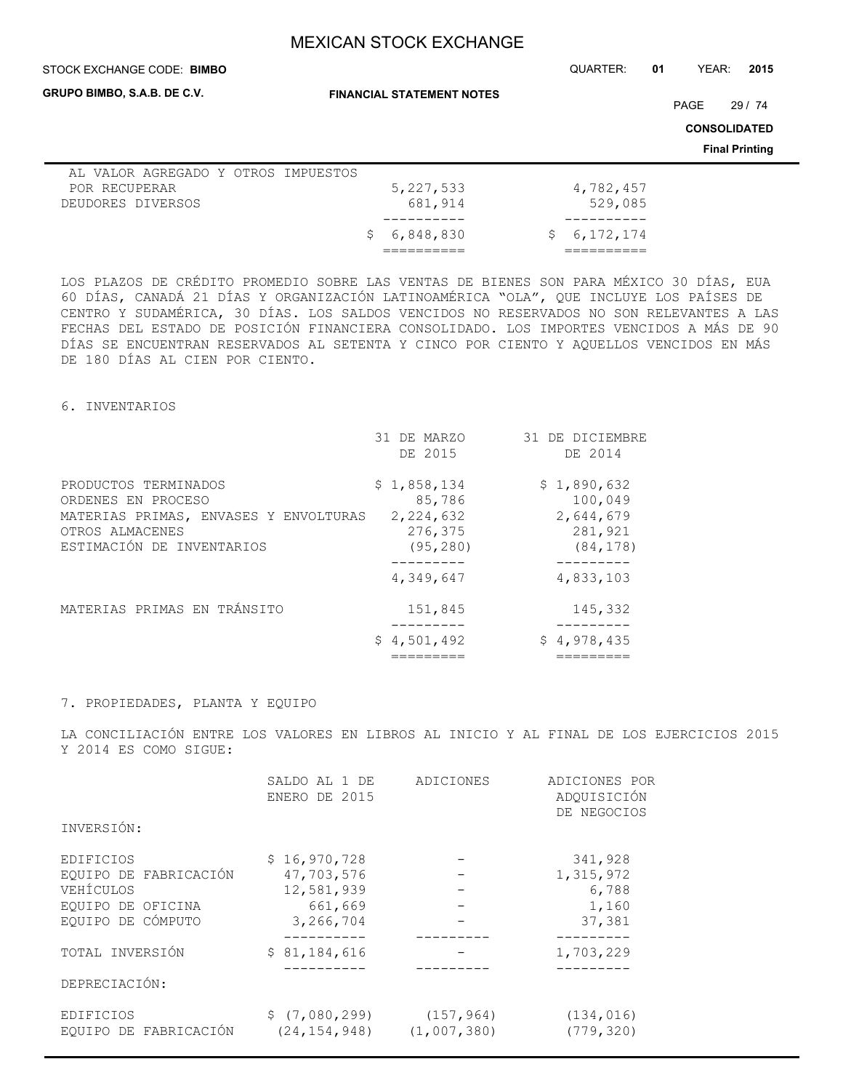**FINANCIAL STATEMENT NOTES**

#### STOCK EXCHANGE CODE: QUARTER: **01** YEAR: **2015 BIMBO**

**GRUPO BIMBO, S.A.B. DE C.V.**

PAGE 29 / 74

**CONSOLIDATED**

**Final Printing**

| AL VALOR AGREGADO Y OTROS IMPUESTOS |             |             |
|-------------------------------------|-------------|-------------|
| POR RECUPERAR                       | 5, 227, 533 | 4,782,457   |
| DEUDORES DIVERSOS                   | 681,914     | 529,085     |
|                                     |             |             |
|                                     | \$6,848,830 | \$6,172,174 |
|                                     |             |             |

LOS PLAZOS DE CRÉDITO PROMEDIO SOBRE LAS VENTAS DE BIENES SON PARA MÉXICO 30 DÍAS, EUA 60 DÍAS, CANADÁ 21 DÍAS Y ORGANIZACIÓN LATINOAMÉRICA "OLA", QUE INCLUYE LOS PAÍSES DE CENTRO Y SUDAMÉRICA, 30 DÍAS. LOS SALDOS VENCIDOS NO RESERVADOS NO SON RELEVANTES A LAS FECHAS DEL ESTADO DE POSICIÓN FINANCIERA CONSOLIDADO. LOS IMPORTES VENCIDOS A MÁS DE 90 DÍAS SE ENCUENTRAN RESERVADOS AL SETENTA Y CINCO POR CIENTO Y AQUELLOS VENCIDOS EN MÁS DE 180 DÍAS AL CIEN POR CIENTO.

## 6. INVENTARIOS

|                                                                                                                                     | 31 DE MARZO<br>DE 2015                                                  | 31 DE DICIEMBRE<br>DE 2014                                               |
|-------------------------------------------------------------------------------------------------------------------------------------|-------------------------------------------------------------------------|--------------------------------------------------------------------------|
| PRODUCTOS TERMINADOS<br>ORDENES EN PROCESO<br>MATERIAS PRIMAS, ENVASES Y ENVOLTURAS<br>OTROS ALMACENES<br>ESTIMACIÓN DE INVENTARIOS | \$1,858,134<br>85,786<br>2,224,632<br>276,375<br>(95, 280)<br>4,349,647 | \$1,890,632<br>100,049<br>2,644,679<br>281,921<br>(84, 178)<br>4,833,103 |
| MATERIAS PRIMAS EN TRÁNSITO                                                                                                         | 151,845<br>\$4,501,492                                                  | 145,332<br>\$4,978,435                                                   |

## 7. PROPIEDADES, PLANTA Y EQUIPO

LA CONCILIACIÓN ENTRE LOS VALORES EN LIBROS AL INICIO Y AL FINAL DE LOS EJERCICIOS 2015 Y 2014 ES COMO SIGUE:

|                       | SALDO AL 1 DE<br>ENERO DE 2015 | ADICIONES   | ADICIONES POR<br>ADQUISICIÓN<br>DE NEGOCIOS |
|-----------------------|--------------------------------|-------------|---------------------------------------------|
| INVERSIÓN:            |                                |             |                                             |
| EDIFICIOS             | \$16,970,728                   |             | 341,928                                     |
| EQUIPO DE FABRICACIÓN | 47,703,576                     |             | 1,315,972                                   |
| VEHÍCULOS             | 12,581,939                     |             | 6,788                                       |
| EQUIPO DE OFICINA     | 661,669                        |             | 1,160                                       |
| EQUIPO DE CÓMPUTO     | 3,266,704                      |             | 37,381                                      |
|                       |                                |             |                                             |
| TOTAL INVERSIÓN       | \$81,184,616                   |             | 1,703,229                                   |
|                       |                                |             |                                             |
| DEPRECIACIÓN:         |                                |             |                                             |
| EDIFICIOS             | \$(7,080,299)                  | (157, 964)  | (134, 016)                                  |
| EOUIPO DE FABRICACIÓN | (24, 154, 948)                 | (1,007,380) | (779, 320)                                  |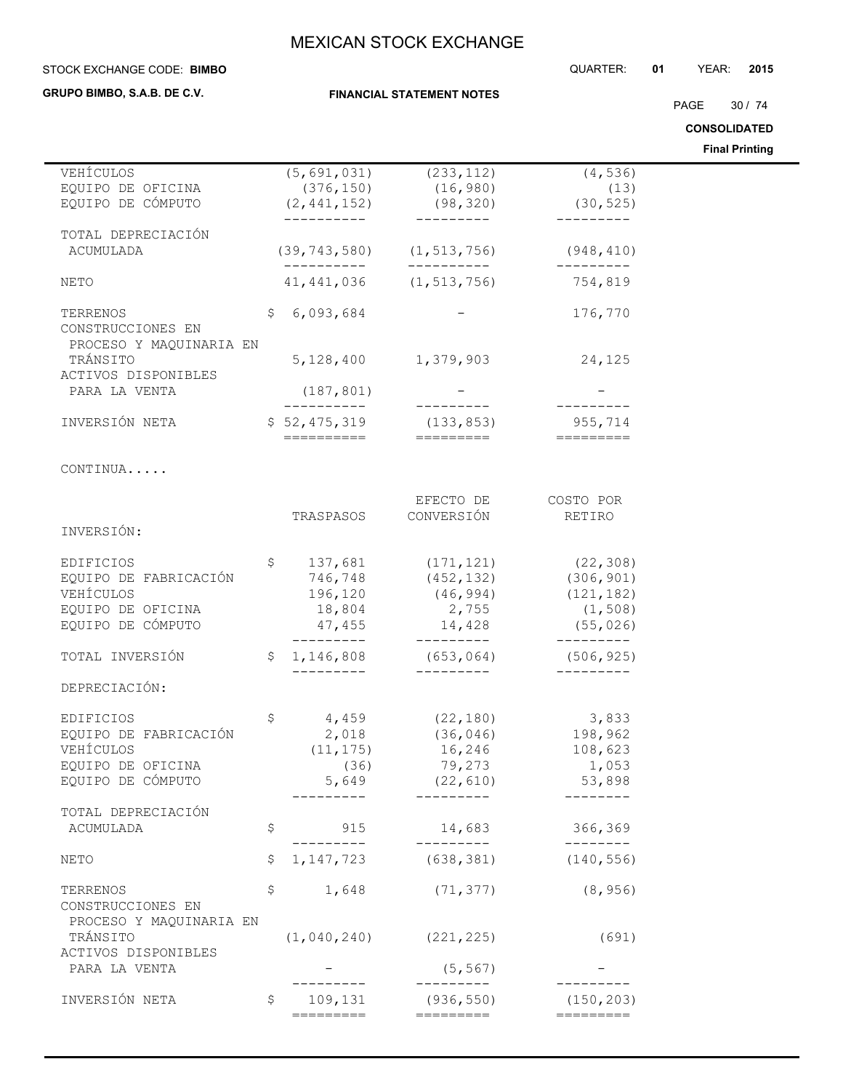**FINANCIAL STATEMENT NOTES**

#### STOCK EXCHANGE CODE: QUARTER: **01** YEAR: **2015 BIMBO**

## **GRUPO BIMBO, S.A.B. DE C.V.**

PAGE 30 / 74

**CONSOLIDATED**

**Final Printing**

|                                      |                           |                                                |                     | <b>Final Printing</b> |
|--------------------------------------|---------------------------|------------------------------------------------|---------------------|-----------------------|
| VEHÍCULOS                            | (5, 691, 031)             | (233, 112)                                     | (4, 536)            |                       |
| EQUIPO DE OFICINA                    | (376, 150)                | (16, 980)                                      | (13)                |                       |
| EQUIPO DE CÓMPUTO                    | (2, 441, 152)             | (98, 320)                                      | (30, 525)           |                       |
|                                      | -----------               | ----------                                     | ---------           |                       |
| TOTAL DEPRECIACIÓN                   |                           |                                                |                     |                       |
| ACUMULADA                            |                           | $(39, 743, 580)$ $(1, 513, 756)$ $(948, 410)$  |                     |                       |
|                                      | ----------                | __________                                     | ----------          |                       |
| NETO                                 | 41, 441, 036              | (1, 513, 756)                                  | 754,819             |                       |
|                                      |                           |                                                |                     |                       |
| TERRENOS                             | \$<br>6,093,684           |                                                | 176,770             |                       |
| CONSTRUCCIONES EN                    |                           |                                                |                     |                       |
| PROCESO Y MAQUINARIA EN              |                           |                                                |                     |                       |
| TRÁNSITO                             |                           | 5, 128, 400 1, 379, 903                        | 24,125              |                       |
| ACTIVOS DISPONIBLES                  |                           |                                                |                     |                       |
| PARA LA VENTA                        | (187, 801)<br>----------- |                                                |                     |                       |
|                                      |                           |                                                |                     |                       |
| INVERSIÓN NETA                       | ==========                | $$52,475,319$ (133,853)<br>=========           | 955,714             |                       |
|                                      |                           |                                                |                     |                       |
| CONTINUA                             |                           |                                                |                     |                       |
|                                      |                           |                                                |                     |                       |
|                                      |                           | EFECTO DE                                      | COSTO POR           |                       |
|                                      | TRASPASOS                 | CONVERSIÓN                                     | RETIRO              |                       |
| INVERSIÓN:                           |                           |                                                |                     |                       |
|                                      |                           |                                                |                     |                       |
| EDIFICIOS                            |                           | $$137,681$ $(171,121)$                         | (22, 308)           |                       |
| EQUIPO DE FABRICACIÓN                | 746,748                   | (452, 132)                                     | (306, 901)          |                       |
| VEHÍCULOS                            | 196,120                   | (46, 994)                                      | (121, 182)          |                       |
| EQUIPO DE OFICINA                    | 18,804                    | 2,755                                          | (1, 508)            |                       |
| EQUIPO DE CÓMPUTO                    |                           | $47,455$ $14,428$                              | (55, 026)           |                       |
|                                      |                           |                                                | ____________        |                       |
| TOTAL INVERSIÓN                      | _________                 | $$1,146,808$ (653,064) (506,925)<br>---------- | $- - - - - - - - -$ |                       |
| DEPRECIACIÓN:                        |                           |                                                |                     |                       |
|                                      |                           |                                                |                     |                       |
| EDIFICIOS                            | \$                        | $4,459$ (22,180)                               | 3,833               |                       |
| EQUIPO DE FABRICACIÓN                | 2,018                     | (36, 046)                                      | 198,962             |                       |
| VEHÍCULOS                            | (11, 175)                 | 16,246                                         | 108,623             |                       |
| EQUIPO DE OFICINA                    |                           | $(36)$ $79,273$ $1,053$                        |                     |                       |
| EQUIPO DE CÓMPUTO                    | 5,649                     | (22, 610)                                      | 53,898              |                       |
|                                      |                           | _________                                      | ---------           |                       |
| TOTAL DEPRECIACIÓN                   |                           |                                                |                     |                       |
| ACUMULADA                            | \$<br>915                 | 14,683                                         | 366,369             |                       |
|                                      |                           | ----------                                     | $- - - - - - - -$   |                       |
| NETO                                 | \$<br>1, 147, 723         | (638, 381)                                     | (140, 556)          |                       |
|                                      |                           |                                                |                     |                       |
| TERRENOS                             | \$                        | $1,648$ (71,377)                               | (8, 956)            |                       |
| CONSTRUCCIONES EN                    |                           |                                                |                     |                       |
| PROCESO Y MAQUINARIA EN<br>TRÁNSITO  |                           |                                                |                     |                       |
|                                      | (1,040,240)               | (221, 225)                                     | (691)               |                       |
| ACTIVOS DISPONIBLES<br>PARA LA VENTA |                           | (5, 567)                                       |                     |                       |
|                                      |                           | ----------                                     |                     |                       |
|                                      | \$<br>109,131             |                                                |                     |                       |
| INVERSIÓN NETA                       |                           | (936, 550)                                     | (150, 203)          |                       |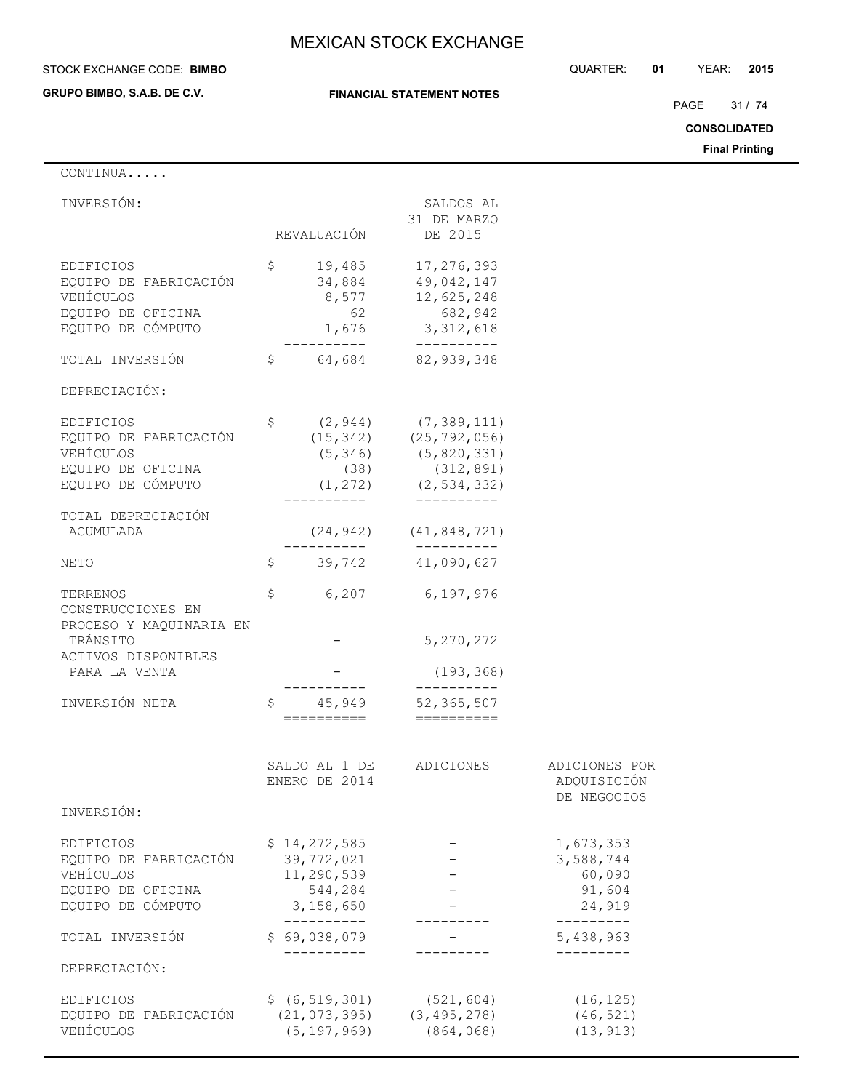**GRUPO BIMBO, S.A.B. DE C.V.**

## **FINANCIAL STATEMENT NOTES**

STOCK EXCHANGE CODE: QUARTER: **01** YEAR: **2015 BIMBO**

PAGE 31 / 74

**CONSOLIDATED**

**Final Printing**

| CONTINUA                                                                                         |                                                                  |                                                                                                                         |                                                                   |
|--------------------------------------------------------------------------------------------------|------------------------------------------------------------------|-------------------------------------------------------------------------------------------------------------------------|-------------------------------------------------------------------|
| INVERSIÓN:                                                                                       |                                                                  | SALDOS AL<br>31 DE MARZO                                                                                                |                                                                   |
|                                                                                                  | REVALUACIÓN                                                      | DE 2015                                                                                                                 |                                                                   |
| EDIFICIOS<br>EQUIPO DE FABRICACIÓN<br>VEHÍCULOS<br>EQUIPO DE OFICINA<br>EQUIPO DE CÓMPUTO        | \$<br>19,485<br>34,884<br>8,577<br>62<br>1,676                   | 17,276,393<br>49,042,147<br>12,625,248<br>682,942<br>3, 312, 618<br>__________                                          |                                                                   |
| TOTAL INVERSIÓN                                                                                  | \$<br>64,684                                                     | 82,939,348                                                                                                              |                                                                   |
| DEPRECIACIÓN:                                                                                    |                                                                  |                                                                                                                         |                                                                   |
| EDIFICIOS<br>EQUIPO DE FABRICACIÓN<br>VEHÍCULOS<br>EQUIPO DE OFICINA<br>EQUIPO DE CÓMPUTO        | \$<br>(5, 346)<br>(38)<br>(1, 272)                               | $(2, 944)$ $(7, 389, 111)$<br>$(15, 342)$ $(25, 792, 056)$<br>(5, 820, 331)<br>(312, 891)<br>(2, 534, 332)<br>--------- |                                                                   |
| TOTAL DEPRECIACIÓN<br>ACUMULADA                                                                  |                                                                  | $(24, 942)$ $(41, 848, 721)$<br>-----------                                                                             |                                                                   |
| NETO                                                                                             | \$<br>39,742                                                     | 41,090,627                                                                                                              |                                                                   |
| TERRENOS<br>CONSTRUCCIONES EN<br>PROCESO Y MAQUINARIA EN                                         | \$<br>6,207                                                      | 6,197,976                                                                                                               |                                                                   |
| TRÁNSITO                                                                                         |                                                                  | 5, 270, 272                                                                                                             |                                                                   |
| ACTIVOS DISPONIBLES<br>PARA LA VENTA                                                             |                                                                  | (193, 368)                                                                                                              |                                                                   |
| INVERSIÓN NETA                                                                                   | \$<br>45,949<br>==========                                       | 52, 365, 507                                                                                                            |                                                                   |
|                                                                                                  | SALDO AL 1 DE<br>ENERO DE 2014                                   | ADICIONES                                                                                                               | ADICIONES POR<br>ADQUISICIÓN<br>DE NEGOCIOS                       |
| INVERSIÓN:                                                                                       |                                                                  |                                                                                                                         |                                                                   |
| <b>EDIFICIOS</b><br>EQUIPO DE FABRICACIÓN<br>VEHÍCULOS<br>EQUIPO DE OFICINA<br>EQUIPO DE CÓMPUTO | \$14,272,585<br>39,772,021<br>11,290,539<br>544,284<br>3,158,650 |                                                                                                                         | 1,673,353<br>3,588,744<br>60,090<br>91,604<br>24,919<br>--------- |
| TOTAL INVERSIÓN                                                                                  | ----------<br>\$69,038,079                                       |                                                                                                                         | 5,438,963                                                         |
| DEPRECIACIÓN:                                                                                    |                                                                  |                                                                                                                         |                                                                   |
| EDIFICIOS<br>EQUIPO DE FABRICACIÓN<br>VEHÍCULOS                                                  | \$ (6, 519, 301)<br>(21, 073, 395)<br>(5, 197, 969)              | (521, 604)<br>(3, 495, 278)<br>(864, 068)                                                                               | (16, 125)<br>(46, 521)<br>(13, 913)                               |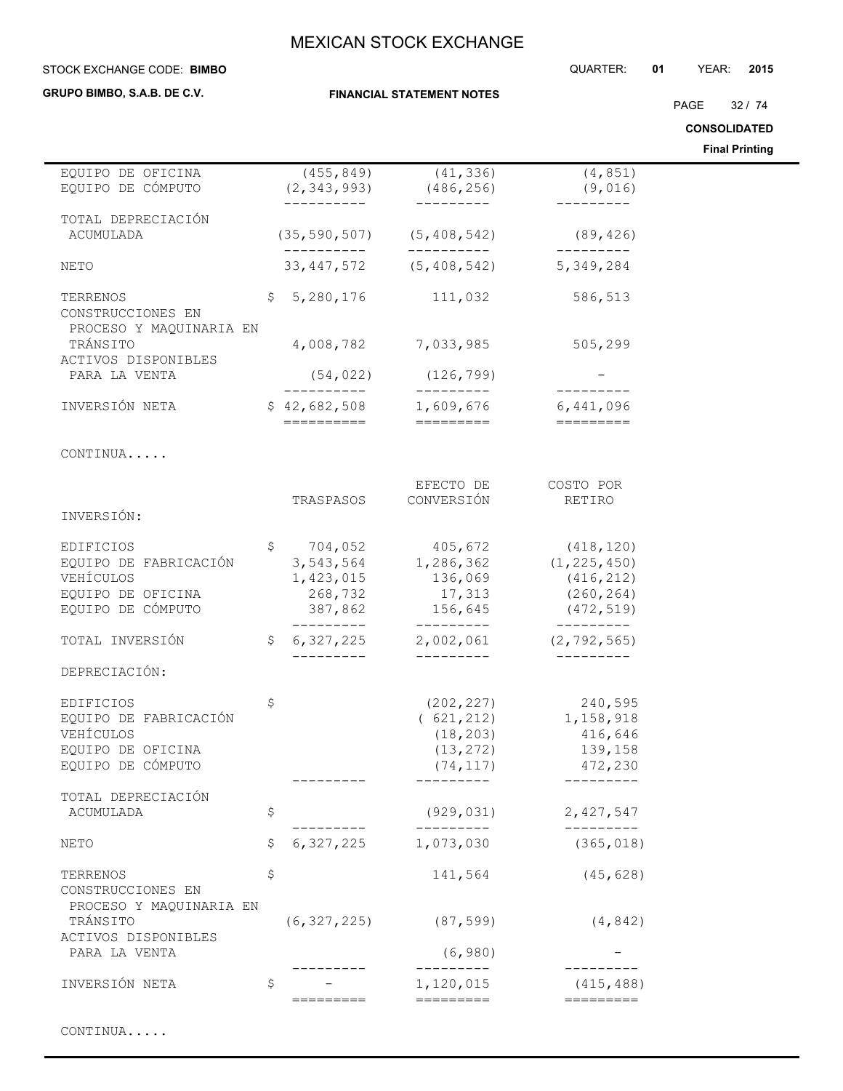STOCK EXCHANGE CODE: QUARTER: **01** YEAR: **2015 BIMBO**

**GRUPO BIMBO, S.A.B. DE C.V.**

**FINANCIAL STATEMENT NOTES**

PAGE 32 / 74

**CONSOLIDATED**

|                                                                                           |                |                                            |                                                                               |                                                                       | <b>Final Printing</b> |
|-------------------------------------------------------------------------------------------|----------------|--------------------------------------------|-------------------------------------------------------------------------------|-----------------------------------------------------------------------|-----------------------|
| EQUIPO DE OFICINA<br>EQUIPO DE CÓMPUTO                                                    |                | (455, 849)<br>(2, 343, 993)<br>----------- | (41, 336)<br>(486, 256)<br>----------                                         | (4, 851)<br>(9,016)<br>_________                                      |                       |
| TOTAL DEPRECIACIÓN<br>ACUMULADA                                                           |                |                                            | $(35, 590, 507)$ $(5, 408, 542)$                                              | (89, 426)                                                             |                       |
| NETO                                                                                      |                | -----------                                | 33, 447, 572 (5, 408, 542) 5, 349, 284                                        |                                                                       |                       |
| TERRENOS<br>CONSTRUCCIONES EN<br>PROCESO Y MAQUINARIA EN                                  | $\mathsf{S}^-$ |                                            | 5,280,176 111,032                                                             | 586,513                                                               |                       |
| TRÁNSITO<br>ACTIVOS DISPONIBLES                                                           |                |                                            | 4,008,782 7,033,985                                                           | 505,299                                                               |                       |
| PARA LA VENTA                                                                             |                | (54, 022)                                  | (126, 799)<br>---------                                                       | ----------                                                            |                       |
| INVERSIÓN NETA                                                                            |                | ==========                                 | $$42,682,508$ 1,609,676<br>=========                                          | 6,441,096                                                             |                       |
| CONTINUA                                                                                  |                |                                            |                                                                               |                                                                       |                       |
| INVERSIÓN:                                                                                |                | TRASPASOS                                  | EFECTO DE<br>CONVERSIÓN                                                       | COSTO POR<br>RETIRO                                                   |                       |
|                                                                                           |                |                                            |                                                                               |                                                                       |                       |
| EDIFICIOS<br>EQUIPO DE FABRICACIÓN<br>VEHÍCULOS<br>EQUIPO DE OFICINA<br>EQUIPO DE CÓMPUTO |                | 1,423,015<br>268,732<br>387,862            | $$704,052$ 405,672<br>3, 543, 564 1, 286, 362<br>136,069<br>17,313<br>156,645 | (418, 120)<br>(1, 225, 450)<br>(416, 212)<br>(260, 264)<br>(472, 519) |                       |
| TOTAL INVERSIÓN                                                                           | $\mathsf{S}$   | ----------                                 | ----------<br>6, 327, 225 2, 002, 061 (2, 792, 565)<br>----------             | ----------                                                            |                       |
| DEPRECIACIÓN:                                                                             |                |                                            |                                                                               |                                                                       |                       |
| EDIFICIOS<br>EQUIPO DE FABRICACIÓN<br>VEHÍCULOS<br>EQUIPO DE OFICINA<br>EQUIPO DE CÓMPUTO | \$             |                                            | (621, 212)<br>(18, 203)<br>(13, 272)<br>(74, 117)                             | $(202, 227)$ 240,595<br>1,158,918<br>416,646<br>139,158<br>472,230    |                       |
| TOTAL DEPRECIACIÓN<br>ACUMULADA                                                           | \$             |                                            | (929, 031)                                                                    | 2,427,547                                                             |                       |
| NETO                                                                                      | \$             | 6,327,225                                  | 1,073,030                                                                     | (365, 018)                                                            |                       |
| TERRENOS<br>CONSTRUCCIONES EN<br>PROCESO Y MAQUINARIA EN                                  | \$             |                                            | 141,564                                                                       | (45, 628)                                                             |                       |
| TRÁNSITO<br>ACTIVOS DISPONIBLES                                                           |                | (6, 327, 225)                              | (87, 599)                                                                     | (4, 842)                                                              |                       |
| PARA LA VENTA                                                                             |                |                                            | (6, 980)                                                                      |                                                                       |                       |
| INVERSIÓN NETA                                                                            | \$             | =======                                    | 1,120,015<br>$==$                                                             | (415, 488)<br>=========                                               |                       |
|                                                                                           |                |                                            |                                                                               |                                                                       |                       |

CONTINUA.....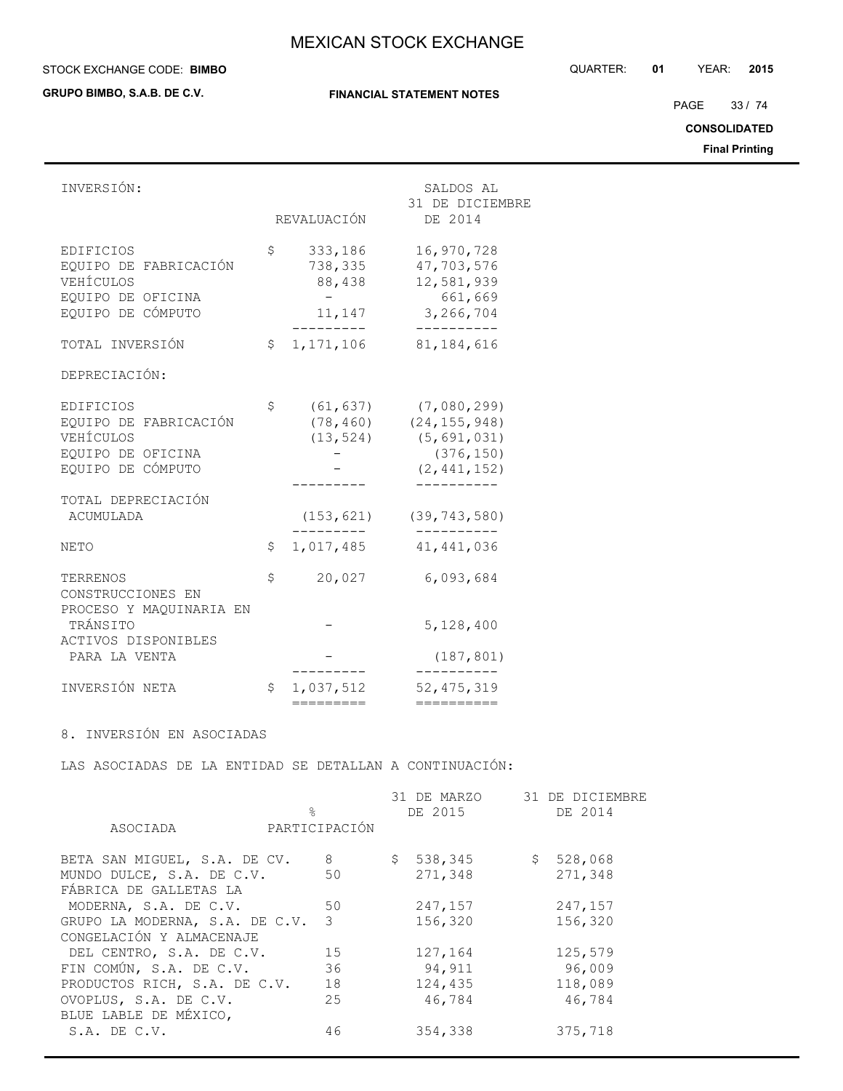**GRUPO BIMBO, S.A.B. DE C.V.**

## **FINANCIAL STATEMENT NOTES**

STOCK EXCHANGE CODE: QUARTER: **01** YEAR: **2015 BIMBO**

PAGE 33 / 74

## **CONSOLIDATED**

**Final Printing**

| INVERSIÓN:                                                                                | REVALUACIÓN                                  | SALDOS AL<br>31 DE DICIEMBRE<br>DE 2014                                       |
|-------------------------------------------------------------------------------------------|----------------------------------------------|-------------------------------------------------------------------------------|
| EDIFICIOS<br>EQUIPO DE FABRICACIÓN<br>VEHÍCULOS<br>EQUIPO DE OFICINA<br>EQUIPO DE CÓMPUTO | \$<br>333,186<br>738,335<br>88,438<br>11,147 | 16,970,728<br>47,703,576<br>12,581,939<br>661,669<br>3,266,704                |
| TOTAL INVERSIÓN                                                                           | \$<br>1,171,106                              | 81, 184, 616                                                                  |
| DEPRECIACIÓN:                                                                             |                                              |                                                                               |
| EDIFICIOS<br>EQUIPO DE FABRICACIÓN<br>VEHÍCULOS<br>EQUIPO DE OFICINA<br>EQUIPO DE CÓMPUTO | \$<br>(61, 637)<br>(78, 460)<br>(13, 524)    | (7,080,299)<br>(24, 155, 948)<br>(5, 691, 031)<br>(376, 150)<br>(2, 441, 152) |
| TOTAL DEPRECIACIÓN<br><b>ACUMULADA</b>                                                    | (153, 621)                                   | (39, 743, 580)                                                                |
| <b>NETO</b>                                                                               | \$<br>1,017,485                              | 41, 441, 036                                                                  |
| TERRENOS<br>CONSTRUCCIONES EN                                                             | \$<br>20,027                                 | 6,093,684                                                                     |
| PROCESO Y MAQUINARIA EN<br>TRÁNSITO                                                       |                                              | 5,128,400                                                                     |
| ACTIVOS DISPONIBLES<br>PARA LA VENTA                                                      |                                              | (187, 801)                                                                    |
| INVERSIÓN NETA                                                                            | \$<br>1,037,512<br>=========                 | 52, 475, 319<br>==========                                                    |

8. INVERSIÓN EN ASOCIADAS

LAS ASOCIADAS DE LA ENTIDAD SE DETALLAN A CONTINUACIÓN:

|                                | $\frac{6}{10}$ | 31 DE MARZO<br>DE 2015 |           | 31 DE DICIEMBRE<br>DE 2014 |
|--------------------------------|----------------|------------------------|-----------|----------------------------|
| ASOCIADA                       | PARTICIPACIÓN  |                        |           |                            |
| BETA SAN MIGUEL, S.A. DE CV.   | 8              | \$538,345              | \$528,068 |                            |
| MUNDO DULCE, S.A. DE C.V.      | 50             | 271,348                |           | 271,348                    |
| FÁBRICA DE GALLETAS LA         |                |                        |           |                            |
| MODERNA, S.A. DE C.V.          | 50             | 247,157                |           | 247,157                    |
| GRUPO LA MODERNA, S.A. DE C.V. | 3              | 156,320                |           | 156,320                    |
| CONGELACIÓN Y ALMACENAJE       |                |                        |           |                            |
| DEL CENTRO, S.A. DE C.V.       | 15             | 127,164                |           | 125,579                    |
| FIN COMÚN, S.A. DE C.V.        | 36             | 94,911                 |           | 96,009                     |
| PRODUCTOS RICH, S.A. DE C.V.   | 18             | 124,435                |           | 118,089                    |
| OVOPLUS, S.A. DE C.V.          | 25             | 46,784                 |           | 46,784                     |
| BLUE LABLE DE MÉXICO,          |                |                        |           |                            |
| $S.A.$ DE $C.V.$               | 46             | 354,338                |           | 375,718                    |
|                                |                |                        |           |                            |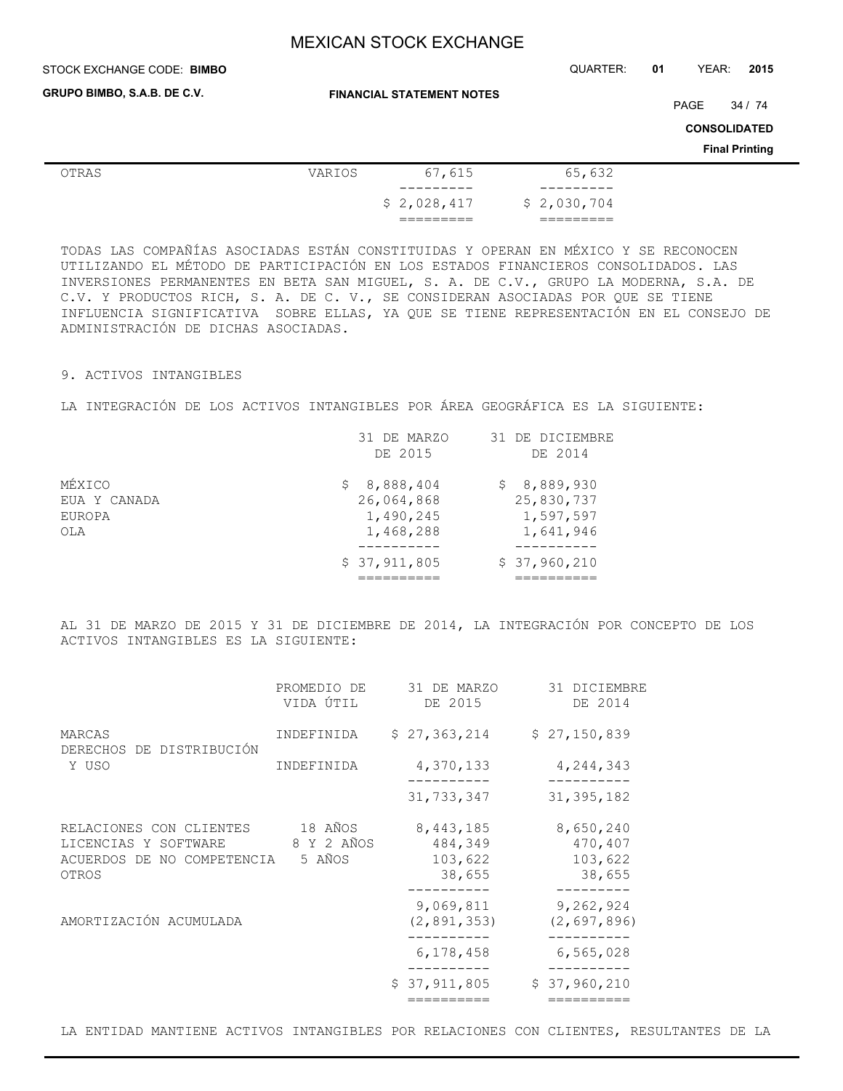STOCK EXCHANGE CODE: QUARTER: **01** YEAR: **2015 BIMBO**

**GRUPO BIMBO, S.A.B. DE C.V.**

**FINANCIAL STATEMENT NOTES**

PAGE 34 / 74

**CONSOLIDATED**

**Final Printing**

| OTRAS | VARIOS | 67,615                  | 65,632      |
|-------|--------|-------------------------|-------------|
|       |        | _________               |             |
|       |        | \$2,028,417             | \$2,030,704 |
|       |        | ----------<br>_________ | ________    |

TODAS LAS COMPAÑÍAS ASOCIADAS ESTÁN CONSTITUIDAS Y OPERAN EN MÉXICO Y SE RECONOCEN UTILIZANDO EL MÉTODO DE PARTICIPACIÓN EN LOS ESTADOS FINANCIEROS CONSOLIDADOS. LAS INVERSIONES PERMANENTES EN BETA SAN MIGUEL, S. A. DE C.V., GRUPO LA MODERNA, S.A. DE C.V. Y PRODUCTOS RICH, S. A. DE C. V., SE CONSIDERAN ASOCIADAS POR QUE SE TIENE INFLUENCIA SIGNIFICATIVA SOBRE ELLAS, YA QUE SE TIENE REPRESENTACIÓN EN EL CONSEJO DE ADMINISTRACIÓN DE DICHAS ASOCIADAS.

### 9. ACTIVOS INTANGIBLES

LA INTEGRACIÓN DE LOS ACTIVOS INTANGIBLES POR ÁREA GEOGRÁFICA ES LA SIGUIENTE:

|              | 31 DE MARZO<br>DE 2015 | 31 DE DICIEMBRE<br>DE 2014 |
|--------------|------------------------|----------------------------|
|              |                        |                            |
| MÉXICO       | \$8,888,404            | \$8,889,930                |
| EUA Y CANADA | 26,064,868             | 25,830,737                 |
| EUROPA       | 1,490,245              | 1,597,597                  |
| OLA          | 1,468,288              | 1,641,946                  |
|              | \$37,911,805           | \$37,960,210               |
|              |                        |                            |

AL 31 DE MARZO DE 2015 Y 31 DE DICIEMBRE DE 2014, LA INTEGRACIÓN POR CONCEPTO DE LOS ACTIVOS INTANGIBLES ES LA SIGUIENTE:

|                                                                                        | PROMEDIO DE<br>VIDA ÚTIL        | 31 DE MARZO<br>DE 2015                    |  | 31 DICIEMBRE<br>DE 2014                   |
|----------------------------------------------------------------------------------------|---------------------------------|-------------------------------------------|--|-------------------------------------------|
| MARCAS<br>DERECHOS DE DISTRIBUCIÓN<br>Y USO                                            | INDEFINIDA                      | \$27,363,214                              |  | \$27,150,839                              |
|                                                                                        | INDEFINIDA                      | 4,370,133                                 |  | 4,244,343                                 |
|                                                                                        |                                 | 31,733,347                                |  | 31, 395, 182                              |
| RELACIONES CON CLIENTES<br>LICENCIAS Y SOFTWARE<br>ACUERDOS DE NO COMPETENCIA<br>OTROS | 18 AÑOS<br>8 Y 2 AÑOS<br>5 AÑOS | 8,443,185<br>484,349<br>103,622<br>38,655 |  | 8,650,240<br>470,407<br>103,622<br>38,655 |
| AMORTIZACIÓN ACUMULADA                                                                 |                                 | 9,069,811<br>(2, 891, 353)                |  | 9,262,924<br>(2, 697, 896)                |
|                                                                                        |                                 | 6,178,458                                 |  | 6,565,028                                 |
|                                                                                        |                                 | \$37,911,805                              |  | \$37,960,210                              |
|                                                                                        |                                 |                                           |  |                                           |

LA ENTIDAD MANTIENE ACTIVOS INTANGIBLES POR RELACIONES CON CLIENTES, RESULTANTES DE LA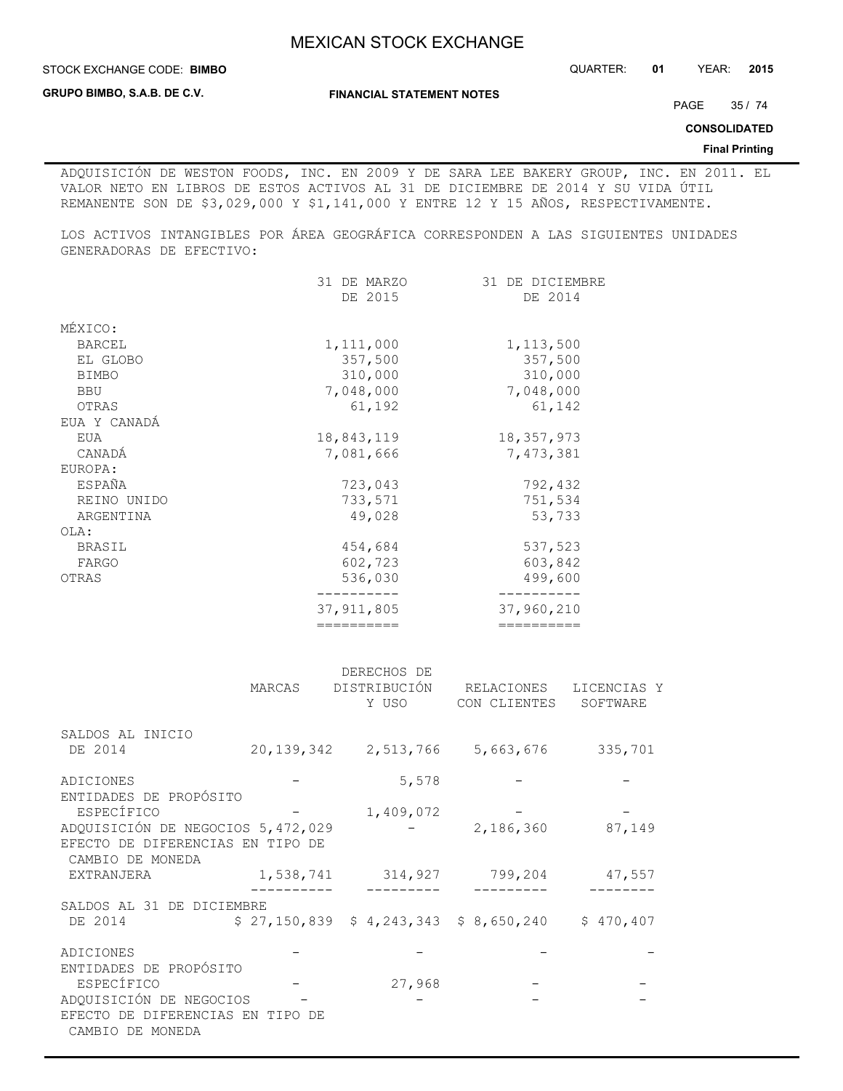**STOCK EXCHANGE CODE: BIMBO** 

**GRUPO BIMBO, S.A.B. DE C.V.**

**FINANCIAL STATEMENT NOTES**

PAGE 35 / 74

**CONSOLIDATED**

#### **Final Printing**

ADQUISICIÓN DE WESTON FOODS, INC. EN 2009 Y DE SARA LEE BAKERY GROUP, INC. EN 2011. EL VALOR NETO EN LIBROS DE ESTOS ACTIVOS AL 31 DE DICIEMBRE DE 2014 Y SU VIDA ÚTIL REMANENTE SON DE \$3,029,000 Y \$1,141,000 Y ENTRE 12 Y 15 AÑOS, RESPECTIVAMENTE.

LOS ACTIVOS INTANGIBLES POR ÁREA GEOGRÁFICA CORRESPONDEN A LAS SIGUIENTES UNIDADES GENERADORAS DE EFECTIVO:

|               | ==========     | ==========      |
|---------------|----------------|-----------------|
|               | 37, 911, 805   | 37,960,210      |
| OTRAS         | 536,030        | 499,600         |
| FARGO         | 602,723        | 603,842         |
| <b>BRASIL</b> | 454,684        | 537,523         |
| OLA:          |                |                 |
| ARGENTINA     | 49,028         | 53,733          |
| REINO UNIDO   | 733,571        | 751,534         |
| ESPAÑA        | 723,043        | 792,432         |
| EUROPA:       |                |                 |
| CANADÁ        | 7,081,666      | 7,473,381       |
| EUA           | 18,843,119     | 18, 357, 973    |
| EUA Y CANADÁ  |                |                 |
| OTRAS         | 61,192         | 61,142          |
| <b>BBU</b>    | 7,048,000      | 7,048,000       |
| <b>BIMBO</b>  | 310,000        | 310,000         |
| EL GLOBO      | 357,500        | 357,500         |
| <b>BARCEL</b> | 1,111,000      | 1, 113, 500     |
| MÉXICO:       |                |                 |
|               | DE 2015        | DE 2014         |
|               | 31<br>DE MARZO | 31 DE DICIEMBRE |
|               |                |                 |

|                                                                                                               | MARCAS     | DERECHOS DE<br>DISTRIBUCIÓN<br>Y USO      | RELACIONES<br>CON CLIENTES | LICENCIAS Y<br>SOFTWARE |
|---------------------------------------------------------------------------------------------------------------|------------|-------------------------------------------|----------------------------|-------------------------|
| SALDOS AL INICIO<br>DE 2014                                                                                   | 20,139,342 |                                           | 2,513,766 5,663,676        | 335,701                 |
| ADICIONES                                                                                                     |            | 5,578                                     |                            |                         |
| ENTIDADES DE PROPÓSITO<br>ESPECÍFICO<br>ADQUISICIÓN DE NEGOCIOS 5,472,029<br>EFECTO DE DIFERENCIAS EN TIPO DE |            | 1,409,072                                 | 2,186,360                  | 87,149                  |
| CAMBIO DE MONEDA<br><b>EXTRANJERA</b>                                                                         |            | 1,538,741 314,927                         | 799,204                    | 47,557                  |
| SALDOS AL 31 DE DICIEMBRE<br>DE 2014                                                                          |            | $$27,150,839$$ $$4,243,343$$ $$8,650,240$ |                            | \$470,407               |
| ADICIONES<br>ENTIDADES DE PROPÓSITO                                                                           |            |                                           |                            |                         |
| ESPECÍFICO<br>ADQUISICIÓN DE NEGOCIOS<br>EFECTO DE DIFERENCIAS EN<br>CAMBIO DE MONEDA                         | TIPO DE    | 27,968                                    |                            |                         |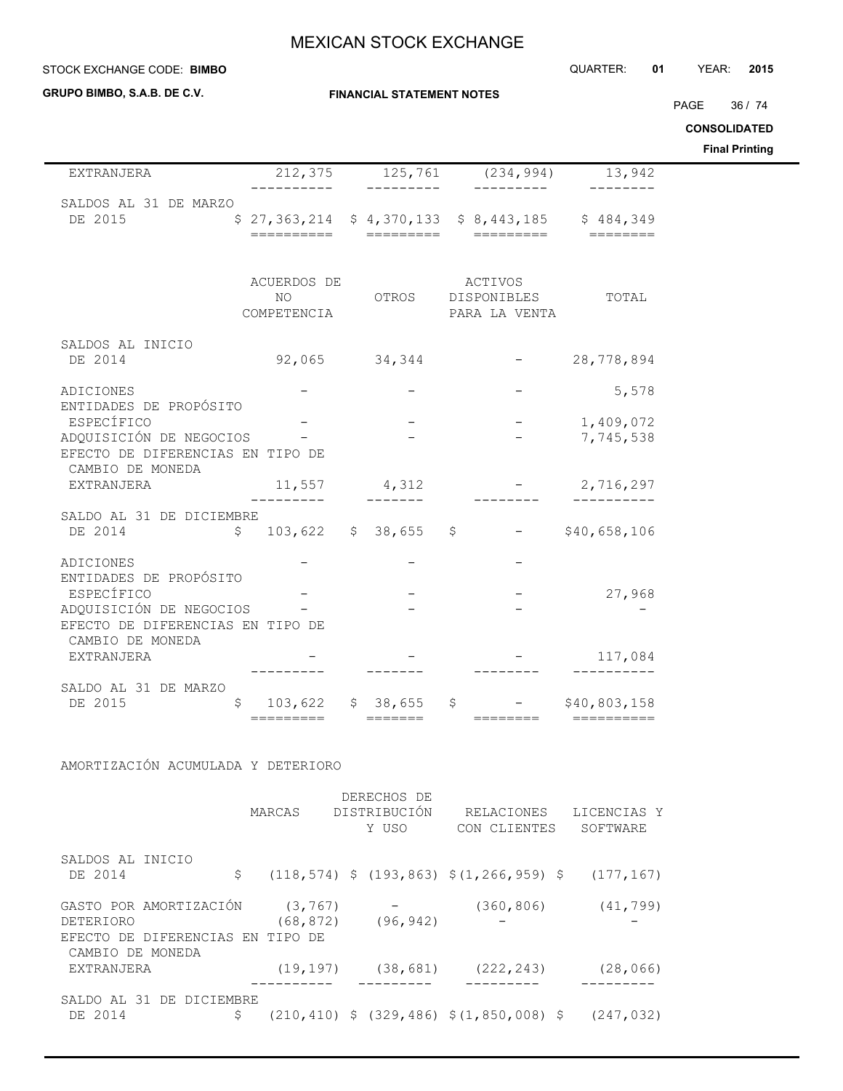#### STOCK EXCHANGE CODE: QUARTER: **01** YEAR: **2015 BIMBO**

**GRUPO BIMBO, S.A.B. DE C.V.**

 $\overline{\phantom{0}}$ 

#### **FINANCIAL STATEMENT NOTES**

PAGE 36 / 74

**CONSOLIDATED**

**Final Printing**

|                                                                                                 |                                   |                                 |                                                    |                            | rınal Printing |
|-------------------------------------------------------------------------------------------------|-----------------------------------|---------------------------------|----------------------------------------------------|----------------------------|----------------|
| EXTRANJERA                                                                                      |                                   |                                 | $212,375$ $125,761$ $(234,994)$                    | 13,942                     |                |
| SALDOS AL 31 DE MARZO<br>DE 2015                                                                |                                   |                                 | $$27,363,214$ $$4,370,133$ $$8,443,185$ $$484,349$ |                            |                |
|                                                                                                 | ACUERDOS DE<br>NO.<br>COMPETENCIA |                                 | ACTIVOS<br>OTROS DISPONIBLES<br>PARA LA VENTA      | TOTAL                      |                |
| SALDOS AL INICIO<br>DE 2014                                                                     |                                   | 92,065 34,344                   | $-28,778,894$                                      |                            |                |
| ADICIONES<br>ENTIDADES DE PROPÓSITO                                                             |                                   |                                 |                                                    | 5,578                      |                |
| ESPECÍFICO<br>ADQUISICIÓN DE NEGOCIOS -<br>EFECTO DE DIFERENCIAS EN TIPO DE<br>CAMBIO DE MONEDA |                                   |                                 |                                                    | 1,409,072<br>7,745,538     |                |
| EXTRANJERA                                                                                      | ---------                         | $11,557$ 4,312                  |                                                    | $-2,716,297$<br>__________ |                |
| SALDO AL 31 DE DICIEMBRE<br>DE 2014                                                             |                                   |                                 | $$103,622$ $$38,655$ $$$ - $$40,658,106$           |                            |                |
| ADICIONES<br>ENTIDADES DE PROPÓSITO                                                             |                                   |                                 |                                                    |                            |                |
| ESPECÍFICO<br>ADQUISICIÓN DE NEGOCIOS<br>EFECTO DE DIFERENCIAS EN TIPO DE                       |                                   |                                 |                                                    | 27,968                     |                |
| CAMBIO DE MONEDA<br>EXTRANJERA                                                                  |                                   |                                 |                                                    | 117,084                    |                |
| SALDO AL 31 DE MARZO<br>DE 2015<br>\$                                                           |                                   | =========               ======= | 103,622 \$ 38,655 \$ - \$40,803,158                |                            |                |
|                                                                                                 |                                   |                                 |                                                    |                            |                |

AMORTIZACIÓN ACUMULADA Y DETERIORO

|                                  |           | DERECHOS DE             |                                                                 |             |
|----------------------------------|-----------|-------------------------|-----------------------------------------------------------------|-------------|
|                                  | MARCAS    | DISTRIBUCIÓN            | RELACIONES                                                      | LICENCIAS Y |
|                                  |           | Y USO                   | CON CLIENTES                                                    | SOFTWARE    |
| SALDOS AL INICIO                 |           |                         |                                                                 |             |
| DE 2014                          | \$        |                         | $(118, 574)$ \$ $(193, 863)$ \$ $(1, 266, 959)$ \$ $(177, 167)$ |             |
| GASTO POR AMORTIZACIÓN           | (3, 767)  |                         | (360, 806)                                                      | (41, 799)   |
| DETERIORO                        |           | $(68, 872)$ $(96, 942)$ |                                                                 |             |
| EFECTO DE DIFERENCIAS EN TIPO DE |           |                         |                                                                 |             |
| CAMBIO DE MONEDA                 |           |                         |                                                                 |             |
| EXTRANJERA                       | (19, 197) |                         | $(38, 681)$ $(222, 243)$                                        | (28, 066)   |
|                                  |           |                         |                                                                 |             |
| SALDO AL 31 DE DICIEMBRE         |           |                         |                                                                 |             |
| DE 2014                          | \$        |                         | $(210, 410)$ \$ $(329, 486)$ \$ $(1, 850, 008)$ \$              | (247, 032)  |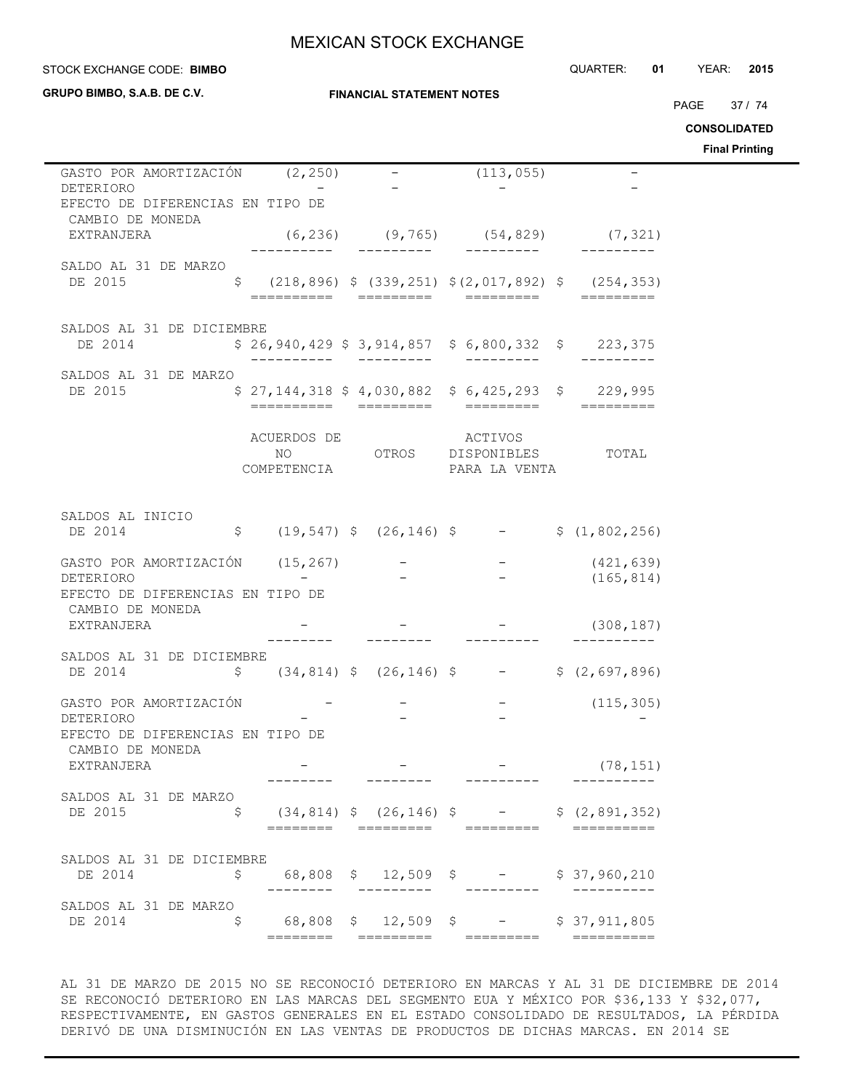**GRUPO BIMBO, S.A.B. DE C.V.**

### **FINANCIAL STATEMENT NOTES**

STOCK EXCHANGE CODE: QUARTER: **01** YEAR: **2015 BIMBO**

PAGE 37 / 74

**CONSOLIDATED**

**Final Printing**

| GASTO POR AMORTIZACIÓN (2,250)<br>DETERIORO                                    |    |  |                     | (113, 055)                                              |                                                                                                   |  |
|--------------------------------------------------------------------------------|----|--|---------------------|---------------------------------------------------------|---------------------------------------------------------------------------------------------------|--|
| EFECTO DE DIFERENCIAS EN TIPO DE<br>CAMBIO DE MONEDA                           |    |  |                     |                                                         |                                                                                                   |  |
| EXTRANJERA                                                                     |    |  |                     |                                                         | $(6,236)$ $(9,765)$ $(54,829)$ $(7,321)$                                                          |  |
| SALDO AL 31 DE MARZO                                                           |    |  |                     |                                                         |                                                                                                   |  |
| DE 2015                                                                        |    |  |                     |                                                         | $\frac{1}{2}$ (218,896) $\frac{1}{2}$ (339,251) $\frac{1}{2}$ (2,017,892) $\frac{1}{2}$ (254,353) |  |
| SALDOS AL 31 DE DICIEMBRE                                                      |    |  |                     |                                                         |                                                                                                   |  |
| DE 2014                                                                        |    |  |                     |                                                         | $$26,940,429$$ $$3,914,857$$ $$6,800,332$$ $$223,375$                                             |  |
| SALDOS AL 31 DE MARZO                                                          |    |  |                     |                                                         |                                                                                                   |  |
| DE 2015                                                                        |    |  |                     |                                                         | $$27,144,318$$ \$4,030,882 \$6,425,293 \$229,995                                                  |  |
|                                                                                |    |  | ACUERDOS DE ACTIVOS | NO OTROS DISPONIBLES TOTAL<br>COMPETENCIA PARA LA VENTA |                                                                                                   |  |
|                                                                                |    |  |                     |                                                         |                                                                                                   |  |
| SALDOS AL INICIO<br>DE 2014                                                    |    |  |                     |                                                         |                                                                                                   |  |
| GASTO POR AMORTIZACIÓN (15,267) – – – (421,639)<br>DETERIORO – – – – (165,814) |    |  |                     |                                                         |                                                                                                   |  |
| EFECTO DE DIFERENCIAS EN TIPO DE                                               |    |  |                     |                                                         |                                                                                                   |  |
| CAMBIO DE MONEDA<br>EXTRANJERA                                                 |    |  |                     |                                                         | $-$ (308,187)                                                                                     |  |
| SALDOS AL 31 DE DICIEMBRE                                                      |    |  |                     |                                                         |                                                                                                   |  |
| $\zeta$ (34,814) $\zeta$ (26,146) $\zeta$ - $\zeta$ (2,697,896)<br>DE 2014     |    |  |                     |                                                         |                                                                                                   |  |
| GASTO POR AMORTIZACIÓN<br>DETERIORO                                            |    |  |                     |                                                         | $-$ (115,305)                                                                                     |  |
| EFECTO DE DIFERENCIAS EN TIPO DE                                               |    |  |                     |                                                         |                                                                                                   |  |
| CAMBIO DE MONEDA<br>EXTRANJERA                                                 |    |  |                     |                                                         | (78, 151)                                                                                         |  |
| SALDOS AL 31 DE MARZO                                                          |    |  |                     |                                                         |                                                                                                   |  |
| DE 2015                                                                        | \$ |  |                     | ========  =========  =========                          | $(34, 814)$ \$ $(26, 146)$ \$ - \$ $(2, 891, 352)$<br>==========                                  |  |
| SALDOS AL 31 DE DICIEMBRE                                                      |    |  |                     |                                                         |                                                                                                   |  |
| DE 2014                                                                        | Ş  |  |                     | 68,808 \$ 12,509 \$ - \$ 37,960,210                     |                                                                                                   |  |
| SALDOS AL 31 DE MARZO<br>DE 2014                                               | \$ |  |                     | 68,808 \$ 12,509 \$ - \$ 37,911,805                     |                                                                                                   |  |
|                                                                                |    |  |                     |                                                         |                                                                                                   |  |

AL 31 DE MARZO DE 2015 NO SE RECONOCIÓ DETERIORO EN MARCAS Y AL 31 DE DICIEMBRE DE 2014 SE RECONOCIÓ DETERIORO EN LAS MARCAS DEL SEGMENTO EUA Y MÉXICO POR \$36,133 Y \$32,077, RESPECTIVAMENTE, EN GASTOS GENERALES EN EL ESTADO CONSOLIDADO DE RESULTADOS, LA PÉRDIDA DERIVÓ DE UNA DISMINUCIÓN EN LAS VENTAS DE PRODUCTOS DE DICHAS MARCAS. EN 2014 SE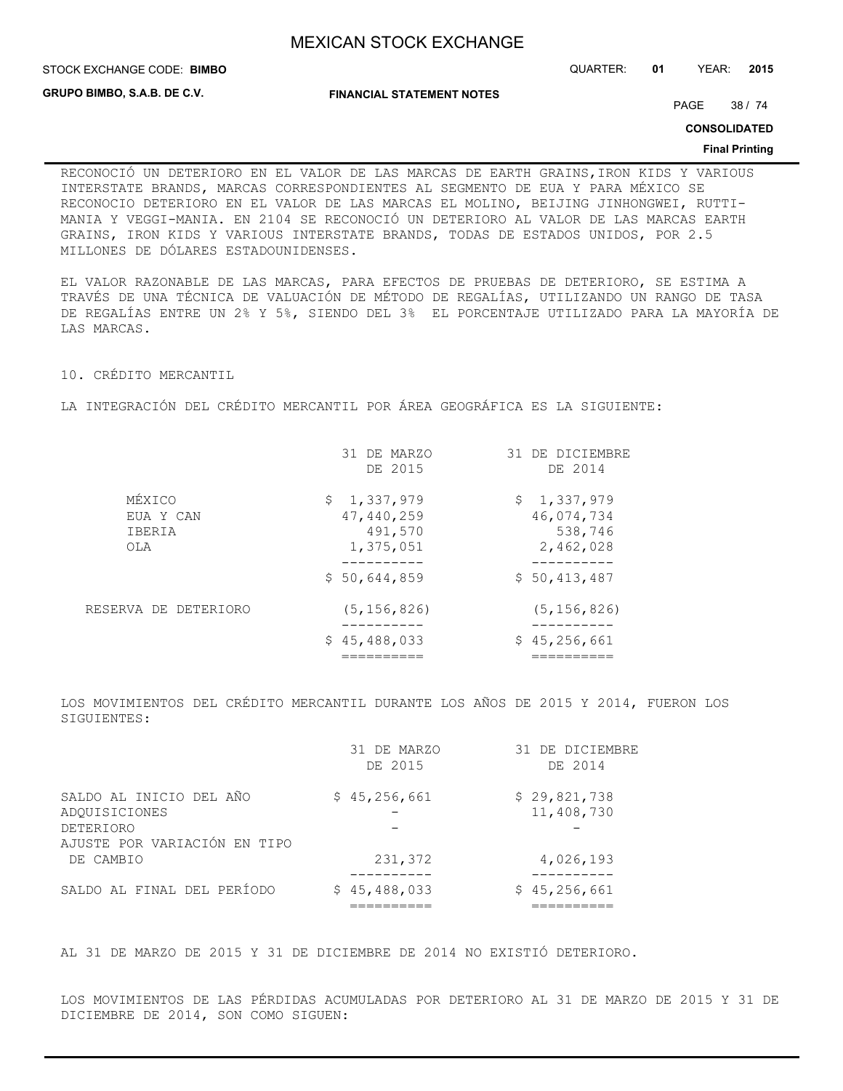STOCK EXCHANGE CODE: QUARTER: **01** YEAR: **2015 BIMBO**

**GRUPO BIMBO, S.A.B. DE C.V.**

**FINANCIAL STATEMENT NOTES**

PAGE 38 / 74

**CONSOLIDATED**

#### **Final Printing**

RECONOCIÓ UN DETERIORO EN EL VALOR DE LAS MARCAS DE EARTH GRAINS,IRON KIDS Y VARIOUS INTERSTATE BRANDS, MARCAS CORRESPONDIENTES AL SEGMENTO DE EUA Y PARA MÉXICO SE RECONOCIO DETERIORO EN EL VALOR DE LAS MARCAS EL MOLINO, BEIJING JINHONGWEI, RUTTI-MANIA Y VEGGI-MANIA. EN 2104 SE RECONOCIÓ UN DETERIORO AL VALOR DE LAS MARCAS EARTH GRAINS, IRON KIDS Y VARIOUS INTERSTATE BRANDS, TODAS DE ESTADOS UNIDOS, POR 2.5 MILLONES DE DÓLARES ESTADOUNIDENSES.

EL VALOR RAZONABLE DE LAS MARCAS, PARA EFECTOS DE PRUEBAS DE DETERIORO, SE ESTIMA A TRAVÉS DE UNA TÉCNICA DE VALUACIÓN DE MÉTODO DE REGALÍAS, UTILIZANDO UN RANGO DE TASA DE REGALÍAS ENTRE UN 2% Y 5%, SIENDO DEL 3% EL PORCENTAJE UTILIZADO PARA LA MAYORÍA DE LAS MARCAS.

10. CRÉDITO MERCANTIL

LA INTEGRACIÓN DEL CRÉDITO MERCANTIL POR ÁREA GEOGRÁFICA ES LA SIGUIENTE:

|                                      | 31 DE MARZO<br>DE 2015                            | 31 DE DICIEMBRE<br>DE 2014                        |
|--------------------------------------|---------------------------------------------------|---------------------------------------------------|
| MÉXICO<br>EUA Y CAN<br>IBERIA<br>OLA | \$1,337,979<br>47,440,259<br>491,570<br>1,375,051 | \$1,337,979<br>46,074,734<br>538,746<br>2,462,028 |
|                                      | \$50,644,859                                      | \$50,413,487                                      |
| RESERVA DE DETERIORO                 | (5, 156, 826)                                     | (5, 156, 826)                                     |
|                                      | \$45,488,033                                      | \$45,256,661                                      |
|                                      |                                                   |                                                   |

LOS MOVIMIENTOS DEL CRÉDITO MERCANTIL DURANTE LOS AÑOS DE 2015 Y 2014, FUERON LOS SIGUIENTES:

|                                                  | 31 DE MARZO<br>DE 2015 | 31 DE DICIEMBRE<br>DE 2014 |
|--------------------------------------------------|------------------------|----------------------------|
| SALDO AL INICIO DEL AÑO<br>ADOUISICIONES         | \$45,256,661           | \$29,821,738<br>11,408,730 |
| <b>DETERIORO</b><br>AJUSTE POR VARIACIÓN EN TIPO |                        |                            |
| DE CAMBIO                                        | 231,372                | 4,026,193                  |
| SALDO AL FINAL DEL PERÍODO                       | \$45,488,033           | \$45,256,661               |

AL 31 DE MARZO DE 2015 Y 31 DE DICIEMBRE DE 2014 NO EXISTIÓ DETERIORO.

LOS MOVIMIENTOS DE LAS PÉRDIDAS ACUMULADAS POR DETERIORO AL 31 DE MARZO DE 2015 Y 31 DE DICIEMBRE DE 2014, SON COMO SIGUEN: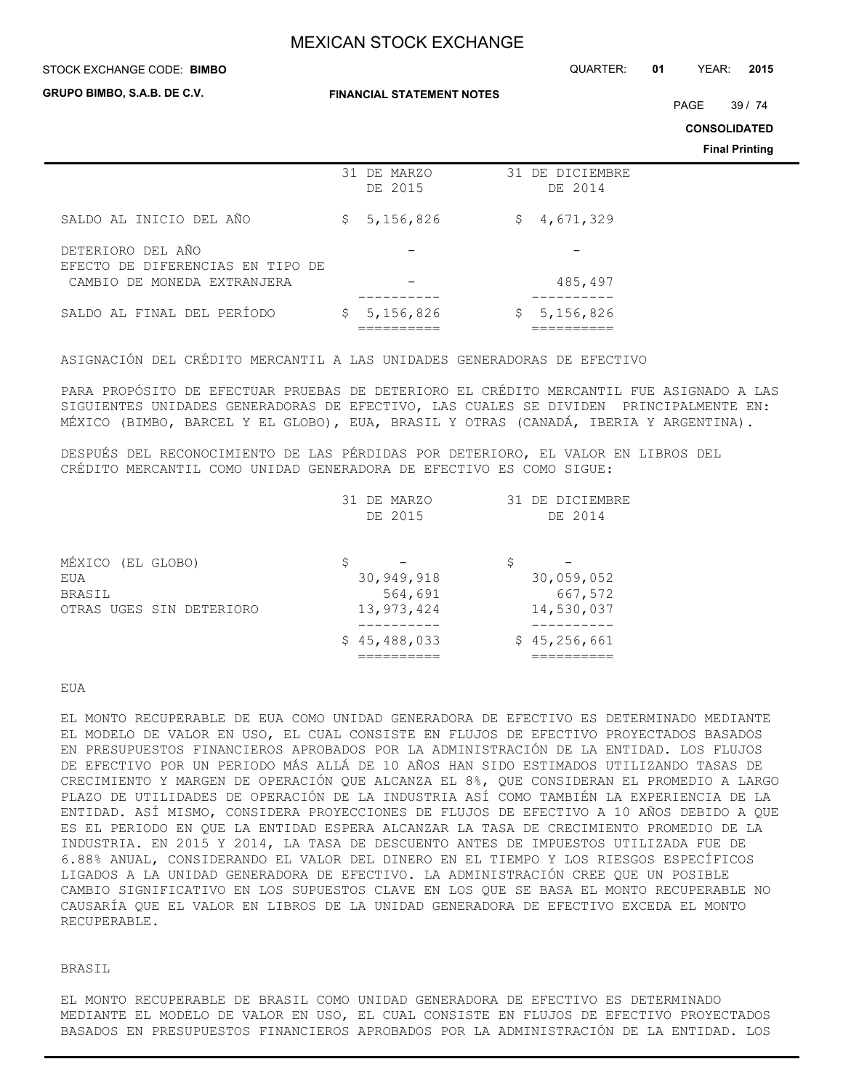#### STOCK EXCHANGE CODE: QUARTER: **01** YEAR: **2015 BIMBO**

**GRUPO BIMBO, S.A.B. DE C.V.**

**FINANCIAL STATEMENT NOTES**

PAGE 39 / 74

**CONSOLIDATED**

**Final Printing**

|                                                       | 31 DE MARZO<br>DE 2015 | 31 DE DICIEMBRE<br>DE 2014 |
|-------------------------------------------------------|------------------------|----------------------------|
| SALDO AL INICIO DEL AÑO                               | 5,156,826<br>S.        | 4,671,329<br>\$.           |
| DETERIORO DEL AÑO<br>EFECTO DE DIFERENCIAS EN TIPO DE |                        |                            |
| CAMBIO DE MONEDA EXTRANJERA                           |                        | 485,497                    |
| SALDO AL FINAL DEL PERÍODO                            | 5,156,826<br>\$.       | 5,156,826<br>Ş.            |
|                                                       |                        |                            |

ASIGNACIÓN DEL CRÉDITO MERCANTIL A LAS UNIDADES GENERADORAS DE EFECTIVO

PARA PROPÓSITO DE EFECTUAR PRUEBAS DE DETERIORO EL CRÉDITO MERCANTIL FUE ASIGNADO A LAS SIGUIENTES UNIDADES GENERADORAS DE EFECTIVO, LAS CUALES SE DIVIDEN PRINCIPALMENTE EN: MÉXICO (BIMBO, BARCEL Y EL GLOBO), EUA, BRASIL Y OTRAS (CANADÁ, IBERIA Y ARGENTINA).

DESPUÉS DEL RECONOCIMIENTO DE LAS PÉRDIDAS POR DETERIORO, EL VALOR EN LIBROS DEL CRÉDITO MERCANTIL COMO UNIDAD GENERADORA DE EFECTIVO ES COMO SIGUE:

|                                    | 31 DE MARZO<br>DE 2015      | DE DICIEMBRE<br>31<br>DE 2014 |
|------------------------------------|-----------------------------|-------------------------------|
| MÉXICO (EL GLOBO)<br>EUA<br>BRASIL | \$<br>30,949,918<br>564,691 | \$<br>30,059,052<br>667,572   |
| OTRAS UGES SIN DETERIORO           | 13,973,424                  | 14,530,037                    |
|                                    | \$45,488,033                | \$45,256,661                  |

### EUA

EL MONTO RECUPERABLE DE EUA COMO UNIDAD GENERADORA DE EFECTIVO ES DETERMINADO MEDIANTE EL MODELO DE VALOR EN USO, EL CUAL CONSISTE EN FLUJOS DE EFECTIVO PROYECTADOS BASADOS EN PRESUPUESTOS FINANCIEROS APROBADOS POR LA ADMINISTRACIÓN DE LA ENTIDAD. LOS FLUJOS DE EFECTIVO POR UN PERIODO MÁS ALLÁ DE 10 AÑOS HAN SIDO ESTIMADOS UTILIZANDO TASAS DE CRECIMIENTO Y MARGEN DE OPERACIÓN QUE ALCANZA EL 8%, QUE CONSIDERAN EL PROMEDIO A LARGO PLAZO DE UTILIDADES DE OPERACIÓN DE LA INDUSTRIA ASÍ COMO TAMBIÉN LA EXPERIENCIA DE LA ENTIDAD. ASÍ MISMO, CONSIDERA PROYECCIONES DE FLUJOS DE EFECTIVO A 10 AÑOS DEBIDO A QUE ES EL PERIODO EN QUE LA ENTIDAD ESPERA ALCANZAR LA TASA DE CRECIMIENTO PROMEDIO DE LA INDUSTRIA. EN 2015 Y 2014, LA TASA DE DESCUENTO ANTES DE IMPUESTOS UTILIZADA FUE DE 6.88% ANUAL, CONSIDERANDO EL VALOR DEL DINERO EN EL TIEMPO Y LOS RIESGOS ESPECÍFICOS LIGADOS A LA UNIDAD GENERADORA DE EFECTIVO. LA ADMINISTRACIÓN CREE QUE UN POSIBLE CAMBIO SIGNIFICATIVO EN LOS SUPUESTOS CLAVE EN LOS QUE SE BASA EL MONTO RECUPERABLE NO CAUSARÍA QUE EL VALOR EN LIBROS DE LA UNIDAD GENERADORA DE EFECTIVO EXCEDA EL MONTO RECUPERABLE.

## BRASIL

EL MONTO RECUPERABLE DE BRASIL COMO UNIDAD GENERADORA DE EFECTIVO ES DETERMINADO MEDIANTE EL MODELO DE VALOR EN USO, EL CUAL CONSISTE EN FLUJOS DE EFECTIVO PROYECTADOS BASADOS EN PRESUPUESTOS FINANCIEROS APROBADOS POR LA ADMINISTRACIÓN DE LA ENTIDAD. LOS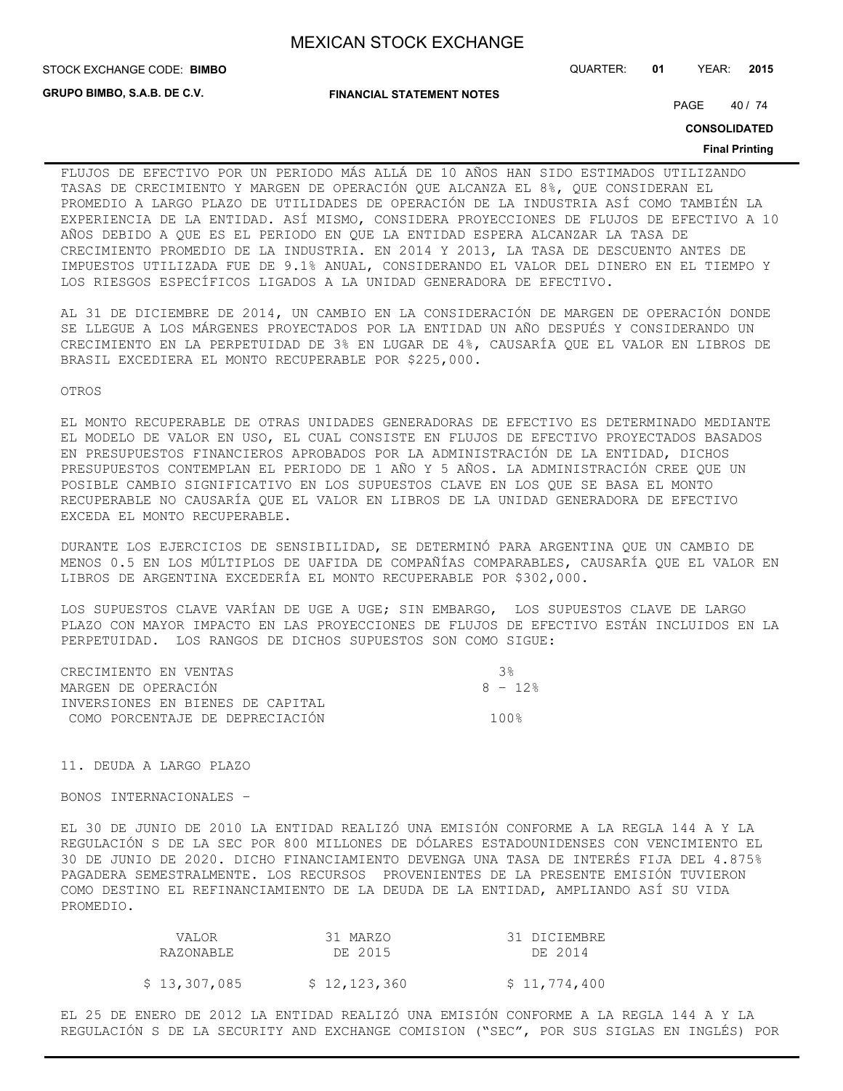STOCK EXCHANGE CODE: QUARTER: **01** YEAR: **2015 BIMBO**

**GRUPO BIMBO, S.A.B. DE C.V.**

**FINANCIAL STATEMENT NOTES**

PAGE 40 / 74

**CONSOLIDATED**

#### **Final Printing**

FLUJOS DE EFECTIVO POR UN PERIODO MÁS ALLÁ DE 10 AÑOS HAN SIDO ESTIMADOS UTILIZANDO TASAS DE CRECIMIENTO Y MARGEN DE OPERACIÓN QUE ALCANZA EL 8%, QUE CONSIDERAN EL PROMEDIO A LARGO PLAZO DE UTILIDADES DE OPERACIÓN DE LA INDUSTRIA ASÍ COMO TAMBIÉN LA EXPERIENCIA DE LA ENTIDAD. ASÍ MISMO, CONSIDERA PROYECCIONES DE FLUJOS DE EFECTIVO A 10 AÑOS DEBIDO A QUE ES EL PERIODO EN QUE LA ENTIDAD ESPERA ALCANZAR LA TASA DE CRECIMIENTO PROMEDIO DE LA INDUSTRIA. EN 2014 Y 2013, LA TASA DE DESCUENTO ANTES DE IMPUESTOS UTILIZADA FUE DE 9.1% ANUAL, CONSIDERANDO EL VALOR DEL DINERO EN EL TIEMPO Y LOS RIESGOS ESPECÍFICOS LIGADOS A LA UNIDAD GENERADORA DE EFECTIVO.

AL 31 DE DICIEMBRE DE 2014, UN CAMBIO EN LA CONSIDERACIÓN DE MARGEN DE OPERACIÓN DONDE SE LLEGUE A LOS MÁRGENES PROYECTADOS POR LA ENTIDAD UN AÑO DESPUÉS Y CONSIDERANDO UN CRECIMIENTO EN LA PERPETUIDAD DE 3% EN LUGAR DE 4%, CAUSARÍA QUE EL VALOR EN LIBROS DE BRASIL EXCEDIERA EL MONTO RECUPERABLE POR \$225,000.

OTROS

EL MONTO RECUPERABLE DE OTRAS UNIDADES GENERADORAS DE EFECTIVO ES DETERMINADO MEDIANTE EL MODELO DE VALOR EN USO, EL CUAL CONSISTE EN FLUJOS DE EFECTIVO PROYECTADOS BASADOS EN PRESUPUESTOS FINANCIEROS APROBADOS POR LA ADMINISTRACIÓN DE LA ENTIDAD, DICHOS PRESUPUESTOS CONTEMPLAN EL PERIODO DE 1 AÑO Y 5 AÑOS. LA ADMINISTRACIÓN CREE QUE UN POSIBLE CAMBIO SIGNIFICATIVO EN LOS SUPUESTOS CLAVE EN LOS QUE SE BASA EL MONTO RECUPERABLE NO CAUSARÍA QUE EL VALOR EN LIBROS DE LA UNIDAD GENERADORA DE EFECTIVO EXCEDA EL MONTO RECUPERABLE.

DURANTE LOS EJERCICIOS DE SENSIBILIDAD, SE DETERMINÓ PARA ARGENTINA QUE UN CAMBIO DE MENOS 0.5 EN LOS MÚLTIPLOS DE UAFIDA DE COMPAÑÍAS COMPARABLES, CAUSARÍA QUE EL VALOR EN LIBROS DE ARGENTINA EXCEDERÍA EL MONTO RECUPERABLE POR \$302,000.

LOS SUPUESTOS CLAVE VARÍAN DE UGE A UGE; SIN EMBARGO, LOS SUPUESTOS CLAVE DE LARGO PLAZO CON MAYOR IMPACTO EN LAS PROYECCIONES DE FLUJOS DE EFECTIVO ESTÁN INCLUIDOS EN LA PERPETUIDAD. LOS RANGOS DE DICHOS SUPUESTOS SON COMO SIGUE:

| CRECIMIENTO EN VENTAS            | - ર ક્ર |
|----------------------------------|---------|
| MARGEN DE OPERACIÓN              | 8 - 12% |
| INVERSIONES EN BIENES DE CAPITAL |         |
| COMO PORCENTAJE DE DEPRECIACIÓN  | 1 ∩ ∩ ዱ |

11. DEUDA A LARGO PLAZO

BONOS INTERNACIONALES –

EL 30 DE JUNIO DE 2010 LA ENTIDAD REALIZÓ UNA EMISIÓN CONFORME A LA REGLA 144 A Y LA REGULACIÓN S DE LA SEC POR 800 MILLONES DE DÓLARES ESTADOUNIDENSES CON VENCIMIENTO EL 30 DE JUNIO DE 2020. DICHO FINANCIAMIENTO DEVENGA UNA TASA DE INTERÉS FIJA DEL 4.875% PAGADERA SEMESTRALMENTE. LOS RECURSOS PROVENIENTES DE LA PRESENTE EMISIÓN TUVIERON COMO DESTINO EL REFINANCIAMIENTO DE LA DEUDA DE LA ENTIDAD, AMPLIANDO ASÍ SU VIDA PROMEDIO.

| VALOR.       | 31 MARZO     | 31 DICIEMBRE |
|--------------|--------------|--------------|
| RAZONABLE    | DE 2015      | DE 2014      |
|              |              |              |
| \$13,307,085 | \$12,123,360 | \$11,774,400 |

EL 25 DE ENERO DE 2012 LA ENTIDAD REALIZÓ UNA EMISIÓN CONFORME A LA REGLA 144 A Y LA REGULACIÓN S DE LA SECURITY AND EXCHANGE COMISION ("SEC", POR SUS SIGLAS EN INGLÉS) POR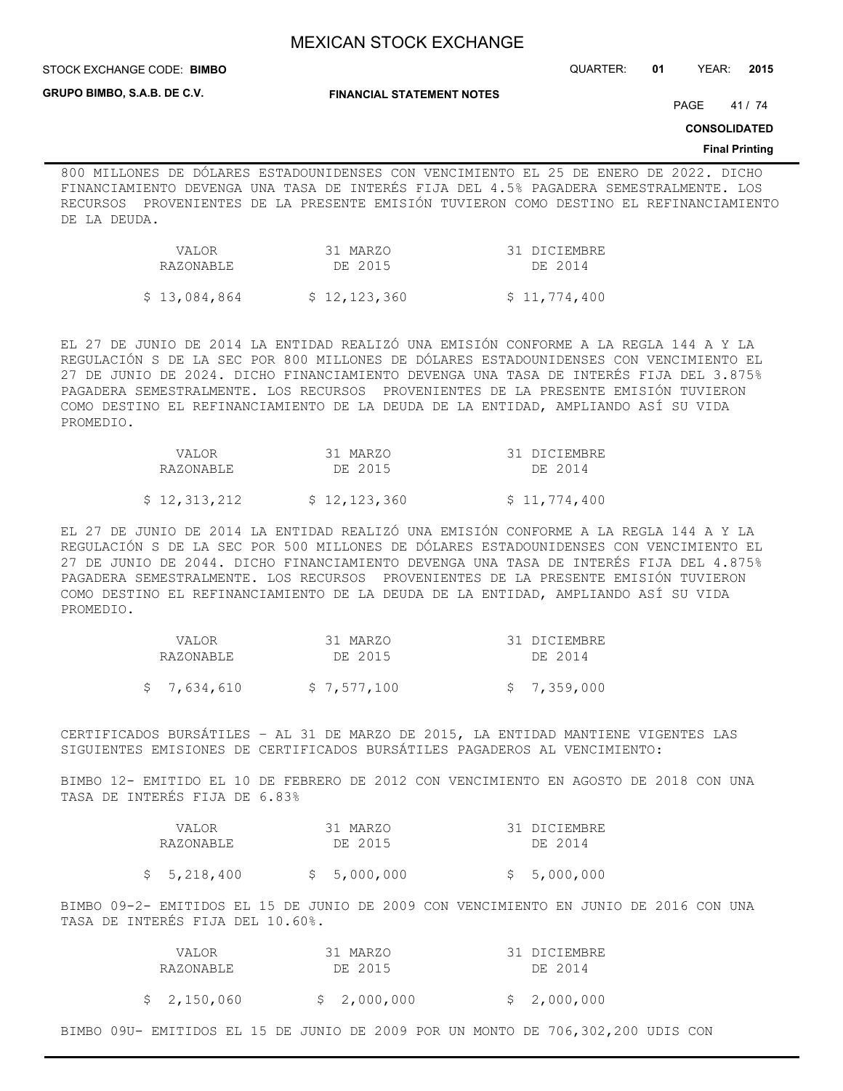**STOCK EXCHANGE CODE: BIMBO** 

STOCK EXCHANGE CODE: QUARTER: **01** YEAR: **2015**

**GRUPO BIMBO, S.A.B. DE C.V.**

**FINANCIAL STATEMENT NOTES**

PAGE 41 / 74

**CONSOLIDATED**

#### **Final Printing**

800 MILLONES DE DÓLARES ESTADOUNIDENSES CON VENCIMIENTO EL 25 DE ENERO DE 2022. DICHO FINANCIAMIENTO DEVENGA UNA TASA DE INTERÉS FIJA DEL 4.5% PAGADERA SEMESTRALMENTE. LOS RECURSOS PROVENIENTES DE LA PRESENTE EMISIÓN TUVIERON COMO DESTINO EL REFINANCIAMIENTO DE LA DEUDA.

| <b>VALOR</b><br>RAZONABLE | 31 MARZO<br>DE 2015 | 31 DICIEMBRE<br>DE 2014 |
|---------------------------|---------------------|-------------------------|
| \$13,084,864              | \$12,123,360        | \$11,774,400            |

EL 27 DE JUNIO DE 2014 LA ENTIDAD REALIZÓ UNA EMISIÓN CONFORME A LA REGLA 144 A Y LA REGULACIÓN S DE LA SEC POR 800 MILLONES DE DÓLARES ESTADOUNIDENSES CON VENCIMIENTO EL 27 DE JUNIO DE 2024. DICHO FINANCIAMIENTO DEVENGA UNA TASA DE INTERÉS FIJA DEL 3.875% PAGADERA SEMESTRALMENTE. LOS RECURSOS PROVENIENTES DE LA PRESENTE EMISIÓN TUVIERON COMO DESTINO EL REFINANCIAMIENTO DE LA DEUDA DE LA ENTIDAD, AMPLIANDO ASÍ SU VIDA PROMEDIO.

| VALOR        | 31 MARZO     | 31 DICIEMBRE |
|--------------|--------------|--------------|
| RAZONABLE    | DE 2015      | DE 2014      |
| \$12,313,212 | \$12,123,360 | \$11,774,400 |

EL 27 DE JUNIO DE 2014 LA ENTIDAD REALIZÓ UNA EMISIÓN CONFORME A LA REGLA 144 A Y LA REGULACIÓN S DE LA SEC POR 500 MILLONES DE DÓLARES ESTADOUNIDENSES CON VENCIMIENTO EL 27 DE JUNIO DE 2044. DICHO FINANCIAMIENTO DEVENGA UNA TASA DE INTERÉS FIJA DEL 4.875% PAGADERA SEMESTRALMENTE. LOS RECURSOS PROVENIENTES DE LA PRESENTE EMISIÓN TUVIERON COMO DESTINO EL REFINANCIAMIENTO DE LA DEUDA DE LA ENTIDAD, AMPLIANDO ASÍ SU VIDA PROMEDIO.

| VALOR<br>RAZONABLE | 31 MARZO<br>DE 2015 | 31 DICIEMBRE<br>DE 2014 |
|--------------------|---------------------|-------------------------|
| \$7,634,610        | \$7,577,100         | \$7,359,000             |

CERTIFICADOS BURSÁTILES – AL 31 DE MARZO DE 2015, LA ENTIDAD MANTIENE VIGENTES LAS SIGUIENTES EMISIONES DE CERTIFICADOS BURSÁTILES PAGADEROS AL VENCIMIENTO:

BIMBO 12- EMITIDO EL 10 DE FEBRERO DE 2012 CON VENCIMIENTO EN AGOSTO DE 2018 CON UNA TASA DE INTERÉS FIJA DE 6.83%

| VALOR<br>RAZONABLE | 31 MARZO<br>DE 2015 | 31 DICIEMBRE<br>DE 2014 |
|--------------------|---------------------|-------------------------|
| \$5,218,400        | \$5,000,000         | \$5,000,000             |

BIMBO 09-2- EMITIDOS EL 15 DE JUNIO DE 2009 CON VENCIMIENTO EN JUNIO DE 2016 CON UNA TASA DE INTERÉS FIJA DEL 10.60%.

| VALOR       | 31 MARZO    | 31 DICIEMBRE |
|-------------|-------------|--------------|
| RAZONABLE   | DE 2015     | DE 2014      |
|             |             |              |
| \$2,150,060 | \$2,000,000 | \$2,000,000  |

BIMBO 09U- EMITIDOS EL 15 DE JUNIO DE 2009 POR UN MONTO DE 706,302,200 UDIS CON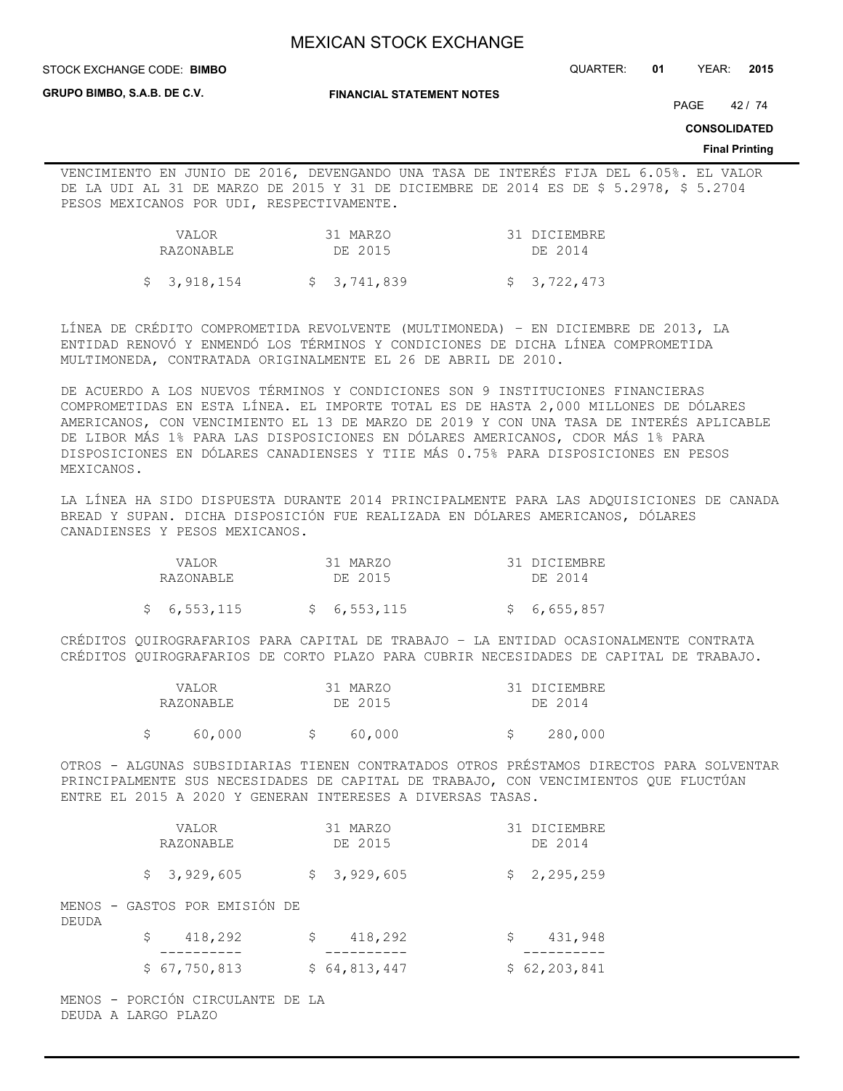STOCK EXCHANGE CODE: QUARTER: **01** YEAR: **2015 BIMBO**

**GRUPO BIMBO, S.A.B. DE C.V.**

**FINANCIAL STATEMENT NOTES**

PAGE 42 / 74

**CONSOLIDATED**

#### **Final Printing**

VENCIMIENTO EN JUNIO DE 2016, DEVENGANDO UNA TASA DE INTERÉS FIJA DEL 6.05%. EL VALOR DE LA UDI AL 31 DE MARZO DE 2015 Y 31 DE DICIEMBRE DE 2014 ES DE \$ 5.2978, \$ 5.2704 PESOS MEXICANOS POR UDI, RESPECTIVAMENTE.

| VALOR<br>RAZONABLE | 31 MARZO<br>DE 2015 | 31 DICIEMBRE<br>DE 2014 |
|--------------------|---------------------|-------------------------|
| \$3,918,154        | \$ 3,741,839        | \$3,722,473             |

LÍNEA DE CRÉDITO COMPROMETIDA REVOLVENTE (MULTIMONEDA) – EN DICIEMBRE DE 2013, LA ENTIDAD RENOVÓ Y ENMENDÓ LOS TÉRMINOS Y CONDICIONES DE DICHA LÍNEA COMPROMETIDA MULTIMONEDA, CONTRATADA ORIGINALMENTE EL 26 DE ABRIL DE 2010.

DE ACUERDO A LOS NUEVOS TÉRMINOS Y CONDICIONES SON 9 INSTITUCIONES FINANCIERAS COMPROMETIDAS EN ESTA LÍNEA. EL IMPORTE TOTAL ES DE HASTA 2,000 MILLONES DE DÓLARES AMERICANOS, CON VENCIMIENTO EL 13 DE MARZO DE 2019 Y CON UNA TASA DE INTERÉS APLICABLE DE LIBOR MÁS 1% PARA LAS DISPOSICIONES EN DÓLARES AMERICANOS, CDOR MÁS 1% PARA DISPOSICIONES EN DÓLARES CANADIENSES Y TIIE MÁS 0.75% PARA DISPOSICIONES EN PESOS MEXICANOS.

LA LÍNEA HA SIDO DISPUESTA DURANTE 2014 PRINCIPALMENTE PARA LAS ADQUISICIONES DE CANADA BREAD Y SUPAN. DICHA DISPOSICIÓN FUE REALIZADA EN DÓLARES AMERICANOS, DÓLARES CANADIENSES Y PESOS MEXICANOS.

| VALOR       | 31 MARZO    | 31 DICIEMBRE |
|-------------|-------------|--------------|
| RAZONABI E  | DE 2015     | DE 2014      |
| \$6,553,115 | \$6,553,115 | \$6,655,857  |

CRÉDITOS QUIROGRAFARIOS PARA CAPITAL DE TRABAJO – LA ENTIDAD OCASIONALMENTE CONTRATA CRÉDITOS QUIROGRAFARIOS DE CORTO PLAZO PARA CUBRIR NECESIDADES DE CAPITAL DE TRABAJO.

|  | VALOR     | 31 MARZO | 31 DICIEMBRE |
|--|-----------|----------|--------------|
|  | RAZONABLE | DE 2015  | DE 2014      |
|  | 60,000    | 60,000   | 280,000      |

OTROS - ALGUNAS SUBSIDIARIAS TIENEN CONTRATADOS OTROS PRÉSTAMOS DIRECTOS PARA SOLVENTAR PRINCIPALMENTE SUS NECESIDADES DE CAPITAL DE TRABAJO, CON VENCIMIENTOS QUE FLUCTÚAN ENTRE EL 2015 A 2020 Y GENERAN INTERESES A DIVERSAS TASAS.

|       | VALOR<br>RAZONABLE            | 31 MARZO<br>DE 2015 |   | 31 DICIEMBRE<br>DE 2014 |
|-------|-------------------------------|---------------------|---|-------------------------|
|       | \$3,929,605                   | \$3,929,605         |   | \$2,295,259             |
| DEUDA | MENOS - GASTOS POR EMISIÓN DE |                     |   |                         |
|       | 418,292<br>S                  | \$<br>418,292       | S | 431,948                 |
|       | \$67,750,813                  | \$64,813,447        |   | \$62, 203, 841          |

MENOS - PORCIÓN CIRCULANTE DE LA DEUDA A LARGO PLAZO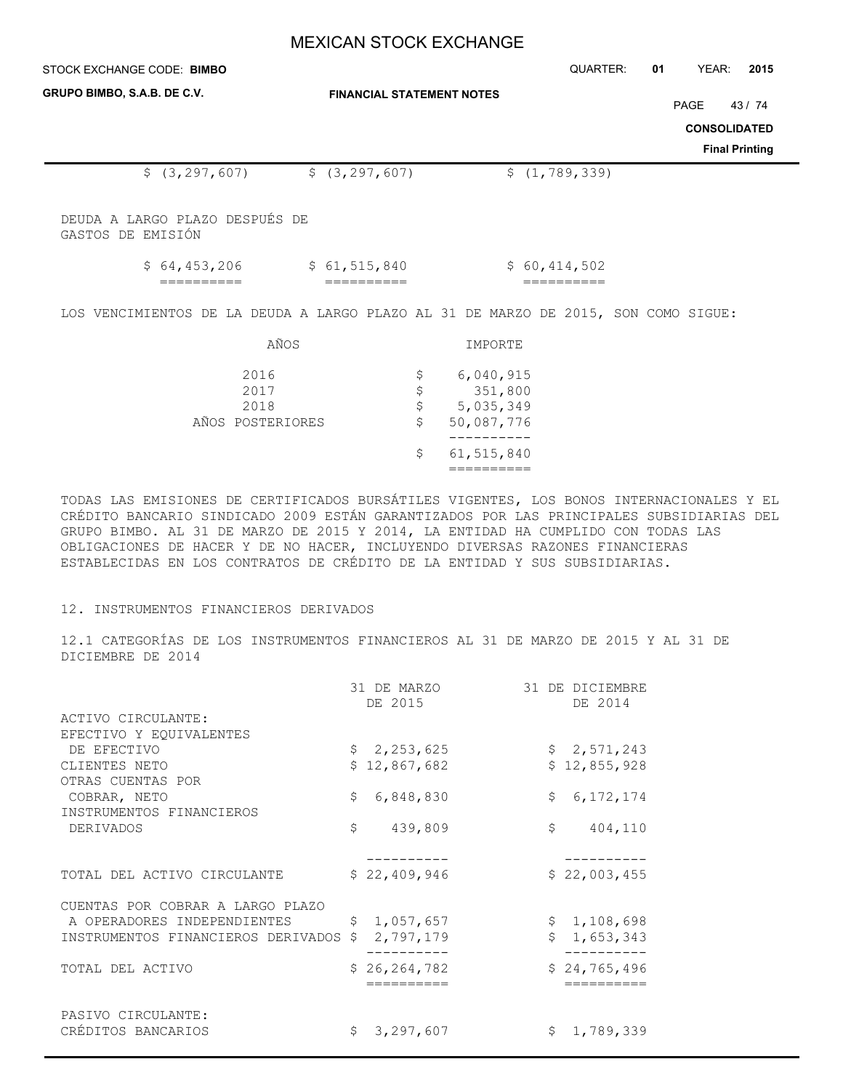| STOCK EXCHANGE CODE: BIMBO                                                         |                                  | QUARTER:        | YEAR:<br>2015<br>01                                           |
|------------------------------------------------------------------------------------|----------------------------------|-----------------|---------------------------------------------------------------|
| GRUPO BIMBO, S.A.B. DE C.V.                                                        | <b>FINANCIAL STATEMENT NOTES</b> |                 | PAGE<br>43/74<br><b>CONSOLIDATED</b><br><b>Final Printing</b> |
| \$(3, 297, 607)                                                                    | \$(3, 297, 607)                  | \$(1, 789, 339) |                                                               |
| DEUDA A LARGO PLAZO DESPUÉS DE<br>GASTOS DE EMISIÓN                                |                                  |                 |                                                               |
| \$64,453,206                                                                       | \$61,515,840                     | \$60,414,502    |                                                               |
| LOS VENCIMIENTOS DE LA DEUDA A LARGO PLAZO AL 31 DE MARZO DE 2015, SON COMO SIGUE: |                                  |                 |                                                               |
| AÑOS                                                                               | IMPORTE                          |                 |                                                               |

| 2016             | S. | 6,040,915  |
|------------------|----|------------|
| 2017             | S. | 351,800    |
| 2018             | S  | 5,035,349  |
| AÑOS POSTERIORES | S  | 50,087,776 |
|                  |    |            |
|                  | S. | 61,515,840 |
|                  |    |            |
|                  |    |            |

TODAS LAS EMISIONES DE CERTIFICADOS BURSÁTILES VIGENTES, LOS BONOS INTERNACIONALES Y EL CRÉDITO BANCARIO SINDICADO 2009 ESTÁN GARANTIZADOS POR LAS PRINCIPALES SUBSIDIARIAS DEL GRUPO BIMBO. AL 31 DE MARZO DE 2015 Y 2014, LA ENTIDAD HA CUMPLIDO CON TODAS LAS OBLIGACIONES DE HACER Y DE NO HACER, INCLUYENDO DIVERSAS RAZONES FINANCIERAS ESTABLECIDAS EN LOS CONTRATOS DE CRÉDITO DE LA ENTIDAD Y SUS SUBSIDIARIAS.

## 12. INSTRUMENTOS FINANCIEROS DERIVADOS

12.1 CATEGORÍAS DE LOS INSTRUMENTOS FINANCIEROS AL 31 DE MARZO DE 2015 Y AL 31 DE DICIEMBRE DE 2014

|                                    | 31 DE MARZO<br>DE 2015 | 31 DE DICIEMBRE<br>DE 2014 |
|------------------------------------|------------------------|----------------------------|
| ACTIVO CIRCULANTE:                 |                        |                            |
| EFECTIVO Y EQUIVALENTES            |                        |                            |
| DE EFECTIVO                        | \$2,253,625            | \$2,571,243                |
| CLIENTES NETO                      | \$12,867,682           | \$12,855,928               |
| OTRAS CUENTAS POR                  |                        |                            |
| COBRAR, NETO                       | \$<br>6,848,830        | \$<br>6, 172, 174          |
| INSTRUMENTOS FINANCIEROS           |                        |                            |
| DERIVADOS                          | \$<br>439,809          | \$<br>404,110              |
|                                    |                        |                            |
|                                    |                        |                            |
| TOTAL DEL ACTIVO CIRCULANTE        | \$22,409,946           | \$22,003,455               |
| CUENTAS POR COBRAR A LARGO PLAZO   |                        |                            |
| A OPERADORES INDEPENDIENTES        | \$1,057,657            | \$1,108,698                |
| INSTRUMENTOS FINANCIEROS DERIVADOS | 2,797,179              | 1,653,343                  |
|                                    |                        |                            |
| TOTAL DEL ACTIVO                   | \$26, 264, 782         | \$24,765,496               |
|                                    |                        |                            |
|                                    |                        |                            |
| PASIVO CIRCULANTE:                 |                        |                            |
| CRÉDITOS BANCARIOS                 | Ŝ.<br>3,297,607        | Ŝ.<br>1,789,339            |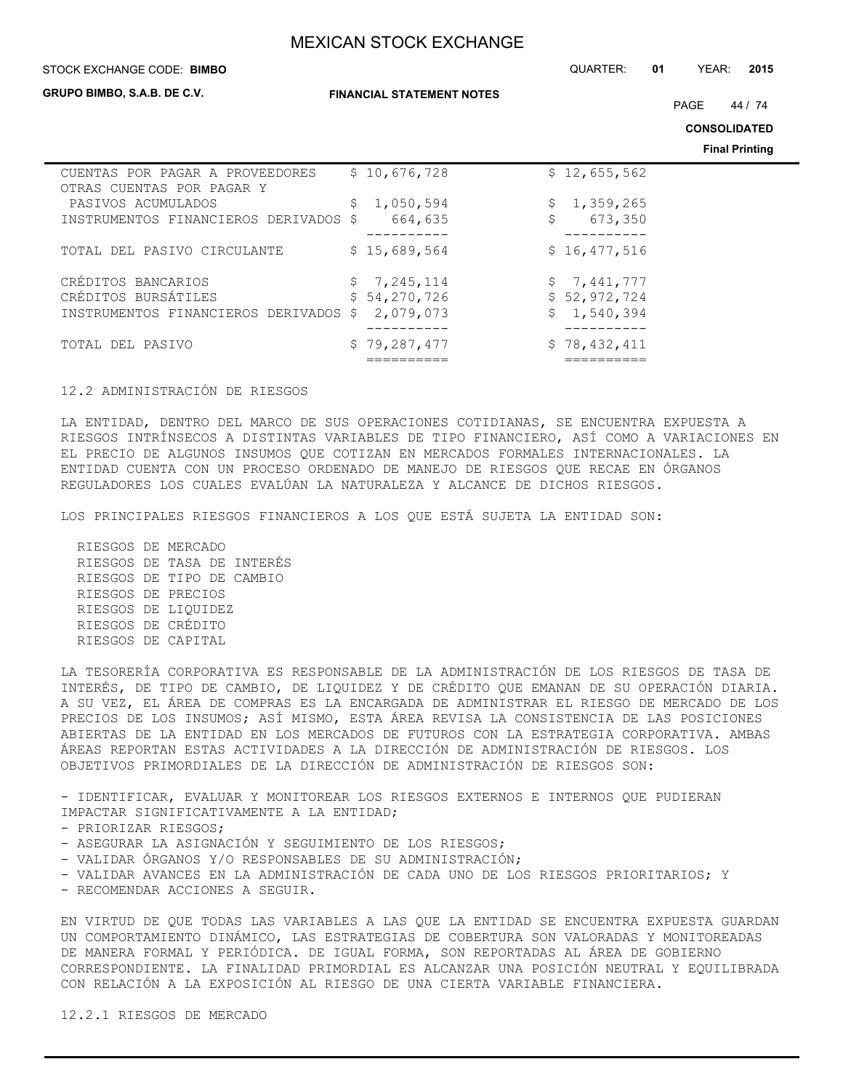#### STOCK EXCHANGE CODE: QUARTER: **01** YEAR: **2015 BIMBO**

**GRUPO BIMBO, S.A.B. DE C.V.**

**FINANCIAL STATEMENT NOTES**

PAGE 44 / 74

**CONSOLIDATED**

**Final Printing**

|                                       |     |               | <b>Fillde</b> Frinting |
|---------------------------------------|-----|---------------|------------------------|
| CUENTAS POR PAGAR A PROVEEDORES       |     | \$10,676,728  | \$12,655,562           |
| OTRAS CUENTAS POR PAGAR Y             |     |               |                        |
| PASIVOS ACUMULADOS                    | \$. | 1,050,594     | 1,359,265<br>\$.       |
| INSTRUMENTOS FINANCIEROS DERIVADOS \$ |     | \$<br>664,635 | 673,350                |
|                                       |     |               |                        |
| TOTAL DEL PASIVO CIRCULANTE           |     | \$15,689,564  | \$16,477,516           |
|                                       |     |               |                        |
| CRÉDITOS BANCARIOS                    |     | \$7,245,114   | \$7,441,777            |
| CRÉDITOS BURSÁTILES                   |     | \$54,270,726  | \$52,972,724           |
| INSTRUMENTOS FINANCIEROS DERIVADOS    | S.  | 2,079,073     | 1,540,394              |
|                                       |     |               |                        |
| TOTAL DEL PASIVO                      |     | \$79,287,477  | \$78,432,411           |
|                                       |     |               |                        |

#### 12.2 ADMINISTRACIÓN DE RIESGOS

LA ENTIDAD, DENTRO DEL MARCO DE SUS OPERACIONES COTIDIANAS, SE ENCUENTRA EXPUESTA A RIESGOS INTRÍNSECOS A DISTINTAS VARIABLES DE TIPO FINANCIERO, ASÍ COMO A VARIACIONES EN EL PRECIO DE ALGUNOS INSUMOS QUE COTIZAN EN MERCADOS FORMALES INTERNACIONALES. LA ENTIDAD CUENTA CON UN PROCESO ORDENADO DE MANEJO DE RIESGOS QUE RECAE EN ÓRGANOS REGULADORES LOS CUALES EVALÚAN LA NATURALEZA Y ALCANCE DE DICHOS RIESGOS.

LOS PRINCIPALES RIESGOS FINANCIEROS A LOS QUE ESTÁ SUJETA LA ENTIDAD SON:

 RIESGOS DE MERCADO RIESGOS DE TASA DE INTERÉS RIESGOS DE TIPO DE CAMBIO RIESGOS DE PRECIOS RIESGOS DE LIQUIDEZ RIESGOS DE CRÉDITO RIESGOS DE CAPITAL

LA TESORERÍA CORPORATIVA ES RESPONSABLE DE LA ADMINISTRACIÓN DE LOS RIESGOS DE TASA DE INTERÉS, DE TIPO DE CAMBIO, DE LIQUIDEZ Y DE CRÉDITO QUE EMANAN DE SU OPERACIÓN DIARIA. A SU VEZ, EL ÁREA DE COMPRAS ES LA ENCARGADA DE ADMINISTRAR EL RIESGO DE MERCADO DE LOS PRECIOS DE LOS INSUMOS; ASÍ MISMO, ESTA ÁREA REVISA LA CONSISTENCIA DE LAS POSICIONES ABIERTAS DE LA ENTIDAD EN LOS MERCADOS DE FUTUROS CON LA ESTRATEGIA CORPORATIVA. AMBAS ÁREAS REPORTAN ESTAS ACTIVIDADES A LA DIRECCIÓN DE ADMINISTRACIÓN DE RIESGOS. LOS OBJETIVOS PRIMORDIALES DE LA DIRECCIÓN DE ADMINISTRACIÓN DE RIESGOS SON:

- IDENTIFICAR, EVALUAR Y MONITOREAR LOS RIESGOS EXTERNOS E INTERNOS QUE PUDIERAN IMPACTAR SIGNIFICATIVAMENTE A LA ENTIDAD;

- PRIORIZAR RIESGOS;
- ASEGURAR LA ASIGNACIÓN Y SEGUIMIENTO DE LOS RIESGOS;
- VALIDAR ÓRGANOS Y/O RESPONSABLES DE SU ADMINISTRACIÓN;
- VALIDAR AVANCES EN LA ADMINISTRACIÓN DE CADA UNO DE LOS RIESGOS PRIORITARIOS; Y
- RECOMENDAR ACCIONES A SEGUIR.

EN VIRTUD DE QUE TODAS LAS VARIABLES A LAS QUE LA ENTIDAD SE ENCUENTRA EXPUESTA GUARDAN UN COMPORTAMIENTO DINÁMICO, LAS ESTRATEGIAS DE COBERTURA SON VALORADAS Y MONITOREADAS DE MANERA FORMAL Y PERIÓDICA. DE IGUAL FORMA, SON REPORTADAS AL ÁREA DE GOBIERNO CORRESPONDIENTE. LA FINALIDAD PRIMORDIAL ES ALCANZAR UNA POSICIÓN NEUTRAL Y EQUILIBRADA CON RELACIÓN A LA EXPOSICIÓN AL RIESGO DE UNA CIERTA VARIABLE FINANCIERA.

12.2.1 RIESGOS DE MERCADO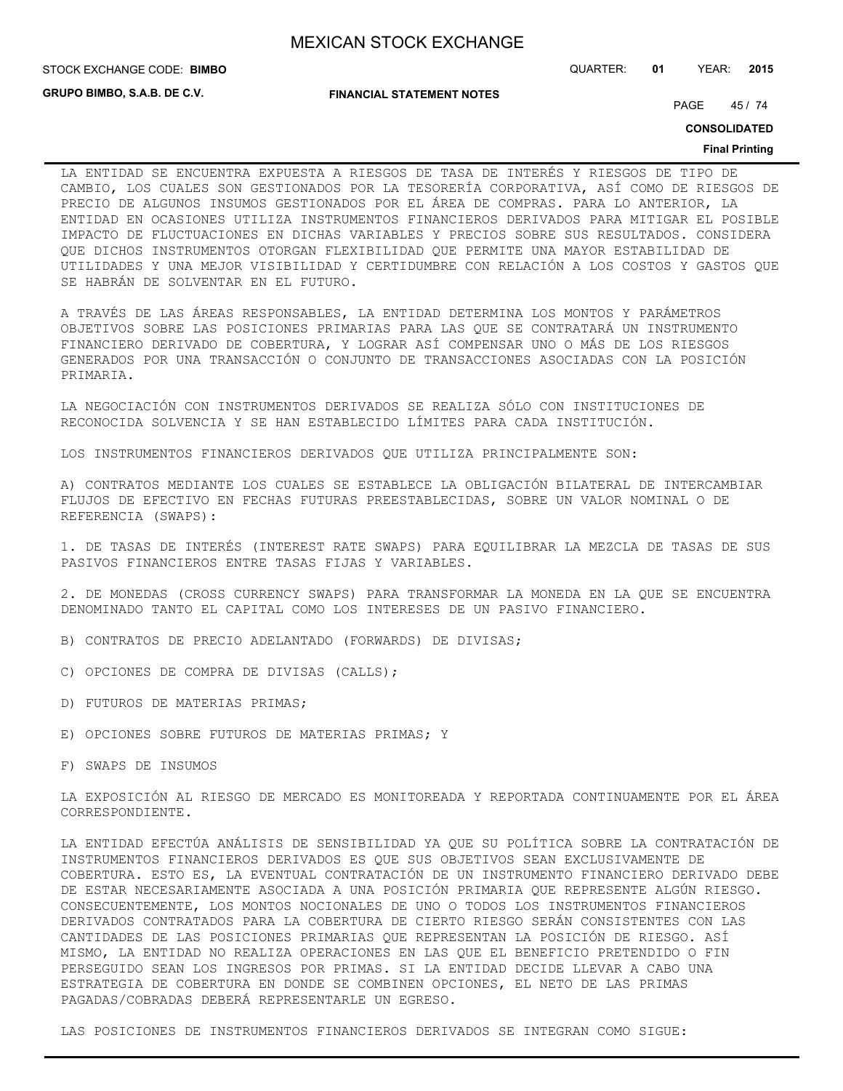STOCK EXCHANGE CODE: QUARTER: **01** YEAR: **2015 BIMBO**

**GRUPO BIMBO, S.A.B. DE C.V.**

**FINANCIAL STATEMENT NOTES**

PAGE 45 / 74

**CONSOLIDATED**

#### **Final Printing**

LA ENTIDAD SE ENCUENTRA EXPUESTA A RIESGOS DE TASA DE INTERÉS Y RIESGOS DE TIPO DE CAMBIO, LOS CUALES SON GESTIONADOS POR LA TESORERÍA CORPORATIVA, ASÍ COMO DE RIESGOS DE PRECIO DE ALGUNOS INSUMOS GESTIONADOS POR EL ÁREA DE COMPRAS. PARA LO ANTERIOR, LA ENTIDAD EN OCASIONES UTILIZA INSTRUMENTOS FINANCIEROS DERIVADOS PARA MITIGAR EL POSIBLE IMPACTO DE FLUCTUACIONES EN DICHAS VARIABLES Y PRECIOS SOBRE SUS RESULTADOS. CONSIDERA QUE DICHOS INSTRUMENTOS OTORGAN FLEXIBILIDAD QUE PERMITE UNA MAYOR ESTABILIDAD DE UTILIDADES Y UNA MEJOR VISIBILIDAD Y CERTIDUMBRE CON RELACIÓN A LOS COSTOS Y GASTOS QUE SE HABRÁN DE SOLVENTAR EN EL FUTURO.

A TRAVÉS DE LAS ÁREAS RESPONSABLES, LA ENTIDAD DETERMINA LOS MONTOS Y PARÁMETROS OBJETIVOS SOBRE LAS POSICIONES PRIMARIAS PARA LAS QUE SE CONTRATARÁ UN INSTRUMENTO FINANCIERO DERIVADO DE COBERTURA, Y LOGRAR ASÍ COMPENSAR UNO O MÁS DE LOS RIESGOS GENERADOS POR UNA TRANSACCIÓN O CONJUNTO DE TRANSACCIONES ASOCIADAS CON LA POSICIÓN PRIMARIA.

LA NEGOCIACIÓN CON INSTRUMENTOS DERIVADOS SE REALIZA SÓLO CON INSTITUCIONES DE RECONOCIDA SOLVENCIA Y SE HAN ESTABLECIDO LÍMITES PARA CADA INSTITUCIÓN.

LOS INSTRUMENTOS FINANCIEROS DERIVADOS QUE UTILIZA PRINCIPALMENTE SON:

A) CONTRATOS MEDIANTE LOS CUALES SE ESTABLECE LA OBLIGACIÓN BILATERAL DE INTERCAMBIAR FLUJOS DE EFECTIVO EN FECHAS FUTURAS PREESTABLECIDAS, SOBRE UN VALOR NOMINAL O DE REFERENCIA (SWAPS):

1. DE TASAS DE INTERÉS (INTEREST RATE SWAPS) PARA EQUILIBRAR LA MEZCLA DE TASAS DE SUS PASIVOS FINANCIEROS ENTRE TASAS FIJAS Y VARIABLES.

2. DE MONEDAS (CROSS CURRENCY SWAPS) PARA TRANSFORMAR LA MONEDA EN LA QUE SE ENCUENTRA DENOMINADO TANTO EL CAPITAL COMO LOS INTERESES DE UN PASIVO FINANCIERO.

- B) CONTRATOS DE PRECIO ADELANTADO (FORWARDS) DE DIVISAS;
- C) OPCIONES DE COMPRA DE DIVISAS (CALLS);
- D) FUTUROS DE MATERIAS PRIMAS;
- E) OPCIONES SOBRE FUTUROS DE MATERIAS PRIMAS; Y

F) SWAPS DE INSUMOS

LA EXPOSICIÓN AL RIESGO DE MERCADO ES MONITOREADA Y REPORTADA CONTINUAMENTE POR EL ÁREA CORRESPONDIENTE.

LA ENTIDAD EFECTÚA ANÁLISIS DE SENSIBILIDAD YA QUE SU POLÍTICA SOBRE LA CONTRATACIÓN DE INSTRUMENTOS FINANCIEROS DERIVADOS ES QUE SUS OBJETIVOS SEAN EXCLUSIVAMENTE DE COBERTURA. ESTO ES, LA EVENTUAL CONTRATACIÓN DE UN INSTRUMENTO FINANCIERO DERIVADO DEBE DE ESTAR NECESARIAMENTE ASOCIADA A UNA POSICIÓN PRIMARIA QUE REPRESENTE ALGÚN RIESGO. CONSECUENTEMENTE, LOS MONTOS NOCIONALES DE UNO O TODOS LOS INSTRUMENTOS FINANCIEROS DERIVADOS CONTRATADOS PARA LA COBERTURA DE CIERTO RIESGO SERÁN CONSISTENTES CON LAS CANTIDADES DE LAS POSICIONES PRIMARIAS QUE REPRESENTAN LA POSICIÓN DE RIESGO. ASÍ MISMO, LA ENTIDAD NO REALIZA OPERACIONES EN LAS QUE EL BENEFICIO PRETENDIDO O FIN PERSEGUIDO SEAN LOS INGRESOS POR PRIMAS. SI LA ENTIDAD DECIDE LLEVAR A CABO UNA ESTRATEGIA DE COBERTURA EN DONDE SE COMBINEN OPCIONES, EL NETO DE LAS PRIMAS PAGADAS/COBRADAS DEBERÁ REPRESENTARLE UN EGRESO.

LAS POSICIONES DE INSTRUMENTOS FINANCIEROS DERIVADOS SE INTEGRAN COMO SIGUE: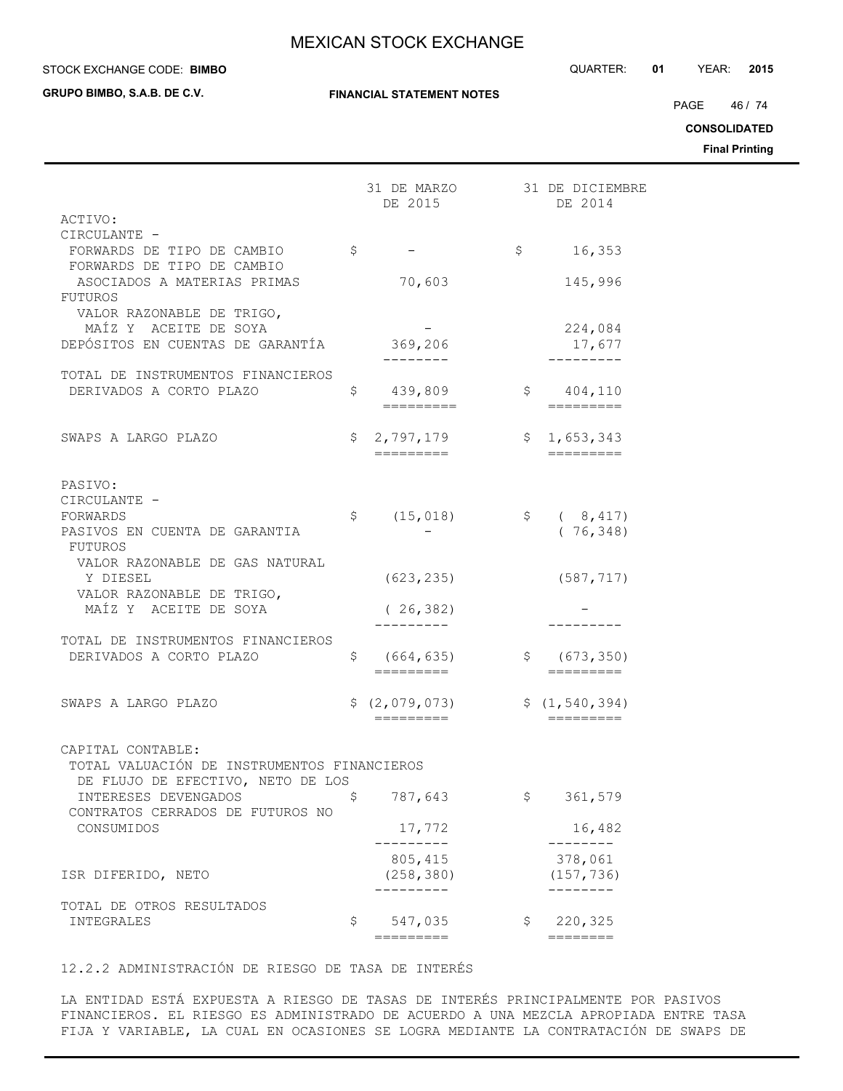#### STOCK EXCHANGE CODE: QUARTER: **01** YEAR: **2015 BIMBO**

**GRUPO BIMBO, S.A.B. DE C.V.**

PAGE 46 / 74

**CONSOLIDATED**

**Final Printing**

|                                                                  |    | 31 DE MARZO                         |              | 31 DE DICIEMBRE<br>DE 2014          |
|------------------------------------------------------------------|----|-------------------------------------|--------------|-------------------------------------|
| ACTIVO:                                                          |    | DE 2015                             |              |                                     |
| CIRCULANTE -                                                     |    |                                     |              |                                     |
| FORWARDS DE TIPO DE CAMBIO<br>FORWARDS DE TIPO DE CAMBIO         | \$ |                                     | \$           | 16,353                              |
| ASOCIADOS A MATERIAS PRIMAS                                      |    | 70,603                              |              | 145,996                             |
| <b>FUTUROS</b><br>VALOR RAZONABLE DE TRIGO,                      |    |                                     |              |                                     |
| MAÍZ Y ACEITE DE SOYA<br>DEPÓSITOS EN CUENTAS DE GARANTÍA        |    | 369,206                             |              | 224,084<br>17,677                   |
|                                                                  |    |                                     |              |                                     |
| TOTAL DE INSTRUMENTOS FINANCIEROS                                |    |                                     |              |                                     |
| DERIVADOS A CORTO PLAZO                                          |    | $\mathsf{S}$<br>439,809             |              | \$ 404, 110                         |
|                                                                  |    | =========                           |              | =========                           |
| SWAPS A LARGO PLAZO                                              | \$ | 2,797,179                           | \$           | 1,653,343                           |
|                                                                  |    | $=$ $=$ $=$ $=$ $=$ $=$ $=$ $=$ $=$ |              | $=$ $=$ $=$ $=$ $=$ $=$ $=$ $=$ $=$ |
| PASIVO:                                                          |    |                                     |              |                                     |
| CIRCULANTE -                                                     |    |                                     |              |                                     |
| FORWARDS                                                         | Ş. | (15, 018)                           | $\mathsf{S}$ | (8, 417)                            |
| PASIVOS EN CUENTA DE GARANTIA                                    |    |                                     |              | (76, 348)                           |
| FUTUROS<br>VALOR RAZONABLE DE GAS NATURAL                        |    |                                     |              |                                     |
| Y DIESEL                                                         |    | (623, 235)                          |              | (587, 717)                          |
| VALOR RAZONABLE DE TRIGO,                                        |    |                                     |              |                                     |
| MAÍZ Y ACEITE DE SOYA                                            |    | (26, 382)                           |              |                                     |
| TOTAL DE INSTRUMENTOS FINANCIEROS                                |    |                                     |              | -------                             |
| DERIVADOS A CORTO PLAZO                                          | \$ | (664, 635)                          | Ş.           | (673, 350)                          |
|                                                                  |    | =========                           |              |                                     |
| SWAPS A LARGO PLAZO                                              |    | \$ (2,079,073)                      |              | \$(1, 540, 394)                     |
|                                                                  |    | =========                           |              | =========                           |
|                                                                  |    |                                     |              |                                     |
| CAPITAL CONTABLE:<br>TOTAL VALUACIÓN DE INSTRUMENTOS FINANCIEROS |    |                                     |              |                                     |
| DE FLUJO DE EFECTIVO, NETO DE LOS                                |    |                                     |              |                                     |
| INTERESES DEVENGADOS                                             | \$ | 787,643                             | \$           | 361,579                             |
| CONTRATOS CERRADOS DE FUTUROS NO                                 |    |                                     |              |                                     |
| CONSUMIDOS                                                       |    | 17,772                              |              | 16,482                              |
|                                                                  |    | 805, 415                            |              | 378,061                             |
| ISR DIFERIDO, NETO                                               |    | (258, 380)                          |              | (157, 736)                          |
| TOTAL DE OTROS RESULTADOS                                        |    |                                     |              |                                     |
| INTEGRALES                                                       | \$ | 547,035                             | \$           | 220,325                             |
|                                                                  |    | =========                           |              | ========                            |

12.2.2 ADMINISTRACIÓN DE RIESGO DE TASA DE INTERÉS

LA ENTIDAD ESTÁ EXPUESTA A RIESGO DE TASAS DE INTERÉS PRINCIPALMENTE POR PASIVOS FINANCIEROS. EL RIESGO ES ADMINISTRADO DE ACUERDO A UNA MEZCLA APROPIADA ENTRE TASA FIJA Y VARIABLE, LA CUAL EN OCASIONES SE LOGRA MEDIANTE LA CONTRATACIÓN DE SWAPS DE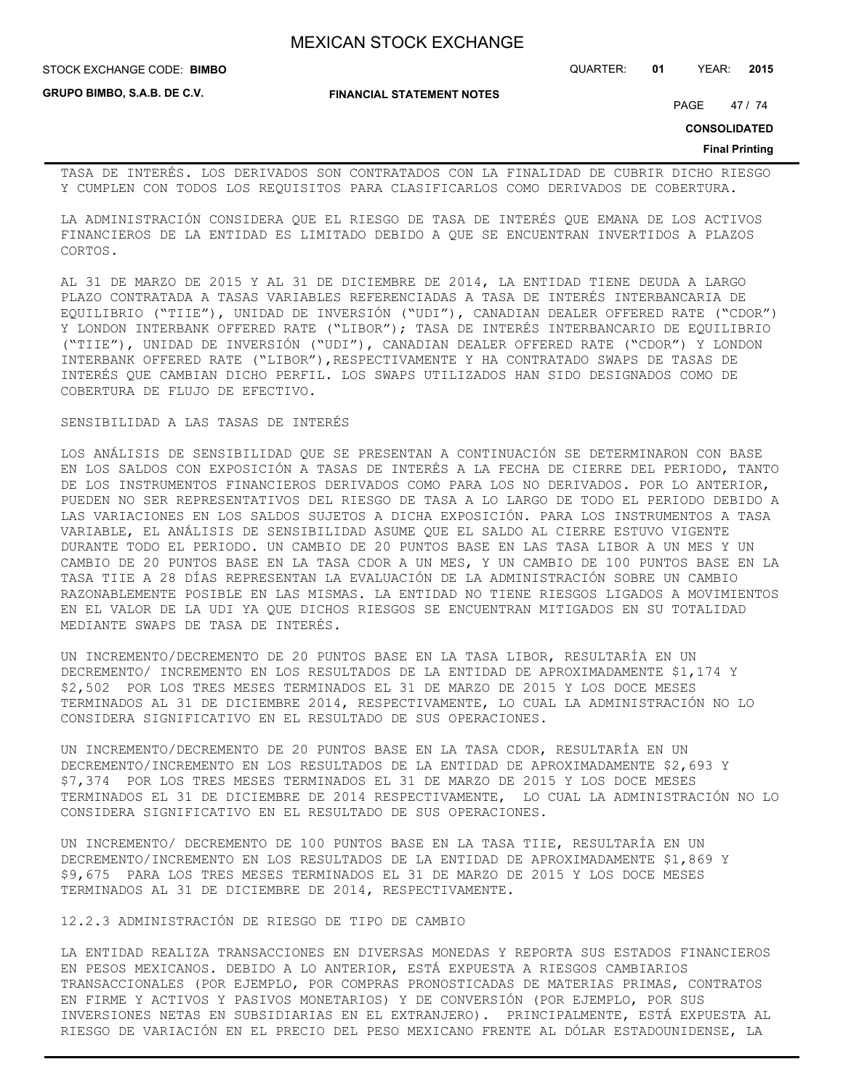STOCK EXCHANGE CODE: QUARTER: **01** YEAR: **2015 BIMBO**

**GRUPO BIMBO, S.A.B. DE C.V.**

**FINANCIAL STATEMENT NOTES**

PAGE 47 / 74

**CONSOLIDATED**

#### **Final Printing**

TASA DE INTERÉS. LOS DERIVADOS SON CONTRATADOS CON LA FINALIDAD DE CUBRIR DICHO RIESGO Y CUMPLEN CON TODOS LOS REQUISITOS PARA CLASIFICARLOS COMO DERIVADOS DE COBERTURA.

LA ADMINISTRACIÓN CONSIDERA QUE EL RIESGO DE TASA DE INTERÉS QUE EMANA DE LOS ACTIVOS FINANCIEROS DE LA ENTIDAD ES LIMITADO DEBIDO A QUE SE ENCUENTRAN INVERTIDOS A PLAZOS CORTOS.

AL 31 DE MARZO DE 2015 Y AL 31 DE DICIEMBRE DE 2014, LA ENTIDAD TIENE DEUDA A LARGO PLAZO CONTRATADA A TASAS VARIABLES REFERENCIADAS A TASA DE INTERÉS INTERBANCARIA DE EQUILIBRIO ("TIIE"), UNIDAD DE INVERSIÓN ("UDI"), CANADIAN DEALER OFFERED RATE ("CDOR") Y LONDON INTERBANK OFFERED RATE ("LIBOR"); TASA DE INTERÉS INTERBANCARIO DE EQUILIBRIO ("TIIE"), UNIDAD DE INVERSIÓN ("UDI"), CANADIAN DEALER OFFERED RATE ("CDOR") Y LONDON INTERBANK OFFERED RATE ("LIBOR"),RESPECTIVAMENTE Y HA CONTRATADO SWAPS DE TASAS DE INTERÉS QUE CAMBIAN DICHO PERFIL. LOS SWAPS UTILIZADOS HAN SIDO DESIGNADOS COMO DE COBERTURA DE FLUJO DE EFECTIVO.

SENSIBILIDAD A LAS TASAS DE INTERÉS

LOS ANÁLISIS DE SENSIBILIDAD QUE SE PRESENTAN A CONTINUACIÓN SE DETERMINARON CON BASE EN LOS SALDOS CON EXPOSICIÓN A TASAS DE INTERÉS A LA FECHA DE CIERRE DEL PERIODO, TANTO DE LOS INSTRUMENTOS FINANCIEROS DERIVADOS COMO PARA LOS NO DERIVADOS. POR LO ANTERIOR, PUEDEN NO SER REPRESENTATIVOS DEL RIESGO DE TASA A LO LARGO DE TODO EL PERIODO DEBIDO A LAS VARIACIONES EN LOS SALDOS SUJETOS A DICHA EXPOSICIÓN. PARA LOS INSTRUMENTOS A TASA VARIABLE, EL ANÁLISIS DE SENSIBILIDAD ASUME QUE EL SALDO AL CIERRE ESTUVO VIGENTE DURANTE TODO EL PERIODO. UN CAMBIO DE 20 PUNTOS BASE EN LAS TASA LIBOR A UN MES Y UN CAMBIO DE 20 PUNTOS BASE EN LA TASA CDOR A UN MES, Y UN CAMBIO DE 100 PUNTOS BASE EN LA TASA TIIE A 28 DÍAS REPRESENTAN LA EVALUACIÓN DE LA ADMINISTRACIÓN SOBRE UN CAMBIO RAZONABLEMENTE POSIBLE EN LAS MISMAS. LA ENTIDAD NO TIENE RIESGOS LIGADOS A MOVIMIENTOS EN EL VALOR DE LA UDI YA QUE DICHOS RIESGOS SE ENCUENTRAN MITIGADOS EN SU TOTALIDAD MEDIANTE SWAPS DE TASA DE INTERÉS.

UN INCREMENTO/DECREMENTO DE 20 PUNTOS BASE EN LA TASA LIBOR, RESULTARÍA EN UN DECREMENTO/ INCREMENTO EN LOS RESULTADOS DE LA ENTIDAD DE APROXIMADAMENTE \$1,174 Y \$2,502 POR LOS TRES MESES TERMINADOS EL 31 DE MARZO DE 2015 Y LOS DOCE MESES TERMINADOS AL 31 DE DICIEMBRE 2014, RESPECTIVAMENTE, LO CUAL LA ADMINISTRACIÓN NO LO CONSIDERA SIGNIFICATIVO EN EL RESULTADO DE SUS OPERACIONES.

UN INCREMENTO/DECREMENTO DE 20 PUNTOS BASE EN LA TASA CDOR, RESULTARÍA EN UN DECREMENTO/INCREMENTO EN LOS RESULTADOS DE LA ENTIDAD DE APROXIMADAMENTE \$2,693 Y \$7,374 POR LOS TRES MESES TERMINADOS EL 31 DE MARZO DE 2015 Y LOS DOCE MESES TERMINADOS EL 31 DE DICIEMBRE DE 2014 RESPECTIVAMENTE, LO CUAL LA ADMINISTRACIÓN NO LO CONSIDERA SIGNIFICATIVO EN EL RESULTADO DE SUS OPERACIONES.

UN INCREMENTO/ DECREMENTO DE 100 PUNTOS BASE EN LA TASA TIIE, RESULTARÍA EN UN DECREMENTO/INCREMENTO EN LOS RESULTADOS DE LA ENTIDAD DE APROXIMADAMENTE \$1,869 Y \$9,675 PARA LOS TRES MESES TERMINADOS EL 31 DE MARZO DE 2015 Y LOS DOCE MESES TERMINADOS AL 31 DE DICIEMBRE DE 2014, RESPECTIVAMENTE.

12.2.3 ADMINISTRACIÓN DE RIESGO DE TIPO DE CAMBIO

LA ENTIDAD REALIZA TRANSACCIONES EN DIVERSAS MONEDAS Y REPORTA SUS ESTADOS FINANCIEROS EN PESOS MEXICANOS. DEBIDO A LO ANTERIOR, ESTÁ EXPUESTA A RIESGOS CAMBIARIOS TRANSACCIONALES (POR EJEMPLO, POR COMPRAS PRONOSTICADAS DE MATERIAS PRIMAS, CONTRATOS EN FIRME Y ACTIVOS Y PASIVOS MONETARIOS) Y DE CONVERSIÓN (POR EJEMPLO, POR SUS INVERSIONES NETAS EN SUBSIDIARIAS EN EL EXTRANJERO). PRINCIPALMENTE, ESTÁ EXPUESTA AL RIESGO DE VARIACIÓN EN EL PRECIO DEL PESO MEXICANO FRENTE AL DÓLAR ESTADOUNIDENSE, LA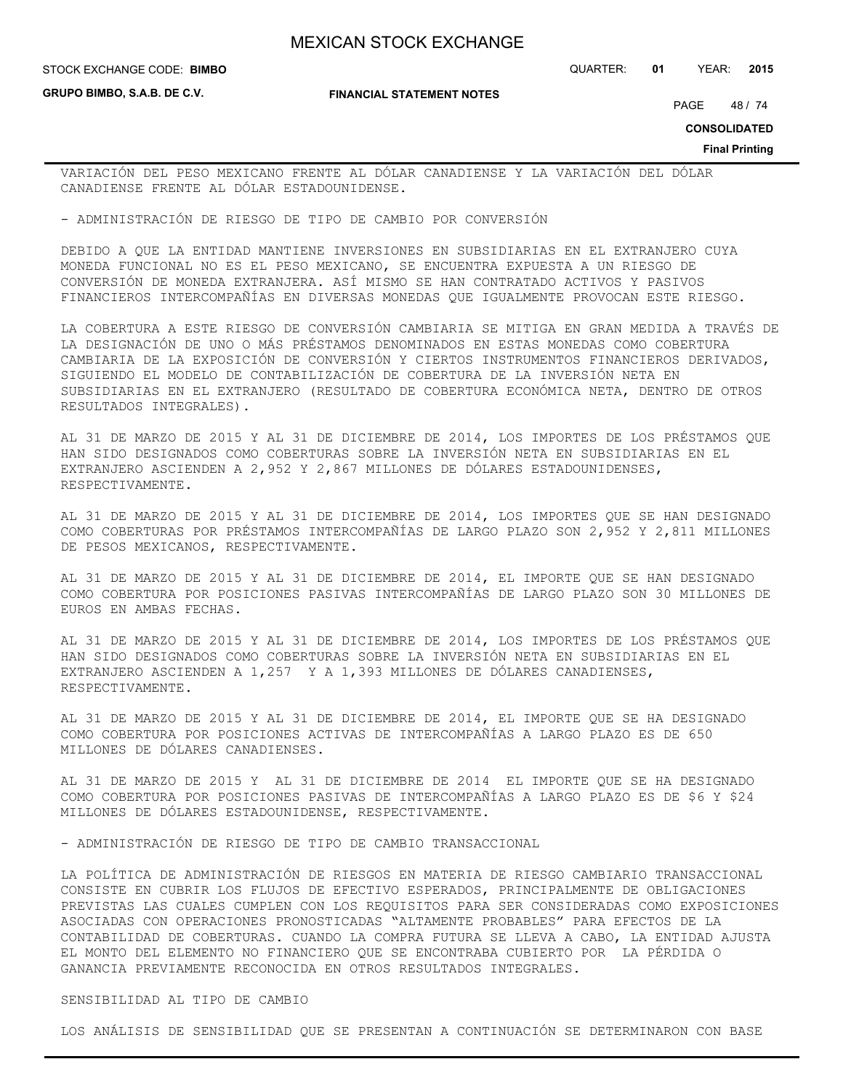**GRUPO BIMBO, S.A.B. DE C.V.**

#### **FINANCIAL STATEMENT NOTES**

STOCK EXCHANGE CODE: QUARTER: **01** YEAR: **2015 BIMBO**

PAGE 48 / 74

**CONSOLIDATED**

**Final Printing**

VARIACIÓN DEL PESO MEXICANO FRENTE AL DÓLAR CANADIENSE Y LA VARIACIÓN DEL DÓLAR CANADIENSE FRENTE AL DÓLAR ESTADOUNIDENSE.

- ADMINISTRACIÓN DE RIESGO DE TIPO DE CAMBIO POR CONVERSIÓN

DEBIDO A QUE LA ENTIDAD MANTIENE INVERSIONES EN SUBSIDIARIAS EN EL EXTRANJERO CUYA MONEDA FUNCIONAL NO ES EL PESO MEXICANO, SE ENCUENTRA EXPUESTA A UN RIESGO DE CONVERSIÓN DE MONEDA EXTRANJERA. ASÍ MISMO SE HAN CONTRATADO ACTIVOS Y PASIVOS FINANCIEROS INTERCOMPAÑÍAS EN DIVERSAS MONEDAS QUE IGUALMENTE PROVOCAN ESTE RIESGO.

LA COBERTURA A ESTE RIESGO DE CONVERSIÓN CAMBIARIA SE MITIGA EN GRAN MEDIDA A TRAVÉS DE LA DESIGNACIÓN DE UNO O MÁS PRÉSTAMOS DENOMINADOS EN ESTAS MONEDAS COMO COBERTURA CAMBIARIA DE LA EXPOSICIÓN DE CONVERSIÓN Y CIERTOS INSTRUMENTOS FINANCIEROS DERIVADOS, SIGUIENDO EL MODELO DE CONTABILIZACIÓN DE COBERTURA DE LA INVERSIÓN NETA EN SUBSIDIARIAS EN EL EXTRANJERO (RESULTADO DE COBERTURA ECONÓMICA NETA, DENTRO DE OTROS RESULTADOS INTEGRALES).

AL 31 DE MARZO DE 2015 Y AL 31 DE DICIEMBRE DE 2014, LOS IMPORTES DE LOS PRÉSTAMOS QUE HAN SIDO DESIGNADOS COMO COBERTURAS SOBRE LA INVERSIÓN NETA EN SUBSIDIARIAS EN EL EXTRANJERO ASCIENDEN A 2,952 Y 2,867 MILLONES DE DÓLARES ESTADOUNIDENSES, RESPECTIVAMENTE.

AL 31 DE MARZO DE 2015 Y AL 31 DE DICIEMBRE DE 2014, LOS IMPORTES QUE SE HAN DESIGNADO COMO COBERTURAS POR PRÉSTAMOS INTERCOMPAÑÍAS DE LARGO PLAZO SON 2,952 Y 2,811 MILLONES DE PESOS MEXICANOS, RESPECTIVAMENTE.

AL 31 DE MARZO DE 2015 Y AL 31 DE DICIEMBRE DE 2014, EL IMPORTE QUE SE HAN DESIGNADO COMO COBERTURA POR POSICIONES PASIVAS INTERCOMPAÑÍAS DE LARGO PLAZO SON 30 MILLONES DE EUROS EN AMBAS FECHAS.

AL 31 DE MARZO DE 2015 Y AL 31 DE DICIEMBRE DE 2014, LOS IMPORTES DE LOS PRÉSTAMOS QUE HAN SIDO DESIGNADOS COMO COBERTURAS SOBRE LA INVERSIÓN NETA EN SUBSIDIARIAS EN EL EXTRANJERO ASCIENDEN A 1,257 Y A 1,393 MILLONES DE DÓLARES CANADIENSES, RESPECTIVAMENTE.

AL 31 DE MARZO DE 2015 Y AL 31 DE DICIEMBRE DE 2014, EL IMPORTE QUE SE HA DESIGNADO COMO COBERTURA POR POSICIONES ACTIVAS DE INTERCOMPAÑÍAS A LARGO PLAZO ES DE 650 MILLONES DE DÓLARES CANADIENSES.

AL 31 DE MARZO DE 2015 Y AL 31 DE DICIEMBRE DE 2014 EL IMPORTE QUE SE HA DESIGNADO COMO COBERTURA POR POSICIONES PASIVAS DE INTERCOMPAÑÍAS A LARGO PLAZO ES DE \$6 Y \$24 MILLONES DE DÓLARES ESTADOUNIDENSE, RESPECTIVAMENTE.

- ADMINISTRACIÓN DE RIESGO DE TIPO DE CAMBIO TRANSACCIONAL

LA POLÍTICA DE ADMINISTRACIÓN DE RIESGOS EN MATERIA DE RIESGO CAMBIARIO TRANSACCIONAL CONSISTE EN CUBRIR LOS FLUJOS DE EFECTIVO ESPERADOS, PRINCIPALMENTE DE OBLIGACIONES PREVISTAS LAS CUALES CUMPLEN CON LOS REQUISITOS PARA SER CONSIDERADAS COMO EXPOSICIONES ASOCIADAS CON OPERACIONES PRONOSTICADAS "ALTAMENTE PROBABLES" PARA EFECTOS DE LA CONTABILIDAD DE COBERTURAS. CUANDO LA COMPRA FUTURA SE LLEVA A CABO, LA ENTIDAD AJUSTA EL MONTO DEL ELEMENTO NO FINANCIERO QUE SE ENCONTRABA CUBIERTO POR LA PÉRDIDA O GANANCIA PREVIAMENTE RECONOCIDA EN OTROS RESULTADOS INTEGRALES.

SENSIBILIDAD AL TIPO DE CAMBIO

LOS ANÁLISIS DE SENSIBILIDAD QUE SE PRESENTAN A CONTINUACIÓN SE DETERMINARON CON BASE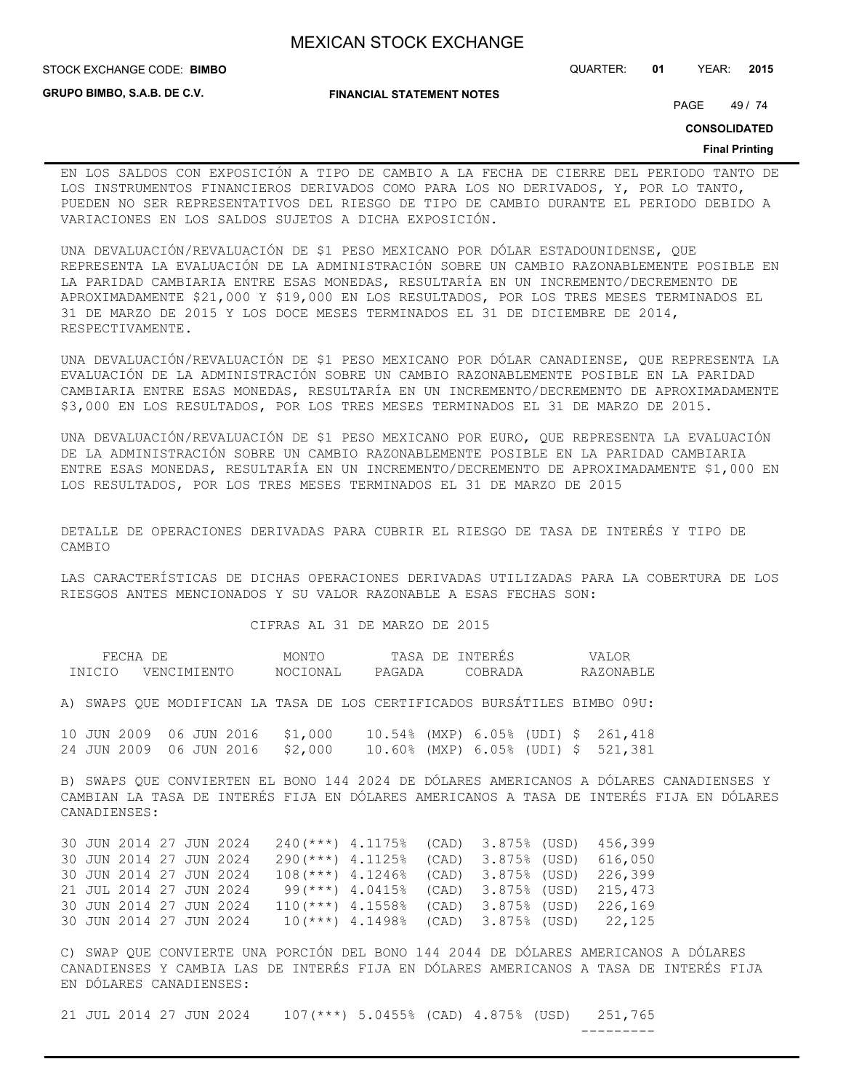**FINANCIAL STATEMENT NOTES**

STOCK EXCHANGE CODE: QUARTER: **01** YEAR: **2015 BIMBO**

**GRUPO BIMBO, S.A.B. DE C.V.**

PAGE 49 / 74

**CONSOLIDATED**

#### **Final Printing**

EN LOS SALDOS CON EXPOSICIÓN A TIPO DE CAMBIO A LA FECHA DE CIERRE DEL PERIODO TANTO DE LOS INSTRUMENTOS FINANCIEROS DERIVADOS COMO PARA LOS NO DERIVADOS, Y, POR LO TANTO, PUEDEN NO SER REPRESENTATIVOS DEL RIESGO DE TIPO DE CAMBIO DURANTE EL PERIODO DEBIDO A VARIACIONES EN LOS SALDOS SUJETOS A DICHA EXPOSICIÓN.

UNA DEVALUACIÓN/REVALUACIÓN DE \$1 PESO MEXICANO POR DÓLAR ESTADOUNIDENSE, QUE REPRESENTA LA EVALUACIÓN DE LA ADMINISTRACIÓN SOBRE UN CAMBIO RAZONABLEMENTE POSIBLE EN LA PARIDAD CAMBIARIA ENTRE ESAS MONEDAS, RESULTARÍA EN UN INCREMENTO/DECREMENTO DE APROXIMADAMENTE \$21,000 Y \$19,000 EN LOS RESULTADOS, POR LOS TRES MESES TERMINADOS EL 31 DE MARZO DE 2015 Y LOS DOCE MESES TERMINADOS EL 31 DE DICIEMBRE DE 2014, RESPECTIVAMENTE.

UNA DEVALUACIÓN/REVALUACIÓN DE \$1 PESO MEXICANO POR DÓLAR CANADIENSE, QUE REPRESENTA LA EVALUACIÓN DE LA ADMINISTRACIÓN SOBRE UN CAMBIO RAZONABLEMENTE POSIBLE EN LA PARIDAD CAMBIARIA ENTRE ESAS MONEDAS, RESULTARÍA EN UN INCREMENTO/DECREMENTO DE APROXIMADAMENTE \$3,000 EN LOS RESULTADOS, POR LOS TRES MESES TERMINADOS EL 31 DE MARZO DE 2015.

UNA DEVALUACIÓN/REVALUACIÓN DE \$1 PESO MEXICANO POR EURO, QUE REPRESENTA LA EVALUACIÓN DE LA ADMINISTRACIÓN SOBRE UN CAMBIO RAZONABLEMENTE POSIBLE EN LA PARIDAD CAMBIARIA ENTRE ESAS MONEDAS, RESULTARÍA EN UN INCREMENTO/DECREMENTO DE APROXIMADAMENTE \$1,000 EN LOS RESULTADOS, POR LOS TRES MESES TERMINADOS EL 31 DE MARZO DE 2015

DETALLE DE OPERACIONES DERIVADAS PARA CUBRIR EL RIESGO DE TASA DE INTERÉS Y TIPO DE CAMBIO

LAS CARACTERÍSTICAS DE DICHAS OPERACIONES DERIVADAS UTILIZADAS PARA LA COBERTURA DE LOS RIESGOS ANTES MENCIONADOS Y SU VALOR RAZONABLE A ESAS FECHAS SON:

#### CIFRAS AL 31 DE MARZO DE 2015

| FEC <sup>UT</sup> | DF                 | MONTC           | TASA<br>7F. | -NTF | 7 ∆<br>$\mathbf{1}$ |
|-------------------|--------------------|-----------------|-------------|------|---------------------|
| NTATA.            | LMTENTC<br>7 E N C | <b>NOCTONAT</b> | PAGADA      | ∼    | RAZONARLE           |

A) SWAPS QUE MODIFICAN LA TASA DE LOS CERTIFICADOS BURSÁTILES BIMBO 09U:

10 JUN 2009 06 JUN 2016 \$1,000 10.54% (MXP) 6.05% (UDI) \$ 261,418 24 JUN 2009 06 JUN 2016 \$2,000 10.60% (MXP) 6.05% (UDI) \$ 521,381

B) SWAPS QUE CONVIERTEN EL BONO 144 2024 DE DÓLARES AMERICANOS A DÓLARES CANADIENSES Y CAMBIAN LA TASA DE INTERÉS FIJA EN DÓLARES AMERICANOS A TASA DE INTERÉS FIJA EN DÓLARES CANADIENSES:

|  | 30 JUN 2014 27 JUN 2024 |  |  |  |  | $240$ (***) $4.1175\%$ (CAD) 3.875% (USD) 456,399 |
|--|-------------------------|--|--|--|--|---------------------------------------------------|
|  | 30 JUN 2014 27 JUN 2024 |  |  |  |  | $290$ (***) 4.1125% (CAD) 3.875% (USD) 616,050    |
|  | 30 JUN 2014 27 JUN 2024 |  |  |  |  | $108$ (***) 4.1246% (CAD) 3.875% (USD) 226,399    |
|  | 21 JUL 2014 27 JUN 2024 |  |  |  |  | 99(***) 4.0415% (CAD) 3.875% (USD) 215,473        |
|  | 30 JUN 2014 27 JUN 2024 |  |  |  |  | $110(***)$ 4.1558% (CAD) 3.875% (USD) 226,169     |
|  | 30 JUN 2014 27 JUN 2024 |  |  |  |  | $10(***)$ 4.1498% (CAD) 3.875% (USD) 22,125       |

C) SWAP QUE CONVIERTE UNA PORCIÓN DEL BONO 144 2044 DE DÓLARES AMERICANOS A DÓLARES CANADIENSES Y CAMBIA LAS DE INTERÉS FIJA EN DÓLARES AMERICANOS A TASA DE INTERÉS FIJA EN DÓLARES CANADIENSES:

21 JUL 2014 27 JUN 2024 107(\*\*\*) 5.0455% (CAD) 4.875% (USD) 251,765 ---------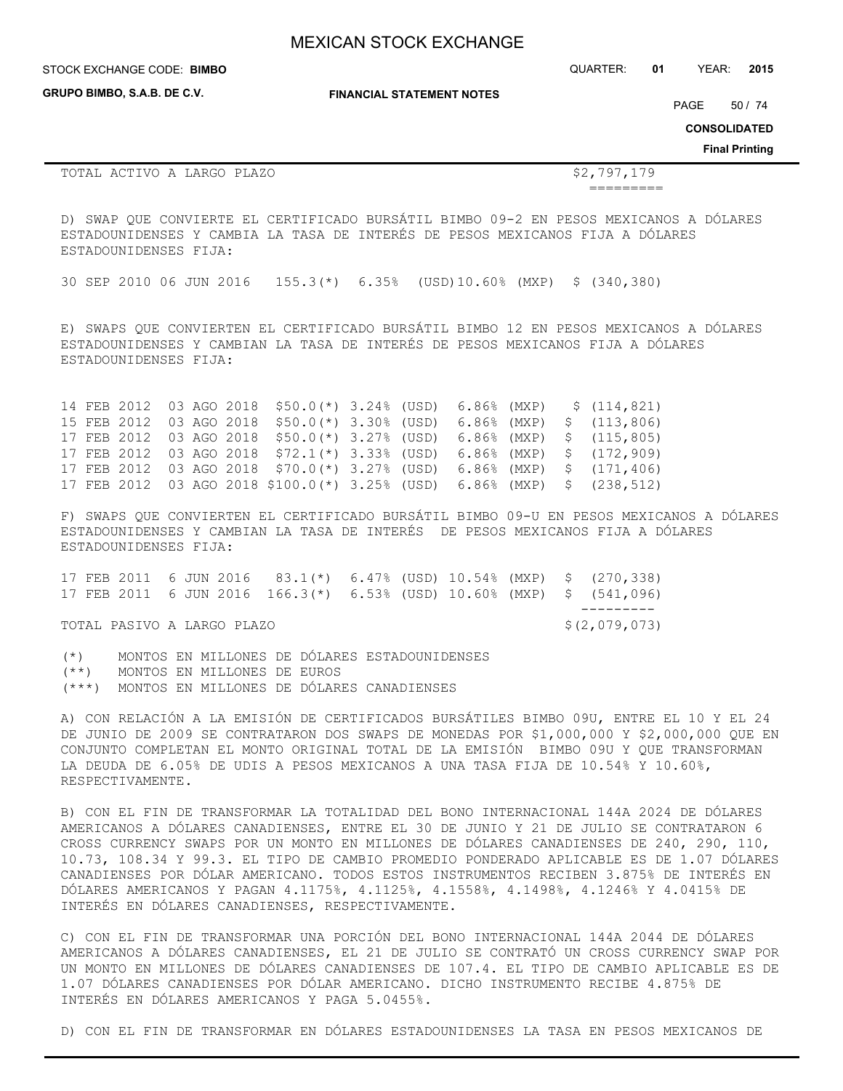**GRUPO BIMBO, S.A.B. DE C.V.**

STOCK EXCHANGE CODE: QUARTER: **01** YEAR: **2015 BIMBO**

**FINANCIAL STATEMENT NOTES**

PAGE 50 / 74

**CONSOLIDATED**

**Final Printing**

TOTAL ACTIVO A LARGO PLAZO **\$2,797,179** 

=========

D) SWAP QUE CONVIERTE EL CERTIFICADO BURSÁTIL BIMBO 09-2 EN PESOS MEXICANOS A DÓLARES ESTADOUNIDENSES Y CAMBIA LA TASA DE INTERÉS DE PESOS MEXICANOS FIJA A DÓLARES ESTADOUNIDENSES FIJA:

30 SEP 2010 06 JUN 2016 155.3(\*) 6.35% (USD)10.60% (MXP) \$ (340,380)

E) SWAPS QUE CONVIERTEN EL CERTIFICADO BURSÁTIL BIMBO 12 EN PESOS MEXICANOS A DÓLARES ESTADOUNIDENSES Y CAMBIAN LA TASA DE INTERÉS DE PESOS MEXICANOS FIJA A DÓLARES ESTADOUNIDENSES FIJA:

14 FEB 2012 03 AGO 2018 \$50.0(\*) 3.24% (USD) 6.86% (MXP) \$ (114,821) 15 FEB 2012 03 AGO 2018 \$50.0(\*) 3.30% (USD) 6.86% (MXP) \$ (113,806) 17 FEB 2012 03 AGO 2018 \$50.0(\*) 3.27% (USD) 6.86% (MXP) \$ (115,805) 17 FEB 2012 03 AGO 2018 \$72.1(\*) 3.33% (USD) 6.86% (MXP) \$ (172,909) 17 FEB 2012 03 AGO 2018 \$70.0(\*) 3.27% (USD) 6.86% (MXP) \$ (171,406) 17 FEB 2012 03 AGO 2018 \$100.0(\*) 3.25% (USD) 6.86% (MXP) \$ (238,512)

F) SWAPS QUE CONVIERTEN EL CERTIFICADO BURSÁTIL BIMBO 09-U EN PESOS MEXICANOS A DÓLARES ESTADOUNIDENSES Y CAMBIAN LA TASA DE INTERÉS DE PESOS MEXICANOS FIJA A DÓLARES ESTADOUNIDENSES FIJA:

17 FEB 2011 6 JUN 2016 83.1(\*) 6.47% (USD) 10.54% (MXP) \$ (270,338) 17 FEB 2011 6 JUN 2016 166.3(\*) 6.53% (USD) 10.60% (MXP) \$ (541,096) ---------

TOTAL PASIVO A LARGO PLAZO  $\zeta(2,079,073)$ 

(\*) MONTOS EN MILLONES DE DÓLARES ESTADOUNIDENSES (\*\*) MONTOS EN MILLONES DE EUROS (\*\*\*) MONTOS EN MILLONES DE DÓLARES CANADIENSES

A) CON RELACIÓN A LA EMISIÓN DE CERTIFICADOS BURSÁTILES BIMBO 09U, ENTRE EL 10 Y EL 24 DE JUNIO DE 2009 SE CONTRATARON DOS SWAPS DE MONEDAS POR \$1,000,000 Y \$2,000,000 QUE EN CONJUNTO COMPLETAN EL MONTO ORIGINAL TOTAL DE LA EMISIÓN BIMBO 09U Y QUE TRANSFORMAN LA DEUDA DE 6.05% DE UDIS A PESOS MEXICANOS A UNA TASA FIJA DE 10.54% Y 10.60%, RESPECTIVAMENTE.

B) CON EL FIN DE TRANSFORMAR LA TOTALIDAD DEL BONO INTERNACIONAL 144A 2024 DE DÓLARES AMERICANOS A DÓLARES CANADIENSES, ENTRE EL 30 DE JUNIO Y 21 DE JULIO SE CONTRATARON 6 CROSS CURRENCY SWAPS POR UN MONTO EN MILLONES DE DÓLARES CANADIENSES DE 240, 290, 110, 10.73, 108.34 Y 99.3. EL TIPO DE CAMBIO PROMEDIO PONDERADO APLICABLE ES DE 1.07 DÓLARES CANADIENSES POR DÓLAR AMERICANO. TODOS ESTOS INSTRUMENTOS RECIBEN 3.875% DE INTERÉS EN DÓLARES AMERICANOS Y PAGAN 4.1175%, 4.1125%, 4.1558%, 4.1498%, 4.1246% Y 4.0415% DE INTERÉS EN DÓLARES CANADIENSES, RESPECTIVAMENTE.

C) CON EL FIN DE TRANSFORMAR UNA PORCIÓN DEL BONO INTERNACIONAL 144A 2044 DE DÓLARES AMERICANOS A DÓLARES CANADIENSES, EL 21 DE JULIO SE CONTRATÓ UN CROSS CURRENCY SWAP POR UN MONTO EN MILLONES DE DÓLARES CANADIENSES DE 107.4. EL TIPO DE CAMBIO APLICABLE ES DE 1.07 DÓLARES CANADIENSES POR DÓLAR AMERICANO. DICHO INSTRUMENTO RECIBE 4.875% DE INTERÉS EN DÓLARES AMERICANOS Y PAGA 5.0455%.

D) CON EL FIN DE TRANSFORMAR EN DÓLARES ESTADOUNIDENSES LA TASA EN PESOS MEXICANOS DE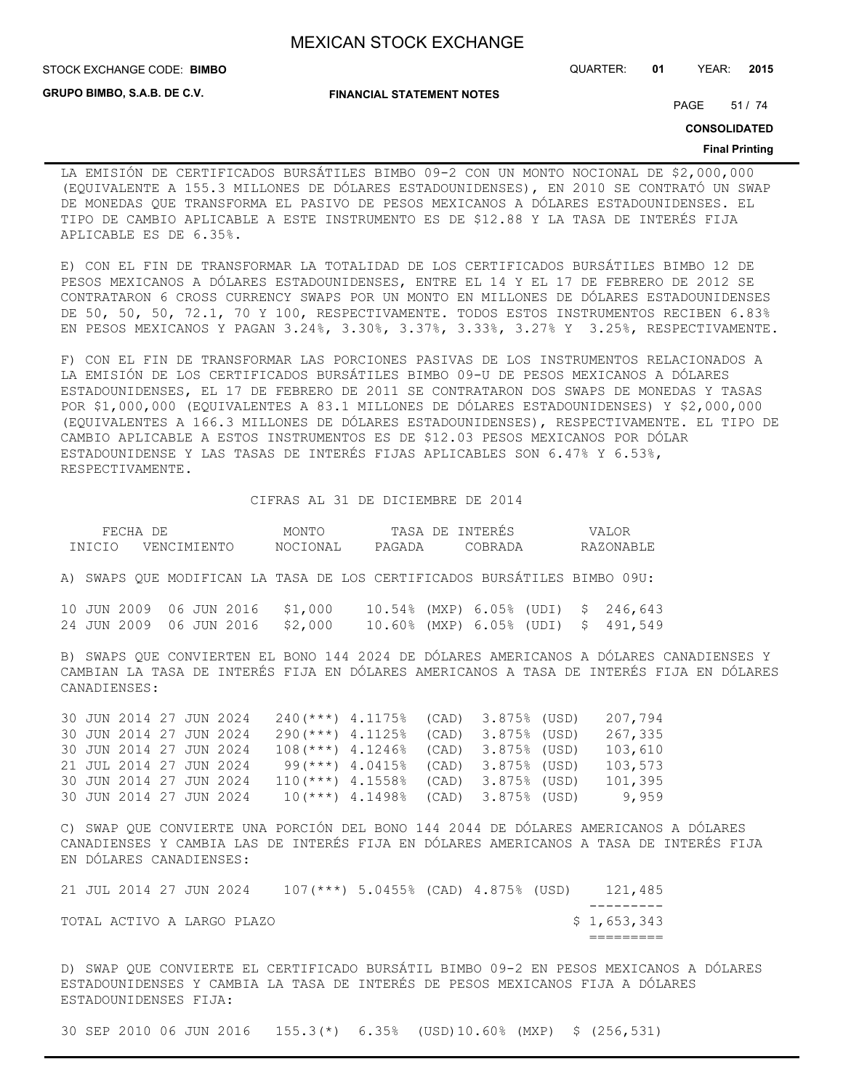STOCK EXCHANGE CODE: QUARTER: **01** YEAR: **2015 BIMBO**

**GRUPO BIMBO, S.A.B. DE C.V.**

**FINANCIAL STATEMENT NOTES**

PAGE 51 / 74

**CONSOLIDATED**

#### **Final Printing**

LA EMISIÓN DE CERTIFICADOS BURSÁTILES BIMBO 09-2 CON UN MONTO NOCIONAL DE \$2,000,000 (EQUIVALENTE A 155.3 MILLONES DE DÓLARES ESTADOUNIDENSES), EN 2010 SE CONTRATÓ UN SWAP DE MONEDAS QUE TRANSFORMA EL PASIVO DE PESOS MEXICANOS A DÓLARES ESTADOUNIDENSES. EL TIPO DE CAMBIO APLICABLE A ESTE INSTRUMENTO ES DE \$12.88 Y LA TASA DE INTERÉS FIJA APLICABLE ES DE 6.35%.

E) CON EL FIN DE TRANSFORMAR LA TOTALIDAD DE LOS CERTIFICADOS BURSÁTILES BIMBO 12 DE PESOS MEXICANOS A DÓLARES ESTADOUNIDENSES, ENTRE EL 14 Y EL 17 DE FEBRERO DE 2012 SE CONTRATARON 6 CROSS CURRENCY SWAPS POR UN MONTO EN MILLONES DE DÓLARES ESTADOUNIDENSES DE 50, 50, 50, 72.1, 70 Y 100, RESPECTIVAMENTE. TODOS ESTOS INSTRUMENTOS RECIBEN 6.83% EN PESOS MEXICANOS Y PAGAN 3.24%, 3.30%, 3.37%, 3.33%, 3.27% Y 3.25%, RESPECTIVAMENTE.

F) CON EL FIN DE TRANSFORMAR LAS PORCIONES PASIVAS DE LOS INSTRUMENTOS RELACIONADOS A LA EMISIÓN DE LOS CERTIFICADOS BURSÁTILES BIMBO 09-U DE PESOS MEXICANOS A DÓLARES ESTADOUNIDENSES, EL 17 DE FEBRERO DE 2011 SE CONTRATARON DOS SWAPS DE MONEDAS Y TASAS POR \$1,000,000 (EQUIVALENTES A 83.1 MILLONES DE DÓLARES ESTADOUNIDENSES) Y \$2,000,000 (EQUIVALENTES A 166.3 MILLONES DE DÓLARES ESTADOUNIDENSES), RESPECTIVAMENTE. EL TIPO DE CAMBIO APLICABLE A ESTOS INSTRUMENTOS ES DE \$12.03 PESOS MEXICANOS POR DÓLAR ESTADOUNIDENSE Y LAS TASAS DE INTERÉS FIJAS APLICABLES SON 6.47% Y 6.53%, RESPECTIVAMENTE.

CIFRAS AL 31 DE DICIEMBRE DE 2014

|        | FECHA DE                |  |             | MONTO                           |                                                                          |       | TASA DE INTERÉS | VALOR                                                                                                      |                                                                                                                                                                                   |
|--------|-------------------------|--|-------------|---------------------------------|--------------------------------------------------------------------------|-------|-----------------|------------------------------------------------------------------------------------------------------------|-----------------------------------------------------------------------------------------------------------------------------------------------------------------------------------|
| INICIO |                         |  | VENCIMIENTO | NOCIONAL                        | PAGADA                                                                   |       | COBRADA         | RAZONABLE                                                                                                  |                                                                                                                                                                                   |
|        |                         |  |             |                                 | A) SWAPS QUE MODIFICAN LA TASA DE LOS CERTIFICADOS BURSÁTILES BIMBO 09U: |       |                 |                                                                                                            |                                                                                                                                                                                   |
|        |                         |  |             | 24 JUN 2009 06 JUN 2016 \$2,000 |                                                                          |       |                 | 10 JUN 2009 06 JUN 2016 \$1,000 10.54% (MXP) 6.05% (UDI) \$ 246,643<br>10.60% (MXP) 6.05% (UDI) \$ 491,549 |                                                                                                                                                                                   |
|        | CANADIENSES:            |  |             |                                 |                                                                          |       |                 |                                                                                                            | B) SWAPS QUE CONVIERTEN EL BONO 144 2024 DE DÓLARES AMERICANOS A DÓLARES CANADIENSES Y<br>CAMBIAN LA TASA DE INTERÉS FIJA EN DÓLARES AMERICANOS A TASA DE INTERÉS FIJA EN DÓLARES |
|        | 30 JUN 2014 27 JUN 2024 |  |             |                                 | $240$ (***) 4.1175%                                                      | (CAD) | 3.875% (USD)    | 207,794                                                                                                    |                                                                                                                                                                                   |
|        | 30 JUN 2014 27 JUN 2024 |  |             | $290$ (***) 4.1125%             |                                                                          | (CAD) | 3.875% (USD)    | 267,335                                                                                                    |                                                                                                                                                                                   |
|        | 30 JUN 2014 27 JUN 2024 |  |             | $108$ (***) 4.1246%             |                                                                          | (CAD) | 3.875% (USD)    | 103,610                                                                                                    |                                                                                                                                                                                   |
|        | 21 JUL 2014 27 JUN 2024 |  |             | 99(***) 4.0415%                 |                                                                          | (CAD) | 3.875% (USD)    | 103,573                                                                                                    |                                                                                                                                                                                   |
|        | 30 JUN 2014 27 JUN 2024 |  |             | $110(***)$ 4.1558%              |                                                                          | (CAD) | 3.875% (USD)    | 101,395                                                                                                    |                                                                                                                                                                                   |
|        | 30 JUN 2014 27 JUN 2024 |  |             |                                 | $10(***)$ 4.1498%                                                        | (CAD) | 3.875% (USD)    | 9,959                                                                                                      |                                                                                                                                                                                   |

C) SWAP QUE CONVIERTE UNA PORCIÓN DEL BONO 144 2044 DE DÓLARES AMERICANOS A DÓLARES CANADIENSES Y CAMBIA LAS DE INTERÉS FIJA EN DÓLARES AMERICANOS A TASA DE INTERÉS FIJA EN DÓLARES CANADIENSES:

|  |                         |  | TOTAL ACTIVO A LARGO PLAZO |                                        |  |  | \$1,653,343 |
|--|-------------------------|--|----------------------------|----------------------------------------|--|--|-------------|
|  |                         |  |                            |                                        |  |  |             |
|  | 21 JUL 2014 27 JUN 2024 |  |                            | $107$ (***) 5.0455% (CAD) 4.875% (USD) |  |  | 121,485     |

D) SWAP QUE CONVIERTE EL CERTIFICADO BURSÁTIL BIMBO 09-2 EN PESOS MEXICANOS A DÓLARES ESTADOUNIDENSES Y CAMBIA LA TASA DE INTERÉS DE PESOS MEXICANOS FIJA A DÓLARES ESTADOUNIDENSES FIJA:

30 SEP 2010 06 JUN 2016 155.3(\*) 6.35% (USD)10.60% (MXP) \$ (256,531)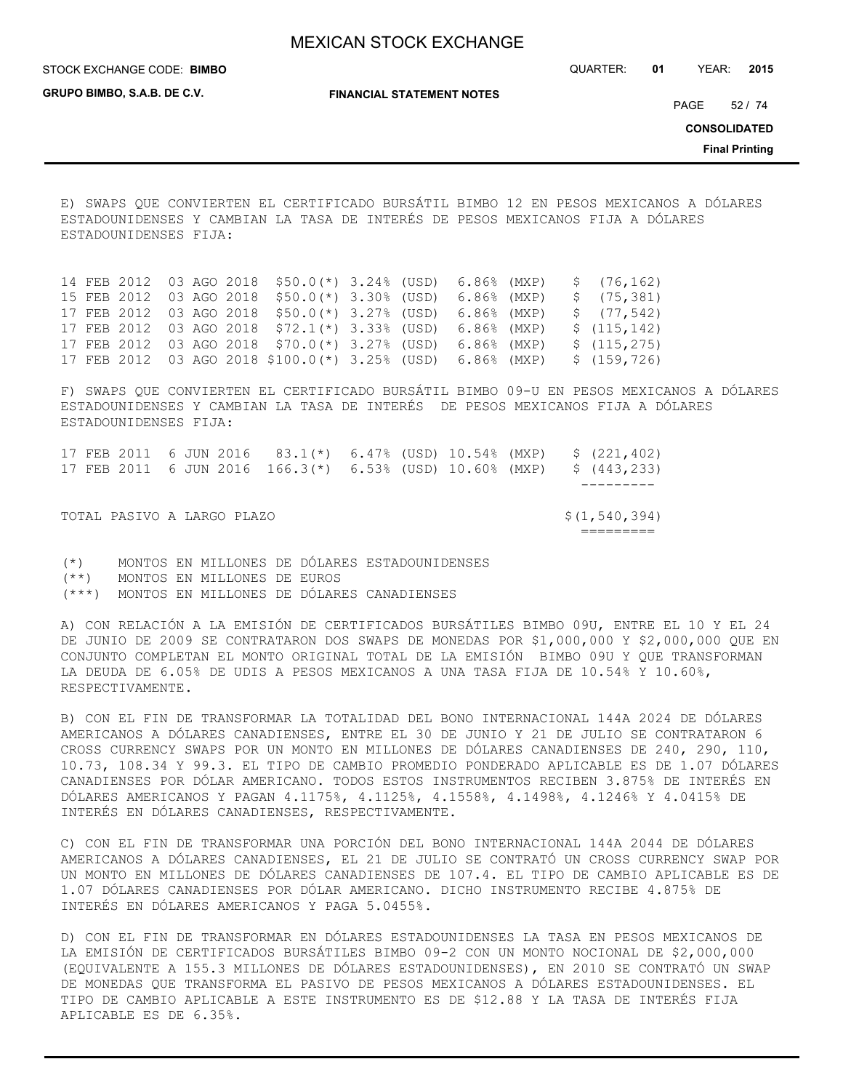STOCK EXCHANGE CODE: QUARTER: **01** YEAR: **2015 BIMBO**

**GRUPO BIMBO, S.A.B. DE C.V.**

**FINANCIAL STATEMENT NOTES**

PAGE 52 / 74

**CONSOLIDATED**

**Final Printing**

E) SWAPS QUE CONVIERTEN EL CERTIFICADO BURSÁTIL BIMBO 12 EN PESOS MEXICANOS A DÓLARES ESTADOUNIDENSES Y CAMBIAN LA TASA DE INTERÉS DE PESOS MEXICANOS FIJA A DÓLARES ESTADOUNIDENSES FIJA:

14 FEB 2012 03 AGO 2018 \$50.0(\*) 3.24% (USD) 6.86% (MXP) \$ (76,162) 15 FEB 2012 03 AGO 2018 \$50.0(\*) 3.30% (USD) 6.86% (MXP) \$ (75,381) 17 FEB 2012 03 AGO 2018 \$50.0(\*) 3.27% (USD) 6.86% (MXP) \$ (77,542) 17 FEB 2012 03 AGO 2018 \$72.1(\*) 3.33% (USD) 6.86% (MXP) \$ (115,142) 17 FEB 2012 03 AGO 2018 \$70.0(\*) 3.27% (USD) 6.86% (MXP) \$ (115,275) 17 FEB 2012 03 AGO 2018 \$100.0(\*) 3.25% (USD) 6.86% (MXP) \$ (159,726)

F) SWAPS QUE CONVIERTEN EL CERTIFICADO BURSÁTIL BIMBO 09-U EN PESOS MEXICANOS A DÓLARES ESTADOUNIDENSES Y CAMBIAN LA TASA DE INTERÉS DE PESOS MEXICANOS FIJA A DÓLARES ESTADOUNIDENSES FIJA:

17 FEB 2011 6 JUN 2016 83.1(\*) 6.47% (USD) 10.54% (MXP) \$ (221,402) 17 FEB 2011 6 JUN 2016 166.3(\*) 6.53% (USD) 10.60% (MXP) \$ (443,233) --------- TOTAL PASIVO A LARGO PLAZO  $\{(1,540,394)$ =========

(\*) MONTOS EN MILLONES DE DÓLARES ESTADOUNIDENSES (\*\*) MONTOS EN MILLONES DE EUROS (\*\*\*) MONTOS EN MILLONES DE DÓLARES CANADIENSES

A) CON RELACIÓN A LA EMISIÓN DE CERTIFICADOS BURSÁTILES BIMBO 09U, ENTRE EL 10 Y EL 24 DE JUNIO DE 2009 SE CONTRATARON DOS SWAPS DE MONEDAS POR \$1,000,000 Y \$2,000,000 QUE EN CONJUNTO COMPLETAN EL MONTO ORIGINAL TOTAL DE LA EMISIÓN BIMBO 09U Y QUE TRANSFORMAN LA DEUDA DE 6.05% DE UDIS A PESOS MEXICANOS A UNA TASA FIJA DE 10.54% Y 10.60%, RESPECTIVAMENTE.

B) CON EL FIN DE TRANSFORMAR LA TOTALIDAD DEL BONO INTERNACIONAL 144A 2024 DE DÓLARES AMERICANOS A DÓLARES CANADIENSES, ENTRE EL 30 DE JUNIO Y 21 DE JULIO SE CONTRATARON 6 CROSS CURRENCY SWAPS POR UN MONTO EN MILLONES DE DÓLARES CANADIENSES DE 240, 290, 110, 10.73, 108.34 Y 99.3. EL TIPO DE CAMBIO PROMEDIO PONDERADO APLICABLE ES DE 1.07 DÓLARES CANADIENSES POR DÓLAR AMERICANO. TODOS ESTOS INSTRUMENTOS RECIBEN 3.875% DE INTERÉS EN DÓLARES AMERICANOS Y PAGAN 4.1175%, 4.1125%, 4.1558%, 4.1498%, 4.1246% Y 4.0415% DE INTERÉS EN DÓLARES CANADIENSES, RESPECTIVAMENTE.

C) CON EL FIN DE TRANSFORMAR UNA PORCIÓN DEL BONO INTERNACIONAL 144A 2044 DE DÓLARES AMERICANOS A DÓLARES CANADIENSES, EL 21 DE JULIO SE CONTRATÓ UN CROSS CURRENCY SWAP POR UN MONTO EN MILLONES DE DÓLARES CANADIENSES DE 107.4. EL TIPO DE CAMBIO APLICABLE ES DE 1.07 DÓLARES CANADIENSES POR DÓLAR AMERICANO. DICHO INSTRUMENTO RECIBE 4.875% DE INTERÉS EN DÓLARES AMERICANOS Y PAGA 5.0455%.

D) CON EL FIN DE TRANSFORMAR EN DÓLARES ESTADOUNIDENSES LA TASA EN PESOS MEXICANOS DE LA EMISIÓN DE CERTIFICADOS BURSÁTILES BIMBO 09-2 CON UN MONTO NOCIONAL DE \$2,000,000 (EQUIVALENTE A 155.3 MILLONES DE DÓLARES ESTADOUNIDENSES), EN 2010 SE CONTRATÓ UN SWAP DE MONEDAS QUE TRANSFORMA EL PASIVO DE PESOS MEXICANOS A DÓLARES ESTADOUNIDENSES. EL TIPO DE CAMBIO APLICABLE A ESTE INSTRUMENTO ES DE \$12.88 Y LA TASA DE INTERÉS FIJA APLICABLE ES DE 6.35%.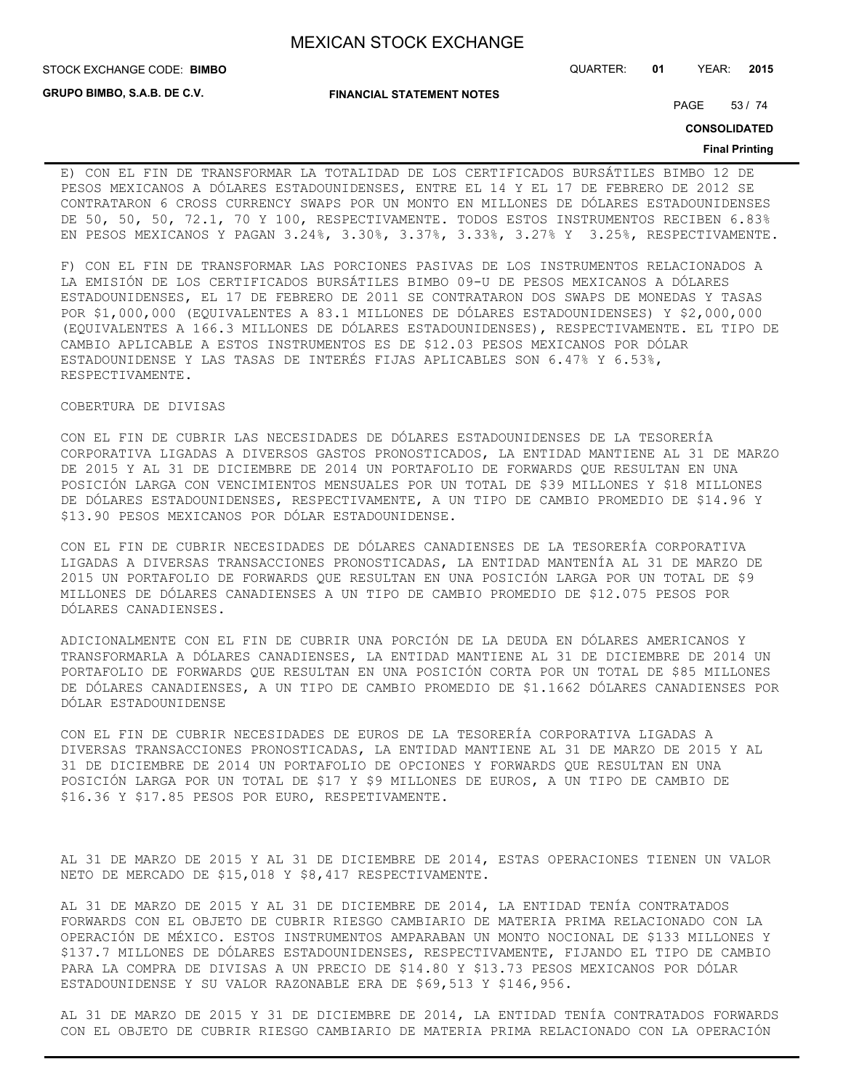STOCK EXCHANGE CODE: QUARTER: **01** YEAR: **2015 BIMBO**

**GRUPO BIMBO, S.A.B. DE C.V.**

**FINANCIAL STATEMENT NOTES**

PAGE 53 / 74

**CONSOLIDATED**

#### **Final Printing**

E) CON EL FIN DE TRANSFORMAR LA TOTALIDAD DE LOS CERTIFICADOS BURSÁTILES BIMBO 12 DE PESOS MEXICANOS A DÓLARES ESTADOUNIDENSES, ENTRE EL 14 Y EL 17 DE FEBRERO DE 2012 SE CONTRATARON 6 CROSS CURRENCY SWAPS POR UN MONTO EN MILLONES DE DÓLARES ESTADOUNIDENSES DE 50, 50, 50, 72.1, 70 Y 100, RESPECTIVAMENTE. TODOS ESTOS INSTRUMENTOS RECIBEN 6.83% EN PESOS MEXICANOS Y PAGAN 3.24%, 3.30%, 3.37%, 3.33%, 3.27% Y 3.25%, RESPECTIVAMENTE.

F) CON EL FIN DE TRANSFORMAR LAS PORCIONES PASIVAS DE LOS INSTRUMENTOS RELACIONADOS A LA EMISIÓN DE LOS CERTIFICADOS BURSÁTILES BIMBO 09-U DE PESOS MEXICANOS A DÓLARES ESTADOUNIDENSES, EL 17 DE FEBRERO DE 2011 SE CONTRATARON DOS SWAPS DE MONEDAS Y TASAS POR \$1,000,000 (EQUIVALENTES A 83.1 MILLONES DE DÓLARES ESTADOUNIDENSES) Y \$2,000,000 (EQUIVALENTES A 166.3 MILLONES DE DÓLARES ESTADOUNIDENSES), RESPECTIVAMENTE. EL TIPO DE CAMBIO APLICABLE A ESTOS INSTRUMENTOS ES DE \$12.03 PESOS MEXICANOS POR DÓLAR ESTADOUNIDENSE Y LAS TASAS DE INTERÉS FIJAS APLICABLES SON 6.47% Y 6.53%, RESPECTIVAMENTE.

COBERTURA DE DIVISAS

CON EL FIN DE CUBRIR LAS NECESIDADES DE DÓLARES ESTADOUNIDENSES DE LA TESORERÍA CORPORATIVA LIGADAS A DIVERSOS GASTOS PRONOSTICADOS, LA ENTIDAD MANTIENE AL 31 DE MARZO DE 2015 Y AL 31 DE DICIEMBRE DE 2014 UN PORTAFOLIO DE FORWARDS QUE RESULTAN EN UNA POSICIÓN LARGA CON VENCIMIENTOS MENSUALES POR UN TOTAL DE \$39 MILLONES Y \$18 MILLONES DE DÓLARES ESTADOUNIDENSES, RESPECTIVAMENTE, A UN TIPO DE CAMBIO PROMEDIO DE \$14.96 Y \$13.90 PESOS MEXICANOS POR DÓLAR ESTADOUNIDENSE.

CON EL FIN DE CUBRIR NECESIDADES DE DÓLARES CANADIENSES DE LA TESORERÍA CORPORATIVA LIGADAS A DIVERSAS TRANSACCIONES PRONOSTICADAS, LA ENTIDAD MANTENÍA AL 31 DE MARZO DE 2015 UN PORTAFOLIO DE FORWARDS QUE RESULTAN EN UNA POSICIÓN LARGA POR UN TOTAL DE \$9 MILLONES DE DÓLARES CANADIENSES A UN TIPO DE CAMBIO PROMEDIO DE \$12.075 PESOS POR DÓLARES CANADIENSES.

ADICIONALMENTE CON EL FIN DE CUBRIR UNA PORCIÓN DE LA DEUDA EN DÓLARES AMERICANOS Y TRANSFORMARLA A DÓLARES CANADIENSES, LA ENTIDAD MANTIENE AL 31 DE DICIEMBRE DE 2014 UN PORTAFOLIO DE FORWARDS QUE RESULTAN EN UNA POSICIÓN CORTA POR UN TOTAL DE \$85 MILLONES DE DÓLARES CANADIENSES, A UN TIPO DE CAMBIO PROMEDIO DE \$1.1662 DÓLARES CANADIENSES POR DÓLAR ESTADOUNIDENSE

CON EL FIN DE CUBRIR NECESIDADES DE EUROS DE LA TESORERÍA CORPORATIVA LIGADAS A DIVERSAS TRANSACCIONES PRONOSTICADAS, LA ENTIDAD MANTIENE AL 31 DE MARZO DE 2015 Y AL 31 DE DICIEMBRE DE 2014 UN PORTAFOLIO DE OPCIONES Y FORWARDS QUE RESULTAN EN UNA POSICIÓN LARGA POR UN TOTAL DE \$17 Y \$9 MILLONES DE EUROS, A UN TIPO DE CAMBIO DE \$16.36 Y \$17.85 PESOS POR EURO, RESPETIVAMENTE.

AL 31 DE MARZO DE 2015 Y AL 31 DE DICIEMBRE DE 2014, ESTAS OPERACIONES TIENEN UN VALOR NETO DE MERCADO DE \$15,018 Y \$8,417 RESPECTIVAMENTE.

AL 31 DE MARZO DE 2015 Y AL 31 DE DICIEMBRE DE 2014, LA ENTIDAD TENÍA CONTRATADOS FORWARDS CON EL OBJETO DE CUBRIR RIESGO CAMBIARIO DE MATERIA PRIMA RELACIONADO CON LA OPERACIÓN DE MÉXICO. ESTOS INSTRUMENTOS AMPARABAN UN MONTO NOCIONAL DE \$133 MILLONES Y \$137.7 MILLONES DE DÓLARES ESTADOUNIDENSES, RESPECTIVAMENTE, FIJANDO EL TIPO DE CAMBIO PARA LA COMPRA DE DIVISAS A UN PRECIO DE \$14.80 Y \$13.73 PESOS MEXICANOS POR DÓLAR ESTADOUNIDENSE Y SU VALOR RAZONABLE ERA DE \$69,513 Y \$146,956.

AL 31 DE MARZO DE 2015 Y 31 DE DICIEMBRE DE 2014, LA ENTIDAD TENÍA CONTRATADOS FORWARDS CON EL OBJETO DE CUBRIR RIESGO CAMBIARIO DE MATERIA PRIMA RELACIONADO CON LA OPERACIÓN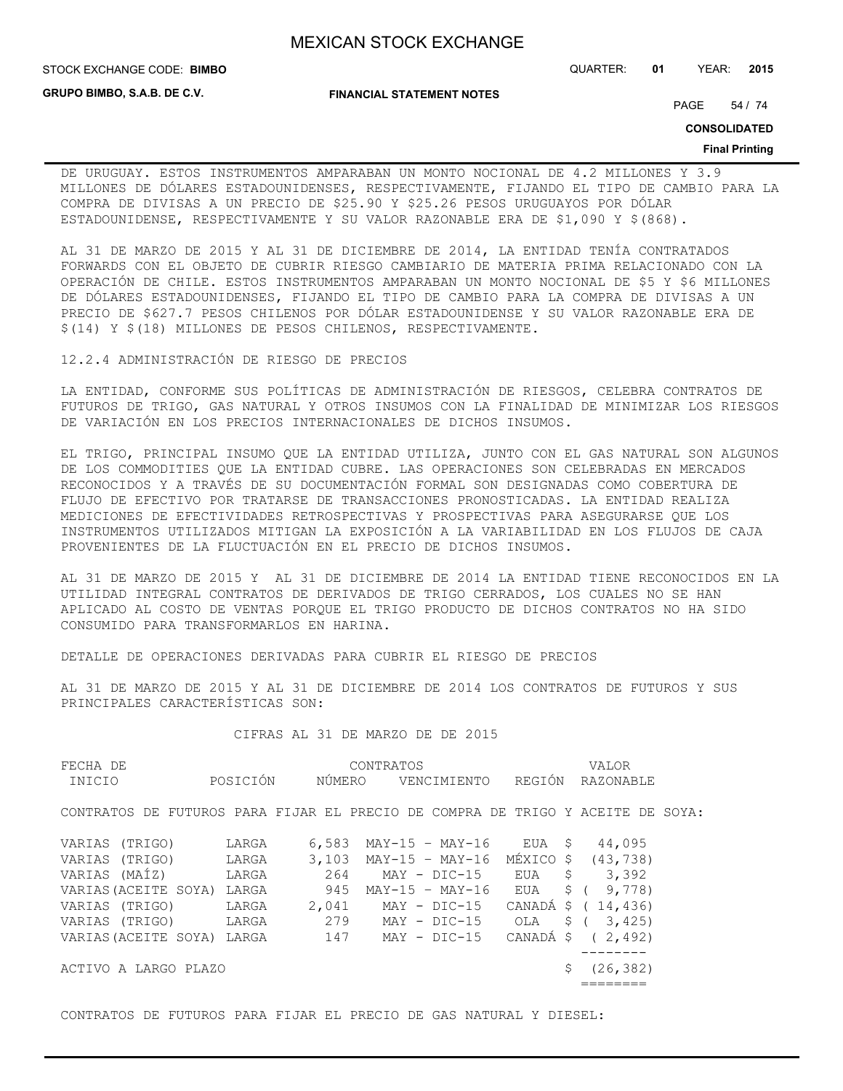**GRUPO BIMBO, S.A.B. DE C.V.**

**FINANCIAL STATEMENT NOTES**

STOCK EXCHANGE CODE: QUARTER: **01** YEAR: **2015 BIMBO**

PAGE 54 / 74

**CONSOLIDATED**

#### **Final Printing**

DE URUGUAY. ESTOS INSTRUMENTOS AMPARABAN UN MONTO NOCIONAL DE 4.2 MILLONES Y 3.9 MILLONES DE DÓLARES ESTADOUNIDENSES, RESPECTIVAMENTE, FIJANDO EL TIPO DE CAMBIO PARA LA COMPRA DE DIVISAS A UN PRECIO DE \$25.90 Y \$25.26 PESOS URUGUAYOS POR DÓLAR ESTADOUNIDENSE, RESPECTIVAMENTE Y SU VALOR RAZONABLE ERA DE \$1,090 Y \$(868).

AL 31 DE MARZO DE 2015 Y AL 31 DE DICIEMBRE DE 2014, LA ENTIDAD TENÍA CONTRATADOS FORWARDS CON EL OBJETO DE CUBRIR RIESGO CAMBIARIO DE MATERIA PRIMA RELACIONADO CON LA OPERACIÓN DE CHILE. ESTOS INSTRUMENTOS AMPARABAN UN MONTO NOCIONAL DE \$5 Y \$6 MILLONES DE DÓLARES ESTADOUNIDENSES, FIJANDO EL TIPO DE CAMBIO PARA LA COMPRA DE DIVISAS A UN PRECIO DE \$627.7 PESOS CHILENOS POR DÓLAR ESTADOUNIDENSE Y SU VALOR RAZONABLE ERA DE \$(14) Y \$(18) MILLONES DE PESOS CHILENOS, RESPECTIVAMENTE.

12.2.4 ADMINISTRACIÓN DE RIESGO DE PRECIOS

LA ENTIDAD, CONFORME SUS POLÍTICAS DE ADMINISTRACIÓN DE RIESGOS, CELEBRA CONTRATOS DE FUTUROS DE TRIGO, GAS NATURAL Y OTROS INSUMOS CON LA FINALIDAD DE MINIMIZAR LOS RIESGOS DE VARIACIÓN EN LOS PRECIOS INTERNACIONALES DE DICHOS INSUMOS.

EL TRIGO, PRINCIPAL INSUMO QUE LA ENTIDAD UTILIZA, JUNTO CON EL GAS NATURAL SON ALGUNOS DE LOS COMMODITIES QUE LA ENTIDAD CUBRE. LAS OPERACIONES SON CELEBRADAS EN MERCADOS RECONOCIDOS Y A TRAVÉS DE SU DOCUMENTACIÓN FORMAL SON DESIGNADAS COMO COBERTURA DE FLUJO DE EFECTIVO POR TRATARSE DE TRANSACCIONES PRONOSTICADAS. LA ENTIDAD REALIZA MEDICIONES DE EFECTIVIDADES RETROSPECTIVAS Y PROSPECTIVAS PARA ASEGURARSE QUE LOS INSTRUMENTOS UTILIZADOS MITIGAN LA EXPOSICIÓN A LA VARIABILIDAD EN LOS FLUJOS DE CAJA PROVENIENTES DE LA FLUCTUACIÓN EN EL PRECIO DE DICHOS INSUMOS.

AL 31 DE MARZO DE 2015 Y AL 31 DE DICIEMBRE DE 2014 LA ENTIDAD TIENE RECONOCIDOS EN LA UTILIDAD INTEGRAL CONTRATOS DE DERIVADOS DE TRIGO CERRADOS, LOS CUALES NO SE HAN APLICADO AL COSTO DE VENTAS PORQUE EL TRIGO PRODUCTO DE DICHOS CONTRATOS NO HA SIDO CONSUMIDO PARA TRANSFORMARLOS EN HARINA.

DETALLE DE OPERACIONES DERIVADAS PARA CUBRIR EL RIESGO DE PRECIOS

AL 31 DE MARZO DE 2015 Y AL 31 DE DICIEMBRE DE 2014 LOS CONTRATOS DE FUTUROS Y SUS PRINCIPALES CARACTERÍSTICAS SON:

### CIFRAS AL 31 DE MARZO DE DE 2015

| FECHA DE                                                                       |          |        | CONTRATOS               |              |        |      | VALOR              |  |
|--------------------------------------------------------------------------------|----------|--------|-------------------------|--------------|--------|------|--------------------|--|
| INICIO                                                                         | POSICIÓN | NÚMERO |                         | VENCIMIENTO  | REGIÓN |      | <b>RAZONABLE</b>   |  |
| CONTRATOS DE FUTUROS PARA FIJAR EL PRECIO DE COMPRA DE TRIGO Y ACEITE DE SOYA: |          |        |                         |              |        |      |                    |  |
| VARIAS (TRIGO)                                                                 | LARGA    | 6,583  | MAY-15 - MAY-16         |              | EUA    | - \$ | 44,095             |  |
| VARIAS (TRIGO)                                                                 | LARGA    |        | $3,103$ MAY-15 - MAY-16 |              |        |      | MÉXICO \$ (43,738) |  |
| VARIAS (MAÍZ)                                                                  | LARGA    | 264    |                         | MAY - DIC-15 | EUA \$ |      | 3,392              |  |
| VARIAS (ACEITE SOYA)                                                           | LARGA    | 945    | MAY-15 - MAY-16         |              | EUA    |      | $$$ ( $9,778$ )    |  |
| VARIAS (TRIGO)                                                                 | LARGA    | 2,041  | MAY - DIC-15            |              |        |      | CANADÁ \$ (14,436) |  |
| VARIAS (TRIGO)                                                                 | LARGA    | 279    | MAY - DIC-15 OLA        |              |        |      | $$$ ( 3,425)       |  |
| VARIAS (ACEITE SOYA)                                                           | LARGA    | 147    |                         | MAY - DIC-15 |        |      | CANADÁ \$ (2,492)  |  |
|                                                                                |          |        |                         |              |        |      |                    |  |
| ACTIVO A LARGO PLAZO                                                           |          |        |                         |              |        |      | (26, 382)          |  |
|                                                                                |          |        |                         |              |        |      |                    |  |

CONTRATOS DE FUTUROS PARA FIJAR EL PRECIO DE GAS NATURAL Y DIESEL: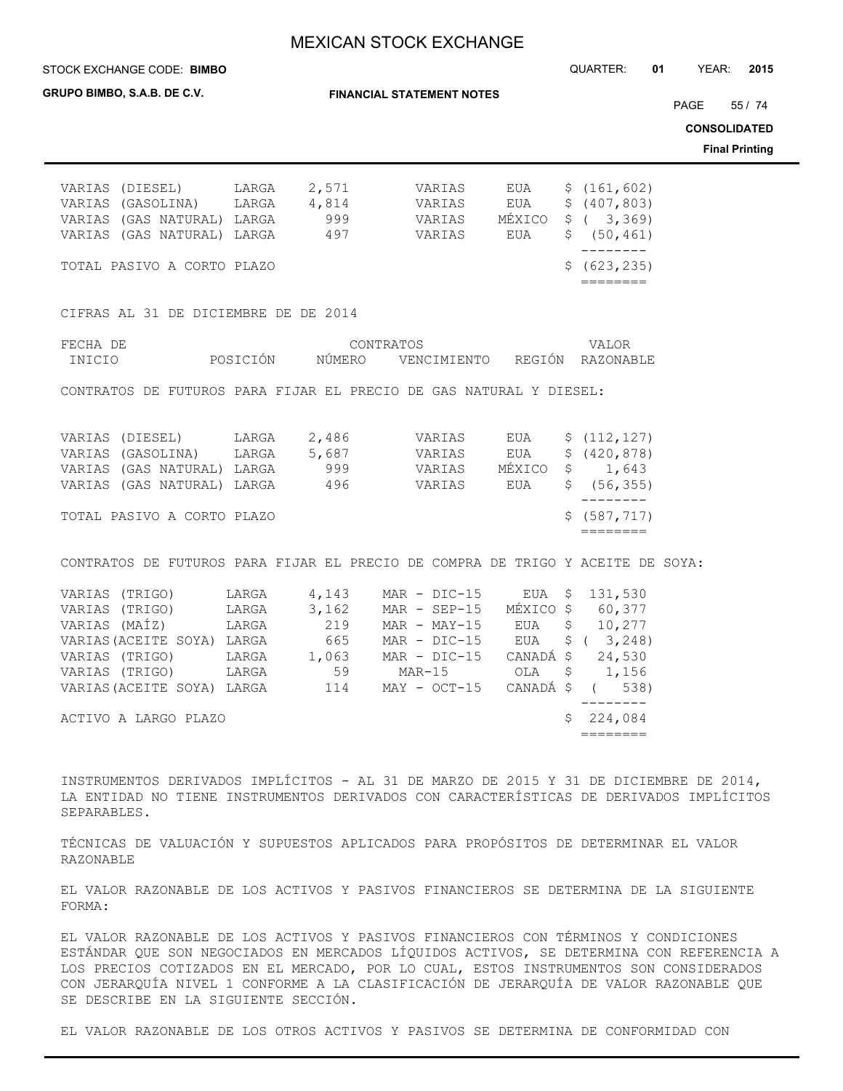STOCK EXCHANGE CODE: QUARTER: **01** YEAR: **2015 BIMBO**

**GRUPO BIMBO, S.A.B. DE C.V.**

**FINANCIAL STATEMENT NOTES**

PAGE 55 / 74

**CONSOLIDATED**

**Final Printing**

| VARIAS (DIESEL) LARGA 2,571 VARIAS<br>VARIAS (GASOLINA) LARGA 4,814 VARIAS EUA \$ (407,803)<br>VARIAS (GAS NATURAL) LARGA 497 VARIAS EUA                                                          |                                                   |           | EUA<br>MÉXICO | \$(161, 602)<br>$$$ ( 3,369)<br>\$(50, 461) |  |
|---------------------------------------------------------------------------------------------------------------------------------------------------------------------------------------------------|---------------------------------------------------|-----------|---------------|---------------------------------------------|--|
| TOTAL PASIVO A CORTO PLAZO                                                                                                                                                                        |                                                   |           |               | \$ (623, 235)<br>========                   |  |
| CIFRAS AL 31 DE DICIEMBRE DE DE 2014                                                                                                                                                              |                                                   |           |               |                                             |  |
| FECHA DE<br>INICIO                                                                                                                                                                                | POSICIÓN   NÚMERO   VENCIMIENTO  REGIÓN RAZONABLE | CONTRATOS |               | VALOR                                       |  |
| CONTRATOS DE FUTUROS PARA FIJAR EL PRECIO DE GAS NATURAL Y DIESEL:                                                                                                                                |                                                   |           |               |                                             |  |
| VARIAS (DIESEL) LARGA 2,486 VARIAS EUA \$ (112,127)<br>VARIAS (GASOLINA) LARGA 5,687 VARIAS EUA<br>VARIAS (GAS NATURAL) LARGA 999 SVARIAS MÉXICO<br>VARIAS (GAS NATURAL) LARGA 496 496 VARIAS EUA |                                                   |           |               | \$ (420, 878)<br>\$1,643<br>\$(56, 355)     |  |
| TOTAL PASIVO A CORTO PLAZO                                                                                                                                                                        |                                                   |           |               | \$ (587, 717)<br>========                   |  |
| CONTRATOS DE FUTUROS PARA FIJAR EL PRECIO DE COMPRA DE TRIGO Y ACEITE DE SOYA:                                                                                                                    |                                                   |           |               |                                             |  |
| VARIAS (TRIGO) LARGA 4,143 MAR - DIC-15 EUA \$ 131,530                                                                                                                                            |                                                   |           |               |                                             |  |

| VARIAS (TRIGO) LARGA 3,162 MAR - SEP-15 MÉXICO \$ 60,377 |       |       |                                |                 |
|----------------------------------------------------------|-------|-------|--------------------------------|-----------------|
| VARIAS (MAÍZ) LARGA                                      |       | 219   | MAR - MAY-15 EUA \$ 10,277     |                 |
| VARIAS (ACEITE SOYA) LARGA                               |       | 665   | MAR - DIC-15                   | EUA \$ (3,248)  |
| VARIAS (TRIGO)                                           | LARGA | 1,063 | MAR - DIC-15                   | CANADÁ \$24,530 |
| VARIAS (TRIGO) LARGA                                     |       | 59    | MAR-15                         | OLA \$ 1,156    |
| VARIAS (ACEITE SOYA) LARGA                               |       | 114   | $MAX - OCT-15$ CANADÁ \$ (538) |                 |
|                                                          |       |       |                                |                 |
| ACTIVO A LARGO PLAZO                                     |       |       |                                | \$224,084       |
|                                                          |       |       |                                |                 |
|                                                          |       |       |                                |                 |

INSTRUMENTOS DERIVADOS IMPLÍCITOS - AL 31 DE MARZO DE 2015 Y 31 DE DICIEMBRE DE 2014, LA ENTIDAD NO TIENE INSTRUMENTOS DERIVADOS CON CARACTERÍSTICAS DE DERIVADOS IMPLÍCITOS SEPARABLES.

TÉCNICAS DE VALUACIÓN Y SUPUESTOS APLICADOS PARA PROPÓSITOS DE DETERMINAR EL VALOR RAZONABLE

EL VALOR RAZONABLE DE LOS ACTIVOS Y PASIVOS FINANCIEROS SE DETERMINA DE LA SIGUIENTE FORMA:

EL VALOR RAZONABLE DE LOS ACTIVOS Y PASIVOS FINANCIEROS CON TÉRMINOS Y CONDICIONES ESTÁNDAR QUE SON NEGOCIADOS EN MERCADOS LÍQUIDOS ACTIVOS, SE DETERMINA CON REFERENCIA A LOS PRECIOS COTIZADOS EN EL MERCADO, POR LO CUAL, ESTOS INSTRUMENTOS SON CONSIDERADOS CON JERARQUÍA NIVEL 1 CONFORME A LA CLASIFICACIÓN DE JERARQUÍA DE VALOR RAZONABLE QUE SE DESCRIBE EN LA SIGUIENTE SECCIÓN.

EL VALOR RAZONABLE DE LOS OTROS ACTIVOS Y PASIVOS SE DETERMINA DE CONFORMIDAD CON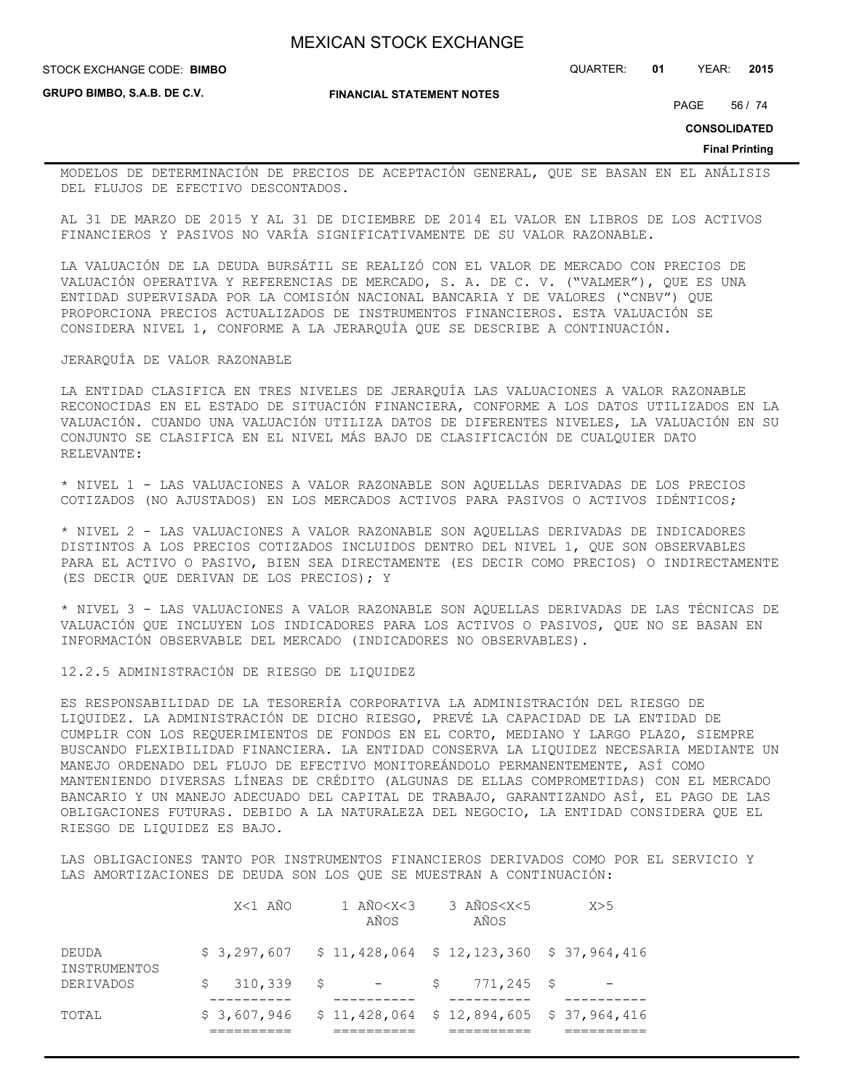STOCK EXCHANGE CODE: QUARTER: **01** YEAR: **2015 BIMBO**

**GRUPO BIMBO, S.A.B. DE C.V.**

**FINANCIAL STATEMENT NOTES**

PAGE 56 / 74

**CONSOLIDATED**

**Final Printing**

MODELOS DE DETERMINACIÓN DE PRECIOS DE ACEPTACIÓN GENERAL, QUE SE BASAN EN EL ANÁLISIS DEL FLUJOS DE EFECTIVO DESCONTADOS.

AL 31 DE MARZO DE 2015 Y AL 31 DE DICIEMBRE DE 2014 EL VALOR EN LIBROS DE LOS ACTIVOS FINANCIEROS Y PASIVOS NO VARÍA SIGNIFICATIVAMENTE DE SU VALOR RAZONABLE.

LA VALUACIÓN DE LA DEUDA BURSÁTIL SE REALIZÓ CON EL VALOR DE MERCADO CON PRECIOS DE VALUACIÓN OPERATIVA Y REFERENCIAS DE MERCADO, S. A. DE C. V. ("VALMER"), QUE ES UNA ENTIDAD SUPERVISADA POR LA COMISIÓN NACIONAL BANCARIA Y DE VALORES ("CNBV") QUE PROPORCIONA PRECIOS ACTUALIZADOS DE INSTRUMENTOS FINANCIEROS. ESTA VALUACIÓN SE CONSIDERA NIVEL 1, CONFORME A LA JERARQUÍA QUE SE DESCRIBE A CONTINUACIÓN.

### JERARQUÍA DE VALOR RAZONABLE

LA ENTIDAD CLASIFICA EN TRES NIVELES DE JERARQUÍA LAS VALUACIONES A VALOR RAZONABLE RECONOCIDAS EN EL ESTADO DE SITUACIÓN FINANCIERA, CONFORME A LOS DATOS UTILIZADOS EN LA VALUACIÓN. CUANDO UNA VALUACIÓN UTILIZA DATOS DE DIFERENTES NIVELES, LA VALUACIÓN EN SU CONJUNTO SE CLASIFICA EN EL NIVEL MÁS BAJO DE CLASIFICACIÓN DE CUALQUIER DATO RELEVANTE:

\* NIVEL 1 - LAS VALUACIONES A VALOR RAZONABLE SON AQUELLAS DERIVADAS DE LOS PRECIOS COTIZADOS (NO AJUSTADOS) EN LOS MERCADOS ACTIVOS PARA PASIVOS O ACTIVOS IDÉNTICOS;

\* NIVEL 2 - LAS VALUACIONES A VALOR RAZONABLE SON AQUELLAS DERIVADAS DE INDICADORES DISTINTOS A LOS PRECIOS COTIZADOS INCLUIDOS DENTRO DEL NIVEL 1, QUE SON OBSERVABLES PARA EL ACTIVO O PASIVO, BIEN SEA DIRECTAMENTE (ES DECIR COMO PRECIOS) O INDIRECTAMENTE (ES DECIR QUE DERIVAN DE LOS PRECIOS); Y

\* NIVEL 3 - LAS VALUACIONES A VALOR RAZONABLE SON AQUELLAS DERIVADAS DE LAS TÉCNICAS DE VALUACIÓN QUE INCLUYEN LOS INDICADORES PARA LOS ACTIVOS O PASIVOS, QUE NO SE BASAN EN INFORMACIÓN OBSERVABLE DEL MERCADO (INDICADORES NO OBSERVABLES).

12.2.5 ADMINISTRACIÓN DE RIESGO DE LIQUIDEZ

ES RESPONSABILIDAD DE LA TESORERÍA CORPORATIVA LA ADMINISTRACIÓN DEL RIESGO DE LIQUIDEZ. LA ADMINISTRACIÓN DE DICHO RIESGO, PREVÉ LA CAPACIDAD DE LA ENTIDAD DE CUMPLIR CON LOS REQUERIMIENTOS DE FONDOS EN EL CORTO, MEDIANO Y LARGO PLAZO, SIEMPRE BUSCANDO FLEXIBILIDAD FINANCIERA. LA ENTIDAD CONSERVA LA LIQUIDEZ NECESARIA MEDIANTE UN MANEJO ORDENADO DEL FLUJO DE EFECTIVO MONITOREÁNDOLO PERMANENTEMENTE, ASÍ COMO MANTENIENDO DIVERSAS LÍNEAS DE CRÉDITO (ALGUNAS DE ELLAS COMPROMETIDAS) CON EL MERCADO BANCARIO Y UN MANEJO ADECUADO DEL CAPITAL DE TRABAJO, GARANTIZANDO ASÍ, EL PAGO DE LAS OBLIGACIONES FUTURAS. DEBIDO A LA NATURALEZA DEL NEGOCIO, LA ENTIDAD CONSIDERA QUE EL RIESGO DE LIQUIDEZ ES BAJO.

LAS OBLIGACIONES TANTO POR INSTRUMENTOS FINANCIEROS DERIVADOS COMO POR EL SERVICIO Y LAS AMORTIZACIONES DE DEUDA SON LOS QUE SE MUESTRAN A CONTINUACIÓN:

| TOTAL                 |         | $$3,607,946$ $$11,428,064$ $$12,894,605$ $$37,964,416$ |                              |     |
|-----------------------|---------|--------------------------------------------------------|------------------------------|-----|
| DERIVADOS             |         | $\sin 310,339$ $\sin 5$ $\sin 5$                       | 771,245 \$                   |     |
| DEUDA<br>INSTRUMENTOS |         | $$3,297,607$ $$11,428,064$ $$12,123,360$ $$37,964,416$ |                              |     |
|                       | X<1 AÑO | 1 AÑO <x<3<br>AÑOS</x<3<br>                            | 3 AÑOS <x<5<br>AÑOS</x<5<br> | X>5 |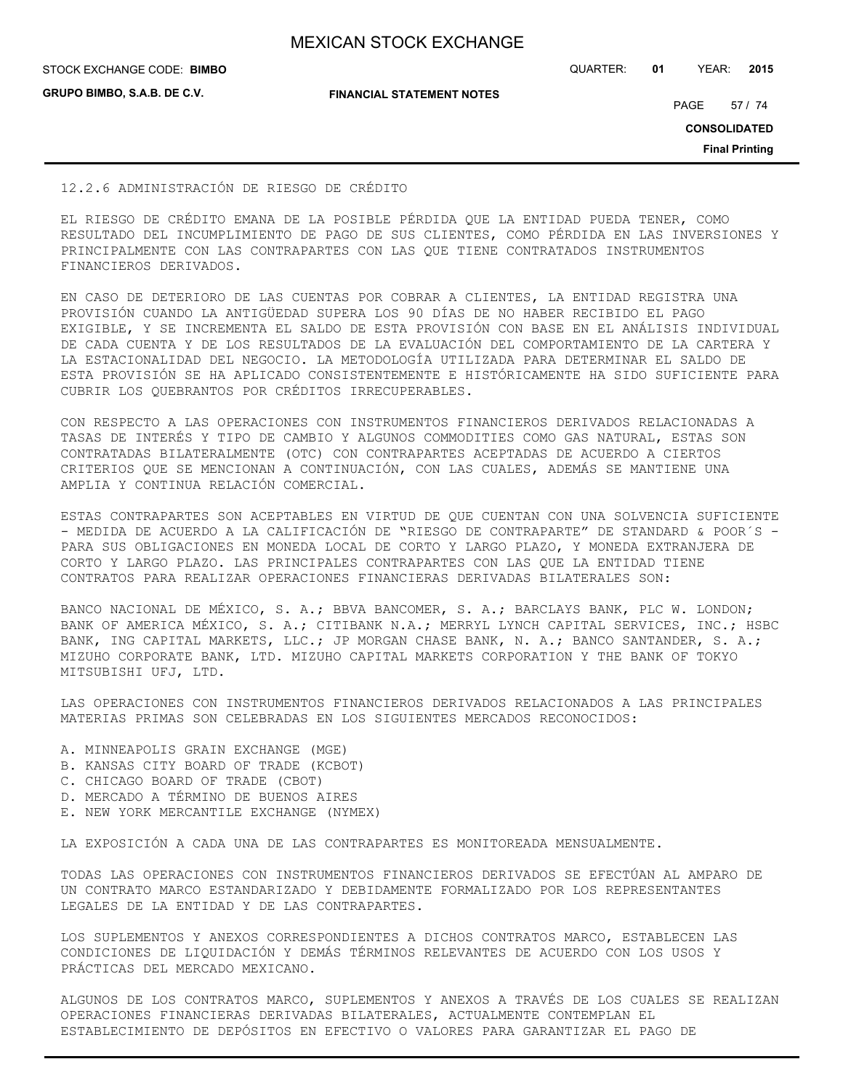**GRUPO BIMBO, S.A.B. DE C.V.**

**FINANCIAL STATEMENT NOTES**

STOCK EXCHANGE CODE: QUARTER: **01** YEAR: **2015 BIMBO**

PAGE 57 / 74

**CONSOLIDATED**

**Final Printing**

### 12.2.6 ADMINISTRACIÓN DE RIESGO DE CRÉDITO

EL RIESGO DE CRÉDITO EMANA DE LA POSIBLE PÉRDIDA QUE LA ENTIDAD PUEDA TENER, COMO RESULTADO DEL INCUMPLIMIENTO DE PAGO DE SUS CLIENTES, COMO PÉRDIDA EN LAS INVERSIONES Y PRINCIPALMENTE CON LAS CONTRAPARTES CON LAS QUE TIENE CONTRATADOS INSTRUMENTOS FINANCIEROS DERIVADOS.

EN CASO DE DETERIORO DE LAS CUENTAS POR COBRAR A CLIENTES, LA ENTIDAD REGISTRA UNA PROVISIÓN CUANDO LA ANTIGÜEDAD SUPERA LOS 90 DÍAS DE NO HABER RECIBIDO EL PAGO EXIGIBLE, Y SE INCREMENTA EL SALDO DE ESTA PROVISIÓN CON BASE EN EL ANÁLISIS INDIVIDUAL DE CADA CUENTA Y DE LOS RESULTADOS DE LA EVALUACIÓN DEL COMPORTAMIENTO DE LA CARTERA Y LA ESTACIONALIDAD DEL NEGOCIO. LA METODOLOGÍA UTILIZADA PARA DETERMINAR EL SALDO DE ESTA PROVISIÓN SE HA APLICADO CONSISTENTEMENTE E HISTÓRICAMENTE HA SIDO SUFICIENTE PARA CUBRIR LOS QUEBRANTOS POR CRÉDITOS IRRECUPERABLES.

CON RESPECTO A LAS OPERACIONES CON INSTRUMENTOS FINANCIEROS DERIVADOS RELACIONADAS A TASAS DE INTERÉS Y TIPO DE CAMBIO Y ALGUNOS COMMODITIES COMO GAS NATURAL, ESTAS SON CONTRATADAS BILATERALMENTE (OTC) CON CONTRAPARTES ACEPTADAS DE ACUERDO A CIERTOS CRITERIOS QUE SE MENCIONAN A CONTINUACIÓN, CON LAS CUALES, ADEMÁS SE MANTIENE UNA AMPLIA Y CONTINUA RELACIÓN COMERCIAL.

ESTAS CONTRAPARTES SON ACEPTABLES EN VIRTUD DE QUE CUENTAN CON UNA SOLVENCIA SUFICIENTE - MEDIDA DE ACUERDO A LA CALIFICACIÓN DE "RIESGO DE CONTRAPARTE" DE STANDARD & POOR´S -PARA SUS OBLIGACIONES EN MONEDA LOCAL DE CORTO Y LARGO PLAZO, Y MONEDA EXTRANJERA DE CORTO Y LARGO PLAZO. LAS PRINCIPALES CONTRAPARTES CON LAS QUE LA ENTIDAD TIENE CONTRATOS PARA REALIZAR OPERACIONES FINANCIERAS DERIVADAS BILATERALES SON:

BANCO NACIONAL DE MÉXICO, S. A.; BBVA BANCOMER, S. A.; BARCLAYS BANK, PLC W. LONDON; BANK OF AMERICA MÉXICO, S. A.; CITIBANK N.A.; MERRYL LYNCH CAPITAL SERVICES, INC.; HSBC BANK, ING CAPITAL MARKETS, LLC.; JP MORGAN CHASE BANK, N. A.; BANCO SANTANDER, S. A.; MIZUHO CORPORATE BANK, LTD. MIZUHO CAPITAL MARKETS CORPORATION Y THE BANK OF TOKYO MITSUBISHI UFJ, LTD.

LAS OPERACIONES CON INSTRUMENTOS FINANCIEROS DERIVADOS RELACIONADOS A LAS PRINCIPALES MATERIAS PRIMAS SON CELEBRADAS EN LOS SIGUIENTES MERCADOS RECONOCIDOS:

- A. MINNEAPOLIS GRAIN EXCHANGE (MGE)
- B. KANSAS CITY BOARD OF TRADE (KCBOT)
- C. CHICAGO BOARD OF TRADE (CBOT)
- D. MERCADO A TÉRMINO DE BUENOS AIRES
- E. NEW YORK MERCANTILE EXCHANGE (NYMEX)

LA EXPOSICIÓN A CADA UNA DE LAS CONTRAPARTES ES MONITOREADA MENSUALMENTE.

TODAS LAS OPERACIONES CON INSTRUMENTOS FINANCIEROS DERIVADOS SE EFECTÚAN AL AMPARO DE UN CONTRATO MARCO ESTANDARIZADO Y DEBIDAMENTE FORMALIZADO POR LOS REPRESENTANTES LEGALES DE LA ENTIDAD Y DE LAS CONTRAPARTES.

LOS SUPLEMENTOS Y ANEXOS CORRESPONDIENTES A DICHOS CONTRATOS MARCO, ESTABLECEN LAS CONDICIONES DE LIQUIDACIÓN Y DEMÁS TÉRMINOS RELEVANTES DE ACUERDO CON LOS USOS Y PRÁCTICAS DEL MERCADO MEXICANO.

ALGUNOS DE LOS CONTRATOS MARCO, SUPLEMENTOS Y ANEXOS A TRAVÉS DE LOS CUALES SE REALIZAN OPERACIONES FINANCIERAS DERIVADAS BILATERALES, ACTUALMENTE CONTEMPLAN EL ESTABLECIMIENTO DE DEPÓSITOS EN EFECTIVO O VALORES PARA GARANTIZAR EL PAGO DE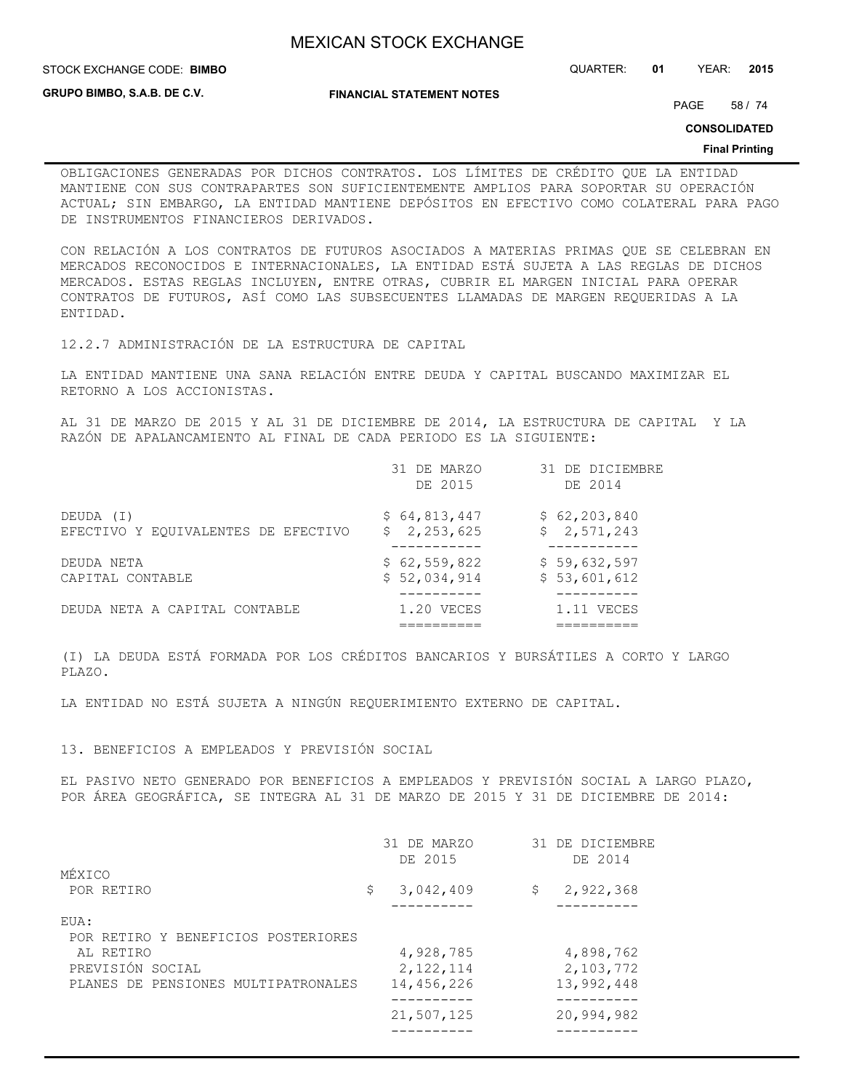STOCK EXCHANGE CODE: QUARTER: **01** YEAR: **2015 BIMBO**

**GRUPO BIMBO, S.A.B. DE C.V.**

**FINANCIAL STATEMENT NOTES**

PAGE 58 / 74

**CONSOLIDATED**

#### **Final Printing**

OBLIGACIONES GENERADAS POR DICHOS CONTRATOS. LOS LÍMITES DE CRÉDITO QUE LA ENTIDAD MANTIENE CON SUS CONTRAPARTES SON SUFICIENTEMENTE AMPLIOS PARA SOPORTAR SU OPERACIÓN ACTUAL; SIN EMBARGO, LA ENTIDAD MANTIENE DEPÓSITOS EN EFECTIVO COMO COLATERAL PARA PAGO DE INSTRUMENTOS FINANCIEROS DERIVADOS.

CON RELACIÓN A LOS CONTRATOS DE FUTUROS ASOCIADOS A MATERIAS PRIMAS QUE SE CELEBRAN EN MERCADOS RECONOCIDOS E INTERNACIONALES, LA ENTIDAD ESTÁ SUJETA A LAS REGLAS DE DICHOS MERCADOS. ESTAS REGLAS INCLUYEN, ENTRE OTRAS, CUBRIR EL MARGEN INICIAL PARA OPERAR CONTRATOS DE FUTUROS, ASÍ COMO LAS SUBSECUENTES LLAMADAS DE MARGEN REQUERIDAS A LA ENTIDAD.

12.2.7 ADMINISTRACIÓN DE LA ESTRUCTURA DE CAPITAL

LA ENTIDAD MANTIENE UNA SANA RELACIÓN ENTRE DEUDA Y CAPITAL BUSCANDO MAXIMIZAR EL RETORNO A LOS ACCIONISTAS.

AL 31 DE MARZO DE 2015 Y AL 31 DE DICIEMBRE DE 2014, LA ESTRUCTURA DE CAPITAL Y LA RAZÓN DE APALANCAMIENTO AL FINAL DE CADA PERIODO ES LA SIGUIENTE:

|                                     | 31 DE MARZO<br>DE 2015 | 31 DE DICIEMBRE<br>DE 2014 |
|-------------------------------------|------------------------|----------------------------|
| DEUDA (I)                           | \$64,813,447           | \$62, 203, 840             |
| EFECTIVO Y EQUIVALENTES DE EFECTIVO | \$2,253,625            | \$2,571,243                |
| DEUDA NETA                          | \$62,559,822           | \$59,632,597               |
| CAPITAL CONTABLE                    | \$52,034,914           | \$53,601,612               |
| DEUDA NETA A CAPITAL CONTABLE       | 1.20 VECES             | 1.11 VECES                 |

(I) LA DEUDA ESTÁ FORMADA POR LOS CRÉDITOS BANCARIOS Y BURSÁTILES A CORTO Y LARGO PLAZO.

LA ENTIDAD NO ESTÁ SUJETA A NINGÚN REQUERIMIENTO EXTERNO DE CAPITAL.

## 13. BENEFICIOS A EMPLEADOS Y PREVISIÓN SOCIAL

EL PASIVO NETO GENERADO POR BENEFICIOS A EMPLEADOS Y PREVISIÓN SOCIAL A LARGO PLAZO, POR ÁREA GEOGRÁFICA, SE INTEGRA AL 31 DE MARZO DE 2015 Y 31 DE DICIEMBRE DE 2014:

| MÉXICO                              | 31 DE MARZO<br>DE 2015 |              | 31 DE DICIEMBRE<br>DE 2014 |
|-------------------------------------|------------------------|--------------|----------------------------|
|                                     |                        |              |                            |
| POR RETIRO                          | \$<br>3,042,409        | $\mathsf{S}$ | 2,922,368                  |
|                                     |                        |              |                            |
| EUA:                                |                        |              |                            |
| POR RETIRO Y BENEFICIOS POSTERIORES |                        |              |                            |
| AL RETIRO                           | 4,928,785              |              | 4,898,762                  |
| PREVISIÓN SOCIAL                    | 2, 122, 114            |              | 2,103,772                  |
| PLANES DE PENSIONES MULTIPATRONALES | 14,456,226             |              | 13,992,448                 |
|                                     |                        |              |                            |
|                                     | 21,507,125             |              | 20,994,982                 |
|                                     |                        |              |                            |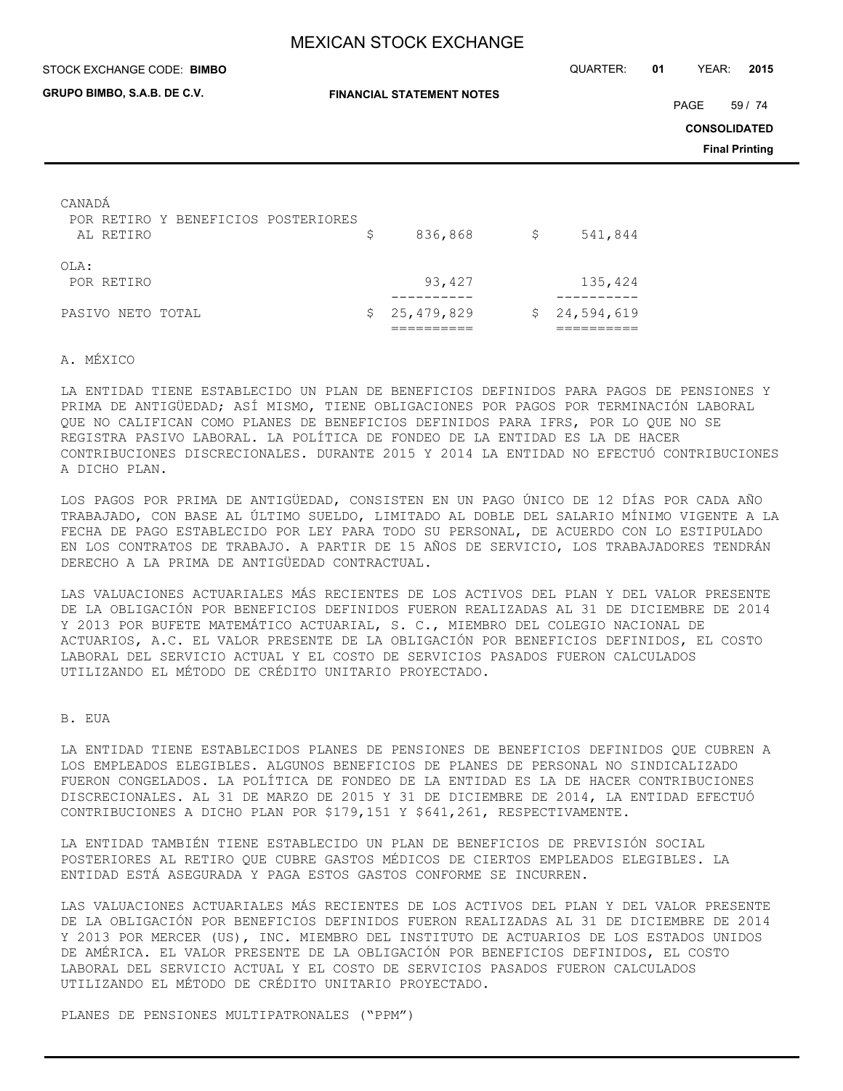| STOCK EXCHANGE CODE: BIMBO                                 | QUARTER:                         | 01 | YEAR:      | 2015 |                     |                       |
|------------------------------------------------------------|----------------------------------|----|------------|------|---------------------|-----------------------|
| GRUPO BIMBO, S.A.B. DE C.V.                                | <b>FINANCIAL STATEMENT NOTES</b> |    |            |      | PAGE                | 59 / 74               |
|                                                            |                                  |    |            |      | <b>CONSOLIDATED</b> |                       |
|                                                            |                                  |    |            |      |                     | <b>Final Printing</b> |
| CANADA<br>POR RETIRO Y BENEFICIOS POSTERIORES<br>AL RETIRO | \$<br>836,868                    | \$ | 541,844    |      |                     |                       |
| OLA:<br>POR RETIRO                                         | 93,427                           |    | 135,424    |      |                     |                       |
| PASIVO NETO TOTAL                                          | \$<br>25, 479, 829               | \$ | 24,594,619 |      |                     |                       |

#### A. MÉXICO

LA ENTIDAD TIENE ESTABLECIDO UN PLAN DE BENEFICIOS DEFINIDOS PARA PAGOS DE PENSIONES Y PRIMA DE ANTIGÜEDAD; ASÍ MISMO, TIENE OBLIGACIONES POR PAGOS POR TERMINACIÓN LABORAL QUE NO CALIFICAN COMO PLANES DE BENEFICIOS DEFINIDOS PARA IFRS, POR LO QUE NO SE REGISTRA PASIVO LABORAL. LA POLÍTICA DE FONDEO DE LA ENTIDAD ES LA DE HACER CONTRIBUCIONES DISCRECIONALES. DURANTE 2015 Y 2014 LA ENTIDAD NO EFECTUÓ CONTRIBUCIONES A DICHO PLAN.

LOS PAGOS POR PRIMA DE ANTIGÜEDAD, CONSISTEN EN UN PAGO ÚNICO DE 12 DÍAS POR CADA AÑO TRABAJADO, CON BASE AL ÚLTIMO SUELDO, LIMITADO AL DOBLE DEL SALARIO MÍNIMO VIGENTE A LA FECHA DE PAGO ESTABLECIDO POR LEY PARA TODO SU PERSONAL, DE ACUERDO CON LO ESTIPULADO EN LOS CONTRATOS DE TRABAJO. A PARTIR DE 15 AÑOS DE SERVICIO, LOS TRABAJADORES TENDRÁN DERECHO A LA PRIMA DE ANTIGÜEDAD CONTRACTUAL.

LAS VALUACIONES ACTUARIALES MÁS RECIENTES DE LOS ACTIVOS DEL PLAN Y DEL VALOR PRESENTE DE LA OBLIGACIÓN POR BENEFICIOS DEFINIDOS FUERON REALIZADAS AL 31 DE DICIEMBRE DE 2014 Y 2013 POR BUFETE MATEMÁTICO ACTUARIAL, S. C., MIEMBRO DEL COLEGIO NACIONAL DE ACTUARIOS, A.C. EL VALOR PRESENTE DE LA OBLIGACIÓN POR BENEFICIOS DEFINIDOS, EL COSTO LABORAL DEL SERVICIO ACTUAL Y EL COSTO DE SERVICIOS PASADOS FUERON CALCULADOS UTILIZANDO EL MÉTODO DE CRÉDITO UNITARIO PROYECTADO.

## B. EUA

LA ENTIDAD TIENE ESTABLECIDOS PLANES DE PENSIONES DE BENEFICIOS DEFINIDOS QUE CUBREN A LOS EMPLEADOS ELEGIBLES. ALGUNOS BENEFICIOS DE PLANES DE PERSONAL NO SINDICALIZADO FUERON CONGELADOS. LA POLÍTICA DE FONDEO DE LA ENTIDAD ES LA DE HACER CONTRIBUCIONES DISCRECIONALES. AL 31 DE MARZO DE 2015 Y 31 DE DICIEMBRE DE 2014, LA ENTIDAD EFECTUÓ CONTRIBUCIONES A DICHO PLAN POR \$179,151 Y \$641,261, RESPECTIVAMENTE.

LA ENTIDAD TAMBIÉN TIENE ESTABLECIDO UN PLAN DE BENEFICIOS DE PREVISIÓN SOCIAL POSTERIORES AL RETIRO QUE CUBRE GASTOS MÉDICOS DE CIERTOS EMPLEADOS ELEGIBLES. LA ENTIDAD ESTÁ ASEGURADA Y PAGA ESTOS GASTOS CONFORME SE INCURREN.

LAS VALUACIONES ACTUARIALES MÁS RECIENTES DE LOS ACTIVOS DEL PLAN Y DEL VALOR PRESENTE DE LA OBLIGACIÓN POR BENEFICIOS DEFINIDOS FUERON REALIZADAS AL 31 DE DICIEMBRE DE 2014 Y 2013 POR MERCER (US), INC. MIEMBRO DEL INSTITUTO DE ACTUARIOS DE LOS ESTADOS UNIDOS DE AMÉRICA. EL VALOR PRESENTE DE LA OBLIGACIÓN POR BENEFICIOS DEFINIDOS, EL COSTO LABORAL DEL SERVICIO ACTUAL Y EL COSTO DE SERVICIOS PASADOS FUERON CALCULADOS UTILIZANDO EL MÉTODO DE CRÉDITO UNITARIO PROYECTADO.

PLANES DE PENSIONES MULTIPATRONALES ("PPM")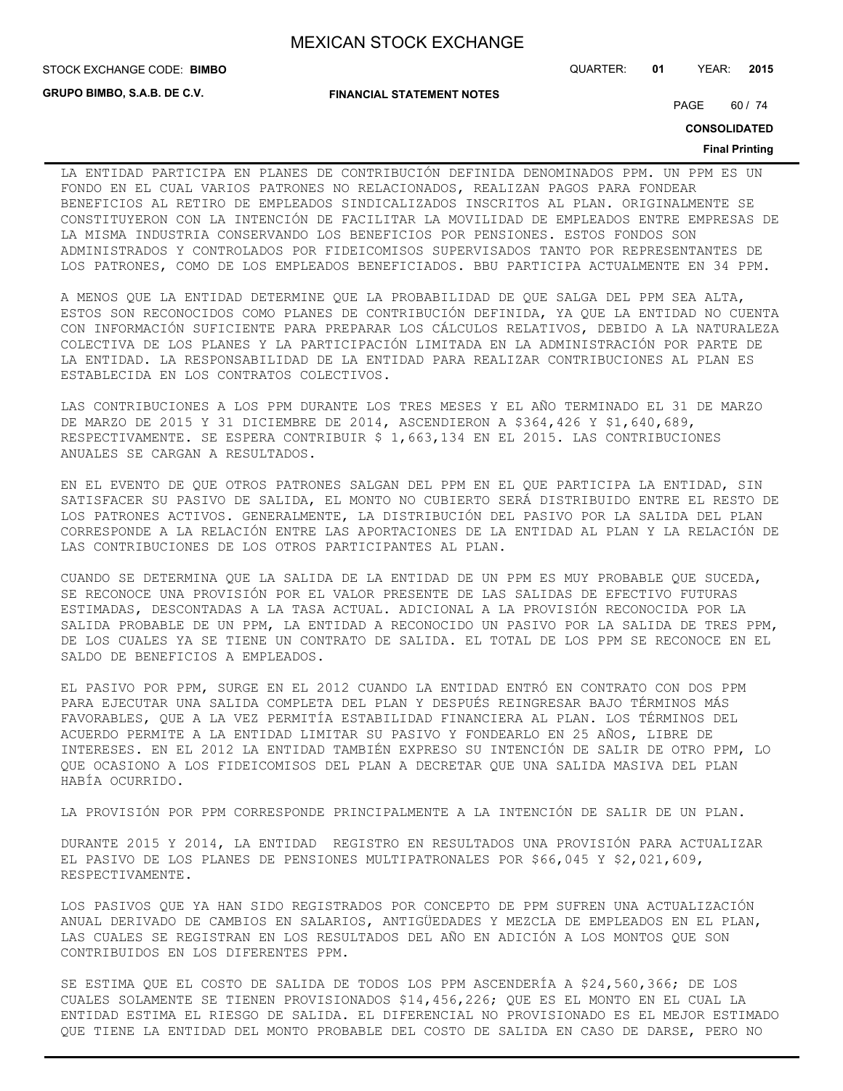**GRUPO BIMBO, S.A.B. DE C.V.**

**FINANCIAL STATEMENT NOTES**

STOCK EXCHANGE CODE: QUARTER: **01** YEAR: **2015 BIMBO**

PAGE 60 / 74

**CONSOLIDATED**

#### **Final Printing**

LA ENTIDAD PARTICIPA EN PLANES DE CONTRIBUCIÓN DEFINIDA DENOMINADOS PPM. UN PPM ES UN FONDO EN EL CUAL VARIOS PATRONES NO RELACIONADOS, REALIZAN PAGOS PARA FONDEAR BENEFICIOS AL RETIRO DE EMPLEADOS SINDICALIZADOS INSCRITOS AL PLAN. ORIGINALMENTE SE CONSTITUYERON CON LA INTENCIÓN DE FACILITAR LA MOVILIDAD DE EMPLEADOS ENTRE EMPRESAS DE LA MISMA INDUSTRIA CONSERVANDO LOS BENEFICIOS POR PENSIONES. ESTOS FONDOS SON ADMINISTRADOS Y CONTROLADOS POR FIDEICOMISOS SUPERVISADOS TANTO POR REPRESENTANTES DE LOS PATRONES, COMO DE LOS EMPLEADOS BENEFICIADOS. BBU PARTICIPA ACTUALMENTE EN 34 PPM.

A MENOS QUE LA ENTIDAD DETERMINE QUE LA PROBABILIDAD DE QUE SALGA DEL PPM SEA ALTA, ESTOS SON RECONOCIDOS COMO PLANES DE CONTRIBUCIÓN DEFINIDA, YA QUE LA ENTIDAD NO CUENTA CON INFORMACIÓN SUFICIENTE PARA PREPARAR LOS CÁLCULOS RELATIVOS, DEBIDO A LA NATURALEZA COLECTIVA DE LOS PLANES Y LA PARTICIPACIÓN LIMITADA EN LA ADMINISTRACIÓN POR PARTE DE LA ENTIDAD. LA RESPONSABILIDAD DE LA ENTIDAD PARA REALIZAR CONTRIBUCIONES AL PLAN ES ESTABLECIDA EN LOS CONTRATOS COLECTIVOS.

LAS CONTRIBUCIONES A LOS PPM DURANTE LOS TRES MESES Y EL AÑO TERMINADO EL 31 DE MARZO DE MARZO DE 2015 Y 31 DICIEMBRE DE 2014, ASCENDIERON A \$364,426 Y \$1,640,689, RESPECTIVAMENTE. SE ESPERA CONTRIBUIR \$ 1,663,134 EN EL 2015. LAS CONTRIBUCIONES ANUALES SE CARGAN A RESULTADOS.

EN EL EVENTO DE QUE OTROS PATRONES SALGAN DEL PPM EN EL QUE PARTICIPA LA ENTIDAD, SIN SATISFACER SU PASIVO DE SALIDA, EL MONTO NO CUBIERTO SERÁ DISTRIBUIDO ENTRE EL RESTO DE LOS PATRONES ACTIVOS. GENERALMENTE, LA DISTRIBUCIÓN DEL PASIVO POR LA SALIDA DEL PLAN CORRESPONDE A LA RELACIÓN ENTRE LAS APORTACIONES DE LA ENTIDAD AL PLAN Y LA RELACIÓN DE LAS CONTRIBUCIONES DE LOS OTROS PARTICIPANTES AL PLAN.

CUANDO SE DETERMINA QUE LA SALIDA DE LA ENTIDAD DE UN PPM ES MUY PROBABLE QUE SUCEDA, SE RECONOCE UNA PROVISIÓN POR EL VALOR PRESENTE DE LAS SALIDAS DE EFECTIVO FUTURAS ESTIMADAS, DESCONTADAS A LA TASA ACTUAL. ADICIONAL A LA PROVISIÓN RECONOCIDA POR LA SALIDA PROBABLE DE UN PPM, LA ENTIDAD A RECONOCIDO UN PASIVO POR LA SALIDA DE TRES PPM, DE LOS CUALES YA SE TIENE UN CONTRATO DE SALIDA. EL TOTAL DE LOS PPM SE RECONOCE EN EL SALDO DE BENEFICIOS A EMPLEADOS.

EL PASIVO POR PPM, SURGE EN EL 2012 CUANDO LA ENTIDAD ENTRÓ EN CONTRATO CON DOS PPM PARA EJECUTAR UNA SALIDA COMPLETA DEL PLAN Y DESPUÉS REINGRESAR BAJO TÉRMINOS MÁS FAVORABLES, QUE A LA VEZ PERMITÍA ESTABILIDAD FINANCIERA AL PLAN. LOS TÉRMINOS DEL ACUERDO PERMITE A LA ENTIDAD LIMITAR SU PASIVO Y FONDEARLO EN 25 AÑOS, LIBRE DE INTERESES. EN EL 2012 LA ENTIDAD TAMBIÉN EXPRESO SU INTENCIÓN DE SALIR DE OTRO PPM, LO QUE OCASIONO A LOS FIDEICOMISOS DEL PLAN A DECRETAR QUE UNA SALIDA MASIVA DEL PLAN HABÍA OCURRIDO.

LA PROVISIÓN POR PPM CORRESPONDE PRINCIPALMENTE A LA INTENCIÓN DE SALIR DE UN PLAN.

DURANTE 2015 Y 2014, LA ENTIDAD REGISTRO EN RESULTADOS UNA PROVISIÓN PARA ACTUALIZAR EL PASIVO DE LOS PLANES DE PENSIONES MULTIPATRONALES POR \$66,045 Y \$2,021,609, RESPECTIVAMENTE.

LOS PASIVOS QUE YA HAN SIDO REGISTRADOS POR CONCEPTO DE PPM SUFREN UNA ACTUALIZACIÓN ANUAL DERIVADO DE CAMBIOS EN SALARIOS, ANTIGÜEDADES Y MEZCLA DE EMPLEADOS EN EL PLAN, LAS CUALES SE REGISTRAN EN LOS RESULTADOS DEL AÑO EN ADICIÓN A LOS MONTOS QUE SON CONTRIBUIDOS EN LOS DIFERENTES PPM.

SE ESTIMA QUE EL COSTO DE SALIDA DE TODOS LOS PPM ASCENDERÍA A \$24,560,366; DE LOS CUALES SOLAMENTE SE TIENEN PROVISIONADOS \$14,456,226; QUE ES EL MONTO EN EL CUAL LA ENTIDAD ESTIMA EL RIESGO DE SALIDA. EL DIFERENCIAL NO PROVISIONADO ES EL MEJOR ESTIMADO QUE TIENE LA ENTIDAD DEL MONTO PROBABLE DEL COSTO DE SALIDA EN CASO DE DARSE, PERO NO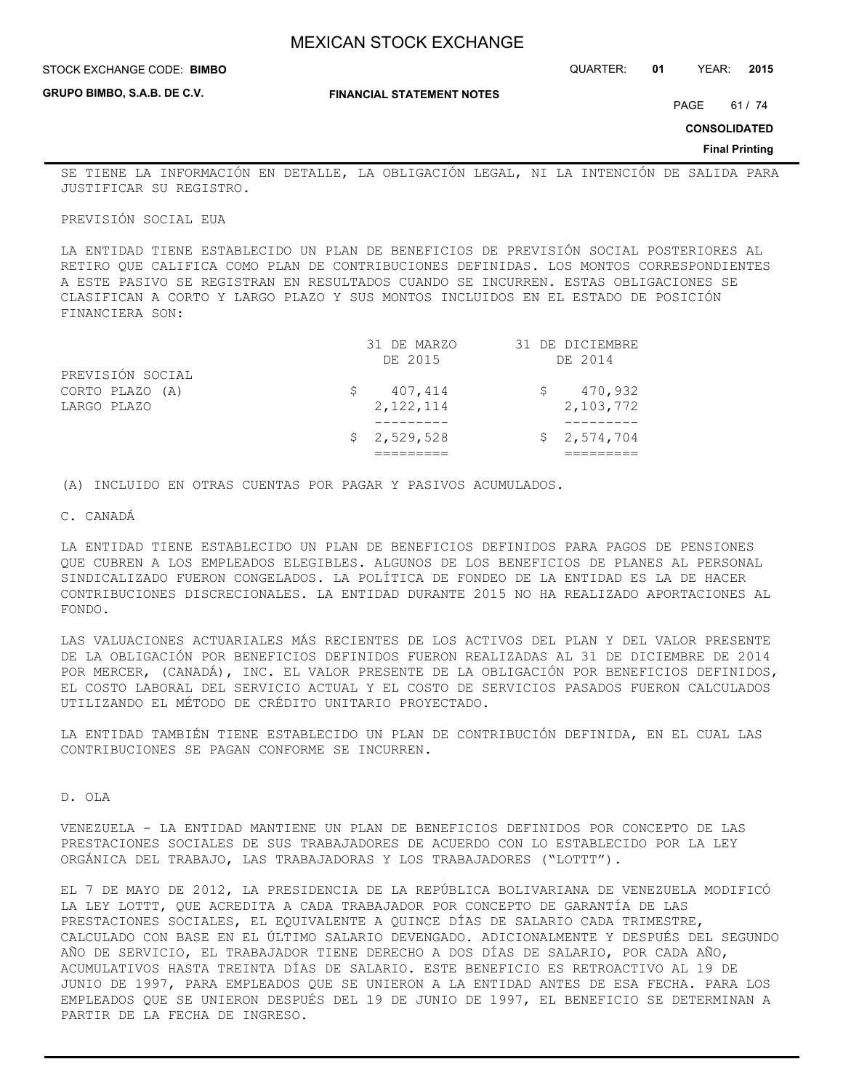STOCK EXCHANGE CODE: QUARTER: **01** YEAR: **2015 BIMBO**

**GRUPO BIMBO, S.A.B. DE C.V.**

**FINANCIAL STATEMENT NOTES**

PAGE 61 / 74

**CONSOLIDATED**

**Final Printing**

SE TIENE LA INFORMACIÓN EN DETALLE, LA OBLIGACIÓN LEGAL, NI LA INTENCIÓN DE SALIDA PARA JUSTIFICAR SU REGISTRO.

## PREVISIÓN SOCIAL EUA

LA ENTIDAD TIENE ESTABLECIDO UN PLAN DE BENEFICIOS DE PREVISIÓN SOCIAL POSTERIORES AL RETIRO QUE CALIFICA COMO PLAN DE CONTRIBUCIONES DEFINIDAS. LOS MONTOS CORRESPONDIENTES A ESTE PASIVO SE REGISTRAN EN RESULTADOS CUANDO SE INCURREN. ESTAS OBLIGACIONES SE CLASIFICAN A CORTO Y LARGO PLAZO Y SUS MONTOS INCLUIDOS EN EL ESTADO DE POSICIÓN FINANCIERA SON:

|                  | \$2,529,528 | \$2,574,704     |
|------------------|-------------|-----------------|
|                  |             |                 |
| LARGO PLAZO      | 2, 122, 114 | 2,103,772       |
| CORTO PLAZO (A)  | 407,414     | 470,932         |
| PREVISIÓN SOCIAL |             |                 |
|                  | DE 2015     | DE 2014         |
|                  | 31 DE MARZO | 31 DE DICIEMBRE |

(A) INCLUIDO EN OTRAS CUENTAS POR PAGAR Y PASIVOS ACUMULADOS.

#### C. CANADÁ

LA ENTIDAD TIENE ESTABLECIDO UN PLAN DE BENEFICIOS DEFINIDOS PARA PAGOS DE PENSIONES QUE CUBREN A LOS EMPLEADOS ELEGIBLES. ALGUNOS DE LOS BENEFICIOS DE PLANES AL PERSONAL SINDICALIZADO FUERON CONGELADOS. LA POLÍTICA DE FONDEO DE LA ENTIDAD ES LA DE HACER CONTRIBUCIONES DISCRECIONALES. LA ENTIDAD DURANTE 2015 NO HA REALIZADO APORTACIONES AL FONDO.

LAS VALUACIONES ACTUARIALES MÁS RECIENTES DE LOS ACTIVOS DEL PLAN Y DEL VALOR PRESENTE DE LA OBLIGACIÓN POR BENEFICIOS DEFINIDOS FUERON REALIZADAS AL 31 DE DICIEMBRE DE 2014 POR MERCER, (CANADÁ), INC. EL VALOR PRESENTE DE LA OBLIGACIÓN POR BENEFICIOS DEFINIDOS, EL COSTO LABORAL DEL SERVICIO ACTUAL Y EL COSTO DE SERVICIOS PASADOS FUERON CALCULADOS UTILIZANDO EL MÉTODO DE CRÉDITO UNITARIO PROYECTADO.

LA ENTIDAD TAMBIÉN TIENE ESTABLECIDO UN PLAN DE CONTRIBUCIÓN DEFINIDA, EN EL CUAL LAS CONTRIBUCIONES SE PAGAN CONFORME SE INCURREN.

D. OLA

VENEZUELA - LA ENTIDAD MANTIENE UN PLAN DE BENEFICIOS DEFINIDOS POR CONCEPTO DE LAS PRESTACIONES SOCIALES DE SUS TRABAJADORES DE ACUERDO CON LO ESTABLECIDO POR LA LEY ORGÁNICA DEL TRABAJO, LAS TRABAJADORAS Y LOS TRABAJADORES ("LOTTT").

EL 7 DE MAYO DE 2012, LA PRESIDENCIA DE LA REPÚBLICA BOLIVARIANA DE VENEZUELA MODIFICÓ LA LEY LOTTT, QUE ACREDITA A CADA TRABAJADOR POR CONCEPTO DE GARANTÍA DE LAS PRESTACIONES SOCIALES, EL EQUIVALENTE A QUINCE DÍAS DE SALARIO CADA TRIMESTRE, CALCULADO CON BASE EN EL ÚLTIMO SALARIO DEVENGADO. ADICIONALMENTE Y DESPUÉS DEL SEGUNDO AÑO DE SERVICIO, EL TRABAJADOR TIENE DERECHO A DOS DÍAS DE SALARIO, POR CADA AÑO, ACUMULATIVOS HASTA TREINTA DÍAS DE SALARIO. ESTE BENEFICIO ES RETROACTIVO AL 19 DE JUNIO DE 1997, PARA EMPLEADOS QUE SE UNIERON A LA ENTIDAD ANTES DE ESA FECHA. PARA LOS EMPLEADOS QUE SE UNIERON DESPUÉS DEL 19 DE JUNIO DE 1997, EL BENEFICIO SE DETERMINAN A PARTIR DE LA FECHA DE INGRESO.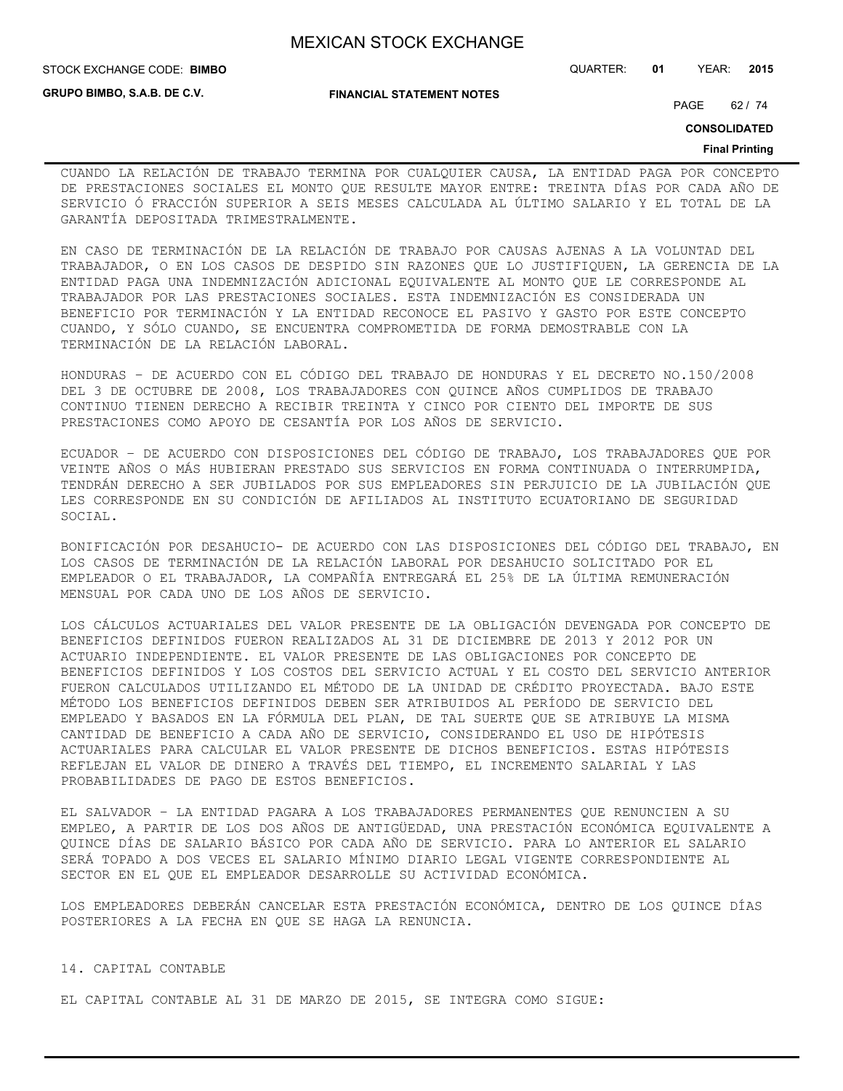**STOCK EXCHANGE CODE: BIMBO** 

**GRUPO BIMBO, S.A.B. DE C.V.**

**FINANCIAL STATEMENT NOTES**

STOCK EXCHANGE CODE: QUARTER: **01** YEAR: **2015**

PAGE 62 / 74

**CONSOLIDATED**

#### **Final Printing**

CUANDO LA RELACIÓN DE TRABAJO TERMINA POR CUALQUIER CAUSA, LA ENTIDAD PAGA POR CONCEPTO DE PRESTACIONES SOCIALES EL MONTO QUE RESULTE MAYOR ENTRE: TREINTA DÍAS POR CADA AÑO DE SERVICIO Ó FRACCIÓN SUPERIOR A SEIS MESES CALCULADA AL ÚLTIMO SALARIO Y EL TOTAL DE LA GARANTÍA DEPOSITADA TRIMESTRALMENTE.

EN CASO DE TERMINACIÓN DE LA RELACIÓN DE TRABAJO POR CAUSAS AJENAS A LA VOLUNTAD DEL TRABAJADOR, O EN LOS CASOS DE DESPIDO SIN RAZONES QUE LO JUSTIFIQUEN, LA GERENCIA DE LA ENTIDAD PAGA UNA INDEMNIZACIÓN ADICIONAL EQUIVALENTE AL MONTO QUE LE CORRESPONDE AL TRABAJADOR POR LAS PRESTACIONES SOCIALES. ESTA INDEMNIZACIÓN ES CONSIDERADA UN BENEFICIO POR TERMINACIÓN Y LA ENTIDAD RECONOCE EL PASIVO Y GASTO POR ESTE CONCEPTO CUANDO, Y SÓLO CUANDO, SE ENCUENTRA COMPROMETIDA DE FORMA DEMOSTRABLE CON LA TERMINACIÓN DE LA RELACIÓN LABORAL.

HONDURAS – DE ACUERDO CON EL CÓDIGO DEL TRABAJO DE HONDURAS Y EL DECRETO NO.150/2008 DEL 3 DE OCTUBRE DE 2008, LOS TRABAJADORES CON QUINCE AÑOS CUMPLIDOS DE TRABAJO CONTINUO TIENEN DERECHO A RECIBIR TREINTA Y CINCO POR CIENTO DEL IMPORTE DE SUS PRESTACIONES COMO APOYO DE CESANTÍA POR LOS AÑOS DE SERVICIO.

ECUADOR – DE ACUERDO CON DISPOSICIONES DEL CÓDIGO DE TRABAJO, LOS TRABAJADORES QUE POR VEINTE AÑOS O MÁS HUBIERAN PRESTADO SUS SERVICIOS EN FORMA CONTINUADA O INTERRUMPIDA, TENDRÁN DERECHO A SER JUBILADOS POR SUS EMPLEADORES SIN PERJUICIO DE LA JUBILACIÓN QUE LES CORRESPONDE EN SU CONDICIÓN DE AFILIADOS AL INSTITUTO ECUATORIANO DE SEGURIDAD SOCIAL.

BONIFICACIÓN POR DESAHUCIO- DE ACUERDO CON LAS DISPOSICIONES DEL CÓDIGO DEL TRABAJO, EN LOS CASOS DE TERMINACIÓN DE LA RELACIÓN LABORAL POR DESAHUCIO SOLICITADO POR EL EMPLEADOR O EL TRABAJADOR, LA COMPAÑÍA ENTREGARÁ EL 25% DE LA ÚLTIMA REMUNERACIÓN MENSUAL POR CADA UNO DE LOS AÑOS DE SERVICIO.

LOS CÁLCULOS ACTUARIALES DEL VALOR PRESENTE DE LA OBLIGACIÓN DEVENGADA POR CONCEPTO DE BENEFICIOS DEFINIDOS FUERON REALIZADOS AL 31 DE DICIEMBRE DE 2013 Y 2012 POR UN ACTUARIO INDEPENDIENTE. EL VALOR PRESENTE DE LAS OBLIGACIONES POR CONCEPTO DE BENEFICIOS DEFINIDOS Y LOS COSTOS DEL SERVICIO ACTUAL Y EL COSTO DEL SERVICIO ANTERIOR FUERON CALCULADOS UTILIZANDO EL MÉTODO DE LA UNIDAD DE CRÉDITO PROYECTADA. BAJO ESTE MÉTODO LOS BENEFICIOS DEFINIDOS DEBEN SER ATRIBUIDOS AL PERÍODO DE SERVICIO DEL EMPLEADO Y BASADOS EN LA FÓRMULA DEL PLAN, DE TAL SUERTE QUE SE ATRIBUYE LA MISMA CANTIDAD DE BENEFICIO A CADA AÑO DE SERVICIO, CONSIDERANDO EL USO DE HIPÓTESIS ACTUARIALES PARA CALCULAR EL VALOR PRESENTE DE DICHOS BENEFICIOS. ESTAS HIPÓTESIS REFLEJAN EL VALOR DE DINERO A TRAVÉS DEL TIEMPO, EL INCREMENTO SALARIAL Y LAS PROBABILIDADES DE PAGO DE ESTOS BENEFICIOS.

EL SALVADOR – LA ENTIDAD PAGARA A LOS TRABAJADORES PERMANENTES QUE RENUNCIEN A SU EMPLEO, A PARTIR DE LOS DOS AÑOS DE ANTIGÜEDAD, UNA PRESTACIÓN ECONÓMICA EQUIVALENTE A QUINCE DÍAS DE SALARIO BÁSICO POR CADA AÑO DE SERVICIO. PARA LO ANTERIOR EL SALARIO SERÁ TOPADO A DOS VECES EL SALARIO MÍNIMO DIARIO LEGAL VIGENTE CORRESPONDIENTE AL SECTOR EN EL QUE EL EMPLEADOR DESARROLLE SU ACTIVIDAD ECONÓMICA.

LOS EMPLEADORES DEBERÁN CANCELAR ESTA PRESTACIÓN ECONÓMICA, DENTRO DE LOS QUINCE DÍAS POSTERIORES A LA FECHA EN QUE SE HAGA LA RENUNCIA.

14. CAPITAL CONTABLE

EL CAPITAL CONTABLE AL 31 DE MARZO DE 2015, SE INTEGRA COMO SIGUE: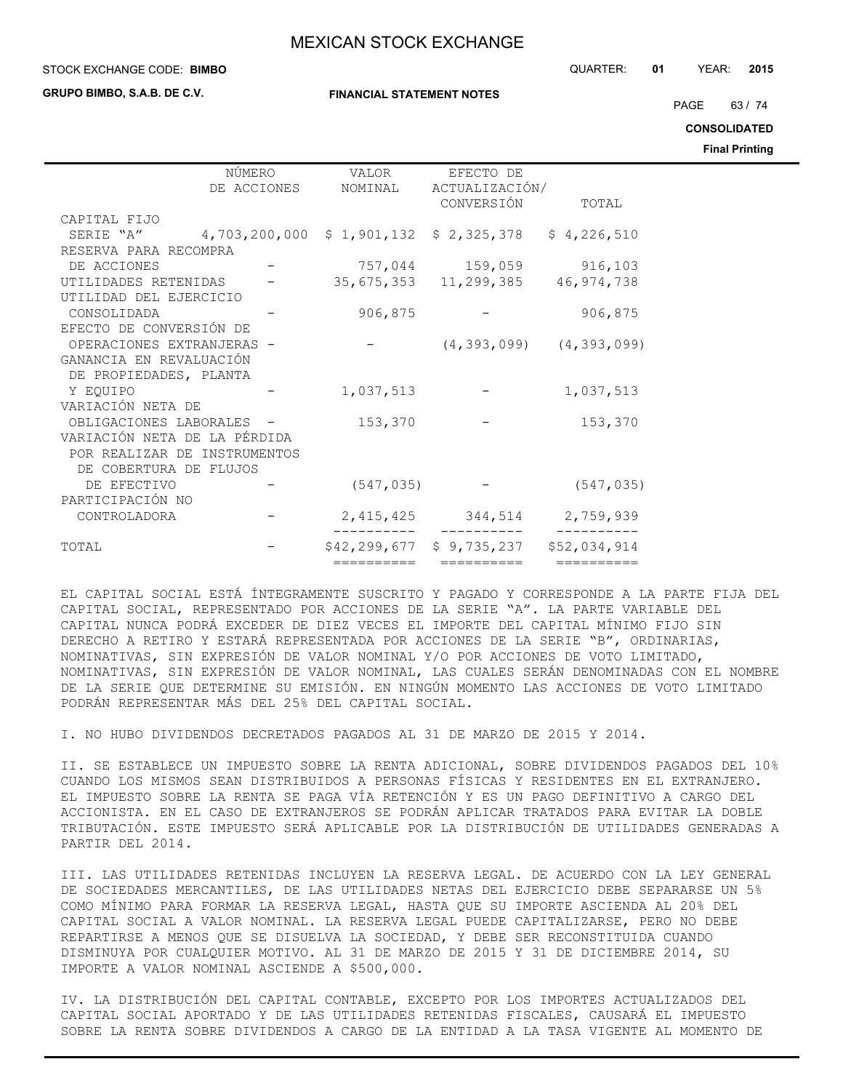**GRUPO BIMBO, S.A.B. DE C.V.**

#### **FINANCIAL STATEMENT NOTES**

STOCK EXCHANGE CODE: QUARTER: **01** YEAR: **2015 BIMBO**

PAGE 63 / 74

**CONSOLIDATED**

**Final Printing**

|                                                                | NÚMERO      | VALOR                                      | EFECTO DE                                      |                                 |  |
|----------------------------------------------------------------|-------------|--------------------------------------------|------------------------------------------------|---------------------------------|--|
|                                                                | DE ACCIONES |                                            | NOMINAL ACTUALIZACIÓN/                         |                                 |  |
|                                                                |             |                                            | CONVERSIÓN TOTAL                               |                                 |  |
| CAPITAL FIJO                                                   |             |                                            |                                                |                                 |  |
| SERIE "A" 4,703,200,000 \$ 1,901,132 \$ 2,325,378 \$ 4,226,510 |             |                                            |                                                |                                 |  |
| RESERVA PARA RECOMPRA                                          |             |                                            |                                                |                                 |  |
| DE ACCIONES                                                    |             |                                            | $757,044$ 159,059 916,103                      |                                 |  |
| UTILIDADES RETENIDAS - 35,675,353 11,299,385 46,974,738        |             |                                            |                                                |                                 |  |
| UTILIDAD DEL EJERCICIO                                         |             |                                            |                                                |                                 |  |
| CONSOLIDADA                                                    |             |                                            | $906, 875$ -                                   | 906,875                         |  |
| EFECTO DE CONVERSIÓN DE                                        |             |                                            |                                                |                                 |  |
| OPERACIONES EXTRANJERAS -                                      |             | and the state of the state of the state of |                                                | $(4, 393, 099)$ $(4, 393, 099)$ |  |
| GANANCIA EN REVALUACIÓN                                        |             |                                            |                                                |                                 |  |
| DE PROPIEDADES, PLANTA                                         |             |                                            |                                                |                                 |  |
| Y EQUIPO                                                       |             | 1,037,513                                  | and the state of the state of                  | 1,037,513                       |  |
| VARIACIÓN NETA DE                                              |             |                                            |                                                |                                 |  |
| OBLIGACIONES LABORALES -                                       |             | 153,370                                    |                                                | 153,370                         |  |
| VARIACIÓN NETA DE LA PÉRDIDA                                   |             |                                            |                                                |                                 |  |
| POR REALIZAR DE INSTRUMENTOS                                   |             |                                            |                                                |                                 |  |
| DE COBERTURA DE FLUJOS                                         |             |                                            |                                                |                                 |  |
| DE EFECTIVO                                                    |             |                                            | $(547, 035)$ -                                 | (547, 035)                      |  |
| PARTICIPACIÓN NO                                               |             |                                            |                                                |                                 |  |
| CONTROLADORA                                                   |             |                                            | 2, 415, 425 344, 514 2, 759, 939               |                                 |  |
|                                                                |             |                                            |                                                |                                 |  |
| TOTAL                                                          |             |                                            | $$42, 299, 677$ $$9, 735, 237$ $$52, 034, 914$ |                                 |  |
|                                                                |             | ==========                                 | ==========                                     | ==========                      |  |

EL CAPITAL SOCIAL ESTÁ ÍNTEGRAMENTE SUSCRITO Y PAGADO Y CORRESPONDE A LA PARTE FIJA DEL CAPITAL SOCIAL, REPRESENTADO POR ACCIONES DE LA SERIE "A". LA PARTE VARIABLE DEL CAPITAL NUNCA PODRÁ EXCEDER DE DIEZ VECES EL IMPORTE DEL CAPITAL MÍNIMO FIJO SIN DERECHO A RETIRO Y ESTARÁ REPRESENTADA POR ACCIONES DE LA SERIE "B", ORDINARIAS, NOMINATIVAS, SIN EXPRESIÓN DE VALOR NOMINAL Y/O POR ACCIONES DE VOTO LIMITADO, NOMINATIVAS, SIN EXPRESIÓN DE VALOR NOMINAL, LAS CUALES SERÁN DENOMINADAS CON EL NOMBRE DE LA SERIE QUE DETERMINE SU EMISIÓN. EN NINGÚN MOMENTO LAS ACCIONES DE VOTO LIMITADO PODRÁN REPRESENTAR MÁS DEL 25% DEL CAPITAL SOCIAL.

I. NO HUBO DIVIDENDOS DECRETADOS PAGADOS AL 31 DE MARZO DE 2015 Y 2014.

II. SE ESTABLECE UN IMPUESTO SOBRE LA RENTA ADICIONAL, SOBRE DIVIDENDOS PAGADOS DEL 10% CUANDO LOS MISMOS SEAN DISTRIBUIDOS A PERSONAS FÍSICAS Y RESIDENTES EN EL EXTRANJERO. EL IMPUESTO SOBRE LA RENTA SE PAGA VÍA RETENCIÓN Y ES UN PAGO DEFINITIVO A CARGO DEL ACCIONISTA. EN EL CASO DE EXTRANJEROS SE PODRÁN APLICAR TRATADOS PARA EVITAR LA DOBLE TRIBUTACIÓN. ESTE IMPUESTO SERÁ APLICABLE POR LA DISTRIBUCIÓN DE UTILIDADES GENERADAS A PARTIR DEL 2014.

III. LAS UTILIDADES RETENIDAS INCLUYEN LA RESERVA LEGAL. DE ACUERDO CON LA LEY GENERAL DE SOCIEDADES MERCANTILES, DE LAS UTILIDADES NETAS DEL EJERCICIO DEBE SEPARARSE UN 5% COMO MÍNIMO PARA FORMAR LA RESERVA LEGAL, HASTA QUE SU IMPORTE ASCIENDA AL 20% DEL CAPITAL SOCIAL A VALOR NOMINAL. LA RESERVA LEGAL PUEDE CAPITALIZARSE, PERO NO DEBE REPARTIRSE A MENOS QUE SE DISUELVA LA SOCIEDAD, Y DEBE SER RECONSTITUIDA CUANDO DISMINUYA POR CUALQUIER MOTIVO. AL 31 DE MARZO DE 2015 Y 31 DE DICIEMBRE 2014, SU IMPORTE A VALOR NOMINAL ASCIENDE A \$500,000.

IV. LA DISTRIBUCIÓN DEL CAPITAL CONTABLE, EXCEPTO POR LOS IMPORTES ACTUALIZADOS DEL CAPITAL SOCIAL APORTADO Y DE LAS UTILIDADES RETENIDAS FISCALES, CAUSARÁ EL IMPUESTO SOBRE LA RENTA SOBRE DIVIDENDOS A CARGO DE LA ENTIDAD A LA TASA VIGENTE AL MOMENTO DE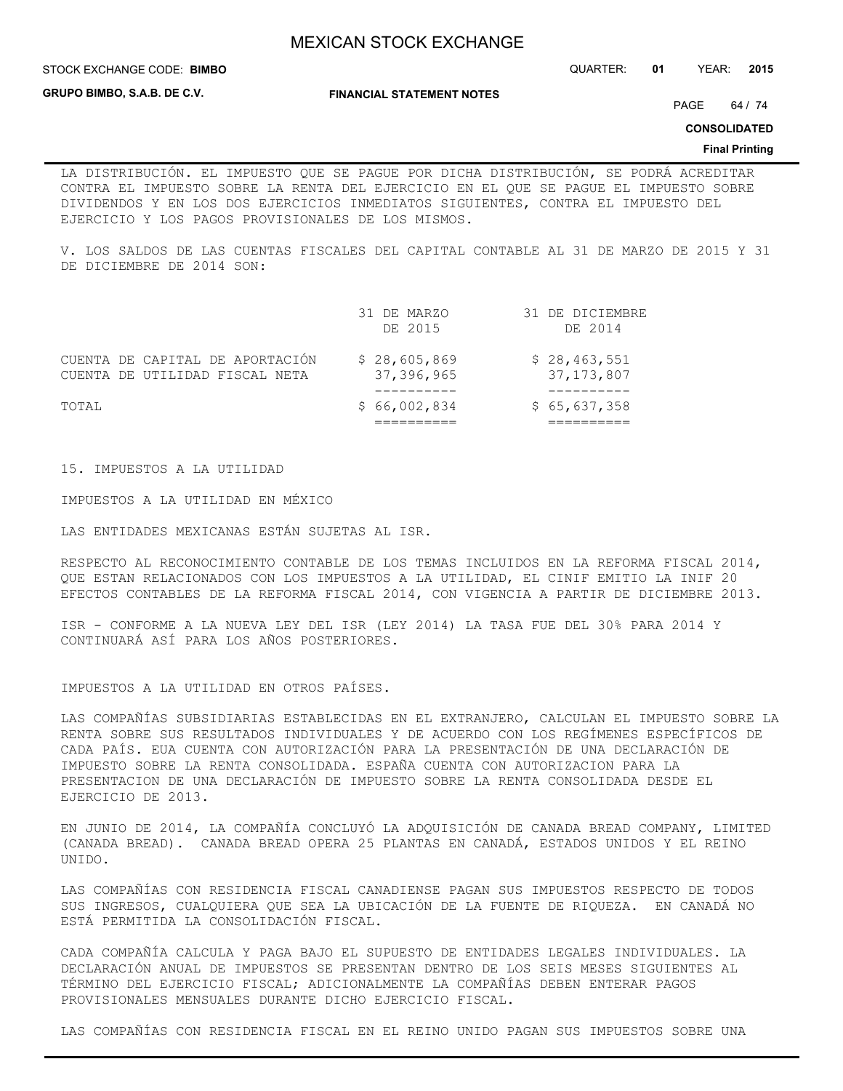**GRUPO BIMBO, S.A.B. DE C.V.**

**FINANCIAL STATEMENT NOTES**

PAGE 64 / 74

**CONSOLIDATED**

#### **Final Printing**

LA DISTRIBUCIÓN. EL IMPUESTO QUE SE PAGUE POR DICHA DISTRIBUCIÓN, SE PODRÁ ACREDITAR CONTRA EL IMPUESTO SOBRE LA RENTA DEL EJERCICIO EN EL QUE SE PAGUE EL IMPUESTO SOBRE DIVIDENDOS Y EN LOS DOS EJERCICIOS INMEDIATOS SIGUIENTES, CONTRA EL IMPUESTO DEL EJERCICIO Y LOS PAGOS PROVISIONALES DE LOS MISMOS.

V. LOS SALDOS DE LAS CUENTAS FISCALES DEL CAPITAL CONTABLE AL 31 DE MARZO DE 2015 Y 31 DE DICIEMBRE DE 2014 SON:

| TOTAI, |                                                                   | \$66,002,834               | \$65,637,358                 |
|--------|-------------------------------------------------------------------|----------------------------|------------------------------|
|        |                                                                   |                            |                              |
|        | CUENTA DE CAPITAL DE APORTACIÓN<br>CUENTA DE UTILIDAD FISCAL NETA | \$28,605,869<br>37,396,965 | \$28,463,551<br>37, 173, 807 |
|        |                                                                   | 31 DE MARZO<br>DE 2015     | 31 DE DICIEMBRE<br>DE 2014   |

15. IMPUESTOS A LA UTILIDAD

IMPUESTOS A LA UTILIDAD EN MÉXICO

LAS ENTIDADES MEXICANAS ESTÁN SUJETAS AL ISR.

RESPECTO AL RECONOCIMIENTO CONTABLE DE LOS TEMAS INCLUIDOS EN LA REFORMA FISCAL 2014, QUE ESTAN RELACIONADOS CON LOS IMPUESTOS A LA UTILIDAD, EL CINIF EMITIO LA INIF 20 EFECTOS CONTABLES DE LA REFORMA FISCAL 2014, CON VIGENCIA A PARTIR DE DICIEMBRE 2013.

ISR - CONFORME A LA NUEVA LEY DEL ISR (LEY 2014) LA TASA FUE DEL 30% PARA 2014 Y CONTINUARÁ ASÍ PARA LOS AÑOS POSTERIORES.

IMPUESTOS A LA UTILIDAD EN OTROS PAÍSES.

LAS COMPAÑÍAS SUBSIDIARIAS ESTABLECIDAS EN EL EXTRANJERO, CALCULAN EL IMPUESTO SOBRE LA RENTA SOBRE SUS RESULTADOS INDIVIDUALES Y DE ACUERDO CON LOS REGÍMENES ESPECÍFICOS DE CADA PAÍS. EUA CUENTA CON AUTORIZACIÓN PARA LA PRESENTACIÓN DE UNA DECLARACIÓN DE IMPUESTO SOBRE LA RENTA CONSOLIDADA. ESPAÑA CUENTA CON AUTORIZACION PARA LA PRESENTACION DE UNA DECLARACIÓN DE IMPUESTO SOBRE LA RENTA CONSOLIDADA DESDE EL EJERCICIO DE 2013.

EN JUNIO DE 2014, LA COMPAÑÍA CONCLUYÓ LA ADQUISICIÓN DE CANADA BREAD COMPANY, LIMITED (CANADA BREAD). CANADA BREAD OPERA 25 PLANTAS EN CANADÁ, ESTADOS UNIDOS Y EL REINO UNIDO.

LAS COMPAÑÍAS CON RESIDENCIA FISCAL CANADIENSE PAGAN SUS IMPUESTOS RESPECTO DE TODOS SUS INGRESOS, CUALQUIERA QUE SEA LA UBICACIÓN DE LA FUENTE DE RIQUEZA. EN CANADÁ NO ESTÁ PERMITIDA LA CONSOLIDACIÓN FISCAL.

CADA COMPAÑÍA CALCULA Y PAGA BAJO EL SUPUESTO DE ENTIDADES LEGALES INDIVIDUALES. LA DECLARACIÓN ANUAL DE IMPUESTOS SE PRESENTAN DENTRO DE LOS SEIS MESES SIGUIENTES AL TÉRMINO DEL EJERCICIO FISCAL; ADICIONALMENTE LA COMPAÑÍAS DEBEN ENTERAR PAGOS PROVISIONALES MENSUALES DURANTE DICHO EJERCICIO FISCAL.

LAS COMPAÑÍAS CON RESIDENCIA FISCAL EN EL REINO UNIDO PAGAN SUS IMPUESTOS SOBRE UNA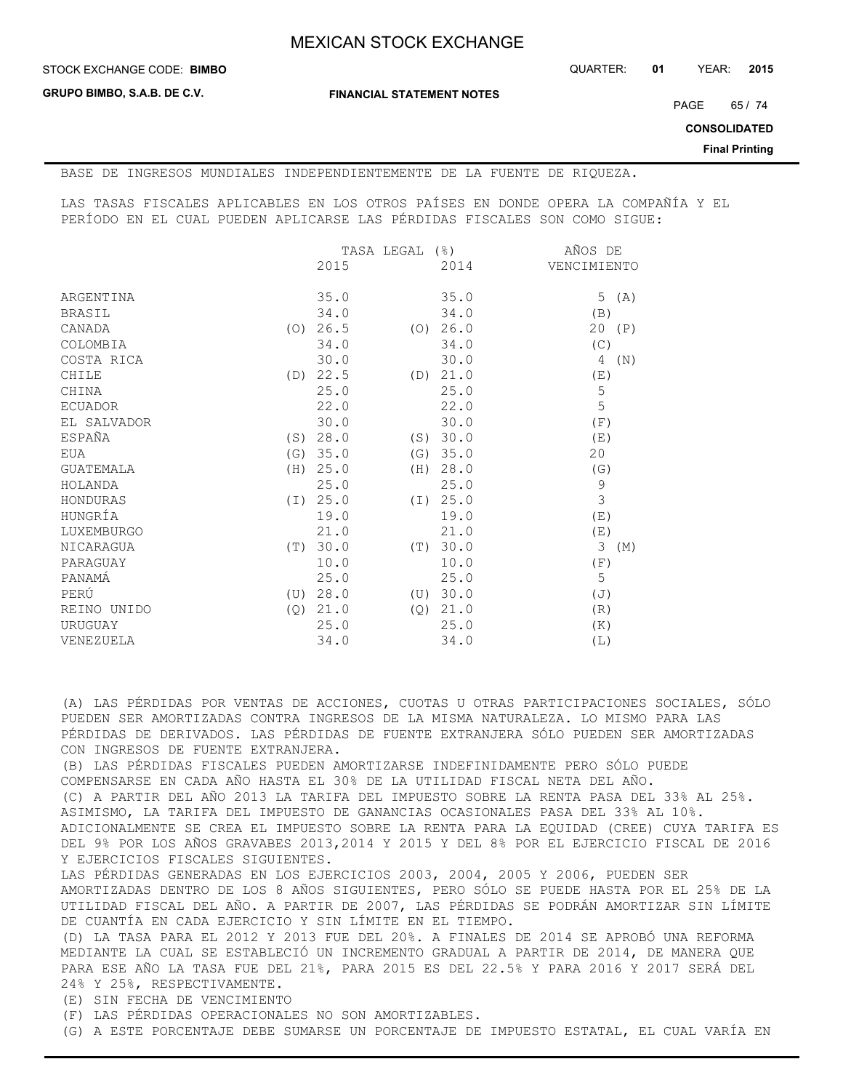**GRUPO BIMBO, S.A.B. DE C.V.**

**FINANCIAL STATEMENT NOTES**

PAGE 65 / 74

**CONSOLIDATED**

**Final Printing**

BASE DE INGRESOS MUNDIALES INDEPENDIENTEMENTE DE LA FUENTE DE RIQUEZA.

LAS TASAS FISCALES APLICABLES EN LOS OTROS PAÍSES EN DONDE OPERA LA COMPAÑÍA Y EL PERÍODO EN EL CUAL PUEDEN APLICARSE LAS PÉRDIDAS FISCALES SON COMO SIGUE:

|                         | TASA LEGAL (%)  |          | AÑOS DE     |
|-------------------------|-----------------|----------|-------------|
|                         | 2015            | 2014     | VENCIMIENTO |
|                         |                 |          |             |
| ARGENTINA               | 35.0            | 35.0     | 5<br>(A)    |
| <b>BRASIL</b>           | 34.0            | 34.0     | (B)         |
| CANADA                  | $(0)$ 26.5      | (0) 26.0 | 20<br>(P)   |
| COLOMBIA                | 34.0            | 34.0     | (C)         |
| COSTA RICA              | 30.0            | 30.0     | 4<br>(N)    |
| CHILE<br>(D)            | 22.5<br>(D)     | 21.0     | (E)         |
| CHINA                   | 25.0            | 25.0     | 5           |
| <b>ECUADOR</b>          | 22.0            | 22.0     | 5           |
| EL SALVADOR             | 30.0            | 30.0     | (F)         |
| ESPAÑA<br>(S)           | 28.0<br>(S)     | 30.0     | (E)         |
| EUA                     | (G) 35.0<br>(G) | 35.0     | 20          |
| <b>GUATEMALA</b><br>(H) | 25.0<br>(H)     | 28.0     | (G)         |
| HOLANDA                 | 25.0            | 25.0     | 9           |
| HONDURAS                | (I) 25.0<br>(T) | 25.0     | 3           |
| HUNGRÍA                 | 19.0            | 19.0     | (E)         |
| LUXEMBURGO              | 21.0            | 21.0     | (E)         |
| <b>NICARAGUA</b>        | (T) 30.0<br>(T) | 30.0     | 3<br>(M)    |
| PARAGUAY                | 10.0            | 10.0     | (F)         |
| PANAMÁ                  | 25.0            | 25.0     | 5           |
| PERÚ<br>(U)             | 28.0<br>(U)     | 30.0     | (J)         |
| REINO UNIDO<br>(Q)      | 21.0<br>(Q)     | 21.0     | (R)         |
| URUGUAY                 | 25.0            | 25.0     | (K)         |
| VENEZUELA               | 34.0            | 34.0     | (L)         |

(A) LAS PÉRDIDAS POR VENTAS DE ACCIONES, CUOTAS U OTRAS PARTICIPACIONES SOCIALES, SÓLO PUEDEN SER AMORTIZADAS CONTRA INGRESOS DE LA MISMA NATURALEZA. LO MISMO PARA LAS PÉRDIDAS DE DERIVADOS. LAS PÉRDIDAS DE FUENTE EXTRANJERA SÓLO PUEDEN SER AMORTIZADAS CON INGRESOS DE FUENTE EXTRANJERA.

(B) LAS PÉRDIDAS FISCALES PUEDEN AMORTIZARSE INDEFINIDAMENTE PERO SÓLO PUEDE COMPENSARSE EN CADA AÑO HASTA EL 30% DE LA UTILIDAD FISCAL NETA DEL AÑO. (C) A PARTIR DEL AÑO 2013 LA TARIFA DEL IMPUESTO SOBRE LA RENTA PASA DEL 33% AL 25%. ASIMISMO, LA TARIFA DEL IMPUESTO DE GANANCIAS OCASIONALES PASA DEL 33% AL 10%. ADICIONALMENTE SE CREA EL IMPUESTO SOBRE LA RENTA PARA LA EQUIDAD (CREE) CUYA TARIFA ES DEL 9% POR LOS AÑOS GRAVABES 2013,2014 Y 2015 Y DEL 8% POR EL EJERCICIO FISCAL DE 2016 Y EJERCICIOS FISCALES SIGUIENTES.

LAS PÉRDIDAS GENERADAS EN LOS EJERCICIOS 2003, 2004, 2005 Y 2006, PUEDEN SER AMORTIZADAS DENTRO DE LOS 8 AÑOS SIGUIENTES, PERO SÓLO SE PUEDE HASTA POR EL 25% DE LA UTILIDAD FISCAL DEL AÑO. A PARTIR DE 2007, LAS PÉRDIDAS SE PODRÁN AMORTIZAR SIN LÍMITE DE CUANTÍA EN CADA EJERCICIO Y SIN LÍMITE EN EL TIEMPO.

(D) LA TASA PARA EL 2012 Y 2013 FUE DEL 20%. A FINALES DE 2014 SE APROBÓ UNA REFORMA MEDIANTE LA CUAL SE ESTABLECIÓ UN INCREMENTO GRADUAL A PARTIR DE 2014, DE MANERA QUE PARA ESE AÑO LA TASA FUE DEL 21%, PARA 2015 ES DEL 22.5% Y PARA 2016 Y 2017 SERÁ DEL 24% Y 25%, RESPECTIVAMENTE.

(E) SIN FECHA DE VENCIMIENTO

(F) LAS PÉRDIDAS OPERACIONALES NO SON AMORTIZABLES.

(G) A ESTE PORCENTAJE DEBE SUMARSE UN PORCENTAJE DE IMPUESTO ESTATAL, EL CUAL VARÍA EN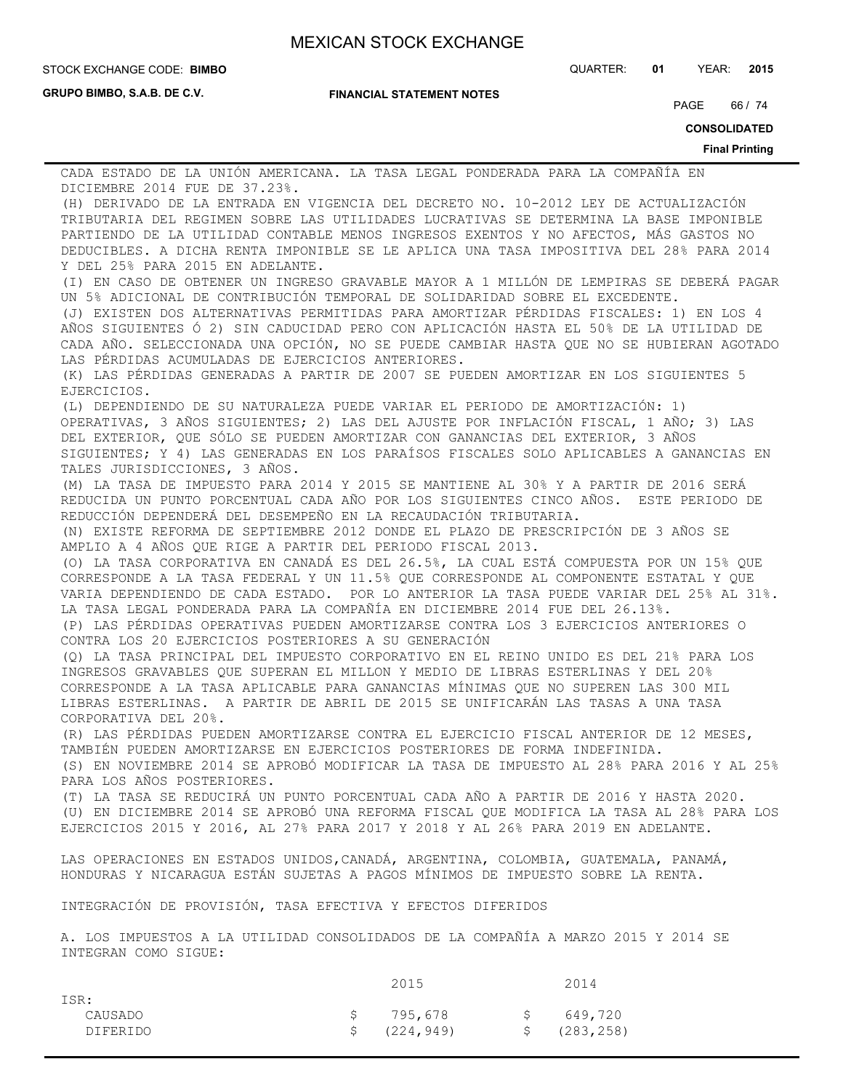**GRUPO BIMBO, S.A.B. DE C.V.**

**FINANCIAL STATEMENT NOTES**

STOCK EXCHANGE CODE: QUARTER: **01** YEAR: **2015 BIMBO**

PAGE 66 / 74

**CONSOLIDATED**

#### **Final Printing**

CADA ESTADO DE LA UNIÓN AMERICANA. LA TASA LEGAL PONDERADA PARA LA COMPAÑÍA EN DICIEMBRE 2014 FUE DE 37.23%. (H) DERIVADO DE LA ENTRADA EN VIGENCIA DEL DECRETO NO. 10-2012 LEY DE ACTUALIZACIÓN TRIBUTARIA DEL REGIMEN SOBRE LAS UTILIDADES LUCRATIVAS SE DETERMINA LA BASE IMPONIBLE

PARTIENDO DE LA UTILIDAD CONTABLE MENOS INGRESOS EXENTOS Y NO AFECTOS, MÁS GASTOS NO DEDUCIBLES. A DICHA RENTA IMPONIBLE SE LE APLICA UNA TASA IMPOSITIVA DEL 28% PARA 2014 Y DEL 25% PARA 2015 EN ADELANTE.

(I) EN CASO DE OBTENER UN INGRESO GRAVABLE MAYOR A 1 MILLÓN DE LEMPIRAS SE DEBERÁ PAGAR UN 5% ADICIONAL DE CONTRIBUCIÓN TEMPORAL DE SOLIDARIDAD SOBRE EL EXCEDENTE.

(J) EXISTEN DOS ALTERNATIVAS PERMITIDAS PARA AMORTIZAR PÉRDIDAS FISCALES: 1) EN LOS 4 AÑOS SIGUIENTES Ó 2) SIN CADUCIDAD PERO CON APLICACIÓN HASTA EL 50% DE LA UTILIDAD DE CADA AÑO. SELECCIONADA UNA OPCIÓN, NO SE PUEDE CAMBIAR HASTA QUE NO SE HUBIERAN AGOTADO LAS PÉRDIDAS ACUMULADAS DE EJERCICIOS ANTERIORES.

(K) LAS PÉRDIDAS GENERADAS A PARTIR DE 2007 SE PUEDEN AMORTIZAR EN LOS SIGUIENTES 5 EJERCICIOS.

(L) DEPENDIENDO DE SU NATURALEZA PUEDE VARIAR EL PERIODO DE AMORTIZACIÓN: 1) OPERATIVAS, 3 AÑOS SIGUIENTES; 2) LAS DEL AJUSTE POR INFLACIÓN FISCAL, 1 AÑO; 3) LAS DEL EXTERIOR, QUE SÓLO SE PUEDEN AMORTIZAR CON GANANCIAS DEL EXTERIOR, 3 AÑOS SIGUIENTES; Y 4) LAS GENERADAS EN LOS PARAÍSOS FISCALES SOLO APLICABLES A GANANCIAS EN TALES JURISDICCIONES, 3 AÑOS.

(M) LA TASA DE IMPUESTO PARA 2014 Y 2015 SE MANTIENE AL 30% Y A PARTIR DE 2016 SERÁ REDUCIDA UN PUNTO PORCENTUAL CADA AÑO POR LOS SIGUIENTES CINCO AÑOS. ESTE PERIODO DE REDUCCIÓN DEPENDERÁ DEL DESEMPEÑO EN LA RECAUDACIÓN TRIBUTARIA.

(N) EXISTE REFORMA DE SEPTIEMBRE 2012 DONDE EL PLAZO DE PRESCRIPCIÓN DE 3 AÑOS SE AMPLIO A 4 AÑOS QUE RIGE A PARTIR DEL PERIODO FISCAL 2013.

(O) LA TASA CORPORATIVA EN CANADÁ ES DEL 26.5%, LA CUAL ESTÁ COMPUESTA POR UN 15% QUE CORRESPONDE A LA TASA FEDERAL Y UN 11.5% QUE CORRESPONDE AL COMPONENTE ESTATAL Y QUE VARIA DEPENDIENDO DE CADA ESTADO. POR LO ANTERIOR LA TASA PUEDE VARIAR DEL 25% AL 31%. LA TASA LEGAL PONDERADA PARA LA COMPAÑÍA EN DICIEMBRE 2014 FUE DEL 26.13%.

(P) LAS PÉRDIDAS OPERATIVAS PUEDEN AMORTIZARSE CONTRA LOS 3 EJERCICIOS ANTERIORES O CONTRA LOS 20 EJERCICIOS POSTERIORES A SU GENERACIÓN

(Q) LA TASA PRINCIPAL DEL IMPUESTO CORPORATIVO EN EL REINO UNIDO ES DEL 21% PARA LOS INGRESOS GRAVABLES QUE SUPERAN EL MILLON Y MEDIO DE LIBRAS ESTERLINAS Y DEL 20% CORRESPONDE A LA TASA APLICABLE PARA GANANCIAS MÍNIMAS QUE NO SUPEREN LAS 300 MIL LIBRAS ESTERLINAS. A PARTIR DE ABRIL DE 2015 SE UNIFICARÁN LAS TASAS A UNA TASA CORPORATIVA DEL 20%.

(R) LAS PÉRDIDAS PUEDEN AMORTIZARSE CONTRA EL EJERCICIO FISCAL ANTERIOR DE 12 MESES, TAMBIÉN PUEDEN AMORTIZARSE EN EJERCICIOS POSTERIORES DE FORMA INDEFINIDA.

(S) EN NOVIEMBRE 2014 SE APROBÓ MODIFICAR LA TASA DE IMPUESTO AL 28% PARA 2016 Y AL 25% PARA LOS AÑOS POSTERIORES.

(T) LA TASA SE REDUCIRÁ UN PUNTO PORCENTUAL CADA AÑO A PARTIR DE 2016 Y HASTA 2020. (U) EN DICIEMBRE 2014 SE APROBÓ UNA REFORMA FISCAL QUE MODIFICA LA TASA AL 28% PARA LOS EJERCICIOS 2015 Y 2016, AL 27% PARA 2017 Y 2018 Y AL 26% PARA 2019 EN ADELANTE.

LAS OPERACIONES EN ESTADOS UNIDOS,CANADÁ, ARGENTINA, COLOMBIA, GUATEMALA, PANAMÁ, HONDURAS Y NICARAGUA ESTÁN SUJETAS A PAGOS MÍNIMOS DE IMPUESTO SOBRE LA RENTA.

INTEGRACIÓN DE PROVISIÓN, TASA EFECTIVA Y EFECTOS DIFERIDOS

A. LOS IMPUESTOS A LA UTILIDAD CONSOLIDADOS DE LA COMPAÑÍA A MARZO 2015 Y 2014 SE INTEGRAN COMO SIGUE:

|                 | 2015          |     | 2014          |
|-----------------|---------------|-----|---------------|
| ISR:            |               |     |               |
| CAUSADO         | \$795,678     | S – | 649,720       |
| <b>DIFERIDO</b> | \$ (224, 949) |     | \$ (283, 258) |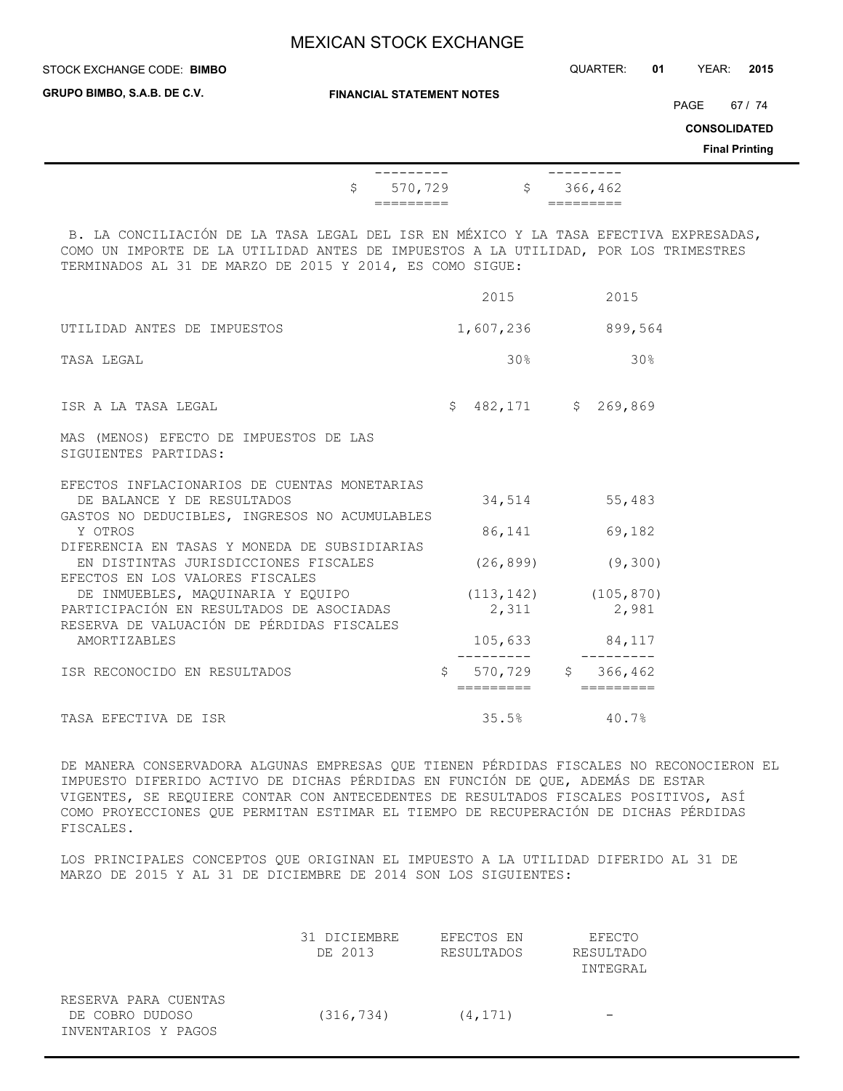| STOCK EXCHANGE CODE: BIMBO                                                                                                                                                                                                              |                       |                       |              | QUARTER:              | YEAR:<br>2015<br>01                                             |
|-----------------------------------------------------------------------------------------------------------------------------------------------------------------------------------------------------------------------------------------|-----------------------|-----------------------|--------------|-----------------------|-----------------------------------------------------------------|
| GRUPO BIMBO, S.A.B. DE C.V.<br><b>FINANCIAL STATEMENT NOTES</b>                                                                                                                                                                         |                       |                       |              |                       | 67 / 74<br>PAGE<br><b>CONSOLIDATED</b><br><b>Final Printing</b> |
| \$                                                                                                                                                                                                                                      | ----------<br>570,729 | $\ddot{\mathsf{S}}$   | ---------    | 366,462               |                                                                 |
| B. LA CONCILIACIÓN DE LA TASA LEGAL DEL ISR EN MÉXICO Y LA TASA EFECTIVA EXPRESADAS,<br>COMO UN IMPORTE DE LA UTILIDAD ANTES DE IMPUESTOS A LA UTILIDAD, POR LOS TRIMESTRES<br>TERMINADOS AL 31 DE MARZO DE 2015 Y 2014, ES COMO SIGUE: |                       |                       |              |                       |                                                                 |
|                                                                                                                                                                                                                                         |                       | 2015                  |              | 2015                  |                                                                 |
| UTILIDAD ANTES DE IMPUESTOS                                                                                                                                                                                                             |                       |                       |              | 1,607,236 899,564     |                                                                 |
| TASA LEGAL                                                                                                                                                                                                                              |                       | 30%                   |              | 30 <sub>8</sub>       |                                                                 |
| ISR A LA TASA LEGAL                                                                                                                                                                                                                     |                       | $$482,171$ $$269,869$ |              |                       |                                                                 |
| MAS (MENOS) EFECTO DE IMPUESTOS DE LAS<br>SIGUIENTES PARTIDAS:                                                                                                                                                                          |                       |                       |              |                       |                                                                 |
| EFECTOS INFLACIONARIOS DE CUENTAS MONETARIAS<br>DE BALANCE Y DE RESULTADOS<br>GASTOS NO DEDUCIBLES, INGRESOS NO ACUMULABLES                                                                                                             |                       | 34,514                |              | 55,483                |                                                                 |
| Y OTROS                                                                                                                                                                                                                                 |                       | 86,141                |              | 69,182                |                                                                 |
| DIFERENCIA EN TASAS Y MONEDA DE SUBSIDIARIAS<br>EN DISTINTAS JURISDICCIONES FISCALES<br>EFECTOS EN LOS VALORES FISCALES                                                                                                                 |                       | (26, 899)             |              | (9, 300)              |                                                                 |
| DE INMUEBLES, MAQUINARIA Y EQUIPO                                                                                                                                                                                                       |                       | (113, 142)            |              | (105, 870)            |                                                                 |
| PARTICIPACIÓN EN RESULTADOS DE ASOCIADAS                                                                                                                                                                                                |                       | 2,311                 |              | 2,981                 |                                                                 |
| RESERVA DE VALUACIÓN DE PÉRDIDAS FISCALES<br><b>AMORTIZABLES</b>                                                                                                                                                                        |                       | 105,633               |              | 84,117<br>----------  |                                                                 |
| ISR RECONOCIDO EN RESULTADOS                                                                                                                                                                                                            | \$                    | 570,729<br>=========  | $\mathsf{S}$ | 366,462<br>---------- |                                                                 |
| TASA EFECTIVA DE ISR                                                                                                                                                                                                                    |                       | 35.5%                 |              | 40.7%                 |                                                                 |

DE MANERA CONSERVADORA ALGUNAS EMPRESAS QUE TIENEN PÉRDIDAS FISCALES NO RECONOCIERON EL IMPUESTO DIFERIDO ACTIVO DE DICHAS PÉRDIDAS EN FUNCIÓN DE QUE, ADEMÁS DE ESTAR VIGENTES, SE REQUIERE CONTAR CON ANTECEDENTES DE RESULTADOS FISCALES POSITIVOS, ASÍ COMO PROYECCIONES QUE PERMITAN ESTIMAR EL TIEMPO DE RECUPERACIÓN DE DICHAS PÉRDIDAS FISCALES.

LOS PRINCIPALES CONCEPTOS QUE ORIGINAN EL IMPUESTO A LA UTILIDAD DIFERIDO AL 31 DE MARZO DE 2015 Y AL 31 DE DICIEMBRE DE 2014 SON LOS SIGUIENTES:

|                                                                | 31 DICIEMBRE<br>DE 2013 | EFECTOS EN<br>RESULTADOS | EFECTO<br>RESULTADO<br>INTEGRAL |
|----------------------------------------------------------------|-------------------------|--------------------------|---------------------------------|
| RESERVA PARA CUENTAS<br>DE COBRO DUDOSO<br>INVENTARIOS Y PAGOS | (316, 734)              | (4, 171)                 |                                 |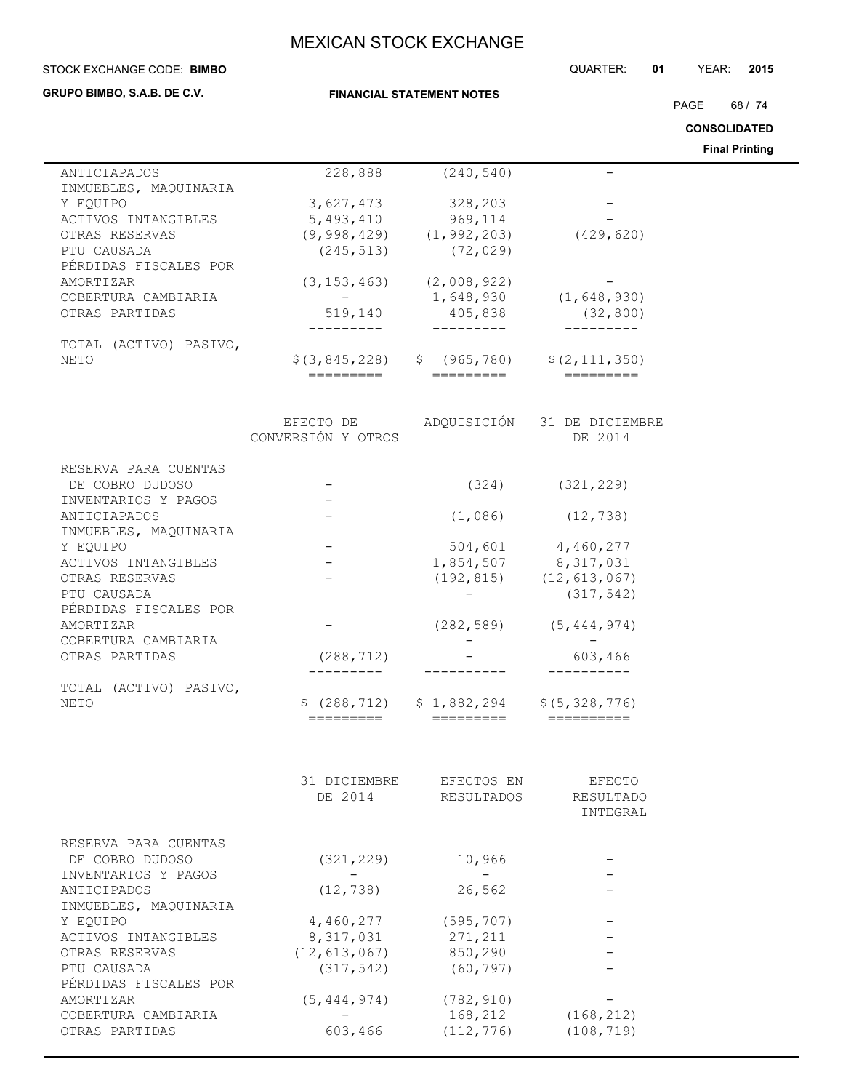| STOCK EXCHANGE CODE: BIMBO      |                           |                                                 | QUARTER:<br>01                 | YEAR:<br>2015         |
|---------------------------------|---------------------------|-------------------------------------------------|--------------------------------|-----------------------|
| GRUPO BIMBO, S.A.B. DE C.V.     |                           | <b>FINANCIAL STATEMENT NOTES</b>                |                                |                       |
|                                 |                           |                                                 |                                | PAGE<br>68 / 74       |
|                                 |                           |                                                 |                                | <b>CONSOLIDATED</b>   |
|                                 |                           |                                                 |                                | <b>Final Printing</b> |
| ANTICIAPADOS                    | 228,888                   | (240, 540)                                      |                                |                       |
| INMUEBLES, MAQUINARIA           |                           |                                                 |                                |                       |
| Y EOUIPO                        | 3,627,473                 | 328,203                                         |                                |                       |
| ACTIVOS INTANGIBLES             | 5,493,410                 | 969,114                                         |                                |                       |
| OTRAS RESERVAS                  |                           | $(9,998,429)$ $(1,992,203)$                     | (429, 620)                     |                       |
| PTU CAUSADA                     | (245, 513)                | (72, 029)                                       |                                |                       |
| PÉRDIDAS FISCALES POR           |                           |                                                 |                                |                       |
| AMORTIZAR                       | (3, 153, 463)             | (2,008,922)                                     |                                |                       |
| COBERTURA CAMBIARIA             | $-$                       | 1,648,930                                       | (1, 648, 930)                  |                       |
| OTRAS PARTIDAS                  | 519,140                   | 405,838<br>----------                           | (32, 800)                      |                       |
| TOTAL (ACTIVO) PASIVO,          |                           |                                                 |                                |                       |
| <b>NETO</b>                     |                           | $$(3, 845, 228)$ $$(965, 780)$ $$(2, 111, 350)$ |                                |                       |
|                                 | =========                 | =========                                       |                                |                       |
|                                 |                           |                                                 |                                |                       |
|                                 | EFECTO DE ADQUISICIÓN     |                                                 | 31 DE DICIEMBRE                |                       |
|                                 | CONVERSIÓN Y OTROS        |                                                 | DE 2014                        |                       |
| RESERVA PARA CUENTAS            |                           |                                                 |                                |                       |
| DE COBRO DUDOSO                 |                           | (324)                                           | (321, 229)                     |                       |
| INVENTARIOS Y PAGOS             |                           |                                                 |                                |                       |
| ANTICIAPADOS                    |                           | (1,086)                                         | (12, 738)                      |                       |
| INMUEBLES, MAQUINARIA           |                           |                                                 |                                |                       |
| Y EQUIPO<br>ACTIVOS INTANGIBLES |                           | 504,601<br>1,854,507 8,317,031                  | 4,460,277                      |                       |
| OTRAS RESERVAS                  |                           | (192, 815)                                      | (12, 613, 067)                 |                       |
| PTU CAUSADA                     |                           |                                                 | (317, 542)                     |                       |
| PÉRDIDAS FISCALES POR           |                           |                                                 |                                |                       |
| AMORTIZAR                       |                           |                                                 | $(282, 589)$ $(5, 444, 974)$   |                       |
| COBERTURA CAMBIARIA             |                           |                                                 |                                |                       |
| OTRAS PARTIDAS                  | (288, 712)                |                                                 | 603,466                        |                       |
|                                 |                           |                                                 |                                |                       |
| TOTAL (ACTIVO) PASIVO,          |                           |                                                 |                                |                       |
| <b>NETO</b>                     | \$(288, 712)<br>========= | \$1,882,294<br>=========                        | \$ (5, 328, 776)<br>========== |                       |
|                                 |                           |                                                 |                                |                       |
|                                 |                           |                                                 |                                |                       |
|                                 | 31 DICIEMBRE              | EFECTOS EN                                      | <b>EFECTO</b>                  |                       |
|                                 | DE 2014                   | RESULTADOS                                      | RESULTADO                      |                       |
|                                 |                           |                                                 | INTEGRAL                       |                       |
| RESERVA PARA CUENTAS            |                           |                                                 |                                |                       |
| DE COBRO DUDOSO                 | (321, 229)                | 10,966                                          |                                |                       |
| INVENTARIOS Y PAGOS             |                           |                                                 |                                |                       |
| ANTICIPADOS                     | (12, 738)                 | 26,562                                          |                                |                       |
| INMUEBLES, MAQUINARIA           |                           |                                                 |                                |                       |
| Y EQUIPO                        | 4,460,277                 | (595, 707)                                      |                                |                       |
| ACTIVOS INTANGIBLES             | 8,317,031                 | 271,211                                         |                                |                       |
| OTRAS RESERVAS                  | (12, 613, 067)            | 850,290                                         |                                |                       |
| PTU CAUSADA                     | (317, 542)                | (60, 797)                                       |                                |                       |
| PÉRDIDAS FISCALES POR           |                           |                                                 |                                |                       |
| AMORTIZAR                       | (5, 444, 974)             | (782, 910)                                      |                                |                       |
| COBERTURA CAMBIARIA             |                           | 168,212                                         | (168, 212)                     |                       |
| OTRAS PARTIDAS                  | 603,466                   | (112, 776)                                      | (108, 719)                     |                       |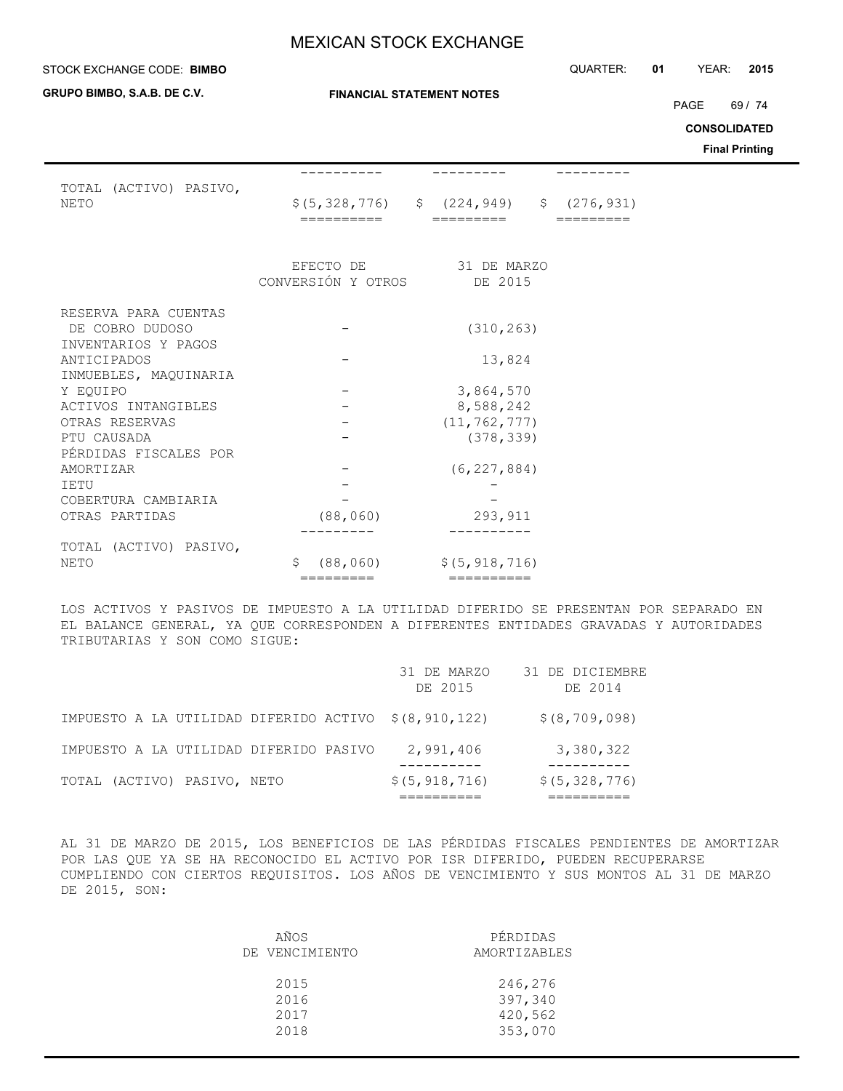#### STOCK EXCHANGE CODE: QUARTER: **01** YEAR: **2015 BIMBO**

**GRUPO BIMBO, S.A.B. DE C.V.**

**FINANCIAL STATEMENT NOTES**

PAGE 69 / 74

**CONSOLIDATED**

**Final Printing**

| TOTAL (ACTIVO) PASIVO,<br><b>NETO</b>                          | ======                          | $$(5, 328, 776)$ $$(224, 949)$ $$(276, 931)$ |  |
|----------------------------------------------------------------|---------------------------------|----------------------------------------------|--|
|                                                                | EFECTO DE<br>CONVERSIÓN Y OTROS | 31 DE MARZO<br>DE 2015                       |  |
| RESERVA PARA CUENTAS<br>DE COBRO DUDOSO<br>INVENTARIOS Y PAGOS |                                 | (310, 263)                                   |  |
| ANTICIPADOS                                                    |                                 | 13,824                                       |  |
| INMUEBLES, MAOUINARIA<br>Y EOUIPO                              |                                 | 3,864,570                                    |  |
| ACTIVOS INTANGIBLES                                            |                                 | 8,588,242                                    |  |
| OTRAS RESERVAS                                                 |                                 | (11, 762, 777)                               |  |
| PTU CAUSADA                                                    |                                 | (378, 339)                                   |  |
| PÉRDIDAS FISCALES POR<br>AMORTIZAR<br><b>IETU</b>              |                                 | (6, 227, 884)                                |  |
| COBERTURA CAMBIARIA                                            |                                 |                                              |  |
| OTRAS PARTIDAS                                                 | (88, 060)                       | 293,911                                      |  |
| TOTAL (ACTIVO) PASIVO,                                         |                                 |                                              |  |
| <b>NETO</b>                                                    | \$<br>(88, 060)                 | \$ (5, 918, 716)                             |  |
|                                                                | =========                       | ==========                                   |  |

LOS ACTIVOS Y PASIVOS DE IMPUESTO A LA UTILIDAD DIFERIDO SE PRESENTAN POR SEPARADO EN EL BALANCE GENERAL, YA QUE CORRESPONDEN A DIFERENTES ENTIDADES GRAVADAS Y AUTORIDADES TRIBUTARIAS Y SON COMO SIGUE:

|                                                      | 31 DE MARZO<br>DE 2015 | 31 DE DICIEMBRE<br>DE 2014 |
|------------------------------------------------------|------------------------|----------------------------|
| IMPUESTO A LA UTILIDAD DIFERIDO ACTIVO \$(8,910,122) |                        | \$ (8, 709, 098)           |
| IMPUESTO A LA UTILIDAD DIFERIDO PASIVO               | 2,991,406              | 3,380,322                  |
| TOTAL (ACTIVO) PASIVO, NETO                          | \$(5, 918, 716)        | \$ (5, 328, 776)           |

AL 31 DE MARZO DE 2015, LOS BENEFICIOS DE LAS PÉRDIDAS FISCALES PENDIENTES DE AMORTIZAR POR LAS QUE YA SE HA RECONOCIDO EL ACTIVO POR ISR DIFERIDO, PUEDEN RECUPERARSE CUMPLIENDO CON CIERTOS REQUISITOS. LOS AÑOS DE VENCIMIENTO Y SUS MONTOS AL 31 DE MARZO DE 2015, SON:

| AÑOS           | PÉRDIDAS     |
|----------------|--------------|
| DE VENCIMIENTO | AMORTIZABLES |
| 2015           | 246,276      |
| 2016           | 397,340      |
| 2017           | 420,562      |
| 2018           | 353,070      |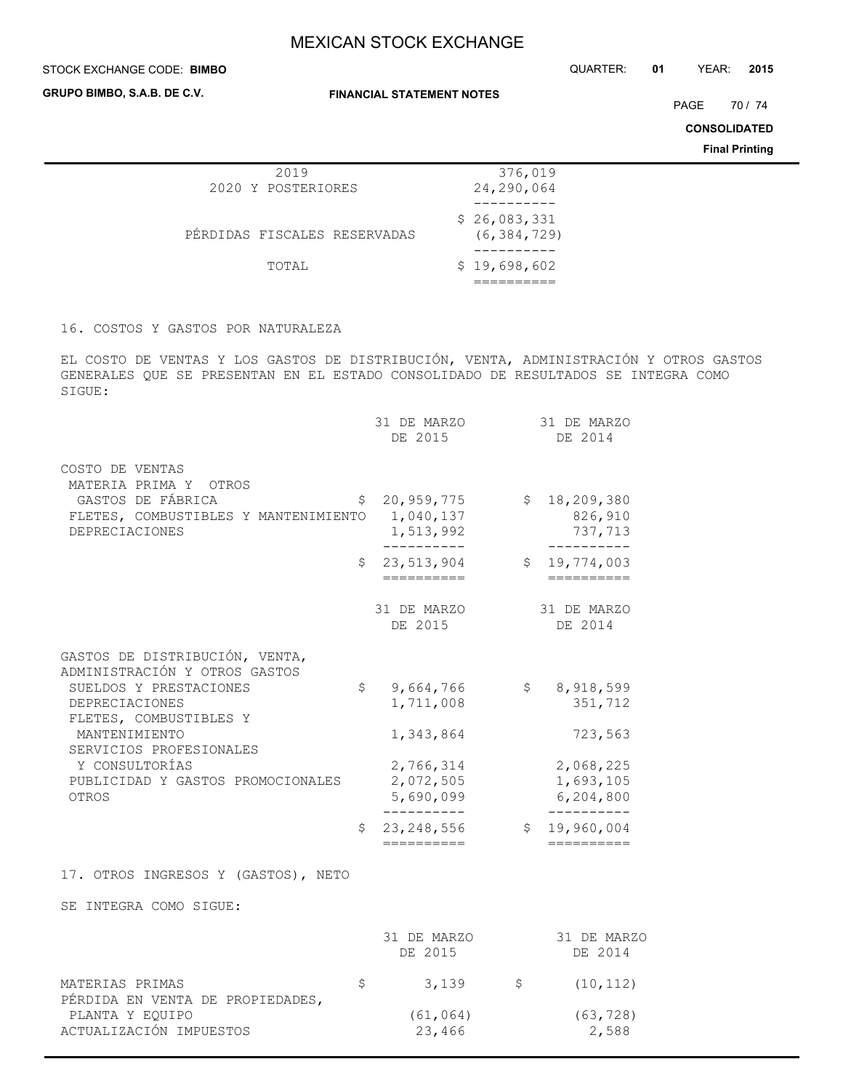#### STOCK EXCHANGE CODE: QUARTER: **01** YEAR: **2015 BIMBO**

**GRUPO BIMBO, S.A.B. DE C.V.**

**FINANCIAL STATEMENT NOTES**

PAGE 70 / 74

**CONSOLIDATED**

**Final Printing**

| 2019                         | 376,019       |
|------------------------------|---------------|
| 2020 Y POSTERIORES           | 24,290,064    |
|                              |               |
|                              | \$26,083,331  |
| PÉRDIDAS FISCALES RESERVADAS | (6, 384, 729) |
|                              |               |
| TOTAL                        | \$19,698,602  |
|                              |               |
|                              |               |

## 16. COSTOS Y GASTOS POR NATURALEZA

EL COSTO DE VENTAS Y LOS GASTOS DE DISTRIBUCIÓN, VENTA, ADMINISTRACIÓN Y OTROS GASTOS GENERALES QUE SE PRESENTAN EN EL ESTADO CONSOLIDADO DE RESULTADOS SE INTEGRA COMO SIGUE:

|                                                                 | 31 DE MARZO<br>DE 2015           |                | 31 DE MARZO<br>DE 2014   |
|-----------------------------------------------------------------|----------------------------------|----------------|--------------------------|
| COSTO DE VENTAS<br>MATERIA PRIMA Y<br>OTROS                     |                                  |                |                          |
| GASTOS DE FÁBRICA                                               | \$<br>20,959,775                 | \$             | 18,209,380               |
| FLETES, COMBUSTIBLES Y MANTENIMIENTO                            | 1,040,137                        |                | 826,910                  |
| <b>DEPRECIACIONES</b>                                           | 1,513,992                        |                | 737,713                  |
|                                                                 | \$<br>23,513,904                 | $\mathsf{S}^-$ | 19,774,003               |
|                                                                 | ==========                       |                | ==========               |
|                                                                 | 31 DE MARZO                      |                | 31 DE MARZO              |
|                                                                 | DE 2015                          |                | DE 2014                  |
| GASTOS DE DISTRIBUCIÓN, VENTA,<br>ADMINISTRACIÓN Y OTROS GASTOS |                                  |                |                          |
| SUELDOS Y PRESTACIONES                                          | \$<br>9,664,766                  | $\mathsf{S}$   | 8,918,599                |
| DEPRECIACIONES<br>FLETES, COMBUSTIBLES Y                        | 1,711,008                        |                | 351,712                  |
| MANTENIMIENTO                                                   | 1,343,864                        |                | 723,563                  |
| SERVICIOS PROFESIONALES                                         |                                  |                |                          |
| Y CONSULTORÍAS                                                  | 2,766,314                        |                | 2,068,225                |
| PUBLICIDAD Y GASTOS PROMOCIONALES<br><b>OTROS</b>               | 2,072,505<br>5,690,099           |                | 1,693,105<br>6,204,800   |
|                                                                 | . <u>.</u> .                     |                | --------                 |
|                                                                 | \$<br>23, 248, 556<br>========== | \$             | 19,960,004<br>========== |
| 17. OTROS INGRESOS Y (GASTOS), NETO                             |                                  |                |                          |
| SE INTEGRA COMO SIGUE:                                          |                                  |                |                          |
|                                                                 |                                  |                |                          |
|                                                                 | 31 DE MARZO<br>DE 2015           |                | 31 DE MARZO<br>DE 2014   |
|                                                                 | $\sim$ 1 $\sim$ $\sim$           |                | $110 - 110$              |

| MATERIAS PRIMAS                  | 3,139     | S | (10, 112) |
|----------------------------------|-----------|---|-----------|
| PÉRDIDA EN VENTA DE PROPIEDADES, |           |   |           |
| PLANTA Y EOUIPO                  | (61, 064) |   | (63, 728) |
| ACTUALIZACIÓN IMPUESTOS          | 23,466    |   | 2,588     |
|                                  |           |   |           |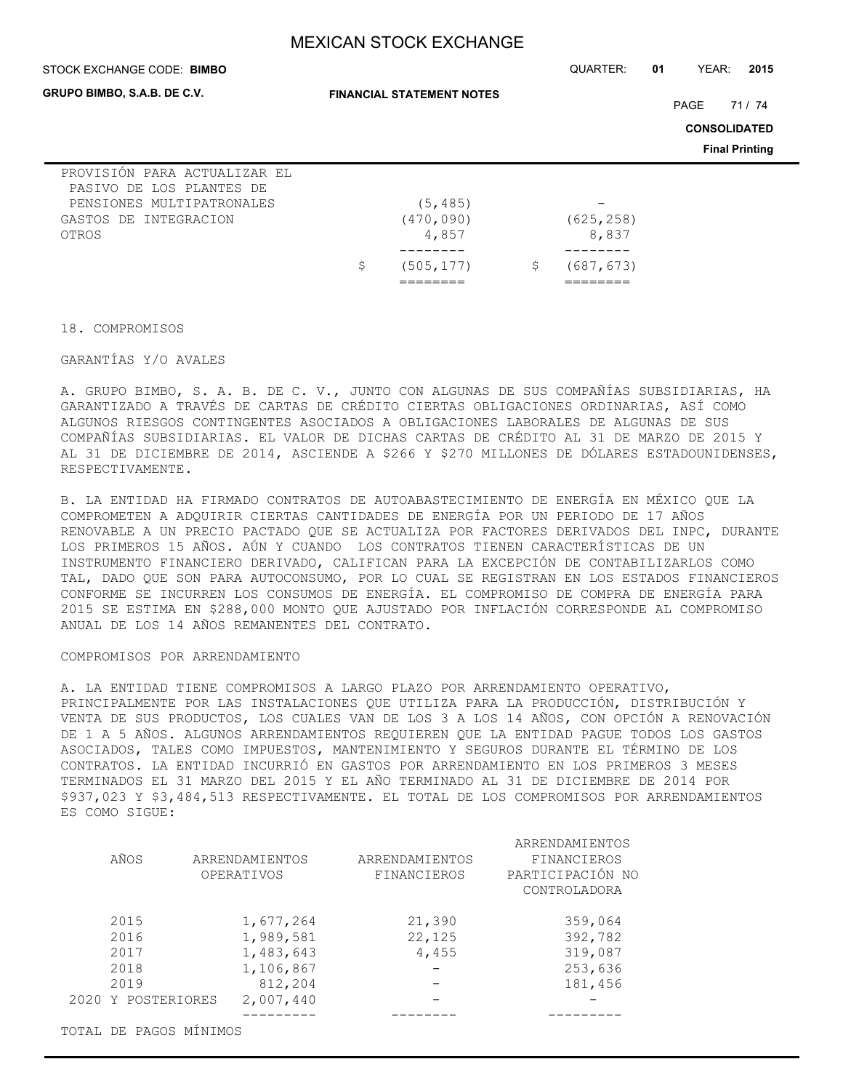| STOCK EXCHANGE CODE: BIMBO                                                                                              |                                  | QUARTER:            | 01 | YEAR:                       | 2015                  |
|-------------------------------------------------------------------------------------------------------------------------|----------------------------------|---------------------|----|-----------------------------|-----------------------|
| GRUPO BIMBO, S.A.B. DE C.V.                                                                                             | <b>FINANCIAL STATEMENT NOTES</b> |                     |    | PAGE<br><b>CONSOLIDATED</b> | 71 / 74               |
|                                                                                                                         |                                  |                     |    |                             | <b>Final Printing</b> |
| PROVISIÓN PARA ACTUALIZAR EL<br>PASIVO DE LOS PLANTES DE<br>PENSIONES MULTIPATRONALES<br>GASTOS DE INTEGRACION<br>OTROS | (5, 485)<br>(470, 090)<br>4,857  | (625, 258)<br>8,837 |    |                             |                       |
|                                                                                                                         | \$<br>(505, 177)                 | \$<br>(687, 673)    |    |                             |                       |

18. COMPROMISOS

#### GARANTÍAS Y/O AVALES

A. GRUPO BIMBO, S. A. B. DE C. V., JUNTO CON ALGUNAS DE SUS COMPAÑÍAS SUBSIDIARIAS, HA GARANTIZADO A TRAVÉS DE CARTAS DE CRÉDITO CIERTAS OBLIGACIONES ORDINARIAS, ASÍ COMO ALGUNOS RIESGOS CONTINGENTES ASOCIADOS A OBLIGACIONES LABORALES DE ALGUNAS DE SUS COMPAÑÍAS SUBSIDIARIAS. EL VALOR DE DICHAS CARTAS DE CRÉDITO AL 31 DE MARZO DE 2015 Y AL 31 DE DICIEMBRE DE 2014, ASCIENDE A \$266 Y \$270 MILLONES DE DÓLARES ESTADOUNIDENSES, RESPECTIVAMENTE.

B. LA ENTIDAD HA FIRMADO CONTRATOS DE AUTOABASTECIMIENTO DE ENERGÍA EN MÉXICO QUE LA COMPROMETEN A ADQUIRIR CIERTAS CANTIDADES DE ENERGÍA POR UN PERIODO DE 17 AÑOS RENOVABLE A UN PRECIO PACTADO QUE SE ACTUALIZA POR FACTORES DERIVADOS DEL INPC, DURANTE LOS PRIMEROS 15 AÑOS. AÚN Y CUANDO LOS CONTRATOS TIENEN CARACTERÍSTICAS DE UN INSTRUMENTO FINANCIERO DERIVADO, CALIFICAN PARA LA EXCEPCIÓN DE CONTABILIZARLOS COMO TAL, DADO QUE SON PARA AUTOCONSUMO, POR LO CUAL SE REGISTRAN EN LOS ESTADOS FINANCIEROS CONFORME SE INCURREN LOS CONSUMOS DE ENERGÍA. EL COMPROMISO DE COMPRA DE ENERGÍA PARA 2015 SE ESTIMA EN \$288,000 MONTO QUE AJUSTADO POR INFLACIÓN CORRESPONDE AL COMPROMISO ANUAL DE LOS 14 AÑOS REMANENTES DEL CONTRATO.

### COMPROMISOS POR ARRENDAMIENTO

A. LA ENTIDAD TIENE COMPROMISOS A LARGO PLAZO POR ARRENDAMIENTO OPERATIVO, PRINCIPALMENTE POR LAS INSTALACIONES QUE UTILIZA PARA LA PRODUCCIÓN, DISTRIBUCIÓN Y VENTA DE SUS PRODUCTOS, LOS CUALES VAN DE LOS 3 A LOS 14 AÑOS, CON OPCIÓN A RENOVACIÓN DE 1 A 5 AÑOS. ALGUNOS ARRENDAMIENTOS REQUIEREN QUE LA ENTIDAD PAGUE TODOS LOS GASTOS ASOCIADOS, TALES COMO IMPUESTOS, MANTENIMIENTO Y SEGUROS DURANTE EL TÉRMINO DE LOS CONTRATOS. LA ENTIDAD INCURRIÓ EN GASTOS POR ARRENDAMIENTO EN LOS PRIMEROS 3 MESES TERMINADOS EL 31 MARZO DEL 2015 Y EL AÑO TERMINADO AL 31 DE DICIEMBRE DE 2014 POR \$937,023 Y \$3,484,513 RESPECTIVAMENTE. EL TOTAL DE LOS COMPROMISOS POR ARRENDAMIENTOS ES COMO SIGUE:

|                        |                |                | ARRENDAMIENTOS   |
|------------------------|----------------|----------------|------------------|
| AÑOS                   | ARRENDAMIENTOS | ARRENDAMIENTOS | FINANCIEROS      |
|                        | OPERATIVOS     | FINANCIEROS    | PARTICIPACIÓN NO |
|                        |                |                | CONTROLADORA     |
| 2015                   | 1,677,264      | 21,390         | 359,064          |
| 2016                   | 1,989,581      | 22,125         | 392,782          |
| 2017                   | 1,483,643      | 4,455          | 319,087          |
| 2018                   | 1,106,867      |                | 253,636          |
| 2019                   | 812,204        |                | 181,456          |
| 2020 Y POSTERIORES     | 2,007,440      |                |                  |
|                        |                |                |                  |
| TOTAL DE PAGOS MÍNIMOS |                |                |                  |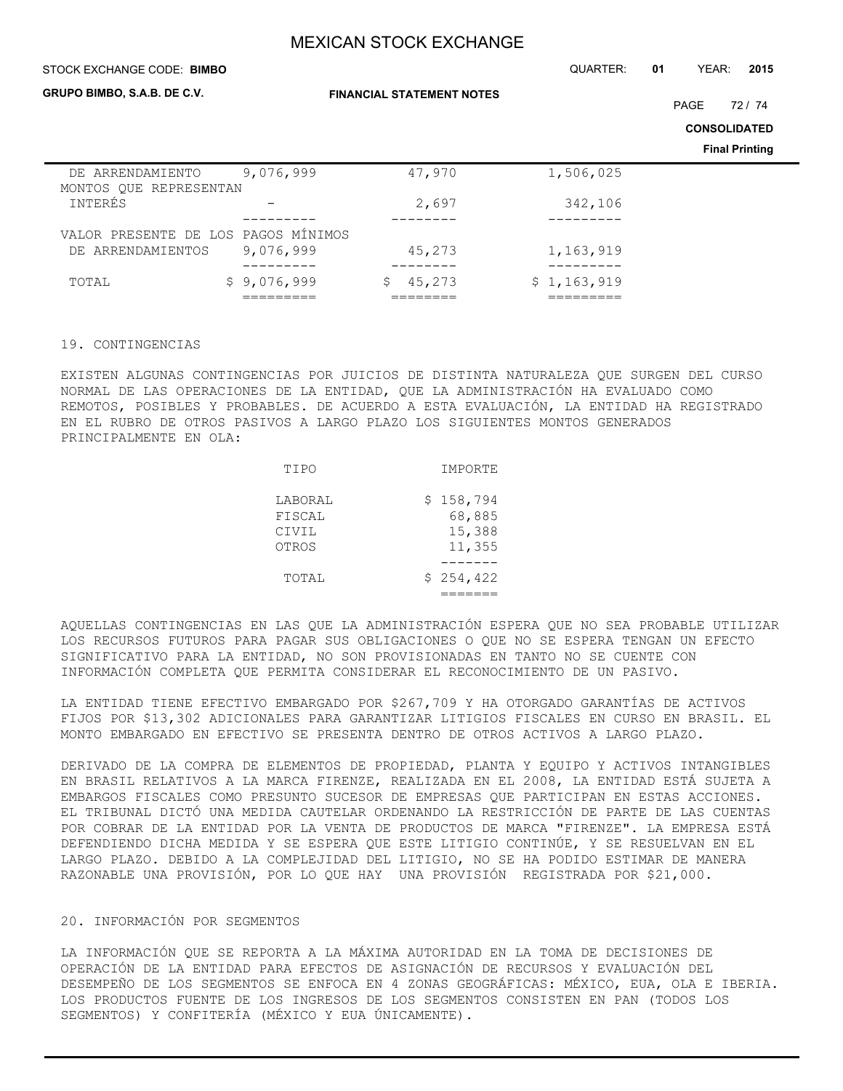#### STOCK EXCHANGE CODE: QUARTER: **01** YEAR: **2015 BIMBO**

**GRUPO BIMBO, S.A.B. DE C.V.**

**FINANCIAL STATEMENT NOTES**

PAGE 72 / 74

**CONSOLIDATED**

**Final Printing**

|                                     |             |        |             | <b>Final Printing</b> |
|-------------------------------------|-------------|--------|-------------|-----------------------|
| DE ARRENDAMIENTO                    | 9,076,999   | 47,970 | 1,506,025   |                       |
| MONTOS QUE REPRESENTAN              |             |        |             |                       |
| INTERÉS                             |             | 2,697  | 342,106     |                       |
|                                     |             |        |             |                       |
| VALOR PRESENTE DE LOS PAGOS MÍNIMOS |             |        |             |                       |
| DE ARRENDAMIENTOS                   | 9,076,999   | 45,273 | 1,163,919   |                       |
|                                     |             |        |             |                       |
| TOTAL                               | \$9,076,999 | 45,273 | \$1,163,919 |                       |
|                                     |             |        |             |                       |

#### 19. CONTINGENCIAS

EXISTEN ALGUNAS CONTINGENCIAS POR JUICIOS DE DISTINTA NATURALEZA QUE SURGEN DEL CURSO NORMAL DE LAS OPERACIONES DE LA ENTIDAD, QUE LA ADMINISTRACIÓN HA EVALUADO COMO REMOTOS, POSIBLES Y PROBABLES. DE ACUERDO A ESTA EVALUACIÓN, LA ENTIDAD HA REGISTRADO EN EL RUBRO DE OTROS PASIVOS A LARGO PLAZO LOS SIGUIENTES MONTOS GENERADOS PRINCIPALMENTE EN OLA:

| TIPO                                | IMPORTE                                 |
|-------------------------------------|-----------------------------------------|
| LABORAL<br>FISCAL<br>CIVIL<br>OTROS | \$158,794<br>68,885<br>15,388<br>11,355 |
| TOTAL                               | \$254,422                               |

AQUELLAS CONTINGENCIAS EN LAS QUE LA ADMINISTRACIÓN ESPERA QUE NO SEA PROBABLE UTILIZAR LOS RECURSOS FUTUROS PARA PAGAR SUS OBLIGACIONES O QUE NO SE ESPERA TENGAN UN EFECTO SIGNIFICATIVO PARA LA ENTIDAD, NO SON PROVISIONADAS EN TANTO NO SE CUENTE CON INFORMACIÓN COMPLETA QUE PERMITA CONSIDERAR EL RECONOCIMIENTO DE UN PASIVO.

LA ENTIDAD TIENE EFECTIVO EMBARGADO POR \$267,709 Y HA OTORGADO GARANTÍAS DE ACTIVOS FIJOS POR \$13,302 ADICIONALES PARA GARANTIZAR LITIGIOS FISCALES EN CURSO EN BRASIL. EL MONTO EMBARGADO EN EFECTIVO SE PRESENTA DENTRO DE OTROS ACTIVOS A LARGO PLAZO.

DERIVADO DE LA COMPRA DE ELEMENTOS DE PROPIEDAD, PLANTA Y EQUIPO Y ACTIVOS INTANGIBLES EN BRASIL RELATIVOS A LA MARCA FIRENZE, REALIZADA EN EL 2008, LA ENTIDAD ESTÁ SUJETA A EMBARGOS FISCALES COMO PRESUNTO SUCESOR DE EMPRESAS QUE PARTICIPAN EN ESTAS ACCIONES. EL TRIBUNAL DICTÓ UNA MEDIDA CAUTELAR ORDENANDO LA RESTRICCIÓN DE PARTE DE LAS CUENTAS POR COBRAR DE LA ENTIDAD POR LA VENTA DE PRODUCTOS DE MARCA "FIRENZE". LA EMPRESA ESTÁ DEFENDIENDO DICHA MEDIDA Y SE ESPERA QUE ESTE LITIGIO CONTINÚE, Y SE RESUELVAN EN EL LARGO PLAZO. DEBIDO A LA COMPLEJIDAD DEL LITIGIO, NO SE HA PODIDO ESTIMAR DE MANERA RAZONABLE UNA PROVISIÓN, POR LO QUE HAY UNA PROVISIÓN REGISTRADA POR \$21,000.

#### 20. INFORMACIÓN POR SEGMENTOS

LA INFORMACIÓN QUE SE REPORTA A LA MÁXIMA AUTORIDAD EN LA TOMA DE DECISIONES DE OPERACIÓN DE LA ENTIDAD PARA EFECTOS DE ASIGNACIÓN DE RECURSOS Y EVALUACIÓN DEL DESEMPEÑO DE LOS SEGMENTOS SE ENFOCA EN 4 ZONAS GEOGRÁFICAS: MÉXICO, EUA, OLA E IBERIA. LOS PRODUCTOS FUENTE DE LOS INGRESOS DE LOS SEGMENTOS CONSISTEN EN PAN (TODOS LOS SEGMENTOS) Y CONFITERÍA (MÉXICO Y EUA ÚNICAMENTE).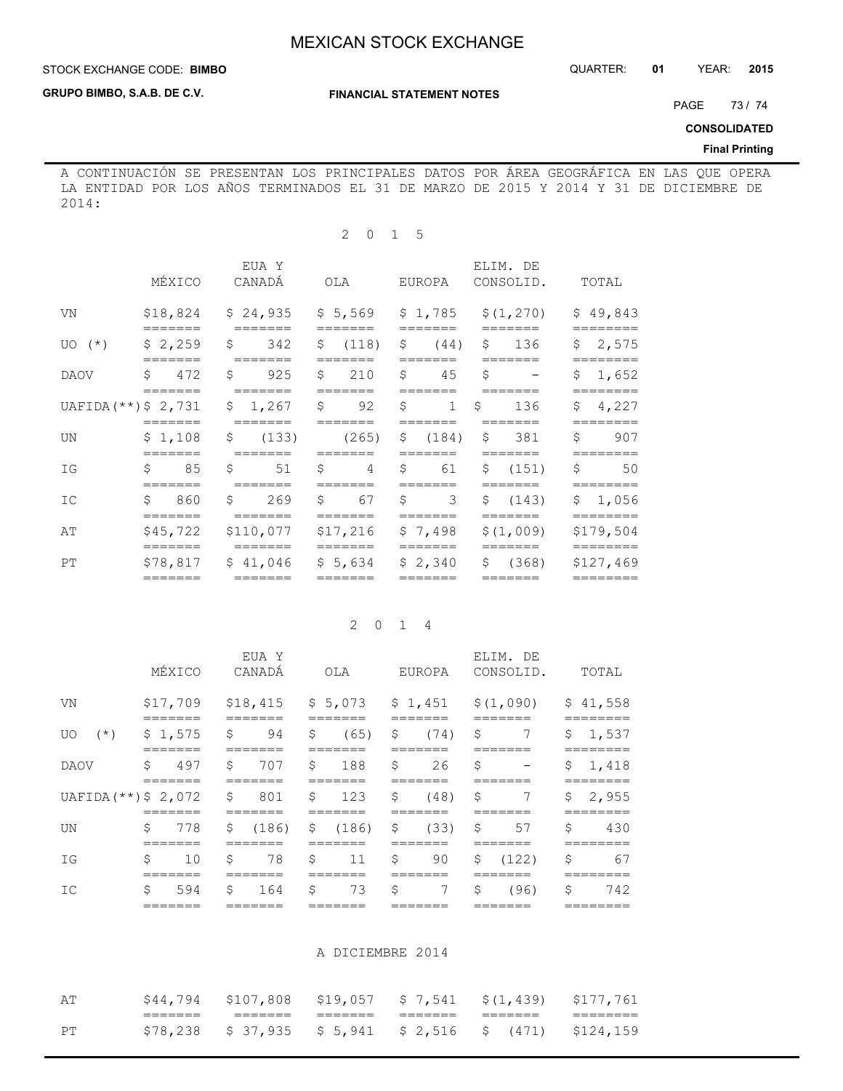## **STOCK EXCHANGE CODE: BIMBO**

**GRUPO BIMBO, S.A.B. DE C.V.**

### **FINANCIAL STATEMENT NOTES**

PAGE 73/74

**CONSOLIDATED**

## **Final Printing**

A CONTINUACIÓN SE PRESENTAN LOS PRINCIPALES DATOS POR ÁREA GEOGRÁFICA EN LAS QUE OPERA LA ENTIDAD POR LOS AÑOS TERMINADOS EL 31 DE MARZO DE 2015 Y 2014 Y 31 DE DICIEMBRE DE 2014:

## 2 0 1 5

|                                       | MÉXICO                                      |    | EUA Y<br>CANADÁ                                                    |                    | OLA                              |              | EUROPA                                                            |              | ELIM. DE<br>CONSOLID.                              |    | TOTAL                        |
|---------------------------------------|---------------------------------------------|----|--------------------------------------------------------------------|--------------------|----------------------------------|--------------|-------------------------------------------------------------------|--------------|----------------------------------------------------|----|------------------------------|
| VN                                    | $=$ $=$ $=$ $=$ $=$ $=$                     |    | $$18,824$ $$24,935$ $$5,569$<br>$=$ $=$ $=$ $=$ $=$ $=$            |                    | $=$ $=$ $=$ $=$ $=$ $=$          |              | =======                                                           |              | $$1,785$ $$(1,270)$<br>$=$ $=$ $=$ $=$ $=$ $=$ $=$ |    | \$49,843<br>========         |
| $UO(*)$                               | \$2,259                                     |    | $\frac{1}{2}$ 342 \$ (118) \$ (44) \$ 136<br>=======               |                    | =======                          |              | =======                                                           |              | =======                                            |    | \$2,575                      |
| DAOV                                  | \$472<br>=======                            |    | $$925$ \$ 210<br>=======                                           |                    | =======                          |              | $\sqrt{5}$ 45<br>=======                                          | \$           | $\sim$ 100 $\sim$ 100 $\sim$<br>=======            |    | \$1,652<br>========          |
| UAFIDA $(**)$ \$ 2,731 \$ 1,267 \$ 92 |                                             |    | $=$ $=$ $=$ $=$ $=$ $=$                                            |                    |                                  | $\mathsf{S}$ |                                                                   | $1 \quad$ \$ | 136                                                |    | \$4,227<br>$=$ = = = = = = = |
| UN                                    | =======                                     |    | $$1,108$ $$(133)$<br>=======                                       |                    | $(265)$ \$ $(184)$<br>=======    |              | =======                                                           |              | \$381<br>=======                                   | Ŝ. | 907<br>========              |
| ΙG                                    | $\mathsf{S}$ 8.5<br>$=$ $=$ $=$ $=$ $=$ $=$ | Ŝ. | 51                                                                 | $\ddot{\varsigma}$ | $4 \t5 \t61$<br>=======          |              |                                                                   |              | \$ (151)<br>=======                                | \$ | 50<br>========               |
| IC                                    | \$860<br>$=$ $=$ $=$ $=$ $=$ $=$            |    | \$ 269<br>$=$ $=$ $=$ $=$ $=$ $=$                                  |                    | \$ 67<br>$=$ $=$ $=$ $=$ $=$ $=$ |              | $\begin{array}{ccc} 5 & 3 \end{array}$<br>$=$ $=$ $=$ $=$ $=$ $=$ |              | \$(143)<br>$=$ $=$ $=$ $=$ $=$ $=$                 |    | \$1,056<br>========          |
| AΤ                                    | $=$ $=$ $=$ $=$ $=$ $=$                     |    | $$45,722$ $$110,077$ $$17,216$ $$7,498$<br>$=$ $=$ $=$ $=$ $=$ $=$ |                    |                                  |              | $=$ $=$ $=$ $=$ $=$ $=$                                           |              | \$(1,009)<br>=======                               |    | \$179,504<br>========        |
| PT                                    | $=$ $=$ $=$ $=$ $=$ $=$                     |    | $$78,817$ $$41,046$ $$5,634$ $$2,340$<br>$=$ $=$ $=$ $=$ $=$ $=$   |                    |                                  |              | $=$ $=$ $=$ $=$ $=$ $=$                                           |              | \$(368)                                            |    | \$127,469<br>$=$ =======     |

## 2 0 1 4

|                        |    | MÉXICO         |              | EUA Y<br>CANADÁ |                | OLA                |                    | EUROPA |     | ELIM. DE<br>CONSOLID.                            | TOTAL                |
|------------------------|----|----------------|--------------|-----------------|----------------|--------------------|--------------------|--------|-----|--------------------------------------------------|----------------------|
| VN                     |    | \$17,709       |              |                 |                |                    |                    |        |     | $$18,415$ $$5,073$ $$1,451$ $$(1,090)$ $$41,558$ |                      |
| $(\star)$<br>UO.       |    | \$1,575        | \$           | 94              | \$             | (65)               | \$                 | (74)   | -\$ | 7                                                | \$<br>1,537          |
| <b>DAOV</b>            | \$ | 497            | \$           | 707             | S.             | 188                | \$                 | 26     | \$  |                                                  | \$<br>1,418          |
| $UAFIDA$ (**) \$ 2,072 |    |                | \$           | 801             | $\mathfrak{S}$ | 123                | \$                 | (48)   | \$  | 7                                                | \$<br>2,955          |
| UN                     | \$ | =======<br>778 | $\mathsf{S}$ | (186)           |                | ------<br>\$ (186) | $\hat{\mathbf{S}}$ | (33)   | \$  | =======<br>57                                    | \$<br>=======<br>430 |
| ΙG                     | \$ | 10             | \$           | 78              | - \$           | 11                 | \$                 | 90     |     | \$ (122)                                         | \$<br>67             |
| IC                     | Ŝ. | 594            | Ŝ.           | 164             | \$             | 73                 | \$                 | 7      | \$  | (96)                                             | \$<br>742            |
|                        |    |                |              |                 |                |                    |                    |        |     |                                                  |                      |

#### A DICIEMBRE 2014

| ΑT | \$44,794           |         |         |         | $$107,808$ $$19,057$ $$7,541$ $$(1,439)$ $$177,761$       |        |
|----|--------------------|---------|---------|---------|-----------------------------------------------------------|--------|
|    | _______<br>_______ | _______ | _______ | _______ | _______                                                   | ______ |
| PТ |                    |         |         |         | $$78,238$ $$37,935$ $$5,941$ $$2,516$ $$(471)$ $$124,159$ |        |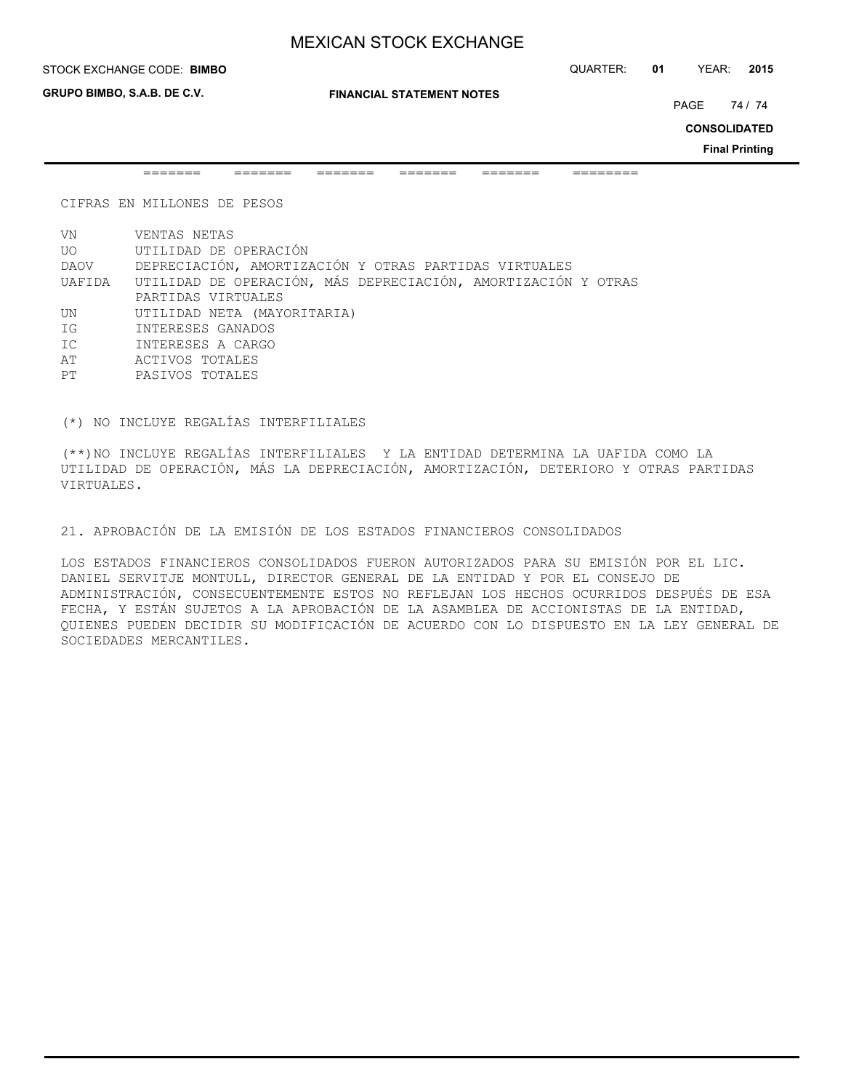**GRUPO BIMBO, S.A.B. DE C.V.**

**FINANCIAL STATEMENT NOTES**

PAGE 74 / 74

**CONSOLIDATED**

**Final Printing**

======= ======= ======= ======= ======= ========

CIFRAS EN MILLONES DE PESOS

VN VENTAS NETAS UO UTILIDAD DE OPERACIÓN DAOV DEPRECIACIÓN, AMORTIZACIÓN Y OTRAS PARTIDAS VIRTUALES UAFIDA UTILIDAD DE OPERACIÓN, MÁS DEPRECIACIÓN, AMORTIZACIÓN Y OTRAS PARTIDAS VIRTUALES UN UTILIDAD NETA (MAYORITARIA) IG INTERESES GANADOS IC INTERESES A CARGO AT ACTIVOS TOTALES PT PASIVOS TOTALES

(\*) NO INCLUYE REGALÍAS INTERFILIALES

(\*\*)NO INCLUYE REGALÍAS INTERFILIALES Y LA ENTIDAD DETERMINA LA UAFIDA COMO LA UTILIDAD DE OPERACIÓN, MÁS LA DEPRECIACIÓN, AMORTIZACIÓN, DETERIORO Y OTRAS PARTIDAS VIRTUALES.

21. APROBACIÓN DE LA EMISIÓN DE LOS ESTADOS FINANCIEROS CONSOLIDADOS

LOS ESTADOS FINANCIEROS CONSOLIDADOS FUERON AUTORIZADOS PARA SU EMISIÓN POR EL LIC. DANIEL SERVITJE MONTULL, DIRECTOR GENERAL DE LA ENTIDAD Y POR EL CONSEJO DE ADMINISTRACIÓN, CONSECUENTEMENTE ESTOS NO REFLEJAN LOS HECHOS OCURRIDOS DESPUÉS DE ESA FECHA, Y ESTÁN SUJETOS A LA APROBACIÓN DE LA ASAMBLEA DE ACCIONISTAS DE LA ENTIDAD, QUIENES PUEDEN DECIDIR SU MODIFICACIÓN DE ACUERDO CON LO DISPUESTO EN LA LEY GENERAL DE SOCIEDADES MERCANTILES.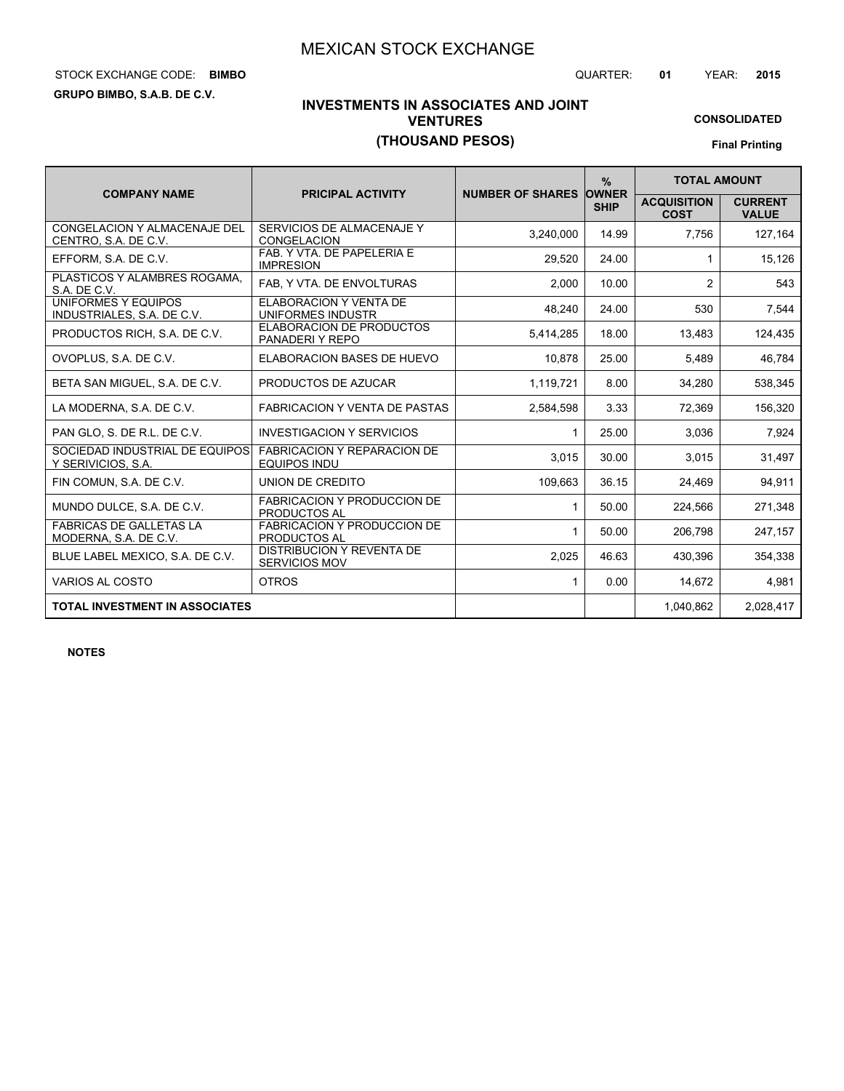FABRICACION Y REPARACION DE

FABRICACION Y PRODUCCION DE<br>PRODUCTOS AL

FABRICACION Y PRODUCCION DE

Y SERIVICIOS, S.A. **2008** EQUIPOS INDUITY AND RELATIONS RESERVICIOS, S.A. **2008** EQUIPOS INDU FIN COMUN, S.A. DE C.V. | UNION DE CREDITO | 109,663 | 36.15 | 24,469 | 94,911

MUNDO DULCE, S.A. DE C.V. **EXECUTOR AL MUNDO DULCE, S.A. DE C.V.** 1 **50.00 224,566** 271,348

PARTICAS DE GALLETAS LA PARTICACIÓN PRODUCCIÓN DE 1 50.00 206,798 247,157

EQUIPOS INDU

PRODUCTOS AL

# STOCK EXCHANGE CODE: QUARTER: **01** YEAR: **2015 BIMBO**

**GRUPO BIMBO, S.A.B. DE C.V.**

# **INVESTMENTS IN ASSOCIATES AND JOINT VENTURES (THOUSAND PESOS)**

**CONSOLIDATED Final Printing**

|                                                             |                                                 |                         | $\%$                        | <b>TOTAL AMOUNT</b>               |                                |
|-------------------------------------------------------------|-------------------------------------------------|-------------------------|-----------------------------|-----------------------------------|--------------------------------|
| <b>COMPANY NAME</b>                                         | <b>PRICIPAL ACTIVITY</b>                        | <b>NUMBER OF SHARES</b> | <b>OWNER</b><br><b>SHIP</b> | <b>ACQUISITION</b><br><b>COST</b> | <b>CURRENT</b><br><b>VALUE</b> |
| <b>CONGELACION Y ALMACENAJE DEL</b><br>CENTRO. S.A. DE C.V. | SERVICIOS DE ALMACENAJE Y<br><b>CONGELACION</b> | 3,240,000               | 14.99                       | 7,756                             | 127,164                        |
| EFFORM, S.A. DE C.V.                                        | FAB. Y VTA. DE PAPELERIA E<br><b>IMPRESION</b>  | 29,520                  | 24.00                       |                                   | 15,126                         |
| PLASTICOS Y ALAMBRES ROGAMA.<br>S.A. DE C.V.                | FAB, Y VTA. DE ENVOLTURAS                       | 2,000                   | 10.00                       | 2                                 | 543                            |
| UNIFORMES Y EQUIPOS<br>INDUSTRIALES, S.A. DE C.V.           | ELABORACION Y VENTA DE<br>UNIFORMES INDUSTR     | 48,240                  | 24.00                       | 530                               | 7,544                          |
| PRODUCTOS RICH, S.A. DE C.V.                                | ELABORACION DE PRODUCTOS<br>PANADERI Y REPO     | 5,414,285               | 18.00                       | 13,483                            | 124,435                        |
| OVOPLUS, S.A. DE C.V.                                       | ELABORACION BASES DE HUEVO                      | 10,878                  | 25.00                       | 5,489                             | 46,784                         |
| BETA SAN MIGUEL, S.A. DE C.V.                               | PRODUCTOS DE AZUCAR                             | 1,119,721               | 8.00                        | 34,280                            | 538,345                        |
| LA MODERNA, S.A. DE C.V.                                    | FABRICACION Y VENTA DE PASTAS                   | 2,584,598               | 3.33                        | 72.369                            | 156,320                        |
| PAN GLO, S. DE R.L. DE C.V.                                 | <b>INVESTIGACION Y SERVICIOS</b>                |                         | 25.00                       | 3,036                             | 7,924                          |

| 2.028.417 |
|-----------|
|           |
| 4.981     |
| 354,338   |
|           |

SOCIEDAD INDUSTRIAL DE EQUIPOS

FABRICAS DE GALLETAS LA

**NOTES**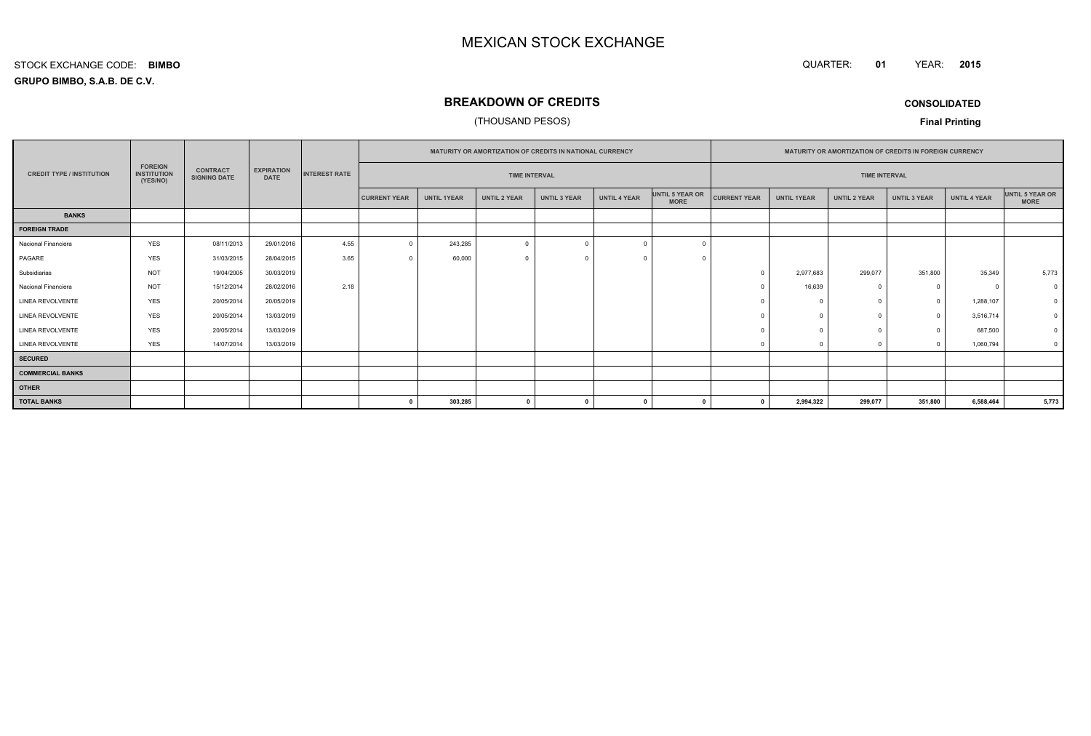#### QUARTER: **01**YEAR: **<sup>2015</sup>**

**GRUPO BIMBO, S.A.B. DE C.V.**STOCK EXCHANGE CODE:**BIMBO**

## **BREAKDOWN OF CREDITS**

## (THOUSAND PESOS)

**CONSOLIDATED**

**Final Printing**

|                                  |                                                  |                                        |                                  |                      | <b>MATURITY OR AMORTIZATION OF CREDITS IN NATIONAL CURRENCY</b> |                    |                     |                     |                     | <b>MATURITY OR AMORTIZATION OF CREDITS IN FOREIGN CURRENCY</b> |                     |                    |                     |                     |                     |                                |
|----------------------------------|--------------------------------------------------|----------------------------------------|----------------------------------|----------------------|-----------------------------------------------------------------|--------------------|---------------------|---------------------|---------------------|----------------------------------------------------------------|---------------------|--------------------|---------------------|---------------------|---------------------|--------------------------------|
| <b>CREDIT TYPE / INSTITUTION</b> | <b>FOREIGN</b><br><b>INSTITUTION</b><br>(YES/NO) | <b>CONTRACT</b><br><b>SIGNING DATE</b> | <b>EXPIRATION</b><br><b>DATE</b> | <b>INTEREST RATE</b> | <b>TIME INTERVAL</b>                                            |                    |                     |                     |                     | <b>TIME INTERVAL</b>                                           |                     |                    |                     |                     |                     |                                |
|                                  |                                                  |                                        |                                  |                      | <b>CURRENT YEAR</b>                                             | <b>UNTIL 1YEAR</b> | <b>UNTIL 2 YEAR</b> | <b>UNTIL 3 YEAR</b> | <b>UNTIL 4 YEAR</b> | UNTIL 5 YEAR OR<br><b>MORE</b>                                 | <b>CURRENT YEAR</b> | <b>UNTIL 1YEAR</b> | <b>UNTIL 2 YEAR</b> | <b>UNTIL 3 YEAR</b> | <b>UNTIL 4 YEAR</b> | UNTIL 5 YEAR OR<br><b>MORE</b> |
| <b>BANKS</b>                     |                                                  |                                        |                                  |                      |                                                                 |                    |                     |                     |                     |                                                                |                     |                    |                     |                     |                     |                                |
| <b>FOREIGN TRADE</b>             |                                                  |                                        |                                  |                      |                                                                 |                    |                     |                     |                     |                                                                |                     |                    |                     |                     |                     |                                |
| Nacional Financiera              | <b>YES</b>                                       | 08/11/2013                             | 29/01/2016                       | 4.55                 | $\Omega$                                                        | 243,285            | $\overline{0}$      |                     |                     | $\Omega$                                                       |                     |                    |                     |                     |                     |                                |
| PAGARE                           | <b>YES</b>                                       | 31/03/2015                             | 28/04/2015                       | 3.65                 |                                                                 | 60,000             | $\Omega$            |                     |                     |                                                                |                     |                    |                     |                     |                     |                                |
| Subsidiarias                     | <b>NOT</b>                                       | 19/04/2005                             | 30/03/2019                       |                      |                                                                 |                    |                     |                     |                     |                                                                |                     | 2,977,683          | 299,077             | 351,800             | 35,349              | 5,773                          |
| Nacional Financiera              | <b>NOT</b>                                       | 15/12/2014                             | 28/02/2016                       | 2.18                 |                                                                 |                    |                     |                     |                     |                                                                |                     | 16,639             |                     | $^{\circ}$          | $\Omega$            | $\Omega$                       |
| <b>LINEA REVOLVENTE</b>          | <b>YES</b>                                       | 20/05/2014                             | 20/05/2019                       |                      |                                                                 |                    |                     |                     |                     |                                                                |                     |                    |                     | $\circ$             | 1,288,107           |                                |
| LINEA REVOLVENTE                 | <b>YES</b>                                       | 20/05/2014                             | 13/03/2019                       |                      |                                                                 |                    |                     |                     |                     |                                                                |                     | $\Omega$           |                     | $\circ$             | 3,516,714           |                                |
| <b>LINEA REVOLVENTE</b>          | <b>YES</b>                                       | 20/05/2014                             | 13/03/2019                       |                      |                                                                 |                    |                     |                     |                     |                                                                |                     |                    |                     | $\circ$             | 687,500             |                                |
| LINEA REVOLVENTE                 | <b>YES</b>                                       | 14/07/2014                             | 13/03/2019                       |                      |                                                                 |                    |                     |                     |                     |                                                                |                     |                    |                     | $^{\circ}$          | 1,060,794           |                                |
| <b>SECURED</b>                   |                                                  |                                        |                                  |                      |                                                                 |                    |                     |                     |                     |                                                                |                     |                    |                     |                     |                     |                                |
| <b>COMMERCIAL BANKS</b>          |                                                  |                                        |                                  |                      |                                                                 |                    |                     |                     |                     |                                                                |                     |                    |                     |                     |                     |                                |
| <b>OTHER</b>                     |                                                  |                                        |                                  |                      |                                                                 |                    |                     |                     |                     |                                                                |                     |                    |                     |                     |                     |                                |
| <b>TOTAL BANKS</b>               |                                                  |                                        |                                  |                      | n                                                               | 303,285            | $\mathbf{0}$        |                     |                     |                                                                |                     | 2,994,322          | 299,077             | 351,800             | 6,588,464           | 5,773                          |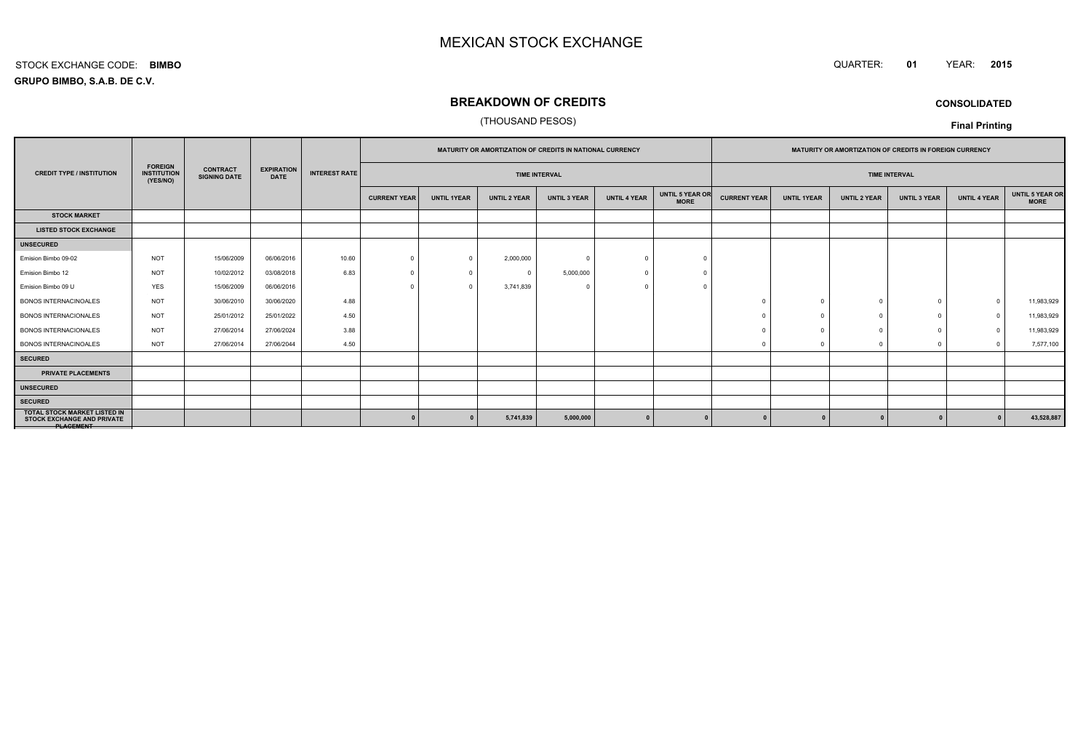#### QUARTER: **<sup>01</sup>**YEAR: **<sup>2015</sup>**

**GRUPO BIMBO, S.A.B. DE C.V.**STOCK EXCHANGE CODE:**BIMBO**

## **BREAKDOWN OF CREDITS**

## (THOUSAND PESOS)

**CONSOLIDATED**

|                                                                                       |                                                  |                                        |                                  |                      |                      |                    | (THOUSAND PESOS)    |                                                                 |                     |                                |                                                                |                    |                     |                     | <b>Final Printing</b> |                         |
|---------------------------------------------------------------------------------------|--------------------------------------------------|----------------------------------------|----------------------------------|----------------------|----------------------|--------------------|---------------------|-----------------------------------------------------------------|---------------------|--------------------------------|----------------------------------------------------------------|--------------------|---------------------|---------------------|-----------------------|-------------------------|
|                                                                                       | <b>FOREIGN</b><br><b>INSTITUTION</b><br>(YES/NO) |                                        | <b>EXPIRATION</b><br><b>DATE</b> |                      |                      |                    |                     | <b>MATURITY OR AMORTIZATION OF CREDITS IN NATIONAL CURRENCY</b> |                     |                                | <b>MATURITY OR AMORTIZATION OF CREDITS IN FOREIGN CURRENCY</b> |                    |                     |                     |                       |                         |
| <b>CREDIT TYPE / INSTITUTION</b>                                                      |                                                  | <b>CONTRACT</b><br><b>SIGNING DATE</b> |                                  | <b>INTEREST RATE</b> | <b>TIME INTERVAL</b> |                    |                     |                                                                 |                     | <b>TIME INTERVAL</b>           |                                                                |                    |                     |                     |                       |                         |
|                                                                                       |                                                  |                                        |                                  |                      | <b>CURRENT YEAR</b>  | <b>UNTIL 1YEAR</b> | <b>UNTIL 2 YEAR</b> | <b>UNTIL 3 YEAR</b>                                             | <b>UNTIL 4 YEAR</b> | UNTIL 5 YEAR OR<br><b>MORE</b> | <b>CURRENT YEAR</b>                                            | <b>UNTIL 1YEAR</b> | <b>UNTIL 2 YEAR</b> | <b>UNTIL 3 YEAR</b> | <b>UNTIL 4 YEAR</b>   | UNTIL 5 YEAR OR<br>MORE |
| <b>STOCK MARKET</b>                                                                   |                                                  |                                        |                                  |                      |                      |                    |                     |                                                                 |                     |                                |                                                                |                    |                     |                     |                       |                         |
| <b>LISTED STOCK EXCHANGE</b>                                                          |                                                  |                                        |                                  |                      |                      |                    |                     |                                                                 |                     |                                |                                                                |                    |                     |                     |                       |                         |
| <b>UNSECURED</b>                                                                      |                                                  |                                        |                                  |                      |                      |                    |                     |                                                                 |                     |                                |                                                                |                    |                     |                     |                       |                         |
| Emision Bimbo 09-02                                                                   | <b>NOT</b>                                       | 15/06/2009                             | 06/06/2016                       | 10.60                | $\Omega$             | $\Omega$           | 2,000,000           | $\Omega$                                                        | $\Omega$            |                                |                                                                |                    |                     |                     |                       |                         |
| Emision Bimbo 12                                                                      | <b>NOT</b>                                       | 10/02/2012                             | 03/08/2018                       | 6.83                 |                      |                    | $\Omega$            | 5,000,000                                                       |                     |                                |                                                                |                    |                     |                     |                       |                         |
| Emision Bimbo 09 U                                                                    | <b>YES</b>                                       | 15/06/2009                             | 06/06/2016                       |                      |                      | $\Omega$           | 3,741,839           | - 0                                                             |                     |                                |                                                                |                    |                     |                     |                       |                         |
| BONOS INTERNACINOALES                                                                 | <b>NOT</b>                                       | 30/06/2010                             | 30/06/2020                       | 4.88                 |                      |                    |                     |                                                                 |                     |                                |                                                                | $\Omega$           |                     |                     | $\Omega$              | 11,983,929              |
| <b>BONOS INTERNACIONALES</b>                                                          | <b>NOT</b>                                       | 25/01/2012                             | 25/01/2022                       | 4.50                 |                      |                    |                     |                                                                 |                     |                                |                                                                |                    |                     |                     | $\overline{0}$        | 11,983,929              |
| <b>BONOS INTERNACIONALES</b>                                                          | <b>NOT</b>                                       | 27/06/2014                             | 27/06/2024                       | 3.88                 |                      |                    |                     |                                                                 |                     |                                |                                                                | $\Omega$           |                     |                     | $\Omega$              | 11,983,929              |
| <b>BONOS INTERNACINOALES</b>                                                          | <b>NOT</b>                                       | 27/06/2014                             | 27/06/2044                       | 4.50                 |                      |                    |                     |                                                                 |                     |                                |                                                                |                    |                     |                     | $\sqrt{2}$            | 7,577,100               |
| <b>SECURED</b>                                                                        |                                                  |                                        |                                  |                      |                      |                    |                     |                                                                 |                     |                                |                                                                |                    |                     |                     |                       |                         |
| PRIVATE PLACEMENTS                                                                    |                                                  |                                        |                                  |                      |                      |                    |                     |                                                                 |                     |                                |                                                                |                    |                     |                     |                       |                         |
| <b>UNSECURED</b>                                                                      |                                                  |                                        |                                  |                      |                      |                    |                     |                                                                 |                     |                                |                                                                |                    |                     |                     |                       |                         |
| <b>SECURED</b>                                                                        |                                                  |                                        |                                  |                      |                      |                    |                     |                                                                 |                     |                                |                                                                |                    |                     |                     |                       |                         |
| <b>TOTAL STOCK MARKET LISTED IN</b><br><b>STOCK EXCHANGE AND PRIVATE</b><br>PLAGEMENT |                                                  |                                        |                                  |                      |                      |                    | 5,741,839           | 5,000,000                                                       |                     |                                |                                                                |                    |                     | $\Omega$            | $\mathbf{r}$          | 43,528,887              |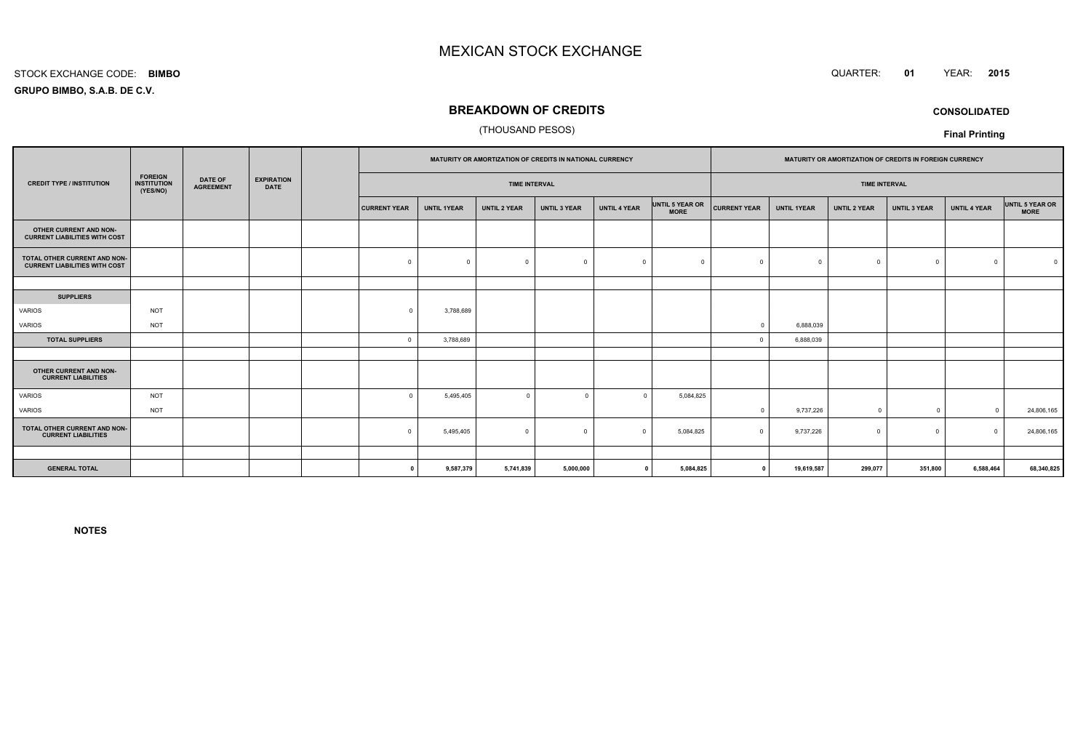#### STOCK EXCHANGE CODE:**BIMBO**

**GRUPO BIMBO, S.A.B. DE C.V.**

## **BREAKDOWN OF CREDITS**

## (THOUSAND PESOS)

|                                                                      |                                                  |                                    |                                  |                     | MATURITY OR AMORTIZATION OF CREDITS IN NATIONAL CURRENCY |                     |                     |                     | MATURITY OR AMORTIZATION OF CREDITS IN FOREIGN CURRENCY |                     |                    |                     |                     |                     |                                |
|----------------------------------------------------------------------|--------------------------------------------------|------------------------------------|----------------------------------|---------------------|----------------------------------------------------------|---------------------|---------------------|---------------------|---------------------------------------------------------|---------------------|--------------------|---------------------|---------------------|---------------------|--------------------------------|
| <b>CREDIT TYPE / INSTITUTION</b>                                     | <b>FOREIGN</b><br><b>INSTITUTION</b><br>(YES/NO) | <b>DATE OF</b><br><b>AGREEMENT</b> | <b>EXPIRATION</b><br><b>DATE</b> |                     | <b>TIME INTERVAL</b>                                     |                     |                     |                     | <b>TIME INTERVAL</b>                                    |                     |                    |                     |                     |                     |                                |
|                                                                      |                                                  |                                    |                                  | <b>CURRENT YEAR</b> | <b>UNTIL 1YEAR</b>                                       | <b>UNTIL 2 YEAR</b> | <b>UNTIL 3 YEAR</b> | <b>UNTIL 4 YEAR</b> | UNTIL 5 YEAR OR<br><b>MORE</b>                          | <b>CURRENT YEAR</b> | <b>UNTIL 1YEAR</b> | <b>UNTIL 2 YEAR</b> | <b>UNTIL 3 YEAR</b> | <b>UNTIL 4 YEAR</b> | UNTIL 5 YEAR OR<br><b>MORE</b> |
| OTHER CURRENT AND NON-<br><b>CURRENT LIABILITIES WITH COST</b>       |                                                  |                                    |                                  |                     |                                                          |                     |                     |                     |                                                         |                     |                    |                     |                     |                     |                                |
| TOTAL OTHER CURRENT AND NON-<br><b>CURRENT LIABILITIES WITH COST</b> |                                                  |                                    |                                  | $\mathbf 0$         | $\Omega$                                                 | $\Omega$            | $\overline{0}$      | $\Omega$            | $\Omega$                                                |                     | $^{\circ}$         | $\Omega$            | $^{\circ}$          | $\Omega$            |                                |
|                                                                      |                                                  |                                    |                                  |                     |                                                          |                     |                     |                     |                                                         |                     |                    |                     |                     |                     |                                |
| <b>SUPPLIERS</b>                                                     |                                                  |                                    |                                  |                     |                                                          |                     |                     |                     |                                                         |                     |                    |                     |                     |                     |                                |
| VARIOS                                                               | <b>NOT</b>                                       |                                    |                                  | $\Omega$            | 3,788,689                                                |                     |                     |                     |                                                         |                     |                    |                     |                     |                     |                                |
| VARIOS                                                               | <b>NOT</b>                                       |                                    |                                  |                     |                                                          |                     |                     |                     |                                                         | $\Omega$            | 6,888,039          |                     |                     |                     |                                |
| <b>TOTAL SUPPLIERS</b>                                               |                                                  |                                    |                                  | $\mathbf 0$         | 3,788,689                                                |                     |                     |                     |                                                         |                     | 6,888,039          |                     |                     |                     |                                |
|                                                                      |                                                  |                                    |                                  |                     |                                                          |                     |                     |                     |                                                         |                     |                    |                     |                     |                     |                                |
| OTHER CURRENT AND NON-<br><b>CURRENT LIABILITIES</b>                 |                                                  |                                    |                                  |                     |                                                          |                     |                     |                     |                                                         |                     |                    |                     |                     |                     |                                |
| <b>VARIOS</b>                                                        | <b>NOT</b>                                       |                                    |                                  | $\Omega$            | 5,495,405                                                | $\mathbf 0$         | $\Omega$            | $\Omega$            | 5,084,825                                               |                     |                    |                     |                     |                     |                                |
| VARIOS                                                               | <b>NOT</b>                                       |                                    |                                  |                     |                                                          |                     |                     |                     |                                                         | $\Omega$            | 9,737,226          | $\Omega$            | $\overline{0}$      | $\Omega$            | 24,806,165                     |
| TOTAL OTHER CURRENT AND NON-<br><b>CURRENT LIABILITIES</b>           |                                                  |                                    |                                  | $\Omega$            | 5,495,405                                                | $\Omega$            | $\Omega$            | $\Omega$            | 5,084,825                                               | $\Omega$            | 9,737,226          | $\Omega$            | $^{\circ}$          | $\Omega$            | 24,806,165                     |
|                                                                      |                                                  |                                    |                                  |                     |                                                          |                     |                     |                     |                                                         |                     |                    |                     |                     |                     |                                |
| <b>GENERAL TOTAL</b>                                                 |                                                  |                                    |                                  | $\Omega$            | 9,587,379                                                | 5,741,839           | 5,000,000           | $\mathbf{0}$        | 5,084,825                                               | $\mathbf 0$         | 19,619,587         | 299,077             | 351,800             | 6,588,464           | 68,340,825                     |

**NOTES**

 QUARTER: **<sup>01</sup>**YEAR: **<sup>2015</sup>**

**CONSOLIDATED**

**Final Printing**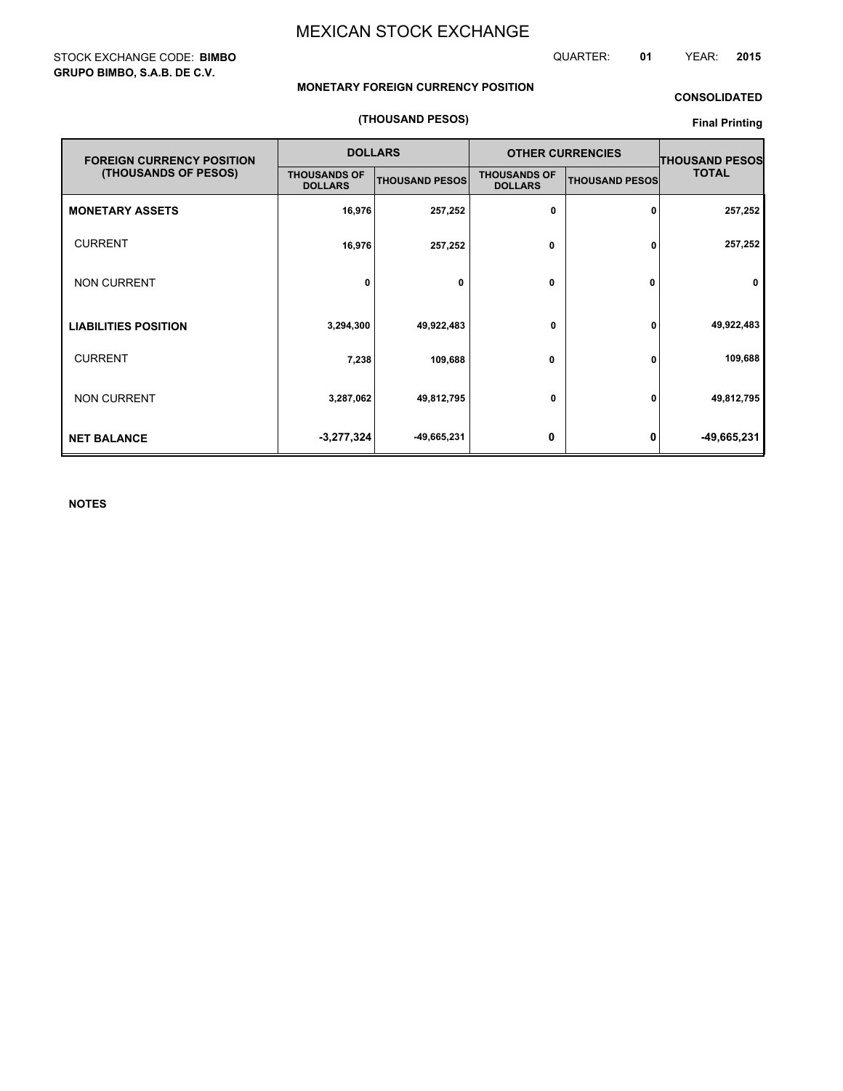## STOCK EXCHANGE CODE: **BIMBO GRUPO BIMBO, S.A.B. DE C.V.**

QUARTER: **01** YEAR: **2015**

## **MONETARY FOREIGN CURRENCY POSITION**

## **CONSOLIDATED**

## **(THOUSAND PESOS)**

## **Final Printing**

| <b>FOREIGN CURRENCY POSITION</b> |                                       | <b>DOLLARS</b>        |                                       | <b>OTHER CURRENCIES</b> | <b>THOUSAND PESOS</b> |  |
|----------------------------------|---------------------------------------|-----------------------|---------------------------------------|-------------------------|-----------------------|--|
| (THOUSANDS OF PESOS)             | <b>THOUSANDS OF</b><br><b>DOLLARS</b> | <b>THOUSAND PESOS</b> | <b>THOUSANDS OF</b><br><b>DOLLARS</b> | <b>THOUSAND PESOS</b>   | <b>TOTAL</b>          |  |
| <b>MONETARY ASSETS</b>           | 16,976                                | 257,252               | 0                                     | 0                       | 257,252               |  |
| <b>CURRENT</b>                   | 16,976                                | 257,252               | 0                                     | 0                       | 257,252               |  |
| <b>NON CURRENT</b>               | 0                                     | 0                     | 0                                     | 0                       | 0                     |  |
| <b>LIABILITIES POSITION</b>      | 3,294,300                             | 49,922,483            | 0                                     | 0                       | 49,922,483            |  |
| <b>CURRENT</b>                   | 7,238                                 | 109,688               | 0                                     | 0                       | 109,688               |  |
| <b>NON CURRENT</b>               | 3,287,062                             | 49,812,795            | 0                                     | 0                       | 49,812,795            |  |
| <b>NET BALANCE</b>               | $-3,277,324$                          | -49,665,231           | 0                                     | 0                       | -49,665,231           |  |

**NOTES**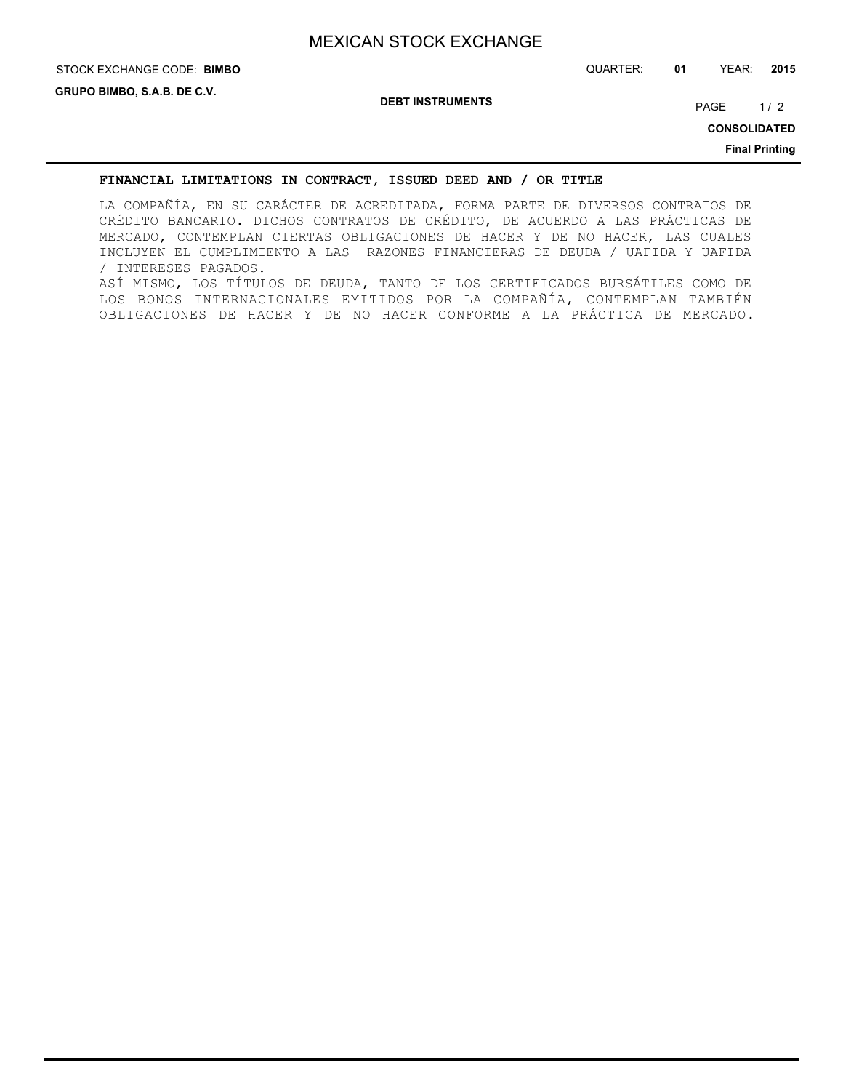# STOCK EXCHANGE CODE: QUARTER: **01** YEAR: **2015 BIMBO**

**DEBT INSTRUMENTS**

PAGE 1/2

**CONSOLIDATED**

**Final Printing**

## **FINANCIAL LIMITATIONS IN CONTRACT, ISSUED DEED AND / OR TITLE**

LA COMPAÑÍA, EN SU CARÁCTER DE ACREDITADA, FORMA PARTE DE DIVERSOS CONTRATOS DE CRÉDITO BANCARIO. DICHOS CONTRATOS DE CRÉDITO, DE ACUERDO A LAS PRÁCTICAS DE MERCADO, CONTEMPLAN CIERTAS OBLIGACIONES DE HACER Y DE NO HACER, LAS CUALES INCLUYEN EL CUMPLIMIENTO A LAS RAZONES FINANCIERAS DE DEUDA / UAFIDA Y UAFIDA / INTERESES PAGADOS. ASÍ MISMO, LOS TÍTULOS DE DEUDA, TANTO DE LOS CERTIFICADOS BURSÁTILES COMO DE LOS BONOS INTERNACIONALES EMITIDOS POR LA COMPAÑÍA, CONTEMPLAN TAMBIÉN OBLIGACIONES DE HACER Y DE NO HACER CONFORME A LA PRÁCTICA DE MERCADO.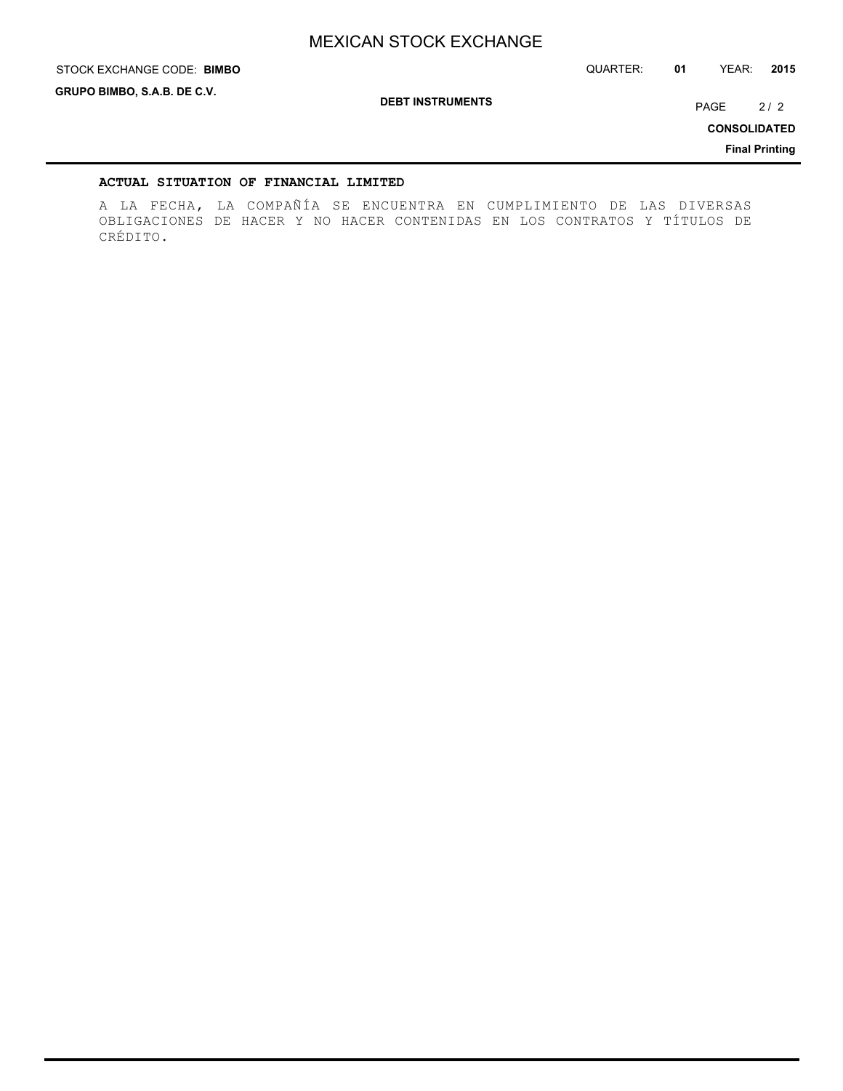STOCK EXCHANGE CODE: QUARTER: **01** YEAR: **2015 BIMBO**

**GRUPO BIMBO, S.A.B. DE C.V.**

**DEBT INSTRUMENTS**

PAGE 2/2

**CONSOLIDATED**

**Final Printing**

## **ACTUAL SITUATION OF FINANCIAL LIMITED**

A LA FECHA, LA COMPAÑÍA SE ENCUENTRA EN CUMPLIMIENTO DE LAS DIVERSAS OBLIGACIONES DE HACER Y NO HACER CONTENIDAS EN LOS CONTRATOS Y TÍTULOS DE CRÉDITO.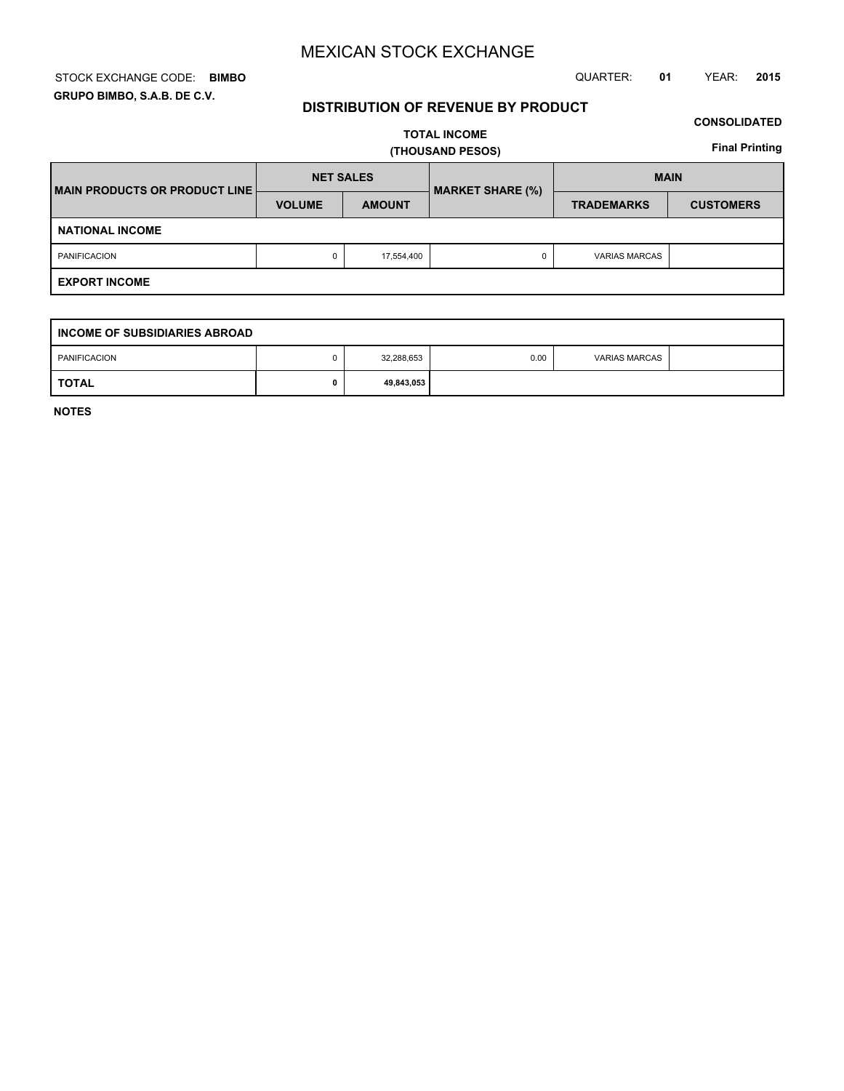## STOCK EXCHANGE CODE: QUARTER: **01** YEAR: **2015 BIMBO GRUPO BIMBO, S.A.B. DE C.V.**

## **DISTRIBUTION OF REVENUE BY PRODUCT**

## **CONSOLIDATED**

**TOTAL INCOME (THOUSAND PESOS)**

**Final Printing**

| <b>IMAIN PRODUCTS OR PRODUCT LINE!</b> | <b>NET SALES</b> |               | <b>MARKET SHARE (%)</b> | <b>MAIN</b>          |                  |  |  |  |
|----------------------------------------|------------------|---------------|-------------------------|----------------------|------------------|--|--|--|
|                                        | <b>VOLUME</b>    | <b>AMOUNT</b> |                         | <b>TRADEMARKS</b>    | <b>CUSTOMERS</b> |  |  |  |
| <b>NATIONAL INCOME</b>                 |                  |               |                         |                      |                  |  |  |  |
| <b>PANIFICACION</b>                    | 0                | 17,554,400    |                         | <b>VARIAS MARCAS</b> |                  |  |  |  |
| <b>EXPORT INCOME</b>                   |                  |               |                         |                      |                  |  |  |  |

| INCOME OF SUBSIDIARIES ABROAD |  |            |      |                      |  |  |  |
|-------------------------------|--|------------|------|----------------------|--|--|--|
| PANIFICACION                  |  | 32,288,653 | 0.00 | <b>VARIAS MARCAS</b> |  |  |  |
| <b>TOTAL</b>                  |  | 49,843,053 |      |                      |  |  |  |

**NOTES**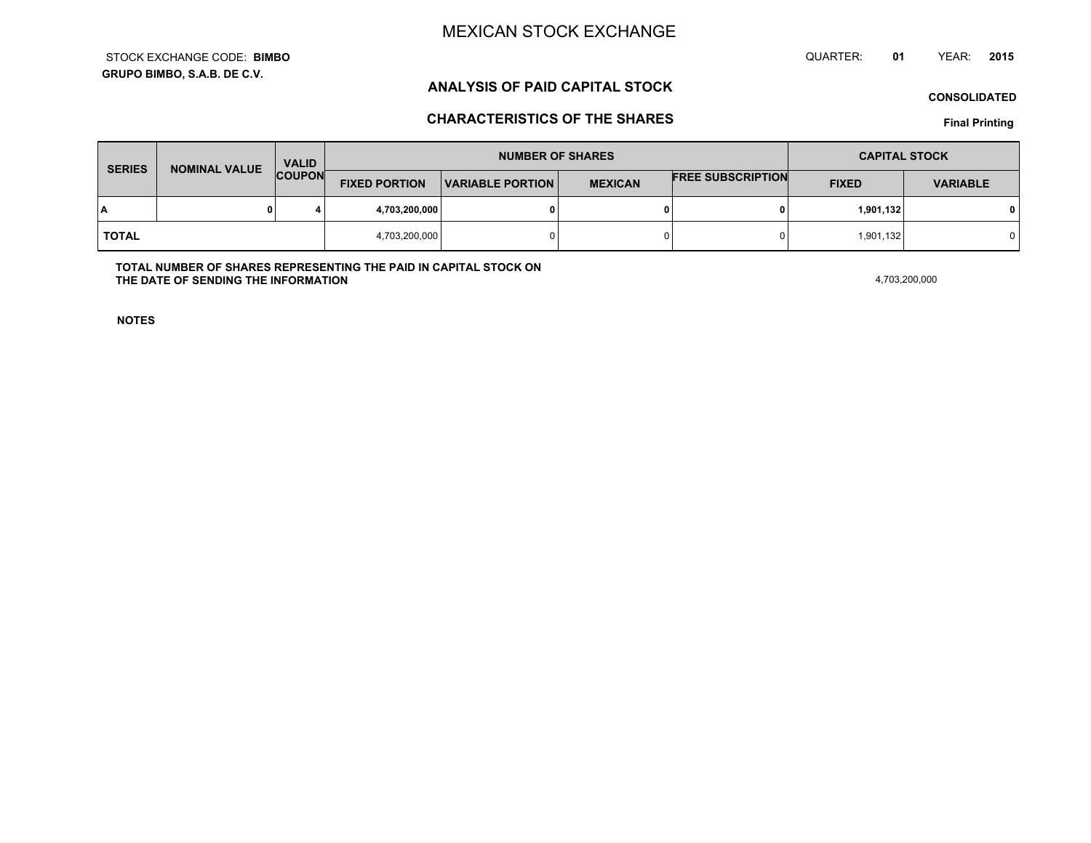**GRUPO BIMBO, S.A.B. DE C.V.**STOCK EXCHANGE CODE:**BIMBO** QUARTER: **01**YEAR: **<sup>2015</sup>**

## **ANALYSIS OF PAID CAPITAL STOCK**

**CONSOLIDATED**

## **CHARACTERISTICS OF THE SHARES**

**Final Printing**

| <b>SERIES</b> | <b>VALID</b><br><b>NOMINAL VALUE</b> |               |                      | <b>NUMBER OF SHARES</b>                   | <b>CAPITAL STOCK</b> |                          |              |                 |
|---------------|--------------------------------------|---------------|----------------------|-------------------------------------------|----------------------|--------------------------|--------------|-----------------|
|               |                                      | <b>COUPON</b> | <b>FIXED PORTION</b> | <b>MEXICAN</b><br><b>VARIABLE PORTION</b> |                      | <b>FREE SUBSCRIPTION</b> | <b>FIXED</b> | <b>VARIABLE</b> |
| ١A            |                                      |               | 4,703,200,000        |                                           | 0                    |                          | 1,901,132    | 0 I             |
| <b>TOTAL</b>  |                                      |               | 4,703,200,000        |                                           | 0                    |                          | 1,901,132    | 0 I             |

**TOTAL NUMBER OF SHARES REPRESENTING THE PAID IN CAPITAL STOCK ONTHE DATE OF SENDING THE INFORMATIONN** 4,703,200,000

**NOTES**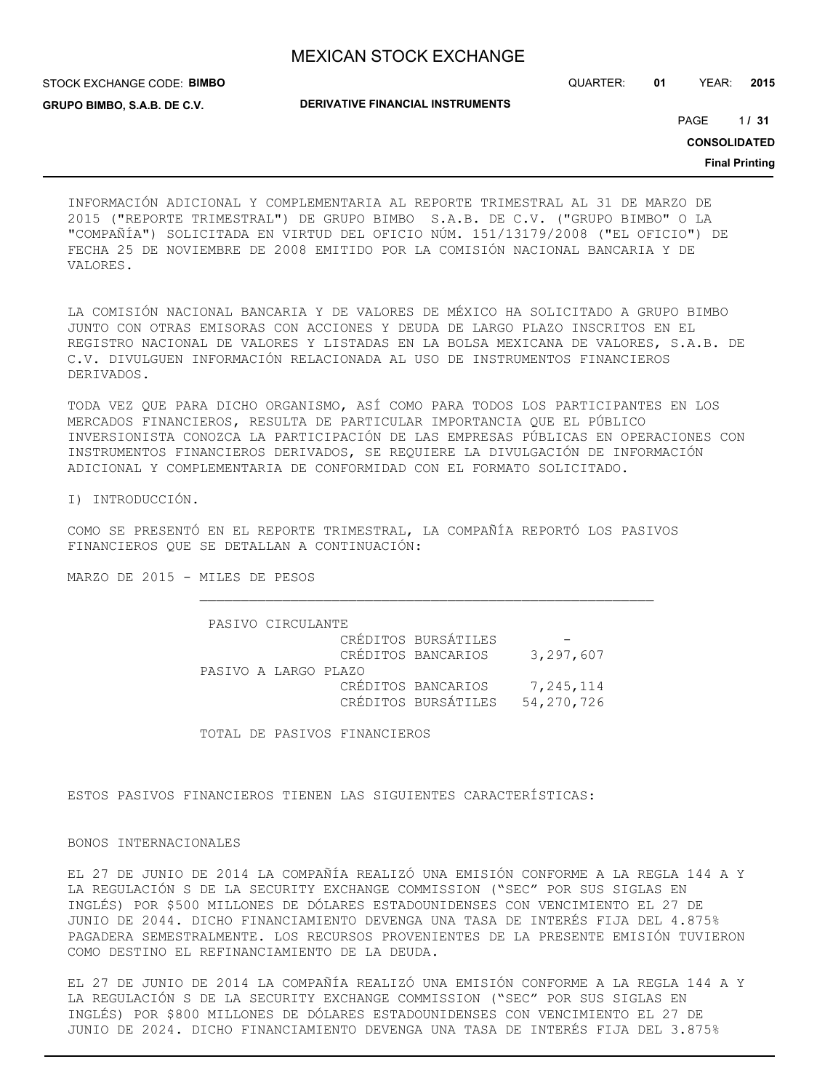STOCK EXCHANGE CODE: **BIMBO GRUPO BIMBO, S.A.B. DE C.V.**

QUARTER: **01** YEAR: **2015**

1 PAGE **/ 31**

**CONSOLIDATED**

**Final Printing**

INFORMACIÓN ADICIONAL Y COMPLEMENTARIA AL REPORTE TRIMESTRAL AL 31 DE MARZO DE 2015 ("REPORTE TRIMESTRAL") DE GRUPO BIMBO S.A.B. DE C.V. ("GRUPO BIMBO" O LA "COMPAÑÍA") SOLICITADA EN VIRTUD DEL OFICIO NÚM. 151/13179/2008 ("EL OFICIO") DE FECHA 25 DE NOVIEMBRE DE 2008 EMITIDO POR LA COMISIÓN NACIONAL BANCARIA Y DE VALORES.

LA COMISIÓN NACIONAL BANCARIA Y DE VALORES DE MÉXICO HA SOLICITADO A GRUPO BIMBO JUNTO CON OTRAS EMISORAS CON ACCIONES Y DEUDA DE LARGO PLAZO INSCRITOS EN EL REGISTRO NACIONAL DE VALORES Y LISTADAS EN LA BOLSA MEXICANA DE VALORES, S.A.B. DE C.V. DIVULGUEN INFORMACIÓN RELACIONADA AL USO DE INSTRUMENTOS FINANCIEROS DERIVADOS.

TODA VEZ QUE PARA DICHO ORGANISMO, ASÍ COMO PARA TODOS LOS PARTICIPANTES EN LOS MERCADOS FINANCIEROS, RESULTA DE PARTICULAR IMPORTANCIA QUE EL PÚBLICO INVERSIONISTA CONOZCA LA PARTICIPACIÓN DE LAS EMPRESAS PÚBLICAS EN OPERACIONES CON INSTRUMENTOS FINANCIEROS DERIVADOS, SE REQUIERE LA DIVULGACIÓN DE INFORMACIÓN ADICIONAL Y COMPLEMENTARIA DE CONFORMIDAD CON EL FORMATO SOLICITADO.

I) INTRODUCCIÓN.

COMO SE PRESENTÓ EN EL REPORTE TRIMESTRAL, LA COMPAÑÍA REPORTÓ LOS PASIVOS FINANCIEROS QUE SE DETALLAN A CONTINUACIÓN:

MARZO DE 2015 - MILES DE PESOS

 PASIVO CIRCULANTE CRÉDITOS BURSÁTILES CRÉDITOS BANCARIOS 3,297,607 PASIVO A LARGO PLAZO CRÉDITOS BANCARIOS 7,245,114 CRÉDITOS BURSÁTILES 54,270,726

TOTAL DE PASIVOS FINANCIEROS

ESTOS PASIVOS FINANCIEROS TIENEN LAS SIGUIENTES CARACTERÍSTICAS:

### BONOS INTERNACIONALES

EL 27 DE JUNIO DE 2014 LA COMPAÑÍA REALIZÓ UNA EMISIÓN CONFORME A LA REGLA 144 A Y LA REGULACIÓN S DE LA SECURITY EXCHANGE COMMISSION ("SEC" POR SUS SIGLAS EN INGLÉS) POR \$500 MILLONES DE DÓLARES ESTADOUNIDENSES CON VENCIMIENTO EL 27 DE JUNIO DE 2044. DICHO FINANCIAMIENTO DEVENGA UNA TASA DE INTERÉS FIJA DEL 4.875% PAGADERA SEMESTRALMENTE. LOS RECURSOS PROVENIENTES DE LA PRESENTE EMISIÓN TUVIERON COMO DESTINO EL REFINANCIAMIENTO DE LA DEUDA.

EL 27 DE JUNIO DE 2014 LA COMPAÑÍA REALIZÓ UNA EMISIÓN CONFORME A LA REGLA 144 A Y LA REGULACIÓN S DE LA SECURITY EXCHANGE COMMISSION ("SEC" POR SUS SIGLAS EN INGLÉS) POR \$800 MILLONES DE DÓLARES ESTADOUNIDENSES CON VENCIMIENTO EL 27 DE JUNIO DE 2024. DICHO FINANCIAMIENTO DEVENGA UNA TASA DE INTERÉS FIJA DEL 3.875%

**DERIVATIVE FINANCIAL INSTRUMENTS**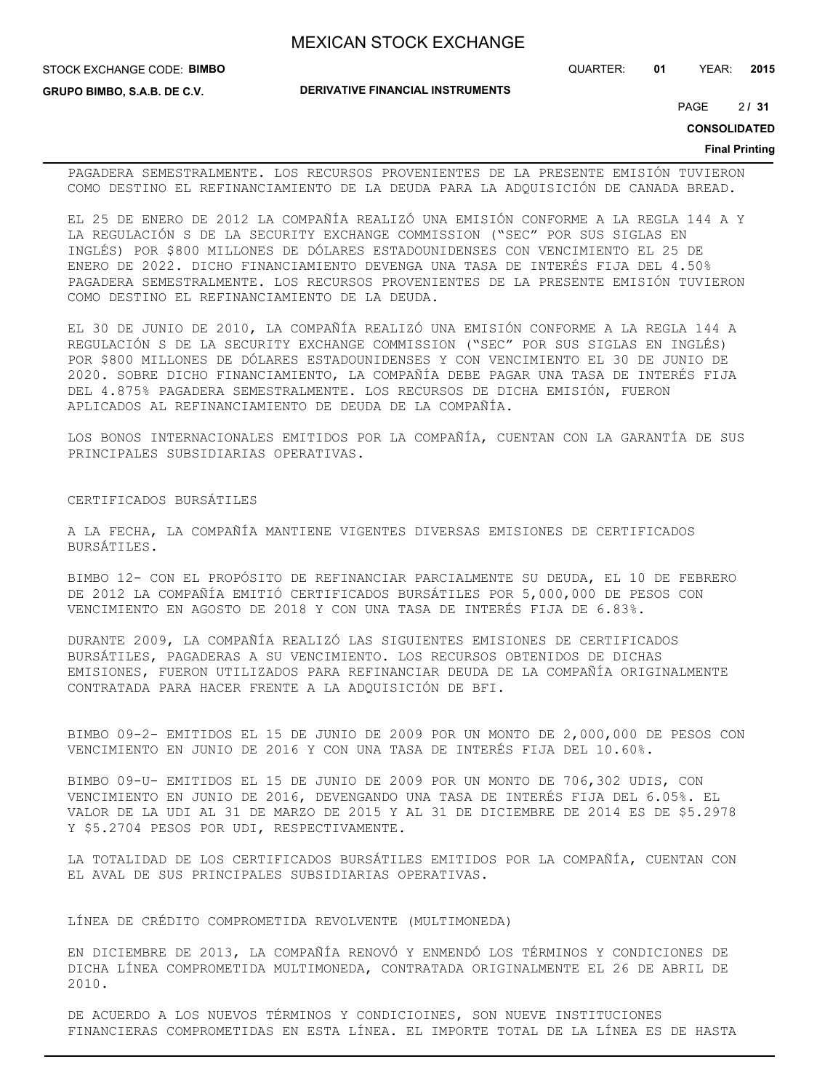STOCK EXCHANGE CODE: **BIMBO**

**GRUPO BIMBO, S.A.B. DE C.V.**

**DERIVATIVE FINANCIAL INSTRUMENTS**

QUARTER: **01** YEAR: **2015**

2 PAGE **/ 31**

**CONSOLIDATED**

#### **Final Printing**

PAGADERA SEMESTRALMENTE. LOS RECURSOS PROVENIENTES DE LA PRESENTE EMISIÓN TUVIERON COMO DESTINO EL REFINANCIAMIENTO DE LA DEUDA PARA LA ADQUISICIÓN DE CANADA BREAD.

EL 25 DE ENERO DE 2012 LA COMPAÑÍA REALIZÓ UNA EMISIÓN CONFORME A LA REGLA 144 A Y LA REGULACIÓN S DE LA SECURITY EXCHANGE COMMISSION ("SEC" POR SUS SIGLAS EN INGLÉS) POR \$800 MILLONES DE DÓLARES ESTADOUNIDENSES CON VENCIMIENTO EL 25 DE ENERO DE 2022. DICHO FINANCIAMIENTO DEVENGA UNA TASA DE INTERÉS FIJA DEL 4.50% PAGADERA SEMESTRALMENTE. LOS RECURSOS PROVENIENTES DE LA PRESENTE EMISIÓN TUVIERON COMO DESTINO EL REFINANCIAMIENTO DE LA DEUDA.

EL 30 DE JUNIO DE 2010, LA COMPAÑÍA REALIZÓ UNA EMISIÓN CONFORME A LA REGLA 144 A REGULACIÓN S DE LA SECURITY EXCHANGE COMMISSION ("SEC" POR SUS SIGLAS EN INGLÉS) POR \$800 MILLONES DE DÓLARES ESTADOUNIDENSES Y CON VENCIMIENTO EL 30 DE JUNIO DE 2020. SOBRE DICHO FINANCIAMIENTO, LA COMPAÑÍA DEBE PAGAR UNA TASA DE INTERÉS FIJA DEL 4.875% PAGADERA SEMESTRALMENTE. LOS RECURSOS DE DICHA EMISIÓN, FUERON APLICADOS AL REFINANCIAMIENTO DE DEUDA DE LA COMPAÑÍA.

LOS BONOS INTERNACIONALES EMITIDOS POR LA COMPAÑÍA, CUENTAN CON LA GARANTÍA DE SUS PRINCIPALES SUBSIDIARIAS OPERATIVAS.

## CERTIFICADOS BURSÁTILES

A LA FECHA, LA COMPAÑÍA MANTIENE VIGENTES DIVERSAS EMISIONES DE CERTIFICADOS BURSÁTILES.

BIMBO 12- CON EL PROPÓSITO DE REFINANCIAR PARCIALMENTE SU DEUDA, EL 10 DE FEBRERO DE 2012 LA COMPAÑÍA EMITIÓ CERTIFICADOS BURSÁTILES POR 5,000,000 DE PESOS CON VENCIMIENTO EN AGOSTO DE 2018 Y CON UNA TASA DE INTERÉS FIJA DE 6.83%.

DURANTE 2009, LA COMPAÑÍA REALIZÓ LAS SIGUIENTES EMISIONES DE CERTIFICADOS BURSÁTILES, PAGADERAS A SU VENCIMIENTO. LOS RECURSOS OBTENIDOS DE DICHAS EMISIONES, FUERON UTILIZADOS PARA REFINANCIAR DEUDA DE LA COMPAÑÍA ORIGINALMENTE CONTRATADA PARA HACER FRENTE A LA ADQUISICIÓN DE BFI.

BIMBO 09-2- EMITIDOS EL 15 DE JUNIO DE 2009 POR UN MONTO DE 2,000,000 DE PESOS CON VENCIMIENTO EN JUNIO DE 2016 Y CON UNA TASA DE INTERÉS FIJA DEL 10.60%.

BIMBO 09-U- EMITIDOS EL 15 DE JUNIO DE 2009 POR UN MONTO DE 706,302 UDIS, CON VENCIMIENTO EN JUNIO DE 2016, DEVENGANDO UNA TASA DE INTERÉS FIJA DEL 6.05%. EL VALOR DE LA UDI AL 31 DE MARZO DE 2015 Y AL 31 DE DICIEMBRE DE 2014 ES DE \$5.2978 Y \$5.2704 PESOS POR UDI, RESPECTIVAMENTE.

LA TOTALIDAD DE LOS CERTIFICADOS BURSÁTILES EMITIDOS POR LA COMPAÑÍA, CUENTAN CON EL AVAL DE SUS PRINCIPALES SUBSIDIARIAS OPERATIVAS.

### LÍNEA DE CRÉDITO COMPROMETIDA REVOLVENTE (MULTIMONEDA)

EN DICIEMBRE DE 2013, LA COMPAÑÍA RENOVÓ Y ENMENDÓ LOS TÉRMINOS Y CONDICIONES DE DICHA LÍNEA COMPROMETIDA MULTIMONEDA, CONTRATADA ORIGINALMENTE EL 26 DE ABRIL DE 2010.

DE ACUERDO A LOS NUEVOS TÉRMINOS Y CONDICIOINES, SON NUEVE INSTITUCIONES FINANCIERAS COMPROMETIDAS EN ESTA LÍNEA. EL IMPORTE TOTAL DE LA LÍNEA ES DE HASTA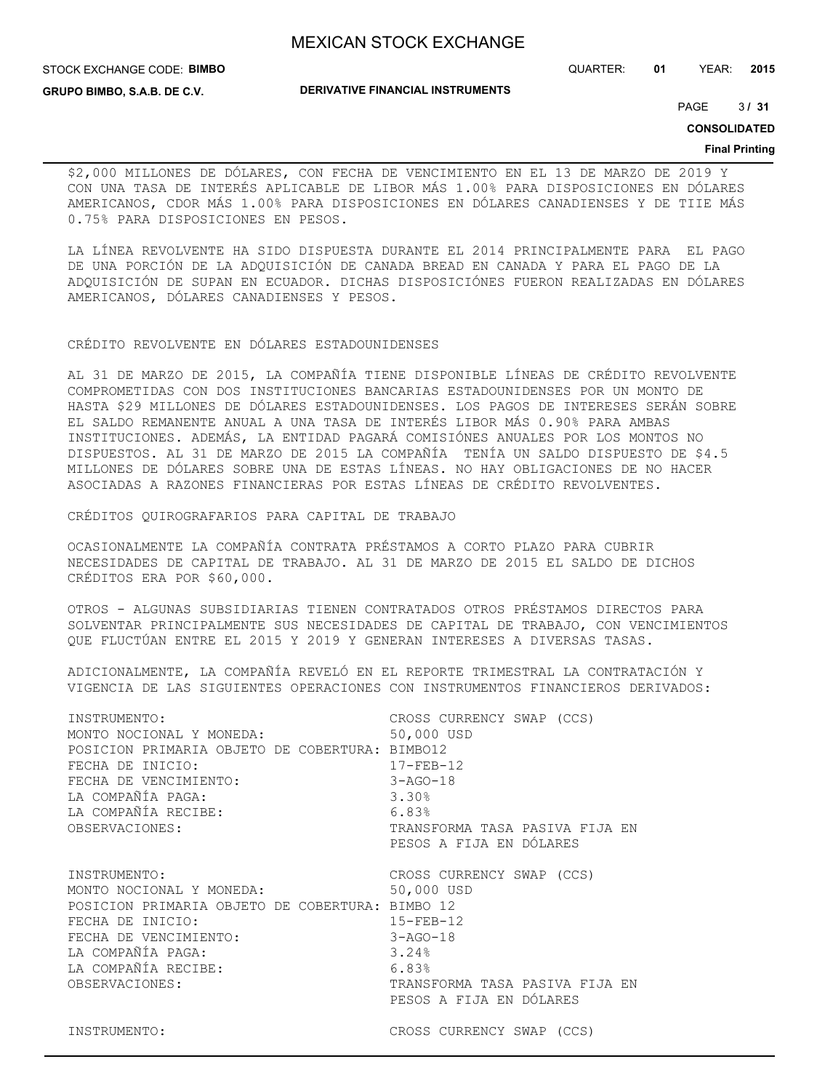STOCK EXCHANGE CODE: **BIMBO**

**GRUPO BIMBO, S.A.B. DE C.V.**

**DERIVATIVE FINANCIAL INSTRUMENTS**

QUARTER: **01** YEAR: **2015**

3 PAGE **/ 31**

**CONSOLIDATED**

#### **Final Printing**

\$2,000 MILLONES DE DÓLARES, CON FECHA DE VENCIMIENTO EN EL 13 DE MARZO DE 2019 Y CON UNA TASA DE INTERÉS APLICABLE DE LIBOR MÁS 1.00% PARA DISPOSICIONES EN DÓLARES AMERICANOS, CDOR MÁS 1.00% PARA DISPOSICIONES EN DÓLARES CANADIENSES Y DE TIIE MÁS 0.75% PARA DISPOSICIONES EN PESOS.

LA LÍNEA REVOLVENTE HA SIDO DISPUESTA DURANTE EL 2014 PRINCIPALMENTE PARA EL PAGO DE UNA PORCIÓN DE LA ADQUISICIÓN DE CANADA BREAD EN CANADA Y PARA EL PAGO DE LA ADQUISICIÓN DE SUPAN EN ECUADOR. DICHAS DISPOSICIÓNES FUERON REALIZADAS EN DÓLARES AMERICANOS, DÓLARES CANADIENSES Y PESOS.

CRÉDITO REVOLVENTE EN DÓLARES ESTADOUNIDENSES

AL 31 DE MARZO DE 2015, LA COMPAÑÍA TIENE DISPONIBLE LÍNEAS DE CRÉDITO REVOLVENTE COMPROMETIDAS CON DOS INSTITUCIONES BANCARIAS ESTADOUNIDENSES POR UN MONTO DE HASTA \$29 MILLONES DE DÓLARES ESTADOUNIDENSES. LOS PAGOS DE INTERESES SERÁN SOBRE EL SALDO REMANENTE ANUAL A UNA TASA DE INTERÉS LIBOR MÁS 0.90% PARA AMBAS INSTITUCIONES. ADEMÁS, LA ENTIDAD PAGARÁ COMISIÓNES ANUALES POR LOS MONTOS NO DISPUESTOS. AL 31 DE MARZO DE 2015 LA COMPAÑÍA TENÍA UN SALDO DISPUESTO DE \$4.5 MILLONES DE DÓLARES SOBRE UNA DE ESTAS LÍNEAS. NO HAY OBLIGACIONES DE NO HACER ASOCIADAS A RAZONES FINANCIERAS POR ESTAS LÍNEAS DE CRÉDITO REVOLVENTES.

CRÉDITOS QUIROGRAFARIOS PARA CAPITAL DE TRABAJO

OCASIONALMENTE LA COMPAÑÍA CONTRATA PRÉSTAMOS A CORTO PLAZO PARA CUBRIR NECESIDADES DE CAPITAL DE TRABAJO. AL 31 DE MARZO DE 2015 EL SALDO DE DICHOS CRÉDITOS ERA POR \$60,000.

OTROS - ALGUNAS SUBSIDIARIAS TIENEN CONTRATADOS OTROS PRÉSTAMOS DIRECTOS PARA SOLVENTAR PRINCIPALMENTE SUS NECESIDADES DE CAPITAL DE TRABAJO, CON VENCIMIENTOS QUE FLUCTÚAN ENTRE EL 2015 Y 2019 Y GENERAN INTERESES A DIVERSAS TASAS.

ADICIONALMENTE, LA COMPAÑÍA REVELÓ EN EL REPORTE TRIMESTRAL LA CONTRATACIÓN Y VIGENCIA DE LAS SIGUIENTES OPERACIONES CON INSTRUMENTOS FINANCIEROS DERIVADOS:

| INSTRUMENTO:                                    | CROSS CURRENCY SWAP (CCS)      |
|-------------------------------------------------|--------------------------------|
| MONTO NOCIONAL Y MONEDA:                        | 50,000 USD                     |
| POSICION PRIMARIA OBJETO DE COBERTURA: BIMBO12  |                                |
| FECHA DE INICIO:                                | $17 - FEB - 12$                |
| FECHA DE VENCIMIENTO:                           | $3 - AGO - 18$                 |
| LA COMPAÑÍA PAGA:                               | 3.30%                          |
| LA COMPAÑÍA RECIBE:                             | 6.83%                          |
| OBSERVACIONES:                                  | TRANSFORMA TASA PASIVA FIJA EN |
|                                                 | PESOS A FIJA EN DÓLARES        |
| INSTRUMENTO:                                    | CROSS CURRENCY SWAP (CCS)      |
| MONTO NOCIONAL Y MONEDA:                        | 50,000 USD                     |
| POSICION PRIMARIA OBJETO DE COBERTURA: BIMBO 12 |                                |
| FECHA DE INICIO:                                | $15 - FEB - 12$                |
| FECHA DE VENCIMIENTO:                           | $3 - AGO - 18$                 |
| LA COMPAÑÍA PAGA:                               | 3.24%                          |
| LA COMPAÑÍA RECIBE:                             | 6.83%                          |
| OBSERVACIONES:                                  | TRANSFORMA TASA PASIVA FIJA EN |
|                                                 | PESOS A FIJA EN DÓLARES        |
| INSTRUMENTO:                                    | CROSS CURRENCY SWAP (CCS)      |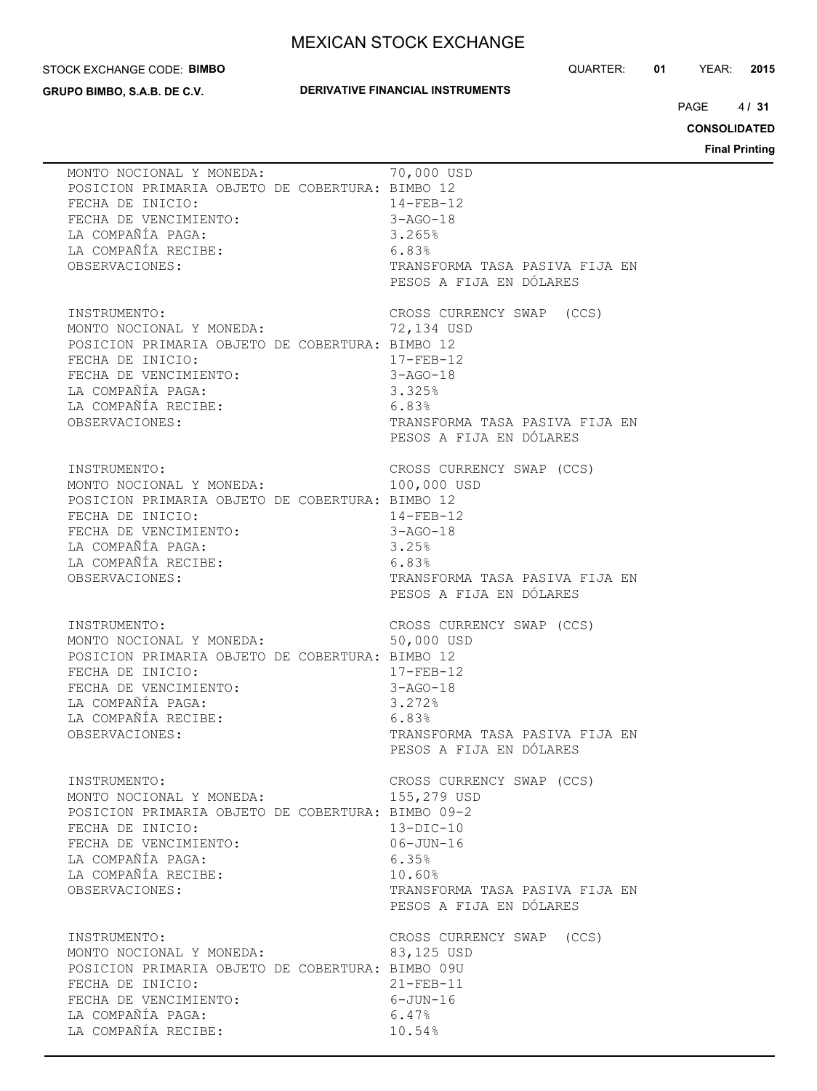#### STOCK EXCHANGE CODE: **BIMBO**

**GRUPO BIMBO, S.A.B. DE C.V.**

## **DERIVATIVE FINANCIAL INSTRUMENTS**

QUARTER: **01** YEAR: **2015**

 $4131$ PAGE **/ 31**

**CONSOLIDATED**

**Final Printing**

| MONTO NOCIONAL Y MONEDA:<br>POSICION PRIMARIA OBJETO DE COBERTURA: BIMBO 12<br>FECHA DE INICIO:<br>FECHA DE VENCIMIENTO:<br>LA COMPAÑÍA PAGA:<br>LA COMPAÑÍA RECIBE:                                                                        | 70,000 USD<br>$14 - FEB - 12$<br>$3 - AGO - 18$<br>3.265%<br>6.83%                                                                                         |
|---------------------------------------------------------------------------------------------------------------------------------------------------------------------------------------------------------------------------------------------|------------------------------------------------------------------------------------------------------------------------------------------------------------|
| OBSERVACIONES:<br>INSTRUMENTO:<br>MONTO NOCIONAL Y MONEDA: 72,134 USD<br>POSICION PRIMARIA OBJETO DE COBERTURA: BIMBO 12                                                                                                                    | TRANSFORMA TASA PASIVA FIJA EN<br>PESOS A FIJA EN DÓLARES<br>CROSS CURRENCY SWAP (CCS)                                                                     |
| 12<br>$17 - \text{FEB} - 12$<br>$3 - \text{AGO} - 18$<br>$3 \cdot 325$<br>$6 \cdot 83$<br>$\text{m}$<br>LA COMPAÑÍA PAGA:<br>LA COMPAÑÍA RECIBE:<br>OBSERVACIONES:                                                                          | TRANSFORMA TASA PASIVA FIJA EN<br>PESOS A FIJA EN DÓLARES                                                                                                  |
| INSTRUMENTO:<br>MONTO NOCIONAL Y MONEDA:<br>POSICION PRIMARIA OBJETO DE COBERTURA: BIMBO 12<br>FECHA DE INICIO:<br>$14 - FEB - 12$<br>$3 - AGO - 18$<br>FECHA DE VENCIMIENTO:<br>LA COMPAÑÍA PAGA:<br>LA COMPAÑÍA RECIBE:<br>OBSERVACIONES: | CROSS CURRENCY SWAP (CCS)<br>100,000 USD<br>3.25%<br>6.83%<br>TRANSFORMA TASA PASIVA FIJA EN<br>PESOS A FIJA EN DÓLARES                                    |
| INSTRUMENTO:<br>MONTO NOCIONAL Y MONEDA: 50,000 USD<br>50,000 USD<br>POSICION PRIMARIA OBJETO DE COBERTURA: BIMBO 12<br>FECHA DE VENCIMIENTO:<br>LA COMPAÑÍA PAGA:<br>LA COMPAÑÍA RECIBE:<br>ORSEPVACIONES<br>OBSERVACIONES:                | $17 - FEB - 12$<br>3-AGO-18<br>3.272%<br>6.83%<br>TRANSFORMA TASA PASIVA FIJA EN<br>PESOS A FIJA EN DÓLARES                                                |
| INSTRUMENTO:<br>MONTO NOCIONAL Y MONEDA:<br>POSICION PRIMARIA OBJETO DE COBERTURA: BIMBO 09-2<br>FECHA DE INICIO:<br>FECHA DE VENCIMIENTO:<br>LA COMPAÑÍA PAGA:<br>LA COMPAÑÍA RECIBE:<br>OBSERVACIONES:                                    | CROSS CURRENCY SWAP (CCS)<br>155,279 USD<br>$13-DIC-10$<br>$06 - JUN - 16$<br>6.35%<br>10.60%<br>TRANSFORMA TASA PASIVA FIJA EN<br>PESOS A FIJA EN DÓLARES |
| INSTRUMENTO:<br>MONTO NOCIONAL Y MONEDA:<br>POSICION PRIMARIA OBJETO DE COBERTURA: BIMBO 09U<br>FECHA DE INICIO:<br>FECHA DE VENCIMIENTO:<br>LA COMPAÑÍA PAGA:<br>LA COMPAÑÍA RECIBE:                                                       | CROSS CURRENCY SWAP (CCS)<br>83,125 USD<br>$21 - FEB - 11$<br>$6 - JUN - 16$<br>6.47%<br>10.54%                                                            |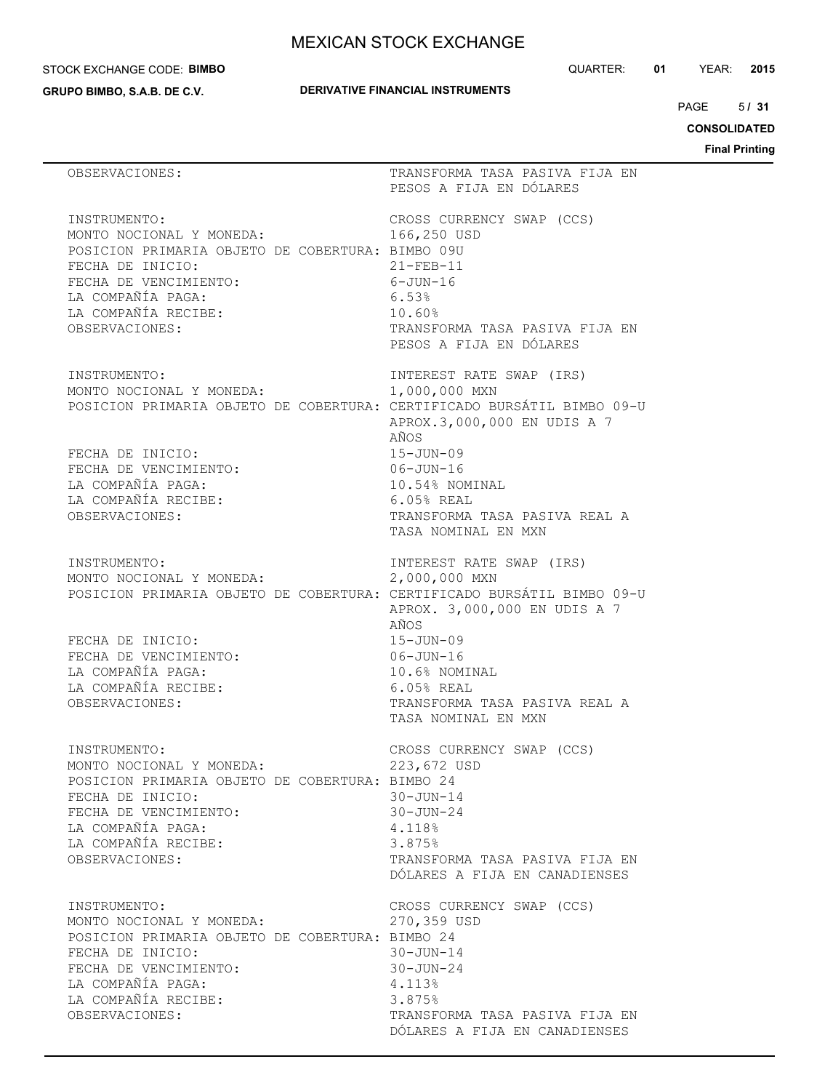#### STOCK EXCHANGE CODE: **BIMBO**

**GRUPO BIMBO, S.A.B. DE C.V.**

QUARTER: **01** YEAR: **2015**

 $5/31$ PAGE **/ 31**

**CONSOLIDATED**

**Final Printing**

| OBSERVACIONES:                                                                                                                                                                                          | TRANSFORMA TASA PASIVA FIJA EN<br>PESOS A FIJA EN DÓLARES                                                                                                             |
|---------------------------------------------------------------------------------------------------------------------------------------------------------------------------------------------------------|-----------------------------------------------------------------------------------------------------------------------------------------------------------------------|
| INSTRUMENTO:<br>MONTO NOCIONAL Y MONEDA:<br>POSICION PRIMARIA OBJETO DE COBERTURA: BIMBO 09U<br>FECHA DE INICIO:<br>FECHA DE VENCIMIENTO:<br>LA COMPAÑÍA PAGA:<br>LA COMPAÑÍA RECIBE:<br>OBSERVACIONES: | CROSS CURRENCY SWAP (CCS)<br>166,250 USD<br>$21 - FEB - 11$<br>$6 - JUN - 16$<br>6.53%<br>10.60%<br>TRANSFORMA TASA PASIVA FIJA EN<br>PESOS A FIJA EN DÓLARES         |
| INSTRUMENTO:<br>MONTO NOCIONAL Y MONEDA:<br>POSICION PRIMARIA OBJETO DE COBERTURA: CERTIFICADO BURSÁTIL BIMBO 09-U                                                                                      | INTEREST RATE SWAP (IRS)<br>1,000,000 MXN<br>APROX.3,000,000 EN UDIS A 7<br>AÑOS                                                                                      |
| FECHA DE INICIO:<br>FECHA DE VENCIMIENTO:<br>LA COMPAÑÍA PAGA:<br>LA COMPAÑÍA RECIBE:<br>OBSERVACIONES:                                                                                                 | $15 - JUN - 09$<br>$06 - JUN - 16$<br>10.54% NOMINAL<br>$6.05%$ REAL<br>TRANSFORMA TASA PASIVA REAL A<br>TASA NOMINAL EN MXN                                          |
| INSTRUMENTO:<br>MONTO NOCIONAL Y MONEDA:<br>POSICION PRIMARIA OBJETO DE COBERTURA: CERTIFICADO BURSÁTIL BIMBO 09-U<br>FECHA DE INICIO:<br>FECHA DE VENCIMIENTO:<br>LA COMPAÑÍA PAGA:                    | INTEREST RATE SWAP (IRS)<br>2,000,000 MXN<br>APROX. 3,000,000 EN UDIS A 7<br>AÑOS<br>$15 - JUN - 09$<br>$06 - JUN - 16$<br>10.6% NOMINAL                              |
| LA COMPAÑÍA RECIBE:<br>OBSERVACIONES:                                                                                                                                                                   | 6.05% REAL<br>TRANSFORMA TASA PASIVA REAL A<br>TASA NOMINAL EN MXN                                                                                                    |
| INSTRUMENTO:<br>MONTO NOCIONAL Y MONEDA:<br>POSICION PRIMARIA OBJETO DE COBERTURA: BIMBO 24<br>FECHA DE INICIO:<br>FECHA DE VENCIMIENTO:<br>LA COMPAÑÍA PAGA:<br>LA COMPAÑÍA RECIBE:<br>OBSERVACIONES:  | CROSS CURRENCY SWAP (CCS)<br>223,672 USD<br>$30 - JUN - 14$<br>$30 - JUN - 24$<br>4.118%<br>3.875%<br>TRANSFORMA TASA PASIVA FIJA EN<br>DÓLARES A FIJA EN CANADIENSES |
| INSTRUMENTO:<br>MONTO NOCIONAL Y MONEDA:<br>POSICION PRIMARIA OBJETO DE COBERTURA: BIMBO 24<br>FECHA DE INICIO:<br>FECHA DE VENCIMIENTO:<br>LA COMPAÑÍA PAGA:<br>LA COMPAÑÍA RECIBE:<br>OBSERVACIONES:  | CROSS CURRENCY SWAP (CCS)<br>270,359 USD<br>$30 - JUN - 14$<br>$30 - JUN - 24$<br>4.113%<br>3.875%<br>TRANSFORMA TASA PASIVA FIJA EN<br>DÓLARES A FIJA EN CANADIENSES |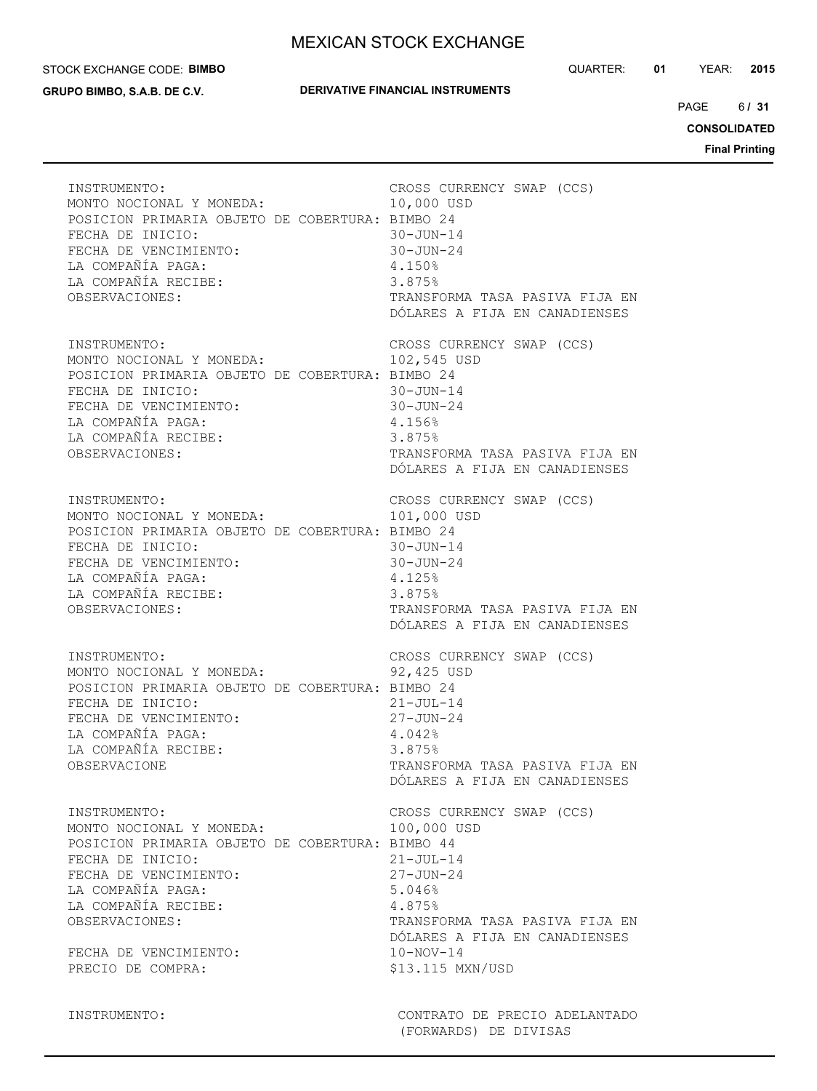#### STOCK EXCHANGE CODE: **BIMBO**

**GRUPO BIMBO, S.A.B. DE C.V.**

## **DERIVATIVE FINANCIAL INSTRUMENTS**

QUARTER: **01** YEAR: **2015**

 $6/31$ PAGE **/ 31**

**CONSOLIDATED**

**Final Printing**

| INSTRUMENTO:                                    | CROSS CURRENCY SWAP (CCS)      |
|-------------------------------------------------|--------------------------------|
| MONTO NOCIONAL Y MONEDA:                        | 10,000 USD                     |
| POSICION PRIMARIA OBJETO DE COBERTURA: BIMBO 24 | $30 - JUN - 14$                |
| FECHA DE INICIO:                                | $30 - JUN - 24$                |
| FECHA DE VENCIMIENTO:                           | $4.150\%$                      |
| LA COMPAÑÍA PAGA:                               | 3.875%                         |
| LA COMPAÑÍA RECIBE:                             | TRANSFORMA TASA PASIVA FIJA EN |
| OBSERVACIONES:                                  | DÓLARES A FIJA EN CANADIENSES  |
| INSTRUMENTO:                                    | CROSS CURRENCY SWAP (CCS)      |
| MONTO NOCIONAL Y MONEDA:                        | 102,545 USD                    |
| POSICION PRIMARIA OBJETO DE COBERTURA: BIMBO 24 | $30 - JUN - 14$                |
| FECHA DE INICIO:                                | $30 - JUN - 24$                |
| FECHA DE VENCIMIENTO:                           | 4.156%                         |
| LA COMPAÑÍA PAGA:                               | 3.875%                         |
| LA COMPAÑÍA RECIBE:                             | TRANSFORMA TASA PASIVA FIJA EN |
| OBSERVACIONES:                                  | DÓLARES A FIJA EN CANADIENSES  |
| INSTRUMENTO:                                    | CROSS CURRENCY SWAP (CCS)      |
| MONTO NOCIONAL Y MONEDA:                        | 101,000 USD                    |
| POSICION PRIMARIA OBJETO DE COBERTURA: BIMBO 24 | $30 - JUN - 14$                |
| FECHA DE INICIO:                                | $30 - JUN - 24$                |
| FECHA DE VENCIMIENTO:                           | 4.125%                         |
| LA COMPAÑÍA PAGA:                               | 3.875%                         |
| LA COMPAÑÍA RECIBE:                             | TRANSFORMA TASA PASIVA FIJA EN |
| OBSERVACIONES:                                  | DÓLARES A FIJA EN CANADIENSES  |
| INSTRUMENTO:                                    | CROSS CURRENCY SWAP (CCS)      |
| MONTO NOCIONAL Y MONEDA:                        | 92,425 USD                     |
| POSICION PRIMARIA OBJETO DE COBERTURA: BIMBO 24 | $21 - JUL - 14$                |
| FECHA DE INICIO:                                | $27 - JUN - 24$                |
| FECHA DE VENCIMIENTO:                           | 4.042%                         |
| LA COMPAÑÍA PAGA:                               | 3.875%                         |
| LA COMPAÑÍA RECIBE:                             | TRANSFORMA TASA PASIVA FIJA EN |
| OBSERVACIONE                                    | DÓLARES A FIJA EN CANADIENSES  |
| INSTRUMENTO:                                    | CROSS CURRENCY SWAP (CCS)      |
| MONTO NOCIONAL Y MONEDA:                        | 100,000 USD                    |
| POSICION PRIMARIA OBJETO DE COBERTURA: BIMBO 44 | $21 - JUL-14$                  |
| FECHA DE INICIO:                                | $27 - JUN - 24$                |
| FECHA DE VENCIMIENTO:                           | 5.046%                         |
| LA COMPAÑÍA PAGA:                               | 4.875%                         |
| LA COMPAÑÍA RECIBE:                             | TRANSFORMA TASA PASIVA FIJA EN |
| OBSERVACIONES:                                  | DÓLARES A FIJA EN CANADIENSES  |
| FECHA DE VENCIMIENTO:                           | $10-NOV-14$                    |
| PRECIO DE COMPRA:                               | \$13.115 MXN/USD               |

INSTRUMENTO: CONTRATO DE PRECIO ADELANTADO (FORWARDS) DE DIVISAS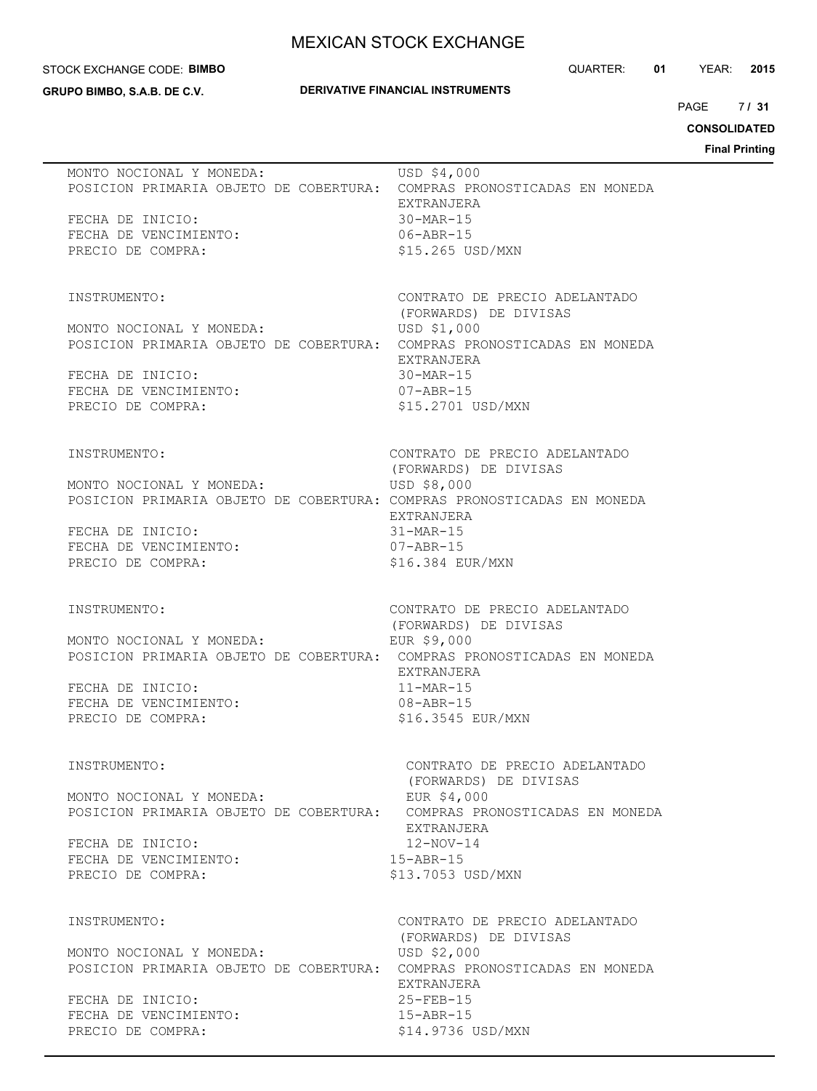#### STOCK EXCHANGE CODE: **BIMBO**

**GRUPO BIMBO, S.A.B. DE C.V.**

## **DERIVATIVE FINANCIAL INSTRUMENTS**

QUARTER: **01** YEAR: **2015**

 $7131$ PAGE **/ 31**

# **CONSOLIDATED**

**Final Printing**

| MONTO NOCIONAL Y MONEDA:<br>POSICION PRIMARIA OBJETO DE COBERTURA:<br>FECHA DE INICIO:<br>FECHA DE VENCIMIENTO:<br>PRECIO DE COMPRA:                 | USD \$4,000<br>COMPRAS PRONOSTICADAS EN MONEDA<br>EXTRANJERA<br>$30-MAR-15$<br>$06 - ABR - 15$<br>\$15.265 USD/MXN                                                                                                       |
|------------------------------------------------------------------------------------------------------------------------------------------------------|--------------------------------------------------------------------------------------------------------------------------------------------------------------------------------------------------------------------------|
| INSTRUMENTO:<br>MONTO NOCIONAL Y MONEDA:<br>POSICION PRIMARIA OBJETO DE COBERTURA:<br>FECHA DE INICIO:<br>FECHA DE VENCIMIENTO:<br>PRECIO DE COMPRA: | CONTRATO DE PRECIO ADELANTADO<br>(FORWARDS) DE DIVISAS<br>USD \$1,000<br>COMPRAS PRONOSTICADAS EN MONEDA<br>EXTRANJERA<br>$30-MAR-15$<br>$07 - ABR - 15$<br>\$15,2701 USD/MXN                                            |
| INSTRUMENTO:<br>MONTO NOCIONAL Y MONEDA:<br>FECHA DE INICIO:<br>FECHA DE VENCIMIENTO:<br>PRECIO DE COMPRA:                                           | CONTRATO DE PRECIO ADELANTADO<br>(FORWARDS) DE DIVISAS<br>USD \$8,000<br>POSICION PRIMARIA OBJETO DE COBERTURA: COMPRAS PRONOSTICADAS EN MONEDA<br>EXTRANJERA<br>31-MAR-15<br>07-ABR-15<br>\$16.384 EUR/MXN              |
| INSTRUMENTO:<br>MONTO NOCIONAL Y MONEDA:<br>FECHA DE INICIO:<br>FECHA DE VENCIMIENTO:<br>PRECIO DE COMPRA:                                           | CONTRATO DE PRECIO ADELANTADO<br>(FORWARDS) DE DIVISAS<br>EUR \$9,000<br>POSICION PRIMARIA OBJETO DE COBERTURA: COMPRAS PRONOSTICADAS EN MONEDA<br>EXTRANJERA<br>$11-MAR-15$<br>$08 - ABR - 15$<br>\$16.3545 EUR/MXN     |
| INSTRUMENTO:<br>MONTO NOCIONAL Y MONEDA:<br>FECHA DE INICIO:<br>FECHA DE VENCIMIENTO:<br>PRECIO DE COMPRA:                                           | CONTRATO DE PRECIO ADELANTADO<br>(FORWARDS) DE DIVISAS<br>EUR \$4,000<br>POSICION PRIMARIA OBJETO DE COBERTURA: COMPRAS PRONOSTICADAS EN MONEDA<br>EXTRANJERA<br>$12 - NOV - 14$<br>$15 - ABR - 15$<br>\$13.7053 USD/MXN |
| INSTRUMENTO:<br>MONTO NOCIONAL Y MONEDA:<br>FECHA DE INICIO:<br>FECHA DE VENCIMIENTO:<br>PRECIO DE COMPRA:                                           | CONTRATO DE PRECIO ADELANTADO<br>(FORWARDS) DE DIVISAS<br>USD \$2,000<br>POSICION PRIMARIA OBJETO DE COBERTURA: COMPRAS PRONOSTICADAS EN MONEDA<br>EXTRANJERA<br>$25 - FEB - 15$<br>$15 - ABR - 15$<br>\$14.9736 USD/MXN |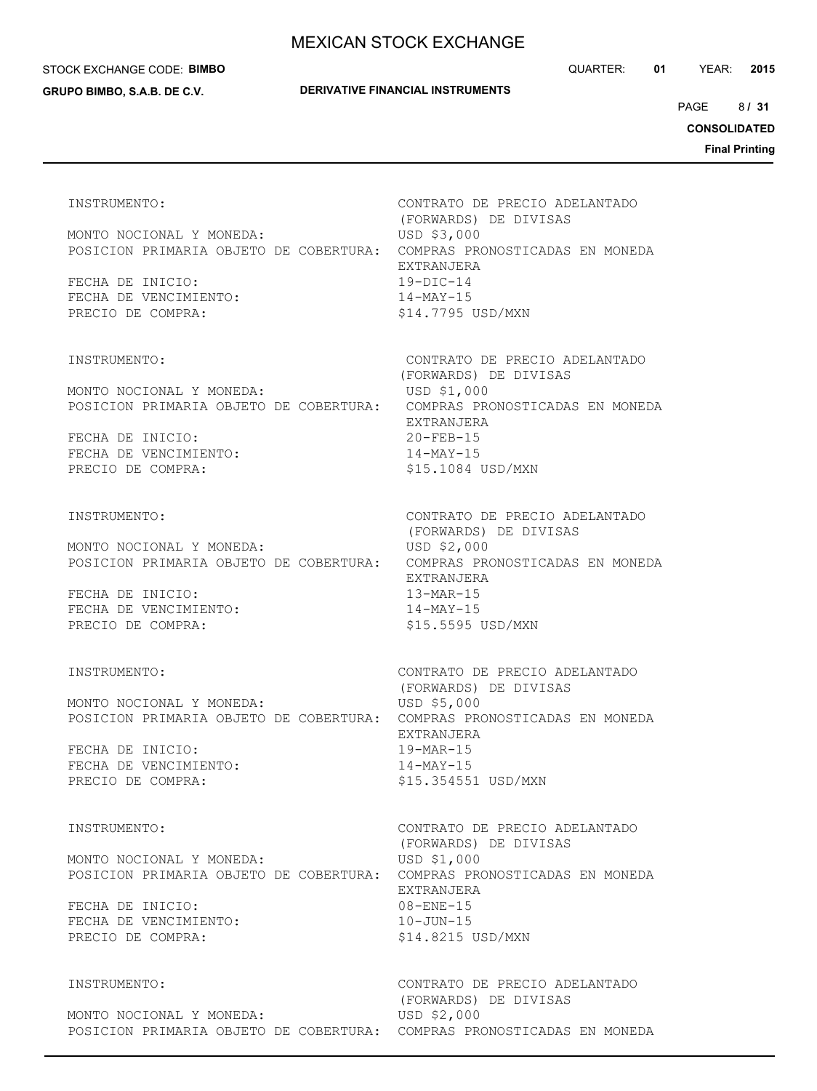#### STOCK EXCHANGE CODE: **BIMBO**

#### **GRUPO BIMBO, S.A.B. DE C.V.**

QUARTER: **01** YEAR: **2015**

8 PAGE **/ 31**

**CONSOLIDATED**

**Final Printing**

 (FORWARDS) DE DIVISAS MONTO NOCIONAL Y MONEDA: USD \$3,000 POSICION PRIMARIA OBJETO DE COBERTURA: COMPRAS PRONOSTICADAS EN MONEDA EXTRANJERA FECHA DE INICIO: 19-DIC-14 FECHA DE VENCIMIENTO: 14-MAY-15 PRECIO DE COMPRA:  $$14.7795$  USD/MXN

MONTO NOCIONAL Y MONEDA: USD \$1,000 POSICION PRIMARIA OBJETO DE COBERTURA: COMPRAS PRONOSTICADAS EN MONEDA

FECHA DE INICIO: 20-FEB-15 FECHA DE VENCIMIENTO:  $14-MAY-15$ PRECIO DE COMPRA:  $$15.1084$  USD/MXN

MONTO NOCIONAL Y MONEDA: USD \$2,000 POSICION PRIMARIA OBJETO DE COBERTURA: COMPRAS PRONOSTICADAS EN MONEDA

FECHA DE INICIO: 13-MAR-15 FECHA DE VENCIMIENTO: PRECIO DE COMPRA:  $$15.5595$  USD/MXN

MONTO NOCIONAL Y MONEDA: USD \$5,000 POSICION PRIMARIA OBJETO DE COBERTURA: COMPRAS PRONOSTICADAS EN MONEDA

FECHA DE INICIO: 19-MAR-15 FECHA DE VENCIMIENTO: 14-MAY-15 PRECIO DE COMPRA:  $$15.354551$  USD/MXN

MONTO NOCIONAL Y MONEDA: USD \$1,000 POSICION PRIMARIA OBJETO DE COBERTURA: COMPRAS PRONOSTICADAS EN MONEDA

FECHA DE INICIO: 08-ENE-15 FECHA DE VENCIMIENTO: 10-JUN-15 PRECIO DE COMPRA:  $$14.8215$  USD/MXN

MONTO NOCIONAL Y MONEDA: USD \$2,000 POSICION PRIMARIA OBJETO DE COBERTURA: COMPRAS PRONOSTICADAS EN MONEDA

INSTRUMENTO: CONTRATO DE PRECIO ADELANTADO

INSTRUMENTO: CONTRATO DE PRECIO ADELANTADO (FORWARDS) DE DIVISAS EXTRANJERA

INSTRUMENTO: CONTRATO DE PRECIO ADELANTADO (FORWARDS) DE DIVISAS EXTRANJERA

INSTRUMENTO: CONTRATO DE PRECIO ADELANTADO (FORWARDS) DE DIVISAS EXTRANJERA

INSTRUMENTO: CONTRATO DE PRECIO ADELANTADO (FORWARDS) DE DIVISAS EXTRANJERA

INSTRUMENTO: CONTRATO DE PRECIO ADELANTADO (FORWARDS) DE DIVISAS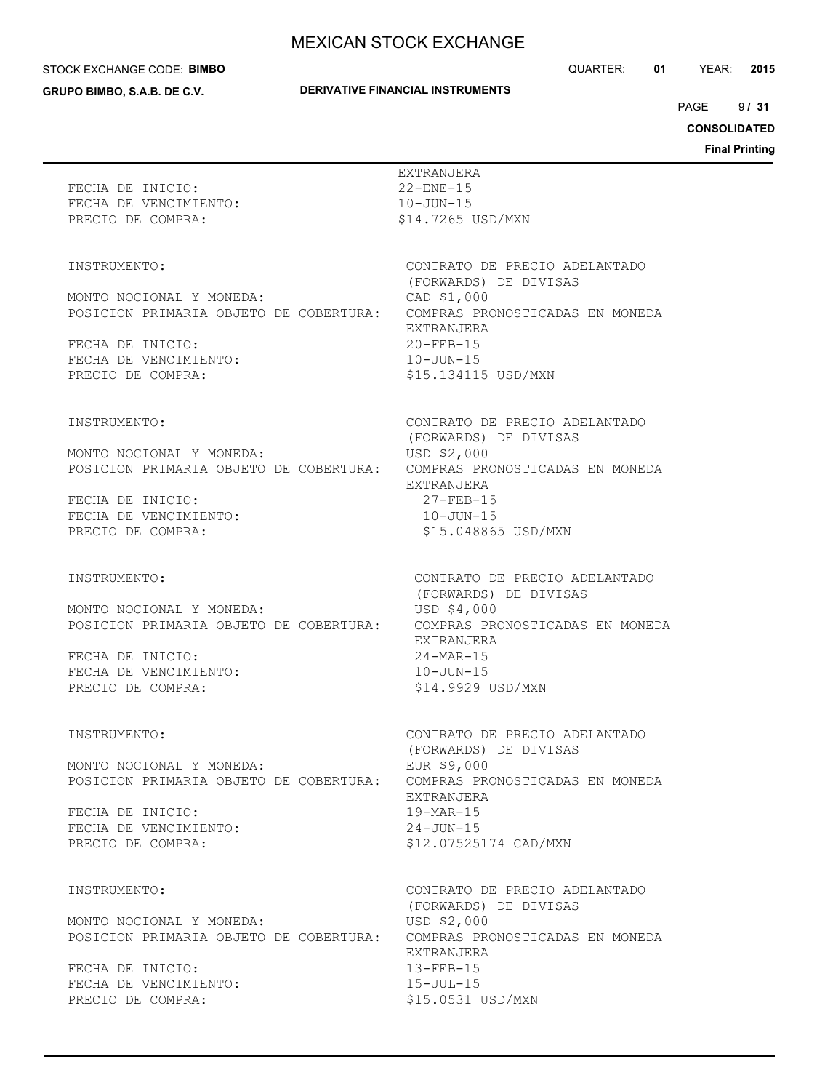#### STOCK EXCHANGE CODE: **BIMBO**

**GRUPO BIMBO, S.A.B. DE C.V.**

## **DERIVATIVE FINANCIAL INSTRUMENTS**

QUARTER: **01** YEAR: **2015**

 $9131$ PAGE **/ 31**

**CONSOLIDATED**

**Final Printing**

| FECHA DE INICIO:<br>FECHA DE VENCIMIENTO:<br>PRECIO DE COMPRA:                                                                                       | EXTRANJERA<br>$22 -$ ENE $-15$<br>$10 - JUN - 15$<br>\$14.7265 USD/MXN                                                                                                              |
|------------------------------------------------------------------------------------------------------------------------------------------------------|-------------------------------------------------------------------------------------------------------------------------------------------------------------------------------------|
| INSTRUMENTO:<br>MONTO NOCIONAL Y MONEDA:<br>POSICION PRIMARIA OBJETO DE COBERTURA:<br>FECHA DE INICIO:<br>FECHA DE VENCIMIENTO:<br>PRECIO DE COMPRA: | CONTRATO DE PRECIO ADELANTADO<br>(FORWARDS) DE DIVISAS<br>CAD \$1,000<br>COMPRAS PRONOSTICADAS EN MONEDA<br>EXTRANJERA<br>$20 - FEB - 15$<br>$10 - JUN - 15$<br>\$15.134115 USD/MXN |
| INSTRUMENTO:<br>MONTO NOCIONAL Y MONEDA:<br>POSICION PRIMARIA OBJETO DE COBERTURA:<br>FECHA DE INICIO:<br>FECHA DE VENCIMIENTO:<br>PRECIO DE COMPRA: | CONTRATO DE PRECIO ADELANTADO<br>(FORWARDS) DE DIVISAS<br>USD \$2,000<br>COMPRAS PRONOSTICADAS EN MONEDA<br>EXTRANJERA<br>$27 - FEB - 15$<br>$10 - JUN - 15$<br>\$15,048865 USD/MXN |
| INSTRUMENTO:<br>MONTO NOCIONAL Y MONEDA:<br>POSICION PRIMARIA OBJETO DE COBERTURA:<br>FECHA DE INICIO:<br>FECHA DE VENCIMIENTO:<br>PRECIO DE COMPRA: | CONTRATO DE PRECIO ADELANTADO<br>(FORWARDS) DE DIVISAS<br>USD \$4,000<br>COMPRAS PRONOSTICADAS EN MONEDA<br>EXTRANJERA<br>$24-MAR-15$<br>$10 - JUN - 15$<br>\$14.9929 USD/MXN       |
| INSTRUMENTO:<br>MONTO NOCIONAL Y MONEDA:<br>POSICION PRIMARIA OBJETO DE COBERTURA:<br>FECHA DE INICIO:<br>FECHA DE VENCIMIENTO:<br>PRECIO DE COMPRA: | CONTRATO DE PRECIO ADELANTADO<br>(FORWARDS) DE DIVISAS<br>EUR \$9,000<br>COMPRAS PRONOSTICADAS EN MONEDA<br>EXTRANJERA<br>$19-MAR-15$<br>$24 - JUN - 15$<br>\$12.07525174 CAD/MXN   |
| INSTRUMENTO:<br>MONTO NOCIONAL Y MONEDA:<br>POSICION PRIMARIA OBJETO DE COBERTURA:<br>FECHA DE INICIO:<br>FECHA DE VENCIMIENTO:<br>PRECIO DE COMPRA: | CONTRATO DE PRECIO ADELANTADO<br>(FORWARDS) DE DIVISAS<br>USD \$2,000<br>COMPRAS PRONOSTICADAS EN MONEDA<br>EXTRANJERA<br>$13 - FEB - 15$<br>$15 - JUL - 15$<br>\$15.0531 USD/MXN   |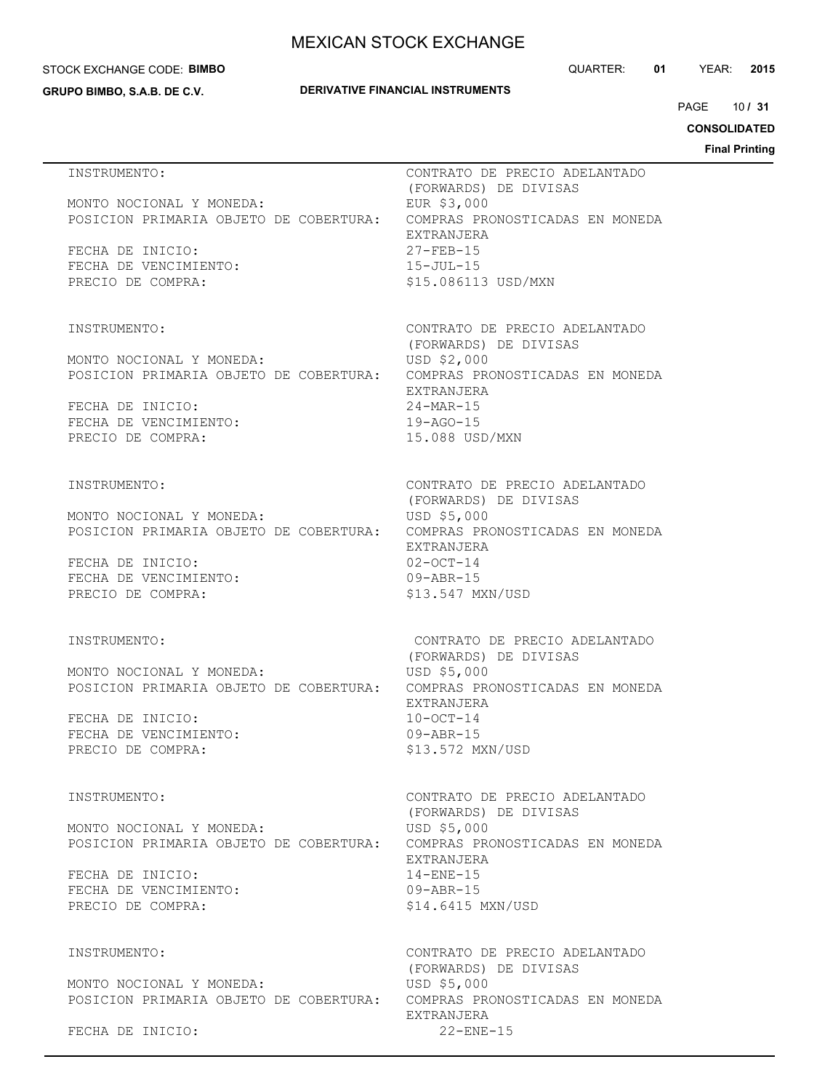#### STOCK EXCHANGE CODE: **BIMBO**

**GRUPO BIMBO, S.A.B. DE C.V.**

## **DERIVATIVE FINANCIAL INSTRUMENTS**

QUARTER: **01** YEAR: **2015**

10 PAGE **/ 31**

**CONSOLIDATED**

**Final Printing**

| INSTRUMENTO:                                                       | CONTRATO DE PRECIO ADELANTADO<br>(FORWARDS) DE DIVISAS                                              |
|--------------------------------------------------------------------|-----------------------------------------------------------------------------------------------------|
| MONTO NOCIONAL Y MONEDA:<br>POSICION PRIMARIA OBJETO DE COBERTURA: | EUR \$3,000<br>COMPRAS PRONOSTICADAS EN MONEDA                                                      |
| FECHA DE INICIO:<br>FECHA DE VENCIMIENTO:                          | EXTRANJERA<br>$27 - FEB - 15$<br>15-JUL-15                                                          |
| PRECIO DE COMPRA:                                                  | \$15.086113 USD/MXN                                                                                 |
| INSTRUMENTO:                                                       | CONTRATO DE PRECIO ADELANTADO<br>(FORWARDS) DE DIVISAS                                              |
| MONTO NOCIONAL Y MONEDA:                                           | USD \$2,000<br>POSICION PRIMARIA OBJETO DE COBERTURA: COMPRAS PRONOSTICADAS EN MONEDA               |
| FECHA DE INICIO:<br>FECHA DE VENCIMIENTO:                          | EXTRANJERA<br>$24 - \text{MAR} - 15$<br>$19 - AGO - 15$                                             |
| PRECIO DE COMPRA:                                                  | 15.088 USD/MXN                                                                                      |
| INSTRUMENTO:                                                       | CONTRATO DE PRECIO ADELANTADO<br>(FORWARDS) DE DIVISAS                                              |
| MONTO NOCIONAL Y MONEDA:<br>POSICION PRIMARIA OBJETO DE COBERTURA: | USD \$5,000<br>COMPRAS PRONOSTICADAS EN MONEDA<br>EXTRANJERA                                        |
| FECHA DE INICIO:<br>FECHA DE VENCIMIENTO:                          | $02-0CT-14$<br>$09 - ABR - 15$                                                                      |
| PRECIO DE COMPRA:                                                  | \$13.547 MXN/USD                                                                                    |
| INSTRUMENTO:                                                       | CONTRATO DE PRECIO ADELANTADO<br>(FORWARDS) DE DIVISAS                                              |
| MONTO NOCIONAL Y MONEDA:                                           | USD \$5,000<br>POSICION PRIMARIA OBJETO DE COBERTURA: COMPRAS PRONOSTICADAS EN MONEDA<br>EXTRANJERA |
| FECHA DE INICIO:<br>FECHA DE VENCIMIENTO:                          | $10 - OCT - 14$<br>$09 - ABR - 15$                                                                  |
| PRECIO DE COMPRA:                                                  | \$13.572 MXN/USD                                                                                    |
| INSTRUMENTO:                                                       | CONTRATO DE PRECIO ADELANTADO<br>(FORWARDS) DE DIVISAS                                              |
| MONTO NOCIONAL Y MONEDA:                                           | USD \$5,000<br>POSICION PRIMARIA OBJETO DE COBERTURA: COMPRAS PRONOSTICADAS EN MONEDA<br>EXTRANJERA |
| FECHA DE INICIO:<br>FECHA DE VENCIMIENTO:                          | $14 -$ ENE $-15$<br>$09 - ABR - 15$                                                                 |
| PRECIO DE COMPRA:                                                  | \$14.6415 MXN/USD                                                                                   |
| INSTRUMENTO:                                                       | CONTRATO DE PRECIO ADELANTADO<br>(FORWARDS) DE DIVISAS                                              |
| MONTO NOCIONAL Y MONEDA:<br>POSICION PRIMARIA OBJETO DE COBERTURA: | USD \$5,000<br>COMPRAS PRONOSTICADAS EN MONEDA<br>EXTRANJERA                                        |
| FECHA DE INICIO:                                                   | $22 -$ ENE $-15$                                                                                    |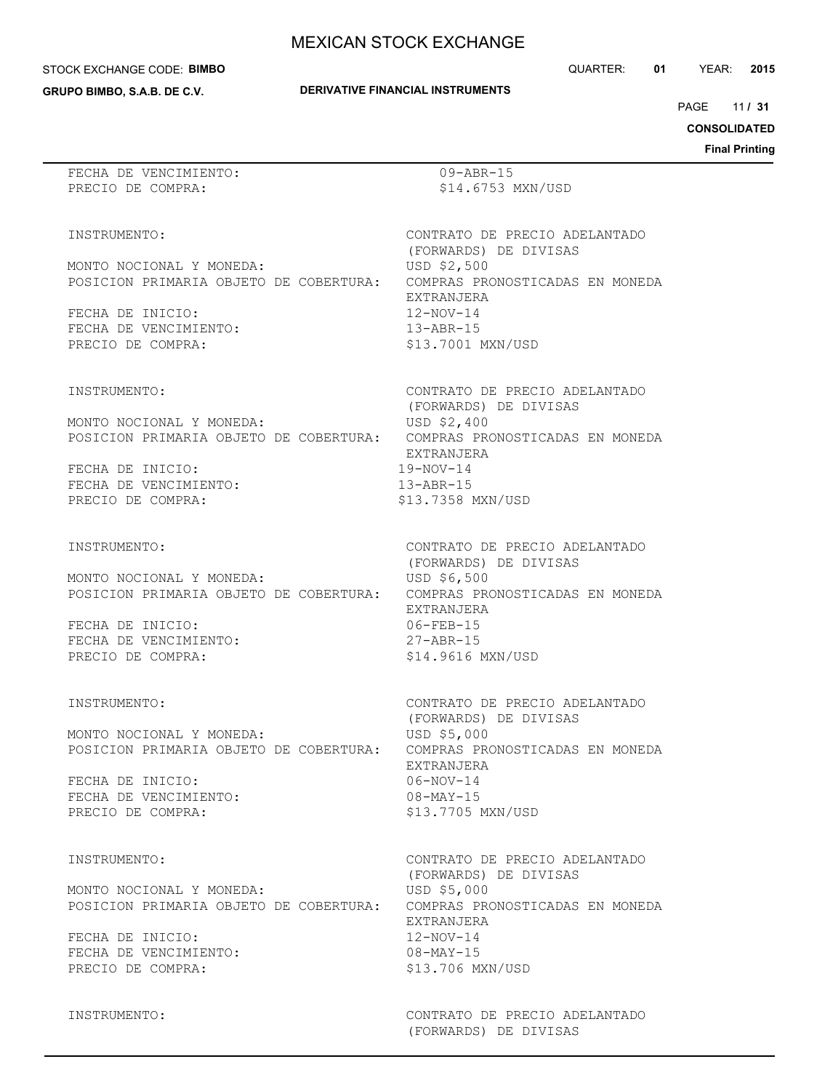**DERIVATIVE FINANCIAL INSTRUMENTS**

#### STOCK EXCHANGE CODE: **BIMBO**

**GRUPO BIMBO, S.A.B. DE C.V.**

11 PAGE **/ 31**

**CONSOLIDATED**

**Final Printing**

FECHA DE VENCIMIENTO: 09-ABR-15 PRECIO DE COMPRA:  $$14.6753$  MXN/USD

(FORWARDS) DE DIVISAS

INSTRUMENTO: CONTRATO DE PRECIO ADELANTADO

MONTO NOCIONAL Y MONEDA: USD \$2,500 POSICION PRIMARIA OBJETO DE COBERTURA: COMPRAS PRONOSTICADAS EN MONEDA

FECHA DE INICIO: 12-NOV-14 FECHA DE VENCIMIENTO: 13-ABR-15 PRECIO DE COMPRA:  $$13.7001$  MXN/USD

MONTO NOCIONAL Y MONEDA: USD \$2,400 POSICION PRIMARIA OBJETO DE COBERTURA: COMPRAS PRONOSTICADAS EN MONEDA

FECHA DE INICIO: 19-NOV-14 FECHA DE VENCIMIENTO: 13-ABR-15 PRECIO DE COMPRA:

MONTO NOCIONAL Y MONEDA: USD \$6,500 POSICION PRIMARIA OBJETO DE COBERTURA: COMPRAS PRONOSTICADAS EN MONEDA

FECHA DE INICIO: 06-FEB-15 FECHA DE VENCIMIENTO: 27-ABR-15 PRECIO DE COMPRA:  $$14.9616$  MXN/USD

MONTO NOCIONAL Y MONEDA: USD \$5,000 POSICION PRIMARIA OBJETO DE COBERTURA: COMPRAS PRONOSTICADAS EN MONEDA

FECHA DE INICIO: 06-NOV-14 FECHA DE VENCIMIENTO: 08-MAY-15 PRECIO DE COMPRA:  $$13.7705$  MXN/USD

MONTO NOCIONAL Y MONEDA: USD \$5,000 POSICION PRIMARIA OBJETO DE COBERTURA: COMPRAS PRONOSTICADAS EN MONEDA

FECHA DE INICIO: FECHA DE VENCIMIENTO: 08-MAY-15 PRECIO DE COMPRA: \$13.706 MXN/USD

 EXTRANJERA INSTRUMENTO: CONTRATO DE PRECIO ADELANTADO

 (FORWARDS) DE DIVISAS EXTRANJERA

INSTRUMENTO: CONTRATO DE PRECIO ADELANTADO (FORWARDS) DE DIVISAS EXTRANJERA

INSTRUMENTO: CONTRATO DE PRECIO ADELANTADO (FORWARDS) DE DIVISAS EXTRANJERA

INSTRUMENTO: CONTRATO DE PRECIO ADELANTADO (FORWARDS) DE DIVISAS EXTRANJERA<br>12-NOV-14

INSTRUMENTO: CONTRATO DE PRECIO ADELANTADO (FORWARDS) DE DIVISAS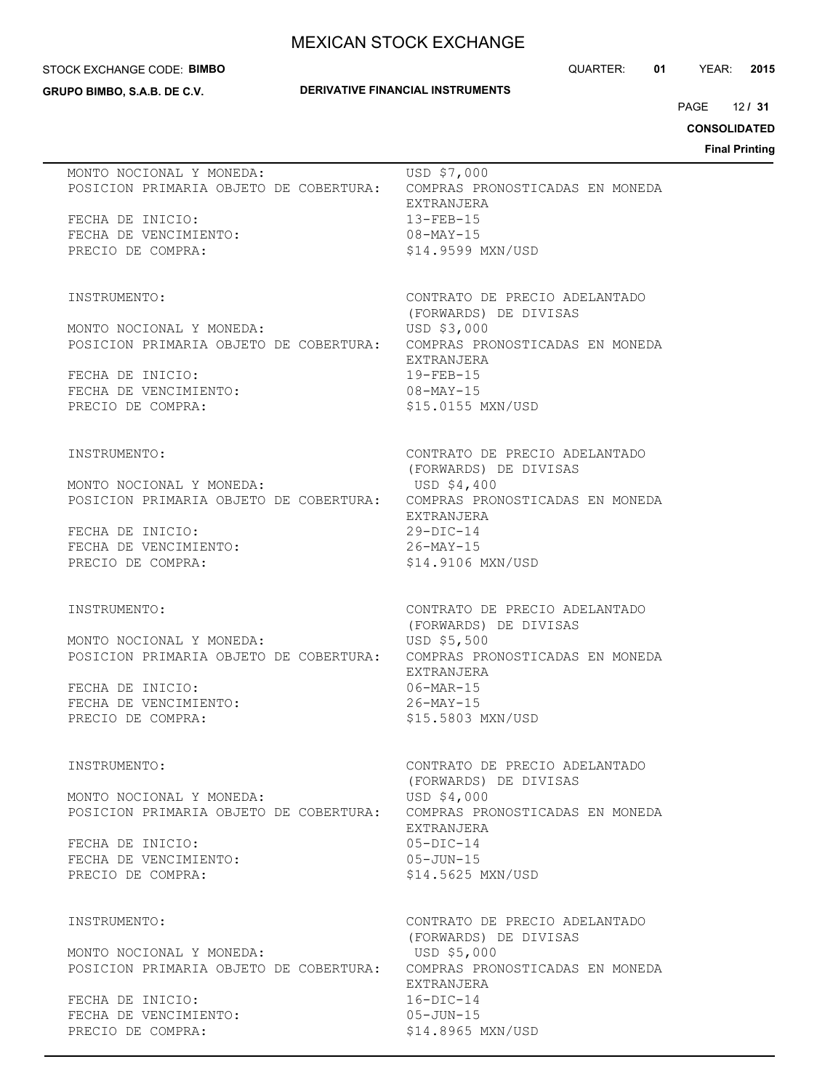#### STOCK EXCHANGE CODE: **BIMBO**

**GRUPO BIMBO, S.A.B. DE C.V.**

## **DERIVATIVE FINANCIAL INSTRUMENTS**

QUARTER: **01** YEAR: **2015**

12 PAGE **/ 31**

# **CONSOLIDATED**

| MONTO NOCIONAL Y MONEDA:<br>POSICION PRIMARIA OBJETO DE COBERTURA:<br>FECHA DE INICIO: | USD \$7,000<br>COMPRAS PRONOSTICADAS EN MONEDA<br>EXTRANJERA<br>$13 - FEB - 15$ |
|----------------------------------------------------------------------------------------|---------------------------------------------------------------------------------|
| FECHA DE VENCIMIENTO:<br>PRECIO DE COMPRA:                                             | $08 - \text{MAX} - 15$<br>\$14.9599 MXN/USD                                     |
| INSTRUMENTO:                                                                           | CONTRATO DE PRECIO ADELANTADO<br>(FORWARDS) DE DIVISAS                          |
| MONTO NOCIONAL Y MONEDA:<br>POSICION PRIMARIA OBJETO DE COBERTURA:                     | USD \$3,000<br>COMPRAS PRONOSTICADAS EN MONEDA                                  |
| FECHA DE INICIO:<br>FECHA DE VENCIMIENTO:<br>PRECIO DE COMPRA:                         | EXTRANJERA<br>$19 - FEB - 15$<br>$08 - \text{MAX} - 15$<br>\$15.0155 MXN/USD    |
|                                                                                        |                                                                                 |
| INSTRUMENTO:<br>MONTO NOCIONAL Y MONEDA:                                               | CONTRATO DE PRECIO ADELANTADO<br>(FORWARDS) DE DIVISAS<br>USD \$4,400           |
| POSICION PRIMARIA OBJETO DE COBERTURA: COMPRAS PRONOSTICADAS EN MONEDA                 | EXTRANJERA                                                                      |
| FECHA DE INICIO:<br>FECHA DE VENCIMIENTO:                                              | $29-DIC-14$<br>$26 - MAX - 15$                                                  |
| PRECIO DE COMPRA:                                                                      | \$14.9106 MXN/USD                                                               |
| INSTRUMENTO:                                                                           | CONTRATO DE PRECIO ADELANTADO<br>(FORWARDS) DE DIVISAS                          |
| MONTO NOCIONAL Y MONEDA:<br>POSICION PRIMARIA OBJETO DE COBERTURA:                     | USD \$5,500<br>COMPRAS PRONOSTICADAS EN MONEDA                                  |
| FECHA DE INICIO:<br>FECHA DE VENCIMIENTO:                                              | EXTRANJERA<br>$06 - \text{MAR} - 15$<br>$26 - MAX - 15$                         |
| PRECIO DE COMPRA:                                                                      | \$15.5803 MXN/USD                                                               |
| INSTRUMENTO:                                                                           | CONTRATO DE PRECIO ADELANTADO                                                   |
| MONTO NOCIONAL Y MONEDA:<br>POSICION PRIMARIA OBJETO DE COBERTURA:                     | (FORWARDS) DE DIVISAS<br>USD \$4,000<br>COMPRAS PRONOSTICADAS EN MONEDA         |
| FECHA DE INICIO:                                                                       | EXTRANJERA<br>$05 - DIC - 14$                                                   |
| FECHA DE VENCIMIENTO:<br>PRECIO DE COMPRA:                                             | $05 - JUN - 15$<br>\$14.5625 MXN/USD                                            |
| INSTRUMENTO:                                                                           | CONTRATO DE PRECIO ADELANTADO                                                   |
| MONTO NOCIONAL Y MONEDA:                                                               | (FORWARDS) DE DIVISAS<br>USD \$5,000                                            |
| POSICION PRIMARIA OBJETO DE COBERTURA:<br>FECHA DE INICIO:                             | COMPRAS PRONOSTICADAS EN MONEDA<br>EXTRANJERA<br>$16-DIC-14$                    |
| FECHA DE VENCIMIENTO:<br>PRECIO DE COMPRA:                                             | $05 - JUN - 15$<br>\$14.8965 MXN/USD                                            |
|                                                                                        |                                                                                 |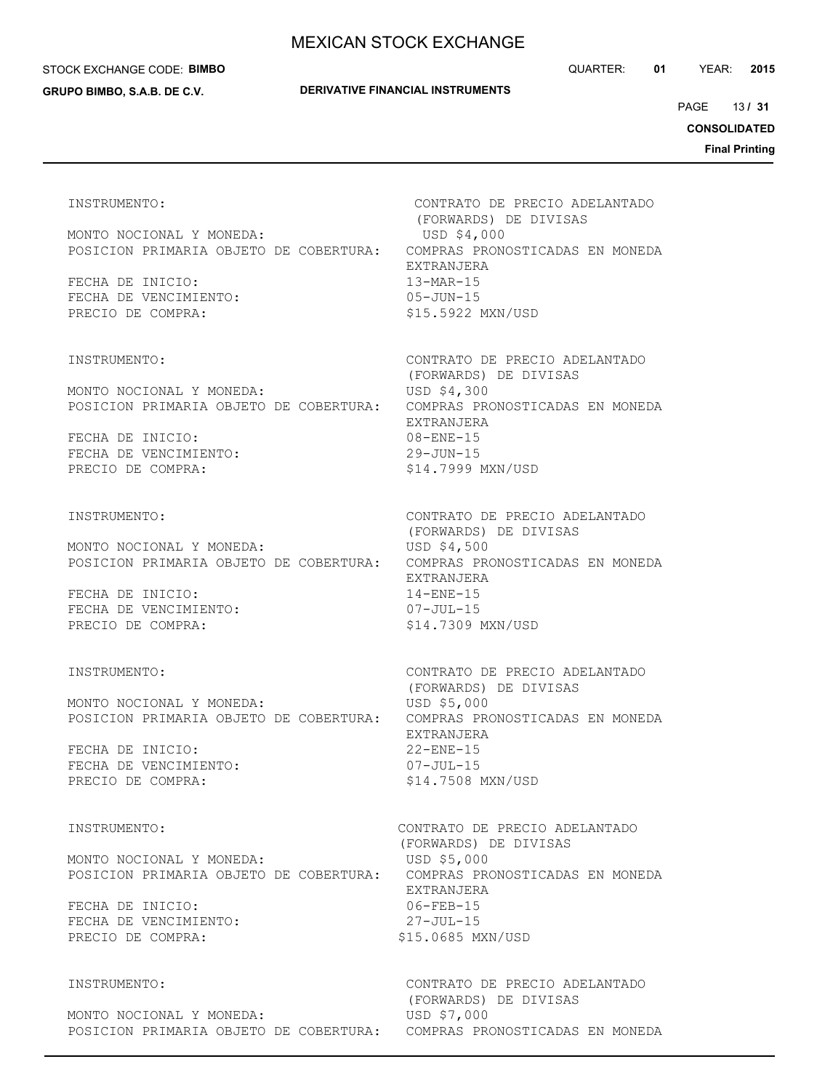### STOCK EXCHANGE CODE: **BIMBO**

**GRUPO BIMBO, S.A.B. DE C.V.**

QUARTER: **01** YEAR: **2015**

13 PAGE **/ 31**

**CONSOLIDATED**

**Final Printing**

MONTO NOCIONAL Y MONEDA: USD \$4,000 POSICION PRIMARIA OBJETO DE COBERTURA: COMPRAS PRONOSTICADAS EN MONEDA FECHA DE INICIO: 13-MAR-15 FECHA DE VENCIMIENTO: 05-JUN-15

MONTO NOCIONAL Y MONEDA: USD \$4,300 POSICION PRIMARIA OBJETO DE COBERTURA: COMPRAS PRONOSTICADAS EN MONEDA

FECHA DE INICIO: 08-ENE-15 FECHA DE VENCIMIENTO: 29-JUN-15 PRECIO DE COMPRA:  $$14.7999$  MXN/USD

MONTO NOCIONAL Y MONEDA: USD \$4,500 POSICION PRIMARIA OBJETO DE COBERTURA: COMPRAS PRONOSTICADAS EN MONEDA

FECHA DE INICIO: 14-ENE-15 FECHA DE VENCIMIENTO: 07-JUL-15 PRECIO DE COMPRA:  $$14.7309$  MXN/USD

MONTO NOCIONAL Y MONEDA: USD \$5,000 POSICION PRIMARIA OBJETO DE COBERTURA: COMPRAS PRONOSTICADAS EN MONEDA

FECHA DE INICIO: 22-ENE-15 FECHA DE VENCIMIENTO: 07-JUL-15 PRECIO DE COMPRA:  $$14.7508$  MXN/USD

MONTO NOCIONAL Y MONEDA: USD \$5,000 POSICION PRIMARIA OBJETO DE COBERTURA: COMPRAS PRONOSTICADAS EN MONEDA

FECHA DE INICIO: 06-FEB-15 FECHA DE VENCIMIENTO: 27-JUL-15 PRECIO DE COMPRA:  $$15.0685$  MXN/USD

MONTO NOCIONAL Y MONEDA: USD \$7,000 POSICION PRIMARIA OBJETO DE COBERTURA: COMPRAS PRONOSTICADAS EN MONEDA

INSTRUMENTO: CONTRATO DE PRECIO ADELANTADO (FORWARDS) DE DIVISAS EXTRANJERA PRECIO DE COMPRA:  $$15.5922$  MXN/USD

INSTRUMENTO: CONTRATO DE PRECIO ADELANTADO (FORWARDS) DE DIVISAS EXTRANJERA

INSTRUMENTO: CONTRATO DE PRECIO ADELANTADO (FORWARDS) DE DIVISAS EXTRANJERA

INSTRUMENTO: CONTRATO DE PRECIO ADELANTADO (FORWARDS) DE DIVISAS EXTRANJERA

INSTRUMENTO: CONTRATO DE PRECIO ADELANTADO (FORWARDS) DE DIVISAS EXTRANJERA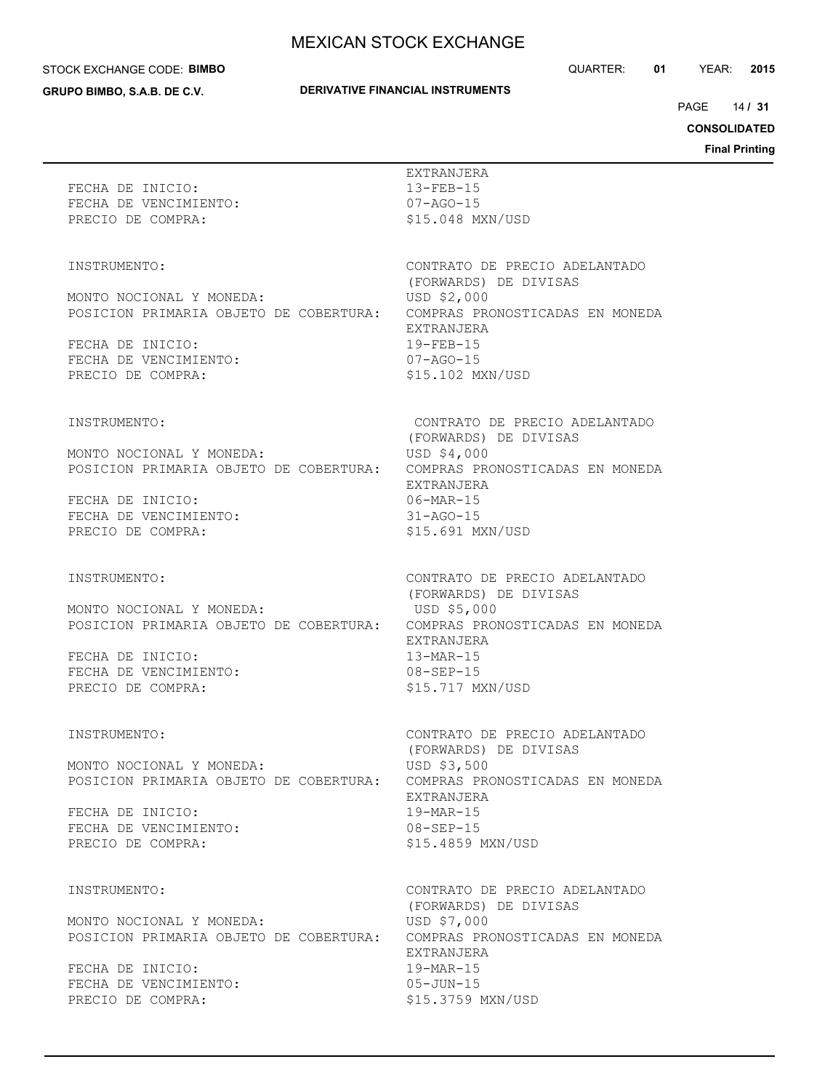#### STOCK EXCHANGE CODE: **BIMBO**

**GRUPO BIMBO, S.A.B. DE C.V.**

## **DERIVATIVE FINANCIAL INSTRUMENTS**

QUARTER: **01** YEAR: **2015**

14 PAGE **/ 31**

**CONSOLIDATED**

| FECHA DE INICIO:<br>FECHA DE VENCIMIENTO:<br>PRECIO DE COMPRA:                                                                                       | EXTRANJERA<br>$13 - FEB - 15$<br>$07 - AGO - 15$<br>\$15.048 MXN/USD                                                                                                             |
|------------------------------------------------------------------------------------------------------------------------------------------------------|----------------------------------------------------------------------------------------------------------------------------------------------------------------------------------|
| INSTRUMENTO:<br>MONTO NOCIONAL Y MONEDA:<br>POSICION PRIMARIA OBJETO DE COBERTURA:<br>FECHA DE INICIO:<br>FECHA DE VENCIMIENTO:<br>PRECIO DE COMPRA: | CONTRATO DE PRECIO ADELANTADO<br>(FORWARDS) DE DIVISAS<br>USD \$2,000<br>COMPRAS PRONOSTICADAS EN MONEDA<br>EXTRANJERA<br>$19 - FEB - 15$<br>$07 - AGO - 15$<br>\$15.102 MXN/USD |
| INSTRUMENTO:<br>MONTO NOCIONAL Y MONEDA:<br>POSICION PRIMARIA OBJETO DE COBERTURA:<br>FECHA DE INICIO:<br>FECHA DE VENCIMIENTO:<br>PRECIO DE COMPRA: | CONTRATO DE PRECIO ADELANTADO<br>(FORWARDS) DE DIVISAS<br>USD \$4,000<br>COMPRAS PRONOSTICADAS EN MONEDA<br>EXTRANJERA<br>$06-MAR-15$<br>$31 - AGO - 15$<br>\$15.691 MXN/USD     |
| INSTRUMENTO:<br>MONTO NOCIONAL Y MONEDA:<br>POSICION PRIMARIA OBJETO DE COBERTURA:<br>FECHA DE INICIO:<br>FECHA DE VENCIMIENTO:<br>PRECIO DE COMPRA: | CONTRATO DE PRECIO ADELANTADO<br>(FORWARDS) DE DIVISAS<br>USD \$5,000<br>COMPRAS PRONOSTICADAS EN MONEDA<br>EXTRANJERA<br>$13-MAR-15$<br>$08 - SEP - 15$<br>\$15.717 MXN/USD     |
| INSTRUMENTO:<br>MONTO NOCIONAL Y MONEDA:<br>POSICION PRIMARIA OBJETO DE COBERTURA:<br>FECHA DE INICIO:<br>FECHA DE VENCIMIENTO:<br>PRECIO DE COMPRA: | CONTRATO DE PRECIO ADELANTADO<br>(FORWARDS) DE DIVISAS<br>USD \$3,500<br>COMPRAS PRONOSTICADAS EN MONEDA<br>EXTRANJERA<br>$19-MAR-15$<br>$08 - SEP - 15$<br>\$15.4859 MXN/USD    |
| INSTRUMENTO:<br>MONTO NOCIONAL Y MONEDA:<br>POSICION PRIMARIA OBJETO DE COBERTURA:<br>FECHA DE INICIO:<br>FECHA DE VENCIMIENTO:<br>PRECIO DE COMPRA: | CONTRATO DE PRECIO ADELANTADO<br>(FORWARDS) DE DIVISAS<br>USD \$7,000<br>COMPRAS PRONOSTICADAS EN MONEDA<br>EXTRANJERA<br>$19-MAR-15$<br>$05 - JUN - 15$<br>\$15.3759 MXN/USD    |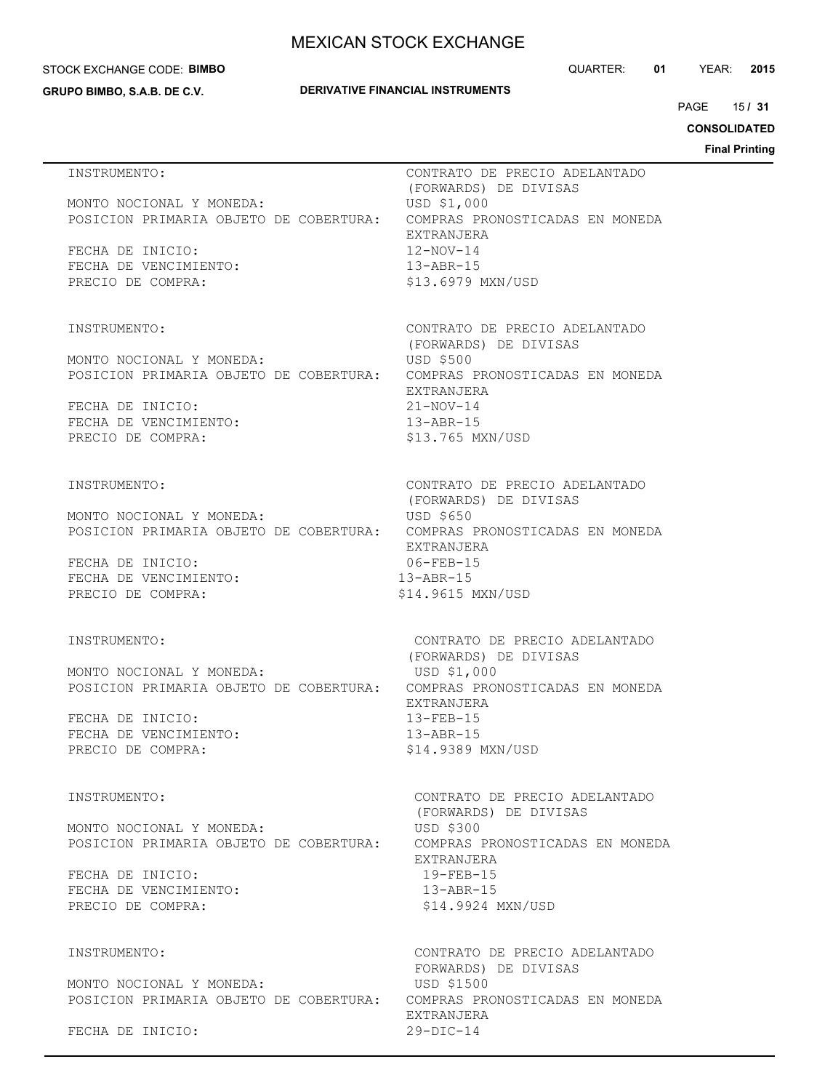### STOCK EXCHANGE CODE: **BIMBO**

**GRUPO BIMBO, S.A.B. DE C.V.**

## **DERIVATIVE FINANCIAL INSTRUMENTS**

QUARTER: **01** YEAR: **2015**

15 PAGE **/ 31**

**CONSOLIDATED**

| INSTRUMENTO:                                                       | CONTRATO DE PRECIO ADELANTADO<br>(FORWARDS) DE DIVISAS                                             |
|--------------------------------------------------------------------|----------------------------------------------------------------------------------------------------|
| MONTO NOCIONAL Y MONEDA:<br>POSICION PRIMARIA OBJETO DE COBERTURA: | USD \$1,000<br>COMPRAS PRONOSTICADAS EN MONEDA<br>EXTRANJERA                                       |
| FECHA DE INICIO:<br>FECHA DE VENCIMIENTO:<br>PRECIO DE COMPRA:     | 12-NOV-14<br>$13 - ABR - 15$<br>\$13.6979 MXN/USD                                                  |
|                                                                    |                                                                                                    |
| INSTRUMENTO:                                                       | CONTRATO DE PRECIO ADELANTADO<br>(FORWARDS) DE DIVISAS                                             |
| MONTO NOCIONAL Y MONEDA:<br>POSICION PRIMARIA OBJETO DE COBERTURA: | <b>USD \$500</b><br>COMPRAS PRONOSTICADAS EN MONEDA                                                |
| FECHA DE INICIO:<br>FECHA DE VENCIMIENTO:                          | EXTRANJERA<br>$21 - NOV - 14$<br>$13 - ABR - 15$                                                   |
| PRECIO DE COMPRA:                                                  | \$13.765 MXN/USD                                                                                   |
| INSTRUMENTO:                                                       | CONTRATO DE PRECIO ADELANTADO<br>(FORWARDS) DE DIVISAS                                             |
| MONTO NOCIONAL Y MONEDA:                                           | USD \$650<br>POSICION PRIMARIA OBJETO DE COBERTURA: COMPRAS PRONOSTICADAS EN MONEDA<br>EXTRANJERA  |
| FECHA DE INICIO:<br>FECHA DE VENCIMIENTO:                          | 06-FEB-15<br>$13 - ABR - 15$                                                                       |
| PRECIO DE COMPRA:                                                  | \$14.9615 MXN/USD                                                                                  |
| INSTRUMENTO:                                                       | CONTRATO DE PRECIO ADELANTADO<br>(FORWARDS) DE DIVISAS                                             |
| MONTO NOCIONAL Y MONEDA:<br>POSICION PRIMARIA OBJETO DE COBERTURA: | USD \$1,000<br>COMPRAS PRONOSTICADAS EN MONEDA<br>EXTRANJERA                                       |
| FECHA DE INICIO:<br>FECHA DE VENCIMIENTO:                          | $13 - FEB - 15$<br>$13 - ABR - 15$                                                                 |
| PRECIO DE COMPRA:                                                  | \$14.9389 MXN/USD                                                                                  |
| INSTRUMENTO:                                                       | CONTRATO DE PRECIO ADELANTADO<br>(FORWARDS) DE DIVISAS                                             |
| MONTO NOCIONAL Y MONEDA:<br>POSICION PRIMARIA OBJETO DE COBERTURA: | USD \$300<br>COMPRAS PRONOSTICADAS EN MONEDA<br>EXTRANJERA                                         |
| FECHA DE INICIO:<br>FECHA DE VENCIMIENTO:                          | $19 - FEB - 15$<br>$13 - ABR - 15$                                                                 |
| PRECIO DE COMPRA:                                                  | \$14.9924 MXN/USD                                                                                  |
| INSTRUMENTO:                                                       | CONTRATO DE PRECIO ADELANTADO<br>FORWARDS) DE DIVISAS                                              |
| MONTO NOCIONAL Y MONEDA:                                           | USD \$1500<br>POSICION PRIMARIA OBJETO DE COBERTURA: COMPRAS PRONOSTICADAS EN MONEDA<br>EXTRANJERA |
| FECHA DE INICIO:                                                   | $29-DIC-14$                                                                                        |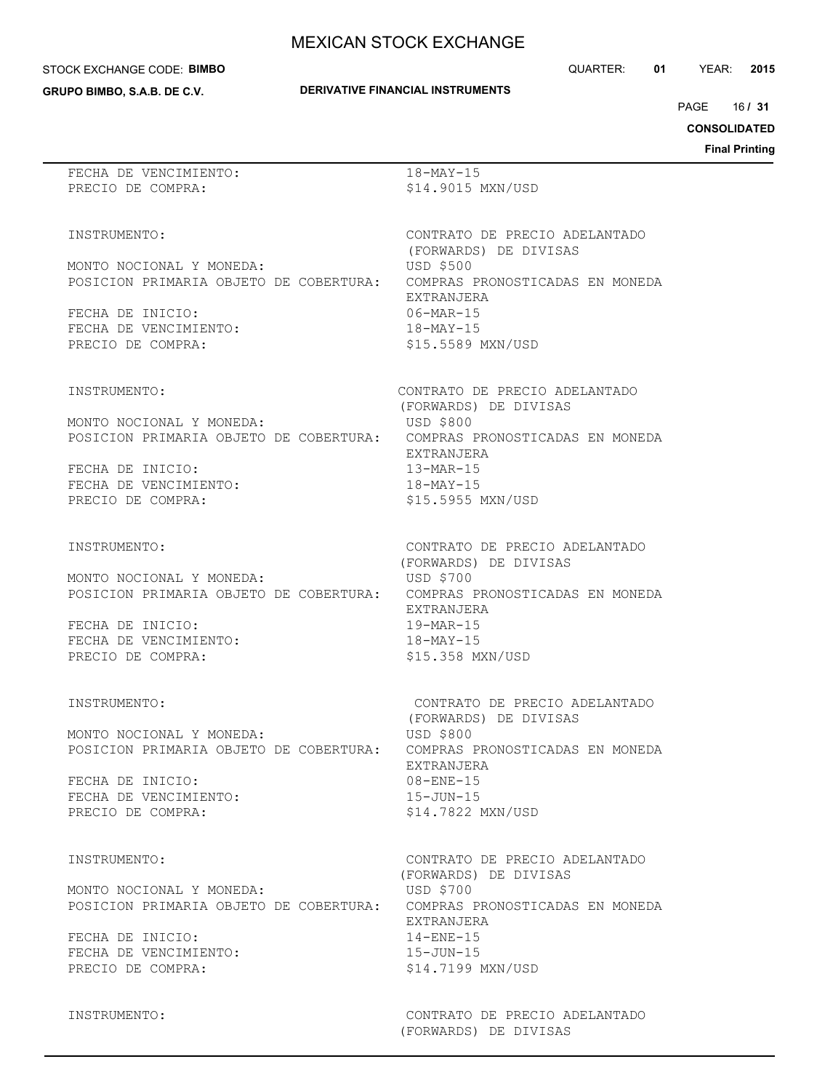#### STOCK EXCHANGE CODE: **BIMBO**

**GRUPO BIMBO, S.A.B. DE C.V.**

## **DERIVATIVE FINANCIAL INSTRUMENTS**

16 PAGE **/ 31**

## **CONSOLIDATED**

**Final Printing**

| FECHA DE VENCIMIENTO:                                                  | $18 - \text{MAX} - 15$                      |
|------------------------------------------------------------------------|---------------------------------------------|
| PRECIO DE COMPRA:                                                      | \$14.9015 MXN/USD                           |
|                                                                        |                                             |
| INSTRUMENTO:                                                           | CONTRATO DE PRECIO ADELANTADO               |
|                                                                        | (FORWARDS) DE DIVISAS                       |
| MONTO NOCIONAL Y MONEDA:                                               | USD \$500                                   |
| POSICION PRIMARIA OBJETO DE COBERTURA:                                 | COMPRAS PRONOSTICADAS EN MONEDA             |
|                                                                        | EXTRANJERA                                  |
| FECHA DE INICIO:                                                       | $06 - \text{MAR} - 15$                      |
| FECHA DE VENCIMIENTO:<br>PRECIO DE COMPRA:                             | $18 - \text{MAX} - 15$<br>\$15.5589 MXN/USD |
|                                                                        |                                             |
| INSTRUMENTO:                                                           | CONTRATO DE PRECIO ADELANTADO               |
|                                                                        | (FORWARDS) DE DIVISAS                       |
| MONTO NOCIONAL Y MONEDA:                                               | USD \$800                                   |
| POSICION PRIMARIA OBJETO DE COBERTURA: COMPRAS PRONOSTICADAS EN MONEDA |                                             |
|                                                                        | EXTRANJERA                                  |
| FECHA DE INICIO:                                                       | $13-MAR-15$                                 |
| FECHA DE VENCIMIENTO:                                                  | $18 - \text{MAX} - 15$                      |
| PRECIO DE COMPRA:                                                      | \$15.5955 MXN/USD                           |
| INSTRUMENTO:                                                           | CONTRATO DE PRECIO ADELANTADO               |
|                                                                        | (FORWARDS) DE DIVISAS                       |
| MONTO NOCIONAL Y MONEDA:                                               | USD \$700                                   |
| POSICION PRIMARIA OBJETO DE COBERTURA: COMPRAS PRONOSTICADAS EN MONEDA |                                             |
|                                                                        | EXTRANJERA                                  |
| FECHA DE INICIO:                                                       | $19-MAR-15$                                 |
| FECHA DE VENCIMIENTO:                                                  | $18 - \text{MAX} - 15$                      |
| PRECIO DE COMPRA:                                                      | \$15.358 MXN/USD                            |
| INSTRUMENTO:                                                           | CONTRATO DE PRECIO ADELANTADO               |
|                                                                        | (FORWARDS) DE DIVISAS                       |
| MONTO NOCIONAL Y MONEDA:                                               | USD \$800                                   |
| POSICION PRIMARIA OBJETO DE COBERTURA:                                 | COMPRAS PRONOSTICADAS EN MONEDA             |
|                                                                        | EXTRANJERA                                  |
| FECHA DE INICIO:                                                       | $08 - ENE - 15$                             |
| FECHA DE VENCIMIENTO:                                                  | $15 - JUN - 15$                             |
| PRECIO DE COMPRA:                                                      | \$14.7822 MXN/USD                           |
| INSTRUMENTO:                                                           | CONTRATO DE PRECIO ADELANTADO               |
|                                                                        | (FORWARDS) DE DIVISAS                       |
| MONTO NOCIONAL Y MONEDA:                                               | USD \$700                                   |
| POSICION PRIMARIA OBJETO DE COBERTURA: COMPRAS PRONOSTICADAS EN MONEDA |                                             |
|                                                                        | EXTRANJERA                                  |
| FECHA DE INICIO:                                                       | $14 - ENE - 15$                             |
| FECHA DE VENCIMIENTO:                                                  | $15 - JUN - 15$                             |
| PRECIO DE COMPRA:                                                      | \$14.7199 MXN/USD                           |
|                                                                        |                                             |
|                                                                        |                                             |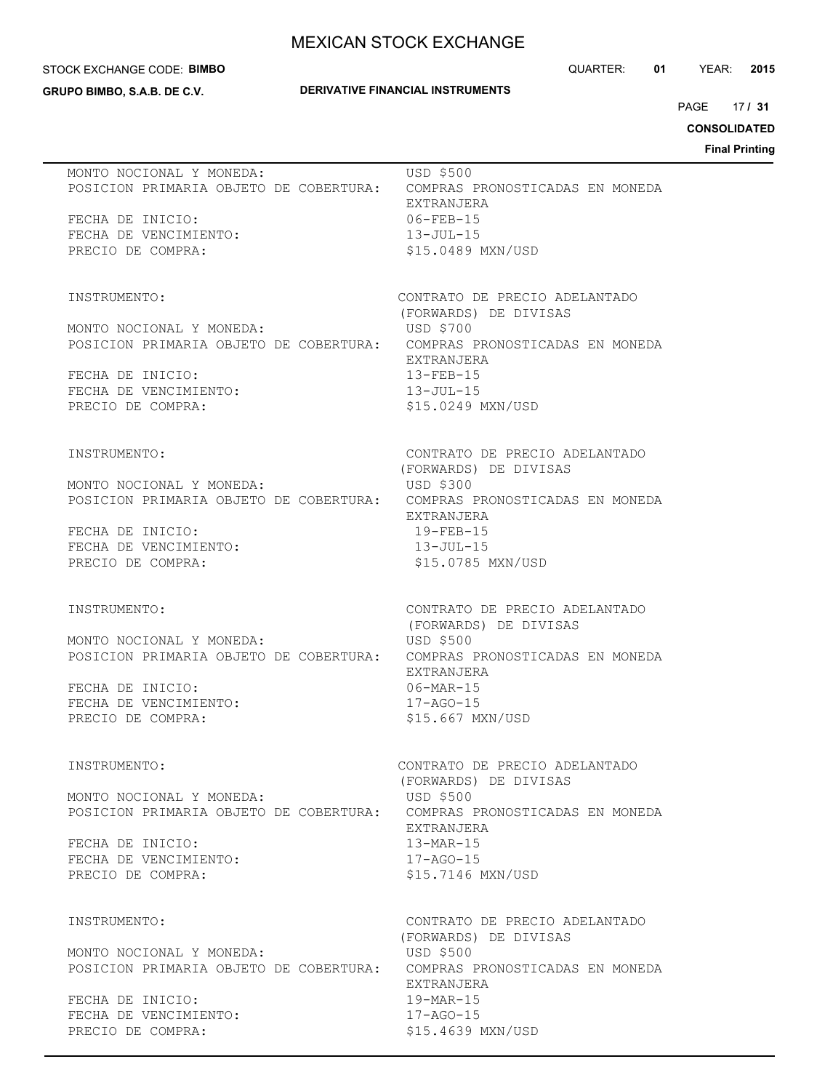#### STOCK EXCHANGE CODE: **BIMBO**

**GRUPO BIMBO, S.A.B. DE C.V.**

## **DERIVATIVE FINANCIAL INSTRUMENTS**

QUARTER: **01** YEAR: **2015**

17 PAGE **/ 31**

# **CONSOLIDATED**

| MONTO NOCIONAL Y MONEDA:<br>POSICION PRIMARIA OBJETO DE COBERTURA: COMPRAS PRONOSTICADAS EN MONEDA<br>FECHA DE INICIO:<br>FECHA DE VENCIMIENTO:<br>PRECIO DE COMPRA:                 | USD \$500<br>EXTRANJERA<br>$06 - FEB - 15$<br>$13 - JUL - 15$<br>\$15.0489 MXN/USD                                                                                                            |
|--------------------------------------------------------------------------------------------------------------------------------------------------------------------------------------|-----------------------------------------------------------------------------------------------------------------------------------------------------------------------------------------------|
| INSTRUMENTO:<br>MONTO NOCIONAL Y MONEDA:<br>POSICION PRIMARIA OBJETO DE COBERTURA: COMPRAS PRONOSTICADAS EN MONEDA<br>FECHA DE INICIO:<br>FECHA DE VENCIMIENTO:<br>PRECIO DE COMPRA: | CONTRATO DE PRECIO ADELANTADO<br>(FORWARDS) DE DIVISAS<br>USD \$700<br>EXTRANJERA<br>$13 - FEB - 15$<br>$13 - JUL-15$<br>\$15.0249 MXN/USD                                                    |
| INSTRUMENTO:<br>MONTO NOCIONAL Y MONEDA:<br>POSICION PRIMARIA OBJETO DE COBERTURA: COMPRAS PRONOSTICADAS EN MONEDA<br>FECHA DE INICIO:<br>FECHA DE VENCIMIENTO:<br>PRECIO DE COMPRA: | CONTRATO DE PRECIO ADELANTADO<br>(FORWARDS) DE DIVISAS<br>USD \$300<br>EXTRANJERA<br>19-FEB-15<br>13-JUL-15<br>\$15.0785 MXN/USD                                                              |
| INSTRUMENTO:<br>MONTO NOCIONAL Y MONEDA:<br>POSICION PRIMARIA OBJETO DE COBERTURA:<br>FECHA DE INICIO:<br>FECHA DE VENCIMIENTO:<br>PRECIO DE COMPRA:                                 | CONTRATO DE PRECIO ADELANTADO<br>(FORWARDS) DE DIVISAS<br>USD \$500<br>COMPRAS PRONOSTICADAS EN MONEDA<br>EXTRANJERA<br>$06 - \text{MAR} - 15$<br>17-AGO-15<br>\$15.667 MXN/USD               |
| INSTRUMENTO:<br>MONTO NOCIONAL Y MONEDA:<br>POSICION PRIMARIA OBJETO DE COBERTURA: COMPRAS PRONOSTICADAS EN MONEDA<br>FECHA DE INICIO:<br>FECHA DE VENCIMIENTO:<br>PRECIO DE COMPRA: | CONTRATO DE PRECIO ADELANTADO<br>(FORWARDS) DE DIVISAS<br>USD \$500<br>EXTRANJERA<br>$13-MAR-15$<br>$17 - AGO - 15$<br>\$15,7146 MXN/USD                                                      |
| INSTRUMENTO:<br>MONTO NOCIONAL Y MONEDA:<br>POSICION PRIMARIA OBJETO DE COBERTURA:<br>FECHA DE INICIO:<br>FECHA DE VENCIMIENTO:<br>PRECIO DE COMPRA:                                 | CONTRATO DE PRECIO ADELANTADO<br>(FORWARDS) DE DIVISAS<br><b>USD \$500</b><br>COMPRAS PRONOSTICADAS EN MONEDA<br>EXTRANJERA<br>$19 - \text{MAR} - 15$<br>$17 - AGO - 15$<br>\$15.4639 MXN/USD |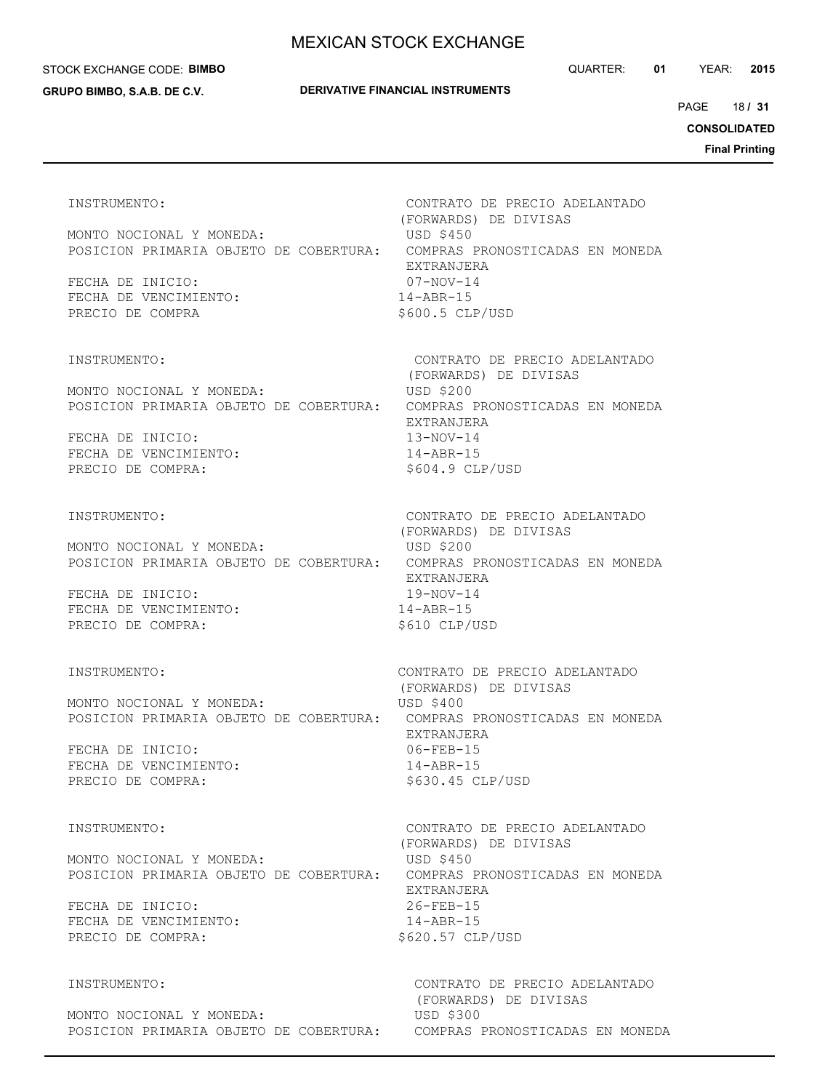### STOCK EXCHANGE CODE: **BIMBO**

**GRUPO BIMBO, S.A.B. DE C.V.**

QUARTER: **01** YEAR: **2015**

18 PAGE **/ 31**

**CONSOLIDATED**

**Final Printing**

 (FORWARDS) DE DIVISAS MONTO NOCIONAL Y MONEDA: USD \$450 POSICION PRIMARIA OBJETO DE COBERTURA: COMPRAS PRONOSTICADAS EN MONEDA EXTRANJERA FECHA DE INICIO: 07-NOV-14 FECHA DE VENCIMIENTO: 14-ABR-15 PRECIO DE COMPRA  $$600.5$  CLP/USD

MONTO NOCIONAL Y MONEDA: USD \$200 POSICION PRIMARIA OBJETO DE COBERTURA: COMPRAS PRONOSTICADAS EN MONEDA

FECHA DE INICIO: 13-NOV-14 FECHA DE VENCIMIENTO: 14-ABR-15 PRECIO DE COMPRA:  $$604.9$  CLP/USD

MONTO NOCIONAL Y MONEDA: USD \$200 POSICION PRIMARIA OBJETO DE COBERTURA: COMPRAS PRONOSTICADAS EN MONEDA

FECHA DE INICIO: 19-NOV-14 FECHA DE VENCIMIENTO: 14-ABR-15 PRECIO DE COMPRA:  $$610$  CLP/USD

MONTO NOCIONAL Y MONEDA: USD \$400 POSICION PRIMARIA OBJETO DE COBERTURA: COMPRAS PRONOSTICADAS EN MONEDA

FECHA DE INICIO: 06-FEB-15 FECHA DE VENCIMIENTO: 14-ABR-15 PRECIO DE COMPRA:  $$630.45$  CLP/USD

MONTO NOCIONAL Y MONEDA: USD \$450 POSICION PRIMARIA OBJETO DE COBERTURA: COMPRAS PRONOSTICADAS EN MONEDA

FECHA DE INICIO: 26-FEB-15 FECHA DE VENCIMIENTO: 14-ABR-15 PRECIO DE COMPRA:  $$620.57$  CLP/USD

MONTO NOCIONAL Y MONEDA: USD \$300 POSICION PRIMARIA OBJETO DE COBERTURA: COMPRAS PRONOSTICADAS EN MONEDA

INSTRUMENTO: CONTRATO DE PRECIO ADELANTADO

INSTRUMENTO: CONTRATO DE PRECIO ADELANTADO (FORWARDS) DE DIVISAS EXTRANJERA

INSTRUMENTO: CONTRATO DE PRECIO ADELANTADO (FORWARDS) DE DIVISAS EXTRANJERA

INSTRUMENTO: CONTRATO DE PRECIO ADELANTADO (FORWARDS) DE DIVISAS EXTRANJERA

INSTRUMENTO: CONTRATO DE PRECIO ADELANTADO (FORWARDS) DE DIVISAS EXTRANJERA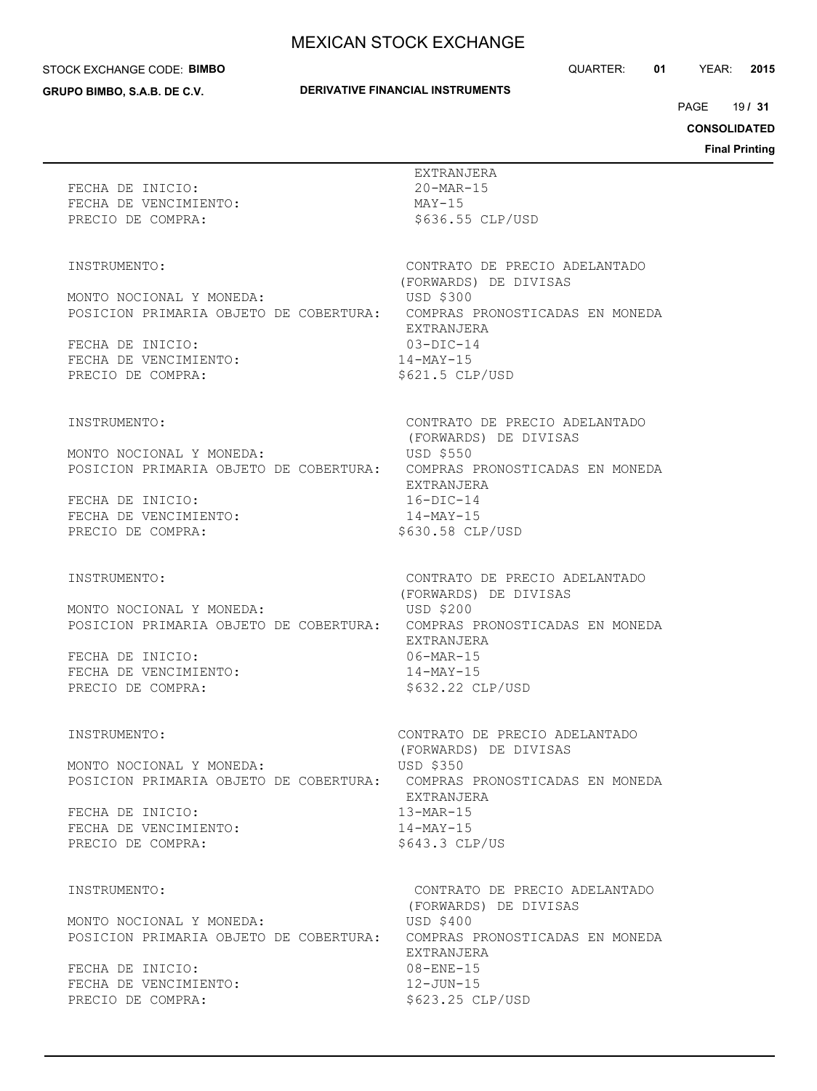#### STOCK EXCHANGE CODE: **BIMBO**

**GRUPO BIMBO, S.A.B. DE C.V.**

## **DERIVATIVE FINANCIAL INSTRUMENTS**

QUARTER: **01** YEAR: **2015**

19 PAGE **/ 31**

**CONSOLIDATED**

| FECHA DE INICIO:<br>FECHA DE VENCIMIENTO:<br>PRECIO DE COMPRA:                                           | EXTRANJERA<br>20-MAR-15<br>MAY-15<br>\$636.55 CLP/USD                                                                                                                                 |
|----------------------------------------------------------------------------------------------------------|---------------------------------------------------------------------------------------------------------------------------------------------------------------------------------------|
| INSTRUMENTO:                                                                                             | CONTRATO DE PRECIO ADELANTADO                                                                                                                                                         |
| MONTO NOCIONAL Y MONEDA:                                                                                 | (FORWARDS) DE DIVISAS<br>USD \$300<br>POSICION PRIMARIA OBJETO DE COBERTURA: COMPRAS PRONOSTICADAS EN MONEDA                                                                          |
| FECHA DE INICIO:<br>FECHA DE VENCIMIENTO:<br>PRECIO DE COMPRA:                                           | EXTRANJERA<br>$03-DIC-14$<br>$14 - MAX-15$<br>$$621.5$ CLP/USD                                                                                                                        |
| INSTRUMENTO:                                                                                             | CONTRATO DE PRECIO ADELANTADO<br>(FORWARDS) DE DIVISAS                                                                                                                                |
| MONTO NOCIONAL Y MONEDA:                                                                                 | USD \$550<br>POSICION PRIMARIA OBJETO DE COBERTURA: COMPRAS PRONOSTICADAS EN MONEDA<br>EXTRANJERA                                                                                     |
| FECHA DE INICIO:<br>FECHA DE VENCIMIENTO:<br>PRECIO DE COMPRA:                                           | $16 - DIC - 14$<br>14-MAY-15<br>\$630.58 CLP/USD                                                                                                                                      |
| INSTRUMENTO:<br>MONTO NOCIONAL Y MONEDA:<br>FECHA DE INICIO:<br>FECHA DE VENCIMIENTO:                    | CONTRATO DE PRECIO ADELANTADO<br>(FORWARDS) DE DIVISAS<br>USD \$200<br>POSICION PRIMARIA OBJETO DE COBERTURA: COMPRAS PRONOSTICADAS EN MONEDA<br>EXTRANJERA<br>06-MAR-15<br>14-MAY-15 |
| PRECIO DE COMPRA:                                                                                        | \$632.22 CLP/USD                                                                                                                                                                      |
| INSTRUMENTO:<br>MONTO NOCIONAL Y MONEDA:                                                                 | CONTRATO DE PRECIO ADELANTADO<br>(FORWARDS) DE DIVISAS<br>USD \$350                                                                                                                   |
| POSICION PRIMARIA OBJETO DE COBERTURA:<br>FECHA DE INICIO:<br>FECHA DE VENCIMIENTO:<br>PRECIO DE COMPRA: | COMPRAS PRONOSTICADAS EN MONEDA<br>EXTRANJERA<br>$13-MAR-15$<br>$14$ -MAY-15<br>$$643.3$ CLP/US                                                                                       |
| INSTRUMENTO:                                                                                             | CONTRATO DE PRECIO ADELANTADO<br>(FORWARDS) DE DIVISAS                                                                                                                                |
| MONTO NOCIONAL Y MONEDA:<br>POSICION PRIMARIA OBJETO DE COBERTURA:                                       | USD \$400<br>COMPRAS PRONOSTICADAS EN MONEDA<br>EXTRANJERA                                                                                                                            |
| FECHA DE INICIO:<br>FECHA DE VENCIMIENTO:<br>PRECIO DE COMPRA:                                           | $08 - ENE - 15$<br>$12 - JUN - 15$<br>\$623.25 CLP/USD                                                                                                                                |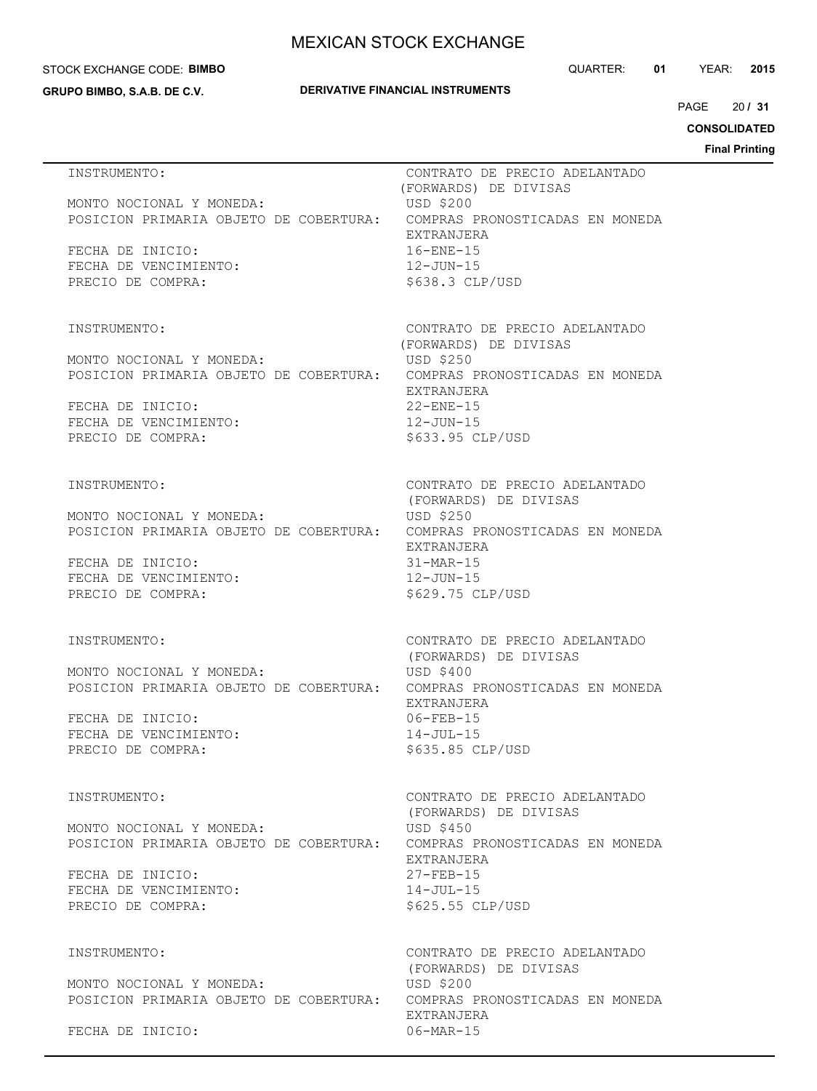### STOCK EXCHANGE CODE: **BIMBO**

**GRUPO BIMBO, S.A.B. DE C.V.**

## **DERIVATIVE FINANCIAL INSTRUMENTS**

QUARTER: **01** YEAR: **2015**

 $20/31$ PAGE **/ 31**

**CONSOLIDATED**

| INSTRUMENTO:                                                                                       | CONTRATO DE PRECIO ADELANTADO<br>(FORWARDS) DE DIVISAS |
|----------------------------------------------------------------------------------------------------|--------------------------------------------------------|
| MONTO NOCIONAL Y MONEDA:<br>POSICION PRIMARIA OBJETO DE COBERTURA: COMPRAS PRONOSTICADAS EN MONEDA | USD \$200                                              |
| FECHA DE INICIO:<br>FECHA DE VENCIMIENTO:                                                          | EXTRANJERA<br>$16 - ENE - 15$<br>12-JUN-15             |
| PRECIO DE COMPRA:                                                                                  | $$638.3$ CLP/USD                                       |
| INSTRUMENTO:                                                                                       | CONTRATO DE PRECIO ADELANTADO                          |
| MONTO NOCIONAL Y MONEDA:<br>POSICION PRIMARIA OBJETO DE COBERTURA: COMPRAS PRONOSTICADAS EN MONEDA | (FORWARDS) DE DIVISAS<br>USD \$250                     |
| FECHA DE INICIO:                                                                                   | EXTRANJERA<br>$22 -$ ENE-15                            |
| FECHA DE VENCIMIENTO:<br>PRECIO DE COMPRA:                                                         | 12-JUN-15<br>\$633.95 CLP/USD                          |
| INSTRUMENTO:                                                                                       | CONTRATO DE PRECIO ADELANTADO                          |
| MONTO NOCIONAL Y MONEDA:                                                                           | (FORWARDS) DE DIVISAS<br><b>USD \$250</b>              |
| POSICION PRIMARIA OBJETO DE COBERTURA: COMPRAS PRONOSTICADAS EN MONEDA                             | EXTRANJERA                                             |
| FECHA DE INICIO:<br>FECHA DE VENCIMIENTO:                                                          | $31-MAR-15$<br>12-JUN-15                               |
| PRECIO DE COMPRA:                                                                                  | \$629.75 CLP/USD                                       |
| INSTRUMENTO:                                                                                       | CONTRATO DE PRECIO ADELANTADO<br>(FORWARDS) DE DIVISAS |
| MONTO NOCIONAL Y MONEDA:<br>POSICION PRIMARIA OBJETO DE COBERTURA: COMPRAS PRONOSTICADAS EN MONEDA | USD \$400                                              |
| FECHA DE INICIO:<br>FECHA DE VENCIMIENTO:                                                          | EXTRANJERA<br>$06 - FEB - 15$<br>$14 - JUL - 15$       |
| PRECIO DE COMPRA:                                                                                  | \$635.85 CLP/USD                                       |
| INSTRUMENTO:                                                                                       | CONTRATO DE PRECIO ADELANTADO                          |
| MONTO NOCIONAL Y MONEDA:<br>POSICION PRIMARIA OBJETO DE COBERTURA: COMPRAS PRONOSTICADAS EN MONEDA | (FORWARDS) DE DIVISAS<br>USD \$450                     |
| FECHA DE INICIO:                                                                                   | EXTRANJERA<br>$27 - FFR - 15$                          |
| FECHA DE VENCIMIENTO:<br>PRECIO DE COMPRA:                                                         | $14 - JUL - 15$<br>\$625.55 CLP/USD                    |
| INSTRUMENTO:                                                                                       | CONTRATO DE PRECIO ADELANTADO                          |
| MONTO NOCIONAL Y MONEDA:                                                                           | (FORWARDS) DE DIVISAS<br>USD \$200                     |
| POSICION PRIMARIA OBJETO DE COBERTURA:                                                             | COMPRAS PRONOSTICADAS EN MONEDA<br>EXTRANJERA          |
| FECHA DE INICIO:                                                                                   | $06 - \text{MAR} - 15$                                 |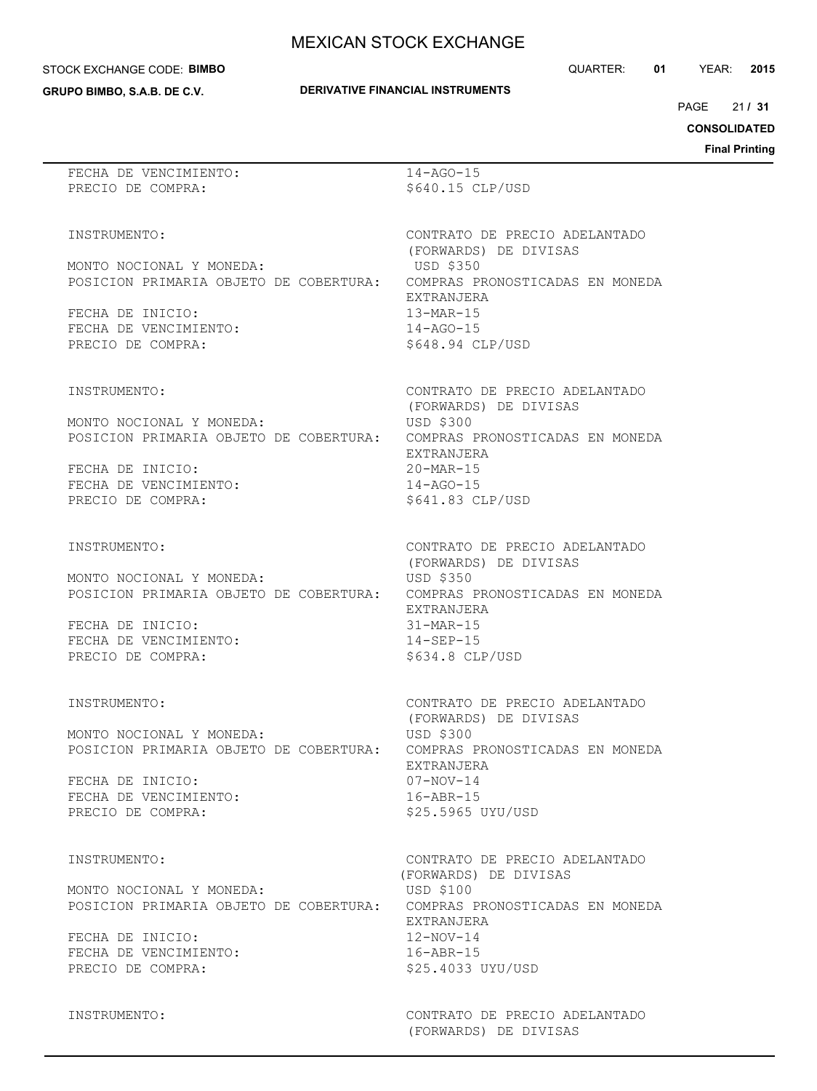#### STOCK EXCHANGE CODE: **BIMBO**

**GRUPO BIMBO, S.A.B. DE C.V.**

## **DERIVATIVE FINANCIAL INSTRUMENTS**

 $21/31$ PAGE **/ 31**

## **CONSOLIDATED**

**Final Printing**

| FECHA DE VENCIMIENTO:<br>PRECIO DE COMPRA:                                                                                                           | $14 - AGO - 15$<br>\$640.15 CLP/USD                                                                                                                                                   |
|------------------------------------------------------------------------------------------------------------------------------------------------------|---------------------------------------------------------------------------------------------------------------------------------------------------------------------------------------|
| INSTRUMENTO:<br>MONTO NOCIONAL Y MONEDA:<br>POSICION PRIMARIA OBJETO DE COBERTURA:<br>FECHA DE INICIO:<br>FECHA DE VENCIMIENTO:<br>PRECIO DE COMPRA: | CONTRATO DE PRECIO ADELANTADO<br>(FORWARDS) DE DIVISAS<br>USD \$350<br>COMPRAS PRONOSTICADAS EN MONEDA<br>EXTRANJERA<br>$13-MAR-15$<br>$14 - AGO - 15$<br>\$648.94 CLP/USD            |
| INSTRUMENTO:<br>MONTO NOCIONAL Y MONEDA:<br>POSICION PRIMARIA OBJETO DE COBERTURA:<br>FECHA DE INICIO:<br>FECHA DE VENCIMIENTO:<br>PRECIO DE COMPRA: | CONTRATO DE PRECIO ADELANTADO<br>(FORWARDS) DE DIVISAS<br>USD \$300<br>COMPRAS PRONOSTICADAS EN MONEDA<br>EXTRANJERA<br>$20 - \text{MAR} - 15$<br>$14 - AGO - 15$<br>\$641.83 CLP/USD |
| INSTRUMENTO:<br>MONTO NOCIONAL Y MONEDA:<br>POSICION PRIMARIA OBJETO DE COBERTURA:<br>FECHA DE INICIO:<br>FECHA DE VENCIMIENTO:<br>PRECIO DE COMPRA: | CONTRATO DE PRECIO ADELANTADO<br>(FORWARDS) DE DIVISAS<br><b>USD \$350</b><br>COMPRAS PRONOSTICADAS EN MONEDA<br>EXTRANJERA<br>$31$ -MAR-15<br>$14 - SEP - 15$<br>$$634.8$ CLP/USD    |
| INSTRUMENTO:<br>MONTO NOCIONAL Y MONEDA:<br>POSICION PRIMARIA OBJETO DE COBERTURA:<br>FECHA DE INICIO:<br>FECHA DE VENCIMIENTO:<br>PRECIO DE COMPRA: | CONTRATO DE PRECIO ADELANTADO<br>(FORWARDS) DE DIVISAS<br>USD \$300<br>COMPRAS PRONOSTICADAS EN MONEDA<br>EXTRANJERA<br>$07 - NOV - 14$<br>$16 - ABR - 15$<br>\$25.5965 UYU/USD       |
| INSTRUMENTO:<br>MONTO NOCIONAL Y MONEDA:<br>POSICION PRIMARIA OBJETO DE COBERTURA:<br>FECHA DE INICIO:<br>FECHA DE VENCIMIENTO:<br>PRECIO DE COMPRA: | CONTRATO DE PRECIO ADELANTADO<br>(FORWARDS) DE DIVISAS<br>USD \$100<br>COMPRAS PRONOSTICADAS EN MONEDA<br>EXTRANJERA<br>$12 - NOV - 14$<br>$16 - ABR - 15$<br>\$25.4033 UYU/USD       |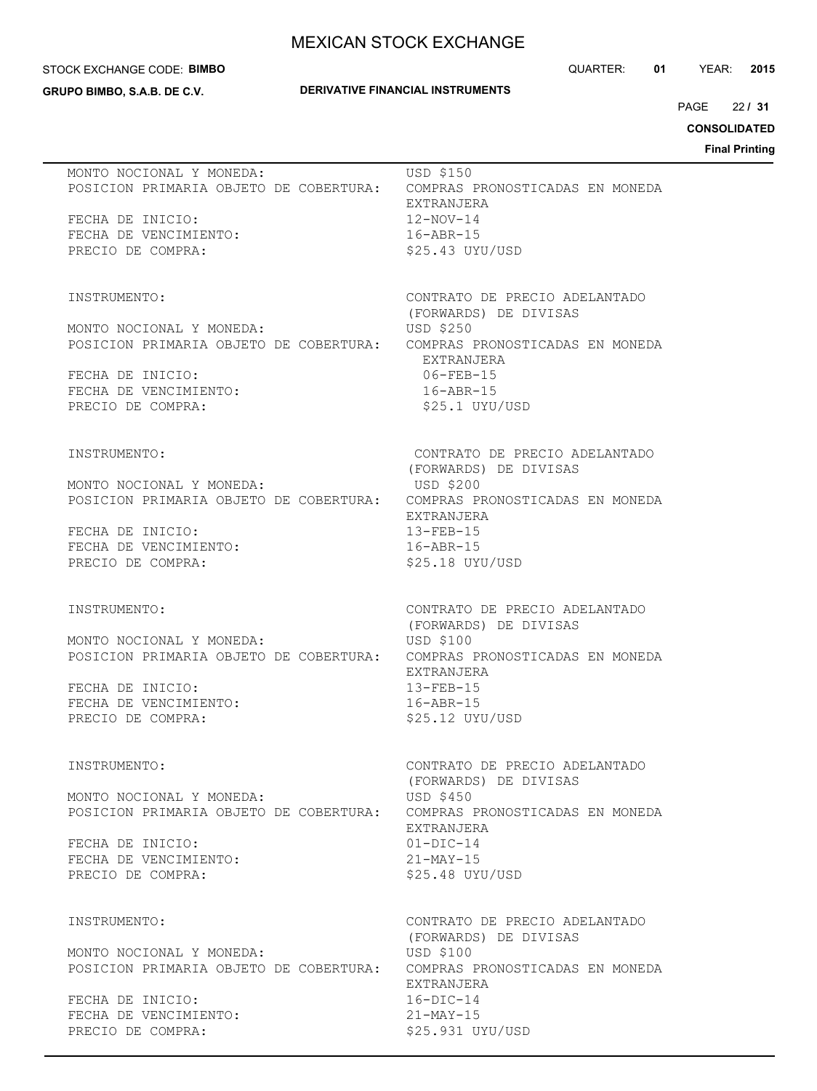#### STOCK EXCHANGE CODE: **BIMBO**

**GRUPO BIMBO, S.A.B. DE C.V.**

## **DERIVATIVE FINANCIAL INSTRUMENTS**

QUARTER: **01** YEAR: **2015**

 $22/31$ PAGE **/ 31**

## **CONSOLIDATED**

| MONTO NOCIONAL Y MONEDA:                                           | USD \$150<br>POSICION PRIMARIA OBJETO DE COBERTURA: COMPRAS PRONOSTICADAS EN MONEDA<br>EXTRANJERA        |
|--------------------------------------------------------------------|----------------------------------------------------------------------------------------------------------|
| FECHA DE INICIO:<br>FECHA DE VENCIMIENTO:<br>PRECIO DE COMPRA:     | $12 - NOV - 14$<br>$16 - ABR - 15$<br>$$25.43$ UYU/USD                                                   |
| INSTRUMENTO:                                                       | CONTRATO DE PRECIO ADELANTADO<br>(FORWARDS) DE DIVISAS                                                   |
| MONTO NOCIONAL Y MONEDA:                                           | <b>USD \$250</b><br>POSICION PRIMARIA OBJETO DE COBERTURA: COMPRAS PRONOSTICADAS EN MONEDA<br>EXTRANJERA |
| FECHA DE INICIO:<br>FECHA DE VENCIMIENTO:<br>PRECIO DE COMPRA:     | $06 - FEB - 15$<br>$16 - ABR - 15$<br>\$25.1 UYU/USD                                                     |
| INSTRUMENTO:                                                       | CONTRATO DE PRECIO ADELANTADO<br>(FORWARDS) DE DIVISAS                                                   |
| MONTO NOCIONAL Y MONEDA:                                           | USD \$200<br>POSICION PRIMARIA OBJETO DE COBERTURA: COMPRAS PRONOSTICADAS EN MONEDA<br>EXTRANJERA        |
| FECHA DE INICIO:<br>FECHA DE VENCIMIENTO:<br>PRECIO DE COMPRA:     | $13 - FEB - 15$<br>$16 - ABR - 15$<br>\$25.18 UYU/USD                                                    |
| INSTRUMENTO:                                                       | CONTRATO DE PRECIO ADELANTADO<br>(FORWARDS) DE DIVISAS                                                   |
| MONTO NOCIONAL Y MONEDA:<br>POSICION PRIMARIA OBJETO DE COBERTURA: | USD \$100<br>COMPRAS PRONOSTICADAS EN MONEDA<br>EXTRANJERA                                               |
| FECHA DE INICIO:<br>FECHA DE VENCIMIENTO:<br>PRECIO DE COMPRA:     | $13 - FEB - 15$<br>$16 - ABR - 15$<br>\$25.12 UYU/USD                                                    |
| INSTRUMENTO:                                                       | CONTRATO DE PRECIO ADELANTADO<br>(FORWARDS) DE DIVISAS                                                   |
| MONTO NOCIONAL Y MONEDA:                                           | USD \$450<br>POSICION PRIMARIA OBJETO DE COBERTURA: COMPRAS PRONOSTICADAS EN MONEDA<br>EXTRANJERA        |
| FECHA DE INICIO:<br>FECHA DE VENCIMIENTO:<br>PRECIO DE COMPRA:     | $01-DIC-14$<br>$21-MAY-15$<br>$$25.48$ UYU/USD                                                           |
| INSTRUMENTO:                                                       | CONTRATO DE PRECIO ADELANTADO<br>(FORWARDS) DE DIVISAS                                                   |
| MONTO NOCIONAL Y MONEDA:<br>POSICION PRIMARIA OBJETO DE COBERTURA: | USD \$100<br>COMPRAS PRONOSTICADAS EN MONEDA<br>EXTRANJERA                                               |
| FECHA DE INICIO:<br>FECHA DE VENCIMIENTO:<br>PRECIO DE COMPRA:     | $16 - DIC - 14$<br>$21-MAY-15$<br>\$25.931 UYU/USD                                                       |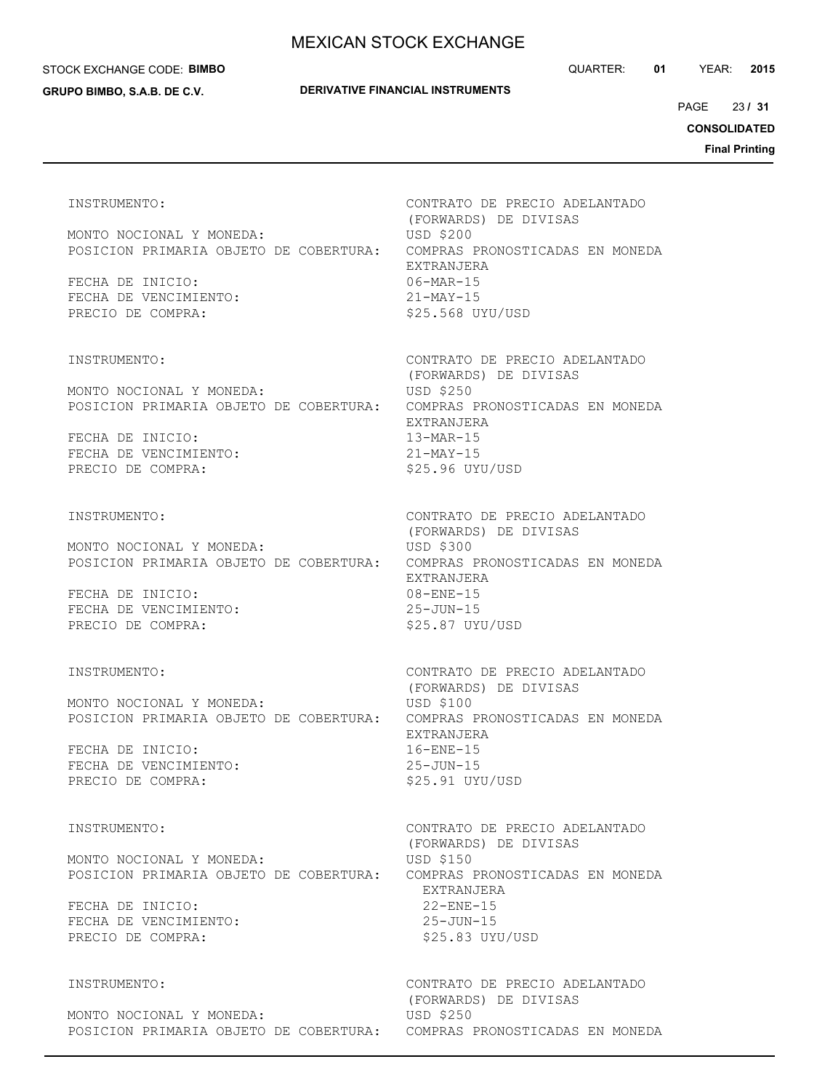#### STOCK EXCHANGE CODE: **BIMBO**

**GRUPO BIMBO, S.A.B. DE C.V.**

QUARTER: **01** YEAR: **2015**

23 PAGE **/ 31**

**CONSOLIDATED**

**Final Printing**

MONTO NOCIONAL Y MONEDA: USD \$200 POSICION PRIMARIA OBJETO DE COBERTURA: COMPRAS PRONOSTICADAS EN MONEDA EXTRANJERA FECHA DE INICIO: 06-MAR-15 FECHA DE VENCIMIENTO: 21-MAY-15 PRECIO DE COMPRA:  $$25.568$  UYU/USD

MONTO NOCIONAL Y MONEDA: USD \$250 POSICION PRIMARIA OBJETO DE COBERTURA: COMPRAS PRONOSTICADAS EN MONEDA

FECHA DE INICIO: 13-MAR-15 FECHA DE VENCIMIENTO: 21-MAY-15 PRECIO DE COMPRA:  $$25.96$  UYU/USD

MONTO NOCIONAL Y MONEDA: USD \$300 POSICION PRIMARIA OBJETO DE COBERTURA: COMPRAS PRONOSTICADAS EN MONEDA

FECHA DE INICIO: 08-ENE-15 FECHA DE VENCIMIENTO: 25-JUN-15 PRECIO DE COMPRA:  $$25.87$  UYU/USD

MONTO NOCIONAL Y MONEDA: USD \$100 POSICION PRIMARIA OBJETO DE COBERTURA: COMPRAS PRONOSTICADAS EN MONEDA

FECHA DE INICIO: 16-ENE-15 FECHA DE VENCIMIENTO: 25-JUN-15 PRECIO DE COMPRA:  $$25.91$  UYU/USD

MONTO NOCIONAL Y MONEDA: USD \$150 POSICION PRIMARIA OBJETO DE COBERTURA: COMPRAS PRONOSTICADAS EN MONEDA

FECHA DE INICIO: 22-ENE-15 FECHA DE VENCIMIENTO: 25-JUN-15 PRECIO DE COMPRA:  $$25.83$  UYU/USD

MONTO NOCIONAL Y MONEDA: USD \$250 POSICION PRIMARIA OBJETO DE COBERTURA: COMPRAS PRONOSTICADAS EN MONEDA

INSTRUMENTO: CONTRATO DE PRECIO ADELANTADO (FORWARDS) DE DIVISAS

INSTRUMENTO: CONTRATO DE PRECIO ADELANTADO (FORWARDS) DE DIVISAS EXTRANJERA

INSTRUMENTO: CONTRATO DE PRECIO ADELANTADO (FORWARDS) DE DIVISAS EXTRANJERA

INSTRUMENTO: CONTRATO DE PRECIO ADELANTADO (FORWARDS) DE DIVISAS EXTRANJERA

INSTRUMENTO: CONTRATO DE PRECIO ADELANTADO (FORWARDS) DE DIVISAS EXTRANJERA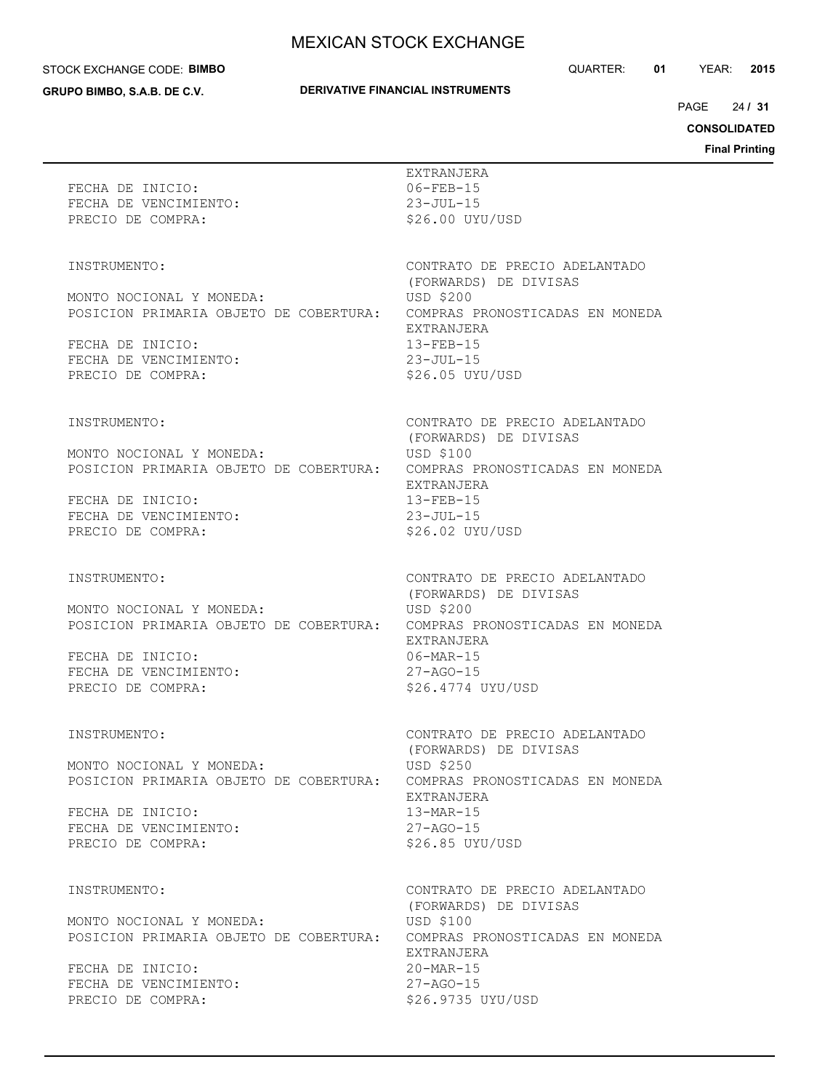#### STOCK EXCHANGE CODE: **BIMBO**

**GRUPO BIMBO, S.A.B. DE C.V.**

## **DERIVATIVE FINANCIAL INSTRUMENTS**

QUARTER: **01** YEAR: **2015**

 $24/31$ PAGE **/ 31**

**CONSOLIDATED**

| FECHA DE INICIO:<br>FECHA DE VENCIMIENTO:<br>PRECIO DE COMPRA:                                                                                       | EXTRANJERA<br>$06 - FEB - 15$<br>$23 - JUL - 15$<br>\$26.00 UYU/USD                                                                                                                           |
|------------------------------------------------------------------------------------------------------------------------------------------------------|-----------------------------------------------------------------------------------------------------------------------------------------------------------------------------------------------|
| INSTRUMENTO:<br>MONTO NOCIONAL Y MONEDA:<br>POSICION PRIMARIA OBJETO DE COBERTURA:<br>FECHA DE INICIO:<br>FECHA DE VENCIMIENTO:<br>PRECIO DE COMPRA: | CONTRATO DE PRECIO ADELANTADO<br>(FORWARDS) DE DIVISAS<br><b>USD \$200</b><br>COMPRAS PRONOSTICADAS EN MONEDA<br>EXTRANJERA<br>$13 - FEB - 15$<br>$23 - JUL - 15$<br>\$26.05 UYU/USD          |
| INSTRUMENTO:<br>MONTO NOCIONAL Y MONEDA:<br>POSICION PRIMARIA OBJETO DE COBERTURA:<br>FECHA DE INICIO:<br>FECHA DE VENCIMIENTO:<br>PRECIO DE COMPRA: | CONTRATO DE PRECIO ADELANTADO<br>(FORWARDS) DE DIVISAS<br><b>USD \$100</b><br>COMPRAS PRONOSTICADAS EN MONEDA<br>EXTRANJERA<br>$13 - FEB - 15$<br>$23 - JUL - 15$<br>\$26.02 UYU/USD          |
| INSTRUMENTO:<br>MONTO NOCIONAL Y MONEDA:<br>POSICION PRIMARIA OBJETO DE COBERTURA:<br>FECHA DE INICIO:<br>FECHA DE VENCIMIENTO:<br>PRECIO DE COMPRA: | CONTRATO DE PRECIO ADELANTADO<br>(FORWARDS) DE DIVISAS<br><b>USD \$200</b><br>COMPRAS PRONOSTICADAS EN MONEDA<br>EXTRANJERA<br>$06-MAR-15$<br>$27 - AGO - 15$<br>\$26.4774 UYU/USD            |
| INSTRUMENTO:<br>MONTO NOCIONAL Y MONEDA:<br>POSICION PRIMARIA OBJETO DE COBERTURA:<br>FECHA DE INICIO:<br>FECHA DE VENCIMIENTO:<br>PRECIO DE COMPRA: | CONTRATO DE PRECIO ADELANTADO<br>(FORWARDS) DE DIVISAS<br>USD \$250<br>COMPRAS PRONOSTICADAS EN MONEDA<br>EXTRANJERA<br>$13-MAR-15$<br>$27 - AGO - 15$<br>\$26.85 UYU/USD                     |
| INSTRUMENTO:<br>MONTO NOCIONAL Y MONEDA:<br>POSICION PRIMARIA OBJETO DE COBERTURA:<br>FECHA DE INICIO:<br>FECHA DE VENCIMIENTO:<br>PRECIO DE COMPRA: | CONTRATO DE PRECIO ADELANTADO<br>(FORWARDS) DE DIVISAS<br><b>USD \$100</b><br>COMPRAS PRONOSTICADAS EN MONEDA<br>EXTRANJERA<br>$20 - \text{MAR} - 15$<br>$27 - AGO - 15$<br>\$26.9735 UYU/USD |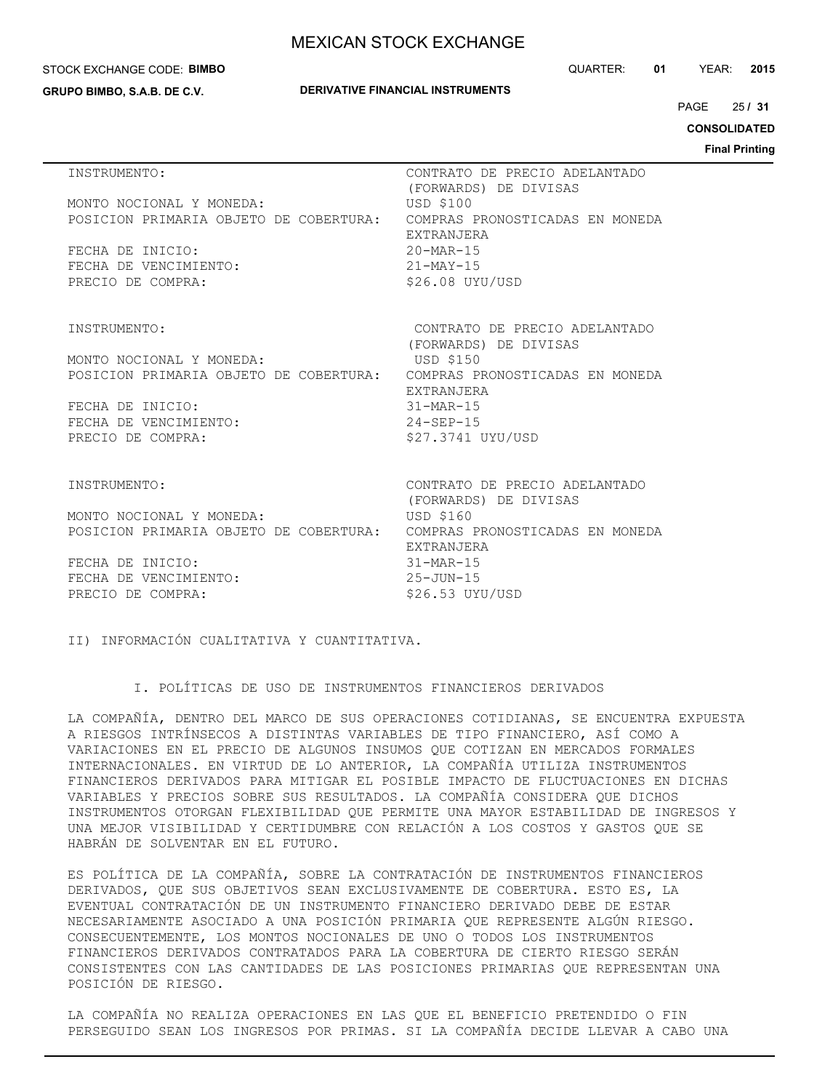### STOCK EXCHANGE CODE: **BIMBO**

**GRUPO BIMBO, S.A.B. DE C.V.**

### **DERIVATIVE FINANCIAL INSTRUMENTS**

QUARTER: **01** YEAR: **2015**

25 PAGE **/ 31**

**CONSOLIDATED**

**Final Printing**

| INSTRUMENTO:                                                       | CONTRATO DE PRECIO ADELANTADO                        |
|--------------------------------------------------------------------|------------------------------------------------------|
| MONTO NOCIONAL Y MONEDA:                                           | (FORWARDS) DE DIVISAS<br><b>USD \$100</b>            |
| POSICION PRIMARIA OBJETO DE COBERTURA:                             | COMPRAS PRONOSTICADAS EN MONEDA                      |
|                                                                    | EXTRANJERA<br>$20 - \text{MAR} - 15$                 |
| FECHA DE INICIO:<br>FECHA DE VENCIMIENTO:                          | $21-MAY-15$                                          |
| PRECIO DE COMPRA:                                                  | \$26.08 UYU/USD                                      |
|                                                                    |                                                      |
| INSTRUMENTO:                                                       | CONTRATO DE PRECIO ADELANTADO                        |
|                                                                    | (FORWARDS) DE DIVISAS                                |
| MONTO NOCIONAL Y MONEDA:<br>POSICION PRIMARIA OBJETO DE COBERTURA: | USD \$150<br>COMPRAS PRONOSTICADAS EN MONEDA         |
|                                                                    | <b>EXTRANJERA</b>                                    |
| FECHA DE INICIO:                                                   | $31 - \text{MAR} - 15$                               |
| FECHA DE VENCIMIENTO:<br>PRECIO DE COMPRA:                         | $24 - SEP - 15$<br>\$27.3741 UYU/USD                 |
|                                                                    |                                                      |
| <b>INSTRUMENTO:</b>                                                | CONTRATO DE PRECIO ADELANTADO                        |
|                                                                    | (FORWARDS) DE DIVISAS                                |
| MONTO NOCIONAL Y MONEDA:                                           | <b>USD \$160</b>                                     |
| POSICION PRIMARIA OBJETO DE COBERTURA:                             | COMPRAS PRONOSTICADAS EN MONEDA<br><b>EXTRANJERA</b> |
| FECHA DE INICIO:                                                   | $31-MAR-15$                                          |
| FECHA DE VENCIMIENTO:                                              | $25 - JUN - 15$                                      |
| PRECIO DE COMPRA:                                                  | $$26.53$ UYU/USD                                     |

II) INFORMACIÓN CUALITATIVA Y CUANTITATIVA.

I. POLÍTICAS DE USO DE INSTRUMENTOS FINANCIEROS DERIVADOS

LA COMPAÑÍA, DENTRO DEL MARCO DE SUS OPERACIONES COTIDIANAS, SE ENCUENTRA EXPUESTA A RIESGOS INTRÍNSECOS A DISTINTAS VARIABLES DE TIPO FINANCIERO, ASÍ COMO A VARIACIONES EN EL PRECIO DE ALGUNOS INSUMOS QUE COTIZAN EN MERCADOS FORMALES INTERNACIONALES. EN VIRTUD DE LO ANTERIOR, LA COMPAÑÍA UTILIZA INSTRUMENTOS FINANCIEROS DERIVADOS PARA MITIGAR EL POSIBLE IMPACTO DE FLUCTUACIONES EN DICHAS VARIABLES Y PRECIOS SOBRE SUS RESULTADOS. LA COMPAÑÍA CONSIDERA QUE DICHOS INSTRUMENTOS OTORGAN FLEXIBILIDAD QUE PERMITE UNA MAYOR ESTABILIDAD DE INGRESOS Y UNA MEJOR VISIBILIDAD Y CERTIDUMBRE CON RELACIÓN A LOS COSTOS Y GASTOS QUE SE HABRÁN DE SOLVENTAR EN EL FUTURO.

ES POLÍTICA DE LA COMPAÑÍA, SOBRE LA CONTRATACIÓN DE INSTRUMENTOS FINANCIEROS DERIVADOS, QUE SUS OBJETIVOS SEAN EXCLUSIVAMENTE DE COBERTURA. ESTO ES, LA EVENTUAL CONTRATACIÓN DE UN INSTRUMENTO FINANCIERO DERIVADO DEBE DE ESTAR NECESARIAMENTE ASOCIADO A UNA POSICIÓN PRIMARIA QUE REPRESENTE ALGÚN RIESGO. CONSECUENTEMENTE, LOS MONTOS NOCIONALES DE UNO O TODOS LOS INSTRUMENTOS FINANCIEROS DERIVADOS CONTRATADOS PARA LA COBERTURA DE CIERTO RIESGO SERÁN CONSISTENTES CON LAS CANTIDADES DE LAS POSICIONES PRIMARIAS QUE REPRESENTAN UNA POSICIÓN DE RIESGO.

LA COMPAÑÍA NO REALIZA OPERACIONES EN LAS QUE EL BENEFICIO PRETENDIDO O FIN PERSEGUIDO SEAN LOS INGRESOS POR PRIMAS. SI LA COMPAÑÍA DECIDE LLEVAR A CABO UNA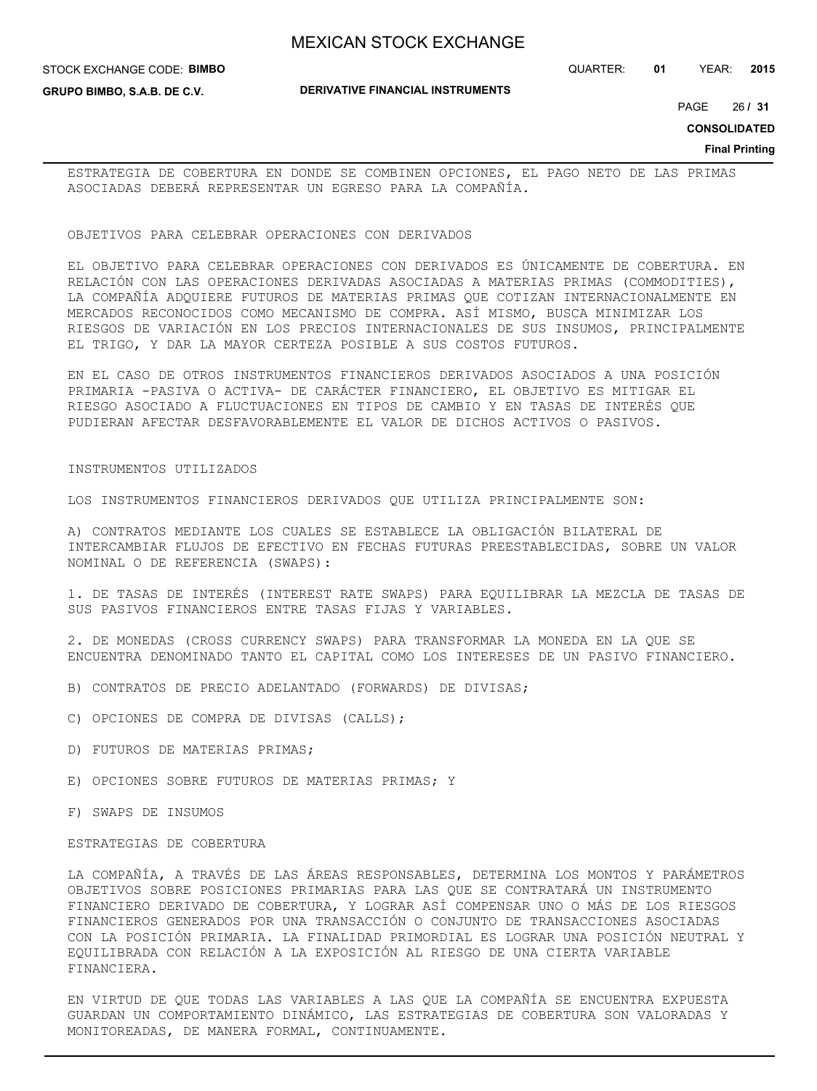STOCK EXCHANGE CODE: **BIMBO**

**GRUPO BIMBO, S.A.B. DE C.V.**

QUARTER: **01** YEAR: **2015**

26 PAGE **/ 31**

**CONSOLIDATED**

**Final Printing**

ESTRATEGIA DE COBERTURA EN DONDE SE COMBINEN OPCIONES, EL PAGO NETO DE LAS PRIMAS ASOCIADAS DEBERÁ REPRESENTAR UN EGRESO PARA LA COMPAÑÍA.

### OBJETIVOS PARA CELEBRAR OPERACIONES CON DERIVADOS

EL OBJETIVO PARA CELEBRAR OPERACIONES CON DERIVADOS ES ÚNICAMENTE DE COBERTURA. EN RELACIÓN CON LAS OPERACIONES DERIVADAS ASOCIADAS A MATERIAS PRIMAS (COMMODITIES), LA COMPAÑÍA ADQUIERE FUTUROS DE MATERIAS PRIMAS QUE COTIZAN INTERNACIONALMENTE EN MERCADOS RECONOCIDOS COMO MECANISMO DE COMPRA. ASÍ MISMO, BUSCA MINIMIZAR LOS RIESGOS DE VARIACIÓN EN LOS PRECIOS INTERNACIONALES DE SUS INSUMOS, PRINCIPALMENTE EL TRIGO, Y DAR LA MAYOR CERTEZA POSIBLE A SUS COSTOS FUTUROS.

EN EL CASO DE OTROS INSTRUMENTOS FINANCIEROS DERIVADOS ASOCIADOS A UNA POSICIÓN PRIMARIA -PASIVA O ACTIVA- DE CARÁCTER FINANCIERO, EL OBJETIVO ES MITIGAR EL RIESGO ASOCIADO A FLUCTUACIONES EN TIPOS DE CAMBIO Y EN TASAS DE INTERÉS QUE PUDIERAN AFECTAR DESFAVORABLEMENTE EL VALOR DE DICHOS ACTIVOS O PASIVOS.

### INSTRUMENTOS UTILIZADOS

LOS INSTRUMENTOS FINANCIEROS DERIVADOS QUE UTILIZA PRINCIPALMENTE SON:

A) CONTRATOS MEDIANTE LOS CUALES SE ESTABLECE LA OBLIGACIÓN BILATERAL DE INTERCAMBIAR FLUJOS DE EFECTIVO EN FECHAS FUTURAS PREESTABLECIDAS, SOBRE UN VALOR NOMINAL O DE REFERENCIA (SWAPS):

1. DE TASAS DE INTERÉS (INTEREST RATE SWAPS) PARA EQUILIBRAR LA MEZCLA DE TASAS DE SUS PASIVOS FINANCIEROS ENTRE TASAS FIJAS Y VARIABLES.

2. DE MONEDAS (CROSS CURRENCY SWAPS) PARA TRANSFORMAR LA MONEDA EN LA QUE SE ENCUENTRA DENOMINADO TANTO EL CAPITAL COMO LOS INTERESES DE UN PASIVO FINANCIERO.

- B) CONTRATOS DE PRECIO ADELANTADO (FORWARDS) DE DIVISAS;
- C) OPCIONES DE COMPRA DE DIVISAS (CALLS);
- D) FUTUROS DE MATERIAS PRIMAS;
- E) OPCIONES SOBRE FUTUROS DE MATERIAS PRIMAS; Y
- F) SWAPS DE INSUMOS

### ESTRATEGIAS DE COBERTURA

LA COMPAÑÍA, A TRAVÉS DE LAS ÁREAS RESPONSABLES, DETERMINA LOS MONTOS Y PARÁMETROS OBJETIVOS SOBRE POSICIONES PRIMARIAS PARA LAS QUE SE CONTRATARÁ UN INSTRUMENTO FINANCIERO DERIVADO DE COBERTURA, Y LOGRAR ASÍ COMPENSAR UNO O MÁS DE LOS RIESGOS FINANCIEROS GENERADOS POR UNA TRANSACCIÓN O CONJUNTO DE TRANSACCIONES ASOCIADAS CON LA POSICIÓN PRIMARIA. LA FINALIDAD PRIMORDIAL ES LOGRAR UNA POSICIÓN NEUTRAL Y EQUILIBRADA CON RELACIÓN A LA EXPOSICIÓN AL RIESGO DE UNA CIERTA VARIABLE FINANCIERA.

EN VIRTUD DE QUE TODAS LAS VARIABLES A LAS QUE LA COMPAÑÍA SE ENCUENTRA EXPUESTA GUARDAN UN COMPORTAMIENTO DINÁMICO, LAS ESTRATEGIAS DE COBERTURA SON VALORADAS Y MONITOREADAS, DE MANERA FORMAL, CONTINUAMENTE.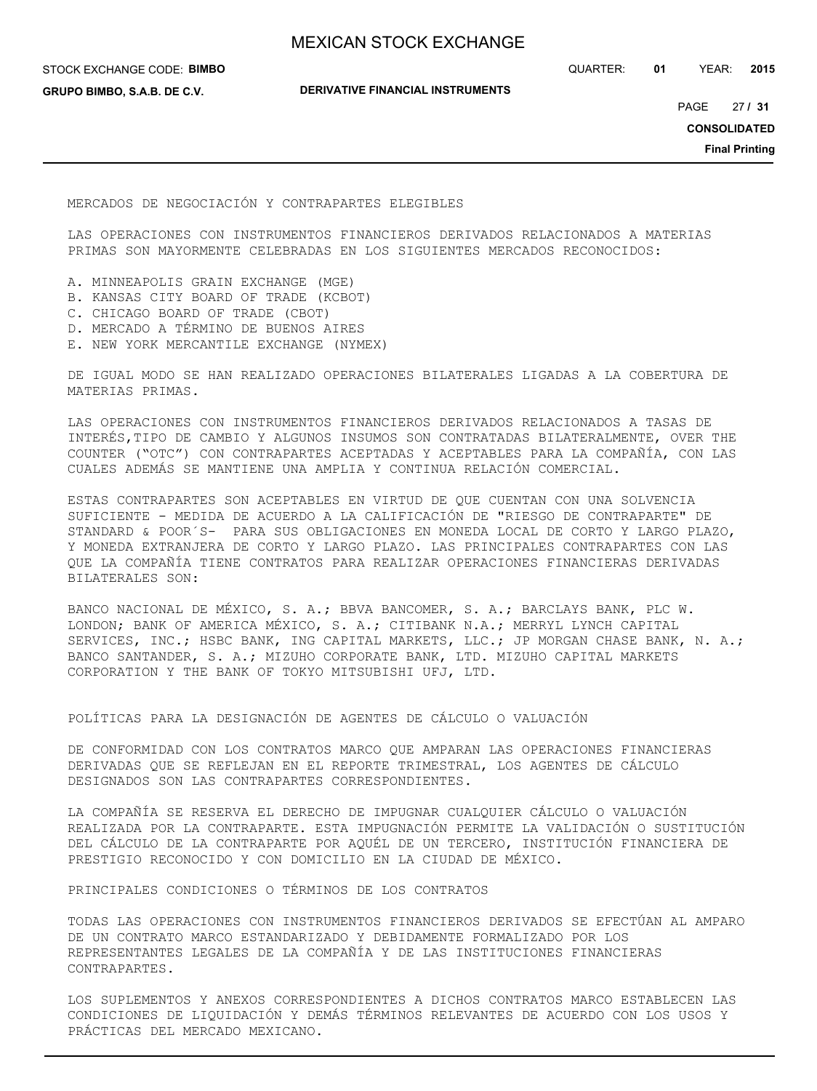STOCK EXCHANGE CODE: **BIMBO**

**GRUPO BIMBO, S.A.B. DE C.V.**

**DERIVATIVE FINANCIAL INSTRUMENTS**

QUARTER: **01** YEAR: **2015**

27 PAGE **/ 31**

**CONSOLIDATED**

**Final Printing**

MERCADOS DE NEGOCIACIÓN Y CONTRAPARTES ELEGIBLES

LAS OPERACIONES CON INSTRUMENTOS FINANCIEROS DERIVADOS RELACIONADOS A MATERIAS PRIMAS SON MAYORMENTE CELEBRADAS EN LOS SIGUIENTES MERCADOS RECONOCIDOS:

- A. MINNEAPOLIS GRAIN EXCHANGE (MGE)
- B. KANSAS CITY BOARD OF TRADE (KCBOT)
- C. CHICAGO BOARD OF TRADE (CBOT)
- D. MERCADO A TÉRMINO DE BUENOS AIRES
- E. NEW YORK MERCANTILE EXCHANGE (NYMEX)

DE IGUAL MODO SE HAN REALIZADO OPERACIONES BILATERALES LIGADAS A LA COBERTURA DE MATERIAS PRIMAS.

LAS OPERACIONES CON INSTRUMENTOS FINANCIEROS DERIVADOS RELACIONADOS A TASAS DE INTERÉS,TIPO DE CAMBIO Y ALGUNOS INSUMOS SON CONTRATADAS BILATERALMENTE, OVER THE COUNTER ("OTC") CON CONTRAPARTES ACEPTADAS Y ACEPTABLES PARA LA COMPAÑÍA, CON LAS CUALES ADEMÁS SE MANTIENE UNA AMPLIA Y CONTINUA RELACIÓN COMERCIAL.

ESTAS CONTRAPARTES SON ACEPTABLES EN VIRTUD DE QUE CUENTAN CON UNA SOLVENCIA SUFICIENTE - MEDIDA DE ACUERDO A LA CALIFICACIÓN DE "RIESGO DE CONTRAPARTE" DE STANDARD & POOR´S- PARA SUS OBLIGACIONES EN MONEDA LOCAL DE CORTO Y LARGO PLAZO, Y MONEDA EXTRANJERA DE CORTO Y LARGO PLAZO. LAS PRINCIPALES CONTRAPARTES CON LAS QUE LA COMPAÑÍA TIENE CONTRATOS PARA REALIZAR OPERACIONES FINANCIERAS DERIVADAS BILATERALES SON:

BANCO NACIONAL DE MÉXICO, S. A.; BBVA BANCOMER, S. A.; BARCLAYS BANK, PLC W. LONDON; BANK OF AMERICA MÉXICO, S. A.; CITIBANK N.A.; MERRYL LYNCH CAPITAL SERVICES, INC.; HSBC BANK, ING CAPITAL MARKETS, LLC.; JP MORGAN CHASE BANK, N. A.; BANCO SANTANDER, S. A.; MIZUHO CORPORATE BANK, LTD. MIZUHO CAPITAL MARKETS CORPORATION Y THE BANK OF TOKYO MITSUBISHI UFJ, LTD.

POLÍTICAS PARA LA DESIGNACIÓN DE AGENTES DE CÁLCULO O VALUACIÓN

DE CONFORMIDAD CON LOS CONTRATOS MARCO QUE AMPARAN LAS OPERACIONES FINANCIERAS DERIVADAS QUE SE REFLEJAN EN EL REPORTE TRIMESTRAL, LOS AGENTES DE CÁLCULO DESIGNADOS SON LAS CONTRAPARTES CORRESPONDIENTES.

LA COMPAÑÍA SE RESERVA EL DERECHO DE IMPUGNAR CUALQUIER CÁLCULO O VALUACIÓN REALIZADA POR LA CONTRAPARTE. ESTA IMPUGNACIÓN PERMITE LA VALIDACIÓN O SUSTITUCIÓN DEL CÁLCULO DE LA CONTRAPARTE POR AQUÉL DE UN TERCERO, INSTITUCIÓN FINANCIERA DE PRESTIGIO RECONOCIDO Y CON DOMICILIO EN LA CIUDAD DE MÉXICO.

PRINCIPALES CONDICIONES O TÉRMINOS DE LOS CONTRATOS

TODAS LAS OPERACIONES CON INSTRUMENTOS FINANCIEROS DERIVADOS SE EFECTÚAN AL AMPARO DE UN CONTRATO MARCO ESTANDARIZADO Y DEBIDAMENTE FORMALIZADO POR LOS REPRESENTANTES LEGALES DE LA COMPAÑÍA Y DE LAS INSTITUCIONES FINANCIERAS CONTRAPARTES.

LOS SUPLEMENTOS Y ANEXOS CORRESPONDIENTES A DICHOS CONTRATOS MARCO ESTABLECEN LAS CONDICIONES DE LIQUIDACIÓN Y DEMÁS TÉRMINOS RELEVANTES DE ACUERDO CON LOS USOS Y PRÁCTICAS DEL MERCADO MEXICANO.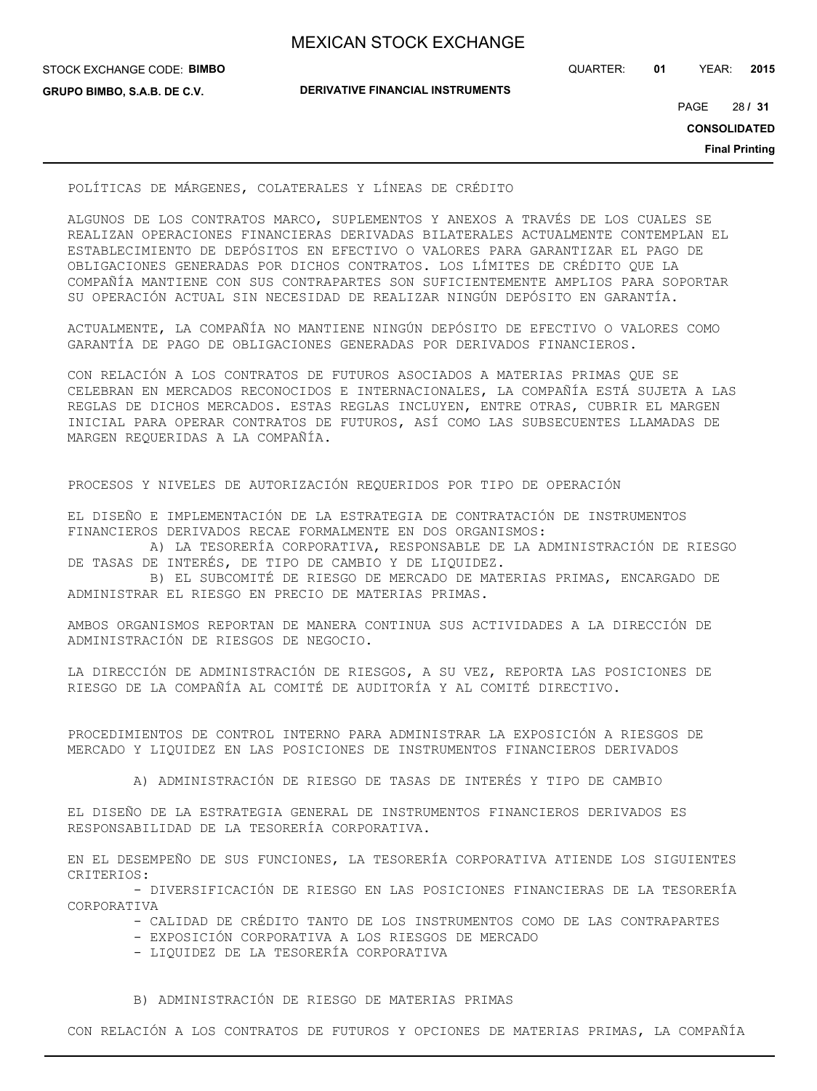| <b>MEXICAN STOCK EXCHANGE</b> |
|-------------------------------|
|-------------------------------|

STOCK EXCHANGE CODE: **BIMBO GRUPO BIMBO, S.A.B. DE C.V.**

**DERIVATIVE FINANCIAL INSTRUMENTS**

QUARTER: **01** YEAR: **2015**

28 PAGE **/ 31**

**CONSOLIDATED**

**Final Printing**

### POLÍTICAS DE MÁRGENES, COLATERALES Y LÍNEAS DE CRÉDITO

ALGUNOS DE LOS CONTRATOS MARCO, SUPLEMENTOS Y ANEXOS A TRAVÉS DE LOS CUALES SE REALIZAN OPERACIONES FINANCIERAS DERIVADAS BILATERALES ACTUALMENTE CONTEMPLAN EL ESTABLECIMIENTO DE DEPÓSITOS EN EFECTIVO O VALORES PARA GARANTIZAR EL PAGO DE OBLIGACIONES GENERADAS POR DICHOS CONTRATOS. LOS LÍMITES DE CRÉDITO QUE LA COMPAÑÍA MANTIENE CON SUS CONTRAPARTES SON SUFICIENTEMENTE AMPLIOS PARA SOPORTAR SU OPERACIÓN ACTUAL SIN NECESIDAD DE REALIZAR NINGÚN DEPÓSITO EN GARANTÍA.

ACTUALMENTE, LA COMPAÑÍA NO MANTIENE NINGÚN DEPÓSITO DE EFECTIVO O VALORES COMO GARANTÍA DE PAGO DE OBLIGACIONES GENERADAS POR DERIVADOS FINANCIEROS.

CON RELACIÓN A LOS CONTRATOS DE FUTUROS ASOCIADOS A MATERIAS PRIMAS QUE SE CELEBRAN EN MERCADOS RECONOCIDOS E INTERNACIONALES, LA COMPAÑÍA ESTÁ SUJETA A LAS REGLAS DE DICHOS MERCADOS. ESTAS REGLAS INCLUYEN, ENTRE OTRAS, CUBRIR EL MARGEN INICIAL PARA OPERAR CONTRATOS DE FUTUROS, ASÍ COMO LAS SUBSECUENTES LLAMADAS DE MARGEN REQUERIDAS A LA COMPAÑÍA.

PROCESOS Y NIVELES DE AUTORIZACIÓN REQUERIDOS POR TIPO DE OPERACIÓN

EL DISEÑO E IMPLEMENTACIÓN DE LA ESTRATEGIA DE CONTRATACIÓN DE INSTRUMENTOS FINANCIEROS DERIVADOS RECAE FORMALMENTE EN DOS ORGANISMOS:

 A) LA TESORERÍA CORPORATIVA, RESPONSABLE DE LA ADMINISTRACIÓN DE RIESGO DE TASAS DE INTERÉS, DE TIPO DE CAMBIO Y DE LIQUIDEZ.

 B) EL SUBCOMITÉ DE RIESGO DE MERCADO DE MATERIAS PRIMAS, ENCARGADO DE ADMINISTRAR EL RIESGO EN PRECIO DE MATERIAS PRIMAS.

AMBOS ORGANISMOS REPORTAN DE MANERA CONTINUA SUS ACTIVIDADES A LA DIRECCIÓN DE ADMINISTRACIÓN DE RIESGOS DE NEGOCIO.

LA DIRECCIÓN DE ADMINISTRACIÓN DE RIESGOS, A SU VEZ, REPORTA LAS POSICIONES DE RIESGO DE LA COMPAÑÍA AL COMITÉ DE AUDITORÍA Y AL COMITÉ DIRECTIVO.

PROCEDIMIENTOS DE CONTROL INTERNO PARA ADMINISTRAR LA EXPOSICIÓN A RIESGOS DE MERCADO Y LIQUIDEZ EN LAS POSICIONES DE INSTRUMENTOS FINANCIEROS DERIVADOS

A) ADMINISTRACIÓN DE RIESGO DE TASAS DE INTERÉS Y TIPO DE CAMBIO

EL DISEÑO DE LA ESTRATEGIA GENERAL DE INSTRUMENTOS FINANCIEROS DERIVADOS ES RESPONSABILIDAD DE LA TESORERÍA CORPORATIVA.

EN EL DESEMPEÑO DE SUS FUNCIONES, LA TESORERÍA CORPORATIVA ATIENDE LOS SIGUIENTES CRITERIOS:

 - DIVERSIFICACIÓN DE RIESGO EN LAS POSICIONES FINANCIERAS DE LA TESORERÍA CORPORATIVA

- CALIDAD DE CRÉDITO TANTO DE LOS INSTRUMENTOS COMO DE LAS CONTRAPARTES

- EXPOSICIÓN CORPORATIVA A LOS RIESGOS DE MERCADO
- LIQUIDEZ DE LA TESORERÍA CORPORATIVA

### B) ADMINISTRACIÓN DE RIESGO DE MATERIAS PRIMAS

CON RELACIÓN A LOS CONTRATOS DE FUTUROS Y OPCIONES DE MATERIAS PRIMAS, LA COMPAÑÍA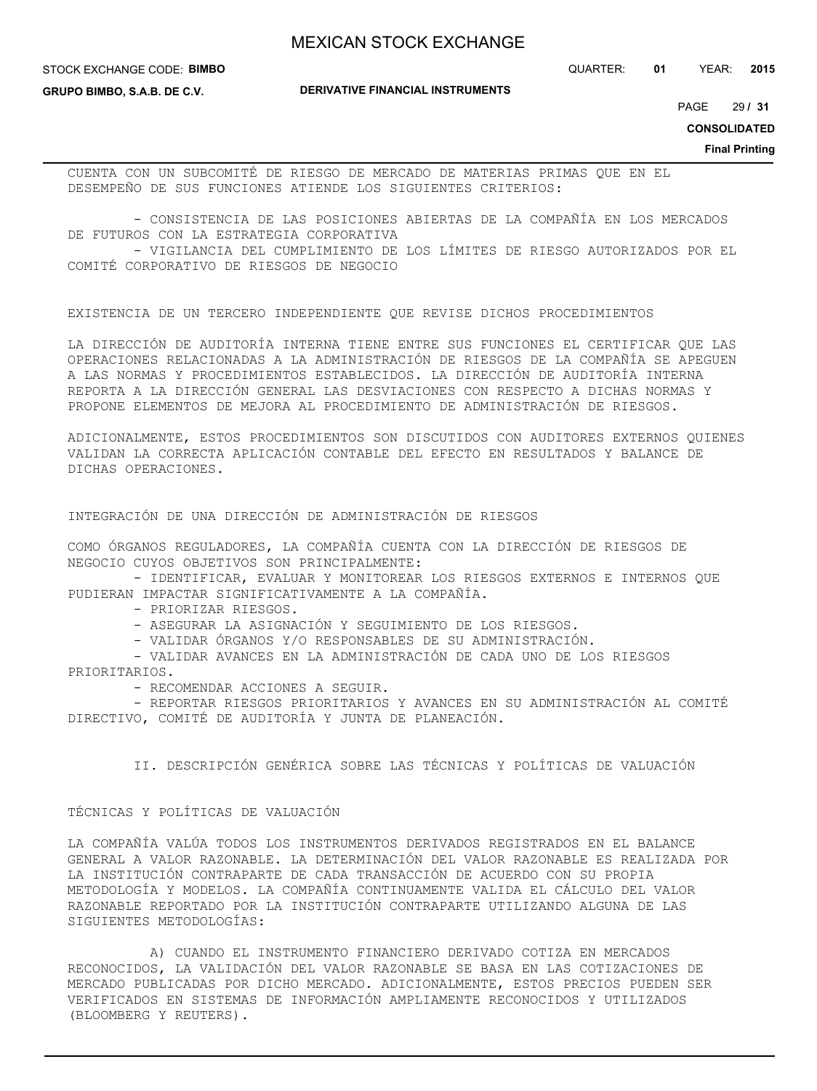STOCK EXCHANGE CODE: **BIMBO**

**GRUPO BIMBO, S.A.B. DE C.V.**

**DERIVATIVE FINANCIAL INSTRUMENTS**

QUARTER: **01** YEAR: **2015**

29 PAGE **/ 31**

**CONSOLIDATED**

**Final Printing**

CUENTA CON UN SUBCOMITÉ DE RIESGO DE MERCADO DE MATERIAS PRIMAS QUE EN EL DESEMPEÑO DE SUS FUNCIONES ATIENDE LOS SIGUIENTES CRITERIOS:

 - CONSISTENCIA DE LAS POSICIONES ABIERTAS DE LA COMPAÑÍA EN LOS MERCADOS DE FUTUROS CON LA ESTRATEGIA CORPORATIVA

 - VIGILANCIA DEL CUMPLIMIENTO DE LOS LÍMITES DE RIESGO AUTORIZADOS POR EL COMITÉ CORPORATIVO DE RIESGOS DE NEGOCIO

EXISTENCIA DE UN TERCERO INDEPENDIENTE QUE REVISE DICHOS PROCEDIMIENTOS

LA DIRECCIÓN DE AUDITORÍA INTERNA TIENE ENTRE SUS FUNCIONES EL CERTIFICAR QUE LAS OPERACIONES RELACIONADAS A LA ADMINISTRACIÓN DE RIESGOS DE LA COMPAÑÍA SE APEGUEN A LAS NORMAS Y PROCEDIMIENTOS ESTABLECIDOS. LA DIRECCIÓN DE AUDITORÍA INTERNA REPORTA A LA DIRECCIÓN GENERAL LAS DESVIACIONES CON RESPECTO A DICHAS NORMAS Y PROPONE ELEMENTOS DE MEJORA AL PROCEDIMIENTO DE ADMINISTRACIÓN DE RIESGOS.

ADICIONALMENTE, ESTOS PROCEDIMIENTOS SON DISCUTIDOS CON AUDITORES EXTERNOS QUIENES VALIDAN LA CORRECTA APLICACIÓN CONTABLE DEL EFECTO EN RESULTADOS Y BALANCE DE DICHAS OPERACIONES.

INTEGRACIÓN DE UNA DIRECCIÓN DE ADMINISTRACIÓN DE RIESGOS

COMO ÓRGANOS REGULADORES, LA COMPAÑÍA CUENTA CON LA DIRECCIÓN DE RIESGOS DE NEGOCIO CUYOS OBJETIVOS SON PRINCIPALMENTE:

 - IDENTIFICAR, EVALUAR Y MONITOREAR LOS RIESGOS EXTERNOS E INTERNOS QUE PUDIERAN IMPACTAR SIGNIFICATIVAMENTE A LA COMPAÑÍA.

- PRIORIZAR RIESGOS.

- ASEGURAR LA ASIGNACIÓN Y SEGUIMIENTO DE LOS RIESGOS.

- VALIDAR ÓRGANOS Y/O RESPONSABLES DE SU ADMINISTRACIÓN.

 - VALIDAR AVANCES EN LA ADMINISTRACIÓN DE CADA UNO DE LOS RIESGOS PRIORITARIOS.

- RECOMENDAR ACCIONES A SEGUIR.

 - REPORTAR RIESGOS PRIORITARIOS Y AVANCES EN SU ADMINISTRACIÓN AL COMITÉ DIRECTIVO, COMITÉ DE AUDITORÍA Y JUNTA DE PLANEACIÓN.

II. DESCRIPCIÓN GENÉRICA SOBRE LAS TÉCNICAS Y POLÍTICAS DE VALUACIÓN

## TÉCNICAS Y POLÍTICAS DE VALUACIÓN

LA COMPAÑÍA VALÚA TODOS LOS INSTRUMENTOS DERIVADOS REGISTRADOS EN EL BALANCE GENERAL A VALOR RAZONABLE. LA DETERMINACIÓN DEL VALOR RAZONABLE ES REALIZADA POR LA INSTITUCIÓN CONTRAPARTE DE CADA TRANSACCIÓN DE ACUERDO CON SU PROPIA METODOLOGÍA Y MODELOS. LA COMPAÑÍA CONTINUAMENTE VALIDA EL CÁLCULO DEL VALOR RAZONABLE REPORTADO POR LA INSTITUCIÓN CONTRAPARTE UTILIZANDO ALGUNA DE LAS SIGUIENTES METODOLOGÍAS:

 A) CUANDO EL INSTRUMENTO FINANCIERO DERIVADO COTIZA EN MERCADOS RECONOCIDOS, LA VALIDACIÓN DEL VALOR RAZONABLE SE BASA EN LAS COTIZACIONES DE MERCADO PUBLICADAS POR DICHO MERCADO. ADICIONALMENTE, ESTOS PRECIOS PUEDEN SER VERIFICADOS EN SISTEMAS DE INFORMACIÓN AMPLIAMENTE RECONOCIDOS Y UTILIZADOS (BLOOMBERG Y REUTERS).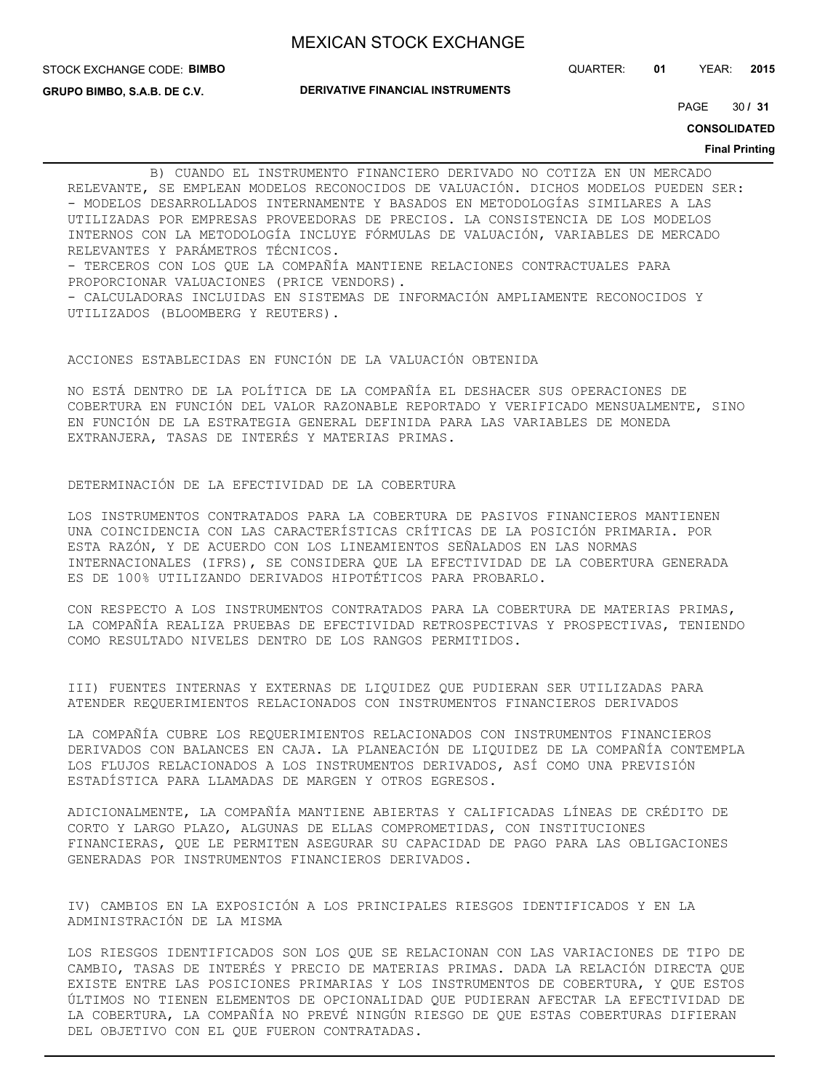STOCK EXCHANGE CODE: **BIMBO**

QUARTER: **01** YEAR: **2015**

**GRUPO BIMBO, S.A.B. DE C.V.**

**DERIVATIVE FINANCIAL INSTRUMENTS**

30 PAGE **/ 31**

**CONSOLIDATED**

### **Final Printing**

 B) CUANDO EL INSTRUMENTO FINANCIERO DERIVADO NO COTIZA EN UN MERCADO RELEVANTE, SE EMPLEAN MODELOS RECONOCIDOS DE VALUACIÓN. DICHOS MODELOS PUEDEN SER: - MODELOS DESARROLLADOS INTERNAMENTE Y BASADOS EN METODOLOGÍAS SIMILARES A LAS UTILIZADAS POR EMPRESAS PROVEEDORAS DE PRECIOS. LA CONSISTENCIA DE LOS MODELOS INTERNOS CON LA METODOLOGÍA INCLUYE FÓRMULAS DE VALUACIÓN, VARIABLES DE MERCADO RELEVANTES Y PARÁMETROS TÉCNICOS. - TERCEROS CON LOS QUE LA COMPAÑÍA MANTIENE RELACIONES CONTRACTUALES PARA PROPORCIONAR VALUACIONES (PRICE VENDORS). - CALCULADORAS INCLUIDAS EN SISTEMAS DE INFORMACIÓN AMPLIAMENTE RECONOCIDOS Y UTILIZADOS (BLOOMBERG Y REUTERS).

### ACCIONES ESTABLECIDAS EN FUNCIÓN DE LA VALUACIÓN OBTENIDA

NO ESTÁ DENTRO DE LA POLÍTICA DE LA COMPAÑÍA EL DESHACER SUS OPERACIONES DE COBERTURA EN FUNCIÓN DEL VALOR RAZONABLE REPORTADO Y VERIFICADO MENSUALMENTE, SINO EN FUNCIÓN DE LA ESTRATEGIA GENERAL DEFINIDA PARA LAS VARIABLES DE MONEDA EXTRANJERA, TASAS DE INTERÉS Y MATERIAS PRIMAS.

## DETERMINACIÓN DE LA EFECTIVIDAD DE LA COBERTURA

LOS INSTRUMENTOS CONTRATADOS PARA LA COBERTURA DE PASIVOS FINANCIEROS MANTIENEN UNA COINCIDENCIA CON LAS CARACTERÍSTICAS CRÍTICAS DE LA POSICIÓN PRIMARIA. POR ESTA RAZÓN, Y DE ACUERDO CON LOS LINEAMIENTOS SEÑALADOS EN LAS NORMAS INTERNACIONALES (IFRS), SE CONSIDERA QUE LA EFECTIVIDAD DE LA COBERTURA GENERADA ES DE 100% UTILIZANDO DERIVADOS HIPOTÉTICOS PARA PROBARLO.

CON RESPECTO A LOS INSTRUMENTOS CONTRATADOS PARA LA COBERTURA DE MATERIAS PRIMAS, LA COMPAÑÍA REALIZA PRUEBAS DE EFECTIVIDAD RETROSPECTIVAS Y PROSPECTIVAS, TENIENDO COMO RESULTADO NIVELES DENTRO DE LOS RANGOS PERMITIDOS.

III) FUENTES INTERNAS Y EXTERNAS DE LIQUIDEZ QUE PUDIERAN SER UTILIZADAS PARA ATENDER REQUERIMIENTOS RELACIONADOS CON INSTRUMENTOS FINANCIEROS DERIVADOS

LA COMPAÑÍA CUBRE LOS REQUERIMIENTOS RELACIONADOS CON INSTRUMENTOS FINANCIEROS DERIVADOS CON BALANCES EN CAJA. LA PLANEACIÓN DE LIQUIDEZ DE LA COMPAÑÍA CONTEMPLA LOS FLUJOS RELACIONADOS A LOS INSTRUMENTOS DERIVADOS, ASÍ COMO UNA PREVISIÓN ESTADÍSTICA PARA LLAMADAS DE MARGEN Y OTROS EGRESOS.

ADICIONALMENTE, LA COMPAÑÍA MANTIENE ABIERTAS Y CALIFICADAS LÍNEAS DE CRÉDITO DE CORTO Y LARGO PLAZO, ALGUNAS DE ELLAS COMPROMETIDAS, CON INSTITUCIONES FINANCIERAS, QUE LE PERMITEN ASEGURAR SU CAPACIDAD DE PAGO PARA LAS OBLIGACIONES GENERADAS POR INSTRUMENTOS FINANCIEROS DERIVADOS.

IV) CAMBIOS EN LA EXPOSICIÓN A LOS PRINCIPALES RIESGOS IDENTIFICADOS Y EN LA ADMINISTRACIÓN DE LA MISMA

LOS RIESGOS IDENTIFICADOS SON LOS QUE SE RELACIONAN CON LAS VARIACIONES DE TIPO DE CAMBIO, TASAS DE INTERÉS Y PRECIO DE MATERIAS PRIMAS. DADA LA RELACIÓN DIRECTA QUE EXISTE ENTRE LAS POSICIONES PRIMARIAS Y LOS INSTRUMENTOS DE COBERTURA, Y QUE ESTOS ÚLTIMOS NO TIENEN ELEMENTOS DE OPCIONALIDAD QUE PUDIERAN AFECTAR LA EFECTIVIDAD DE LA COBERTURA, LA COMPAÑÍA NO PREVÉ NINGÚN RIESGO DE QUE ESTAS COBERTURAS DIFIERAN DEL OBJETIVO CON EL QUE FUERON CONTRATADAS.